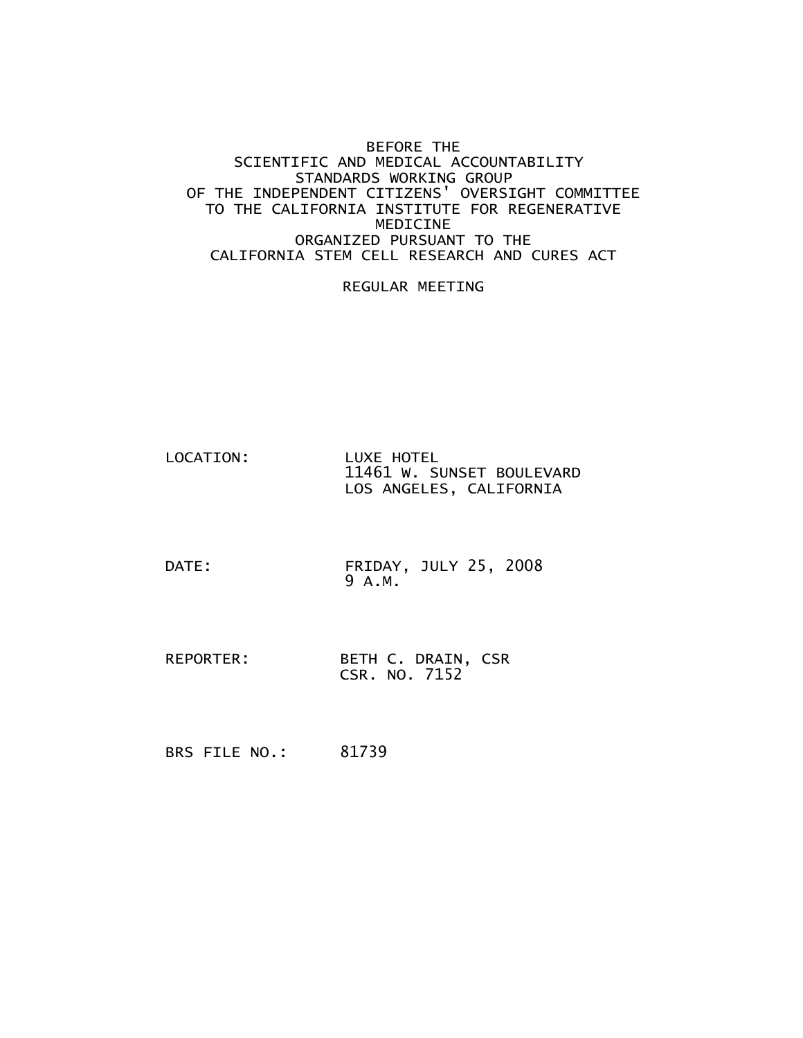#### BEFORE THE SCIENTIFIC AND MEDICAL ACCOUNTABILITY STANDARDS WORKING GROUP OF THE INDEPENDENT CITIZENS' OVERSIGHT COMMITTEE TO THE CALIFORNIA INSTITUTE FOR REGENERATIVE MEDICINE ORGANIZED PURSUANT TO THE CALIFORNIA STEM CELL RESEARCH AND CURES ACT

#### REGULAR MEETING

- LOCATION: LUXE HOTEL 11461 W. SUNSET BOULEVARD LOS ANGELES, CALIFORNIA
- DATE: FRIDAY, JULY 25, 2008 9 A.M.
- REPORTER: BETH C. DRAIN, CSR CSR. NO. 7152
- BRS FILE NO.: 81739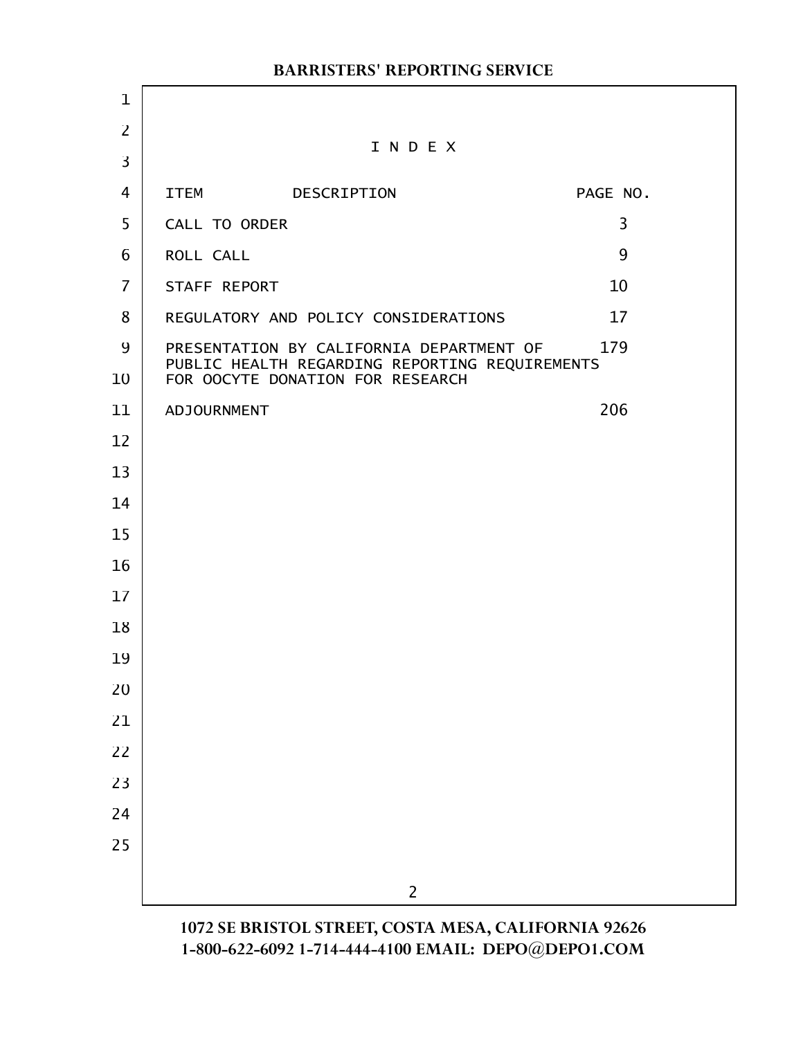|                   | <b>BARRISTERS' REPORTING SERVICE</b>                                               |                                     |
|-------------------|------------------------------------------------------------------------------------|-------------------------------------|
| $\mathbf{1}$      |                                                                                    |                                     |
| $\overline{2}$    | INDEX                                                                              |                                     |
| $\overline{3}$    |                                                                                    |                                     |
| 4                 | <b>ITEM</b><br>DESCRIPTION                                                         | PAGE NO.                            |
| 5                 | CALL TO ORDER                                                                      | 3                                   |
| 6                 | ROLL CALL                                                                          | 9                                   |
| $\overline{7}$    | STAFF REPORT                                                                       | 10                                  |
| 8                 | REGULATORY AND POLICY CONSIDERATIONS                                               | 17                                  |
| 9                 | PRESENTATION BY CALIFORNIA DEPARTMENT OF                                           | 179                                 |
| 10                | PUBLIC HEALTH REGARDING REPORTING REQUIREMENTS<br>FOR OOCYTE DONATION FOR RESEARCH |                                     |
| 11                | ADJOURNMENT                                                                        | 206                                 |
| $12 \overline{ }$ |                                                                                    |                                     |
| 13                |                                                                                    |                                     |
| 14                |                                                                                    |                                     |
| 15                |                                                                                    |                                     |
| 16                |                                                                                    |                                     |
| 17 <sup>2</sup>   |                                                                                    |                                     |
| 18                |                                                                                    |                                     |
| 19                |                                                                                    |                                     |
| 20                |                                                                                    |                                     |
| 21                |                                                                                    |                                     |
| 22                |                                                                                    |                                     |
| 23                |                                                                                    |                                     |
| 24                |                                                                                    |                                     |
| 25                |                                                                                    |                                     |
|                   | $\overline{2}$                                                                     |                                     |
|                   | $CD$ DDICTOL<br>$CTD$ $EPT$ $CQCT$<br><b>MECA</b>                                  | $\cap$ a i Ie $\cap$ dnii A<br>0200 |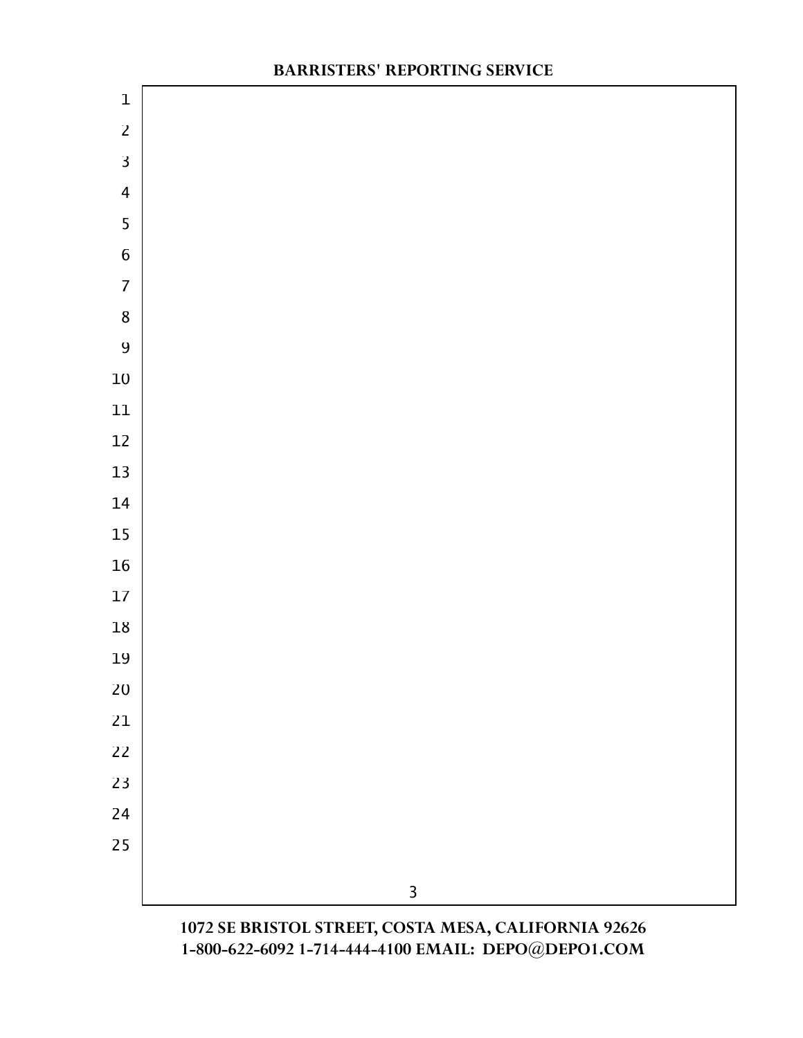

1072 SE BRISTOL STREET, COSTA MESA, CALIFORNIA 92626 1-800-622-6092 1-714-444-4100 EMAIL: DEPO@DEPO1.COM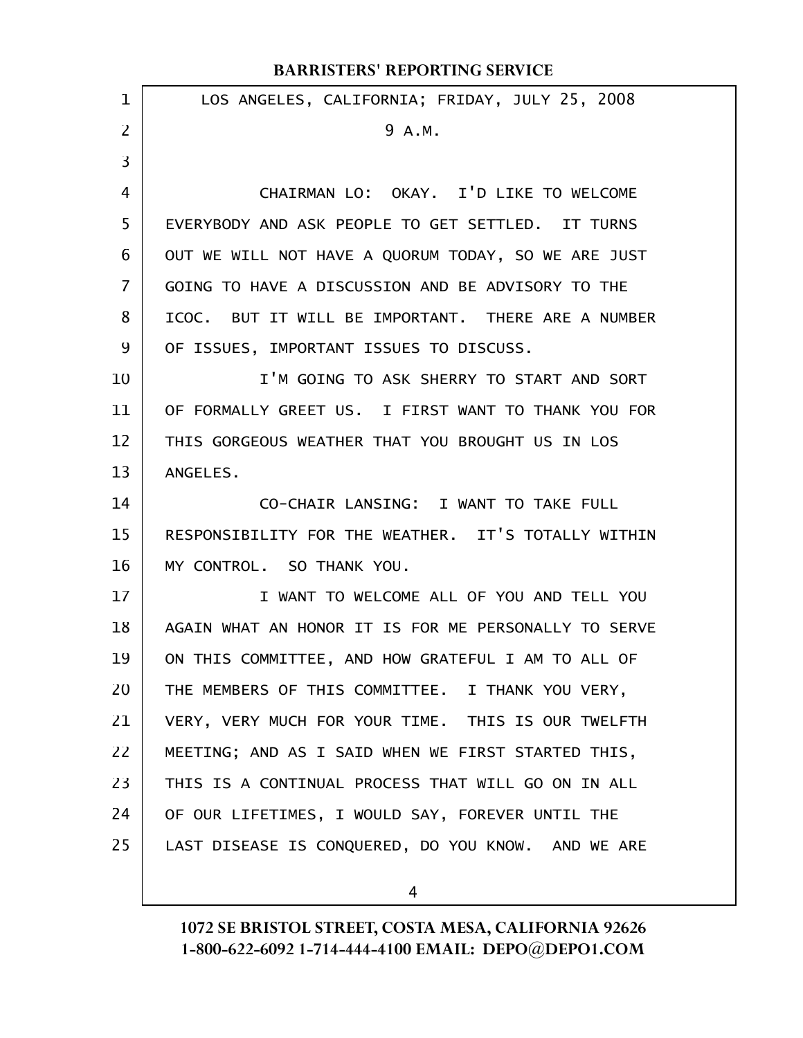|                | <b>BARRISTERS' REPORTING SERVICE</b>                 |
|----------------|------------------------------------------------------|
| $\mathbf 1$    | LOS ANGELES, CALIFORNIA; FRIDAY, JULY 25, 2008       |
| $\overline{2}$ | 9 A.M.                                               |
| 3              |                                                      |
| 4              | CHAIRMAN LO: OKAY, I'D LIKE TO WELCOME               |
| 5              | EVERYBODY AND ASK PEOPLE TO GET SETTLED. IT TURNS    |
| 6              | OUT WE WILL NOT HAVE A QUORUM TODAY, SO WE ARE JUST  |
| $\overline{7}$ | GOING TO HAVE A DISCUSSION AND BE ADVISORY TO THE    |
| 8              | ICOC. BUT IT WILL BE IMPORTANT. THERE ARE A NUMBER   |
| 9              | OF ISSUES, IMPORTANT ISSUES TO DISCUSS.              |
| 10             | I'M GOING TO ASK SHERRY TO START AND SORT            |
| 11             | OF FORMALLY GREET US. I FIRST WANT TO THANK YOU FOR  |
| 12             | THIS GORGEOUS WEATHER THAT YOU BROUGHT US IN LOS     |
| 13             | ANGELES.                                             |
| 14             | CO-CHAIR LANSING: I WANT TO TAKE FULL                |
| 15             | RESPONSIBILITY FOR THE WEATHER. IT'S TOTALLY WITHIN  |
| 16             | MY CONTROL. SO THANK YOU.                            |
| 17             | I WANT TO WELCOME ALL OF YOU AND TELL YOU            |
| 18             | AGAIN WHAT AN HONOR IT IS FOR ME PERSONALLY TO SERVE |
| 19             | ON THIS COMMITTEE, AND HOW GRATEFUL I AM TO ALL OF   |
| 20             | THE MEMBERS OF THIS COMMITTEE. I THANK YOU VERY,     |
| 21             | VERY, VERY MUCH FOR YOUR TIME. THIS IS OUR TWELFTH   |
| 22             | MEETING; AND AS I SAID WHEN WE FIRST STARTED THIS,   |
| 23             | THIS IS A CONTINUAL PROCESS THAT WILL GO ON IN ALL   |
| 24             | OF OUR LIFETIMES, I WOULD SAY, FOREVER UNTIL THE     |
| 25             | LAST DISEASE IS CONQUERED, DO YOU KNOW. AND WE ARE   |
|                |                                                      |

4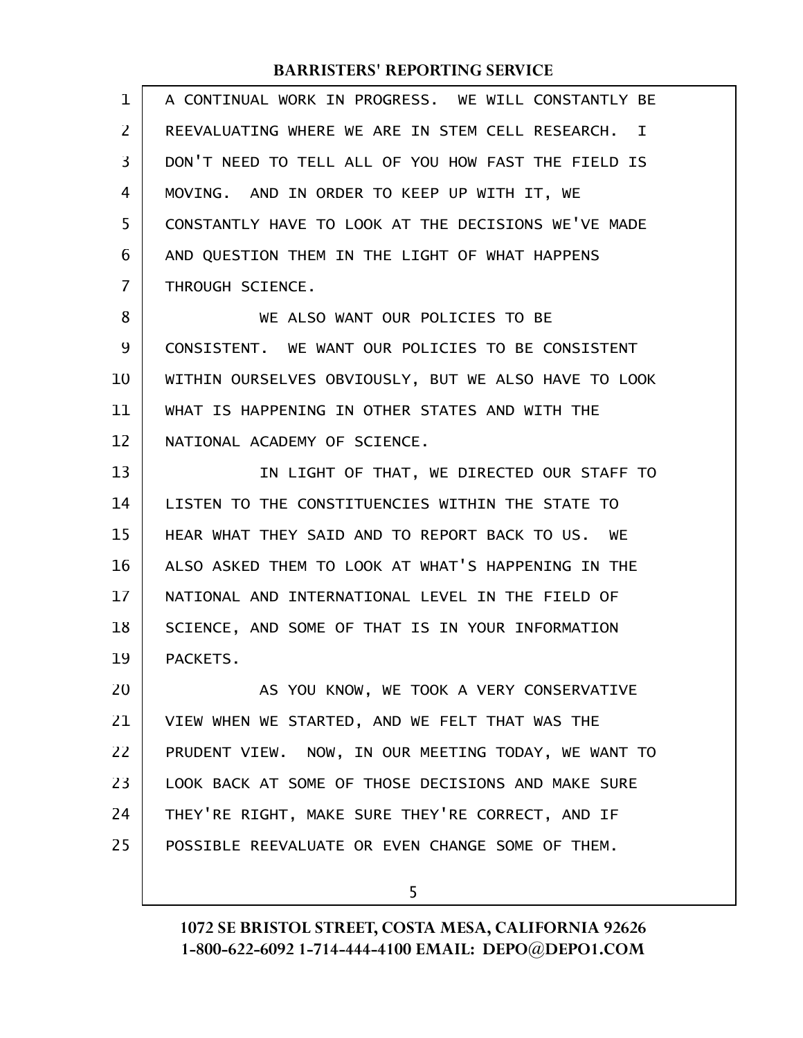| 1                 | A CONTINUAL WORK IN PROGRESS. WE WILL CONSTANTLY BE  |
|-------------------|------------------------------------------------------|
| 2                 | REEVALUATING WHERE WE ARE IN STEM CELL RESEARCH. I   |
| 3                 | DON'T NEED TO TELL ALL OF YOU HOW FAST THE FIELD IS  |
| 4                 | MOVING. AND IN ORDER TO KEEP UP WITH IT, WE          |
| 5                 | CONSTANTLY HAVE TO LOOK AT THE DECISIONS WE'VE MADE  |
| 6                 | AND QUESTION THEM IN THE LIGHT OF WHAT HAPPENS       |
| 7                 | THROUGH SCIENCE.                                     |
| 8                 | WE ALSO WANT OUR POLICIES TO BE                      |
| 9                 | CONSISTENT. WE WANT OUR POLICIES TO BE CONSISTENT    |
| 10                | WITHIN OURSELVES OBVIOUSLY, BUT WE ALSO HAVE TO LOOK |
| 11                | WHAT IS HAPPENING IN OTHER STATES AND WITH THE       |
| $12 \overline{ }$ | NATIONAL ACADEMY OF SCIENCE.                         |
| 13                | IN LIGHT OF THAT, WE DIRECTED OUR STAFF TO           |
| 14                | LISTEN TO THE CONSTITUENCIES WITHIN THE STATE TO     |
| 15                | HEAR WHAT THEY SAID AND TO REPORT BACK TO US. WE     |
| 16                | ALSO ASKED THEM TO LOOK AT WHAT'S HAPPENING IN THE   |
| 17                | NATIONAL AND INTERNATIONAL LEVEL IN THE FIELD OF     |
| 18                | SCIENCE, AND SOME OF THAT IS IN YOUR INFORMATION     |
| 19                | PACKETS.                                             |
| 20                | AS YOU KNOW, WE TOOK A VERY CONSERVATIVE             |
| 21                | VIEW WHEN WE STARTED, AND WE FELT THAT WAS THE       |
| 22                | PRUDENT VIEW. NOW, IN OUR MEETING TODAY, WE WANT TO  |
| 23                | LOOK BACK AT SOME OF THOSE DECISIONS AND MAKE SURE   |
| 24                | THEY'RE RIGHT, MAKE SURE THEY'RE CORRECT, AND IF     |
| 25                | POSSIBLE REEVALUATE OR EVEN CHANGE SOME OF THEM.     |
|                   | 5.                                                   |
|                   |                                                      |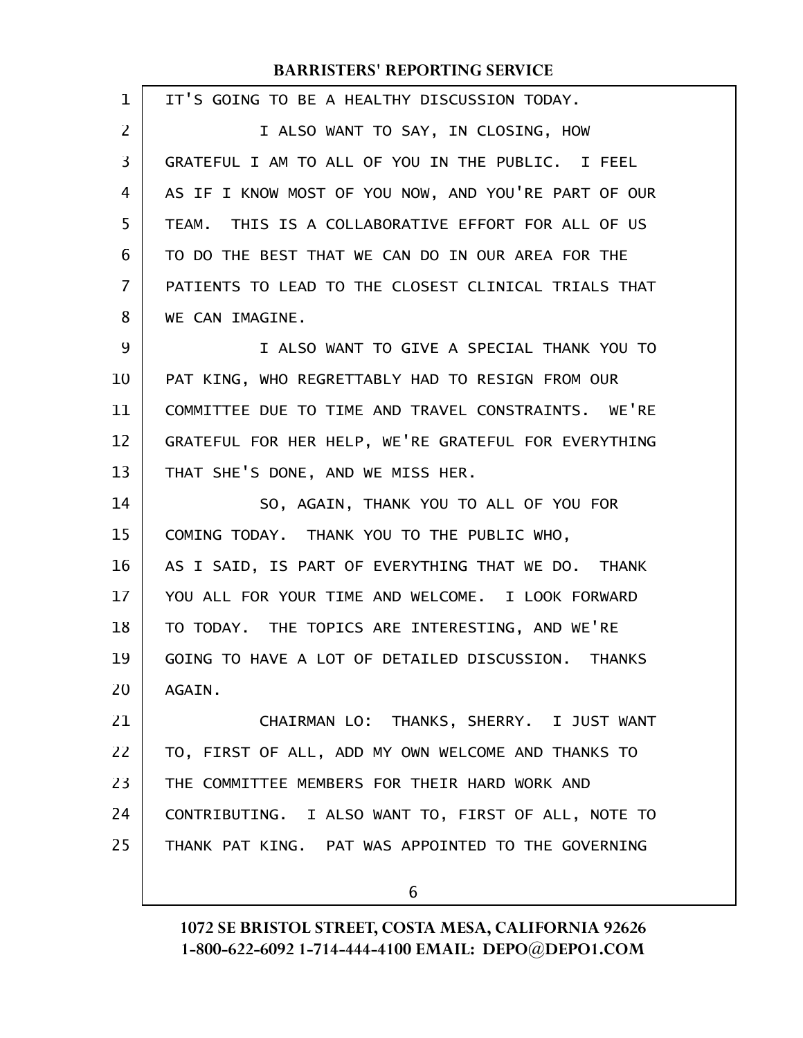| 1  | IT'S GOING TO BE A HEALTHY DISCUSSION TODAY.         |
|----|------------------------------------------------------|
| 2  | I ALSO WANT TO SAY, IN CLOSING, HOW                  |
| 3  | GRATEFUL I AM TO ALL OF YOU IN THE PUBLIC. I FEEL    |
| 4  | AS IF I KNOW MOST OF YOU NOW, AND YOU'RE PART OF OUR |
| 5  | TEAM. THIS IS A COLLABORATIVE EFFORT FOR ALL OF US   |
| 6  | TO DO THE BEST THAT WE CAN DO IN OUR AREA FOR THE    |
| 7  | PATIENTS TO LEAD TO THE CLOSEST CLINICAL TRIALS THAT |
| 8  | WE CAN IMAGINE.                                      |
| 9  | I ALSO WANT TO GIVE A SPECIAL THANK YOU TO           |
| 10 | PAT KING, WHO REGRETTABLY HAD TO RESIGN FROM OUR     |
| 11 | COMMITTEE DUE TO TIME AND TRAVEL CONSTRAINTS. WE'RE  |
| 12 | GRATEFUL FOR HER HELP, WE'RE GRATEFUL FOR EVERYTHING |
| 13 | THAT SHE'S DONE, AND WE MISS HER.                    |
| 14 | SO, AGAIN, THANK YOU TO ALL OF YOU FOR               |
| 15 | COMING TODAY. THANK YOU TO THE PUBLIC WHO,           |
| 16 | AS I SAID, IS PART OF EVERYTHING THAT WE DO. THANK   |
| 17 | YOU ALL FOR YOUR TIME AND WELCOME. I LOOK FORWARD    |
| 18 | TO TODAY. THE TOPICS ARE INTERESTING, AND WE'RE      |
| 19 | GOING TO HAVE A LOT OF DETAILED DISCUSSION. THANKS   |
| 20 | AGAIN.                                               |
| 21 | CHAIRMAN LO: THANKS, SHERRY. I JUST WANT             |
| 22 | TO, FIRST OF ALL, ADD MY OWN WELCOME AND THANKS TO   |
| 23 | THE COMMITTEE MEMBERS FOR THEIR HARD WORK AND        |
| 24 | CONTRIBUTING. I ALSO WANT TO, FIRST OF ALL, NOTE TO  |
| 25 | THANK PAT KING. PAT WAS APPOINTED TO THE GOVERNING   |
|    | 6                                                    |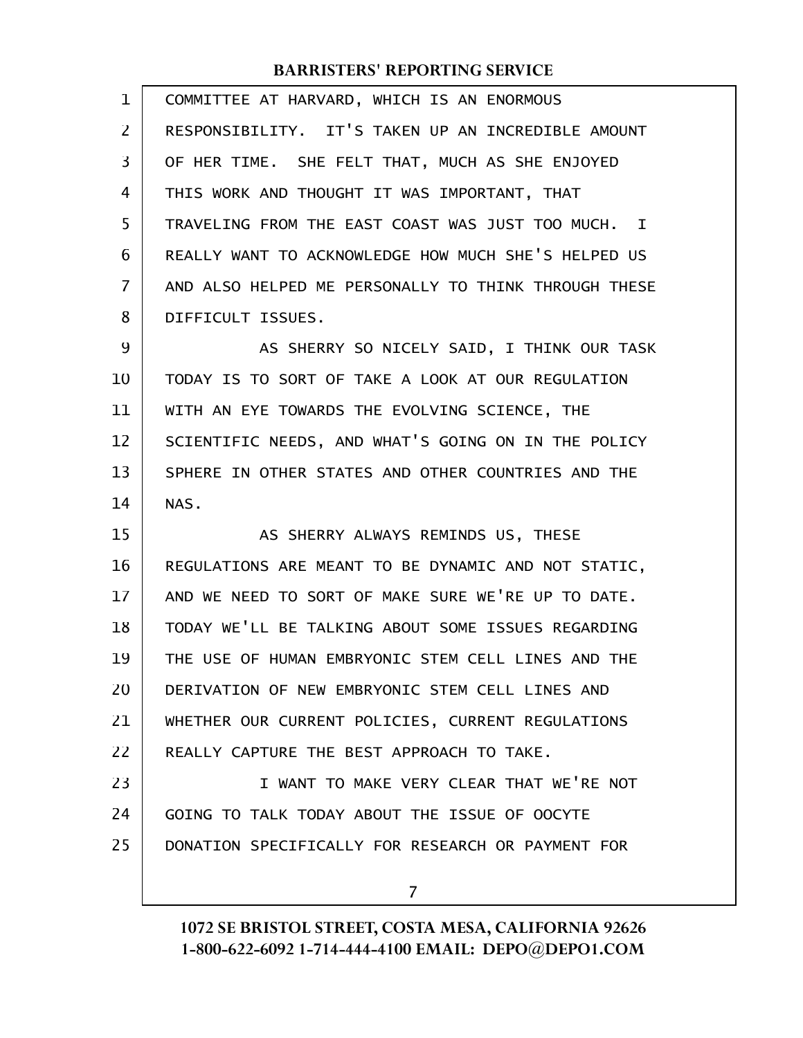| $\mathbf 1$ | COMMITTEE AT HARVARD, WHICH IS AN ENORMOUS           |
|-------------|------------------------------------------------------|
| 2           | RESPONSIBILITY. IT'S TAKEN UP AN INCREDIBLE AMOUNT   |
| 3           | OF HER TIME. SHE FELT THAT, MUCH AS SHE ENJOYED      |
| 4           | THIS WORK AND THOUGHT IT WAS IMPORTANT, THAT         |
| 5           | TRAVELING FROM THE EAST COAST WAS JUST TOO MUCH. I   |
| 6           | REALLY WANT TO ACKNOWLEDGE HOW MUCH SHE'S HELPED US  |
| 7           | AND ALSO HELPED ME PERSONALLY TO THINK THROUGH THESE |
| 8           | DIFFICULT ISSUES.                                    |
| 9           | AS SHERRY SO NICELY SAID, I THINK OUR TASK           |
| 10          | TODAY IS TO SORT OF TAKE A LOOK AT OUR REGULATION    |
| 11          | WITH AN EYE TOWARDS THE EVOLVING SCIENCE, THE        |
| 12          | SCIENTIFIC NEEDS, AND WHAT'S GOING ON IN THE POLICY  |
| 13          | SPHERE IN OTHER STATES AND OTHER COUNTRIES AND THE   |
| 14          | NAS.                                                 |
| 15          | AS SHERRY ALWAYS REMINDS US, THESE                   |
| 16          | REGULATIONS ARE MEANT TO BE DYNAMIC AND NOT STATIC,  |
| 17          | AND WE NEED TO SORT OF MAKE SURE WE'RE UP TO DATE.   |
| 18          | TODAY WE'LL BE TALKING ABOUT SOME ISSUES REGARDING   |
| 19          | THE USE OF HUMAN EMBRYONIC STEM CELL LINES AND THE   |
| 20          | DERIVATION OF NEW EMBRYONIC STEM CELL LINES AND      |
| 21          | WHETHER OUR CURRENT POLICIES, CURRENT REGULATIONS    |
| 22          | REALLY CAPTURE THE BEST APPROACH TO TAKE.            |
| 23          | I WANT TO MAKE VERY CLEAR THAT WE'RE NOT             |
| 24          | GOING TO TALK TODAY ABOUT THE ISSUE OF OOCYTE        |
| 25          | DONATION SPECIFICALLY FOR RESEARCH OR PAYMENT FOR    |
|             | $\overline{7}$                                       |
|             |                                                      |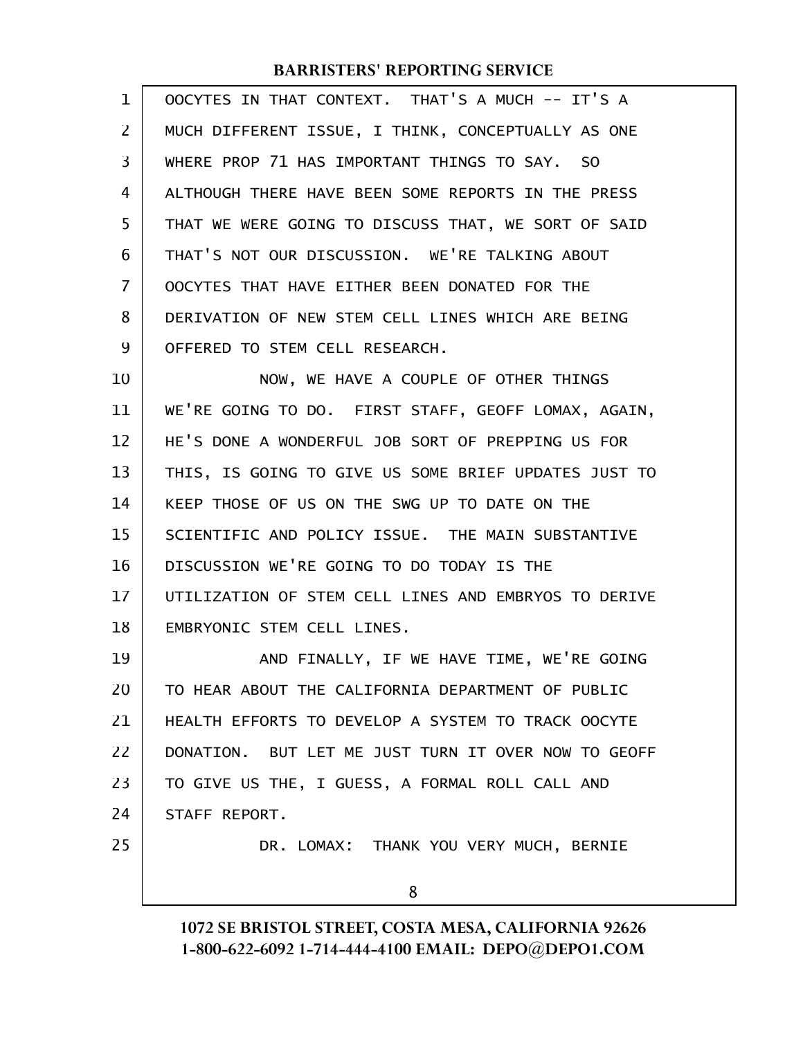| $\mathbf 1$ | OOCYTES IN THAT CONTEXT. THAT'S A MUCH -- IT'S A     |
|-------------|------------------------------------------------------|
| 2           | MUCH DIFFERENT ISSUE, I THINK, CONCEPTUALLY AS ONE   |
| 3           | WHERE PROP 71 HAS IMPORTANT THINGS TO SAY. SO        |
| 4           | ALTHOUGH THERE HAVE BEEN SOME REPORTS IN THE PRESS   |
| 5           | THAT WE WERE GOING TO DISCUSS THAT, WE SORT OF SAID  |
| 6           | THAT'S NOT OUR DISCUSSION. WE'RE TALKING ABOUT       |
| 7           | OOCYTES THAT HAVE EITHER BEEN DONATED FOR THE        |
| 8           | DERIVATION OF NEW STEM CELL LINES WHICH ARE BEING    |
| 9           | OFFERED TO STEM CELL RESEARCH.                       |
| 10          | NOW, WE HAVE A COUPLE OF OTHER THINGS                |
| 11          | WE'RE GOING TO DO. FIRST STAFF, GEOFF LOMAX, AGAIN,  |
| 12          | HE'S DONE A WONDERFUL JOB SORT OF PREPPING US FOR    |
| 13          | THIS, IS GOING TO GIVE US SOME BRIEF UPDATES JUST TO |
| 14          | KEEP THOSE OF US ON THE SWG UP TO DATE ON THE        |
| 15          | SCIENTIFIC AND POLICY ISSUE. THE MAIN SUBSTANTIVE    |
| 16          | DISCUSSION WE'RE GOING TO DO TODAY IS THE            |
| 17          | UTILIZATION OF STEM CELL LINES AND EMBRYOS TO DERIVE |
| 18          | EMBRYONIC STEM CELL LINES.                           |
| 19          | AND FINALLY, IF WE HAVE TIME, WE'RE GOING            |
| 20          | TO HEAR ABOUT THE CALIFORNIA DEPARTMENT OF PUBLIC    |
| 21          | HEALTH EFFORTS TO DEVELOP A SYSTEM TO TRACK OOCYTE   |
| 22          | DONATION. BUT LET ME JUST TURN IT OVER NOW TO GEOFF  |
| 23          | TO GIVE US THE, I GUESS, A FORMAL ROLL CALL AND      |
| 24          | STAFF REPORT.                                        |
| 25          | DR. LOMAX: THANK YOU VERY MUCH, BERNIE               |
|             | 8                                                    |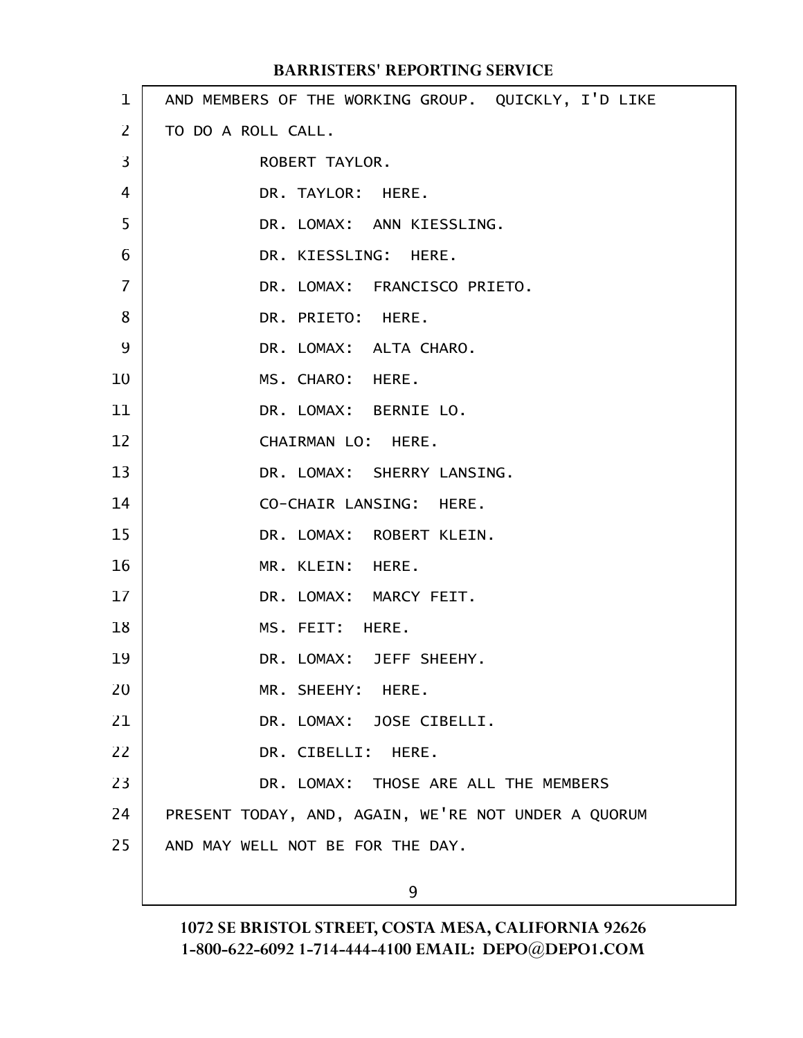| $\mathbf{1}$   | AND MEMBERS OF THE WORKING GROUP. QUICKLY, I'D LIKE |
|----------------|-----------------------------------------------------|
| $\overline{2}$ | TO DO A ROLL CALL.                                  |
| 3              | ROBERT TAYLOR.                                      |
| 4              | DR. TAYLOR: HERE.                                   |
| 5              | DR. LOMAX: ANN KIESSLING.                           |
| 6              | DR. KIESSLING: HERE.                                |
| 7              | DR. LOMAX: FRANCISCO PRIETO.                        |
| 8              | DR. PRIETO: HERE.                                   |
| 9              | DR. LOMAX: ALTA CHARO.                              |
| 10             | MS. CHARO: HERE.                                    |
| 11             | DR. LOMAX: BERNIE LO.                               |
| 12             | CHAIRMAN LO: HERE.                                  |
| 13             | DR. LOMAX: SHERRY LANSING.                          |
| 14             | CO-CHAIR LANSING: HERE.                             |
| 15             | DR. LOMAX: ROBERT KLEIN.                            |
| 16             | MR. KLEIN: HERE.                                    |
| 17             | DR. LOMAX: MARCY FEIT.                              |
| 18             | MS. FEIT: HERE.                                     |
| 19             | DR. LOMAX: JEFF SHEEHY.                             |
| 20             | MR. SHEEHY: HERE.                                   |
| 21             | DR. LOMAX: JOSE CIBELLI.                            |
| 22             | DR. CIBELLI: HERE.                                  |
| 23             | DR. LOMAX: THOSE ARE ALL THE MEMBERS                |
| 24             | PRESENT TODAY, AND, AGAIN, WE'RE NOT UNDER A QUORUM |
| 25             | AND MAY WELL NOT BE FOR THE DAY.                    |
|                |                                                     |

9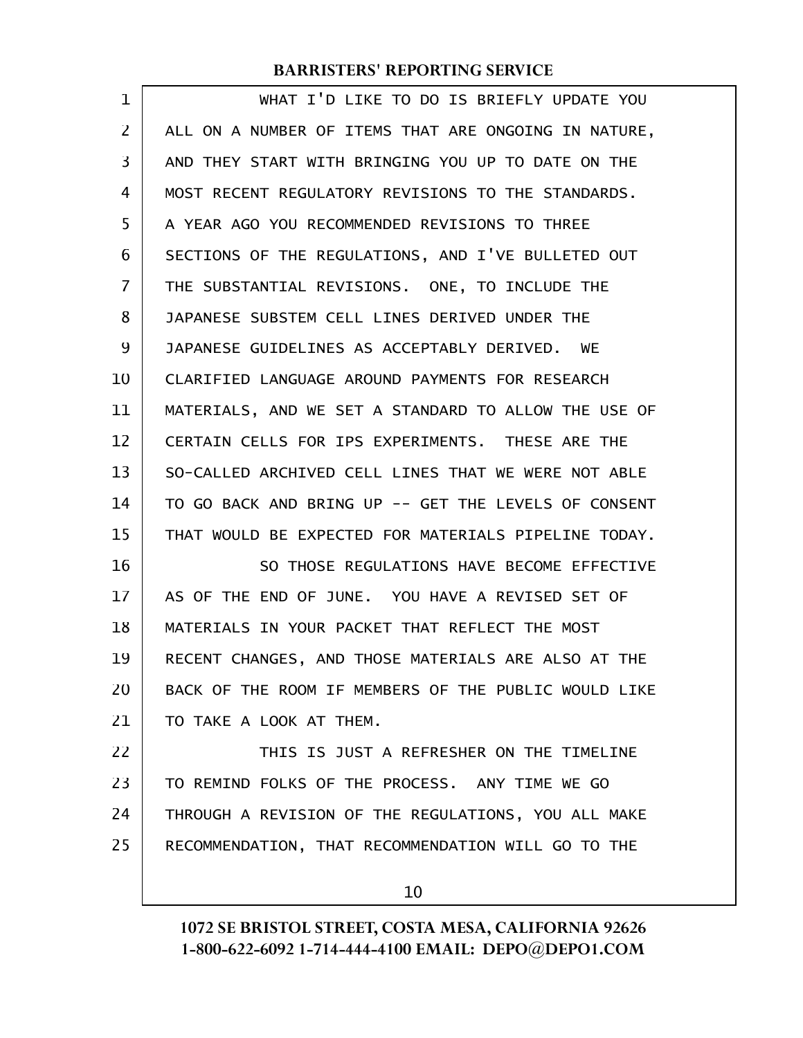| 1  | WHAT I'D LIKE TO DO IS BRIEFLY UPDATE YOU            |
|----|------------------------------------------------------|
| 2  | ALL ON A NUMBER OF ITEMS THAT ARE ONGOING IN NATURE, |
| 3  | AND THEY START WITH BRINGING YOU UP TO DATE ON THE   |
| 4  | MOST RECENT REGULATORY REVISIONS TO THE STANDARDS.   |
| 5  | A YEAR AGO YOU RECOMMENDED REVISIONS TO THREE        |
| 6  | SECTIONS OF THE REGULATIONS, AND I'VE BULLETED OUT   |
| 7  | THE SUBSTANTIAL REVISIONS. ONE, TO INCLUDE THE       |
| 8  | JAPANESE SUBSTEM CELL LINES DERIVED UNDER THE        |
| 9  | JAPANESE GUIDELINES AS ACCEPTABLY DERIVED. WE        |
| 10 | CLARIFIED LANGUAGE AROUND PAYMENTS FOR RESEARCH      |
| 11 | MATERIALS, AND WE SET A STANDARD TO ALLOW THE USE OF |
| 12 | CERTAIN CELLS FOR IPS EXPERIMENTS. THESE ARE THE     |
| 13 | SO-CALLED ARCHIVED CELL LINES THAT WE WERE NOT ABLE  |
| 14 | TO GO BACK AND BRING UP -- GET THE LEVELS OF CONSENT |
| 15 | THAT WOULD BE EXPECTED FOR MATERIALS PIPELINE TODAY. |
| 16 | SO THOSE REGULATIONS HAVE BECOME EFFECTIVE           |
| 17 | AS OF THE END OF JUNE. YOU HAVE A REVISED SET OF     |
| 18 | MATERIALS IN YOUR PACKET THAT REFLECT THE MOST       |
| 19 | RECENT CHANGES, AND THOSE MATERIALS ARE ALSO AT THE  |
| 20 | BACK OF THE ROOM IF MEMBERS OF THE PUBLIC WOULD LIKE |
| 21 | TO TAKE A LOOK AT THEM.                              |
| 22 | THIS IS JUST A REFRESHER ON THE TIMELINE             |
| 23 | TO REMIND FOLKS OF THE PROCESS. ANY TIME WE GO       |
| 24 | THROUGH A REVISION OF THE REGULATIONS, YOU ALL MAKE  |
| 25 | RECOMMENDATION, THAT RECOMMENDATION WILL GO TO THE   |
|    |                                                      |

10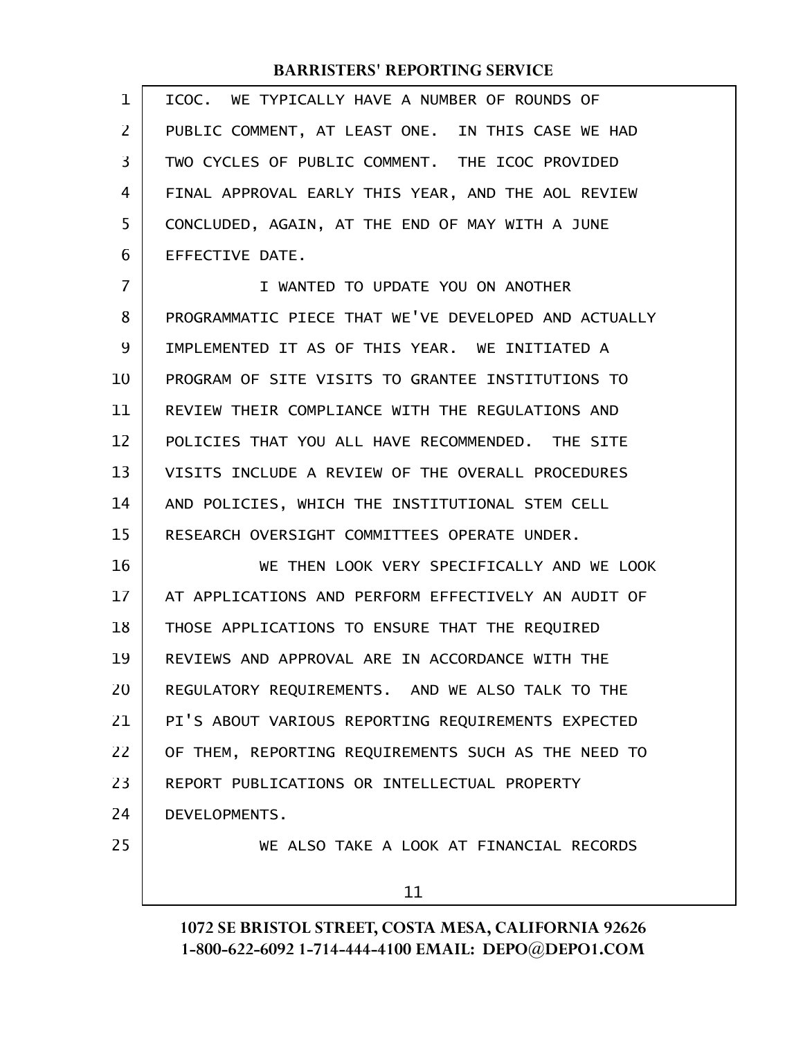| 1              | ICOC. WE TYPICALLY HAVE A NUMBER OF ROUNDS OF        |
|----------------|------------------------------------------------------|
| $\overline{2}$ | PUBLIC COMMENT, AT LEAST ONE. IN THIS CASE WE HAD    |
| 3              | TWO CYCLES OF PUBLIC COMMENT. THE ICOC PROVIDED      |
| 4              | FINAL APPROVAL EARLY THIS YEAR, AND THE AOL REVIEW   |
| 5              | CONCLUDED, AGAIN, AT THE END OF MAY WITH A JUNE      |
| 6              | EFFECTIVE DATE.                                      |
| 7              | I WANTED TO UPDATE YOU ON ANOTHER                    |
| 8              | PROGRAMMATIC PIECE THAT WE'VE DEVELOPED AND ACTUALLY |
| 9              | IMPLEMENTED IT AS OF THIS YEAR. WE INITIATED A       |
| 10             | PROGRAM OF SITE VISITS TO GRANTEE INSTITUTIONS TO    |
| 11             | REVIEW THEIR COMPLIANCE WITH THE REGULATIONS AND     |
| 12             | POLICIES THAT YOU ALL HAVE RECOMMENDED. THE SITE     |
| 13             | VISITS INCLUDE A REVIEW OF THE OVERALL PROCEDURES    |
| 14             | AND POLICIES, WHICH THE INSTITUTIONAL STEM CELL      |
| 15             | RESEARCH OVERSIGHT COMMITTEES OPERATE UNDER.         |
| 16             | WE THEN LOOK VERY SPECIFICALLY AND WE LOOK           |
| 17             | AT APPLICATIONS AND PERFORM EFFECTIVELY AN AUDIT OF  |
| 18             | THOSE APPLICATIONS TO ENSURE THAT THE REQUIRED       |
| 19             | REVIEWS AND APPROVAL ARE IN ACCORDANCE WITH THE      |
| 20             | REGULATORY REQUIREMENTS. AND WE ALSO TALK TO THE     |
| 21             | PI'S ABOUT VARIOUS REPORTING REQUIREMENTS EXPECTED   |
| 22             | OF THEM, REPORTING REQUIREMENTS SUCH AS THE NEED TO  |
| 23             | REPORT PUBLICATIONS OR INTELLECTUAL PROPERTY         |
| 24             | DEVELOPMENTS.                                        |
| 25             | WE ALSO TAKE A LOOK AT FINANCIAL RECORDS             |
|                | 11                                                   |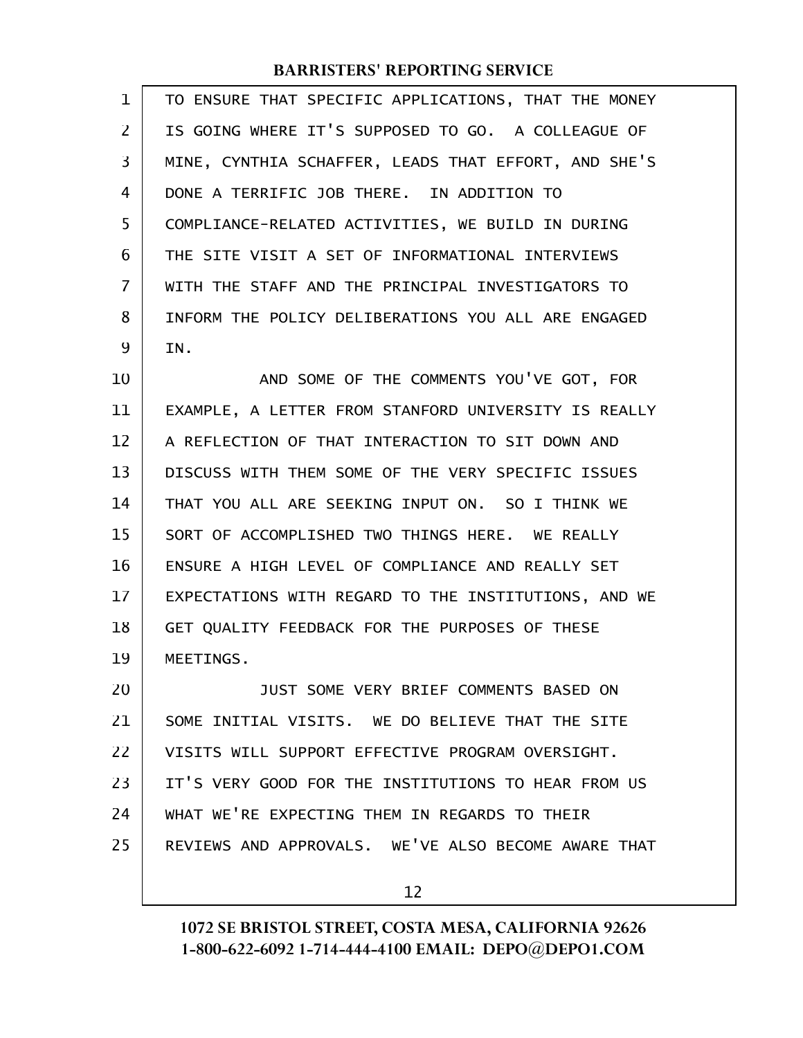| $\mathbf 1$ | TO ENSURE THAT SPECIFIC APPLICATIONS, THAT THE MONEY |
|-------------|------------------------------------------------------|
| 2           | IS GOING WHERE IT'S SUPPOSED TO GO. A COLLEAGUE OF   |
| 3           | MINE, CYNTHIA SCHAFFER, LEADS THAT EFFORT, AND SHE'S |
| 4           | DONE A TERRIFIC JOB THERE. IN ADDITION TO            |
| 5           | COMPLIANCE-RELATED ACTIVITIES, WE BUILD IN DURING    |
| 6           | THE SITE VISIT A SET OF INFORMATIONAL INTERVIEWS     |
| 7           | WITH THE STAFF AND THE PRINCIPAL INVESTIGATORS TO    |
| 8           | INFORM THE POLICY DELIBERATIONS YOU ALL ARE ENGAGED  |
| 9           | IN.                                                  |
| 10          | AND SOME OF THE COMMENTS YOU'VE GOT, FOR             |
| 11          | EXAMPLE, A LETTER FROM STANFORD UNIVERSITY IS REALLY |
| 12          | A REFLECTION OF THAT INTERACTION TO SIT DOWN AND     |
| 13          | DISCUSS WITH THEM SOME OF THE VERY SPECIFIC ISSUES   |
| 14          | THAT YOU ALL ARE SEEKING INPUT ON. SO I THINK WE     |
| 15          | SORT OF ACCOMPLISHED TWO THINGS HERE. WE REALLY      |
| 16          | ENSURE A HIGH LEVEL OF COMPLIANCE AND REALLY SET     |
| 17          | EXPECTATIONS WITH REGARD TO THE INSTITUTIONS, AND WE |
| 18          | GET QUALITY FEEDBACK FOR THE PURPOSES OF THESE       |
| 19          | MEETINGS.                                            |
| 20          | JUST SOME VERY BRIEF COMMENTS BASED ON               |
| 21          | SOME INITIAL VISITS. WE DO BELIEVE THAT THE SITE     |
| 22          | VISITS WILL SUPPORT EFFECTIVE PROGRAM OVERSIGHT.     |
| 23          | IT'S VERY GOOD FOR THE INSTITUTIONS TO HEAR FROM US  |
| 24          | WHAT WE'RE EXPECTING THEM IN REGARDS TO THEIR        |
| 25          | REVIEWS AND APPROVALS. WE'VE ALSO BECOME AWARE THAT  |
|             |                                                      |

12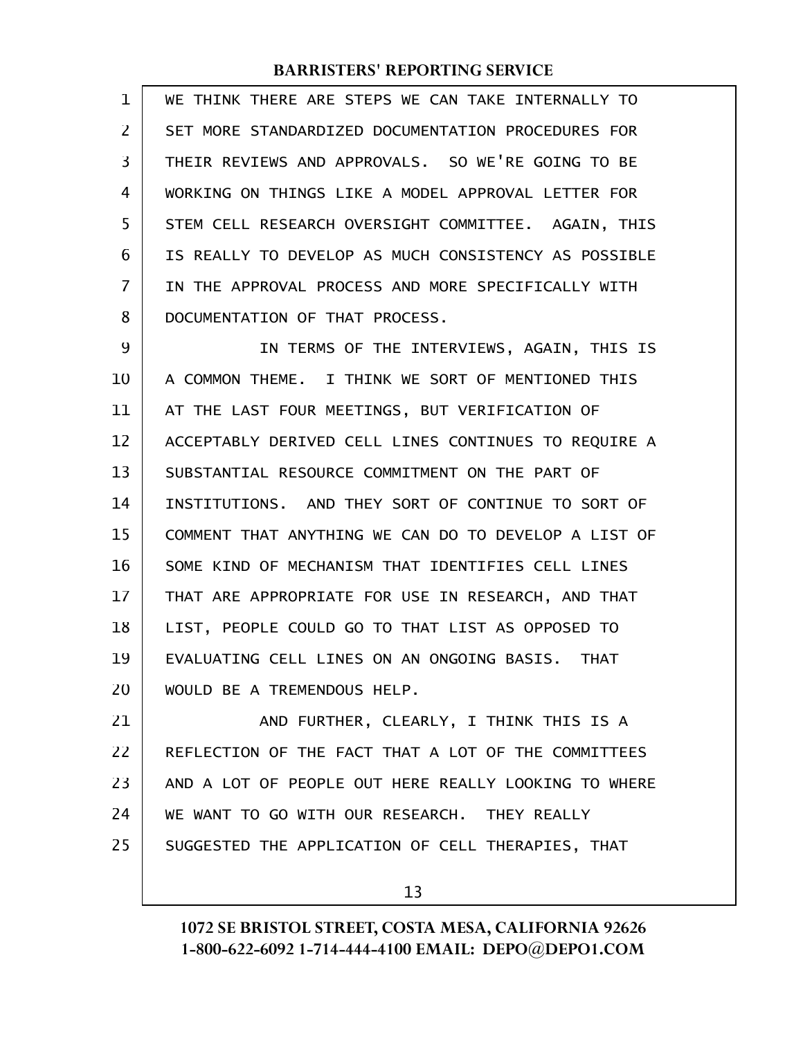WE THINK THERE ARE STEPS WE CAN TAKE INTERNALLY TO SET MORE STANDARDIZED DOCUMENTATION PROCEDURES FOR THEIR REVIEWS AND APPROVALS. SO WE'RE GOING TO BE WORKING ON THINGS LIKE A MODEL APPROVAL LETTER FOR STEM CELL RESEARCH OVERSIGHT COMMITTEE. AGAIN, THIS IS REALLY TO DEVELOP AS MUCH CONSISTENCY AS POSSIBLE IN THE APPROVAL PROCESS AND MORE SPECIFICALLY WITH DOCUMENTATION OF THAT PROCESS. 1 2 3 4 5 6 7 8

IN TERMS OF THE INTERVIEWS, AGAIN, THIS IS A COMMON THEME. I THINK WE SORT OF MENTIONED THIS AT THE LAST FOUR MEETINGS, BUT VERIFICATION OF ACCEPTABLY DERIVED CELL LINES CONTINUES TO REQUIRE A SUBSTANTIAL RESOURCE COMMITMENT ON THE PART OF INSTITUTIONS. AND THEY SORT OF CONTINUE TO SORT OF COMMENT THAT ANYTHING WE CAN DO TO DEVELOP A LIST OF SOME KIND OF MECHANISM THAT IDENTIFIES CELL LINES THAT ARE APPROPRIATE FOR USE IN RESEARCH, AND THAT LIST, PEOPLE COULD GO TO THAT LIST AS OPPOSED TO EVALUATING CELL LINES ON AN ONGOING BASIS. THAT WOULD BE A TREMENDOUS HELP. 9 10 11 12 13 14 15 16 17 18 19 20

AND FURTHER, CLEARLY, I THINK THIS IS A REFLECTION OF THE FACT THAT A LOT OF THE COMMITTEES AND A LOT OF PEOPLE OUT HERE REALLY LOOKING TO WHERE WE WANT TO GO WITH OUR RESEARCH. THEY REALLY SUGGESTED THE APPLICATION OF CELL THERAPIES, THAT 21 22 23 24 25

13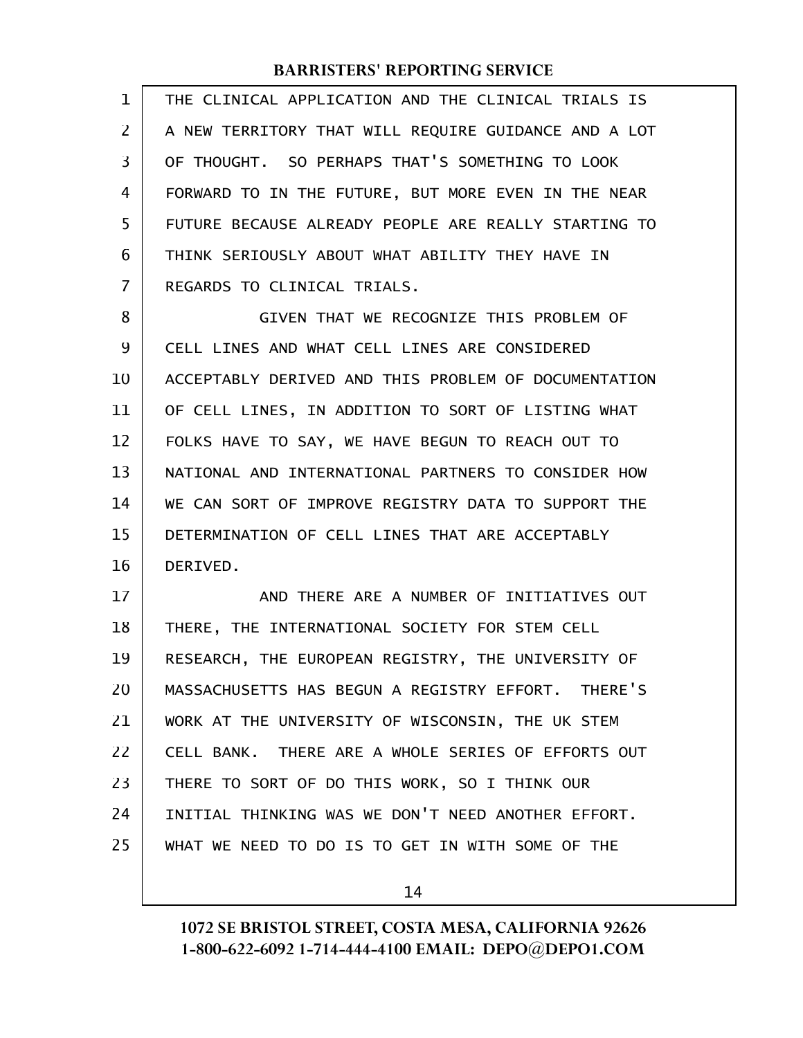| $\mathbf{1}$ | THE CLINICAL APPLICATION AND THE CLINICAL TRIALS IS  |
|--------------|------------------------------------------------------|
| 2            | A NEW TERRITORY THAT WILL REQUIRE GUIDANCE AND A LOT |
| 3            | OF THOUGHT. SO PERHAPS THAT'S SOMETHING TO LOOK      |
| 4            | FORWARD TO IN THE FUTURE, BUT MORE EVEN IN THE NEAR  |
| 5            | FUTURE BECAUSE ALREADY PEOPLE ARE REALLY STARTING TO |
| 6            | THINK SERIOUSLY ABOUT WHAT ABILITY THEY HAVE IN      |
| 7            | REGARDS TO CLINICAL TRIALS.                          |
| 8            | GIVEN THAT WE RECOGNIZE THIS PROBLEM OF              |
| 9            | CELL LINES AND WHAT CELL LINES ARE CONSIDERED        |
| 10           | ACCEPTABLY DERIVED AND THIS PROBLEM OF DOCUMENTATION |
| 11           | OF CELL LINES, IN ADDITION TO SORT OF LISTING WHAT   |
| 12           | FOLKS HAVE TO SAY, WE HAVE BEGUN TO REACH OUT TO     |
| 13           | NATIONAL AND INTERNATIONAL PARTNERS TO CONSIDER HOW  |
| 14           | WE CAN SORT OF IMPROVE REGISTRY DATA TO SUPPORT THE  |
| 15           | DETERMINATION OF CELL LINES THAT ARE ACCEPTABLY      |
| 16           | DERIVED.                                             |
| 17           | AND THERE ARE A NUMBER OF INITIATIVES OUT            |
| 18           | THERE, THE INTERNATIONAL SOCIETY FOR STEM CELL       |
| 19           | RESEARCH, THE EUROPEAN REGISTRY, THE UNIVERSITY OF   |
| 20           | MASSACHUSETTS HAS BEGUN A REGISTRY EFFORT. THERE'S   |
| 21           | WORK AT THE UNIVERSITY OF WISCONSIN, THE UK STEM     |
| 22           | CELL BANK. THERE ARE A WHOLE SERIES OF EFFORTS OUT   |
| 23           | THERE TO SORT OF DO THIS WORK, SO I THINK OUR        |
| 24           | INITIAL THINKING WAS WE DON'T NEED ANOTHER EFFORT.   |
| 25           | WHAT WE NEED TO DO IS TO GET IN WITH SOME OF THE     |
|              |                                                      |

14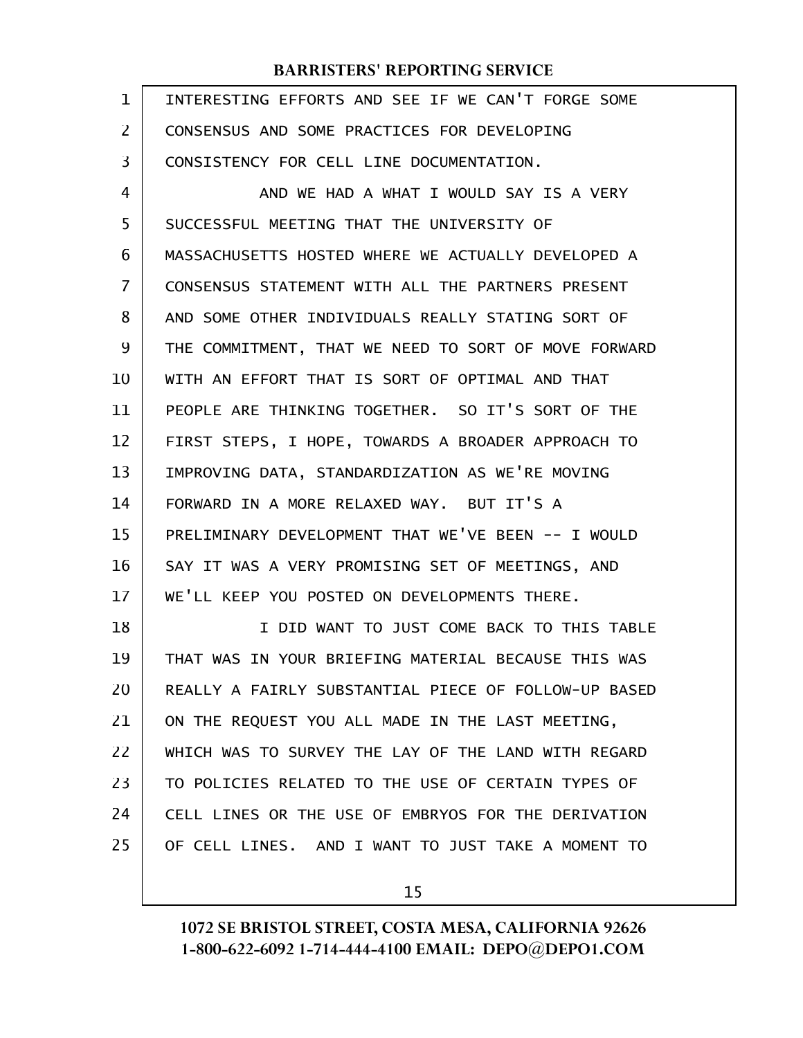| $\mathbf 1$       | INTERESTING EFFORTS AND SEE IF WE CAN'T FORGE SOME   |
|-------------------|------------------------------------------------------|
| 2                 | CONSENSUS AND SOME PRACTICES FOR DEVELOPING          |
| 3                 | CONSISTENCY FOR CELL LINE DOCUMENTATION.             |
| 4                 | AND WE HAD A WHAT I WOULD SAY IS A VERY              |
| 5                 | SUCCESSFUL MEETING THAT THE UNIVERSITY OF            |
| 6                 | MASSACHUSETTS HOSTED WHERE WE ACTUALLY DEVELOPED A   |
| 7                 | CONSENSUS STATEMENT WITH ALL THE PARTNERS PRESENT    |
| 8                 | AND SOME OTHER INDIVIDUALS REALLY STATING SORT OF    |
| 9                 | THE COMMITMENT, THAT WE NEED TO SORT OF MOVE FORWARD |
| 10                | WITH AN EFFORT THAT IS SORT OF OPTIMAL AND THAT      |
| 11                | PEOPLE ARE THINKING TOGETHER. SO IT'S SORT OF THE    |
| $12 \overline{ }$ | FIRST STEPS, I HOPE, TOWARDS A BROADER APPROACH TO   |
| 13                | IMPROVING DATA, STANDARDIZATION AS WE'RE MOVING      |
| 14                | FORWARD IN A MORE RELAXED WAY. BUT IT'S A            |
| 15                | PRELIMINARY DEVELOPMENT THAT WE'VE BEEN -- I WOULD   |
| 16                | SAY IT WAS A VERY PROMISING SET OF MEETINGS, AND     |
| 17                | WE'LL KEEP YOU POSTED ON DEVELOPMENTS THERE.         |
| 18                | I DID WANT TO JUST COME BACK TO THIS TABLE           |
| 19                | THAT WAS IN YOUR BRIEFING MATERIAL BECAUSE THIS WAS  |
| 20                | REALLY A FAIRLY SUBSTANTIAL PIECE OF FOLLOW-UP BASED |
| 21                | ON THE REQUEST YOU ALL MADE IN THE LAST MEETING,     |
| 22                | WHICH WAS TO SURVEY THE LAY OF THE LAND WITH REGARD  |
| 23                | TO POLICIES RELATED TO THE USE OF CERTAIN TYPES OF   |
| 24                | CELL LINES OR THE USE OF EMBRYOS FOR THE DERIVATION  |
| 25                | OF CELL LINES. AND I WANT TO JUST TAKE A MOMENT TO   |
|                   |                                                      |

15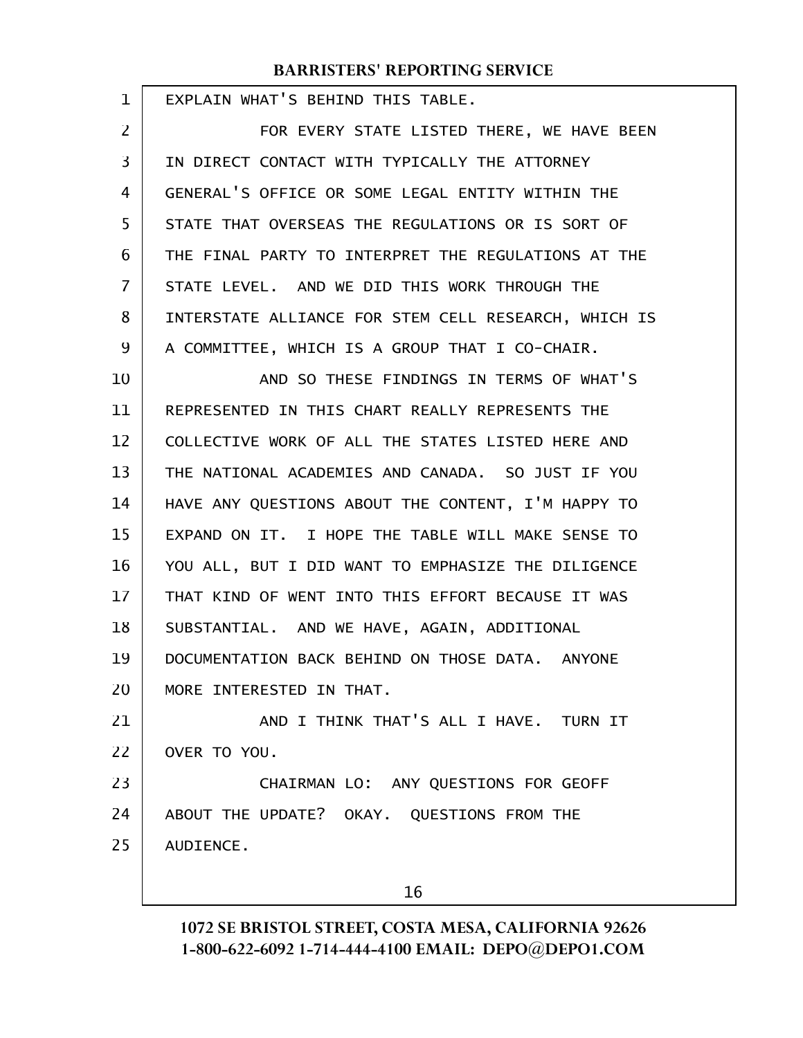$\mathbf{r}$ 

| 1  | EXPLAIN WHAT'S BEHIND THIS TABLE.                    |
|----|------------------------------------------------------|
| 2  | FOR EVERY STATE LISTED THERE, WE HAVE BEEN           |
| 3  | IN DIRECT CONTACT WITH TYPICALLY THE ATTORNEY        |
| 4  | GENERAL'S OFFICE OR SOME LEGAL ENTITY WITHIN THE     |
| 5  | STATE THAT OVERSEAS THE REGULATIONS OR IS SORT OF    |
| 6  | THE FINAL PARTY TO INTERPRET THE REGULATIONS AT THE  |
| 7  | STATE LEVEL. AND WE DID THIS WORK THROUGH THE        |
| 8  | INTERSTATE ALLIANCE FOR STEM CELL RESEARCH, WHICH IS |
| 9  | A COMMITTEE, WHICH IS A GROUP THAT I CO-CHAIR.       |
| 10 | AND SO THESE FINDINGS IN TERMS OF WHAT'S             |
| 11 | REPRESENTED IN THIS CHART REALLY REPRESENTS THE      |
| 12 | COLLECTIVE WORK OF ALL THE STATES LISTED HERE AND    |
| 13 | THE NATIONAL ACADEMIES AND CANADA. SO JUST IF YOU    |
| 14 | HAVE ANY QUESTIONS ABOUT THE CONTENT, I'M HAPPY TO   |
| 15 | EXPAND ON IT. I HOPE THE TABLE WILL MAKE SENSE TO    |
| 16 | YOU ALL, BUT I DID WANT TO EMPHASIZE THE DILIGENCE   |
| 17 | THAT KIND OF WENT INTO THIS EFFORT BECAUSE IT WAS    |
| 18 | SUBSTANTIAL. AND WE HAVE, AGAIN, ADDITIONAL          |
| 19 | DOCUMENTATION BACK BEHIND ON THOSE DATA. ANYONE      |
| 20 | MORE INTERESTED IN THAT.                             |
| 21 | AND I THINK THAT'S ALL I HAVE. TURN IT               |
| 22 | OVER TO YOU.                                         |
| 23 | CHAIRMAN LO: ANY QUESTIONS FOR GEOFF                 |
| 24 | ABOUT THE UPDATE? OKAY. QUESTIONS FROM THE           |
| 25 | AUDIENCE.                                            |
|    | 16                                                   |
|    |                                                      |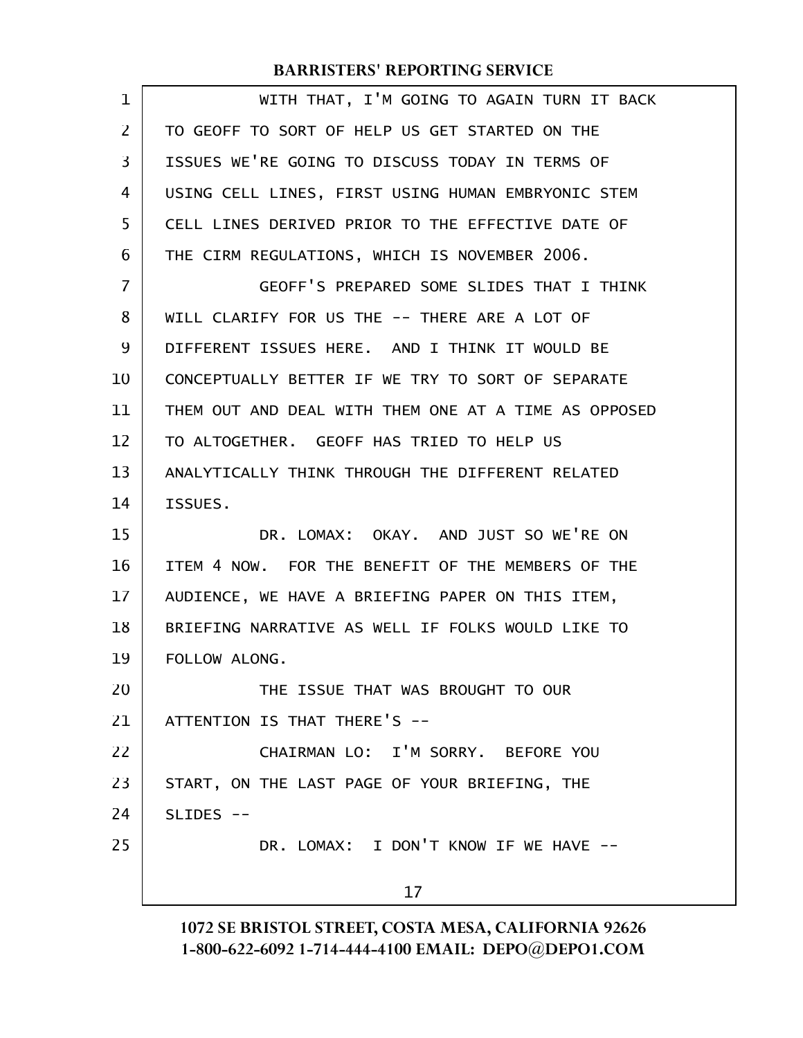| 2<br>TO GEOFF TO SORT OF HELP US GET STARTED ON THE<br>3<br>ISSUES WE'RE GOING TO DISCUSS TODAY IN TERMS OF<br>4<br>USING CELL LINES, FIRST USING HUMAN EMBRYONIC STEM<br>5<br>CELL LINES DERIVED PRIOR TO THE EFFECTIVE DATE OF |  |
|----------------------------------------------------------------------------------------------------------------------------------------------------------------------------------------------------------------------------------|--|
|                                                                                                                                                                                                                                  |  |
|                                                                                                                                                                                                                                  |  |
|                                                                                                                                                                                                                                  |  |
|                                                                                                                                                                                                                                  |  |
| 6<br>THE CIRM REGULATIONS, WHICH IS NOVEMBER 2006.                                                                                                                                                                               |  |
| GEOFF'S PREPARED SOME SLIDES THAT I THINK<br>7                                                                                                                                                                                   |  |
| 8<br>WILL CLARIFY FOR US THE -- THERE ARE A LOT OF                                                                                                                                                                               |  |
| 9<br>DIFFERENT ISSUES HERE. AND I THINK IT WOULD BE                                                                                                                                                                              |  |
| 10<br>CONCEPTUALLY BETTER IF WE TRY TO SORT OF SEPARATE                                                                                                                                                                          |  |
| 11<br>THEM OUT AND DEAL WITH THEM ONE AT A TIME AS OPPOSED                                                                                                                                                                       |  |
| 12<br>TO ALTOGETHER. GEOFF HAS TRIED TO HELP US                                                                                                                                                                                  |  |
| 13<br>ANALYTICALLY THINK THROUGH THE DIFFERENT RELATED                                                                                                                                                                           |  |
| 14<br>ISSUES.                                                                                                                                                                                                                    |  |
| DR. LOMAX: OKAY. AND JUST SO WE'RE ON<br>15                                                                                                                                                                                      |  |
| 16<br>ITEM 4 NOW. FOR THE BENEFIT OF THE MEMBERS OF THE                                                                                                                                                                          |  |
| AUDIENCE, WE HAVE A BRIEFING PAPER ON THIS ITEM,<br>17                                                                                                                                                                           |  |
| 18<br>BRIEFING NARRATIVE AS WELL IF FOLKS WOULD LIKE TO                                                                                                                                                                          |  |
| 19<br>FOLLOW ALONG.                                                                                                                                                                                                              |  |
| 20<br>THE ISSUE THAT WAS BROUGHT TO OUR                                                                                                                                                                                          |  |
| ATTENTION IS THAT THERE'S --<br>21                                                                                                                                                                                               |  |
| CHAIRMAN LO: I'M SORRY. BEFORE YOU<br>22                                                                                                                                                                                         |  |
| 23<br>START, ON THE LAST PAGE OF YOUR BRIEFING, THE                                                                                                                                                                              |  |
| 24<br>SLIDES --                                                                                                                                                                                                                  |  |
| 25<br>DR. LOMAX: I DON'T KNOW IF WE HAVE --                                                                                                                                                                                      |  |
| 17                                                                                                                                                                                                                               |  |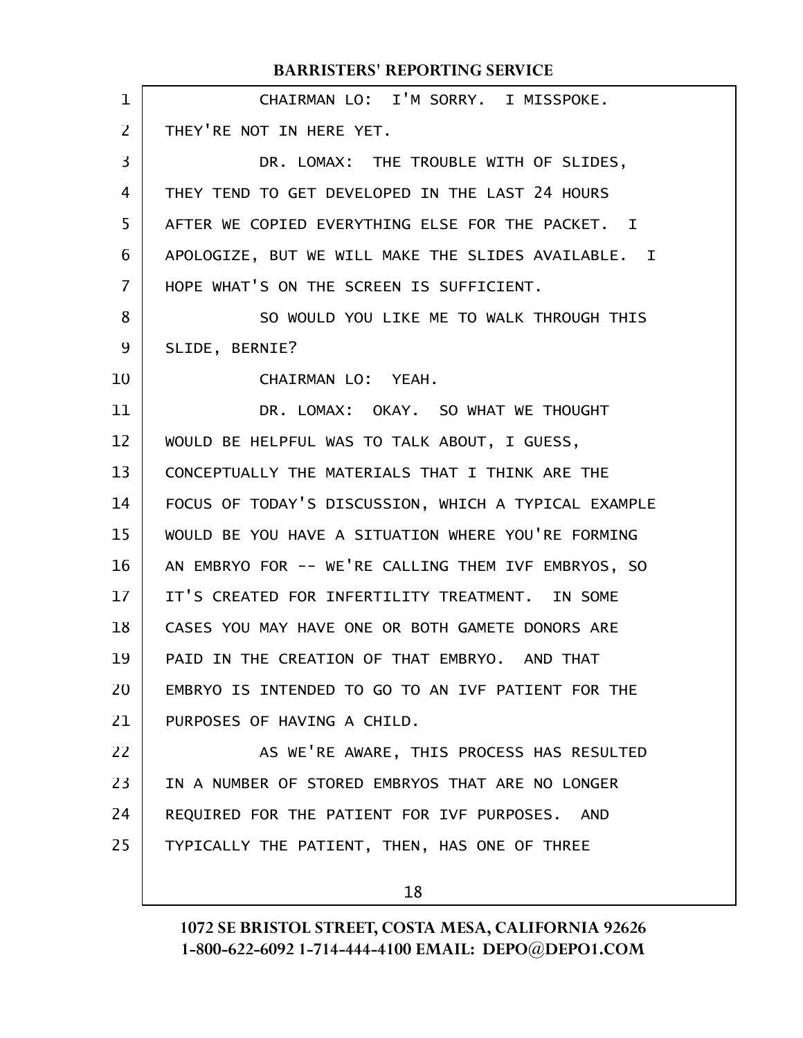| $\mathbf 1$    | CHAIRMAN LO: I'M SORRY. I MISSPOKE.                  |
|----------------|------------------------------------------------------|
| $\overline{2}$ | THEY'RE NOT IN HERE YET.                             |
| 3              | DR. LOMAX: THE TROUBLE WITH OF SLIDES,               |
| 4              | THEY TEND TO GET DEVELOPED IN THE LAST 24 HOURS      |
| 5              | AFTER WE COPIED EVERYTHING ELSE FOR THE PACKET. I    |
| 6              | APOLOGIZE, BUT WE WILL MAKE THE SLIDES AVAILABLE. I  |
| 7              | HOPE WHAT'S ON THE SCREEN IS SUFFICIENT.             |
| 8              | SO WOULD YOU LIKE ME TO WALK THROUGH THIS            |
| 9              | SLIDE, BERNIE?                                       |
| 10             | CHAIRMAN LO: YEAH.                                   |
| 11             | DR. LOMAX: OKAY, SO WHAT WE THOUGHT                  |
| 12             | WOULD BE HELPFUL WAS TO TALK ABOUT, I GUESS,         |
| 13             | CONCEPTUALLY THE MATERIALS THAT I THINK ARE THE      |
| 14             | FOCUS OF TODAY'S DISCUSSION, WHICH A TYPICAL EXAMPLE |
| 15             | WOULD BE YOU HAVE A SITUATION WHERE YOU'RE FORMING   |
| 16             | AN EMBRYO FOR -- WE'RE CALLING THEM IVF EMBRYOS, SO  |
| 17             | IT'S CREATED FOR INFERTILITY TREATMENT. IN SOME      |
| 18             | CASES YOU MAY HAVE ONE OR BOTH GAMETE DONORS ARE     |
| 19             | PAID IN THE CREATION OF THAT EMBRYO. AND THAT        |
| 20             | EMBRYO IS INTENDED TO GO TO AN IVF PATIENT FOR THE   |
| 21             | PURPOSES OF HAVING A CHILD.                          |
| 22             | AS WE'RE AWARE, THIS PROCESS HAS RESULTED            |
| 23             | IN A NUMBER OF STORED EMBRYOS THAT ARE NO LONGER     |
| 24             | REQUIRED FOR THE PATIENT FOR IVF PURPOSES. AND       |
| 25             | TYPICALLY THE PATIENT, THEN, HAS ONE OF THREE        |
|                |                                                      |

18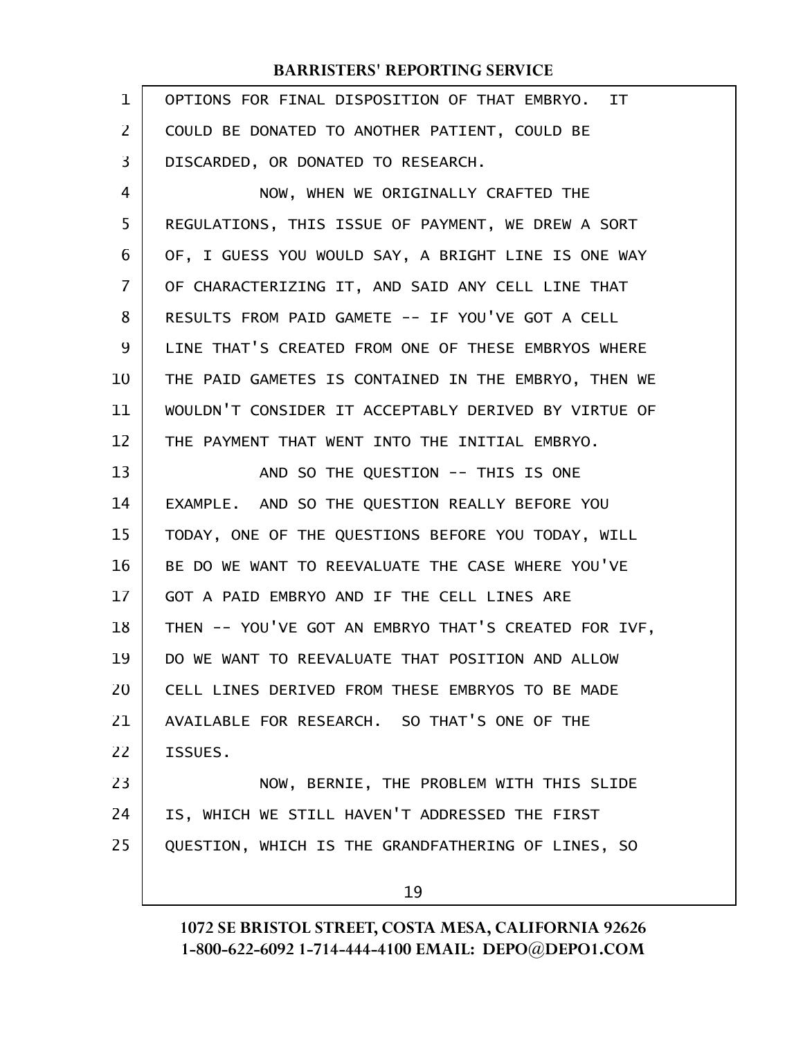| $\mathbf 1$       | OPTIONS FOR FINAL DISPOSITION OF THAT EMBRYO. IT     |
|-------------------|------------------------------------------------------|
| 2                 | COULD BE DONATED TO ANOTHER PATIENT, COULD BE        |
| 3                 | DISCARDED, OR DONATED TO RESEARCH.                   |
| 4                 | NOW, WHEN WE ORIGINALLY CRAFTED THE                  |
| 5                 | REGULATIONS, THIS ISSUE OF PAYMENT, WE DREW A SORT   |
| 6                 | OF, I GUESS YOU WOULD SAY, A BRIGHT LINE IS ONE WAY  |
| 7                 | OF CHARACTERIZING IT, AND SAID ANY CELL LINE THAT    |
| 8                 | RESULTS FROM PAID GAMETE -- IF YOU'VE GOT A CELL     |
| 9                 | LINE THAT'S CREATED FROM ONE OF THESE EMBRYOS WHERE  |
| 10                | THE PAID GAMETES IS CONTAINED IN THE EMBRYO, THEN WE |
| 11                | WOULDN'T CONSIDER IT ACCEPTABLY DERIVED BY VIRTUE OF |
| $12 \overline{ }$ | THE PAYMENT THAT WENT INTO THE INITIAL EMBRYO.       |
| 13                | AND SO THE QUESTION -- THIS IS ONE                   |
| 14                | EXAMPLE. AND SO THE QUESTION REALLY BEFORE YOU       |
| 15                | TODAY, ONE OF THE QUESTIONS BEFORE YOU TODAY, WILL   |
| 16                | BE DO WE WANT TO REEVALUATE THE CASE WHERE YOU'VE    |
| 17                | GOT A PAID EMBRYO AND IF THE CELL LINES ARE          |
| 18                | THEN -- YOU'VE GOT AN EMBRYO THAT'S CREATED FOR IVF, |
| 19                | DO WE WANT TO REEVALUATE THAT POSITION AND ALLOW     |
| 20                | CELL LINES DERIVED FROM THESE EMBRYOS TO BE MADE     |
| 21                | AVAILABLE FOR RESEARCH. SO THAT'S ONE OF THE         |
| 22                | ISSUES.                                              |
| 23                | NOW, BERNIE, THE PROBLEM WITH THIS SLIDE             |
| 24                | IS, WHICH WE STILL HAVEN'T ADDRESSED THE FIRST       |
| 25                | QUESTION, WHICH IS THE GRANDFATHERING OF LINES, SO   |
|                   | 19                                                   |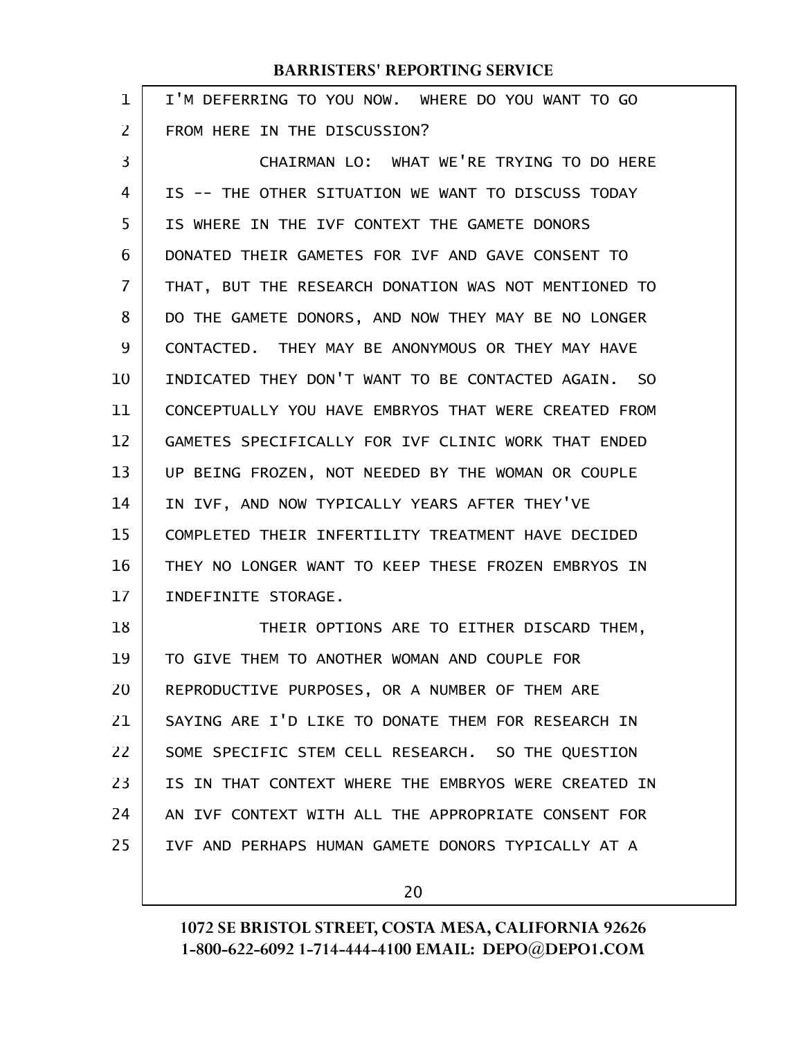| 1              | I'M DEFERRING TO YOU NOW. WHERE DO YOU WANT TO GO    |
|----------------|------------------------------------------------------|
| 2              | FROM HERE IN THE DISCUSSION?                         |
| $\overline{3}$ | CHAIRMAN LO: WHAT WE'RE TRYING TO DO HERE            |
| 4              | IS -- THE OTHER SITUATION WE WANT TO DISCUSS TODAY   |
| 5              | IS WHERE IN THE IVF CONTEXT THE GAMETE DONORS        |
| 6              | DONATED THEIR GAMETES FOR IVF AND GAVE CONSENT TO    |
| 7              | THAT, BUT THE RESEARCH DONATION WAS NOT MENTIONED TO |
| 8              | DO THE GAMETE DONORS, AND NOW THEY MAY BE NO LONGER  |
| 9              | CONTACTED. THEY MAY BE ANONYMOUS OR THEY MAY HAVE    |
| 10             | INDICATED THEY DON'T WANT TO BE CONTACTED AGAIN. SO  |
| 11             | CONCEPTUALLY YOU HAVE EMBRYOS THAT WERE CREATED FROM |
| 12             | GAMETES SPECIFICALLY FOR IVF CLINIC WORK THAT ENDED  |
| 13             | UP BEING FROZEN, NOT NEEDED BY THE WOMAN OR COUPLE   |
| 14             | IN IVF, AND NOW TYPICALLY YEARS AFTER THEY'VE        |
| 15             | COMPLETED THEIR INFERTILITY TREATMENT HAVE DECIDED   |
| 16             | THEY NO LONGER WANT TO KEEP THESE FROZEN EMBRYOS IN  |
| 17             | INDEFINITE STORAGE.                                  |
| 18             | THEIR OPTIONS ARE TO EITHER DISCARD THEM,            |
| 19             | TO GIVE THEM TO ANOTHER WOMAN AND COUPLE FOR         |
| 20             | REPRODUCTIVE PURPOSES, OR A NUMBER OF THEM ARE       |
| 21             | SAYING ARE I'D LIKE TO DONATE THEM FOR RESEARCH IN   |
| 22             | SOME SPECIFIC STEM CELL RESEARCH. SO THE QUESTION    |
| 23             | IS IN THAT CONTEXT WHERE THE EMBRYOS WERE CREATED IN |
| 24             | AN IVF CONTEXT WITH ALL THE APPROPRIATE CONSENT FOR  |
| 25             | IVF AND PERHAPS HUMAN GAMETE DONORS TYPICALLY AT A   |
|                |                                                      |

20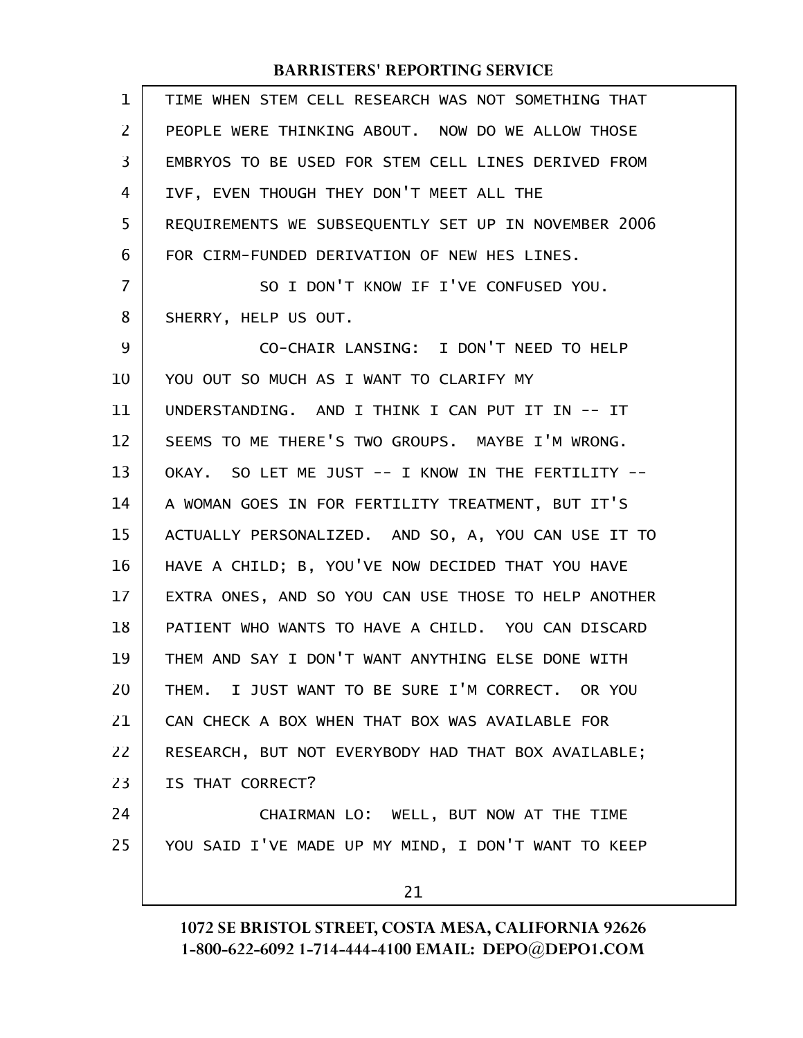| $\mathbf 1$    | TIME WHEN STEM CELL RESEARCH WAS NOT SOMETHING THAT  |
|----------------|------------------------------------------------------|
| $\overline{2}$ | PEOPLE WERE THINKING ABOUT. NOW DO WE ALLOW THOSE    |
| 3              | EMBRYOS TO BE USED FOR STEM CELL LINES DERIVED FROM  |
| 4              | IVF, EVEN THOUGH THEY DON'T MEET ALL THE             |
| 5              | REQUIREMENTS WE SUBSEQUENTLY SET UP IN NOVEMBER 2006 |
| 6              | FOR CIRM-FUNDED DERIVATION OF NEW HES LINES.         |
| $\overline{7}$ | SO I DON'T KNOW IF I'VE CONFUSED YOU.                |
| 8              | SHERRY, HELP US OUT.                                 |
| 9              | CO-CHAIR LANSING: I DON'T NEED TO HELP               |
| 10             | YOU OUT SO MUCH AS I WANT TO CLARIFY MY              |
| 11             | UNDERSTANDING. AND I THINK I CAN PUT IT IN -- IT     |
| 12             | SEEMS TO ME THERE'S TWO GROUPS. MAYBE I'M WRONG.     |
| 13             | OKAY. SO LET ME JUST -- I KNOW IN THE FERTILITY --   |
| 14             | A WOMAN GOES IN FOR FERTILITY TREATMENT, BUT IT'S    |
| 15             | ACTUALLY PERSONALIZED. AND SO, A, YOU CAN USE IT TO  |
| 16             | HAVE A CHILD; B, YOU'VE NOW DECIDED THAT YOU HAVE    |
| 17             | EXTRA ONES, AND SO YOU CAN USE THOSE TO HELP ANOTHER |
| 18             | PATIENT WHO WANTS TO HAVE A CHILD. YOU CAN DISCARD   |
| 19             | THEM AND SAY I DON'T WANT ANYTHING ELSE DONE WITH    |
| 20             | THEM. I JUST WANT TO BE SURE I'M CORRECT. OR YOU     |
| 21             | CAN CHECK A BOX WHEN THAT BOX WAS AVAILABLE FOR      |
| 22             | RESEARCH, BUT NOT EVERYBODY HAD THAT BOX AVAILABLE;  |
| 23             | IS THAT CORRECT?                                     |
| 24             | CHAIRMAN LO: WELL, BUT NOW AT THE TIME               |
| 25             | YOU SAID I'VE MADE UP MY MIND, I DON'T WANT TO KEEP  |
|                | 21                                                   |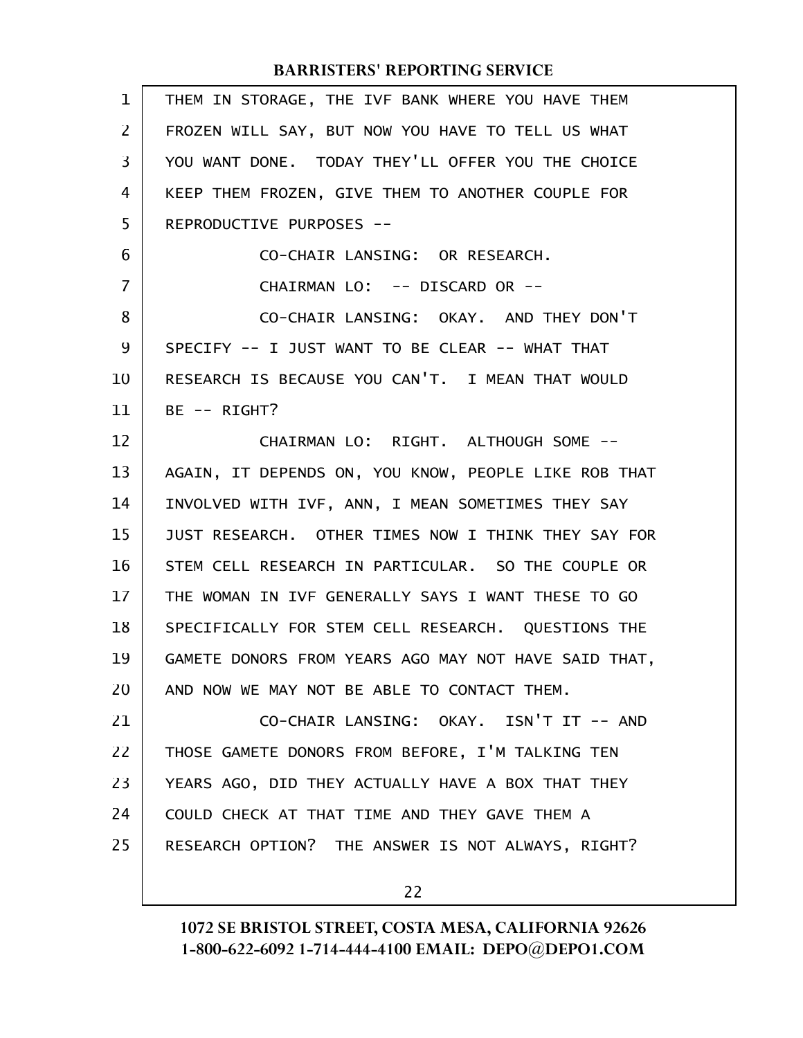| $\mathbf 1$ | THEM IN STORAGE, THE IVF BANK WHERE YOU HAVE THEM    |
|-------------|------------------------------------------------------|
| 2           | FROZEN WILL SAY, BUT NOW YOU HAVE TO TELL US WHAT    |
| 3           | YOU WANT DONE. TODAY THEY'LL OFFER YOU THE CHOICE    |
| 4           | KEEP THEM FROZEN, GIVE THEM TO ANOTHER COUPLE FOR    |
| 5           | REPRODUCTIVE PURPOSES --                             |
| 6           | CO-CHAIR LANSING: OR RESEARCH.                       |
| 7           | CHAIRMAN LO: -- DISCARD OR --                        |
| 8           | CO-CHAIR LANSING: OKAY. AND THEY DON'T               |
| 9           | SPECIFY -- I JUST WANT TO BE CLEAR -- WHAT THAT      |
| 10          | RESEARCH IS BECAUSE YOU CAN'T. I MEAN THAT WOULD     |
| 11          | $BE$ -- $RIGHT$ ?                                    |
| 12          | CHAIRMAN LO: RIGHT. ALTHOUGH SOME --                 |
| 13          | AGAIN, IT DEPENDS ON, YOU KNOW, PEOPLE LIKE ROB THAT |
| 14          | INVOLVED WITH IVF, ANN, I MEAN SOMETIMES THEY SAY    |
| 15          | JUST RESEARCH. OTHER TIMES NOW I THINK THEY SAY FOR  |
| 16          | STEM CELL RESEARCH IN PARTICULAR. SO THE COUPLE OR   |
| 17          | THE WOMAN IN IVF GENERALLY SAYS I WANT THESE TO GO   |
| 18          | SPECIFICALLY FOR STEM CELL RESEARCH. QUESTIONS THE   |
| 19          | GAMETE DONORS FROM YEARS AGO MAY NOT HAVE SAID THAT, |
| 20          | AND NOW WE MAY NOT BE ABLE TO CONTACT THEM.          |
| 21          | CO-CHAIR LANSING: OKAY. ISN'T IT -- AND              |
| 22          | THOSE GAMETE DONORS FROM BEFORE, I'M TALKING TEN     |
| 23          | YEARS AGO, DID THEY ACTUALLY HAVE A BOX THAT THEY    |
| 24          | COULD CHECK AT THAT TIME AND THEY GAVE THEM A        |
| 25          | RESEARCH OPTION? THE ANSWER IS NOT ALWAYS, RIGHT?    |
|             | 22                                                   |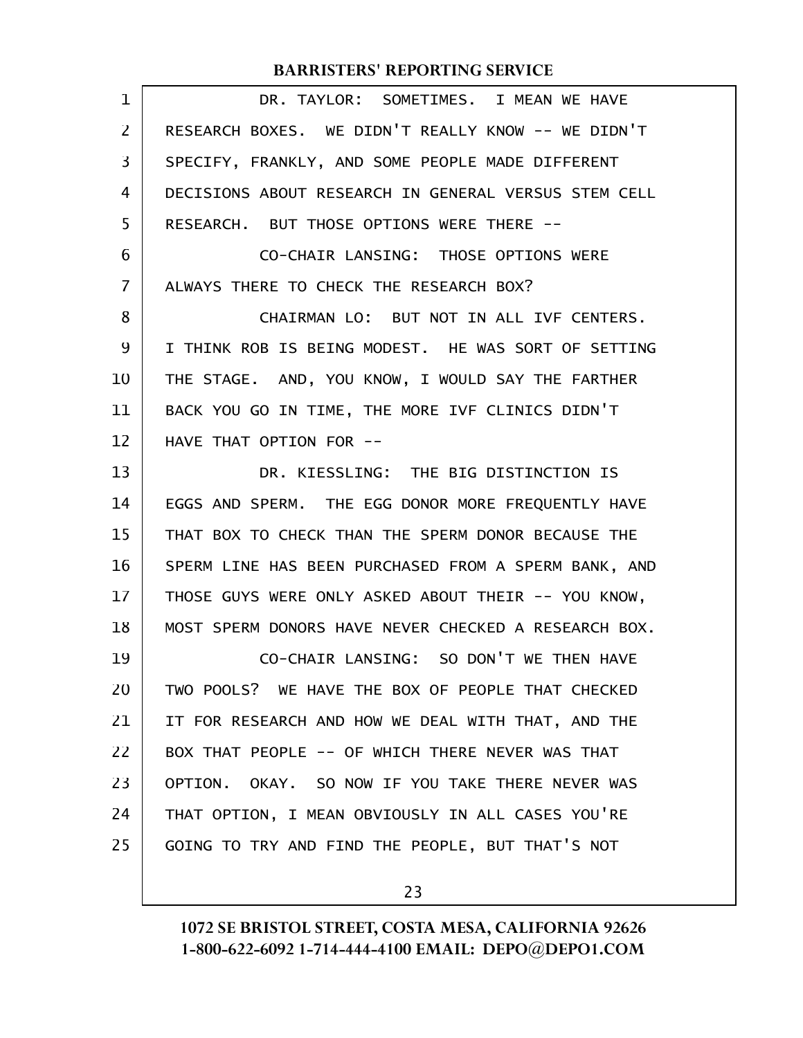| 1                 | DR. TAYLOR: SOMETIMES. I MEAN WE HAVE                |
|-------------------|------------------------------------------------------|
| 2                 | RESEARCH BOXES. WE DIDN'T REALLY KNOW -- WE DIDN'T   |
| 3                 | SPECIFY, FRANKLY, AND SOME PEOPLE MADE DIFFERENT     |
| 4                 | DECISIONS ABOUT RESEARCH IN GENERAL VERSUS STEM CELL |
| 5                 | RESEARCH. BUT THOSE OPTIONS WERE THERE --            |
| 6                 | CO-CHAIR LANSING: THOSE OPTIONS WERE                 |
| 7                 | ALWAYS THERE TO CHECK THE RESEARCH BOX?              |
| 8                 | CHAIRMAN LO: BUT NOT IN ALL IVF CENTERS.             |
| 9                 | I THINK ROB IS BEING MODEST. HE WAS SORT OF SETTING  |
| 10                | THE STAGE. AND, YOU KNOW, I WOULD SAY THE FARTHER    |
| 11                | BACK YOU GO IN TIME, THE MORE IVF CLINICS DIDN'T     |
| $12 \overline{ }$ | HAVE THAT OPTION FOR --                              |
| 13                | DR. KIESSLING: THE BIG DISTINCTION IS                |
| 14                | EGGS AND SPERM. THE EGG DONOR MORE FREQUENTLY HAVE   |
| 15                | THAT BOX TO CHECK THAN THE SPERM DONOR BECAUSE THE   |
| 16                | SPERM LINE HAS BEEN PURCHASED FROM A SPERM BANK, AND |
| 17                | THOSE GUYS WERE ONLY ASKED ABOUT THEIR -- YOU KNOW,  |
| 18                | MOST SPERM DONORS HAVE NEVER CHECKED A RESEARCH BOX. |
| 19                | CO-CHAIR LANSING: SO DON'T WE THEN HAVE              |
| 20                | TWO POOLS? WE HAVE THE BOX OF PEOPLE THAT CHECKED    |
| 21                | IT FOR RESEARCH AND HOW WE DEAL WITH THAT, AND THE   |
| 22                | BOX THAT PEOPLE -- OF WHICH THERE NEVER WAS THAT     |
| 23                | OPTION. OKAY. SO NOW IF YOU TAKE THERE NEVER WAS     |
| 24                | THAT OPTION, I MEAN OBVIOUSLY IN ALL CASES YOU'RE    |
| 25                | GOING TO TRY AND FIND THE PEOPLE, BUT THAT'S NOT     |
|                   |                                                      |

23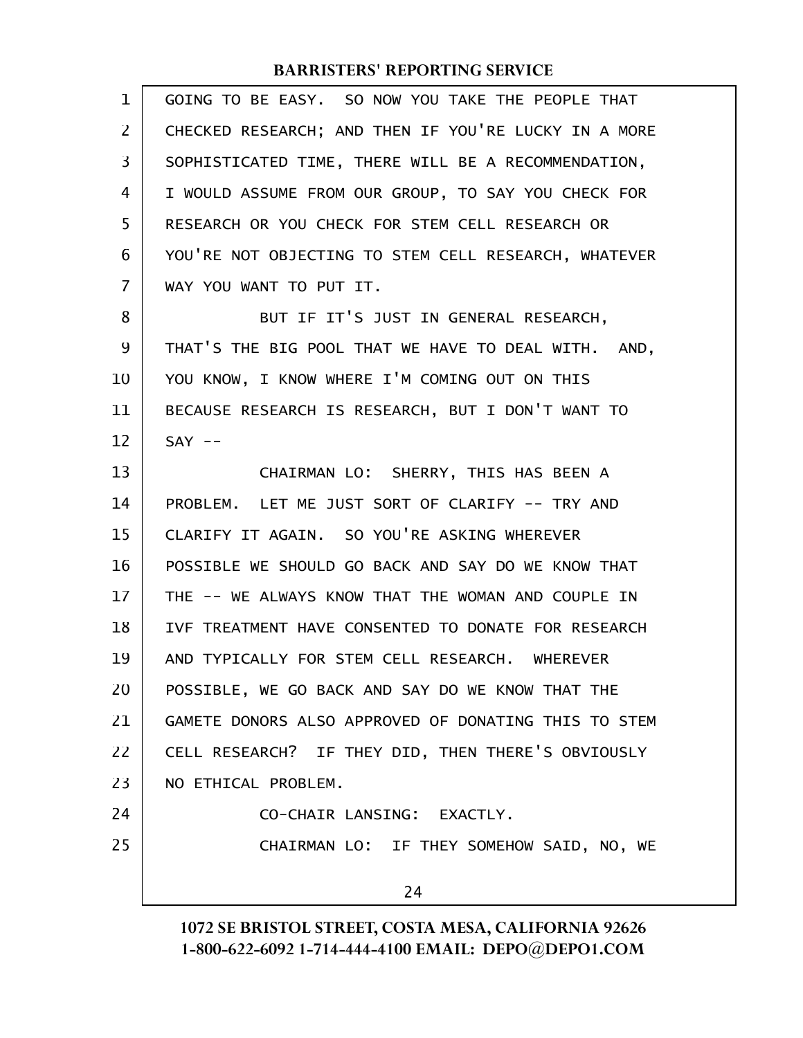| 1  | GOING TO BE EASY. SO NOW YOU TAKE THE PEOPLE THAT    |
|----|------------------------------------------------------|
| 2  | CHECKED RESEARCH; AND THEN IF YOU'RE LUCKY IN A MORE |
| 3  | SOPHISTICATED TIME, THERE WILL BE A RECOMMENDATION,  |
| 4  | I WOULD ASSUME FROM OUR GROUP, TO SAY YOU CHECK FOR  |
| 5  | RESEARCH OR YOU CHECK FOR STEM CELL RESEARCH OR      |
| 6  | YOU'RE NOT OBJECTING TO STEM CELL RESEARCH, WHATEVER |
| 7  | WAY YOU WANT TO PUT IT.                              |
| 8  | BUT IF IT'S JUST IN GENERAL RESEARCH,                |
| 9  | THAT'S THE BIG POOL THAT WE HAVE TO DEAL WITH. AND,  |
| 10 | YOU KNOW, I KNOW WHERE I'M COMING OUT ON THIS        |
| 11 | BECAUSE RESEARCH IS RESEARCH, BUT I DON'T WANT TO    |
| 12 | $SAY$ --                                             |
| 13 | CHAIRMAN LO: SHERRY, THIS HAS BEEN A                 |
| 14 | PROBLEM. LET ME JUST SORT OF CLARIFY -- TRY AND      |
| 15 | CLARIFY IT AGAIN. SO YOU'RE ASKING WHEREVER          |
| 16 | POSSIBLE WE SHOULD GO BACK AND SAY DO WE KNOW THAT   |
| 17 | THE -- WE ALWAYS KNOW THAT THE WOMAN AND COUPLE IN   |
| 18 | IVF TREATMENT HAVE CONSENTED TO DONATE FOR RESEARCH  |
| 19 | AND TYPICALLY FOR STEM CELL RESEARCH. WHEREVER       |
| 20 | POSSIBLE, WE GO BACK AND SAY DO WE KNOW THAT THE     |
| 21 | GAMETE DONORS ALSO APPROVED OF DONATING THIS TO STEM |
| 22 | CELL RESEARCH? IF THEY DID, THEN THERE'S OBVIOUSLY   |
| 23 | NO ETHICAL PROBLEM.                                  |
| 24 | CO-CHAIR LANSING: EXACTLY.                           |
| 25 | CHAIRMAN LO: IF THEY SOMEHOW SAID, NO, WE            |
|    | 24                                                   |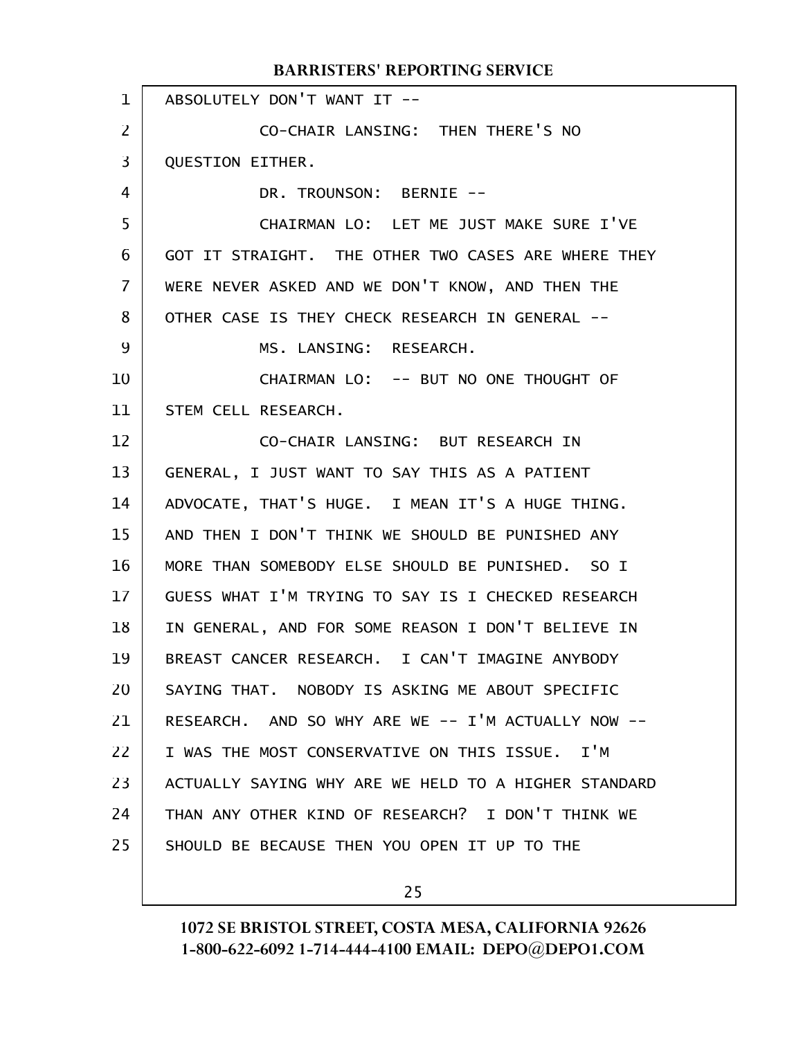ABSOLUTELY DON'T WANT IT -- CO-CHAIR LANSING: THEN THERE'S NO QUESTION EITHER. DR. TROUNSON: BERNIE -- CHAIRMAN LO: LET ME JUST MAKE SURE I'VE GOT IT STRAIGHT. THE OTHER TWO CASES ARE WHERE THEY WERE NEVER ASKED AND WE DON'T KNOW, AND THEN THE OTHER CASE IS THEY CHECK RESEARCH IN GENERAL -- MS. LANSING: RESEARCH. CHAIRMAN LO: -- BUT NO ONE THOUGHT OF STEM CELL RESEARCH. CO-CHAIR LANSING: BUT RESEARCH IN GENERAL, I JUST WANT TO SAY THIS AS A PATIENT ADVOCATE, THAT'S HUGE. I MEAN IT'S A HUGE THING. AND THEN I DON'T THINK WE SHOULD BE PUNISHED ANY MORE THAN SOMEBODY ELSE SHOULD BE PUNISHED. SO I GUESS WHAT I'M TRYING TO SAY IS I CHECKED RESEARCH IN GENERAL, AND FOR SOME REASON I DON'T BELIEVE IN BREAST CANCER RESEARCH. I CAN'T IMAGINE ANYBODY SAYING THAT. NOBODY IS ASKING ME ABOUT SPECIFIC RESEARCH. AND SO WHY ARE WE -- I'M ACTUALLY NOW -- I WAS THE MOST CONSERVATIVE ON THIS ISSUE. I'M ACTUALLY SAYING WHY ARE WE HELD TO A HIGHER STANDARD THAN ANY OTHER KIND OF RESEARCH? I DON'T THINK WE SHOULD BE BECAUSE THEN YOU OPEN IT UP TO THE 1 2 3 4 5 6 7 8 9 10 11 12 13 14 15 16 17 18 19 20 21 22 23 24 25

25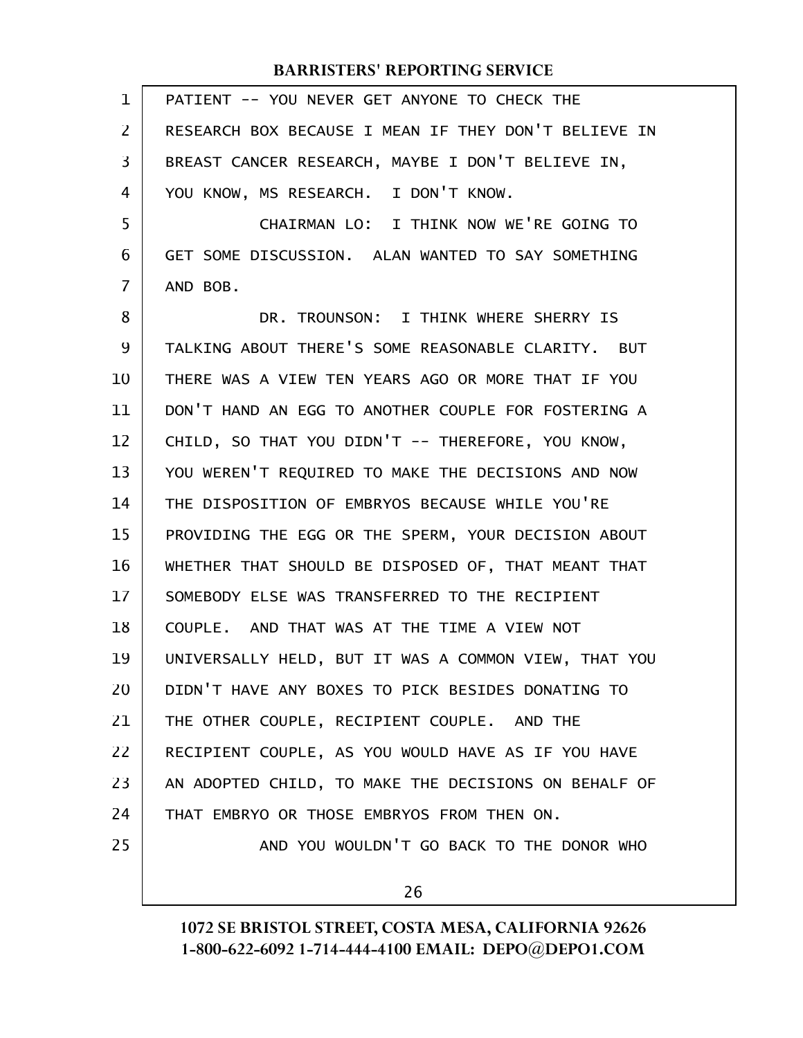| PATIENT -- YOU NEVER GET ANYONE TO CHECK THE         |
|------------------------------------------------------|
| RESEARCH BOX BECAUSE I MEAN IF THEY DON'T BELIEVE IN |
| BREAST CANCER RESEARCH, MAYBE I DON'T BELIEVE IN,    |
| YOU KNOW, MS RESEARCH. I DON'T KNOW.                 |
| CHAIRMAN LO: I THINK NOW WE'RE GOING TO              |
| GET SOME DISCUSSION. ALAN WANTED TO SAY SOMETHING    |
| AND BOB.                                             |
| DR. TROUNSON: I THINK WHERE SHERRY IS                |
| TALKING ABOUT THERE'S SOME REASONABLE CLARITY. BUT   |
| THERE WAS A VIEW TEN YEARS AGO OR MORE THAT IF YOU   |
| DON'T HAND AN EGG TO ANOTHER COUPLE FOR FOSTERING A  |
| CHILD, SO THAT YOU DIDN'T -- THEREFORE, YOU KNOW,    |
| YOU WEREN'T REQUIRED TO MAKE THE DECISIONS AND NOW   |
| THE DISPOSITION OF EMBRYOS BECAUSE WHILE YOU'RE      |
| PROVIDING THE EGG OR THE SPERM, YOUR DECISION ABOUT  |
| WHETHER THAT SHOULD BE DISPOSED OF, THAT MEANT THAT  |
| SOMEBODY ELSE WAS TRANSFERRED TO THE RECIPIENT       |
| COUPLE. AND THAT WAS AT THE TIME A VIEW NOT          |
| UNIVERSALLY HELD, BUT IT WAS A COMMON VIEW, THAT YOU |
| DIDN'T HAVE ANY BOXES TO PICK BESIDES DONATING TO    |
| THE OTHER COUPLE, RECIPIENT COUPLE. AND THE          |
| RECIPIENT COUPLE, AS YOU WOULD HAVE AS IF YOU HAVE   |
|                                                      |
| AN ADOPTED CHILD, TO MAKE THE DECISIONS ON BEHALF OF |
| THAT EMBRYO OR THOSE EMBRYOS FROM THEN ON.           |
| AND YOU WOULDN'T GO BACK TO THE DONOR WHO            |
|                                                      |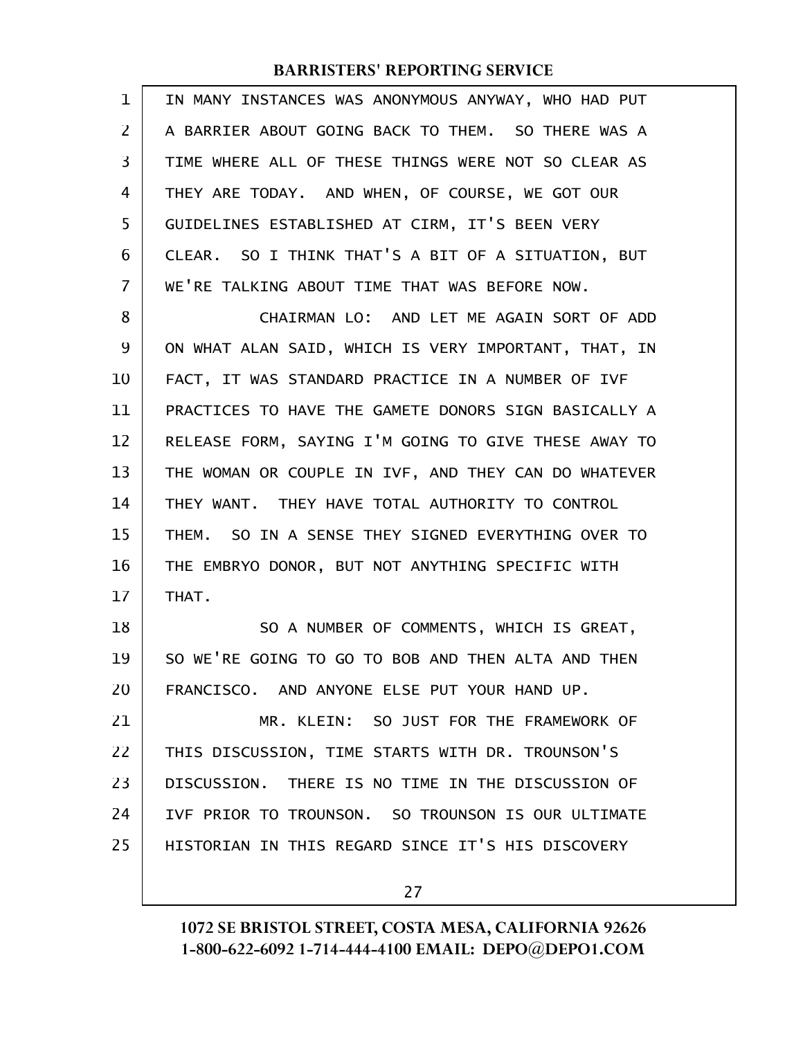| 1              | IN MANY INSTANCES WAS ANONYMOUS ANYWAY, WHO HAD PUT  |
|----------------|------------------------------------------------------|
| $\overline{2}$ | A BARRIER ABOUT GOING BACK TO THEM. SO THERE WAS A   |
| 3              | TIME WHERE ALL OF THESE THINGS WERE NOT SO CLEAR AS  |
| 4              | THEY ARE TODAY. AND WHEN, OF COURSE, WE GOT OUR      |
| 5              | GUIDELINES ESTABLISHED AT CIRM, IT'S BEEN VERY       |
| 6              | CLEAR. SO I THINK THAT'S A BIT OF A SITUATION, BUT   |
| 7              | WE'RE TALKING ABOUT TIME THAT WAS BEFORE NOW.        |
| 8              | CHAIRMAN LO: AND LET ME AGAIN SORT OF ADD            |
| 9              | ON WHAT ALAN SAID, WHICH IS VERY IMPORTANT, THAT, IN |
| 10             | FACT, IT WAS STANDARD PRACTICE IN A NUMBER OF IVF    |
| 11             | PRACTICES TO HAVE THE GAMETE DONORS SIGN BASICALLY A |
| 12             | RELEASE FORM, SAYING I'M GOING TO GIVE THESE AWAY TO |
| 13             | THE WOMAN OR COUPLE IN IVF, AND THEY CAN DO WHATEVER |
| 14             | THEY WANT. THEY HAVE TOTAL AUTHORITY TO CONTROL      |
| 15             | THEM. SO IN A SENSE THEY SIGNED EVERYTHING OVER TO   |
| 16             | THE EMBRYO DONOR, BUT NOT ANYTHING SPECIFIC WITH     |
| 17             | THAT.                                                |
| 18             | SO A NUMBER OF COMMENTS, WHICH IS GREAT,             |
| 19             | SO WE'RE GOING TO GO TO BOB AND THEN ALTA AND THEN   |
| 20             | FRANCISCO. AND ANYONE ELSE PUT YOUR HAND UP.         |
| 21             | MR. KLEIN: SO JUST FOR THE FRAMEWORK OF              |
| 22             | THIS DISCUSSION, TIME STARTS WITH DR. TROUNSON'S     |
| 23             | DISCUSSION. THERE IS NO TIME IN THE DISCUSSION OF    |
| 24             | IVF PRIOR TO TROUNSON. SO TROUNSON IS OUR ULTIMATE   |
| 25             | HISTORIAN IN THIS REGARD SINCE IT'S HIS DISCOVERY    |
|                | 27                                                   |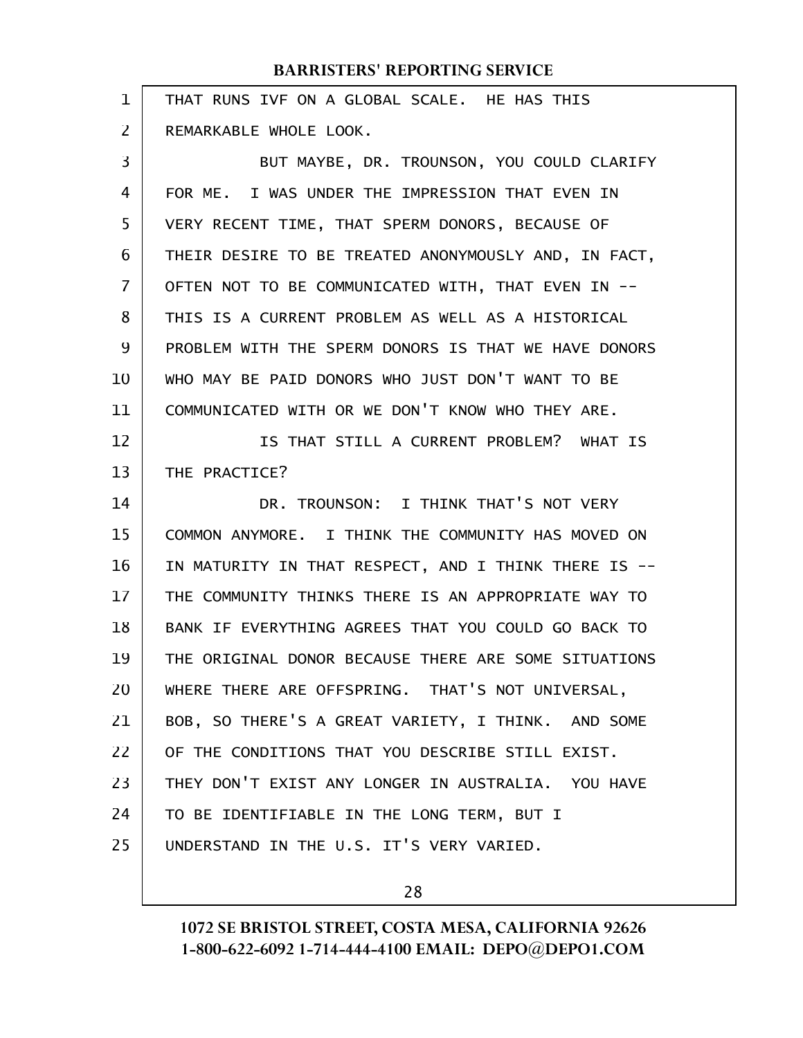| 1              | THAT RUNS IVF ON A GLOBAL SCALE. HE HAS THIS         |
|----------------|------------------------------------------------------|
| 2              | REMARKABLE WHOLE LOOK.                               |
| 3              | BUT MAYBE, DR. TROUNSON, YOU COULD CLARIFY           |
| 4              | FOR ME. I WAS UNDER THE IMPRESSION THAT EVEN IN      |
| 5              | VERY RECENT TIME, THAT SPERM DONORS, BECAUSE OF      |
| 6              | THEIR DESIRE TO BE TREATED ANONYMOUSLY AND, IN FACT, |
| $\overline{7}$ | OFTEN NOT TO BE COMMUNICATED WITH, THAT EVEN IN --   |
| 8              | THIS IS A CURRENT PROBLEM AS WELL AS A HISTORICAL    |
| 9              | PROBLEM WITH THE SPERM DONORS IS THAT WE HAVE DONORS |
| 10             | WHO MAY BE PAID DONORS WHO JUST DON'T WANT TO BE     |
| 11             | COMMUNICATED WITH OR WE DON'T KNOW WHO THEY ARE.     |
| 12             | IS THAT STILL A CURRENT PROBLEM? WHAT IS             |
| 13             | THE PRACTICE?                                        |
| 14             | DR. TROUNSON: I THINK THAT'S NOT VERY                |
| 15             | COMMON ANYMORE. I THINK THE COMMUNITY HAS MOVED ON   |
| 16             | IN MATURITY IN THAT RESPECT, AND I THINK THERE IS -- |
| 17             | THE COMMUNITY THINKS THERE IS AN APPROPRIATE WAY TO  |
| 18             | BANK IF EVERYTHING AGREES THAT YOU COULD GO BACK TO  |
| 19             | THE ORIGINAL DONOR BECAUSE THERE ARE SOME SITUATIONS |
| 20             | WHERE THERE ARE OFFSPRING. THAT'S NOT UNIVERSAL,     |
| 21             | BOB, SO THERE'S A GREAT VARIETY, I THINK. AND SOME   |
| 22             | OF THE CONDITIONS THAT YOU DESCRIBE STILL EXIST.     |
| 23             | THEY DON'T EXIST ANY LONGER IN AUSTRALIA. YOU HAVE   |
| 24             | TO BE IDENTIFIABLE IN THE LONG TERM, BUT I           |
| 25             | UNDERSTAND IN THE U.S. IT'S VERY VARIED.             |
|                |                                                      |

28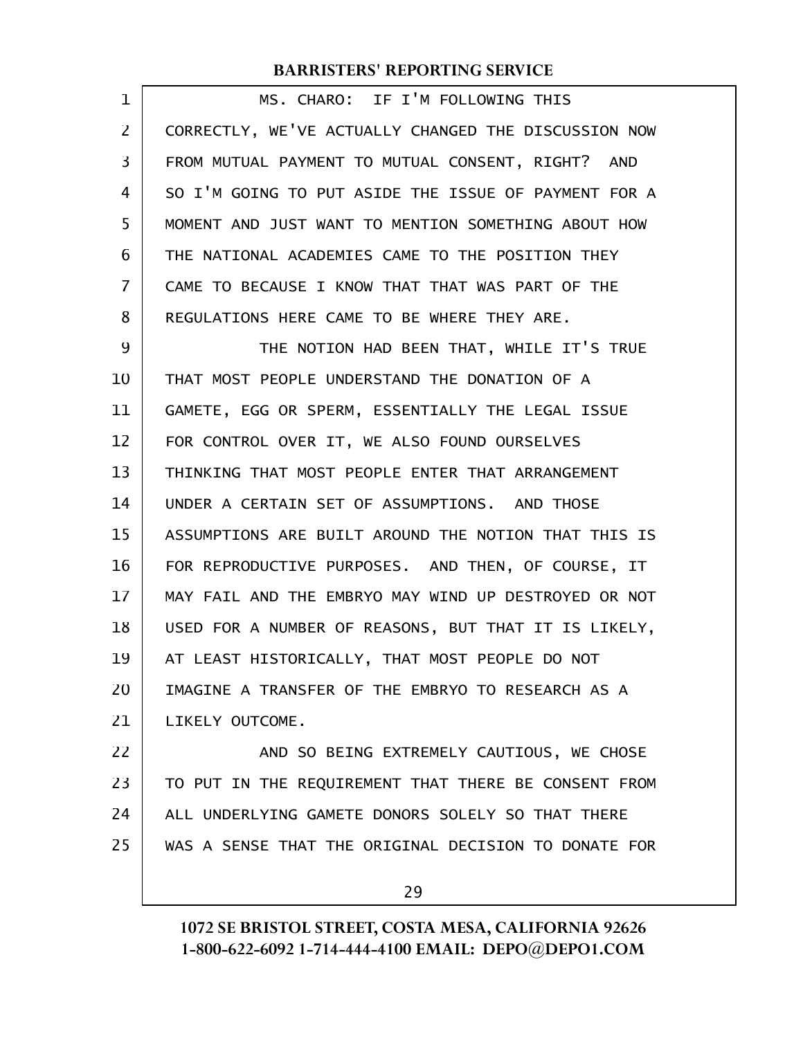| $\mathbf 1$ | MS. CHARO: IF I'M FOLLOWING THIS                     |
|-------------|------------------------------------------------------|
| 2           | CORRECTLY, WE'VE ACTUALLY CHANGED THE DISCUSSION NOW |
| 3           | FROM MUTUAL PAYMENT TO MUTUAL CONSENT, RIGHT? AND    |
| 4           | SO I'M GOING TO PUT ASIDE THE ISSUE OF PAYMENT FOR A |
| 5           | MOMENT AND JUST WANT TO MENTION SOMETHING ABOUT HOW  |
| 6           | THE NATIONAL ACADEMIES CAME TO THE POSITION THEY     |
| 7           | CAME TO BECAUSE I KNOW THAT THAT WAS PART OF THE     |
| 8           | REGULATIONS HERE CAME TO BE WHERE THEY ARE.          |
| 9           | THE NOTION HAD BEEN THAT, WHILE IT'S TRUE            |
| 10          | THAT MOST PEOPLE UNDERSTAND THE DONATION OF A        |
| 11          | GAMETE, EGG OR SPERM, ESSENTIALLY THE LEGAL ISSUE    |
| 12          | FOR CONTROL OVER IT, WE ALSO FOUND OURSELVES         |
| 13          | THINKING THAT MOST PEOPLE ENTER THAT ARRANGEMENT     |
| 14          | UNDER A CERTAIN SET OF ASSUMPTIONS. AND THOSE        |
| 15          | ASSUMPTIONS ARE BUILT AROUND THE NOTION THAT THIS IS |
| 16          | FOR REPRODUCTIVE PURPOSES. AND THEN, OF COURSE, IT   |
| 17          | MAY FAIL AND THE EMBRYO MAY WIND UP DESTROYED OR NOT |
| 18          | USED FOR A NUMBER OF REASONS, BUT THAT IT IS LIKELY, |
| 19          | AT LEAST HISTORICALLY, THAT MOST PEOPLE DO NOT       |
| 20          | IMAGINE A TRANSFER OF THE EMBRYO TO RESEARCH AS A    |
| 21          | LIKELY OUTCOME.                                      |
| 22          | AND SO BEING EXTREMELY CAUTIOUS, WE CHOSE            |
| 23          | TO PUT IN THE REQUIREMENT THAT THERE BE CONSENT FROM |
| 24          | ALL UNDERLYING GAMETE DONORS SOLELY SO THAT THERE    |
| 25          | WAS A SENSE THAT THE ORIGINAL DECISION TO DONATE FOR |
|             |                                                      |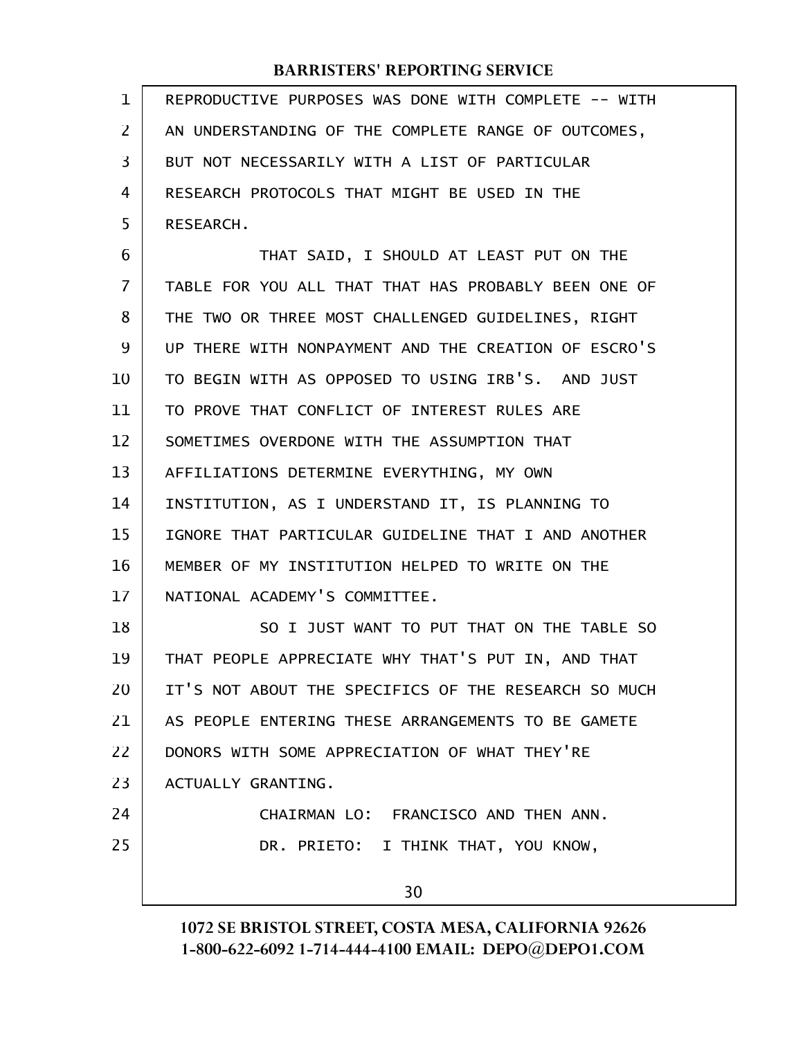| $\mathbf 1$ | REPRODUCTIVE PURPOSES WAS DONE WITH COMPLETE -- WITH |
|-------------|------------------------------------------------------|
| 2           | AN UNDERSTANDING OF THE COMPLETE RANGE OF OUTCOMES,  |
| 3           | BUT NOT NECESSARILY WITH A LIST OF PARTICULAR        |
| 4           | RESEARCH PROTOCOLS THAT MIGHT BE USED IN THE         |
| 5           | RESEARCH.                                            |
| 6           | THAT SAID, I SHOULD AT LEAST PUT ON THE              |
| 7           | TABLE FOR YOU ALL THAT THAT HAS PROBABLY BEEN ONE OF |
| 8           | THE TWO OR THREE MOST CHALLENGED GUIDELINES, RIGHT   |
| 9           | UP THERE WITH NONPAYMENT AND THE CREATION OF ESCRO'S |
| 10          | TO BEGIN WITH AS OPPOSED TO USING IRB'S. AND JUST    |
| 11          | TO PROVE THAT CONFLICT OF INTEREST RULES ARE         |
| 12          | SOMETIMES OVERDONE WITH THE ASSUMPTION THAT          |
| 13          | AFFILIATIONS DETERMINE EVERYTHING, MY OWN            |
| 14          | INSTITUTION, AS I UNDERSTAND IT, IS PLANNING TO      |
| 15          | IGNORE THAT PARTICULAR GUIDELINE THAT I AND ANOTHER  |
| 16          | MEMBER OF MY INSTITUTION HELPED TO WRITE ON THE      |
| 17          | NATIONAL ACADEMY'S COMMITTEE.                        |
| 18          | SO I JUST WANT TO PUT THAT ON THE TABLE SO           |
| 19          | THAT PEOPLE APPRECIATE WHY THAT'S PUT IN, AND THAT   |
| 20          | IT'S NOT ABOUT THE SPECIFICS OF THE RESEARCH SO MUCH |
| 21          | AS PEOPLE ENTERING THESE ARRANGEMENTS TO BE GAMETE   |
| 22          | DONORS WITH SOME APPRECIATION OF WHAT THEY'RE        |
| 23          | ACTUALLY GRANTING.                                   |
| 24          | CHAIRMAN LO: FRANCISCO AND THEN ANN.                 |
| 25          | DR. PRIETO: I THINK THAT, YOU KNOW,                  |
|             | 30                                                   |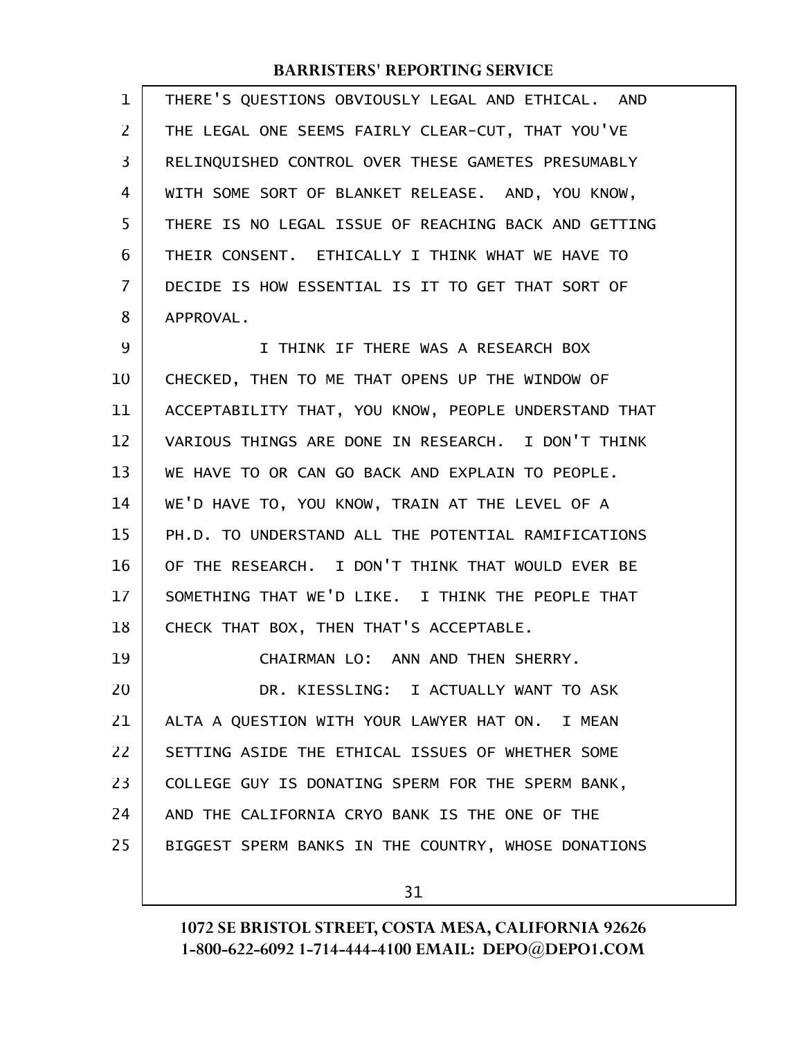| 1                 | THERE'S QUESTIONS OBVIOUSLY LEGAL AND ETHICAL. AND   |
|-------------------|------------------------------------------------------|
| 2                 | THE LEGAL ONE SEEMS FAIRLY CLEAR-CUT, THAT YOU'VE    |
| 3                 | RELINQUISHED CONTROL OVER THESE GAMETES PRESUMABLY   |
| 4                 | WITH SOME SORT OF BLANKET RELEASE. AND, YOU KNOW,    |
| 5                 | THERE IS NO LEGAL ISSUE OF REACHING BACK AND GETTING |
| 6                 | THEIR CONSENT. ETHICALLY I THINK WHAT WE HAVE TO     |
| 7                 | DECIDE IS HOW ESSENTIAL IS IT TO GET THAT SORT OF    |
| 8                 | APPROVAL.                                            |
| 9                 | I THINK IF THERE WAS A RESEARCH BOX                  |
| 10                | CHECKED, THEN TO ME THAT OPENS UP THE WINDOW OF      |
| 11                | ACCEPTABILITY THAT, YOU KNOW, PEOPLE UNDERSTAND THAT |
| $12 \overline{ }$ | VARIOUS THINGS ARE DONE IN RESEARCH. I DON'T THINK   |
| 13                | WE HAVE TO OR CAN GO BACK AND EXPLAIN TO PEOPLE.     |
| 14                | WE'D HAVE TO, YOU KNOW, TRAIN AT THE LEVEL OF A      |
| 15                | PH.D. TO UNDERSTAND ALL THE POTENTIAL RAMIFICATIONS  |
| 16                | OF THE RESEARCH. I DON'T THINK THAT WOULD EVER BE    |
| 17                | SOMETHING THAT WE'D LIKE. I THINK THE PEOPLE THAT    |
| 18                | CHECK THAT BOX, THEN THAT'S ACCEPTABLE.              |
| 19                | CHAIRMAN LO: ANN AND THEN SHERRY.                    |
| 20                | DR. KIESSLING: I ACTUALLY WANT TO ASK                |
| 21                | ALTA A QUESTION WITH YOUR LAWYER HAT ON.<br>I MEAN   |
| 22                | SETTING ASIDE THE ETHICAL ISSUES OF WHETHER SOME     |
| 23                | COLLEGE GUY IS DONATING SPERM FOR THE SPERM BANK,    |
| 24                | AND THE CALIFORNIA CRYO BANK IS THE ONE OF THE       |
| 25                | BIGGEST SPERM BANKS IN THE COUNTRY, WHOSE DONATIONS  |
|                   |                                                      |

31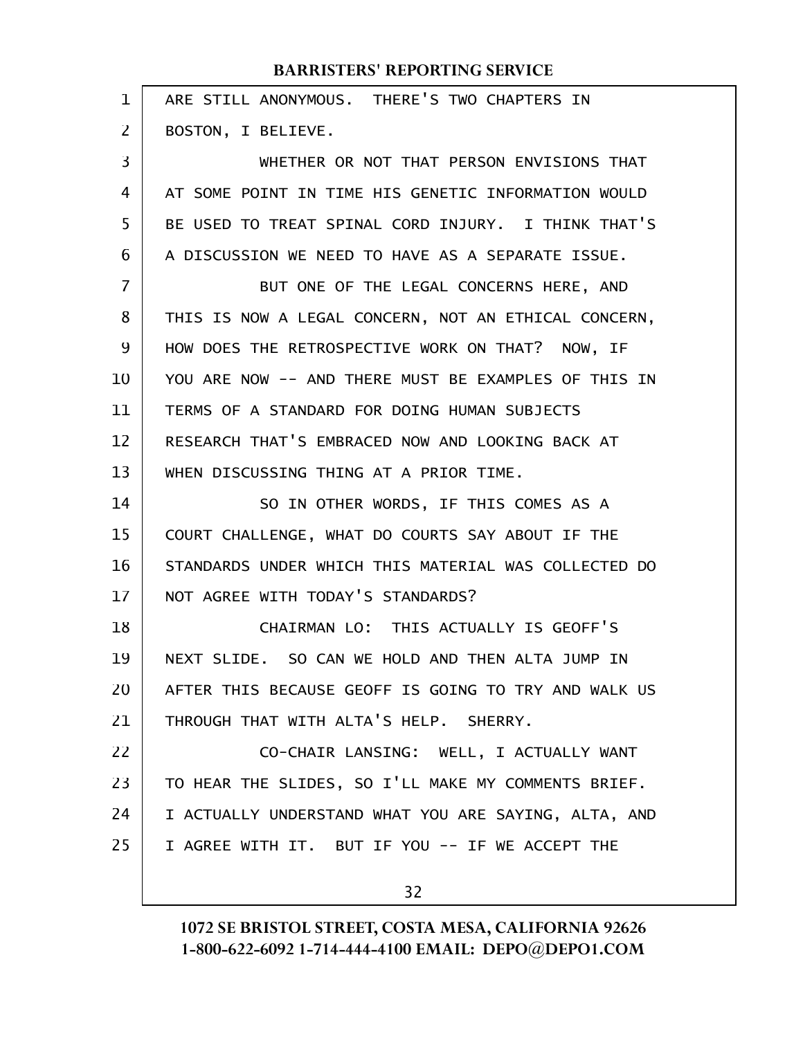| $\mathbf 1$    | ARE STILL ANONYMOUS. THERE'S TWO CHAPTERS IN         |
|----------------|------------------------------------------------------|
| $\overline{2}$ | BOSTON, I BELIEVE.                                   |
| 3              | WHETHER OR NOT THAT PERSON ENVISIONS THAT            |
| 4              | AT SOME POINT IN TIME HIS GENETIC INFORMATION WOULD  |
| 5              | BE USED TO TREAT SPINAL CORD INJURY. I THINK THAT'S  |
| 6              | A DISCUSSION WE NEED TO HAVE AS A SEPARATE ISSUE.    |
| 7              | BUT ONE OF THE LEGAL CONCERNS HERE, AND              |
| 8              | THIS IS NOW A LEGAL CONCERN, NOT AN ETHICAL CONCERN, |
| 9              | HOW DOES THE RETROSPECTIVE WORK ON THAT? NOW, IF     |
| 10             | YOU ARE NOW -- AND THERE MUST BE EXAMPLES OF THIS IN |
| 11             | TERMS OF A STANDARD FOR DOING HUMAN SUBJECTS         |
| 12             | RESEARCH THAT'S EMBRACED NOW AND LOOKING BACK AT     |
| 13             | WHEN DISCUSSING THING AT A PRIOR TIME.               |
| 14             | SO IN OTHER WORDS, IF THIS COMES AS A                |
| 15             | COURT CHALLENGE, WHAT DO COURTS SAY ABOUT IF THE     |
| 16             | STANDARDS UNDER WHICH THIS MATERIAL WAS COLLECTED DO |
| 17             | NOT AGREE WITH TODAY'S STANDARDS?                    |
| 18             | CHAIRMAN LO: THIS ACTUALLY IS GEOFF'S                |
| 19             | NEXT SLIDE. SO CAN WE HOLD AND THEN ALTA JUMP IN     |
| 20             | AFTER THIS BECAUSE GEOFF IS GOING TO TRY AND WALK US |
| 21             | THROUGH THAT WITH ALTA'S HELP. SHERRY.               |
| 22             | CO-CHAIR LANSING: WELL, I ACTUALLY WANT              |
| 23             | TO HEAR THE SLIDES, SO I'LL MAKE MY COMMENTS BRIEF.  |
| 24             | I ACTUALLY UNDERSTAND WHAT YOU ARE SAYING, ALTA, AND |
| 25             | I AGREE WITH IT. BUT IF YOU -- IF WE ACCEPT THE      |
|                | 32                                                   |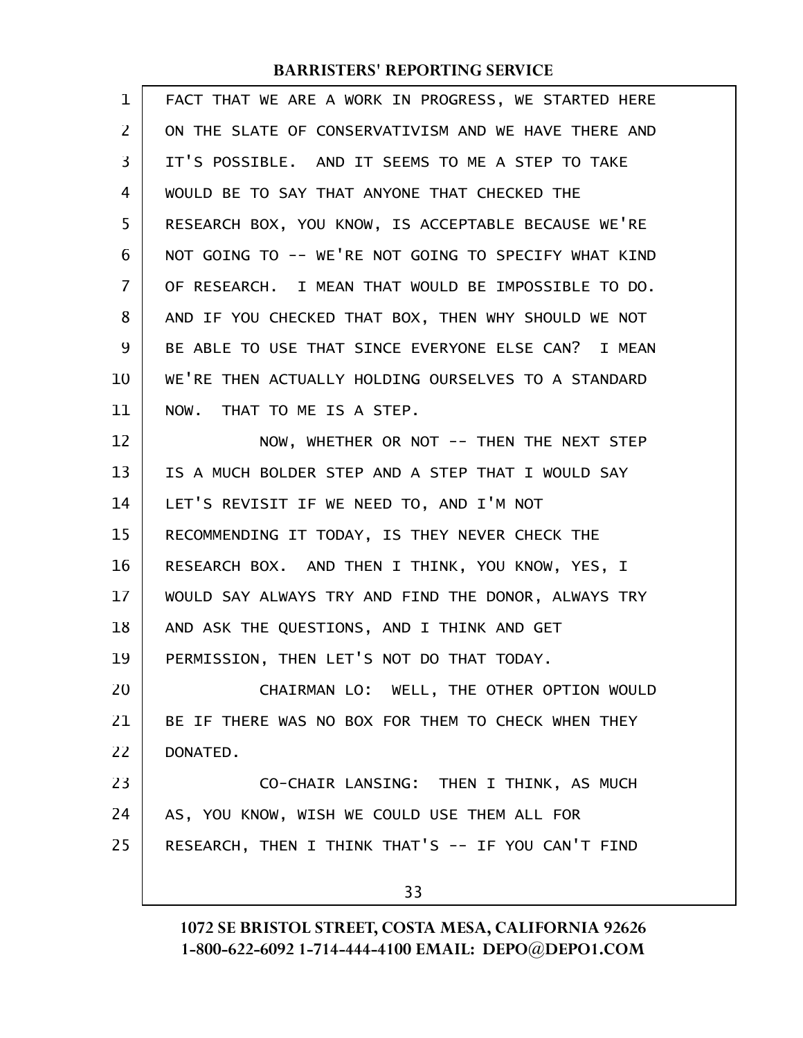| $\mathbf 1$    | FACT THAT WE ARE A WORK IN PROGRESS, WE STARTED HERE |
|----------------|------------------------------------------------------|
| $\overline{2}$ | ON THE SLATE OF CONSERVATIVISM AND WE HAVE THERE AND |
| 3              | IT'S POSSIBLE. AND IT SEEMS TO ME A STEP TO TAKE     |
| 4              | WOULD BE TO SAY THAT ANYONE THAT CHECKED THE         |
| 5              | RESEARCH BOX, YOU KNOW, IS ACCEPTABLE BECAUSE WE'RE  |
| 6              | NOT GOING TO -- WE'RE NOT GOING TO SPECIFY WHAT KIND |
| 7              | OF RESEARCH. I MEAN THAT WOULD BE IMPOSSIBLE TO DO.  |
| 8              | AND IF YOU CHECKED THAT BOX, THEN WHY SHOULD WE NOT  |
| 9              | BE ABLE TO USE THAT SINCE EVERYONE ELSE CAN? I MEAN  |
| 10             | WE'RE THEN ACTUALLY HOLDING OURSELVES TO A STANDARD  |
| 11             | NOW. THAT TO ME IS A STEP.                           |
| 12             | NOW, WHETHER OR NOT -- THEN THE NEXT STEP            |
| 13             | IS A MUCH BOLDER STEP AND A STEP THAT I WOULD SAY    |
| 14             | LET'S REVISIT IF WE NEED TO, AND I'M NOT             |
| 15             | RECOMMENDING IT TODAY, IS THEY NEVER CHECK THE       |
| 16             | RESEARCH BOX. AND THEN I THINK, YOU KNOW, YES, I     |
| 17             | WOULD SAY ALWAYS TRY AND FIND THE DONOR, ALWAYS TRY  |
| 18             | AND ASK THE QUESTIONS, AND I THINK AND GET           |
| 19             | PERMISSION, THEN LET'S NOT DO THAT TODAY.            |
| 20             | CHAIRMAN LO: WELL, THE OTHER OPTION WOULD            |
| 21             | BE IF THERE WAS NO BOX FOR THEM TO CHECK WHEN THEY   |
| 22             | DONATED.                                             |
| 23             | CO-CHAIR LANSING: THEN I THINK, AS MUCH              |
| 24             | AS, YOU KNOW, WISH WE COULD USE THEM ALL FOR         |
| 25             | RESEARCH, THEN I THINK THAT'S -- IF YOU CAN'T FIND   |
|                | 33                                                   |
|                |                                                      |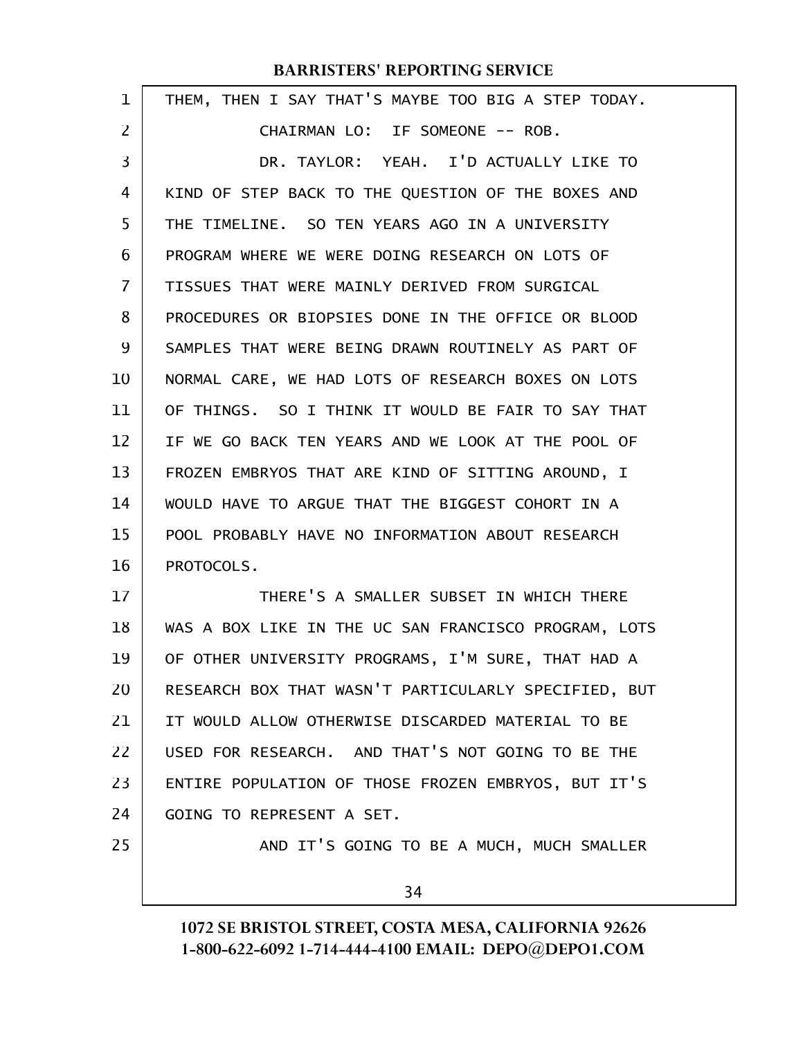| $\mathbf 1$ | THEM, THEN I SAY THAT'S MAYBE TOO BIG A STEP TODAY.  |
|-------------|------------------------------------------------------|
| 2           | CHAIRMAN LO: IF SOMEONE -- ROB.                      |
| 3           | DR. TAYLOR: YEAH. I'D ACTUALLY LIKE TO               |
| 4           | KIND OF STEP BACK TO THE QUESTION OF THE BOXES AND   |
| 5           | THE TIMELINE. SO TEN YEARS AGO IN A UNIVERSITY       |
| 6           | PROGRAM WHERE WE WERE DOING RESEARCH ON LOTS OF      |
| 7           | TISSUES THAT WERE MAINLY DERIVED FROM SURGICAL       |
| 8           | PROCEDURES OR BIOPSIES DONE IN THE OFFICE OR BLOOD   |
| 9           | SAMPLES THAT WERE BEING DRAWN ROUTINELY AS PART OF   |
| 10          | NORMAL CARE, WE HAD LOTS OF RESEARCH BOXES ON LOTS   |
| 11          | OF THINGS. SO I THINK IT WOULD BE FAIR TO SAY THAT   |
| 12          | IF WE GO BACK TEN YEARS AND WE LOOK AT THE POOL OF   |
| 13          | FROZEN EMBRYOS THAT ARE KIND OF SITTING AROUND, I    |
| 14          | WOULD HAVE TO ARGUE THAT THE BIGGEST COHORT IN A     |
| 15          | POOL PROBABLY HAVE NO INFORMATION ABOUT RESEARCH     |
| 16          | PROTOCOLS.                                           |
| 17          | THERE'S A SMALLER SUBSET IN WHICH THERE              |
| 18          | WAS A BOX LIKE IN THE UC SAN FRANCISCO PROGRAM, LOTS |
| 19          | OF OTHER UNIVERSITY PROGRAMS, I'M SURE, THAT HAD A   |
| 20          | RESEARCH BOX THAT WASN'T PARTICULARLY SPECIFIED, BUT |
| 21          | IT WOULD ALLOW OTHERWISE DISCARDED MATERIAL TO BE    |
| 22          | USED FOR RESEARCH. AND THAT'S NOT GOING TO BE THE    |
| 23          | ENTIRE POPULATION OF THOSE FROZEN EMBRYOS, BUT IT'S  |
| 24          | GOING TO REPRESENT A SET.                            |
| 25          | AND IT'S GOING TO BE A MUCH, MUCH SMALLER            |
|             | 34                                                   |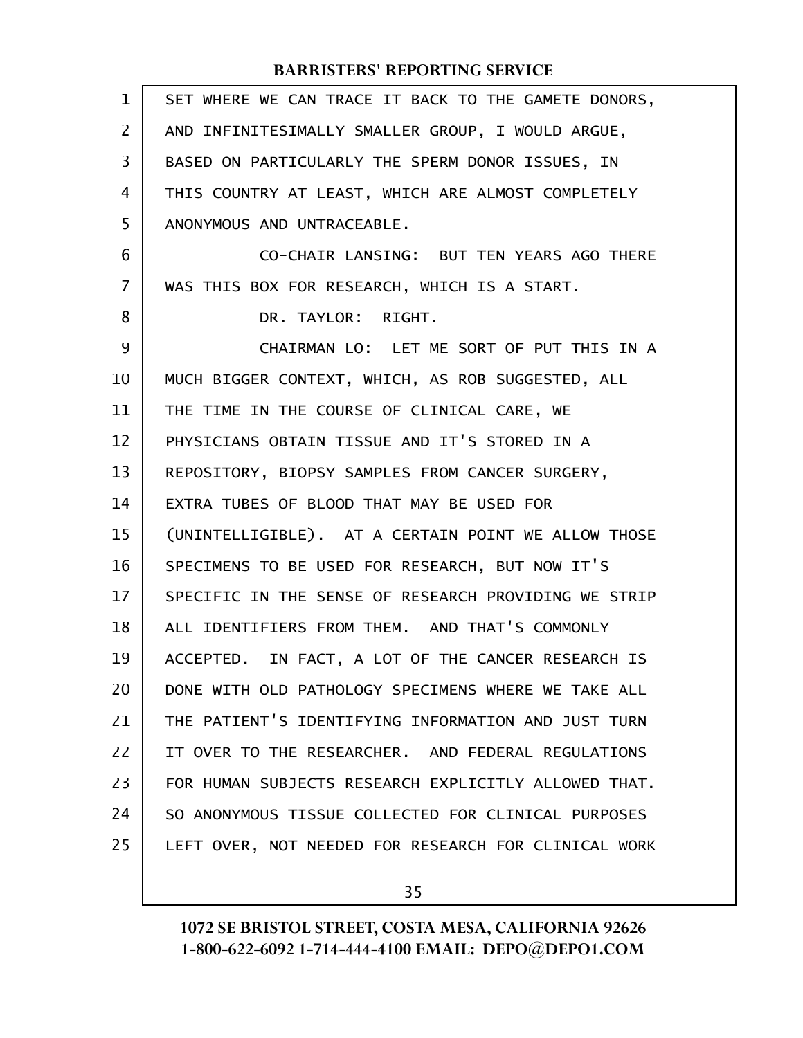| $\mathbf 1$    | SET WHERE WE CAN TRACE IT BACK TO THE GAMETE DONORS, |
|----------------|------------------------------------------------------|
| $\overline{2}$ | AND INFINITESIMALLY SMALLER GROUP, I WOULD ARGUE,    |
| 3              | BASED ON PARTICULARLY THE SPERM DONOR ISSUES, IN     |
| 4              | THIS COUNTRY AT LEAST, WHICH ARE ALMOST COMPLETELY   |
| 5              | ANONYMOUS AND UNTRACEABLE.                           |
| 6              | CO-CHAIR LANSING: BUT TEN YEARS AGO THERE            |
| $\overline{7}$ | WAS THIS BOX FOR RESEARCH, WHICH IS A START.         |
| 8              | DR. TAYLOR: RIGHT.                                   |
| 9              | CHAIRMAN LO: LET ME SORT OF PUT THIS IN A            |
| 10             | MUCH BIGGER CONTEXT, WHICH, AS ROB SUGGESTED, ALL    |
| 11             | THE TIME IN THE COURSE OF CLINICAL CARE, WE          |
| 12             | PHYSICIANS OBTAIN TISSUE AND IT'S STORED IN A        |
| 13             | REPOSITORY, BIOPSY SAMPLES FROM CANCER SURGERY,      |
| 14             | EXTRA TUBES OF BLOOD THAT MAY BE USED FOR            |
| 15             | (UNINTELLIGIBLE). AT A CERTAIN POINT WE ALLOW THOSE  |
| 16             | SPECIMENS TO BE USED FOR RESEARCH, BUT NOW IT'S      |
| 17             | SPECIFIC IN THE SENSE OF RESEARCH PROVIDING WE STRIP |
| 18             | ALL IDENTIFIERS FROM THEM. AND THAT'S COMMONLY       |
| 19             | ACCEPTED. IN FACT, A LOT OF THE CANCER RESEARCH IS   |
| 20             | DONE WITH OLD PATHOLOGY SPECIMENS WHERE WE TAKE ALL  |
| 21             | THE PATIENT'S IDENTIFYING INFORMATION AND JUST TURN  |
| 22             | IT OVER TO THE RESEARCHER. AND FEDERAL REGULATIONS   |
| 23             | FOR HUMAN SUBJECTS RESEARCH EXPLICITLY ALLOWED THAT. |
| 24             | SO ANONYMOUS TISSUE COLLECTED FOR CLINICAL PURPOSES  |
| 25             | LEFT OVER, NOT NEEDED FOR RESEARCH FOR CLINICAL WORK |
|                |                                                      |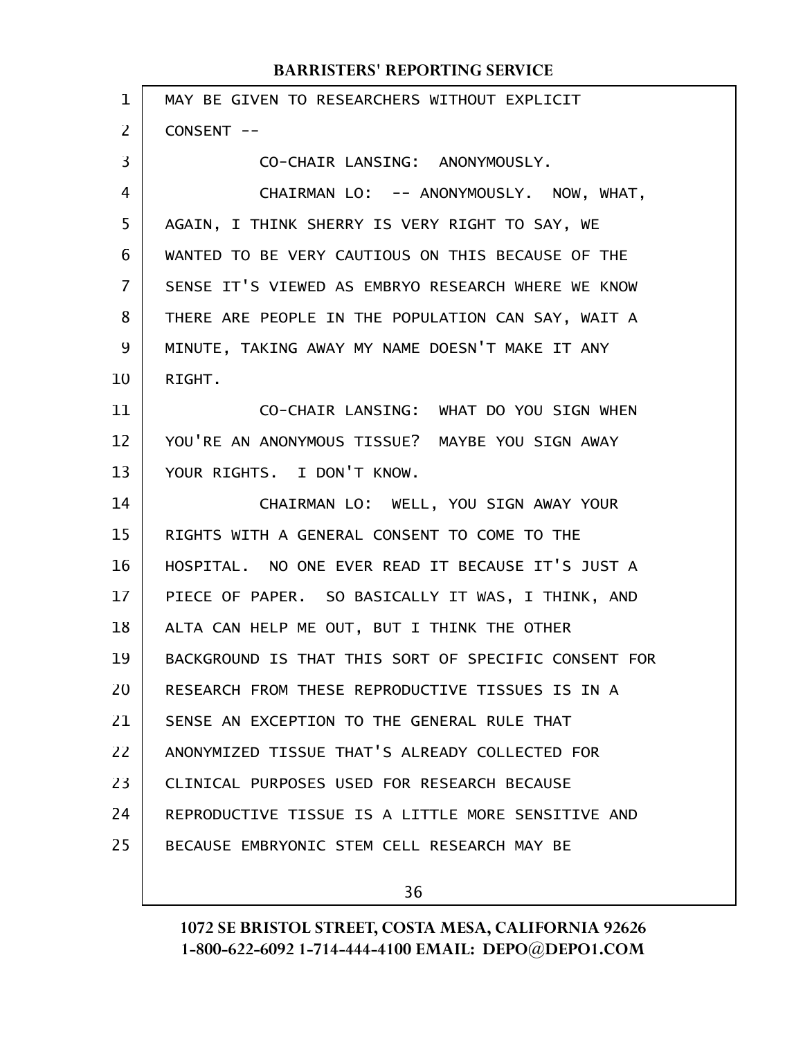| $\mathbf{1}$      | MAY BE GIVEN TO RESEARCHERS WITHOUT EXPLICIT         |
|-------------------|------------------------------------------------------|
| $\overline{2}$    | CONSENT --                                           |
| 3                 | CO-CHAIR LANSING: ANONYMOUSLY.                       |
| 4                 | CHAIRMAN LO: -- ANONYMOUSLY. NOW, WHAT,              |
| 5                 | AGAIN, I THINK SHERRY IS VERY RIGHT TO SAY, WE       |
| 6                 | WANTED TO BE VERY CAUTIOUS ON THIS BECAUSE OF THE    |
| 7                 | SENSE IT'S VIEWED AS EMBRYO RESEARCH WHERE WE KNOW   |
| 8                 | THERE ARE PEOPLE IN THE POPULATION CAN SAY, WAIT A   |
| 9                 | MINUTE, TAKING AWAY MY NAME DOESN'T MAKE IT ANY      |
| 10                | RIGHT.                                               |
| 11                | CO-CHAIR LANSING: WHAT DO YOU SIGN WHEN              |
| $12 \overline{ }$ | YOU'RE AN ANONYMOUS TISSUE? MAYBE YOU SIGN AWAY      |
| 13                | YOUR RIGHTS. I DON'T KNOW.                           |
| 14                | CHAIRMAN LO: WELL, YOU SIGN AWAY YOUR                |
| 15                | RIGHTS WITH A GENERAL CONSENT TO COME TO THE         |
| 16                | HOSPITAL. NO ONE EVER READ IT BECAUSE IT'S JUST A    |
| 17                | PIECE OF PAPER. SO BASICALLY IT WAS, I THINK, AND    |
| 18                | ALTA CAN HELP ME OUT, BUT I THINK THE OTHER          |
| 19                | BACKGROUND IS THAT THIS SORT OF SPECIFIC CONSENT FOR |
| 20                | RESEARCH FROM THESE REPRODUCTIVE TISSUES IS IN A     |
| 21                | SENSE AN EXCEPTION TO THE GENERAL RULE THAT          |
| 22                | ANONYMIZED TISSUE THAT'S ALREADY COLLECTED FOR       |
| 23                | CLINICAL PURPOSES USED FOR RESEARCH BECAUSE          |
| 24                | REPRODUCTIVE TISSUE IS A LITTLE MORE SENSITIVE AND   |
| 25                | BECAUSE EMBRYONIC STEM CELL RESEARCH MAY BE          |
|                   |                                                      |

36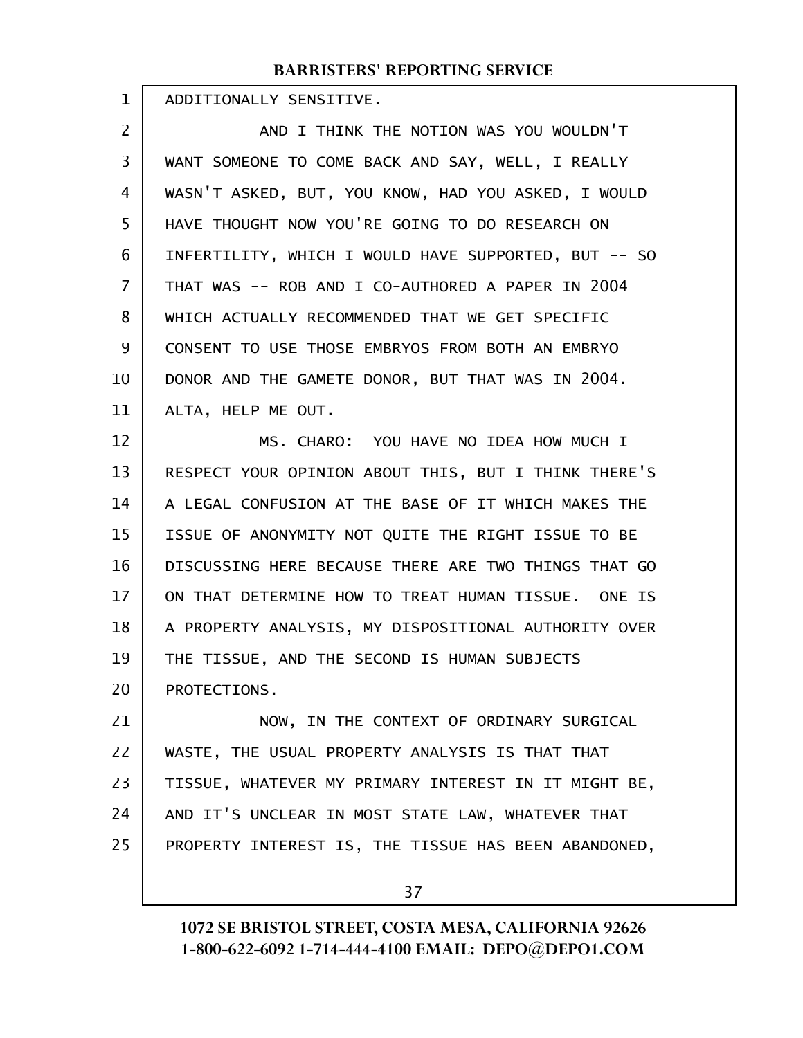ADDITIONALLY SENSITIVE. 1

AND I THINK THE NOTION WAS YOU WOULDN'T WANT SOMEONE TO COME BACK AND SAY, WELL, I REALLY WASN'T ASKED, BUT, YOU KNOW, HAD YOU ASKED, I WOULD HAVE THOUGHT NOW YOU'RE GOING TO DO RESEARCH ON INFERTILITY, WHICH I WOULD HAVE SUPPORTED, BUT -- SO THAT WAS -- ROB AND I CO-AUTHORED A PAPER IN 2004 WHICH ACTUALLY RECOMMENDED THAT WE GET SPECIFIC CONSENT TO USE THOSE EMBRYOS FROM BOTH AN EMBRYO DONOR AND THE GAMETE DONOR, BUT THAT WAS IN 2004. ALTA, HELP ME OUT. MS. CHARO: YOU HAVE NO IDEA HOW MUCH I RESPECT YOUR OPINION ABOUT THIS, BUT I THINK THERE'S A LEGAL CONFUSION AT THE BASE OF IT WHICH MAKES THE ISSUE OF ANONYMITY NOT QUITE THE RIGHT ISSUE TO BE 2 3 4 5 6 7 8 9 10 11 12 13 14 15

DISCUSSING HERE BECAUSE THERE ARE TWO THINGS THAT GO ON THAT DETERMINE HOW TO TREAT HUMAN TISSUE. ONE IS A PROPERTY ANALYSIS, MY DISPOSITIONAL AUTHORITY OVER THE TISSUE, AND THE SECOND IS HUMAN SUBJECTS PROTECTIONS. 16 17 18 19 20

NOW, IN THE CONTEXT OF ORDINARY SURGICAL WASTE, THE USUAL PROPERTY ANALYSIS IS THAT THAT TISSUE, WHATEVER MY PRIMARY INTEREST IN IT MIGHT BE, AND IT'S UNCLEAR IN MOST STATE LAW, WHATEVER THAT PROPERTY INTEREST IS, THE TISSUE HAS BEEN ABANDONED, 21 22 23 24 25

37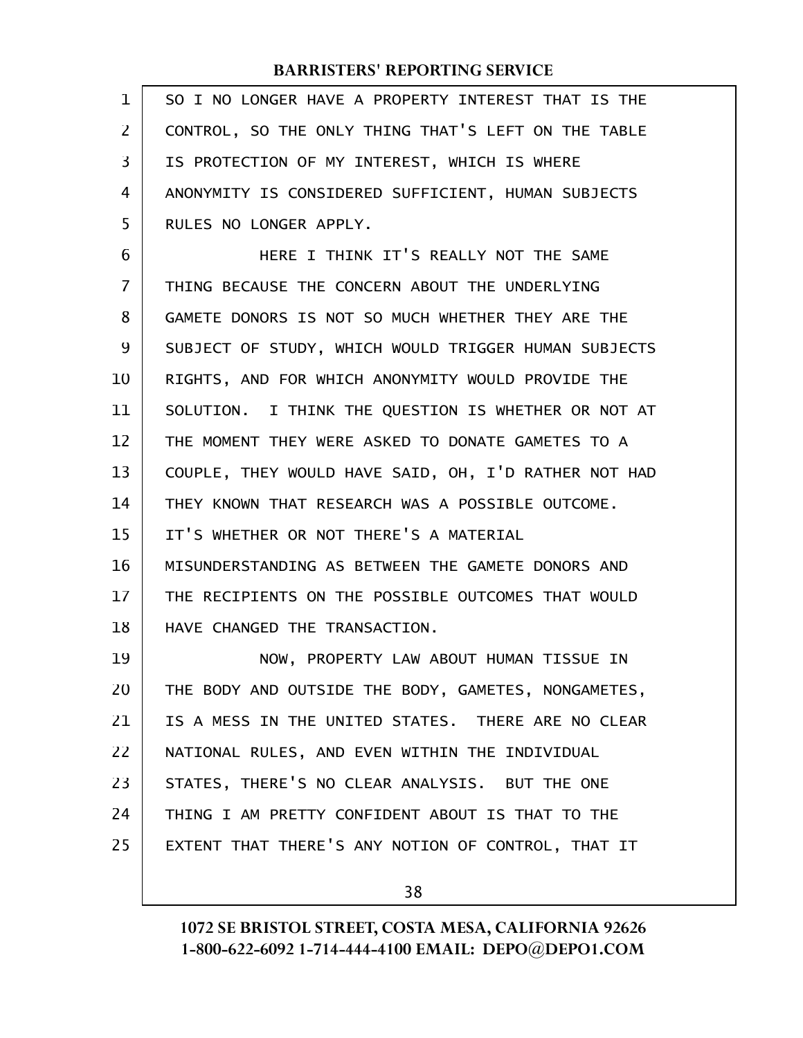| 1              | SO I NO LONGER HAVE A PROPERTY INTEREST THAT IS THE  |
|----------------|------------------------------------------------------|
| $\overline{2}$ | CONTROL, SO THE ONLY THING THAT'S LEFT ON THE TABLE  |
| 3              | IS PROTECTION OF MY INTEREST, WHICH IS WHERE         |
| 4              | ANONYMITY IS CONSIDERED SUFFICIENT, HUMAN SUBJECTS   |
| 5              | RULES NO LONGER APPLY.                               |
| 6              | HERE I THINK IT'S REALLY NOT THE SAME                |
| $\overline{7}$ | THING BECAUSE THE CONCERN ABOUT THE UNDERLYING       |
| 8              | GAMETE DONORS IS NOT SO MUCH WHETHER THEY ARE THE    |
| 9              | SUBJECT OF STUDY, WHICH WOULD TRIGGER HUMAN SUBJECTS |
| 10             | RIGHTS, AND FOR WHICH ANONYMITY WOULD PROVIDE THE    |
| 11             | SOLUTION. I THINK THE QUESTION IS WHETHER OR NOT AT  |
| 12             | THE MOMENT THEY WERE ASKED TO DONATE GAMETES TO A    |
| 13             | COUPLE, THEY WOULD HAVE SAID, OH, I'D RATHER NOT HAD |
| 14             | THEY KNOWN THAT RESEARCH WAS A POSSIBLE OUTCOME.     |
| 15             | IT'S WHETHER OR NOT THERE'S A MATERIAL               |
| 16             | MISUNDERSTANDING AS BETWEEN THE GAMETE DONORS AND    |
| 17             | THE RECIPIENTS ON THE POSSIBLE OUTCOMES THAT WOULD   |
| 18             | HAVE CHANGED THE TRANSACTION.                        |
| 19             | NOW, PROPERTY LAW ABOUT HUMAN TISSUE IN              |
| 20             | THE BODY AND OUTSIDE THE BODY, GAMETES, NONGAMETES,  |
| 21             | IS A MESS IN THE UNITED STATES. THERE ARE NO CLEAR   |
| 22             | NATIONAL RULES, AND EVEN WITHIN THE INDIVIDUAL       |
| 23             | STATES, THERE'S NO CLEAR ANALYSIS. BUT THE ONE       |
| 24             | THING I AM PRETTY CONFIDENT ABOUT IS THAT TO THE     |
| 25             | EXTENT THAT THERE'S ANY NOTION OF CONTROL, THAT IT   |
|                |                                                      |

38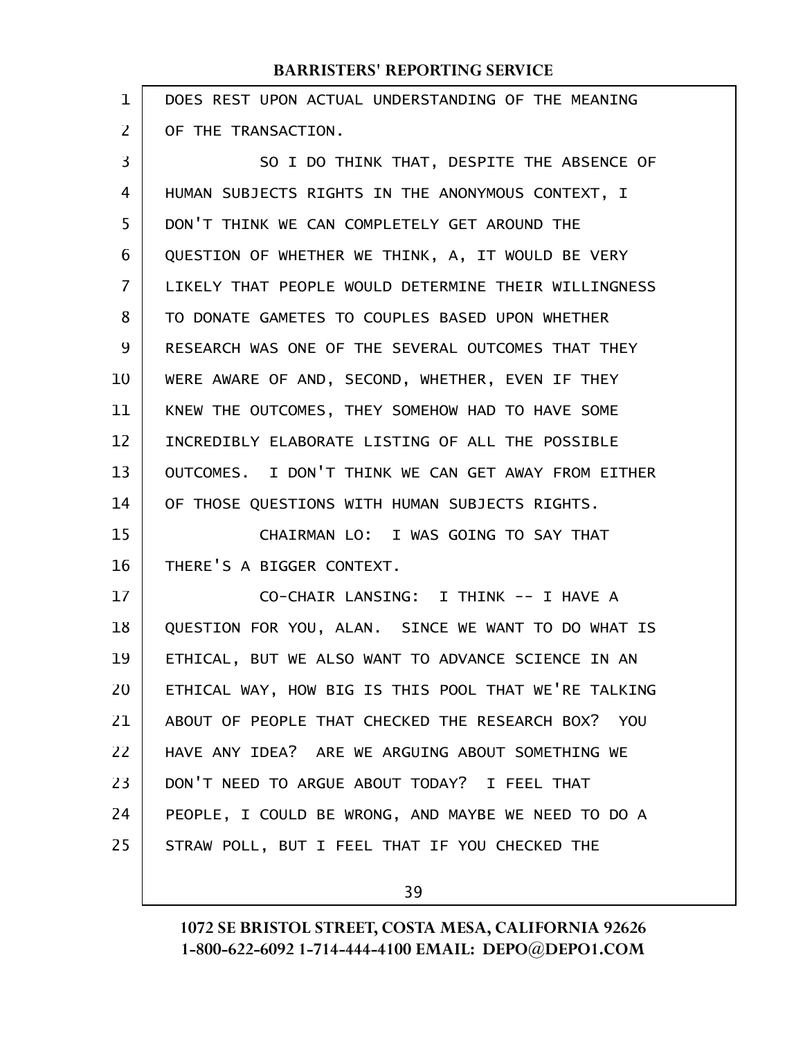| 1              | DOES REST UPON ACTUAL UNDERSTANDING OF THE MEANING   |
|----------------|------------------------------------------------------|
| 2              | OF THE TRANSACTION.                                  |
| 3              | SO I DO THINK THAT, DESPITE THE ABSENCE OF           |
| 4              | HUMAN SUBJECTS RIGHTS IN THE ANONYMOUS CONTEXT, I    |
| 5              | DON'T THINK WE CAN COMPLETELY GET AROUND THE         |
| 6              | QUESTION OF WHETHER WE THINK, A, IT WOULD BE VERY    |
| $\overline{7}$ | LIKELY THAT PEOPLE WOULD DETERMINE THEIR WILLINGNESS |
| 8              | TO DONATE GAMETES TO COUPLES BASED UPON WHETHER      |
| 9              | RESEARCH WAS ONE OF THE SEVERAL OUTCOMES THAT THEY   |
| 10             | WERE AWARE OF AND, SECOND, WHETHER, EVEN IF THEY     |
| 11             | KNEW THE OUTCOMES, THEY SOMEHOW HAD TO HAVE SOME     |
| 12             | INCREDIBLY ELABORATE LISTING OF ALL THE POSSIBLE     |
| 13             | OUTCOMES. I DON'T THINK WE CAN GET AWAY FROM EITHER  |
| 14             | OF THOSE QUESTIONS WITH HUMAN SUBJECTS RIGHTS.       |
| 15             | CHAIRMAN LO: I WAS GOING TO SAY THAT                 |
| 16             | THERE'S A BIGGER CONTEXT.                            |
| 17             | CO-CHAIR LANSING: I THINK -- I HAVE A                |
| 18             | QUESTION FOR YOU, ALAN. SINCE WE WANT TO DO WHAT IS  |
| 19             | ETHICAL, BUT WE ALSO WANT TO ADVANCE SCIENCE IN AN   |
| 20             | ETHICAL WAY, HOW BIG IS THIS POOL THAT WE'RE TALKING |
| 21             | ABOUT OF PEOPLE THAT CHECKED THE RESEARCH BOX? YOU   |
| 22             | HAVE ANY IDEA? ARE WE ARGUING ABOUT SOMETHING WE     |
| 23             | DON'T NEED TO ARGUE ABOUT TODAY? I FEEL THAT         |
| 24             | PEOPLE, I COULD BE WRONG, AND MAYBE WE NEED TO DO A  |
| 25             | STRAW POLL, BUT I FEEL THAT IF YOU CHECKED THE       |
|                |                                                      |

39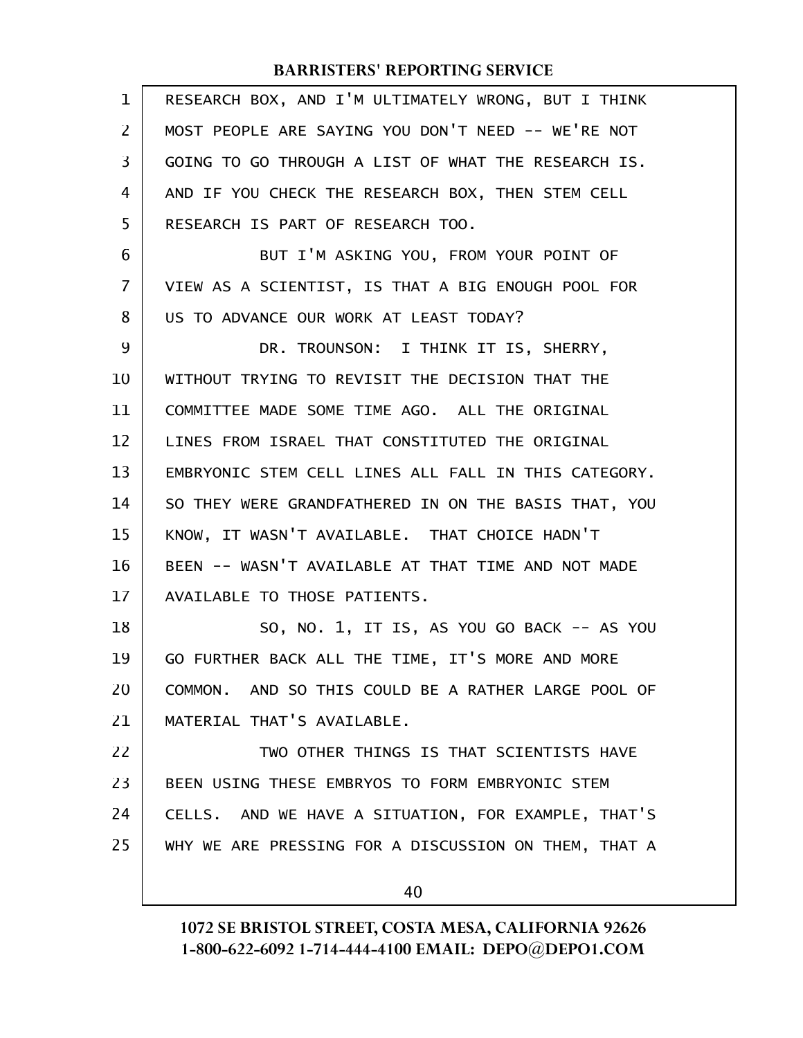| $\mathbf 1$ | RESEARCH BOX, AND I'M ULTIMATELY WRONG, BUT I THINK  |
|-------------|------------------------------------------------------|
| 2           | MOST PEOPLE ARE SAYING YOU DON'T NEED -- WE'RE NOT   |
| 3           | GOING TO GO THROUGH A LIST OF WHAT THE RESEARCH IS.  |
| 4           | AND IF YOU CHECK THE RESEARCH BOX, THEN STEM CELL    |
| 5           | RESEARCH IS PART OF RESEARCH TOO.                    |
| 6           | BUT I'M ASKING YOU, FROM YOUR POINT OF               |
| 7           | VIEW AS A SCIENTIST, IS THAT A BIG ENOUGH POOL FOR   |
| 8           | US TO ADVANCE OUR WORK AT LEAST TODAY?               |
| 9           | DR. TROUNSON: I THINK IT IS, SHERRY,                 |
| 10          | WITHOUT TRYING TO REVISIT THE DECISION THAT THE      |
| 11          | COMMITTEE MADE SOME TIME AGO. ALL THE ORIGINAL       |
| 12          | LINES FROM ISRAEL THAT CONSTITUTED THE ORIGINAL      |
| 13          | EMBRYONIC STEM CELL LINES ALL FALL IN THIS CATEGORY. |
| 14          | SO THEY WERE GRANDFATHERED IN ON THE BASIS THAT, YOU |
| 15          | KNOW, IT WASN'T AVAILABLE. THAT CHOICE HADN'T        |
| 16          | BEEN -- WASN'T AVAILABLE AT THAT TIME AND NOT MADE   |
| 17          | AVAILABLE TO THOSE PATIENTS.                         |
| 18          | SO, NO. 1, IT IS, AS YOU GO BACK -- AS YOU           |
| 19          | GO FURTHER BACK ALL THE TIME, IT'S MORE AND MORE     |
| 20          | COMMON. AND SO THIS COULD BE A RATHER LARGE POOL OF  |
| 21          | MATERIAL THAT'S AVAILABLE.                           |
| 22          | TWO OTHER THINGS IS THAT SCIENTISTS HAVE             |
| 23          | BEEN USING THESE EMBRYOS TO FORM EMBRYONIC STEM      |
| 24          | CELLS. AND WE HAVE A SITUATION, FOR EXAMPLE, THAT'S  |
| 25          | WHY WE ARE PRESSING FOR A DISCUSSION ON THEM, THAT A |
|             | 40                                                   |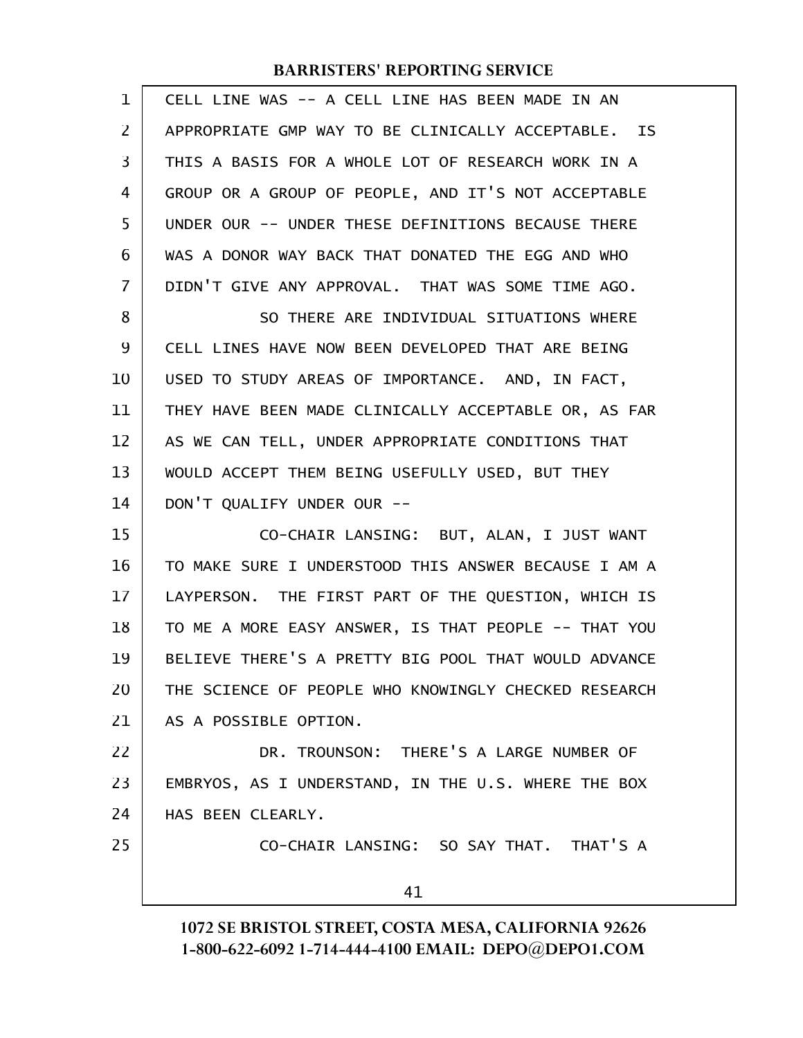| APPROPRIATE GMP WAY TO BE CLINICALLY ACCEPTABLE. IS<br>THIS A BASIS FOR A WHOLE LOT OF RESEARCH WORK IN A<br>GROUP OR A GROUP OF PEOPLE, AND IT'S NOT ACCEPTABLE<br>UNDER OUR -- UNDER THESE DEFINITIONS BECAUSE THERE |
|------------------------------------------------------------------------------------------------------------------------------------------------------------------------------------------------------------------------|
|                                                                                                                                                                                                                        |
|                                                                                                                                                                                                                        |
|                                                                                                                                                                                                                        |
|                                                                                                                                                                                                                        |
|                                                                                                                                                                                                                        |
| DIDN'T GIVE ANY APPROVAL. THAT WAS SOME TIME AGO.                                                                                                                                                                      |
| SO THERE ARE INDIVIDUAL SITUATIONS WHERE                                                                                                                                                                               |
|                                                                                                                                                                                                                        |
|                                                                                                                                                                                                                        |
| THEY HAVE BEEN MADE CLINICALLY ACCEPTABLE OR, AS FAR                                                                                                                                                                   |
|                                                                                                                                                                                                                        |
|                                                                                                                                                                                                                        |
|                                                                                                                                                                                                                        |
| CO-CHAIR LANSING: BUT, ALAN, I JUST WANT                                                                                                                                                                               |
| TO MAKE SURE I UNDERSTOOD THIS ANSWER BECAUSE I AM A                                                                                                                                                                   |
| LAYPERSON. THE FIRST PART OF THE QUESTION, WHICH IS                                                                                                                                                                    |
| TO ME A MORE EASY ANSWER, IS THAT PEOPLE -- THAT YOU                                                                                                                                                                   |
| BELIEVE THERE'S A PRETTY BIG POOL THAT WOULD ADVANCE                                                                                                                                                                   |
| THE SCIENCE OF PEOPLE WHO KNOWINGLY CHECKED RESEARCH                                                                                                                                                                   |
|                                                                                                                                                                                                                        |
| DR. TROUNSON: THERE'S A LARGE NUMBER OF                                                                                                                                                                                |
| EMBRYOS, AS I UNDERSTAND, IN THE U.S. WHERE THE BOX                                                                                                                                                                    |
|                                                                                                                                                                                                                        |
|                                                                                                                                                                                                                        |
| CO-CHAIR LANSING: SO SAY THAT. THAT'S A                                                                                                                                                                                |
|                                                                                                                                                                                                                        |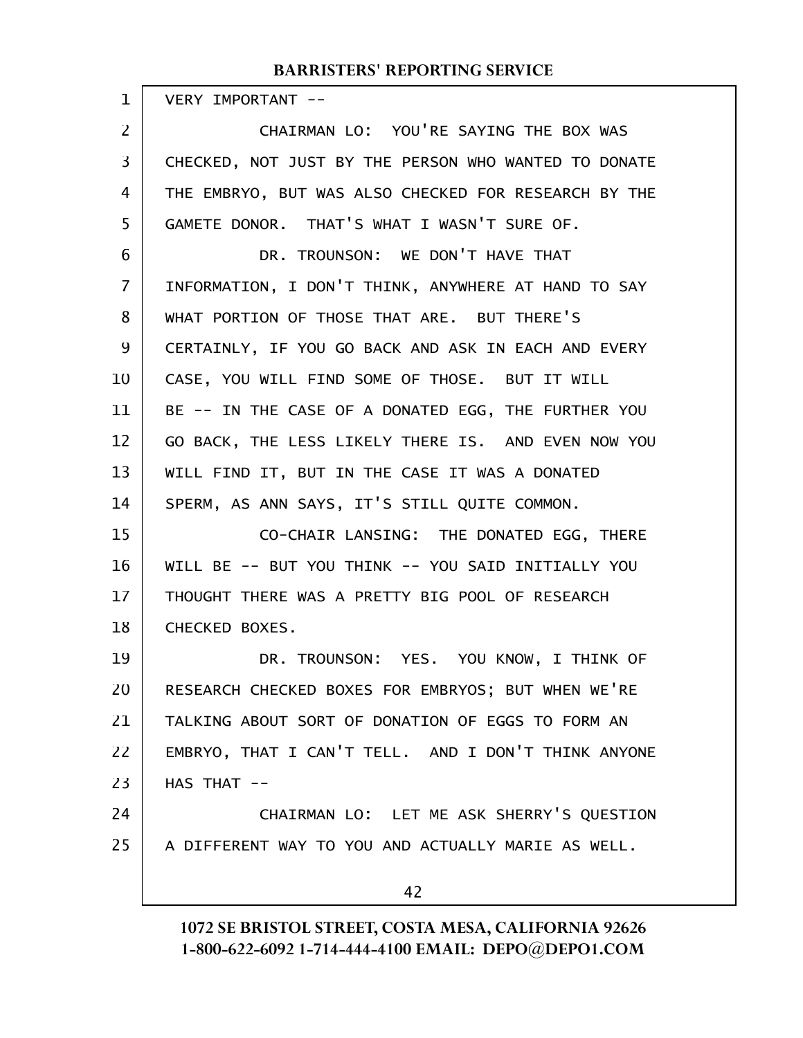| 1              | VERY IMPORTANT --                                    |
|----------------|------------------------------------------------------|
| $\overline{2}$ | CHAIRMAN LO: YOU'RE SAYING THE BOX WAS               |
| 3              | CHECKED, NOT JUST BY THE PERSON WHO WANTED TO DONATE |
| 4              | THE EMBRYO, BUT WAS ALSO CHECKED FOR RESEARCH BY THE |
| 5              | GAMETE DONOR. THAT'S WHAT I WASN'T SURE OF.          |
| 6              | DR. TROUNSON: WE DON'T HAVE THAT                     |
| $\overline{7}$ | INFORMATION, I DON'T THINK, ANYWHERE AT HAND TO SAY  |
| 8              | WHAT PORTION OF THOSE THAT ARE. BUT THERE'S          |
| 9              | CERTAINLY, IF YOU GO BACK AND ASK IN EACH AND EVERY  |
| 10             | CASE, YOU WILL FIND SOME OF THOSE. BUT IT WILL       |
| 11             | BE -- IN THE CASE OF A DONATED EGG, THE FURTHER YOU  |
| 12             | GO BACK, THE LESS LIKELY THERE IS. AND EVEN NOW YOU  |
| 13             | WILL FIND IT, BUT IN THE CASE IT WAS A DONATED       |
| 14             | SPERM, AS ANN SAYS, IT'S STILL QUITE COMMON.         |
| 15             | CO-CHAIR LANSING: THE DONATED EGG, THERE             |
| 16             | WILL BE -- BUT YOU THINK -- YOU SAID INITIALLY YOU   |
| 17             | THOUGHT THERE WAS A PRETTY BIG POOL OF RESEARCH      |
| 18             | CHECKED BOXES.                                       |
| 19             | DR. TROUNSON: YES. YOU KNOW, I THINK OF              |
| 20             | RESEARCH CHECKED BOXES FOR EMBRYOS; BUT WHEN WE'RE   |
| 21             | TALKING ABOUT SORT OF DONATION OF EGGS TO FORM AN    |
| 22             | EMBRYO, THAT I CAN'T TELL. AND I DON'T THINK ANYONE  |
| 23             | HAS THAT --                                          |
| 24             | CHAIRMAN LO: LET ME ASK SHERRY'S QUESTION            |
| 25             | A DIFFERENT WAY TO YOU AND ACTUALLY MARIE AS WELL.   |
|                | 42                                                   |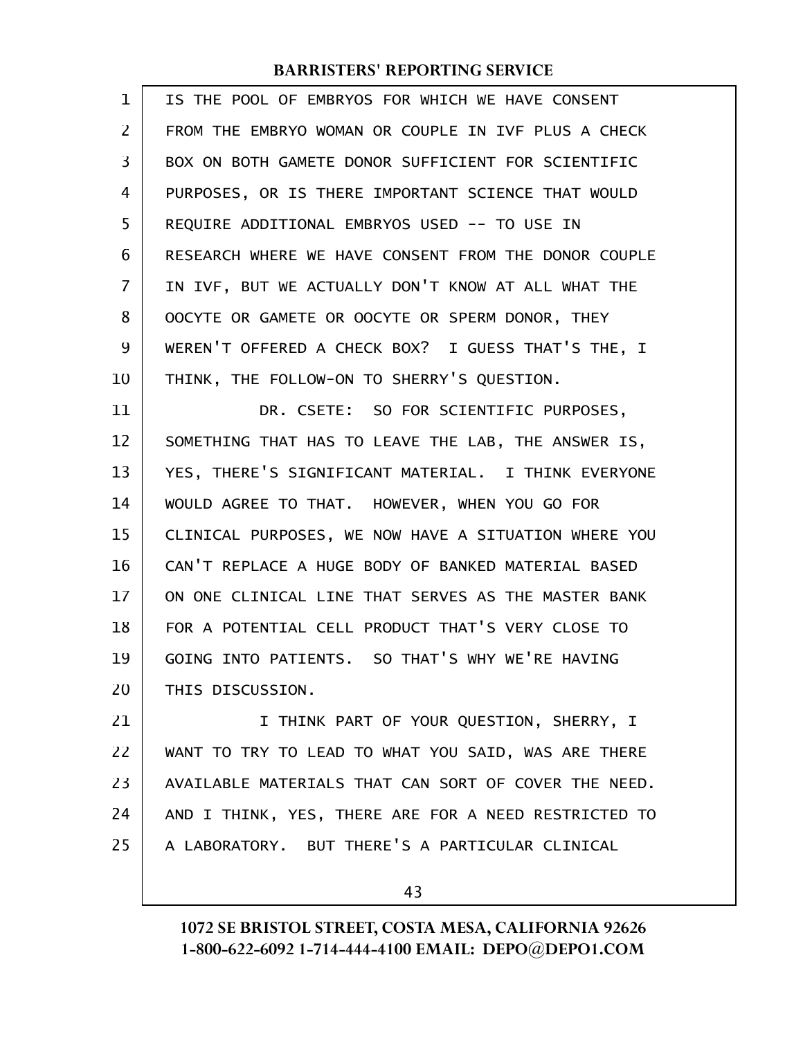| 1  | IS THE POOL OF EMBRYOS FOR WHICH WE HAVE CONSENT     |
|----|------------------------------------------------------|
| 2  | FROM THE EMBRYO WOMAN OR COUPLE IN IVF PLUS A CHECK  |
| 3  | BOX ON BOTH GAMETE DONOR SUFFICIENT FOR SCIENTIFIC   |
| 4  | PURPOSES, OR IS THERE IMPORTANT SCIENCE THAT WOULD   |
| 5  | REQUIRE ADDITIONAL EMBRYOS USED -- TO USE IN         |
| 6  | RESEARCH WHERE WE HAVE CONSENT FROM THE DONOR COUPLE |
| 7  | IN IVF, BUT WE ACTUALLY DON'T KNOW AT ALL WHAT THE   |
| 8  | OOCYTE OR GAMETE OR OOCYTE OR SPERM DONOR, THEY      |
| 9  | WEREN'T OFFERED A CHECK BOX? I GUESS THAT'S THE, I   |
| 10 | THINK, THE FOLLOW-ON TO SHERRY'S QUESTION.           |
| 11 | DR. CSETE: SO FOR SCIENTIFIC PURPOSES,               |
| 12 | SOMETHING THAT HAS TO LEAVE THE LAB, THE ANSWER IS,  |
| 13 | YES, THERE'S SIGNIFICANT MATERIAL. I THINK EVERYONE  |
| 14 | WOULD AGREE TO THAT. HOWEVER, WHEN YOU GO FOR        |
| 15 | CLINICAL PURPOSES, WE NOW HAVE A SITUATION WHERE YOU |
| 16 | CAN'T REPLACE A HUGE BODY OF BANKED MATERIAL BASED   |
| 17 | ON ONE CLINICAL LINE THAT SERVES AS THE MASTER BANK  |
| 18 | FOR A POTENTIAL CELL PRODUCT THAT'S VERY CLOSE TO    |
| 19 | GOING INTO PATIENTS. SO THAT'S WHY WE'RE HAVING      |
| 20 | THIS DISCUSSION.                                     |
| 21 | I THINK PART OF YOUR QUESTION, SHERRY, I             |
| 22 | WANT TO TRY TO LEAD TO WHAT YOU SAID, WAS ARE THERE  |
| 23 | AVAILABLE MATERIALS THAT CAN SORT OF COVER THE NEED. |
| 24 | AND I THINK, YES, THERE ARE FOR A NEED RESTRICTED TO |
| 25 | A LABORATORY, BUT THERE'S A PARTICULAR CLINICAL      |
|    |                                                      |

43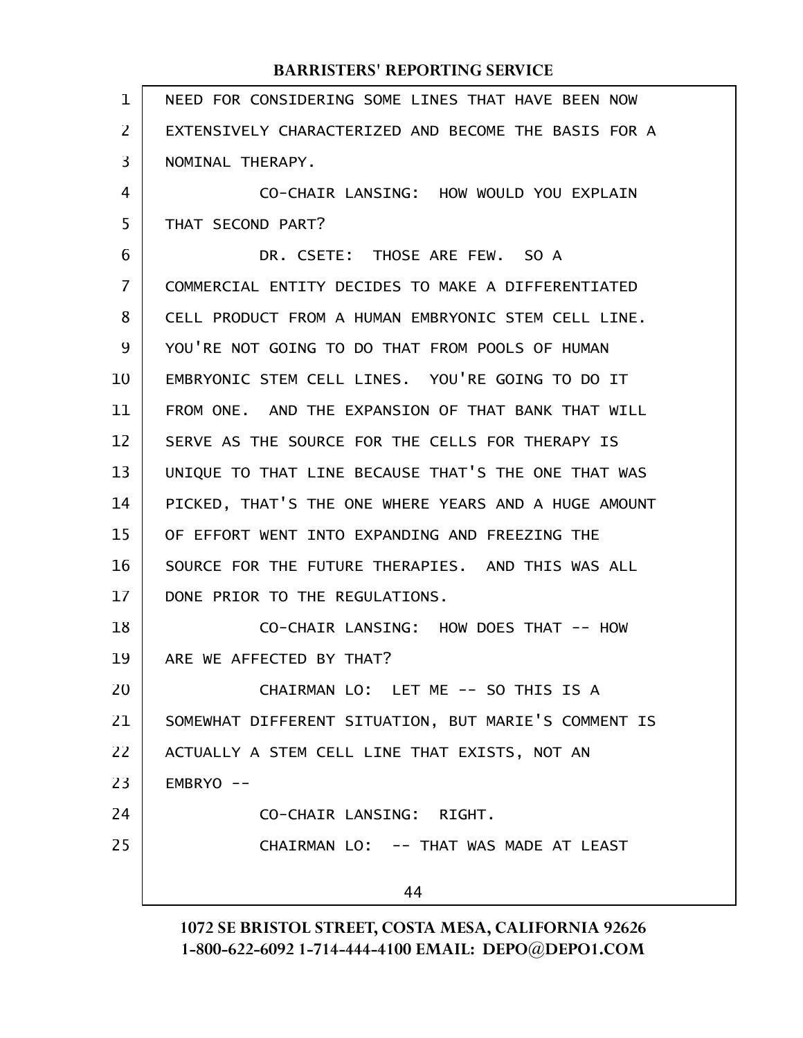| $\mathbf 1$    | NEED FOR CONSIDERING SOME LINES THAT HAVE BEEN NOW   |
|----------------|------------------------------------------------------|
| $\overline{2}$ | EXTENSIVELY CHARACTERIZED AND BECOME THE BASIS FOR A |
| 3              | NOMINAL THERAPY.                                     |
| 4              | CO-CHAIR LANSING: HOW WOULD YOU EXPLAIN              |
| 5              | THAT SECOND PART?                                    |
| 6              | DR. CSETE: THOSE ARE FEW. SO A                       |
| $\overline{7}$ | COMMERCIAL ENTITY DECIDES TO MAKE A DIFFERENTIATED   |
| 8              | CELL PRODUCT FROM A HUMAN EMBRYONIC STEM CELL LINE.  |
| 9              | YOU'RE NOT GOING TO DO THAT FROM POOLS OF HUMAN      |
| 10             | EMBRYONIC STEM CELL LINES. YOU'RE GOING TO DO IT     |
| 11             | FROM ONE. AND THE EXPANSION OF THAT BANK THAT WILL   |
| 12             | SERVE AS THE SOURCE FOR THE CELLS FOR THERAPY IS     |
| 13             | UNIQUE TO THAT LINE BECAUSE THAT'S THE ONE THAT WAS  |
| 14             | PICKED, THAT'S THE ONE WHERE YEARS AND A HUGE AMOUNT |
| 15             | OF EFFORT WENT INTO EXPANDING AND FREEZING THE       |
| 16             | SOURCE FOR THE FUTURE THERAPIES. AND THIS WAS ALL    |
| 17             | DONE PRIOR TO THE REGULATIONS.                       |
| 18             | CO-CHAIR LANSING: HOW DOES THAT -- HOW               |
| 19             | ARE WE AFFECTED BY THAT?                             |
| 20             | CHAIRMAN LO: LET ME -- SO THIS IS A                  |
| 21             | SOMEWHAT DIFFERENT SITUATION, BUT MARIE'S COMMENT IS |
| 22             | ACTUALLY A STEM CELL LINE THAT EXISTS, NOT AN        |
| 23             | EMBRYO --                                            |
| 24             | CO-CHAIR LANSING: RIGHT.                             |
| 25             | CHAIRMAN LO: -- THAT WAS MADE AT LEAST               |
|                | 44                                                   |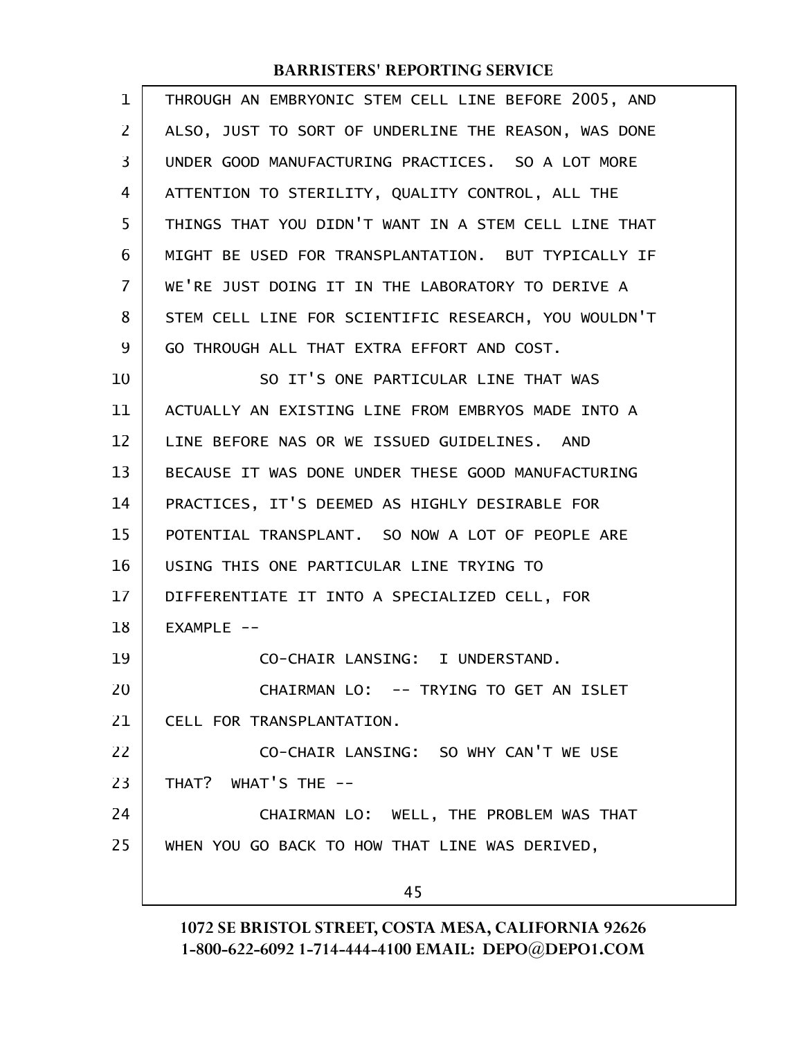| $\mathbf 1$    | THROUGH AN EMBRYONIC STEM CELL LINE BEFORE 2005, AND |
|----------------|------------------------------------------------------|
| $\overline{2}$ | ALSO, JUST TO SORT OF UNDERLINE THE REASON, WAS DONE |
| 3              | UNDER GOOD MANUFACTURING PRACTICES. SO A LOT MORE    |
| 4              | ATTENTION TO STERILITY, QUALITY CONTROL, ALL THE     |
| 5              | THINGS THAT YOU DIDN'T WANT IN A STEM CELL LINE THAT |
| 6              | MIGHT BE USED FOR TRANSPLANTATION. BUT TYPICALLY IF  |
| $\overline{7}$ | WE'RE JUST DOING IT IN THE LABORATORY TO DERIVE A    |
| 8              | STEM CELL LINE FOR SCIENTIFIC RESEARCH, YOU WOULDN'T |
| 9              | GO THROUGH ALL THAT EXTRA EFFORT AND COST.           |
| 10             | SO IT'S ONE PARTICULAR LINE THAT WAS                 |
| 11             | ACTUALLY AN EXISTING LINE FROM EMBRYOS MADE INTO A   |
| 12             | LINE BEFORE NAS OR WE ISSUED GUIDELINES. AND         |
| 13             | BECAUSE IT WAS DONE UNDER THESE GOOD MANUFACTURING   |
| 14             | PRACTICES, IT'S DEEMED AS HIGHLY DESIRABLE FOR       |
| 15             | POTENTIAL TRANSPLANT. SO NOW A LOT OF PEOPLE ARE     |
| 16             | USING THIS ONE PARTICULAR LINE TRYING TO             |
| 17             | DIFFERENTIATE IT INTO A SPECIALIZED CELL, FOR        |
| 18             | EXAMPLE --                                           |
| 19             | CO-CHAIR LANSING: I UNDERSTAND.                      |
| 20             | CHAIRMAN LO: -- TRYING TO GET AN ISLET               |
| 21             | CELL FOR TRANSPLANTATION.                            |
| 22             | CO-CHAIR LANSING: SO WHY CAN'T WE USE                |
| 23             | THAT? WHAT'S THE --                                  |
| 24             | CHAIRMAN LO: WELL, THE PROBLEM WAS THAT              |
| 25             | WHEN YOU GO BACK TO HOW THAT LINE WAS DERIVED,       |
|                | 45                                                   |
|                |                                                      |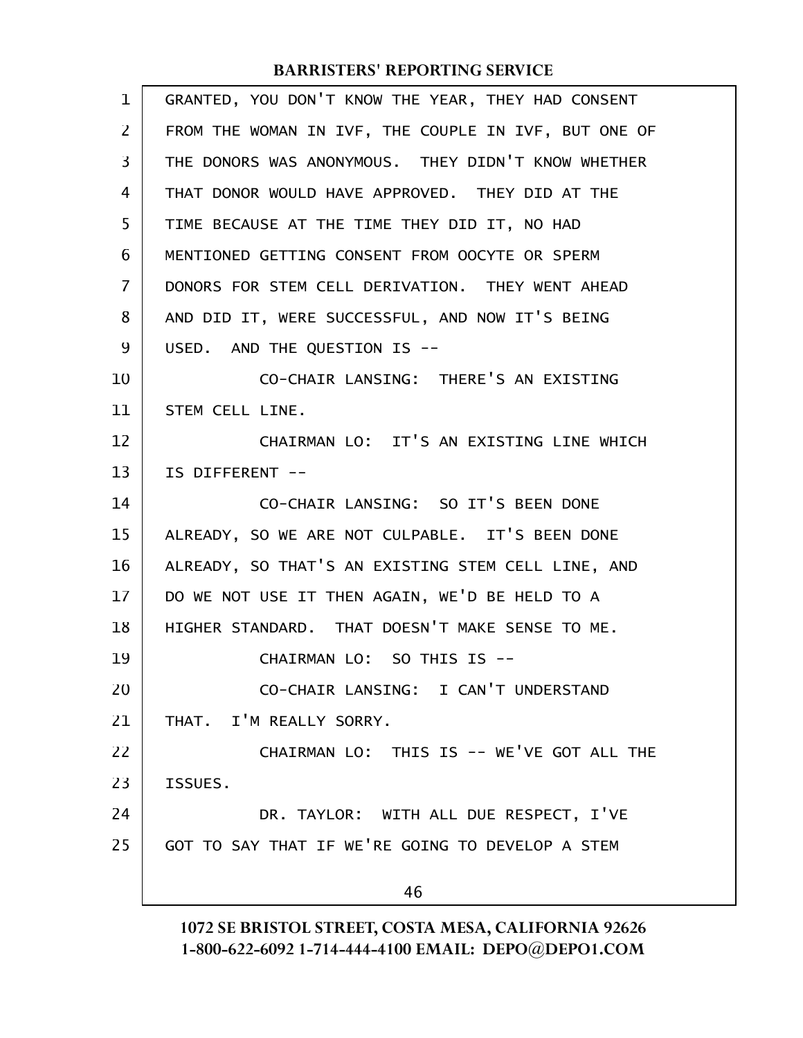| $\mathbf 1$       | GRANTED, YOU DON'T KNOW THE YEAR, THEY HAD CONSENT   |
|-------------------|------------------------------------------------------|
| 2                 | FROM THE WOMAN IN IVF, THE COUPLE IN IVF, BUT ONE OF |
| 3                 | THE DONORS WAS ANONYMOUS. THEY DIDN'T KNOW WHETHER   |
| 4                 | THAT DONOR WOULD HAVE APPROVED. THEY DID AT THE      |
| 5                 | TIME BECAUSE AT THE TIME THEY DID IT, NO HAD         |
| 6                 | MENTIONED GETTING CONSENT FROM OOCYTE OR SPERM       |
| $\overline{7}$    | DONORS FOR STEM CELL DERIVATION. THEY WENT AHEAD     |
| 8                 | AND DID IT, WERE SUCCESSFUL, AND NOW IT'S BEING      |
| 9                 | USED. AND THE QUESTION IS --                         |
| 10                | CO-CHAIR LANSING: THERE'S AN EXISTING                |
| 11                | STEM CELL LINE.                                      |
| $12 \overline{ }$ | CHAIRMAN LO: IT'S AN EXISTING LINE WHICH             |
| 13                | IS DIFFERENT --                                      |
| 14                | CO-CHAIR LANSING: SO IT'S BEEN DONE                  |
| 15                | ALREADY, SO WE ARE NOT CULPABLE. IT'S BEEN DONE      |
| 16                | ALREADY, SO THAT'S AN EXISTING STEM CELL LINE, AND   |
| 17                | DO WE NOT USE IT THEN AGAIN, WE'D BE HELD TO A       |
| 18                | HIGHER STANDARD. THAT DOESN'T MAKE SENSE TO ME.      |
| 19                | CHAIRMAN LO: SO THIS IS --                           |
| 20                | CO-CHAIR LANSING: I CAN'T UNDERSTAND                 |
| 21                | THAT. I'M REALLY SORRY.                              |
| 22                | CHAIRMAN LO: THIS IS -- WE'VE GOT ALL THE            |
| 23                | ISSUES.                                              |
| 24                | DR. TAYLOR: WITH ALL DUE RESPECT, I'VE               |
| 25                | GOT TO SAY THAT IF WE'RE GOING TO DEVELOP A STEM     |
|                   | 46                                                   |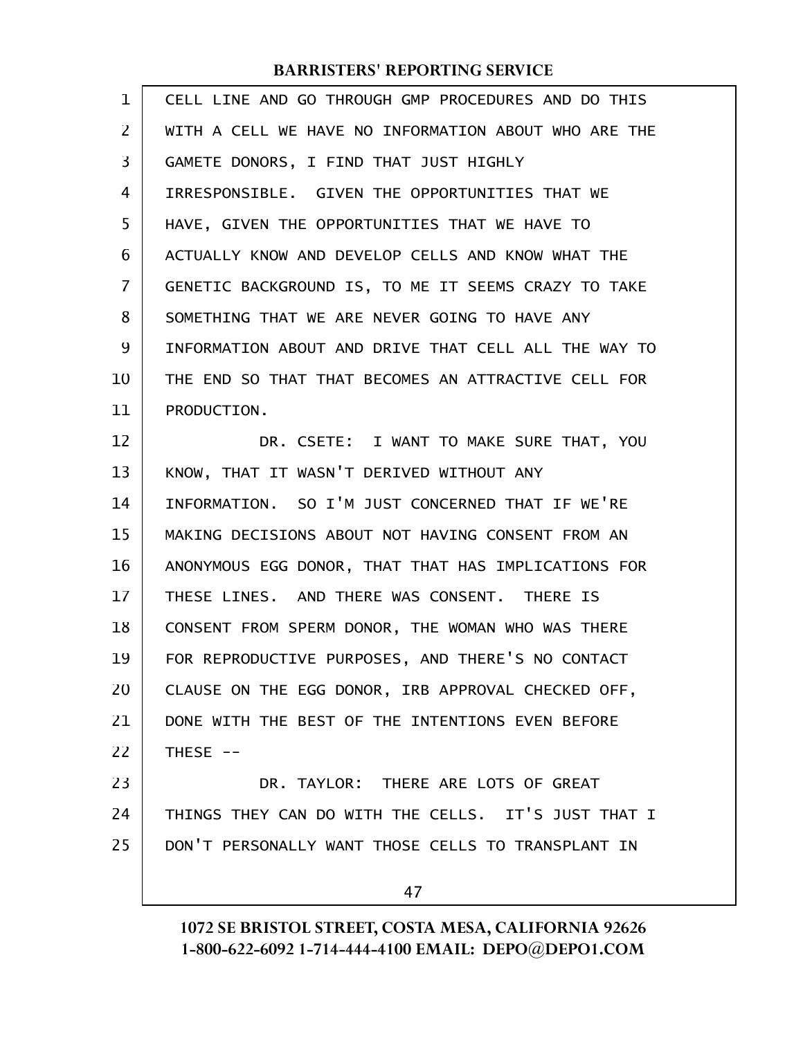| 1  | CELL LINE AND GO THROUGH GMP PROCEDURES AND DO THIS  |
|----|------------------------------------------------------|
| 2  | WITH A CELL WE HAVE NO INFORMATION ABOUT WHO ARE THE |
| 3  | GAMETE DONORS, I FIND THAT JUST HIGHLY               |
| 4  | IRRESPONSIBLE. GIVEN THE OPPORTUNITIES THAT WE       |
| 5  | HAVE, GIVEN THE OPPORTUNITIES THAT WE HAVE TO        |
| 6  | ACTUALLY KNOW AND DEVELOP CELLS AND KNOW WHAT THE    |
| 7  | GENETIC BACKGROUND IS, TO ME IT SEEMS CRAZY TO TAKE  |
| 8  | SOMETHING THAT WE ARE NEVER GOING TO HAVE ANY        |
| 9  | INFORMATION ABOUT AND DRIVE THAT CELL ALL THE WAY TO |
| 10 | THE END SO THAT THAT BECOMES AN ATTRACTIVE CELL FOR  |
| 11 | PRODUCTION.                                          |
| 12 | DR. CSETE: I WANT TO MAKE SURE THAT, YOU             |
| 13 | KNOW, THAT IT WASN'T DERIVED WITHOUT ANY             |
| 14 | INFORMATION. SO I'M JUST CONCERNED THAT IF WE'RE     |
| 15 | MAKING DECISIONS ABOUT NOT HAVING CONSENT FROM AN    |
| 16 | ANONYMOUS EGG DONOR, THAT THAT HAS IMPLICATIONS FOR  |
| 17 | THESE LINES. AND THERE WAS CONSENT. THERE IS         |
| 18 | CONSENT FROM SPERM DONOR, THE WOMAN WHO WAS THERE    |
| 19 | FOR REPRODUCTIVE PURPOSES, AND THERE'S NO CONTACT    |
| 20 | CLAUSE ON THE EGG DONOR, IRB APPROVAL CHECKED OFF,   |
| 21 | DONE WITH THE BEST OF THE INTENTIONS EVEN BEFORE     |
| 22 | THESE --                                             |
| 23 | DR. TAYLOR: THERE ARE LOTS OF GREAT                  |
| 24 | THINGS THEY CAN DO WITH THE CELLS. IT'S JUST THAT I  |
| 25 | DON'T PERSONALLY WANT THOSE CELLS TO TRANSPLANT IN   |
|    | 47                                                   |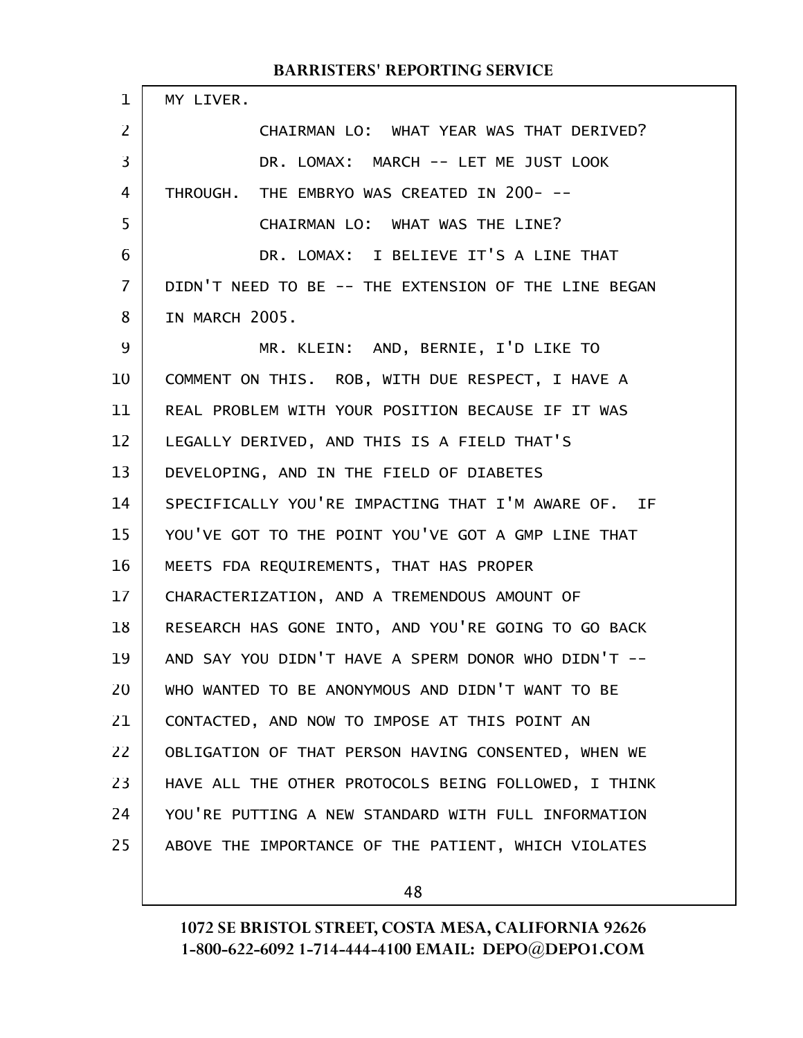# MY LIVER. CHAIRMAN LO: WHAT YEAR WAS THAT DERIVED? DR. LOMAX: MARCH -- LET ME JUST LOOK THROUGH. THE EMBRYO WAS CREATED IN 200- --CHAIRMAN LO: WHAT WAS THE LINE? DR. LOMAX: I BELIEVE IT'S A LINE THAT DIDN'T NEED TO BE -- THE EXTENSION OF THE LINE BEGAN IN MARCH 2005. MR. KLEIN: AND, BERNIE, I'D LIKE TO COMMENT ON THIS. ROB, WITH DUE RESPECT, I HAVE A REAL PROBLEM WITH YOUR POSITION BECAUSE IF IT WAS LEGALLY DERIVED, AND THIS IS A FIELD THAT'S BARRISTERS' REPORTING SERVICE

1

2

3

4

DEVELOPING, AND IN THE FIELD OF DIABETES SPECIFICALLY YOU'RE IMPACTING THAT I'M AWARE OF. IF YOU'VE GOT TO THE POINT YOU'VE GOT A GMP LINE THAT MEETS FDA REQUIREMENTS, THAT HAS PROPER CHARACTERIZATION, AND A TREMENDOUS AMOUNT OF RESEARCH HAS GONE INTO, AND YOU'RE GOING TO GO BACK AND SAY YOU DIDN'T HAVE A SPERM DONOR WHO DIDN'T -- WHO WANTED TO BE ANONYMOUS AND DIDN'T WANT TO BE CONTACTED, AND NOW TO IMPOSE AT THIS POINT AN OBLIGATION OF THAT PERSON HAVING CONSENTED, WHEN WE HAVE ALL THE OTHER PROTOCOLS BEING FOLLOWED, I THINK YOU'RE PUTTING A NEW STANDARD WITH FULL INFORMATION ABOVE THE IMPORTANCE OF THE PATIENT, WHICH VIOLATES 5 6 7 8 9 10 11 12 13 14 15 16 17 18 19 20 21 22 23 24 25

48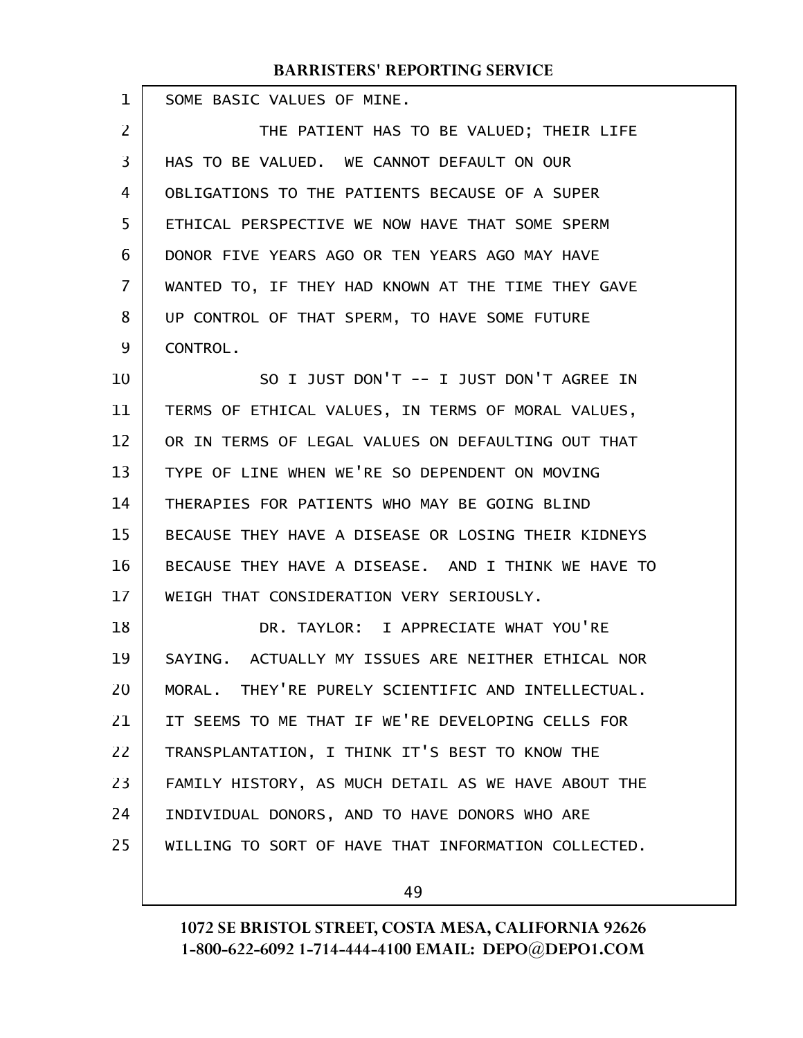SOME BASIC VALUES OF MINE. 1

THE PATIENT HAS TO BE VALUED; THEIR LIFE HAS TO BE VALUED. WE CANNOT DEFAULT ON OUR OBLIGATIONS TO THE PATIENTS BECAUSE OF A SUPER ETHICAL PERSPECTIVE WE NOW HAVE THAT SOME SPERM DONOR FIVE YEARS AGO OR TEN YEARS AGO MAY HAVE WANTED TO, IF THEY HAD KNOWN AT THE TIME THEY GAVE UP CONTROL OF THAT SPERM, TO HAVE SOME FUTURE CONTROL. 2 3 4 5 6 7 8 9

SO I JUST DON'T -- I JUST DON'T AGREE IN TERMS OF ETHICAL VALUES, IN TERMS OF MORAL VALUES, OR IN TERMS OF LEGAL VALUES ON DEFAULTING OUT THAT TYPE OF LINE WHEN WE'RE SO DEPENDENT ON MOVING THERAPIES FOR PATIENTS WHO MAY BE GOING BLIND BECAUSE THEY HAVE A DISEASE OR LOSING THEIR KIDNEYS BECAUSE THEY HAVE A DISEASE. AND I THINK WE HAVE TO WEIGH THAT CONSIDERATION VERY SERIOUSLY. 10 11 12 13 14 15 16 17

DR. TAYLOR: I APPRECIATE WHAT YOU'RE SAYING. ACTUALLY MY ISSUES ARE NEITHER ETHICAL NOR MORAL. THEY'RE PURELY SCIENTIFIC AND INTELLECTUAL. IT SEEMS TO ME THAT IF WE'RE DEVELOPING CELLS FOR TRANSPLANTATION, I THINK IT'S BEST TO KNOW THE FAMILY HISTORY, AS MUCH DETAIL AS WE HAVE ABOUT THE INDIVIDUAL DONORS, AND TO HAVE DONORS WHO ARE WILLING TO SORT OF HAVE THAT INFORMATION COLLECTED. 18 19 20 21 22 23 24 25

49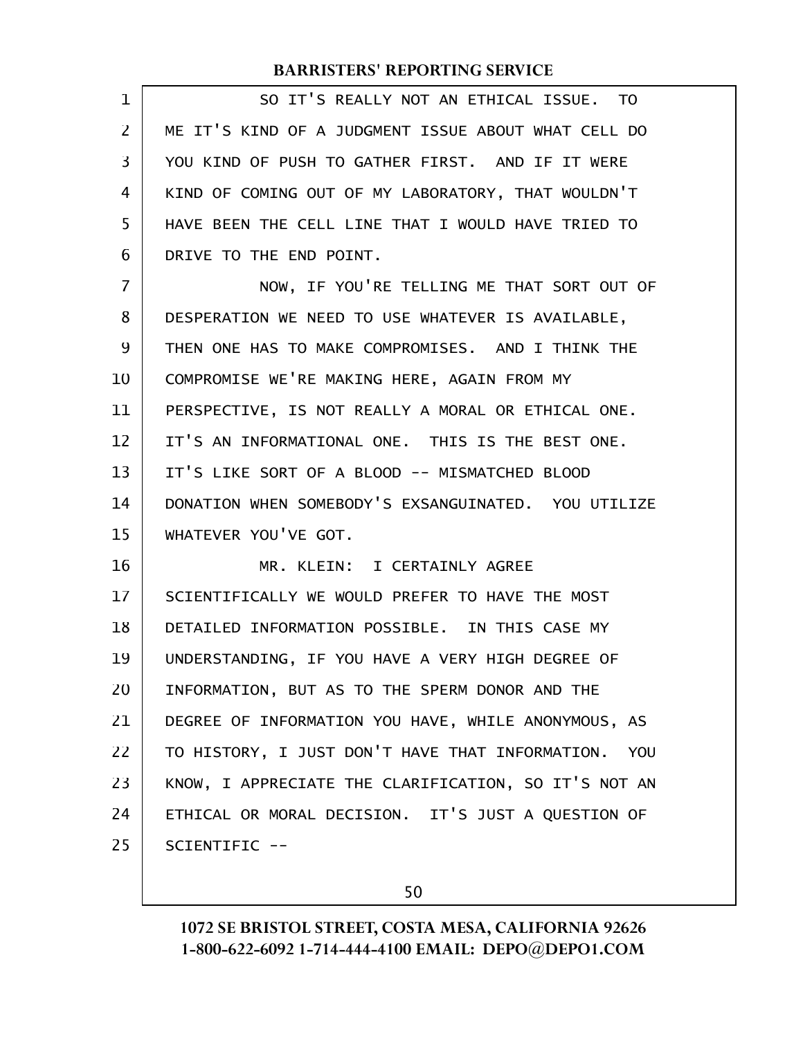| $\mathbf 1$ | SO IT'S REALLY NOT AN ETHICAL ISSUE. TO              |
|-------------|------------------------------------------------------|
| 2           | ME IT'S KIND OF A JUDGMENT ISSUE ABOUT WHAT CELL DO  |
| 3           | YOU KIND OF PUSH TO GATHER FIRST. AND IF IT WERE     |
| 4           | KIND OF COMING OUT OF MY LABORATORY, THAT WOULDN'T   |
| 5           | HAVE BEEN THE CELL LINE THAT I WOULD HAVE TRIED TO   |
| 6           | DRIVE TO THE END POINT.                              |
| 7           | NOW, IF YOU'RE TELLING ME THAT SORT OUT OF           |
| 8           | DESPERATION WE NEED TO USE WHATEVER IS AVAILABLE,    |
| 9           | THEN ONE HAS TO MAKE COMPROMISES. AND I THINK THE    |
| 10          | COMPROMISE WE'RE MAKING HERE, AGAIN FROM MY          |
| 11          | PERSPECTIVE, IS NOT REALLY A MORAL OR ETHICAL ONE.   |
| 12          | IT'S AN INFORMATIONAL ONE. THIS IS THE BEST ONE.     |
| 13          | IT'S LIKE SORT OF A BLOOD -- MISMATCHED BLOOD        |
| 14          | DONATION WHEN SOMEBODY'S EXSANGUINATED. YOU UTILIZE  |
| 15          | WHATEVER YOU'VE GOT.                                 |
| 16          | MR. KLEIN: I CERTAINLY AGREE                         |
| 17          | SCIENTIFICALLY WE WOULD PREFER TO HAVE THE MOST      |
| 18          | DETAILED INFORMATION POSSIBLE. IN THIS CASE MY       |
| 19          | UNDERSTANDING, IF YOU HAVE A VERY HIGH DEGREE OF     |
| 20          | INFORMATION, BUT AS TO THE SPERM DONOR AND THE       |
| 21          | DEGREE OF INFORMATION YOU HAVE, WHILE ANONYMOUS, AS  |
| 22          | TO HISTORY, I JUST DON'T HAVE THAT INFORMATION. YOU  |
| 23          | KNOW, I APPRECIATE THE CLARIFICATION, SO IT'S NOT AN |
| 24          | ETHICAL OR MORAL DECISION. IT'S JUST A QUESTION OF   |
| 25          | SCIENTIFIC --                                        |

50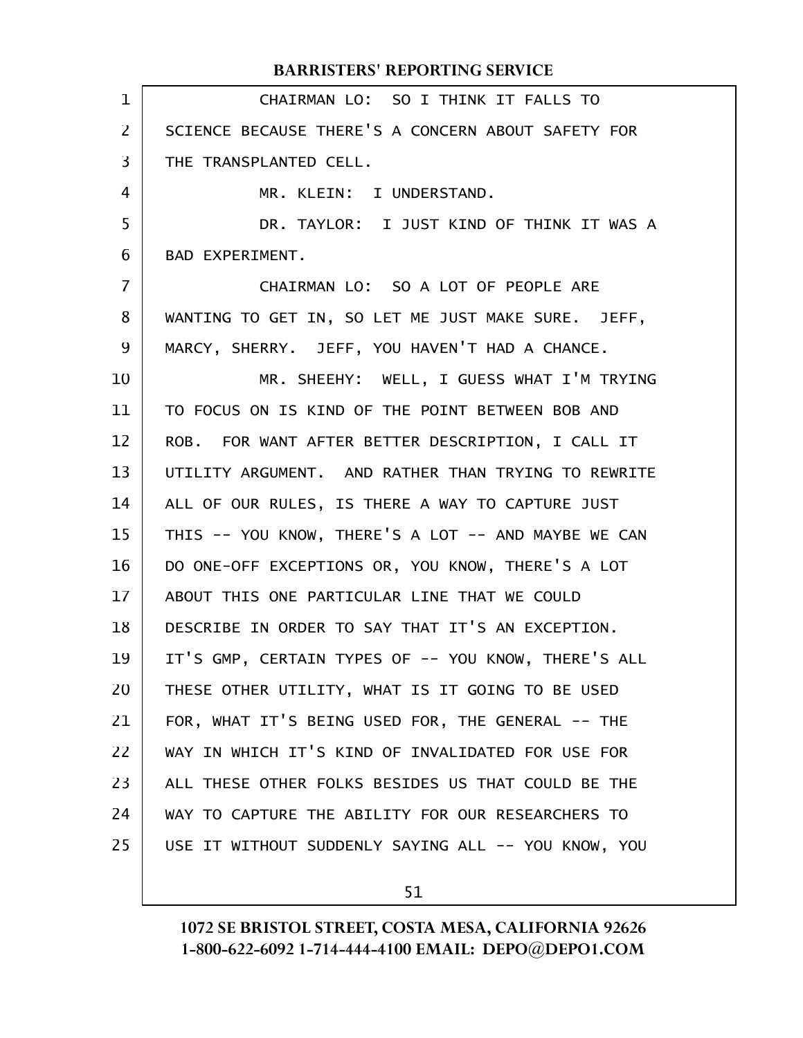CHAIRMAN LO: SO I THINK IT FALLS TO SCIENCE BECAUSE THERE'S A CONCERN ABOUT SAFETY FOR THE TRANSPLANTED CELL. MR. KLEIN: I UNDERSTAND. DR. TAYLOR: I JUST KIND OF THINK IT WAS A BAD EXPERIMENT. CHAIRMAN LO: SO A LOT OF PEOPLE ARE WANTING TO GET IN, SO LET ME JUST MAKE SURE. JEFF, MARCY, SHERRY. JEFF, YOU HAVEN'T HAD A CHANCE. MR. SHEEHY: WELL, I GUESS WHAT I'M TRYING TO FOCUS ON IS KIND OF THE POINT BETWEEN BOB AND ROB. FOR WANT AFTER BETTER DESCRIPTION, I CALL IT UTILITY ARGUMENT. AND RATHER THAN TRYING TO REWRITE ALL OF OUR RULES, IS THERE A WAY TO CAPTURE JUST THIS -- YOU KNOW, THERE'S A LOT -- AND MAYBE WE CAN DO ONE-OFF EXCEPTIONS OR, YOU KNOW, THERE'S A LOT ABOUT THIS ONE PARTICULAR LINE THAT WE COULD DESCRIBE IN ORDER TO SAY THAT IT'S AN EXCEPTION. IT'S GMP, CERTAIN TYPES OF -- YOU KNOW, THERE'S ALL THESE OTHER UTILITY, WHAT IS IT GOING TO BE USED FOR, WHAT IT'S BEING USED FOR, THE GENERAL -- THE WAY IN WHICH IT'S KIND OF INVALIDATED FOR USE FOR ALL THESE OTHER FOLKS BESIDES US THAT COULD BE THE WAY TO CAPTURE THE ABILITY FOR OUR RESEARCHERS TO USE IT WITHOUT SUDDENLY SAYING ALL -- YOU KNOW, YOU BARRISTERS' REPORTING SERVICE 1 2 3 4 5 6 7 8 9 10 11 12 13 14 15 16 17 18 19 20 21 22 23 24 25

51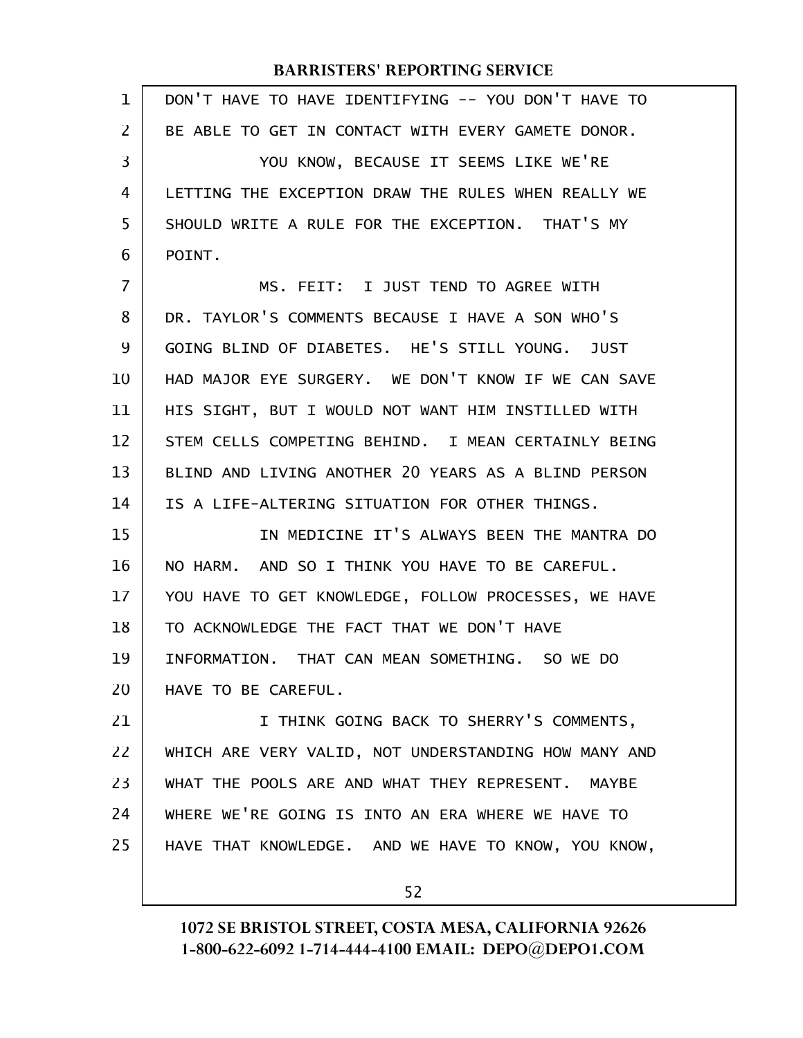| 1  | DON'T HAVE TO HAVE IDENTIFYING -- YOU DON'T HAVE TO  |
|----|------------------------------------------------------|
| 2  | BE ABLE TO GET IN CONTACT WITH EVERY GAMETE DONOR.   |
| 3  | YOU KNOW, BECAUSE IT SEEMS LIKE WE'RE                |
| 4  | LETTING THE EXCEPTION DRAW THE RULES WHEN REALLY WE  |
| 5  | SHOULD WRITE A RULE FOR THE EXCEPTION. THAT'S MY     |
| 6  | POINT.                                               |
| 7  | MS. FEIT: I JUST TEND TO AGREE WITH                  |
| 8  | DR. TAYLOR'S COMMENTS BECAUSE I HAVE A SON WHO'S     |
| 9  | GOING BLIND OF DIABETES. HE'S STILL YOUNG.<br>JUST   |
| 10 | HAD MAJOR EYE SURGERY. WE DON'T KNOW IF WE CAN SAVE  |
| 11 | HIS SIGHT, BUT I WOULD NOT WANT HIM INSTILLED WITH   |
| 12 | STEM CELLS COMPETING BEHIND. I MEAN CERTAINLY BEING  |
| 13 | BLIND AND LIVING ANOTHER 20 YEARS AS A BLIND PERSON  |
| 14 | IS A LIFE-ALTERING SITUATION FOR OTHER THINGS.       |
| 15 | IN MEDICINE IT'S ALWAYS BEEN THE MANTRA DO           |
| 16 | NO HARM. AND SO I THINK YOU HAVE TO BE CAREFUL.      |
| 17 | YOU HAVE TO GET KNOWLEDGE, FOLLOW PROCESSES, WE HAVE |
| 18 | TO ACKNOWLEDGE THE FACT THAT WE DON'T HAVE           |
| 19 | INFORMATION. THAT CAN MEAN SOMETHING. SO WE DO       |
| 20 | HAVE TO BE CAREFUL.                                  |
| 21 | I THINK GOING BACK TO SHERRY'S COMMENTS,             |
| 22 | WHICH ARE VERY VALID, NOT UNDERSTANDING HOW MANY AND |
| 23 | WHAT THE POOLS ARE AND WHAT THEY REPRESENT.<br>MAYBE |
| 24 | WHERE WE'RE GOING IS INTO AN ERA WHERE WE HAVE TO    |
| 25 | HAVE THAT KNOWLEDGE. AND WE HAVE TO KNOW, YOU KNOW,  |
|    |                                                      |

52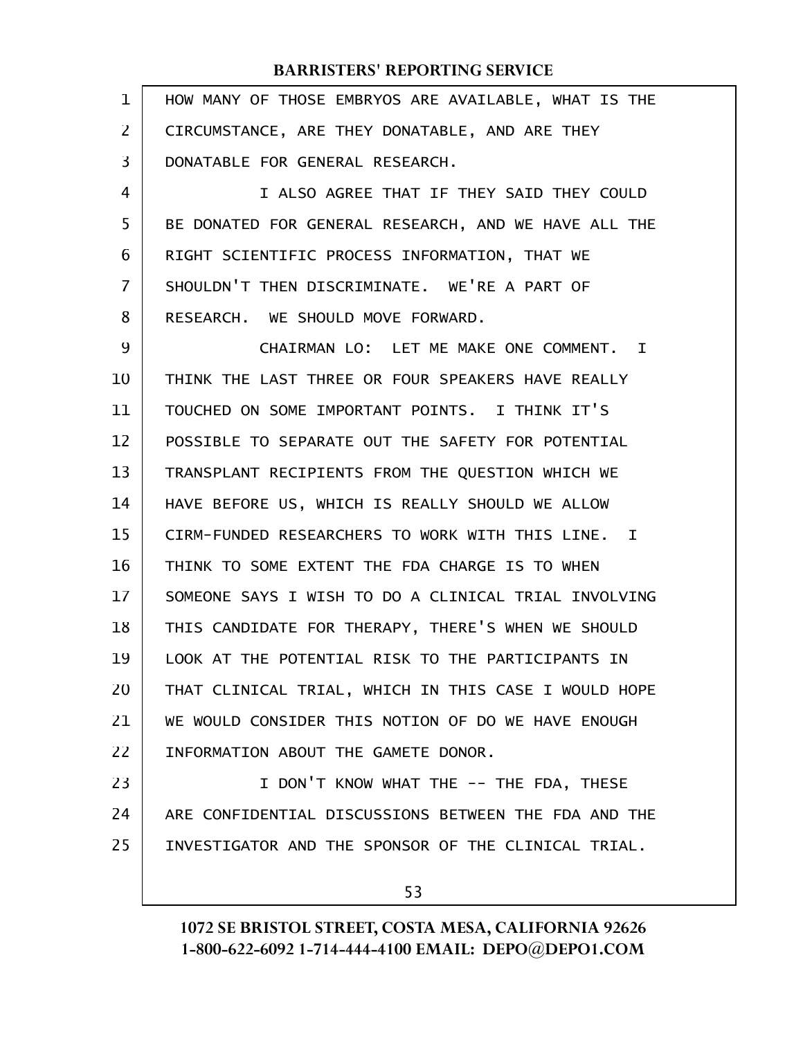| $\mathbf 1$    | HOW MANY OF THOSE EMBRYOS ARE AVAILABLE, WHAT IS THE |
|----------------|------------------------------------------------------|
| $\overline{2}$ | CIRCUMSTANCE, ARE THEY DONATABLE, AND ARE THEY       |
| 3              | DONATABLE FOR GENERAL RESEARCH.                      |
| 4              | I ALSO AGREE THAT IF THEY SAID THEY COULD            |
| 5              | BE DONATED FOR GENERAL RESEARCH, AND WE HAVE ALL THE |
| 6              | RIGHT SCIENTIFIC PROCESS INFORMATION, THAT WE        |
| $\overline{7}$ | SHOULDN'T THEN DISCRIMINATE. WE'RE A PART OF         |
| 8              | RESEARCH. WE SHOULD MOVE FORWARD.                    |
| 9              | CHAIRMAN LO: LET ME MAKE ONE COMMENT. I              |
| 10             | THINK THE LAST THREE OR FOUR SPEAKERS HAVE REALLY    |
| 11             | TOUCHED ON SOME IMPORTANT POINTS. I THINK IT'S       |
| 12             | POSSIBLE TO SEPARATE OUT THE SAFETY FOR POTENTIAL    |
| 13             | TRANSPLANT RECIPIENTS FROM THE QUESTION WHICH WE     |
| 14             | HAVE BEFORE US, WHICH IS REALLY SHOULD WE ALLOW      |
| 15             | CIRM-FUNDED RESEARCHERS TO WORK WITH THIS LINE. I    |
| 16             | THINK TO SOME EXTENT THE FDA CHARGE IS TO WHEN       |
| 17             | SOMEONE SAYS I WISH TO DO A CLINICAL TRIAL INVOLVING |
| 18             | THIS CANDIDATE FOR THERAPY, THERE'S WHEN WE SHOULD   |
| 19             | LOOK AT THE POTENTIAL RISK TO THE PARTICIPANTS IN    |
| 20             | THAT CLINICAL TRIAL, WHICH IN THIS CASE I WOULD HOPE |
| 21             | WE WOULD CONSIDER THIS NOTION OF DO WE HAVE ENOUGH   |
| 22             | INFORMATION ABOUT THE GAMETE DONOR.                  |
| 23             | I DON'T KNOW WHAT THE -- THE FDA, THESE              |
| 24             | ARE CONFIDENTIAL DISCUSSIONS BETWEEN THE FDA AND THE |
| 25             | INVESTIGATOR AND THE SPONSOR OF THE CLINICAL TRIAL.  |
|                | 53                                                   |
|                |                                                      |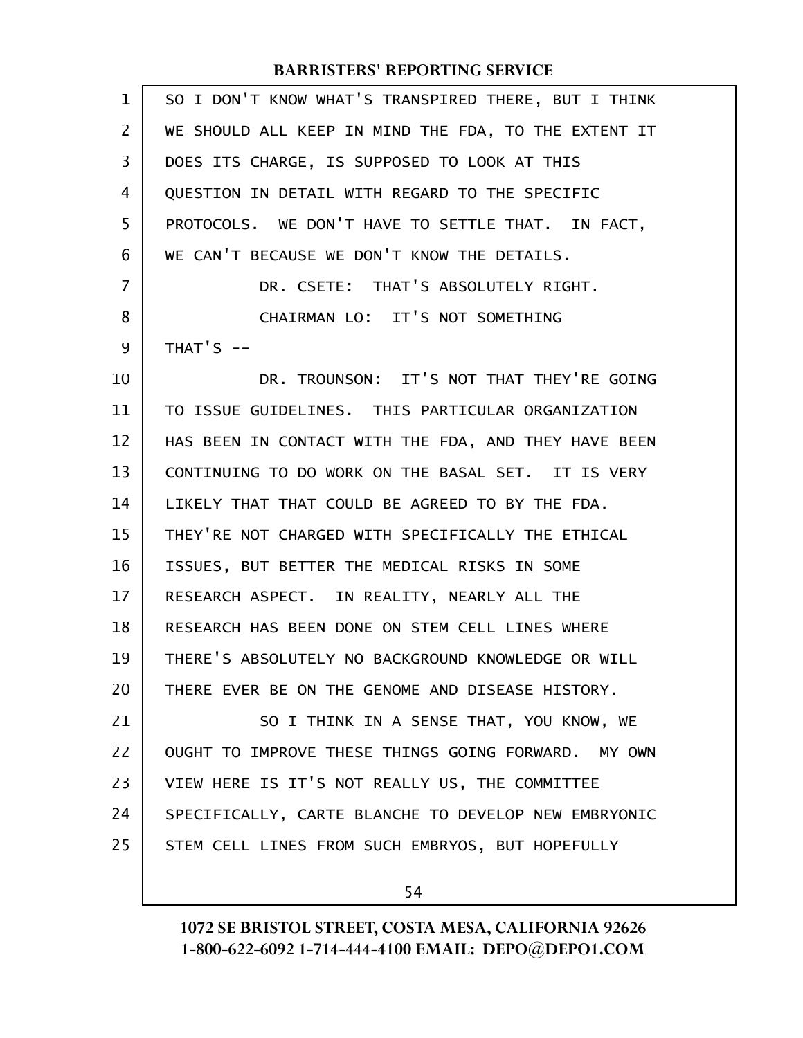| $\mathbf{1}$ | SO I DON'T KNOW WHAT'S TRANSPIRED THERE, BUT I THINK |
|--------------|------------------------------------------------------|
| 2            | WE SHOULD ALL KEEP IN MIND THE FDA, TO THE EXTENT IT |
| 3            | DOES ITS CHARGE, IS SUPPOSED TO LOOK AT THIS         |
| 4            | QUESTION IN DETAIL WITH REGARD TO THE SPECIFIC       |
| 5            | PROTOCOLS. WE DON'T HAVE TO SETTLE THAT. IN FACT,    |
| 6            | WE CAN'T BECAUSE WE DON'T KNOW THE DETAILS.          |
| 7            | DR. CSETE: THAT'S ABSOLUTELY RIGHT.                  |
| 8            | CHAIRMAN LO: IT'S NOT SOMETHING                      |
| 9            | THAT'S $--$                                          |
| 10           | DR. TROUNSON: IT'S NOT THAT THEY'RE GOING            |
| 11           | TO ISSUE GUIDELINES. THIS PARTICULAR ORGANIZATION    |
| 12           | HAS BEEN IN CONTACT WITH THE FDA, AND THEY HAVE BEEN |
| 13           | CONTINUING TO DO WORK ON THE BASAL SET. IT IS VERY   |
| 14           | LIKELY THAT THAT COULD BE AGREED TO BY THE FDA.      |
| 15           | THEY'RE NOT CHARGED WITH SPECIFICALLY THE ETHICAL    |
| 16           | ISSUES, BUT BETTER THE MEDICAL RISKS IN SOME         |
| 17           | RESEARCH ASPECT. IN REALITY, NEARLY ALL THE          |
| 18           | RESEARCH HAS BEEN DONE ON STEM CELL LINES WHERE      |
| 19           | THERE'S ABSOLUTELY NO BACKGROUND KNOWLEDGE OR WILL   |
| 20           | THERE EVER BE ON THE GENOME AND DISEASE HISTORY.     |
| 21           | SO I THINK IN A SENSE THAT, YOU KNOW, WE             |
| 22           | OUGHT TO IMPROVE THESE THINGS GOING FORWARD. MY OWN  |
| 23           | VIEW HERE IS IT'S NOT REALLY US, THE COMMITTEE       |
| 24           | SPECIFICALLY, CARTE BLANCHE TO DEVELOP NEW EMBRYONIC |
| 25           | STEM CELL LINES FROM SUCH EMBRYOS, BUT HOPEFULLY     |
|              | 54                                                   |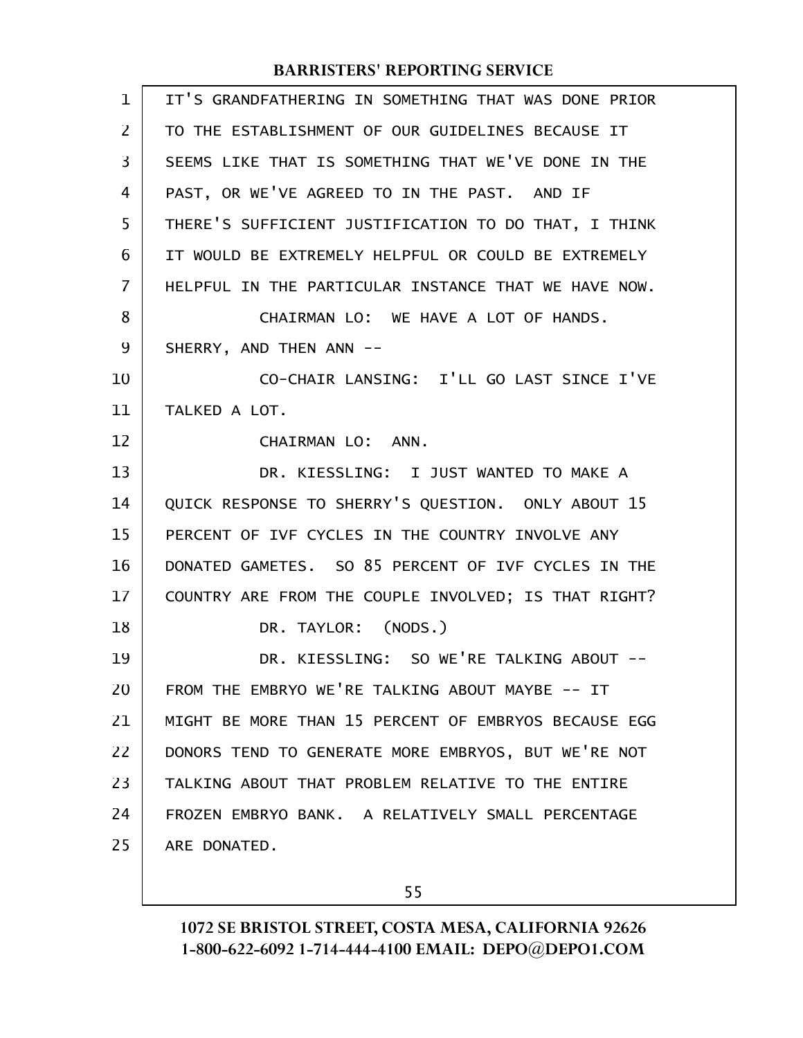| $\mathbf{1}$   | IT'S GRANDFATHERING IN SOMETHING THAT WAS DONE PRIOR |
|----------------|------------------------------------------------------|
| $\overline{2}$ | TO THE ESTABLISHMENT OF OUR GUIDELINES BECAUSE IT    |
| 3              | SEEMS LIKE THAT IS SOMETHING THAT WE'VE DONE IN THE  |
| 4              | PAST, OR WE'VE AGREED TO IN THE PAST. AND IF         |
| 5              | THERE'S SUFFICIENT JUSTIFICATION TO DO THAT, I THINK |
| 6              | IT WOULD BE EXTREMELY HELPFUL OR COULD BE EXTREMELY  |
| 7              | HELPFUL IN THE PARTICULAR INSTANCE THAT WE HAVE NOW. |
| 8              | CHAIRMAN LO: WE HAVE A LOT OF HANDS.                 |
| 9              | SHERRY, AND THEN ANN --                              |
| 10             | CO-CHAIR LANSING: I'LL GO LAST SINCE I'VE            |
| 11             | TALKED A LOT.                                        |
| 12             | CHAIRMAN LO: ANN.                                    |
| 13             | DR. KIESSLING: I JUST WANTED TO MAKE A               |
| 14             | QUICK RESPONSE TO SHERRY'S QUESTION. ONLY ABOUT 15   |
| 15             | PERCENT OF IVF CYCLES IN THE COUNTRY INVOLVE ANY     |
| 16             | DONATED GAMETES. SO 85 PERCENT OF IVF CYCLES IN THE  |
| 17             | COUNTRY ARE FROM THE COUPLE INVOLVED; IS THAT RIGHT? |
| 18             | DR. TAYLOR: (NODS.)                                  |
| 19             | DR. KIESSLING: SO WE'RE TALKING ABOUT --             |
| 20             | FROM THE EMBRYO WE'RE TALKING ABOUT MAYBE -- IT      |
| 21             | MIGHT BE MORE THAN 15 PERCENT OF EMBRYOS BECAUSE EGG |
| 22             | DONORS TEND TO GENERATE MORE EMBRYOS, BUT WE'RE NOT  |
| 23             | TALKING ABOUT THAT PROBLEM RELATIVE TO THE ENTIRE    |
| 24             | FROZEN EMBRYO BANK. A RELATIVELY SMALL PERCENTAGE    |
| 25             | ARE DONATED.                                         |
|                |                                                      |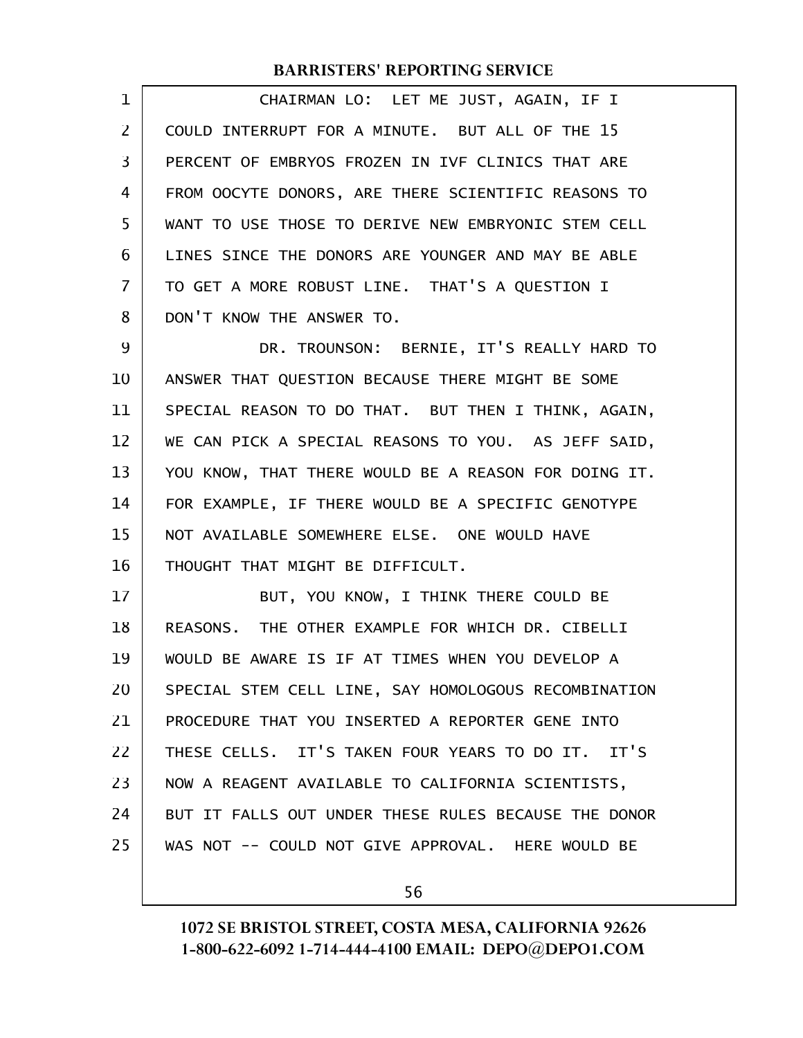| 1  | CHAIRMAN LO: LET ME JUST, AGAIN, IF I                |
|----|------------------------------------------------------|
| 2  | COULD INTERRUPT FOR A MINUTE. BUT ALL OF THE 15      |
| 3  | PERCENT OF EMBRYOS FROZEN IN IVF CLINICS THAT ARE    |
| 4  | FROM OOCYTE DONORS, ARE THERE SCIENTIFIC REASONS TO  |
| 5  | WANT TO USE THOSE TO DERIVE NEW EMBRYONIC STEM CELL  |
| 6  | LINES SINCE THE DONORS ARE YOUNGER AND MAY BE ABLE   |
| 7  | TO GET A MORE ROBUST LINE. THAT'S A QUESTION I       |
| 8  | DON'T KNOW THE ANSWER TO.                            |
| 9  | DR. TROUNSON: BERNIE, IT'S REALLY HARD TO            |
| 10 | ANSWER THAT QUESTION BECAUSE THERE MIGHT BE SOME     |
| 11 | SPECIAL REASON TO DO THAT. BUT THEN I THINK, AGAIN,  |
| 12 | WE CAN PICK A SPECIAL REASONS TO YOU. AS JEFF SAID,  |
| 13 | YOU KNOW, THAT THERE WOULD BE A REASON FOR DOING IT. |
| 14 | FOR EXAMPLE, IF THERE WOULD BE A SPECIFIC GENOTYPE   |
| 15 | NOT AVAILABLE SOMEWHERE ELSE. ONE WOULD HAVE         |
| 16 | THOUGHT THAT MIGHT BE DIFFICULT.                     |
| 17 | BUT, YOU KNOW, I THINK THERE COULD BE                |
| 18 | REASONS. THE OTHER EXAMPLE FOR WHICH DR. CIBELLI     |
| 19 | WOULD BE AWARE IS IF AT TIMES WHEN YOU DEVELOP A     |
| 20 | SPECIAL STEM CELL LINE, SAY HOMOLOGOUS RECOMBINATION |
| 21 | PROCEDURE THAT YOU INSERTED A REPORTER GENE INTO     |
| 22 | THESE CELLS. IT'S TAKEN FOUR YEARS TO DO IT. IT'S    |
| 23 | NOW A REAGENT AVAILABLE TO CALIFORNIA SCIENTISTS,    |
| 24 | BUT IT FALLS OUT UNDER THESE RULES BECAUSE THE DONOR |
| 25 | WAS NOT -- COULD NOT GIVE APPROVAL. HERE WOULD BE    |
|    |                                                      |

56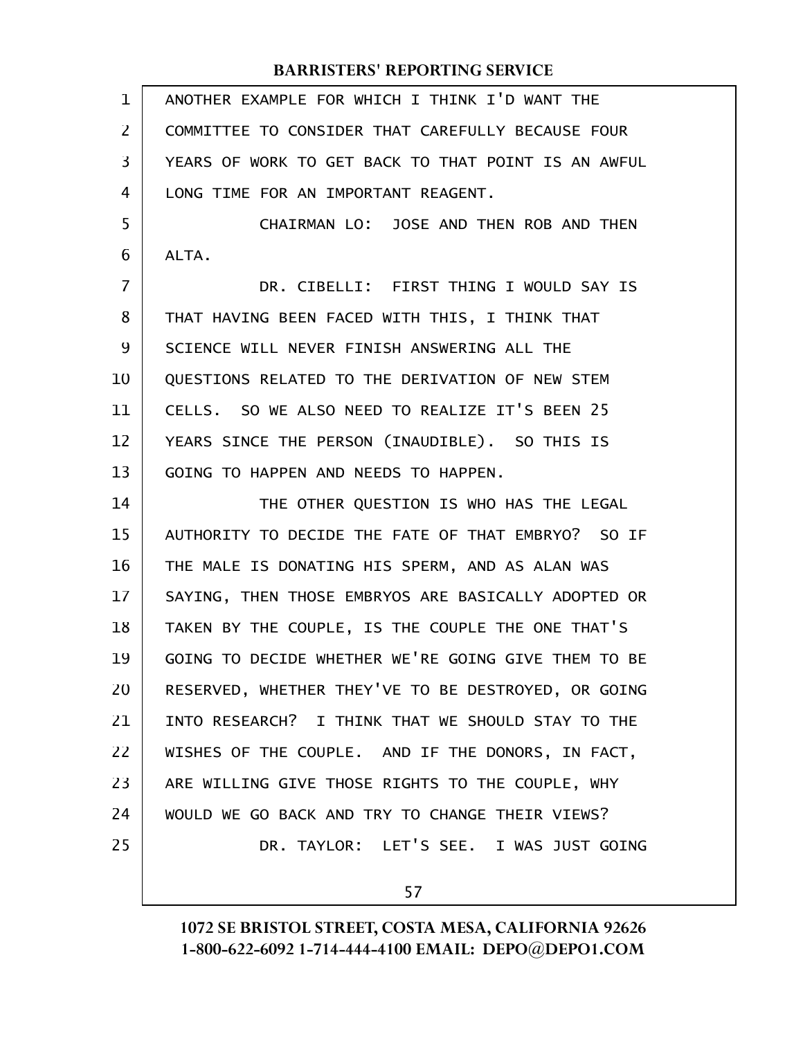| $\mathbf{1}$   | ANOTHER EXAMPLE FOR WHICH I THINK I'D WANT THE      |
|----------------|-----------------------------------------------------|
| $\overline{2}$ | COMMITTEE TO CONSIDER THAT CAREFULLY BECAUSE FOUR   |
| 3              | YEARS OF WORK TO GET BACK TO THAT POINT IS AN AWFUL |
| 4              | LONG TIME FOR AN IMPORTANT REAGENT.                 |
| 5              | CHAIRMAN LO: JOSE AND THEN ROB AND THEN             |
| 6              | ALTA.                                               |
| $\overline{7}$ | DR. CIBELLI: FIRST THING I WOULD SAY IS             |
| 8              | THAT HAVING BEEN FACED WITH THIS, I THINK THAT      |
| 9              | SCIENCE WILL NEVER FINISH ANSWERING ALL THE         |
| 10             | QUESTIONS RELATED TO THE DERIVATION OF NEW STEM     |
| 11             | CELLS. SO WE ALSO NEED TO REALIZE IT'S BEEN 25      |
| 12             | YEARS SINCE THE PERSON (INAUDIBLE). SO THIS IS      |
| 13             | GOING TO HAPPEN AND NEEDS TO HAPPEN.                |
| 14             | THE OTHER QUESTION IS WHO HAS THE LEGAL             |
| 15             | AUTHORITY TO DECIDE THE FATE OF THAT EMBRYO? SO IF  |
|                |                                                     |
| 16             | THE MALE IS DONATING HIS SPERM, AND AS ALAN WAS     |
| 17             | SAYING, THEN THOSE EMBRYOS ARE BASICALLY ADOPTED OR |
| 18             | TAKEN BY THE COUPLE, IS THE COUPLE THE ONE THAT'S   |
| 19             | GOING TO DECIDE WHETHER WE'RE GOING GIVE THEM TO BE |
| 20             | RESERVED, WHETHER THEY'VE TO BE DESTROYED, OR GOING |
| 21             | INTO RESEARCH? I THINK THAT WE SHOULD STAY TO THE   |
| 22             | WISHES OF THE COUPLE. AND IF THE DONORS, IN FACT,   |
| 23             | ARE WILLING GIVE THOSE RIGHTS TO THE COUPLE, WHY    |
| 24             | WOULD WE GO BACK AND TRY TO CHANGE THEIR VIEWS?     |
| 25             | DR. TAYLOR: LET'S SEE. I WAS JUST GOING             |

57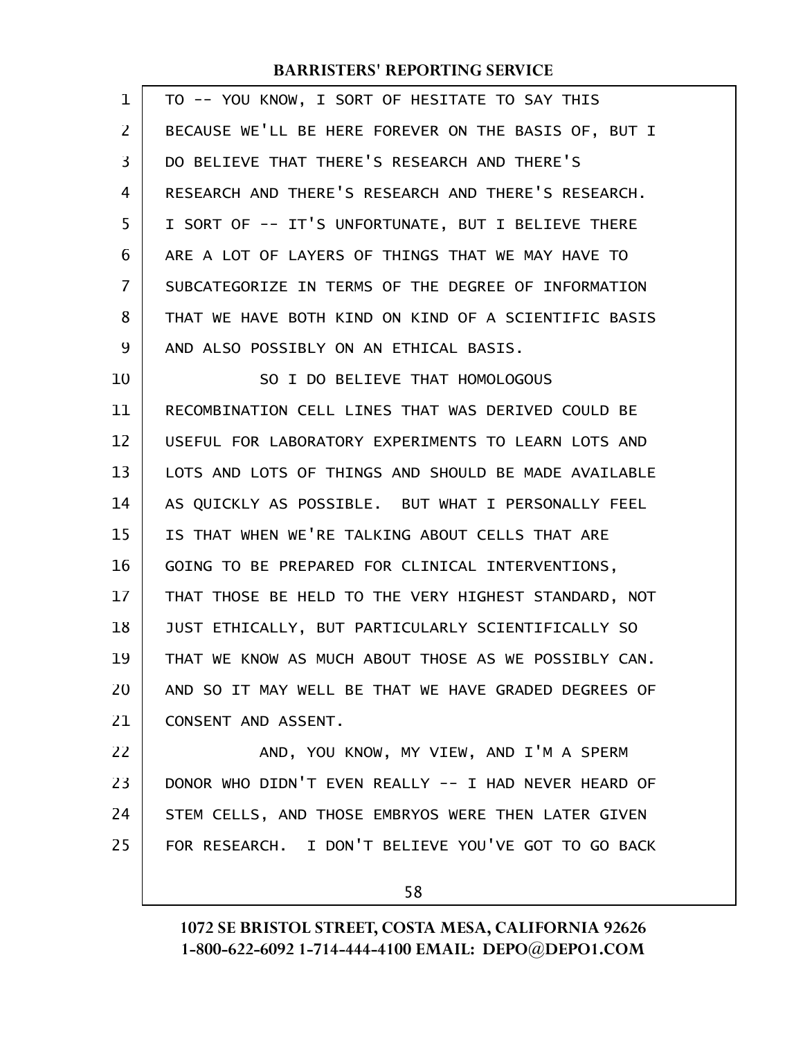| 1  | TO -- YOU KNOW, I SORT OF HESITATE TO SAY THIS       |
|----|------------------------------------------------------|
| 2  | BECAUSE WE'LL BE HERE FOREVER ON THE BASIS OF, BUT I |
| 3  | DO BELIEVE THAT THERE'S RESEARCH AND THERE'S         |
| 4  | RESEARCH AND THERE'S RESEARCH AND THERE'S RESEARCH.  |
| 5  | I SORT OF -- IT'S UNFORTUNATE, BUT I BELIEVE THERE   |
| 6  | ARE A LOT OF LAYERS OF THINGS THAT WE MAY HAVE TO    |
| 7  | SUBCATEGORIZE IN TERMS OF THE DEGREE OF INFORMATION  |
| 8  | THAT WE HAVE BOTH KIND ON KIND OF A SCIENTIFIC BASIS |
| 9  | AND ALSO POSSIBLY ON AN ETHICAL BASIS.               |
| 10 | SO I DO BELIEVE THAT HOMOLOGOUS                      |
| 11 | RECOMBINATION CELL LINES THAT WAS DERIVED COULD BE   |
| 12 | USEFUL FOR LABORATORY EXPERIMENTS TO LEARN LOTS AND  |
| 13 | LOTS AND LOTS OF THINGS AND SHOULD BE MADE AVAILABLE |
| 14 | AS QUICKLY AS POSSIBLE. BUT WHAT I PERSONALLY FEEL   |
| 15 | IS THAT WHEN WE'RE TALKING ABOUT CELLS THAT ARE      |
| 16 | GOING TO BE PREPARED FOR CLINICAL INTERVENTIONS,     |
| 17 | THAT THOSE BE HELD TO THE VERY HIGHEST STANDARD, NOT |
| 18 | JUST ETHICALLY, BUT PARTICULARLY SCIENTIFICALLY SO   |
| 19 | THAT WE KNOW AS MUCH ABOUT THOSE AS WE POSSIBLY CAN. |
| 20 | AND SO IT MAY WELL BE THAT WE HAVE GRADED DEGREES OF |
| 21 | CONSENT AND ASSENT.                                  |
| 22 | AND, YOU KNOW, MY VIEW, AND I'M A SPERM              |
| 23 | DONOR WHO DIDN'T EVEN REALLY -- I HAD NEVER HEARD OF |
| 24 | STEM CELLS, AND THOSE EMBRYOS WERE THEN LATER GIVEN  |
| 25 | FOR RESEARCH. I DON'T BELIEVE YOU'VE GOT TO GO BACK  |
|    |                                                      |

58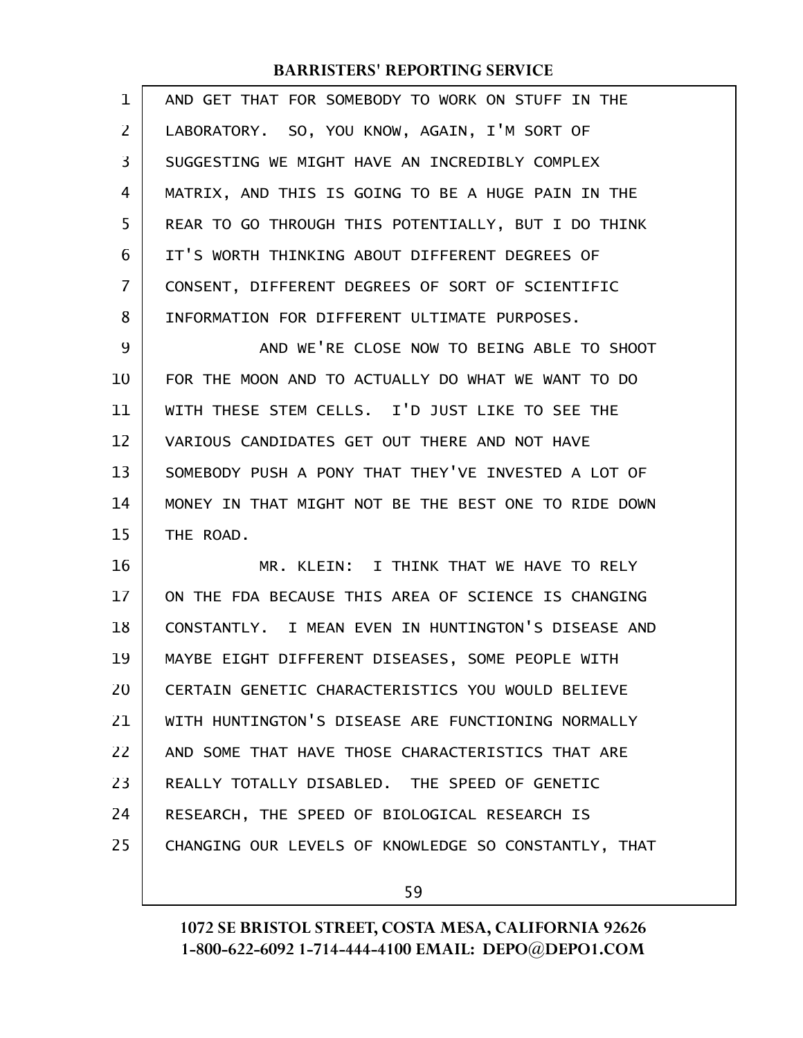| $\mathbf 1$ | AND GET THAT FOR SOMEBODY TO WORK ON STUFF IN THE    |
|-------------|------------------------------------------------------|
| 2           | LABORATORY. SO, YOU KNOW, AGAIN, I'M SORT OF         |
| 3           | SUGGESTING WE MIGHT HAVE AN INCREDIBLY COMPLEX       |
| 4           | MATRIX, AND THIS IS GOING TO BE A HUGE PAIN IN THE   |
| 5           | REAR TO GO THROUGH THIS POTENTIALLY, BUT I DO THINK  |
| 6           | IT'S WORTH THINKING ABOUT DIFFERENT DEGREES OF       |
| 7           | CONSENT, DIFFERENT DEGREES OF SORT OF SCIENTIFIC     |
| 8           | INFORMATION FOR DIFFERENT ULTIMATE PURPOSES.         |
| 9           | AND WE'RE CLOSE NOW TO BEING ABLE TO SHOOT           |
| 10          | FOR THE MOON AND TO ACTUALLY DO WHAT WE WANT TO DO   |
| 11          | WITH THESE STEM CELLS. I'D JUST LIKE TO SEE THE      |
| 12          | VARIOUS CANDIDATES GET OUT THERE AND NOT HAVE        |
| 13          | SOMEBODY PUSH A PONY THAT THEY'VE INVESTED A LOT OF  |
| 14          | MONEY IN THAT MIGHT NOT BE THE BEST ONE TO RIDE DOWN |
| 15          | THE ROAD.                                            |
| 16          | MR. KLEIN: I THINK THAT WE HAVE TO RELY              |
| 17          | ON THE FDA BECAUSE THIS AREA OF SCIENCE IS CHANGING  |
| 18          | CONSTANTLY. I MEAN EVEN IN HUNTINGTON'S DISEASE AND  |
| 19          | MAYBE EIGHT DIFFERENT DISEASES, SOME PEOPLE WITH     |
| 20          | CERTAIN GENETIC CHARACTERISTICS YOU WOULD BELIEVE    |
| 21          | WITH HUNTINGTON'S DISEASE ARE FUNCTIONING NORMALLY   |
| 22          | AND SOME THAT HAVE THOSE CHARACTERISTICS THAT ARE    |
| 23          | REALLY TOTALLY DISABLED. THE SPEED OF GENETIC        |
| 24          | RESEARCH, THE SPEED OF BIOLOGICAL RESEARCH IS        |
| 25          | CHANGING OUR LEVELS OF KNOWLEDGE SO CONSTANTLY, THAT |
|             |                                                      |

59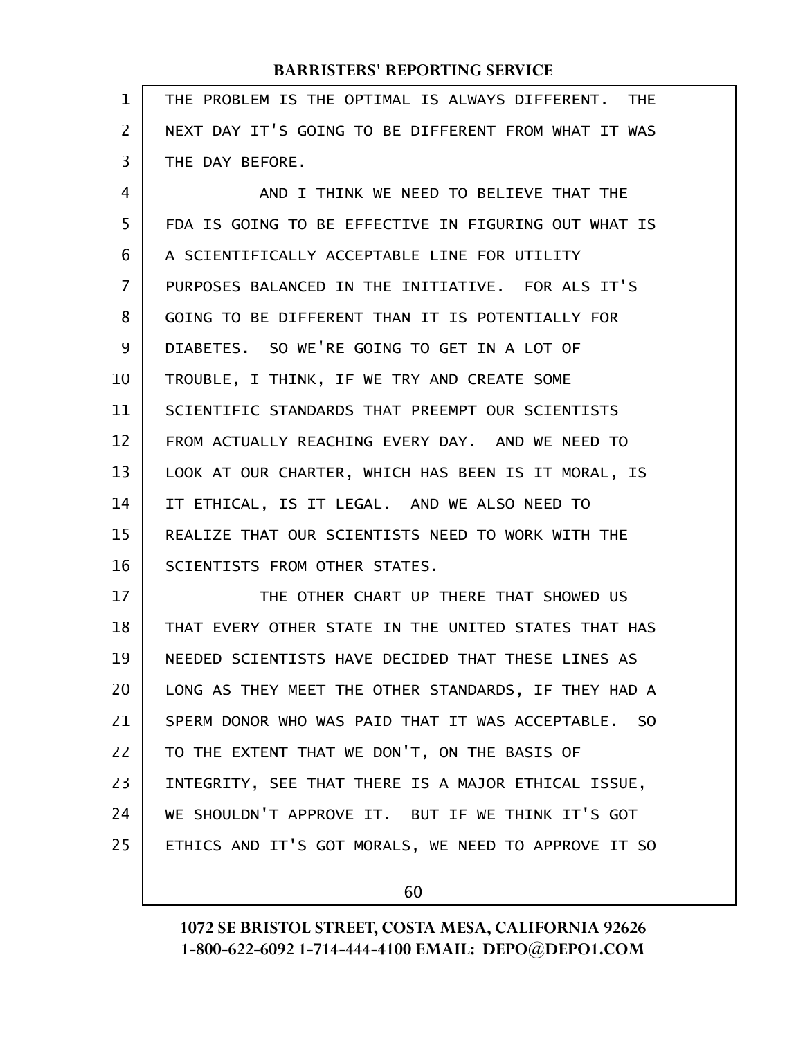| $\mathbf 1$    | THE PROBLEM IS THE OPTIMAL IS ALWAYS DIFFERENT.<br><b>THE</b> |
|----------------|---------------------------------------------------------------|
| $\overline{2}$ | NEXT DAY IT'S GOING TO BE DIFFERENT FROM WHAT IT WAS          |
| 3              | THE DAY BEFORE.                                               |
| 4              | AND I THINK WE NEED TO BELIEVE THAT THE                       |
| 5              | FDA IS GOING TO BE EFFECTIVE IN FIGURING OUT WHAT IS          |
| 6              | A SCIENTIFICALLY ACCEPTABLE LINE FOR UTILITY                  |
| 7              | PURPOSES BALANCED IN THE INITIATIVE. FOR ALS IT'S             |
| 8              | GOING TO BE DIFFERENT THAN IT IS POTENTIALLY FOR              |
| 9              | DIABETES. SO WE'RE GOING TO GET IN A LOT OF                   |
| 10             | TROUBLE, I THINK, IF WE TRY AND CREATE SOME                   |
| 11             | SCIENTIFIC STANDARDS THAT PREEMPT OUR SCIENTISTS              |
| 12             | FROM ACTUALLY REACHING EVERY DAY. AND WE NEED TO              |
| 13             | LOOK AT OUR CHARTER, WHICH HAS BEEN IS IT MORAL, IS           |
| 14             | IT ETHICAL, IS IT LEGAL. AND WE ALSO NEED TO                  |
| 15             | REALIZE THAT OUR SCIENTISTS NEED TO WORK WITH THE             |
| 16             | SCIENTISTS FROM OTHER STATES.                                 |
| 17             | THE OTHER CHART UP THERE THAT SHOWED US                       |
| 18             | THAT EVERY OTHER STATE IN THE UNITED STATES THAT HAS          |
| 19             | NEEDED SCIENTISTS HAVE DECIDED THAT THESE LINES AS            |
| 20             | LONG AS THEY MEET THE OTHER STANDARDS, IF THEY HAD A          |
| 21             | SPERM DONOR WHO WAS PAID THAT IT WAS ACCEPTABLE. SO           |
| 22             | TO THE EXTENT THAT WE DON'T, ON THE BASIS OF                  |
| 23             | INTEGRITY, SEE THAT THERE IS A MAJOR ETHICAL ISSUE,           |
| 24             | WE SHOULDN'T APPROVE IT. BUT IF WE THINK IT'S GOT             |
| 25             | ETHICS AND IT'S GOT MORALS, WE NEED TO APPROVE IT SO          |
|                |                                                               |

60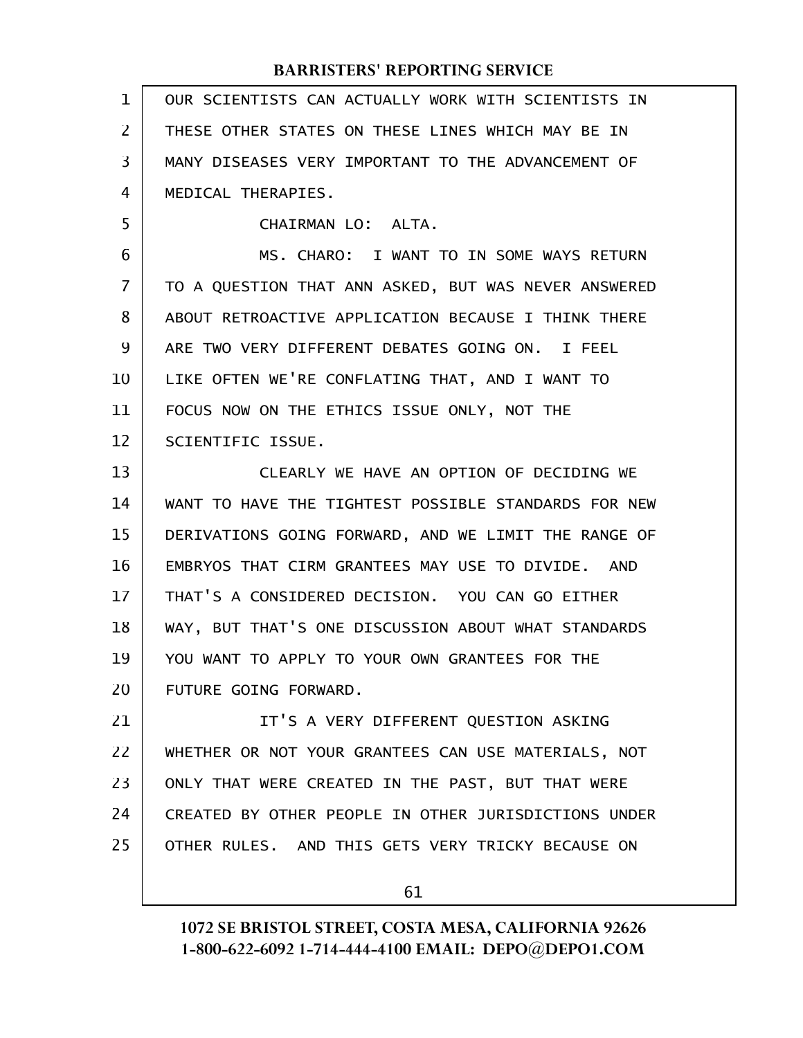OUR SCIENTISTS CAN ACTUALLY WORK WITH SCIENTISTS IN THESE OTHER STATES ON THESE LINES WHICH MAY BE IN MANY DISEASES VERY IMPORTANT TO THE ADVANCEMENT OF MEDICAL THERAPIES. CHAIRMAN LO: ALTA. MS. CHARO: I WANT TO IN SOME WAYS RETURN TO A QUESTION THAT ANN ASKED, BUT WAS NEVER ANSWERED ABOUT RETROACTIVE APPLICATION BECAUSE I THINK THERE ARE TWO VERY DIFFERENT DEBATES GOING ON. I FEEL LIKE OFTEN WE'RE CONFLATING THAT, AND I WANT TO FOCUS NOW ON THE ETHICS ISSUE ONLY, NOT THE SCIENTIFIC ISSUE. CLEARLY WE HAVE AN OPTION OF DECIDING WE WANT TO HAVE THE TIGHTEST POSSIBLE STANDARDS FOR NEW DERIVATIONS GOING FORWARD, AND WE LIMIT THE RANGE OF EMBRYOS THAT CIRM GRANTEES MAY USE TO DIVIDE. AND THAT'S A CONSIDERED DECISION. YOU CAN GO EITHER WAY, BUT THAT'S ONE DISCUSSION ABOUT WHAT STANDARDS YOU WANT TO APPLY TO YOUR OWN GRANTEES FOR THE FUTURE GOING FORWARD. IT'S A VERY DIFFERENT QUESTION ASKING WHETHER OR NOT YOUR GRANTEES CAN USE MATERIALS, NOT ONLY THAT WERE CREATED IN THE PAST, BUT THAT WERE CREATED BY OTHER PEOPLE IN OTHER JURISDICTIONS UNDER OTHER RULES. AND THIS GETS VERY TRICKY BECAUSE ON 1 2 3 4 5 6 7 8 9 10 11 12 13 14 15 16 17 18 19 20 21 22 23 24 25

61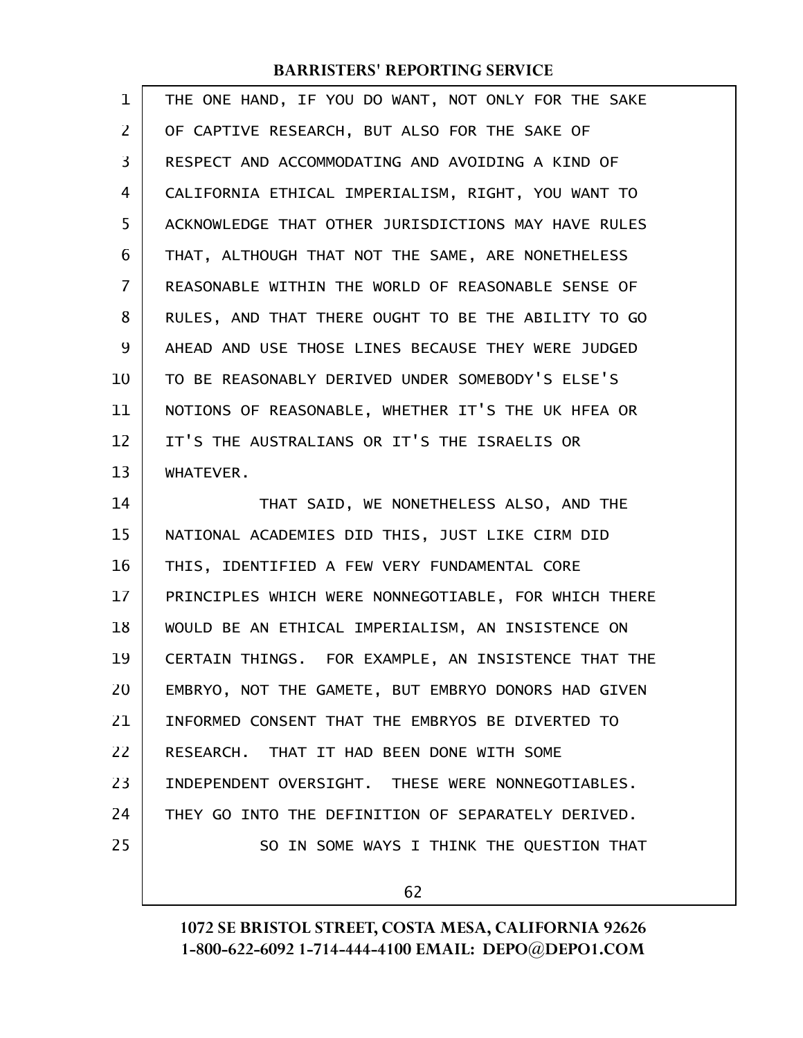| 1              | THE ONE HAND, IF YOU DO WANT, NOT ONLY FOR THE SAKE  |
|----------------|------------------------------------------------------|
| $\overline{2}$ | OF CAPTIVE RESEARCH, BUT ALSO FOR THE SAKE OF        |
| 3              | RESPECT AND ACCOMMODATING AND AVOIDING A KIND OF     |
| 4              | CALIFORNIA ETHICAL IMPERIALISM, RIGHT, YOU WANT TO   |
| 5              | ACKNOWLEDGE THAT OTHER JURISDICTIONS MAY HAVE RULES  |
| 6              | THAT, ALTHOUGH THAT NOT THE SAME, ARE NONETHELESS    |
| $\overline{7}$ | REASONABLE WITHIN THE WORLD OF REASONABLE SENSE OF   |
| 8              | RULES, AND THAT THERE OUGHT TO BE THE ABILITY TO GO  |
| 9              | AHEAD AND USE THOSE LINES BECAUSE THEY WERE JUDGED   |
| 10             | TO BE REASONABLY DERIVED UNDER SOMEBODY'S ELSE'S     |
| 11             | NOTIONS OF REASONABLE, WHETHER IT'S THE UK HFEA OR   |
| 12             | IT'S THE AUSTRALIANS OR IT'S THE ISRAELIS OR         |
| 13             | WHATEVER.                                            |
| 14             | THAT SAID, WE NONETHELESS ALSO, AND THE              |
| 15             | NATIONAL ACADEMIES DID THIS, JUST LIKE CIRM DID      |
| 16             | THIS, IDENTIFIED A FEW VERY FUNDAMENTAL CORE         |
| 17             | PRINCIPLES WHICH WERE NONNEGOTIABLE, FOR WHICH THERE |
| 18             | WOULD BE AN ETHICAL IMPERIALISM, AN INSISTENCE ON    |
| 19             | CERTAIN THINGS. FOR EXAMPLE, AN INSISTENCE THAT THE  |
| 20             | EMBRYO, NOT THE GAMETE, BUT EMBRYO DONORS HAD GIVEN  |
| 21             | INFORMED CONSENT THAT THE EMBRYOS BE DIVERTED TO     |
| 22             | RESEARCH, THAT IT HAD BEEN DONE WITH SOME            |
| 23             | INDEPENDENT OVERSIGHT. THESE WERE NONNEGOTIABLES.    |
| 24             | THEY GO INTO THE DEFINITION OF SEPARATELY DERIVED.   |
| 25             | SO IN SOME WAYS I THINK THE QUESTION THAT            |
|                | 62                                                   |
|                |                                                      |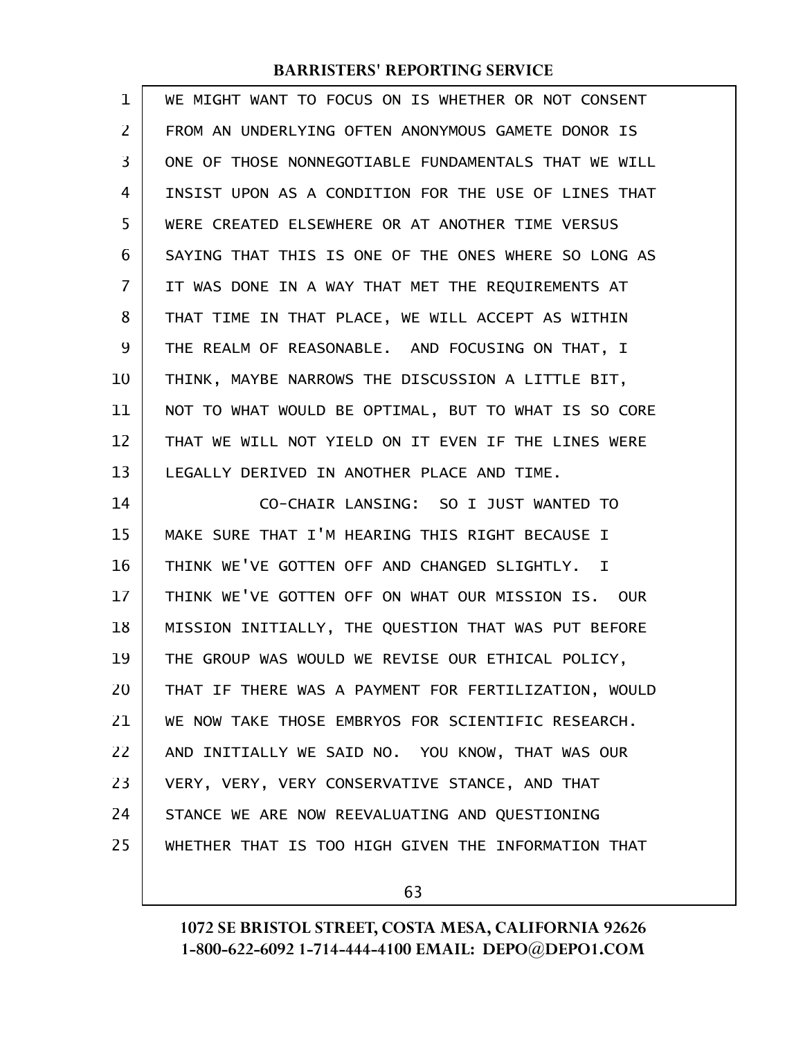| 1              | WE MIGHT WANT TO FOCUS ON IS WHETHER OR NOT CONSENT  |
|----------------|------------------------------------------------------|
| $\overline{2}$ | FROM AN UNDERLYING OFTEN ANONYMOUS GAMETE DONOR IS   |
| 3              | ONE OF THOSE NONNEGOTIABLE FUNDAMENTALS THAT WE WILL |
| 4              | INSIST UPON AS A CONDITION FOR THE USE OF LINES THAT |
| 5              | WERE CREATED ELSEWHERE OR AT ANOTHER TIME VERSUS     |
| 6              | SAYING THAT THIS IS ONE OF THE ONES WHERE SO LONG AS |
| $\overline{7}$ | IT WAS DONE IN A WAY THAT MET THE REQUIREMENTS AT    |
| 8              | THAT TIME IN THAT PLACE, WE WILL ACCEPT AS WITHIN    |
| 9              | THE REALM OF REASONABLE. AND FOCUSING ON THAT, I     |
| 10             | THINK, MAYBE NARROWS THE DISCUSSION A LITTLE BIT,    |
| 11             | NOT TO WHAT WOULD BE OPTIMAL, BUT TO WHAT IS SO CORE |
| 12             | THAT WE WILL NOT YIELD ON IT EVEN IF THE LINES WERE  |
| 13             | LEGALLY DERIVED IN ANOTHER PLACE AND TIME.           |
| 14             | CO-CHAIR LANSING: SO I JUST WANTED TO                |
| 15             | MAKE SURE THAT I'M HEARING THIS RIGHT BECAUSE I      |
| 16             | THINK WE'VE GOTTEN OFF AND CHANGED SLIGHTLY. I       |
| 17             | THINK WE'VE GOTTEN OFF ON WHAT OUR MISSION IS. OUR   |
| 18             | MISSION INITIALLY, THE QUESTION THAT WAS PUT BEFORE  |
| 19             | THE GROUP WAS WOULD WE REVISE OUR ETHICAL POLICY,    |
| 20             | THAT IF THERE WAS A PAYMENT FOR FERTILIZATION, WOULD |
| 21             | WE NOW TAKE THOSE EMBRYOS FOR SCIENTIFIC RESEARCH.   |
| 22             | AND INITIALLY WE SAID NO. YOU KNOW, THAT WAS OUR     |
|                |                                                      |
| 23             | VERY, VERY, VERY CONSERVATIVE STANCE, AND THAT       |
| 24             | STANCE WE ARE NOW REEVALUATING AND QUESTIONING       |
| 25             | WHETHER THAT IS TOO HIGH GIVEN THE INFORMATION THAT  |

63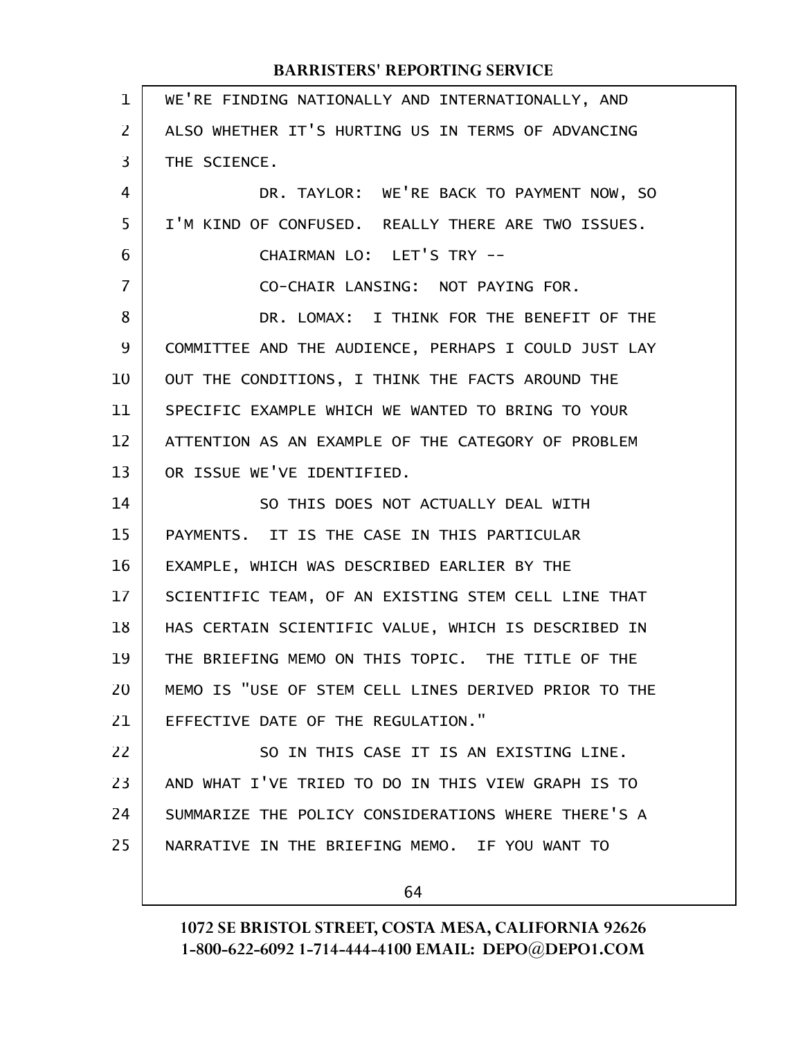| $\mathbf 1$ | WE'RE FINDING NATIONALLY AND INTERNATIONALLY, AND    |
|-------------|------------------------------------------------------|
| 2           | ALSO WHETHER IT'S HURTING US IN TERMS OF ADVANCING   |
| 3           | THE SCIENCE.                                         |
| 4           | DR. TAYLOR: WE'RE BACK TO PAYMENT NOW, SO            |
| 5           | I'M KIND OF CONFUSED. REALLY THERE ARE TWO ISSUES.   |
| 6           | CHAIRMAN LO: LET'S TRY --                            |
| 7           | CO-CHAIR LANSING: NOT PAYING FOR.                    |
| 8           | DR. LOMAX: I THINK FOR THE BENEFIT OF THE            |
| 9           | COMMITTEE AND THE AUDIENCE, PERHAPS I COULD JUST LAY |
| 10          | OUT THE CONDITIONS, I THINK THE FACTS AROUND THE     |
| 11          | SPECIFIC EXAMPLE WHICH WE WANTED TO BRING TO YOUR    |
| 12          | ATTENTION AS AN EXAMPLE OF THE CATEGORY OF PROBLEM   |
| 13          | OR ISSUE WE'VE IDENTIFIED.                           |
| 14          | SO THIS DOES NOT ACTUALLY DEAL WITH                  |
| 15          | PAYMENTS. IT IS THE CASE IN THIS PARTICULAR          |
| 16          | EXAMPLE, WHICH WAS DESCRIBED EARLIER BY THE          |
| 17          | SCIENTIFIC TEAM, OF AN EXISTING STEM CELL LINE THAT  |
| 18          | HAS CERTAIN SCIENTIFIC VALUE, WHICH IS DESCRIBED IN  |
| 19          | THE BRIEFING MEMO ON THIS TOPIC. THE TITLE OF THE    |
| 20          | MEMO IS "USE OF STEM CELL LINES DERIVED PRIOR TO THE |
| 21          | EFFECTIVE DATE OF THE REGULATION."                   |
| 22          | SO IN THIS CASE IT IS AN EXISTING LINE.              |
|             |                                                      |
| 23          | AND WHAT I'VE TRIED TO DO IN THIS VIEW GRAPH IS TO   |
| 24          | SUMMARIZE THE POLICY CONSIDERATIONS WHERE THERE'S A  |
| 25          | NARRATIVE IN THE BRIEFING MEMO. IF YOU WANT TO       |

64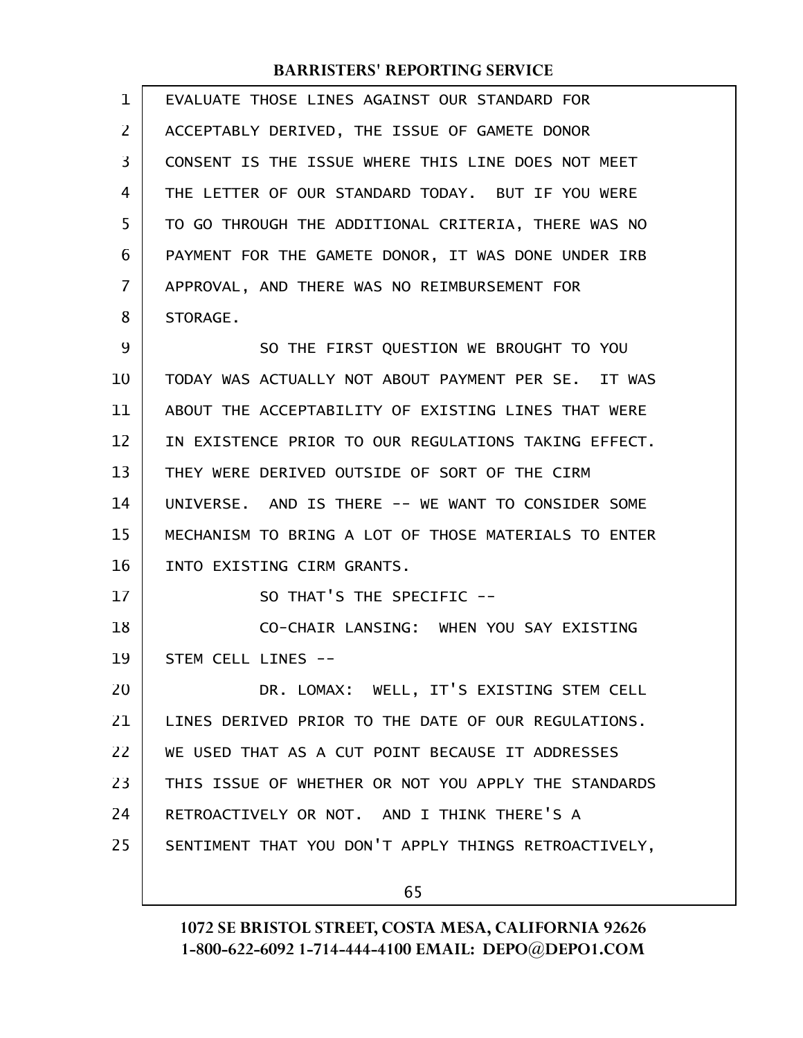| 1  | EVALUATE THOSE LINES AGAINST OUR STANDARD FOR        |
|----|------------------------------------------------------|
| 2  | ACCEPTABLY DERIVED, THE ISSUE OF GAMETE DONOR        |
| 3  | CONSENT IS THE ISSUE WHERE THIS LINE DOES NOT MEET   |
| 4  | THE LETTER OF OUR STANDARD TODAY. BUT IF YOU WERE    |
| 5  | TO GO THROUGH THE ADDITIONAL CRITERIA, THERE WAS NO  |
| 6  | PAYMENT FOR THE GAMETE DONOR, IT WAS DONE UNDER IRB  |
| 7  | APPROVAL, AND THERE WAS NO REIMBURSEMENT FOR         |
| 8  | STORAGE.                                             |
| 9  | SO THE FIRST QUESTION WE BROUGHT TO YOU              |
| 10 | TODAY WAS ACTUALLY NOT ABOUT PAYMENT PER SE. IT WAS  |
| 11 | ABOUT THE ACCEPTABILITY OF EXISTING LINES THAT WERE  |
| 12 | IN EXISTENCE PRIOR TO OUR REGULATIONS TAKING EFFECT. |
| 13 | THEY WERE DERIVED OUTSIDE OF SORT OF THE CIRM        |
| 14 | UNIVERSE. AND IS THERE -- WE WANT TO CONSIDER SOME   |
| 15 | MECHANISM TO BRING A LOT OF THOSE MATERIALS TO ENTER |
| 16 | INTO EXISTING CIRM GRANTS.                           |
| 17 | SO THAT'S THE SPECIFIC --                            |
| 18 | CO-CHAIR LANSING: WHEN YOU SAY EXISTING              |
| 19 | STEM CELL LINES --                                   |
| 20 | DR. LOMAX: WELL, IT'S EXISTING STEM CELL             |
| 21 | LINES DERIVED PRIOR TO THE DATE OF OUR REGULATIONS.  |
| 22 | WE USED THAT AS A CUT POINT BECAUSE IT ADDRESSES     |
| 23 | THIS ISSUE OF WHETHER OR NOT YOU APPLY THE STANDARDS |
| 24 | RETROACTIVELY OR NOT. AND I THINK THERE'S A          |
| 25 | SENTIMENT THAT YOU DON'T APPLY THINGS RETROACTIVELY, |
|    | 65                                                   |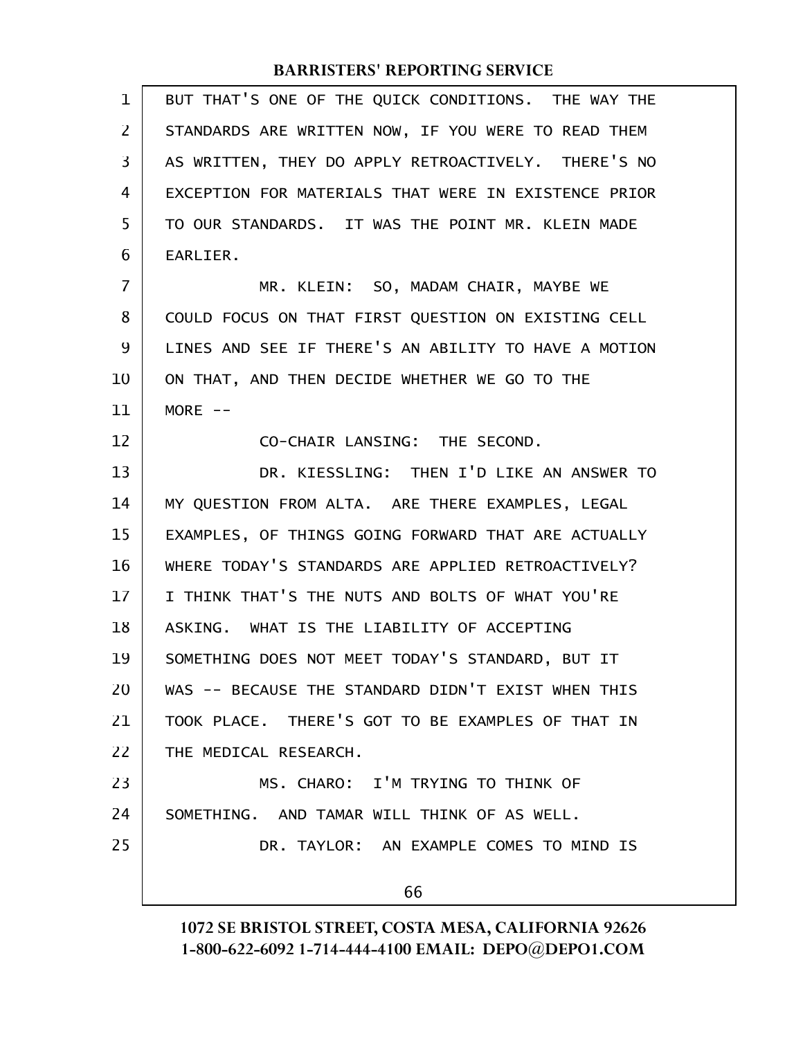| 1              | BUT THAT'S ONE OF THE QUICK CONDITIONS. THE WAY THE  |
|----------------|------------------------------------------------------|
| $\overline{2}$ | STANDARDS ARE WRITTEN NOW, IF YOU WERE TO READ THEM  |
| 3              | AS WRITTEN, THEY DO APPLY RETROACTIVELY. THERE'S NO  |
| 4              | EXCEPTION FOR MATERIALS THAT WERE IN EXISTENCE PRIOR |
| 5              | TO OUR STANDARDS. IT WAS THE POINT MR. KLEIN MADE    |
| 6              | EARLIER.                                             |
| $\overline{7}$ | MR. KLEIN: SO, MADAM CHAIR, MAYBE WE                 |
| 8              | COULD FOCUS ON THAT FIRST QUESTION ON EXISTING CELL  |
| 9              | LINES AND SEE IF THERE'S AN ABILITY TO HAVE A MOTION |
| 10             | ON THAT, AND THEN DECIDE WHETHER WE GO TO THE        |
| 11             | MORE $--$                                            |
| 12             | CO-CHAIR LANSING: THE SECOND.                        |
| 13             | DR. KIESSLING: THEN I'D LIKE AN ANSWER TO            |
| 14             | MY QUESTION FROM ALTA. ARE THERE EXAMPLES, LEGAL     |
| 15             | EXAMPLES, OF THINGS GOING FORWARD THAT ARE ACTUALLY  |
| 16             | WHERE TODAY'S STANDARDS ARE APPLIED RETROACTIVELY?   |
| 17             | I THINK THAT'S THE NUTS AND BOLTS OF WHAT YOU'RE     |
| 18             | ASKING. WHAT IS THE LIABILITY OF ACCEPTING           |
| 19             | SOMETHING DOES NOT MEET TODAY'S STANDARD, BUT IT     |
| 20             | WAS -- BECAUSE THE STANDARD DIDN'T EXIST WHEN THIS   |
| 21             | TOOK PLACE. THERE'S GOT TO BE EXAMPLES OF THAT IN    |
| 22             | THE MEDICAL RESEARCH.                                |
| 23             | MS. CHARO: I'M TRYING TO THINK OF                    |
| 24             | SOMETHING. AND TAMAR WILL THINK OF AS WELL.          |
| 25             | DR. TAYLOR: AN EXAMPLE COMES TO MIND IS              |
|                | 66                                                   |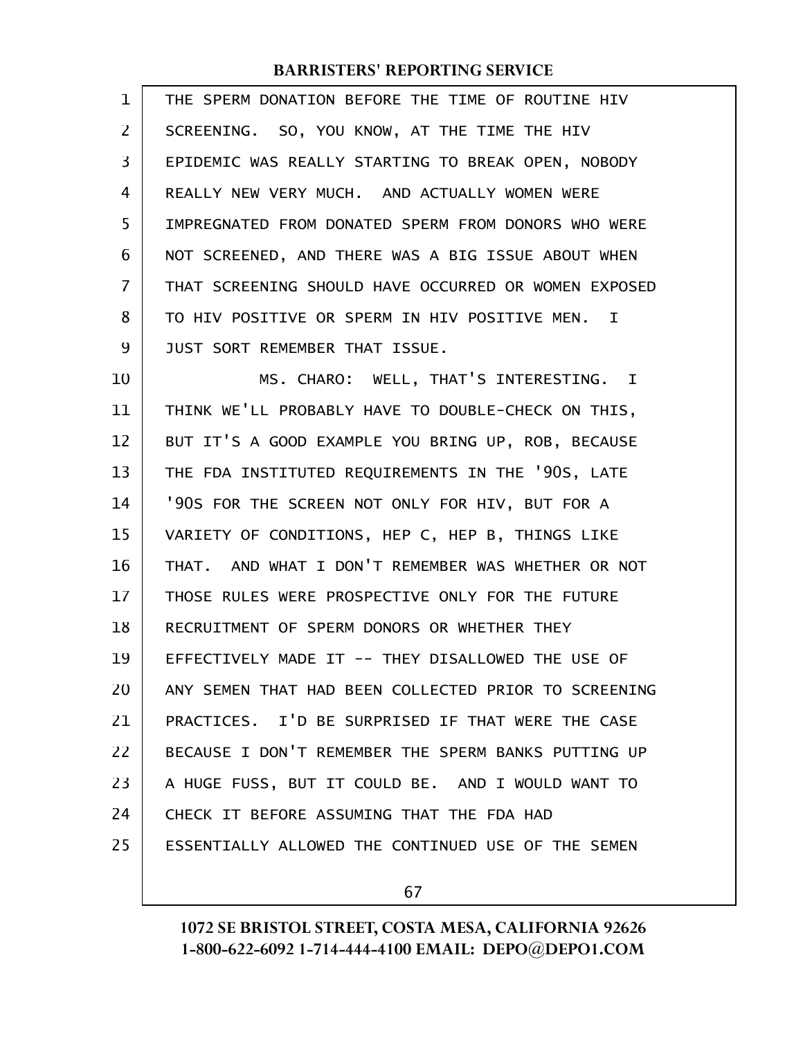| $\mathbf 1$    | THE SPERM DONATION BEFORE THE TIME OF ROUTINE HIV    |
|----------------|------------------------------------------------------|
| 2              | SCREENING. SO, YOU KNOW, AT THE TIME THE HIV         |
| 3              | EPIDEMIC WAS REALLY STARTING TO BREAK OPEN, NOBODY   |
| 4              | REALLY NEW VERY MUCH. AND ACTUALLY WOMEN WERE        |
| 5              | IMPREGNATED FROM DONATED SPERM FROM DONORS WHO WERE  |
| 6              | NOT SCREENED, AND THERE WAS A BIG ISSUE ABOUT WHEN   |
| $\overline{7}$ | THAT SCREENING SHOULD HAVE OCCURRED OR WOMEN EXPOSED |
| 8              | TO HIV POSITIVE OR SPERM IN HIV POSITIVE MEN. I      |
| 9              | JUST SORT REMEMBER THAT ISSUE.                       |
| 10             | MS. CHARO: WELL, THAT'S INTERESTING. I               |
| 11             | THINK WE'LL PROBABLY HAVE TO DOUBLE-CHECK ON THIS,   |
| 12             | BUT IT'S A GOOD EXAMPLE YOU BRING UP, ROB, BECAUSE   |
| 13             | THE FDA INSTITUTED REQUIREMENTS IN THE '90S, LATE    |
| 14             | '90S FOR THE SCREEN NOT ONLY FOR HIV, BUT FOR A      |
| 15             | VARIETY OF CONDITIONS, HEP C, HEP B, THINGS LIKE     |
| 16             | THAT. AND WHAT I DON'T REMEMBER WAS WHETHER OR NOT   |
| 17             | THOSE RULES WERE PROSPECTIVE ONLY FOR THE FUTURE     |
| 18             | RECRUITMENT OF SPERM DONORS OR WHETHER THEY          |
| 19             | EFFECTIVELY MADE IT -- THEY DISALLOWED THE USE OF    |
| 20             | ANY SEMEN THAT HAD BEEN COLLECTED PRIOR TO SCREENING |
| 21             | PRACTICES. I'D BE SURPRISED IF THAT WERE THE CASE    |
| 22             | BECAUSE I DON'T REMEMBER THE SPERM BANKS PUTTING UP  |
| 23             | A HUGE FUSS, BUT IT COULD BE. AND I WOULD WANT TO    |
| 24             | CHECK IT BEFORE ASSUMING THAT THE FDA HAD            |
| 25             | ESSENTIALLY ALLOWED THE CONTINUED USE OF THE SEMEN   |
|                |                                                      |

67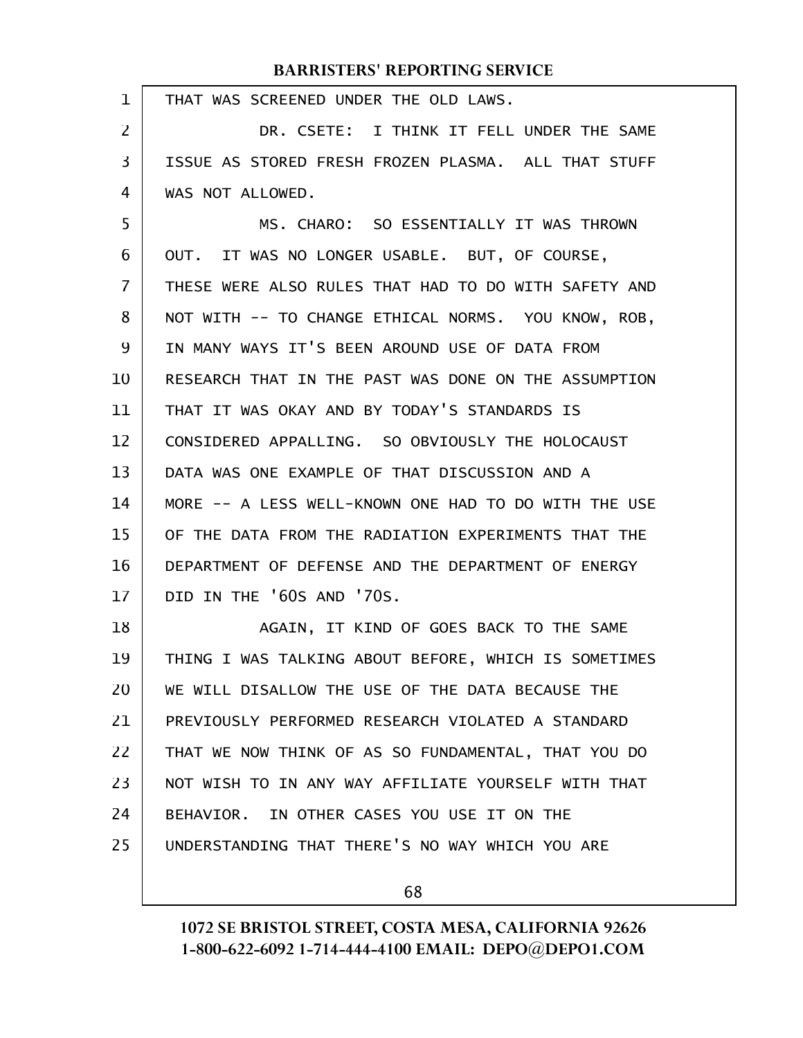| $\mathbf{1}$ | THAT WAS SCREENED UNDER THE OLD LAWS.                |
|--------------|------------------------------------------------------|
| 2            | DR. CSETE: I THINK IT FELL UNDER THE SAME            |
| 3            | ISSUE AS STORED FRESH FROZEN PLASMA. ALL THAT STUFF  |
| 4            | WAS NOT ALLOWED.                                     |
| 5            | MS. CHARO: SO ESSENTIALLY IT WAS THROWN              |
| 6            | OUT. IT WAS NO LONGER USABLE. BUT, OF COURSE,        |
| 7            | THESE WERE ALSO RULES THAT HAD TO DO WITH SAFETY AND |
| 8            | NOT WITH -- TO CHANGE ETHICAL NORMS. YOU KNOW, ROB,  |
| 9            | IN MANY WAYS IT'S BEEN AROUND USE OF DATA FROM       |
| 10           | RESEARCH THAT IN THE PAST WAS DONE ON THE ASSUMPTION |
| 11           | THAT IT WAS OKAY AND BY TODAY'S STANDARDS IS         |
| 12           | CONSIDERED APPALLING. SO OBVIOUSLY THE HOLOCAUST     |
| 13           | DATA WAS ONE EXAMPLE OF THAT DISCUSSION AND A        |
| 14           | MORE -- A LESS WELL-KNOWN ONE HAD TO DO WITH THE USE |
| 15           | OF THE DATA FROM THE RADIATION EXPERIMENTS THAT THE  |
| 16           | DEPARTMENT OF DEFENSE AND THE DEPARTMENT OF ENERGY   |
| 17           | DID IN THE '60S AND '70S.                            |
| 18           | AGAIN, IT KIND OF GOES BACK TO THE SAME              |
| 19           | THING I WAS TALKING ABOUT BEFORE, WHICH IS SOMETIMES |
| 20           | WE WILL DISALLOW THE USE OF THE DATA BECAUSE THE     |
| 21           | PREVIOUSLY PERFORMED RESEARCH VIOLATED A STANDARD    |
| 22           | THAT WE NOW THINK OF AS SO FUNDAMENTAL, THAT YOU DO  |
| 23           | NOT WISH TO IN ANY WAY AFFILIATE YOURSELF WITH THAT  |
| 24           | BEHAVIOR. IN OTHER CASES YOU USE IT ON THE           |
| 25           | UNDERSTANDING THAT THERE'S NO WAY WHICH YOU ARE      |
|              |                                                      |

68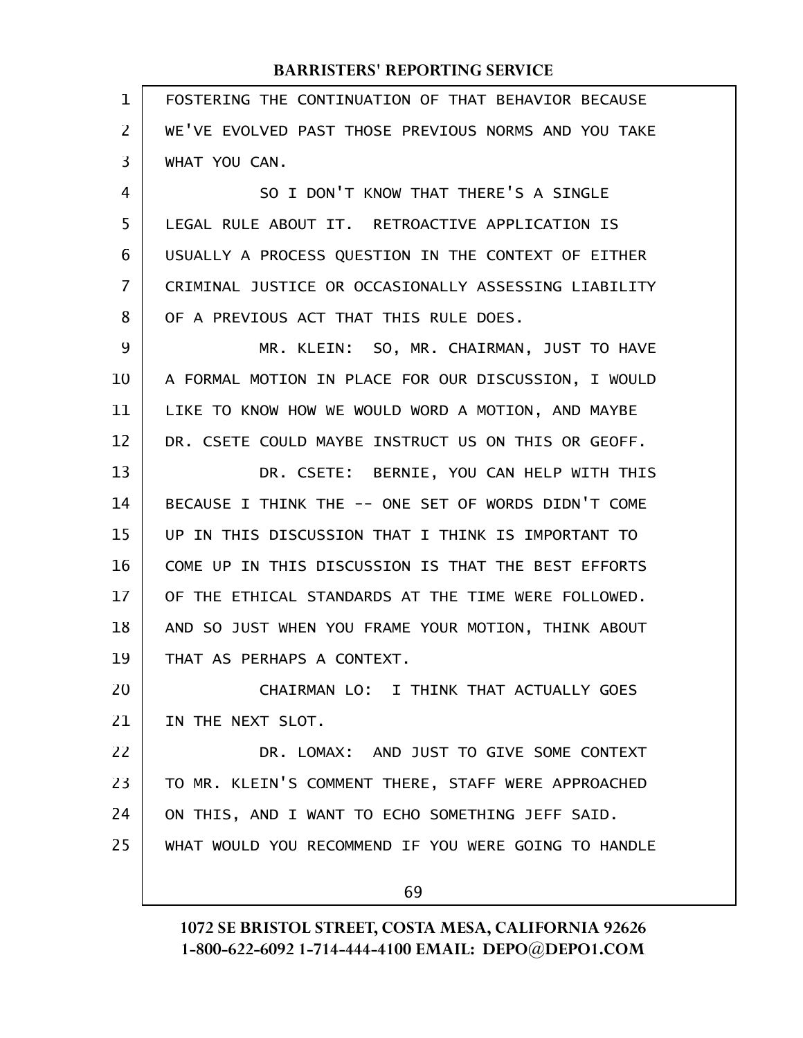| 1  | FOSTERING THE CONTINUATION OF THAT BEHAVIOR BECAUSE  |
|----|------------------------------------------------------|
| 2  | WE'VE EVOLVED PAST THOSE PREVIOUS NORMS AND YOU TAKE |
| 3  | WHAT YOU CAN.                                        |
| 4  | SO I DON'T KNOW THAT THERE'S A SINGLE                |
| 5  | LEGAL RULE ABOUT IT. RETROACTIVE APPLICATION IS      |
| 6  | USUALLY A PROCESS QUESTION IN THE CONTEXT OF EITHER  |
| 7  | CRIMINAL JUSTICE OR OCCASIONALLY ASSESSING LIABILITY |
| 8  | OF A PREVIOUS ACT THAT THIS RULE DOES.               |
| 9  | MR. KLEIN: SO, MR. CHAIRMAN, JUST TO HAVE            |
| 10 | A FORMAL MOTION IN PLACE FOR OUR DISCUSSION, I WOULD |
| 11 | LIKE TO KNOW HOW WE WOULD WORD A MOTION, AND MAYBE   |
| 12 | DR. CSETE COULD MAYBE INSTRUCT US ON THIS OR GEOFF.  |
| 13 | DR. CSETE: BERNIE, YOU CAN HELP WITH THIS            |
| 14 | BECAUSE I THINK THE -- ONE SET OF WORDS DIDN'T COME  |
| 15 | UP IN THIS DISCUSSION THAT I THINK IS IMPORTANT TO   |
| 16 | COME UP IN THIS DISCUSSION IS THAT THE BEST EFFORTS  |
| 17 | OF THE ETHICAL STANDARDS AT THE TIME WERE FOLLOWED.  |
| 18 | AND SO JUST WHEN YOU FRAME YOUR MOTION, THINK ABOUT  |
| 19 | THAT AS PERHAPS A CONTEXT.                           |
| 20 | CHAIRMAN LO: I THINK THAT ACTUALLY GOES              |
| 21 | IN THE NEXT SLOT.                                    |
| 22 | DR. LOMAX: AND JUST TO GIVE SOME CONTEXT             |
| 23 | TO MR. KLEIN'S COMMENT THERE, STAFF WERE APPROACHED  |
| 24 | ON THIS, AND I WANT TO ECHO SOMETHING JEFF SAID.     |
| 25 | WHAT WOULD YOU RECOMMEND IF YOU WERE GOING TO HANDLE |
|    | 69                                                   |
|    |                                                      |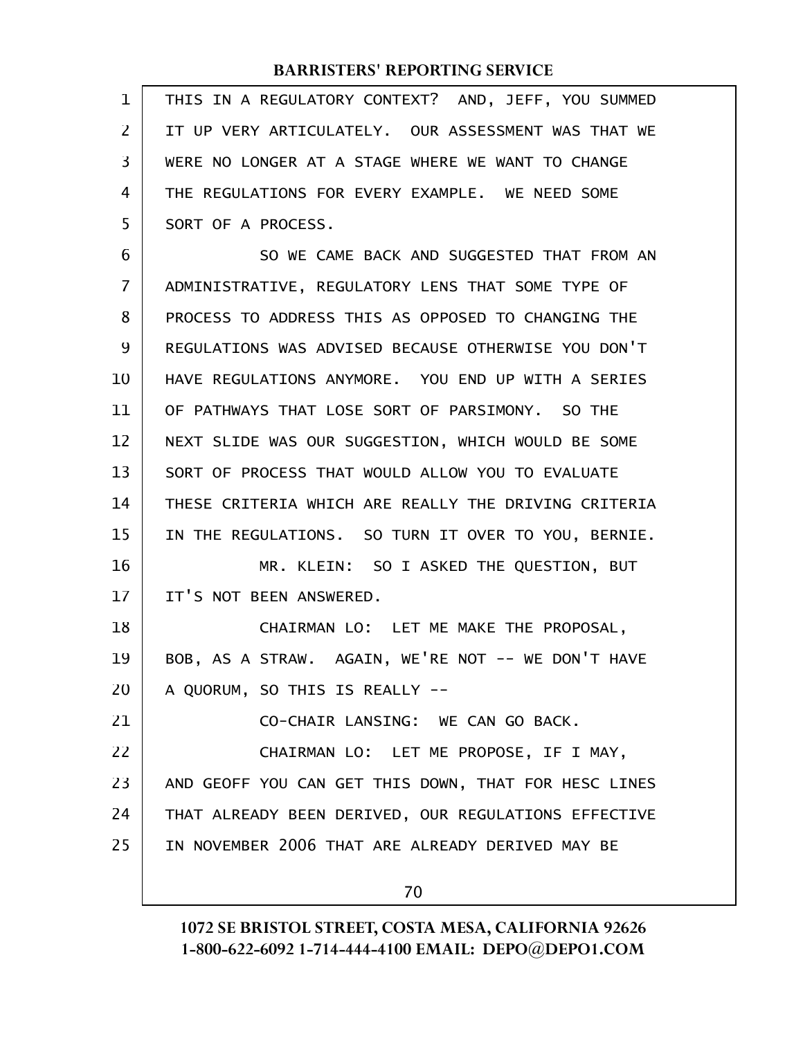| 1                 | THIS IN A REGULATORY CONTEXT? AND, JEFF, YOU SUMMED  |
|-------------------|------------------------------------------------------|
| 2                 | IT UP VERY ARTICULATELY. OUR ASSESSMENT WAS THAT WE  |
| 3                 | WERE NO LONGER AT A STAGE WHERE WE WANT TO CHANGE    |
| 4                 | THE REGULATIONS FOR EVERY EXAMPLE. WE NEED SOME      |
| 5                 | SORT OF A PROCESS.                                   |
| 6                 | SO WE CAME BACK AND SUGGESTED THAT FROM AN           |
| $\overline{7}$    | ADMINISTRATIVE, REGULATORY LENS THAT SOME TYPE OF    |
| 8                 | PROCESS TO ADDRESS THIS AS OPPOSED TO CHANGING THE   |
| 9                 | REGULATIONS WAS ADVISED BECAUSE OTHERWISE YOU DON'T  |
| 10                | HAVE REGULATIONS ANYMORE. YOU END UP WITH A SERIES   |
| 11                | OF PATHWAYS THAT LOSE SORT OF PARSIMONY. SO THE      |
| $12 \overline{ }$ | NEXT SLIDE WAS OUR SUGGESTION, WHICH WOULD BE SOME   |
| 13                | SORT OF PROCESS THAT WOULD ALLOW YOU TO EVALUATE     |
| 14                | THESE CRITERIA WHICH ARE REALLY THE DRIVING CRITERIA |
| 15                | IN THE REGULATIONS. SO TURN IT OVER TO YOU, BERNIE.  |
| 16                | MR. KLEIN: SO I ASKED THE QUESTION, BUT              |
| 17                | IT'S NOT BEEN ANSWERED.                              |
| 18                | CHAIRMAN LO: LET ME MAKE THE PROPOSAL,               |
| 19                | BOB, AS A STRAW. AGAIN, WE'RE NOT -- WE DON'T HAVE   |
| 20                | A QUORUM, SO THIS IS REALLY --                       |
| 21                | CO-CHAIR LANSING: WE CAN GO BACK.                    |
| 22                | CHAIRMAN LO: LET ME PROPOSE, IF I MAY,               |
| 23                | AND GEOFF YOU CAN GET THIS DOWN, THAT FOR HESC LINES |
| 24                | THAT ALREADY BEEN DERIVED, OUR REGULATIONS EFFECTIVE |
| 25                | IN NOVEMBER 2006 THAT ARE ALREADY DERIVED MAY BE     |
|                   | 70                                                   |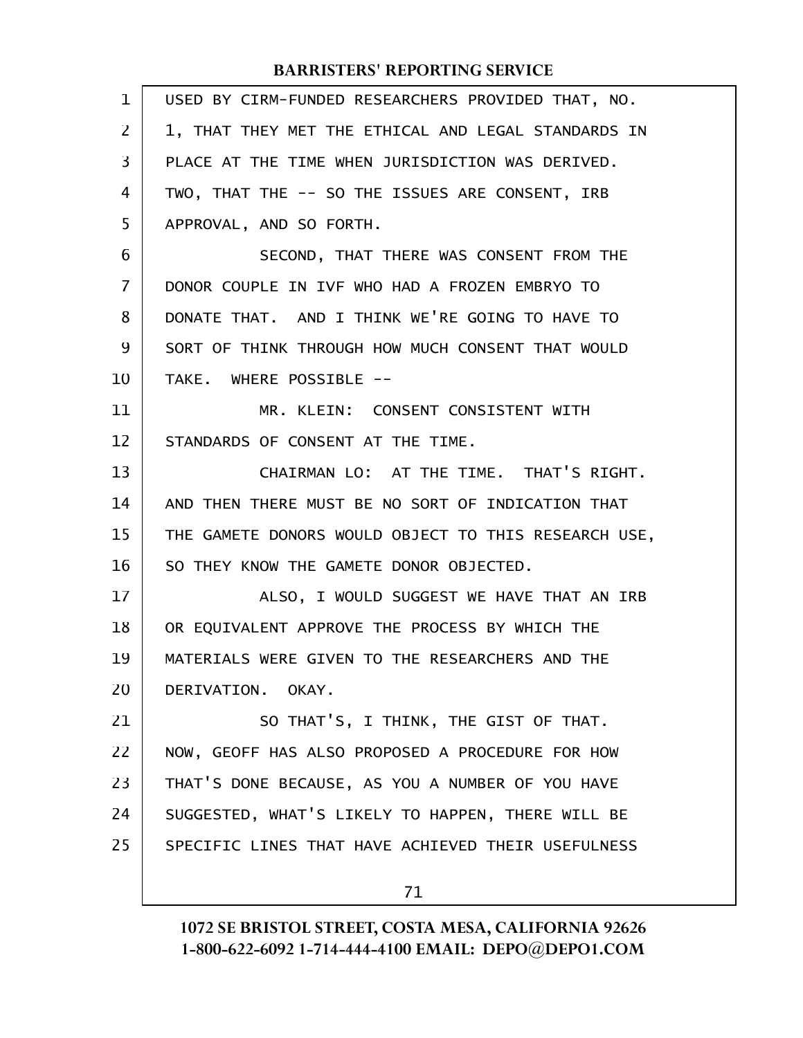| $\mathbf{1}$ | USED BY CIRM-FUNDED RESEARCHERS PROVIDED THAT, NO.   |
|--------------|------------------------------------------------------|
| 2            | 1, THAT THEY MET THE ETHICAL AND LEGAL STANDARDS IN  |
| 3            | PLACE AT THE TIME WHEN JURISDICTION WAS DERIVED.     |
| 4            | TWO, THAT THE -- SO THE ISSUES ARE CONSENT, IRB      |
| 5            | APPROVAL, AND SO FORTH.                              |
| 6            | SECOND, THAT THERE WAS CONSENT FROM THE              |
| 7            | DONOR COUPLE IN IVF WHO HAD A FROZEN EMBRYO TO       |
| 8            | DONATE THAT. AND I THINK WE'RE GOING TO HAVE TO      |
| 9            | SORT OF THINK THROUGH HOW MUCH CONSENT THAT WOULD    |
| 10           | TAKE. WHERE POSSIBLE --                              |
| 11           | MR. KLEIN: CONSENT CONSISTENT WITH                   |
| 12           | STANDARDS OF CONSENT AT THE TIME.                    |
| 13           | CHAIRMAN LO: AT THE TIME. THAT'S RIGHT.              |
| 14           | AND THEN THERE MUST BE NO SORT OF INDICATION THAT    |
| 15           | THE GAMETE DONORS WOULD OBJECT TO THIS RESEARCH USE, |
| 16           | SO THEY KNOW THE GAMETE DONOR OBJECTED.              |
| 17           | ALSO, I WOULD SUGGEST WE HAVE THAT AN IRB            |
| 18           | OR EQUIVALENT APPROVE THE PROCESS BY WHICH THE       |
| 19           | MATERIALS WERE GIVEN TO THE RESEARCHERS AND THE      |
| 20           | DERIVATION. OKAY.                                    |
| 21           | SO THAT'S, I THINK, THE GIST OF THAT.                |
| 22           | NOW, GEOFF HAS ALSO PROPOSED A PROCEDURE FOR HOW     |
| 23           | THAT'S DONE BECAUSE, AS YOU A NUMBER OF YOU HAVE     |
| 24           | SUGGESTED, WHAT'S LIKELY TO HAPPEN, THERE WILL BE    |
| 25           | SPECIFIC LINES THAT HAVE ACHIEVED THEIR USEFULNESS   |
|              | 71                                                   |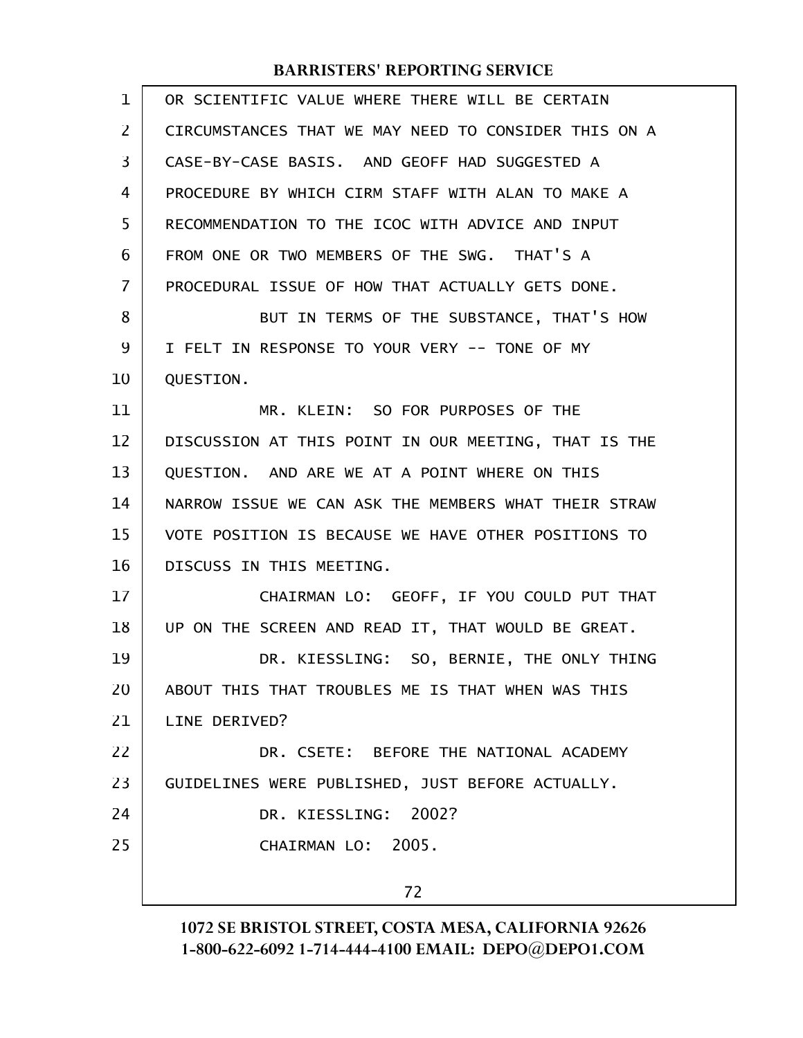| $\mathbf 1$ | OR SCIENTIFIC VALUE WHERE THERE WILL BE CERTAIN      |
|-------------|------------------------------------------------------|
| 2           | CIRCUMSTANCES THAT WE MAY NEED TO CONSIDER THIS ON A |
| 3           | CASE-BY-CASE BASIS. AND GEOFF HAD SUGGESTED A        |
| 4           | PROCEDURE BY WHICH CIRM STAFF WITH ALAN TO MAKE A    |
| 5           | RECOMMENDATION TO THE ICOC WITH ADVICE AND INPUT     |
| 6           | FROM ONE OR TWO MEMBERS OF THE SWG. THAT'S A         |
| 7           | PROCEDURAL ISSUE OF HOW THAT ACTUALLY GETS DONE.     |
| 8           | BUT IN TERMS OF THE SUBSTANCE, THAT'S HOW            |
| 9           | I FELT IN RESPONSE TO YOUR VERY -- TONE OF MY        |
| 10          | QUESTION.                                            |
| 11          | MR. KLEIN: SO FOR PURPOSES OF THE                    |
| 12          | DISCUSSION AT THIS POINT IN OUR MEETING, THAT IS THE |
| 13          | QUESTION. AND ARE WE AT A POINT WHERE ON THIS        |
| 14          | NARROW ISSUE WE CAN ASK THE MEMBERS WHAT THEIR STRAW |
| 15          | VOTE POSITION IS BECAUSE WE HAVE OTHER POSITIONS TO  |
| 16          | DISCUSS IN THIS MEETING.                             |
| 17          | CHAIRMAN LO: GEOFF, IF YOU COULD PUT THAT            |
| 18          | UP ON THE SCREEN AND READ IT, THAT WOULD BE GREAT.   |
| 19          | DR. KIESSLING: SO, BERNIE, THE ONLY THING            |
| 20          | ABOUT THIS THAT TROUBLES ME IS THAT WHEN WAS THIS    |
| 21          | LINE DERIVED?                                        |
| 22          | DR. CSETE: BEFORE THE NATIONAL ACADEMY               |
| 23          | GUIDELINES WERE PUBLISHED, JUST BEFORE ACTUALLY.     |
| 24          | DR. KIESSLING: 2002?                                 |
| 25          | CHAIRMAN LO: 2005.                                   |
|             | 72                                                   |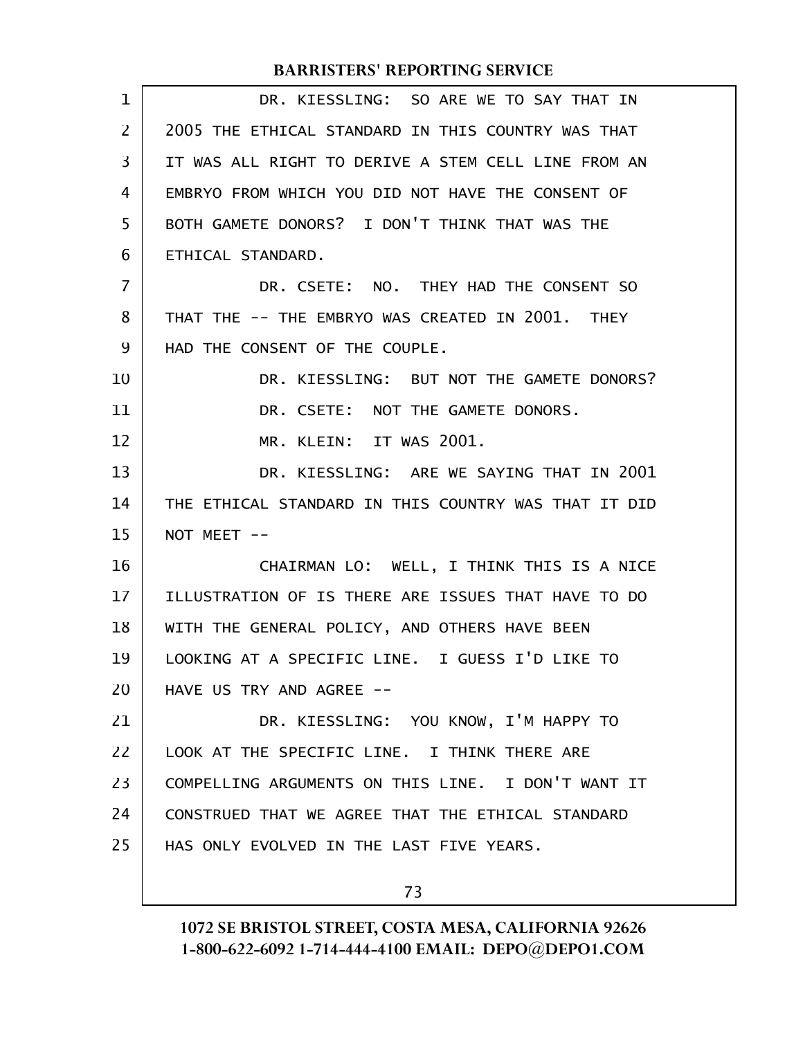| $\mathbf 1$    | DR. KIESSLING: SO ARE WE TO SAY THAT IN              |
|----------------|------------------------------------------------------|
| $\overline{2}$ | 2005 THE ETHICAL STANDARD IN THIS COUNTRY WAS THAT   |
| 3              | IT WAS ALL RIGHT TO DERIVE A STEM CELL LINE FROM AN  |
| 4              | EMBRYO FROM WHICH YOU DID NOT HAVE THE CONSENT OF    |
| 5              | BOTH GAMETE DONORS? I DON'T THINK THAT WAS THE       |
| 6              | ETHICAL STANDARD.                                    |
| $\overline{7}$ | DR. CSETE: NO. THEY HAD THE CONSENT SO               |
| 8              | THAT THE -- THE EMBRYO WAS CREATED IN 2001. THEY     |
| 9              | HAD THE CONSENT OF THE COUPLE.                       |
| 10             | DR. KIESSLING: BUT NOT THE GAMETE DONORS?            |
| 11             | DR. CSETE: NOT THE GAMETE DONORS.                    |
| 12             | MR. KLEIN: IT WAS 2001.                              |
| 13             | DR. KIESSLING: ARE WE SAYING THAT IN 2001            |
| 14             | THE ETHICAL STANDARD IN THIS COUNTRY WAS THAT IT DID |
| 15             | NOT MEET --                                          |
| 16             | CHAIRMAN LO: WELL, I THINK THIS IS A NICE            |
| 17             | ILLUSTRATION OF IS THERE ARE ISSUES THAT HAVE TO DO  |
| 18             | WITH THE GENERAL POLICY, AND OTHERS HAVE BEEN        |
| 19             | LOOKING AT A SPECIFIC LINE. I GUESS I'D LIKE TO      |
| 20             | HAVE US TRY AND AGREE --                             |
| 21             | DR. KIESSLING: YOU KNOW, I'M HAPPY TO                |
| 22             | LOOK AT THE SPECIFIC LINE. I THINK THERE ARE         |
| 23             | COMPELLING ARGUMENTS ON THIS LINE. I DON'T WANT IT   |
| 24             | CONSTRUED THAT WE AGREE THAT THE ETHICAL STANDARD    |
| 25             | HAS ONLY EVOLVED IN THE LAST FIVE YEARS.             |
|                | 73                                                   |
|                |                                                      |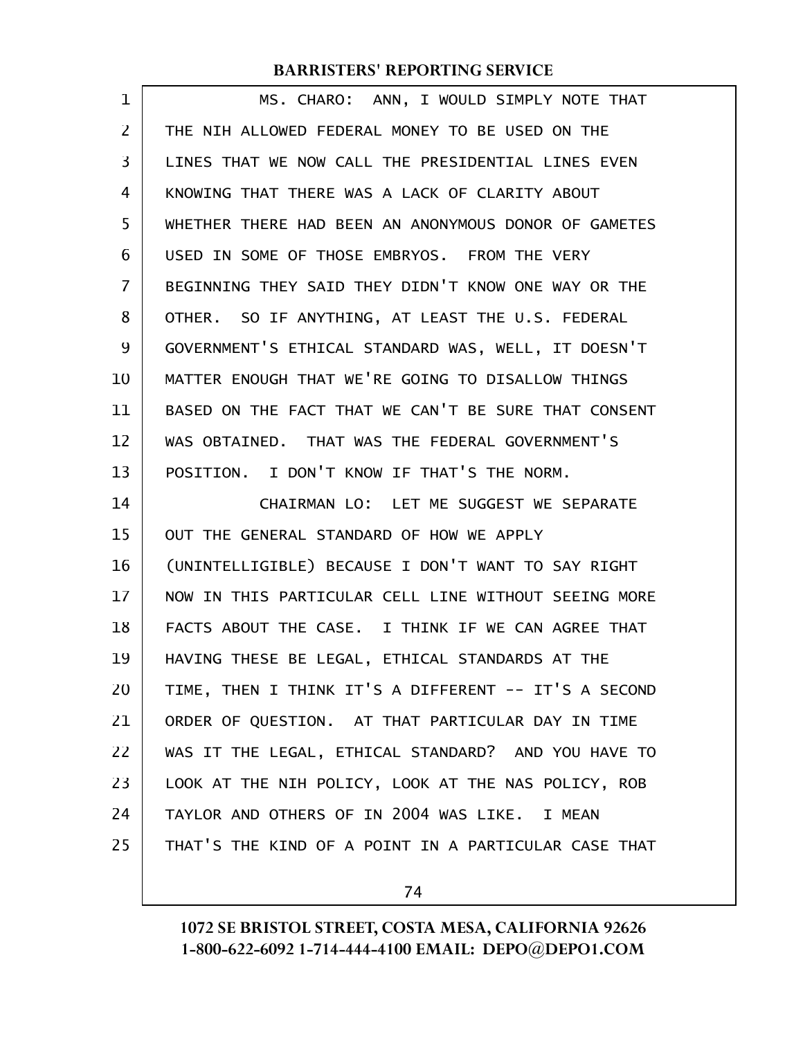| 1              | MS. CHARO: ANN, I WOULD SIMPLY NOTE THAT             |
|----------------|------------------------------------------------------|
| $\overline{2}$ | THE NIH ALLOWED FEDERAL MONEY TO BE USED ON THE      |
| 3              | LINES THAT WE NOW CALL THE PRESIDENTIAL LINES EVEN   |
| 4              | KNOWING THAT THERE WAS A LACK OF CLARITY ABOUT       |
| 5              | WHETHER THERE HAD BEEN AN ANONYMOUS DONOR OF GAMETES |
| 6              | USED IN SOME OF THOSE EMBRYOS. FROM THE VERY         |
| 7              | BEGINNING THEY SAID THEY DIDN'T KNOW ONE WAY OR THE  |
| 8              | OTHER. SO IF ANYTHING, AT LEAST THE U.S. FEDERAL     |
| 9              | GOVERNMENT'S ETHICAL STANDARD WAS, WELL, IT DOESN'T  |
| 10             | MATTER ENOUGH THAT WE'RE GOING TO DISALLOW THINGS    |
| 11             | BASED ON THE FACT THAT WE CAN'T BE SURE THAT CONSENT |
| 12             | WAS OBTAINED. THAT WAS THE FEDERAL GOVERNMENT'S      |
| 13             | POSITION. I DON'T KNOW IF THAT'S THE NORM.           |
| 14             | CHAIRMAN LO: LET ME SUGGEST WE SEPARATE              |
| 15             | OUT THE GENERAL STANDARD OF HOW WE APPLY             |
| 16             | (UNINTELLIGIBLE) BECAUSE I DON'T WANT TO SAY RIGHT   |
| 17             | NOW IN THIS PARTICULAR CELL LINE WITHOUT SEEING MORE |
| 18             | FACTS ABOUT THE CASE. I THINK IF WE CAN AGREE THAT   |
| 19             | HAVING THESE BE LEGAL, ETHICAL STANDARDS AT THE      |
| 20             | TIME, THEN I THINK IT'S A DIFFERENT -- IT'S A SECOND |
| 21             | ORDER OF QUESTION. AT THAT PARTICULAR DAY IN TIME    |
| 22             | WAS IT THE LEGAL, ETHICAL STANDARD? AND YOU HAVE TO  |
| 23             | LOOK AT THE NIH POLICY, LOOK AT THE NAS POLICY, ROB  |
| 24             | TAYLOR AND OTHERS OF IN 2004 WAS LIKE. I MEAN        |
| 25             | THAT'S THE KIND OF A POINT IN A PARTICULAR CASE THAT |
|                |                                                      |

74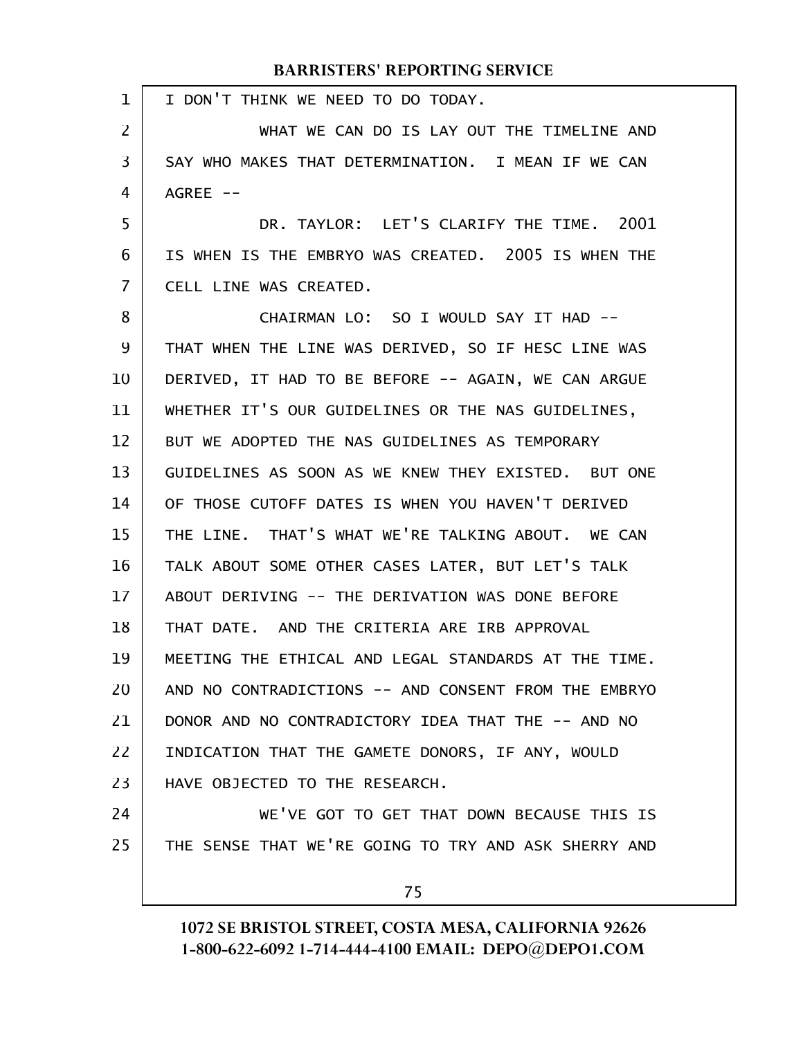| $\mathbf 1$    | I DON'T THINK WE NEED TO DO TODAY.                   |
|----------------|------------------------------------------------------|
| $\overline{2}$ | WHAT WE CAN DO IS LAY OUT THE TIMELINE AND           |
| 3              | SAY WHO MAKES THAT DETERMINATION. I MEAN IF WE CAN   |
| 4              | AGREE --                                             |
| 5              | DR. TAYLOR: LET'S CLARIFY THE TIME. 2001             |
| 6              | IS WHEN IS THE EMBRYO WAS CREATED. 2005 IS WHEN THE  |
| 7              | CELL LINE WAS CREATED.                               |
| 8              | CHAIRMAN LO: SO I WOULD SAY IT HAD --                |
| 9              | THAT WHEN THE LINE WAS DERIVED, SO IF HESC LINE WAS  |
| 10             | DERIVED, IT HAD TO BE BEFORE -- AGAIN, WE CAN ARGUE  |
| 11             | WHETHER IT'S OUR GUIDELINES OR THE NAS GUIDELINES,   |
| 12             | BUT WE ADOPTED THE NAS GUIDELINES AS TEMPORARY       |
| 13             | GUIDELINES AS SOON AS WE KNEW THEY EXISTED. BUT ONE  |
| 14             | OF THOSE CUTOFF DATES IS WHEN YOU HAVEN'T DERIVED    |
| 15             | THE LINE. THAT'S WHAT WE'RE TALKING ABOUT. WE CAN    |
| 16             | TALK ABOUT SOME OTHER CASES LATER, BUT LET'S TALK    |
| 17             | ABOUT DERIVING -- THE DERIVATION WAS DONE BEFORE     |
| 18             | THAT DATE. AND THE CRITERIA ARE IRB APPROVAL         |
| 19             | MEETING THE ETHICAL AND LEGAL STANDARDS AT THE TIME. |
| 20             | AND NO CONTRADICTIONS -- AND CONSENT FROM THE EMBRYO |
| 21             | DONOR AND NO CONTRADICTORY IDEA THAT THE -- AND NO   |
| 22             | INDICATION THAT THE GAMETE DONORS, IF ANY, WOULD     |
| 23             | HAVE OBJECTED TO THE RESEARCH.                       |
| 24             | WE'VE GOT TO GET THAT DOWN BECAUSE THIS IS           |
| 25             | THE SENSE THAT WE'RE GOING TO TRY AND ASK SHERRY AND |
|                | 75                                                   |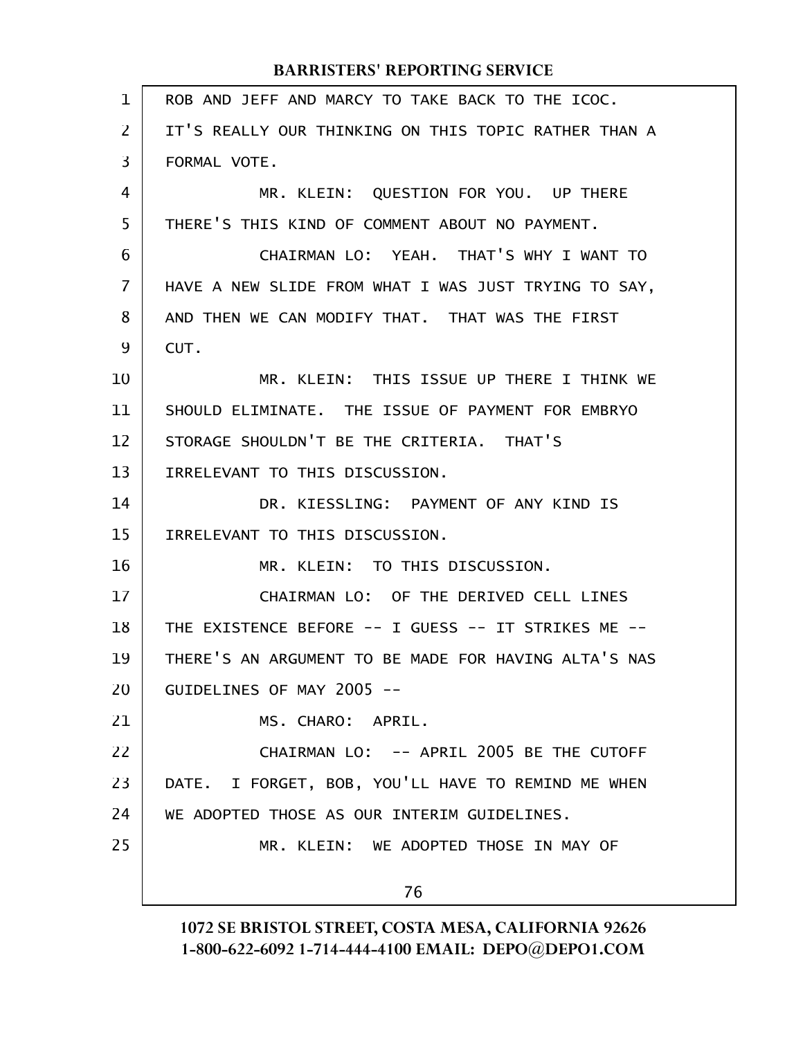| $\mathbf 1$    | ROB AND JEFF AND MARCY TO TAKE BACK TO THE ICOC.     |
|----------------|------------------------------------------------------|
| $\overline{2}$ | IT'S REALLY OUR THINKING ON THIS TOPIC RATHER THAN A |
| 3              | FORMAL VOTE.                                         |
| 4              | MR. KLEIN: QUESTION FOR YOU. UP THERE                |
| 5              | THERE'S THIS KIND OF COMMENT ABOUT NO PAYMENT.       |
| 6              | CHAIRMAN LO: YEAH. THAT'S WHY I WANT TO              |
| 7              | HAVE A NEW SLIDE FROM WHAT I WAS JUST TRYING TO SAY, |
| 8              | AND THEN WE CAN MODIFY THAT. THAT WAS THE FIRST      |
| 9              | CUT.                                                 |
| 10             | MR. KLEIN: THIS ISSUE UP THERE I THINK WE            |
| 11             | SHOULD ELIMINATE. THE ISSUE OF PAYMENT FOR EMBRYO    |
| 12             | STORAGE SHOULDN'T BE THE CRITERIA. THAT'S            |
| 13             | IRRELEVANT TO THIS DISCUSSION.                       |
| 14             | DR. KIESSLING: PAYMENT OF ANY KIND IS                |
| 15             | IRRELEVANT TO THIS DISCUSSION.                       |
| 16             | MR. KLEIN: TO THIS DISCUSSION.                       |
| 17             | CHAIRMAN LO: OF THE DERIVED CELL LINES               |
| 18             | THE EXISTENCE BEFORE -- I GUESS -- IT STRIKES ME --  |
| 19             | THERE'S AN ARGUMENT TO BE MADE FOR HAVING ALTA'S NAS |
| 20             | GUIDELINES OF MAY 2005 --                            |
| 21             | MS. CHARO: APRIL.                                    |
| 22             | CHAIRMAN LO: -- APRIL 2005 BE THE CUTOFF             |
| 23             | DATE. I FORGET, BOB, YOU'LL HAVE TO REMIND ME WHEN   |
| 24             | WE ADOPTED THOSE AS OUR INTERIM GUIDELINES.          |
| 25             | MR. KLEIN: WE ADOPTED THOSE IN MAY OF                |
|                | 76                                                   |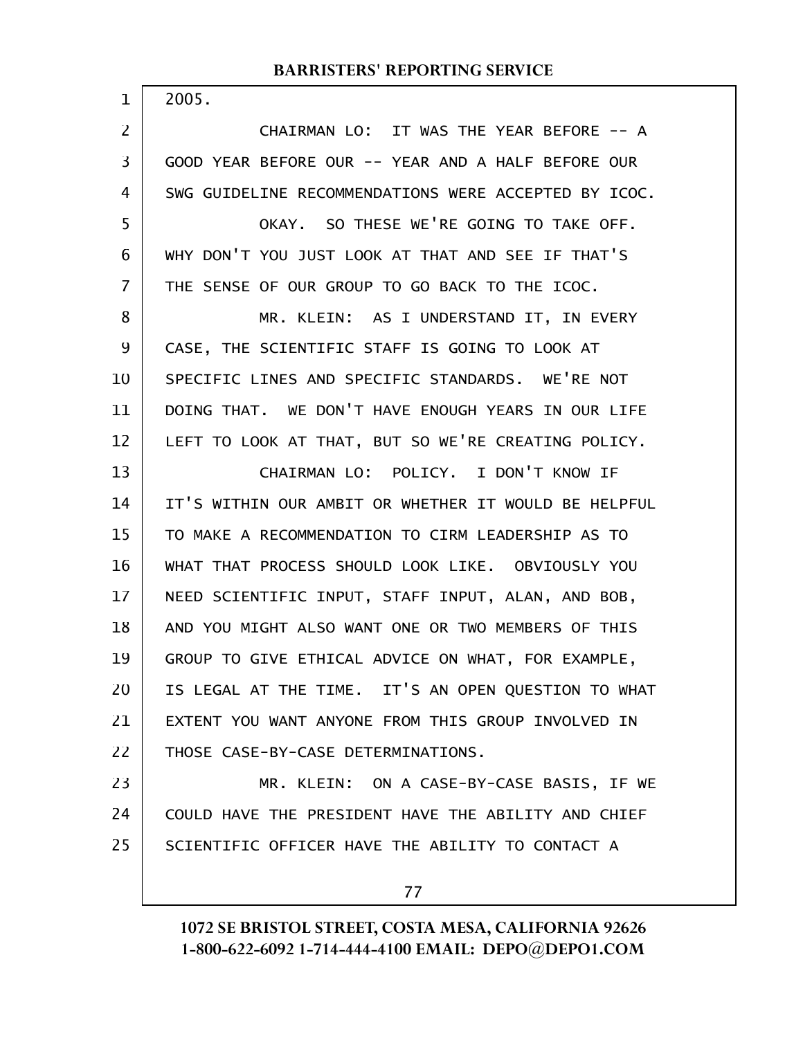| 1              | 2005.                                                |
|----------------|------------------------------------------------------|
| $\overline{2}$ | CHAIRMAN LO: IT WAS THE YEAR BEFORE -- A             |
| 3              | GOOD YEAR BEFORE OUR -- YEAR AND A HALF BEFORE OUR   |
| $\overline{4}$ | SWG GUIDELINE RECOMMENDATIONS WERE ACCEPTED BY ICOC. |
| 5              | OKAY. SO THESE WE'RE GOING TO TAKE OFF.              |
| 6              | WHY DON'T YOU JUST LOOK AT THAT AND SEE IF THAT'S    |
| $\overline{7}$ | THE SENSE OF OUR GROUP TO GO BACK TO THE ICOC.       |
| 8              | MR. KLEIN: AS I UNDERSTAND IT, IN EVERY              |
| 9              | CASE, THE SCIENTIFIC STAFF IS GOING TO LOOK AT       |
| 10             | SPECIFIC LINES AND SPECIFIC STANDARDS. WE'RE NOT     |
| 11             | DOING THAT. WE DON'T HAVE ENOUGH YEARS IN OUR LIFE   |
| 12             | LEFT TO LOOK AT THAT, BUT SO WE'RE CREATING POLICY.  |
| 13             | CHAIRMAN LO: POLICY. I DON'T KNOW IF                 |
| 14             | IT'S WITHIN OUR AMBIT OR WHETHER IT WOULD BE HELPFUL |
| 15             | TO MAKE A RECOMMENDATION TO CIRM LEADERSHIP AS TO    |
| 16             | WHAT THAT PROCESS SHOULD LOOK LIKE. OBVIOUSLY YOU    |
| 17             | NEED SCIENTIFIC INPUT, STAFF INPUT, ALAN, AND BOB,   |
| 18             | AND YOU MIGHT ALSO WANT ONE OR TWO MEMBERS OF THIS   |
| 19             | GROUP TO GIVE ETHICAL ADVICE ON WHAT, FOR EXAMPLE,   |
| 20             | IS LEGAL AT THE TIME. IT'S AN OPEN QUESTION TO WHAT  |
| 21             | EXTENT YOU WANT ANYONE FROM THIS GROUP INVOLVED IN   |
| 22             | THOSE CASE-BY-CASE DETERMINATIONS.                   |
| 23             | MR. KLEIN: ON A CASE-BY-CASE BASIS, IF WE            |
| 24             | COULD HAVE THE PRESIDENT HAVE THE ABILITY AND CHIEF  |
| 25             | SCIENTIFIC OFFICER HAVE THE ABILITY TO CONTACT A     |
|                |                                                      |

77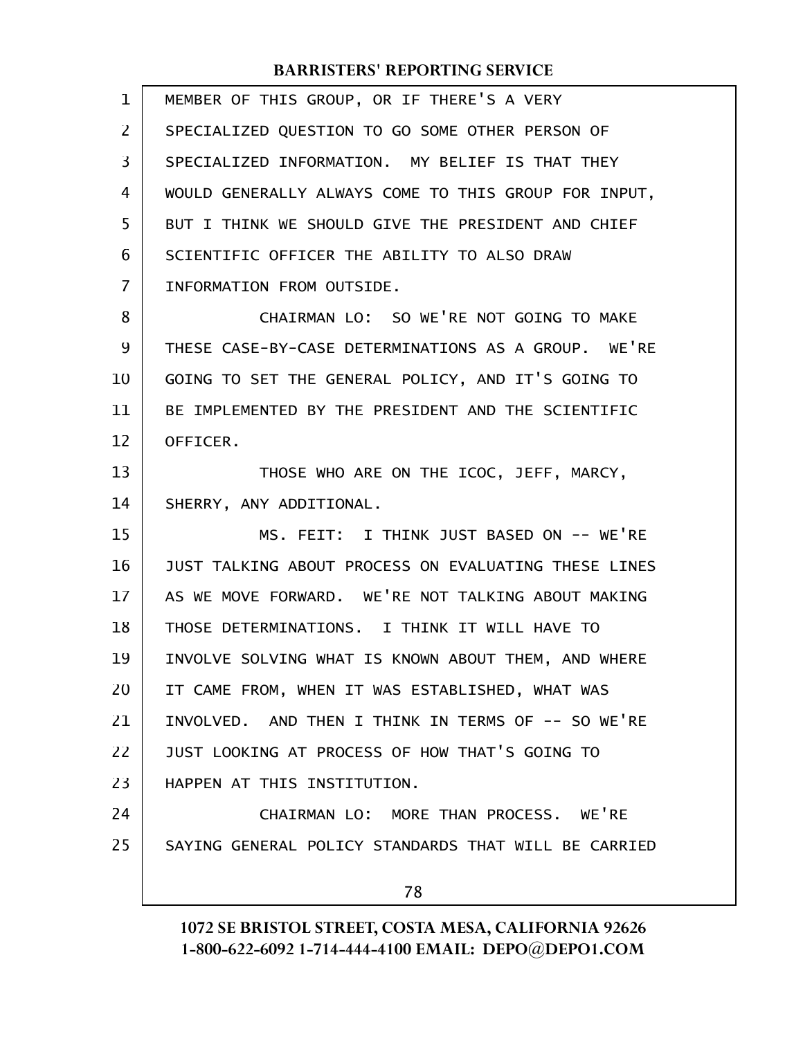| $\mathbf{1}$   | MEMBER OF THIS GROUP, OR IF THERE'S A VERY           |
|----------------|------------------------------------------------------|
| 2              | SPECIALIZED QUESTION TO GO SOME OTHER PERSON OF      |
| 3              | SPECIALIZED INFORMATION. MY BELIEF IS THAT THEY      |
| 4              | WOULD GENERALLY ALWAYS COME TO THIS GROUP FOR INPUT, |
| 5              | BUT I THINK WE SHOULD GIVE THE PRESIDENT AND CHIEF   |
| 6              | SCIENTIFIC OFFICER THE ABILITY TO ALSO DRAW          |
| $\overline{7}$ | INFORMATION FROM OUTSIDE.                            |
| 8              | CHAIRMAN LO: SO WE'RE NOT GOING TO MAKE              |
| 9              | THESE CASE-BY-CASE DETERMINATIONS AS A GROUP. WE'RE  |
| 10             | GOING TO SET THE GENERAL POLICY, AND IT'S GOING TO   |
| 11             | BE IMPLEMENTED BY THE PRESIDENT AND THE SCIENTIFIC   |
| 12             | OFFICER.                                             |
| 13             | THOSE WHO ARE ON THE ICOC, JEFF, MARCY,              |
| 14             | SHERRY, ANY ADDITIONAL.                              |
| 15             | MS. FEIT: I THINK JUST BASED ON -- WE'RE             |
| 16             | JUST TALKING ABOUT PROCESS ON EVALUATING THESE LINES |
| 17             | AS WE MOVE FORWARD. WE'RE NOT TALKING ABOUT MAKING   |
| 18             | THOSE DETERMINATIONS. I THINK IT WILL HAVE TO        |
| 19             | INVOLVE SOLVING WHAT IS KNOWN ABOUT THEM, AND WHERE  |
| 20             | IT CAME FROM, WHEN IT WAS ESTABLISHED, WHAT WAS      |
| 21             | INVOLVED. AND THEN I THINK IN TERMS OF -- SO WE'RE   |
| 22             | JUST LOOKING AT PROCESS OF HOW THAT'S GOING TO       |
| 23             | HAPPEN AT THIS INSTITUTION.                          |
| 24             | CHAIRMAN LO: MORE THAN PROCESS. WE'RE                |
| 25             | SAYING GENERAL POLICY STANDARDS THAT WILL BE CARRIED |
|                | 78                                                   |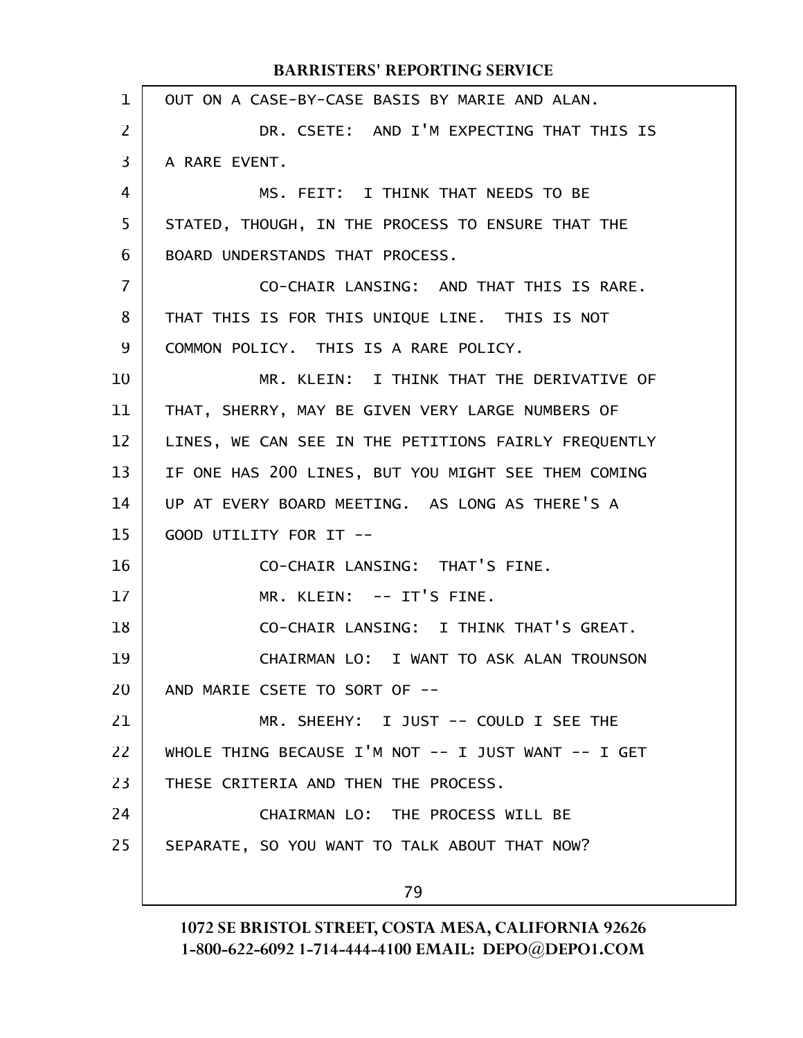OUT ON A CASE-BY-CASE BASIS BY MARIE AND ALAN. DR. CSETE: AND I'M EXPECTING THAT THIS IS A RARE EVENT. MS. FEIT: I THINK THAT NEEDS TO BE STATED, THOUGH, IN THE PROCESS TO ENSURE THAT THE BOARD UNDERSTANDS THAT PROCESS. CO-CHAIR LANSING: AND THAT THIS IS RARE. THAT THIS IS FOR THIS UNIQUE LINE. THIS IS NOT COMMON POLICY. THIS IS A RARE POLICY. MR. KLEIN: I THINK THAT THE DERIVATIVE OF THAT, SHERRY, MAY BE GIVEN VERY LARGE NUMBERS OF LINES, WE CAN SEE IN THE PETITIONS FAIRLY FREQUENTLY IF ONE HAS 200 LINES, BUT YOU MIGHT SEE THEM COMING UP AT EVERY BOARD MEETING. AS LONG AS THERE'S A GOOD UTILITY FOR IT -- CO-CHAIR LANSING: THAT'S FINE. MR. KLEIN: -- IT'S FINE. CO-CHAIR LANSING: I THINK THAT'S GREAT. CHAIRMAN LO: I WANT TO ASK ALAN TROUNSON AND MARIE CSETE TO SORT OF -- MR. SHEEHY: I JUST -- COULD I SEE THE WHOLE THING BECAUSE I'M NOT -- I JUST WANT -- I GET THESE CRITERIA AND THEN THE PROCESS. CHAIRMAN LO: THE PROCESS WILL BE SEPARATE, SO YOU WANT TO TALK ABOUT THAT NOW? 79 1 2 3 4 5 6 7 8 9 10 11 12 13 14 15 16 17 18 19 20 21 22 23 24 25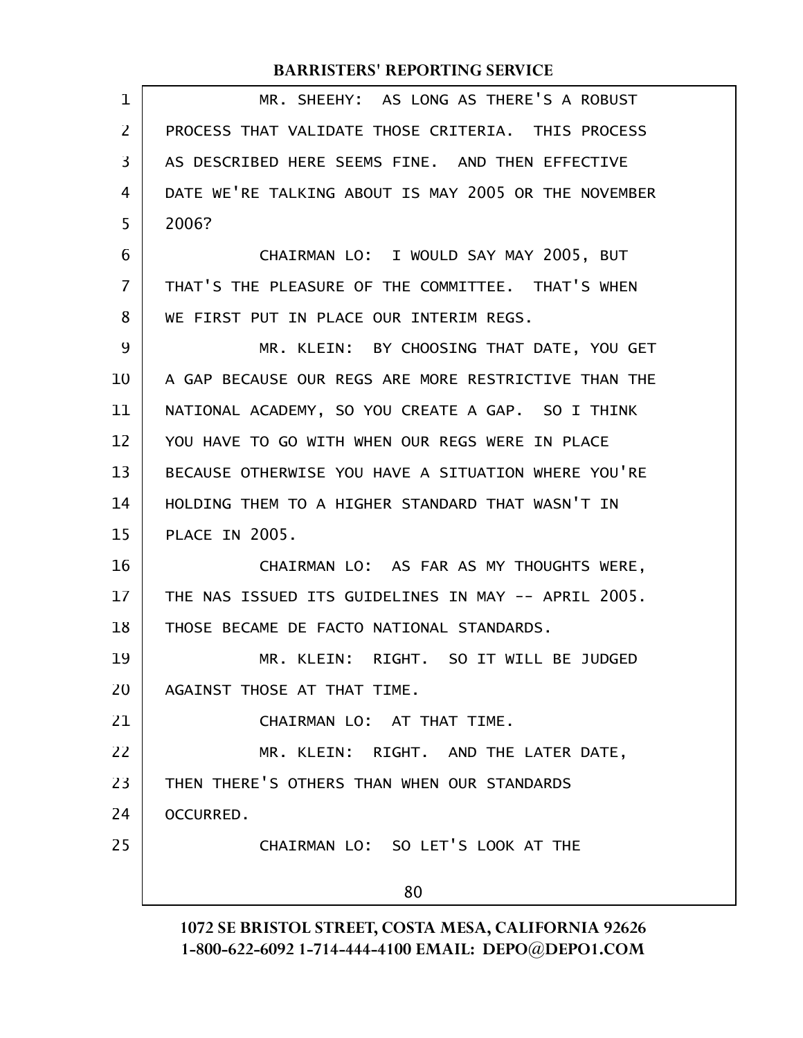| 1              | MR. SHEEHY: AS LONG AS THERE'S A ROBUST              |
|----------------|------------------------------------------------------|
| $\overline{2}$ | PROCESS THAT VALIDATE THOSE CRITERIA. THIS PROCESS   |
| 3              | AS DESCRIBED HERE SEEMS FINE. AND THEN EFFECTIVE     |
| 4              | DATE WE'RE TALKING ABOUT IS MAY 2005 OR THE NOVEMBER |
| 5              | 2006?                                                |
| 6              | CHAIRMAN LO: I WOULD SAY MAY 2005, BUT               |
| $\overline{7}$ | THAT'S THE PLEASURE OF THE COMMITTEE. THAT'S WHEN    |
| 8              | WE FIRST PUT IN PLACE OUR INTERIM REGS.              |
| 9              | MR. KLEIN: BY CHOOSING THAT DATE, YOU GET            |
| 10             | A GAP BECAUSE OUR REGS ARE MORE RESTRICTIVE THAN THE |
| 11             | NATIONAL ACADEMY, SO YOU CREATE A GAP. SO I THINK    |
| 12             | YOU HAVE TO GO WITH WHEN OUR REGS WERE IN PLACE      |
| 13             | BECAUSE OTHERWISE YOU HAVE A SITUATION WHERE YOU'RE  |
| 14             | HOLDING THEM TO A HIGHER STANDARD THAT WASN'T IN     |
| 15             | PLACE IN 2005.                                       |
| 16             | CHAIRMAN LO: AS FAR AS MY THOUGHTS WERE,             |
| 17             | THE NAS ISSUED ITS GUIDELINES IN MAY -- APRIL 2005.  |
| 18             | THOSE BECAME DE FACTO NATIONAL STANDARDS.            |
| 19             | MR. KLEIN: RIGHT. SO IT WILL BE JUDGED               |
| 20             | AGAINST THOSE AT THAT TIME.                          |
| 21             | CHAIRMAN LO: AT THAT TIME.                           |
| 22             | MR. KLEIN: RIGHT. AND THE LATER DATE,                |
| 23             | THEN THERE'S OTHERS THAN WHEN OUR STANDARDS          |
| 24             | <b>OCCURRED.</b>                                     |
| 25             | CHAIRMAN LO: SO LET'S LOOK AT THE                    |
|                | 80                                                   |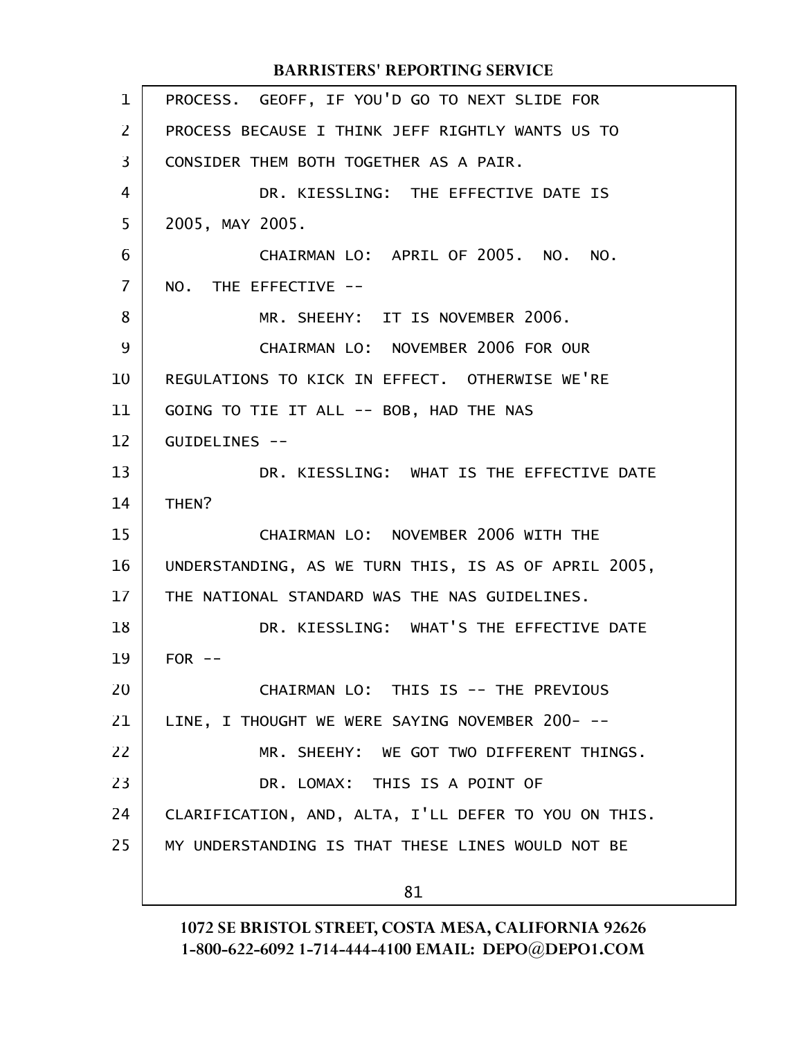PROCESS. GEOFF, IF YOU'D GO TO NEXT SLIDE FOR PROCESS BECAUSE I THINK JEFF RIGHTLY WANTS US TO CONSIDER THEM BOTH TOGETHER AS A PAIR. DR. KIESSLING: THE EFFECTIVE DATE IS 2005, MAY 2005. CHAIRMAN LO: APRIL OF 2005. NO. NO. NO. THE EFFECTIVE -- MR. SHEEHY: IT IS NOVEMBER 2006. CHAIRMAN LO: NOVEMBER 2006 FOR OUR REGULATIONS TO KICK IN EFFECT. OTHERWISE WE'RE GOING TO TIE IT ALL -- BOB, HAD THE NAS GUIDELINES -- DR. KIESSLING: WHAT IS THE EFFECTIVE DATE THEN? CHAIRMAN LO: NOVEMBER 2006 WITH THE UNDERSTANDING, AS WE TURN THIS, IS AS OF APRIL 2005, THE NATIONAL STANDARD WAS THE NAS GUIDELINES. DR. KIESSLING: WHAT'S THE EFFECTIVE DATE  $FOR$   $--$ CHAIRMAN LO: THIS IS -- THE PREVIOUS LINE, I THOUGHT WE WERE SAYING NOVEMBER 200- --MR. SHEEHY: WE GOT TWO DIFFERENT THINGS. DR. LOMAX: THIS IS A POINT OF CLARIFICATION, AND, ALTA, I'LL DEFER TO YOU ON THIS. MY UNDERSTANDING IS THAT THESE LINES WOULD NOT BE 81 1 2 3 4 5 6 7 8 9 10 11 12 13 14 15 16 17 18 19 20 21 22 23 24 25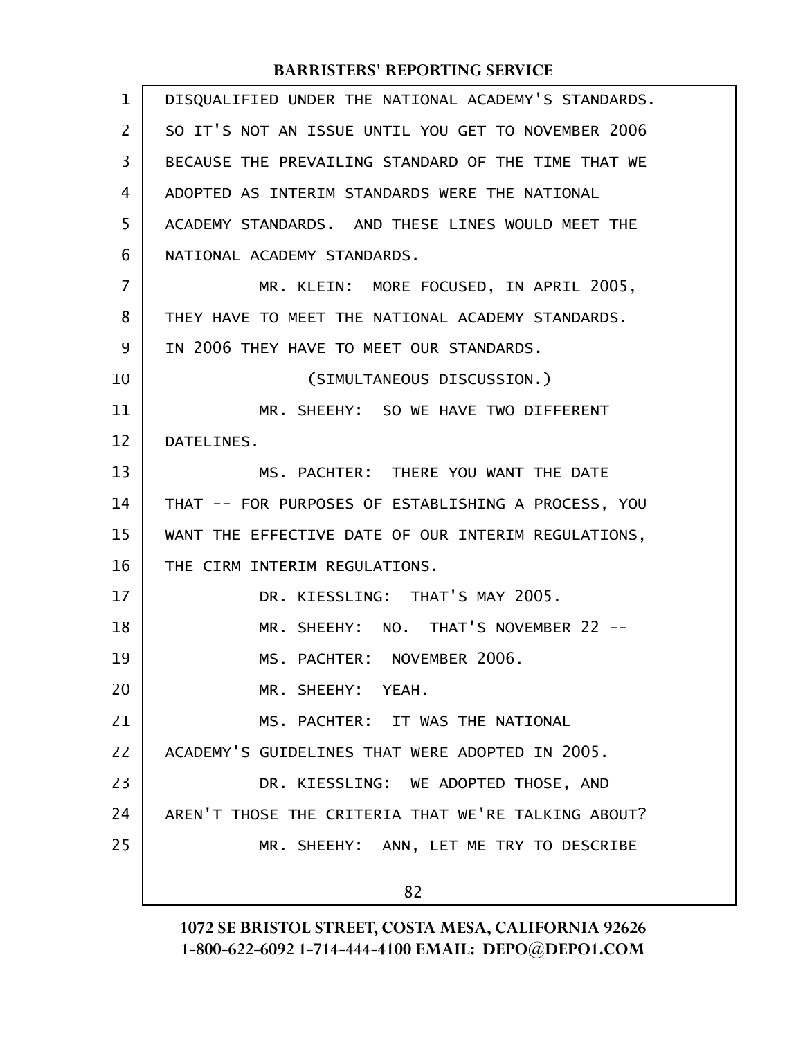| $\mathbf 1$    | DISQUALIFIED UNDER THE NATIONAL ACADEMY'S STANDARDS. |
|----------------|------------------------------------------------------|
| $\overline{2}$ | SO IT'S NOT AN ISSUE UNTIL YOU GET TO NOVEMBER 2006  |
| 3              | BECAUSE THE PREVAILING STANDARD OF THE TIME THAT WE  |
| 4              | ADOPTED AS INTERIM STANDARDS WERE THE NATIONAL       |
| 5              | ACADEMY STANDARDS. AND THESE LINES WOULD MEET THE    |
| 6              | NATIONAL ACADEMY STANDARDS.                          |
| $\overline{I}$ | MR. KLEIN: MORE FOCUSED, IN APRIL 2005,              |
| 8              | THEY HAVE TO MEET THE NATIONAL ACADEMY STANDARDS.    |
| 9              | IN 2006 THEY HAVE TO MEET OUR STANDARDS.             |
| 10             | (SIMULTANEOUS DISCUSSION.)                           |
| 11             | MR. SHEEHY: SO WE HAVE TWO DIFFERENT                 |
| 12             | DATELINES.                                           |
| 13             | MS. PACHTER: THERE YOU WANT THE DATE                 |
| 14             | THAT -- FOR PURPOSES OF ESTABLISHING A PROCESS, YOU  |
| 15             | WANT THE EFFECTIVE DATE OF OUR INTERIM REGULATIONS,  |
| 16             | THE CIRM INTERIM REGULATIONS.                        |
| 17             | DR. KIESSLING: THAT'S MAY 2005.                      |
| 18             | MR. SHEEHY: NO. THAT'S NOVEMBER 22 --                |
| 19             | MS. PACHTER: NOVEMBER 2006.                          |
| 20             | MR. SHEEHY: YEAH.                                    |
| 21             | MS. PACHTER: IT WAS THE NATIONAL                     |
| 22             | ACADEMY'S GUIDELINES THAT WERE ADOPTED IN 2005.      |
| 23             | DR. KIESSLING: WE ADOPTED THOSE, AND                 |
| 24             | AREN'T THOSE THE CRITERIA THAT WE'RE TALKING ABOUT?  |
| 25             | MR. SHEEHY: ANN, LET ME TRY TO DESCRIBE              |
|                | 82                                                   |
|                |                                                      |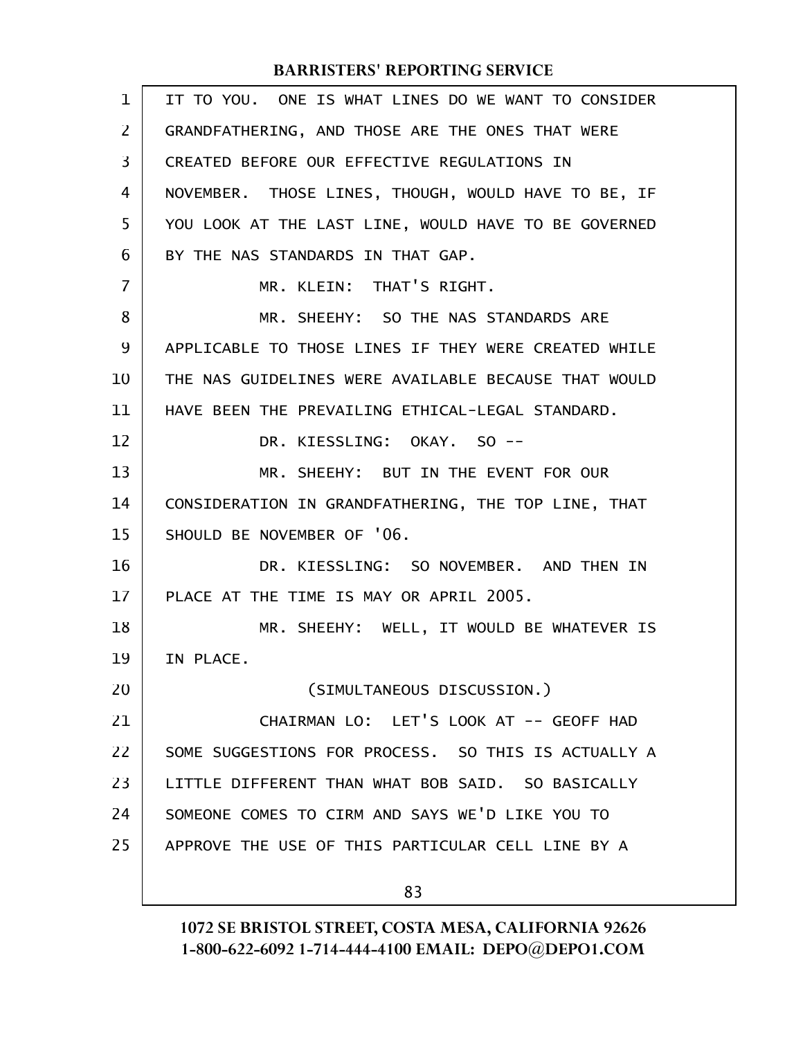| $\mathbf 1$ | IT TO YOU. ONE IS WHAT LINES DO WE WANT TO CONSIDER  |
|-------------|------------------------------------------------------|
| 2           | GRANDFATHERING, AND THOSE ARE THE ONES THAT WERE     |
| 3           | CREATED BEFORE OUR EFFECTIVE REGULATIONS IN          |
| 4           | NOVEMBER. THOSE LINES, THOUGH, WOULD HAVE TO BE, IF  |
| 5           | YOU LOOK AT THE LAST LINE, WOULD HAVE TO BE GOVERNED |
| 6           | BY THE NAS STANDARDS IN THAT GAP.                    |
| 7           | MR. KLEIN: THAT'S RIGHT.                             |
| 8           | MR. SHEEHY: SO THE NAS STANDARDS ARE                 |
| 9           | APPLICABLE TO THOSE LINES IF THEY WERE CREATED WHILE |
| 10          | THE NAS GUIDELINES WERE AVAILABLE BECAUSE THAT WOULD |
| 11          | HAVE BEEN THE PREVAILING ETHICAL-LEGAL STANDARD.     |
| 12          | DR. KIESSLING: OKAY. SO --                           |
| 13          | MR. SHEEHY: BUT IN THE EVENT FOR OUR                 |
| 14          | CONSIDERATION IN GRANDFATHERING, THE TOP LINE, THAT  |
| 15          | SHOULD BE NOVEMBER OF '06.                           |
| 16          | DR. KIESSLING: SO NOVEMBER. AND THEN IN              |
| 17          | PLACE AT THE TIME IS MAY OR APRIL 2005.              |
| 18          | MR. SHEEHY: WELL, IT WOULD BE WHATEVER IS            |
| 19          | IN PLACE.                                            |
| 20          | (SIMULTANEOUS DISCUSSION.)                           |
| 21          | CHAIRMAN LO: LET'S LOOK AT -- GEOFF HAD              |
| 22          | SOME SUGGESTIONS FOR PROCESS. SO THIS IS ACTUALLY A  |
| 23          | LITTLE DIFFERENT THAN WHAT BOB SAID. SO BASICALLY    |
| 24          | SOMEONE COMES TO CIRM AND SAYS WE'D LIKE YOU TO      |
| 25          | APPROVE THE USE OF THIS PARTICULAR CELL LINE BY A    |
|             | 83                                                   |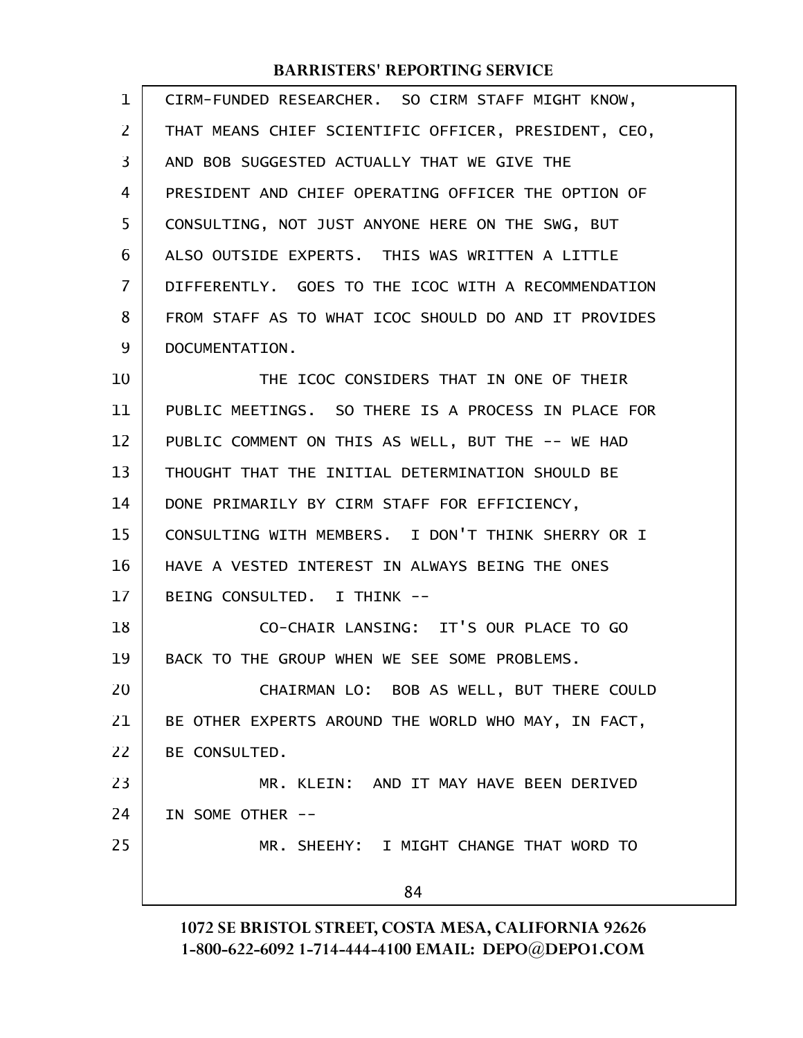| 1              | CIRM-FUNDED RESEARCHER. SO CIRM STAFF MIGHT KNOW,    |
|----------------|------------------------------------------------------|
| $\overline{2}$ | THAT MEANS CHIEF SCIENTIFIC OFFICER, PRESIDENT, CEO, |
| 3              | AND BOB SUGGESTED ACTUALLY THAT WE GIVE THE          |
| 4              | PRESIDENT AND CHIEF OPERATING OFFICER THE OPTION OF  |
| 5              | CONSULTING, NOT JUST ANYONE HERE ON THE SWG, BUT     |
| 6              | ALSO OUTSIDE EXPERTS. THIS WAS WRITTEN A LITTLE      |
| $\overline{7}$ | DIFFERENTLY. GOES TO THE ICOC WITH A RECOMMENDATION  |
| 8              | FROM STAFF AS TO WHAT ICOC SHOULD DO AND IT PROVIDES |
| 9              | DOCUMENTATION.                                       |
| 10             | THE ICOC CONSIDERS THAT IN ONE OF THEIR              |
| 11             | PUBLIC MEETINGS. SO THERE IS A PROCESS IN PLACE FOR  |
| 12             | PUBLIC COMMENT ON THIS AS WELL, BUT THE -- WE HAD    |
| 13             | THOUGHT THAT THE INITIAL DETERMINATION SHOULD BE     |
| 14             | DONE PRIMARILY BY CIRM STAFF FOR EFFICIENCY,         |
| 15             | CONSULTING WITH MEMBERS. I DON'T THINK SHERRY OR I   |
| 16             | HAVE A VESTED INTEREST IN ALWAYS BEING THE ONES      |
| 17             | BEING CONSULTED. I THINK --                          |
| 18             | CO-CHAIR LANSING: IT'S OUR PLACE TO GO               |
| 19             | BACK TO THE GROUP WHEN WE SEE SOME PROBLEMS.         |
| 20             | CHAIRMAN LO: BOB AS WELL, BUT THERE COULD            |
| 21             | BE OTHER EXPERTS AROUND THE WORLD WHO MAY, IN FACT,  |
| 22             | BE CONSULTED.                                        |
| 23             | MR. KLEIN: AND IT MAY HAVE BEEN DERIVED              |
| 24             | IN SOME OTHER --                                     |
| 25             | MR. SHEEHY: I MIGHT CHANGE THAT WORD TO              |
|                | 84                                                   |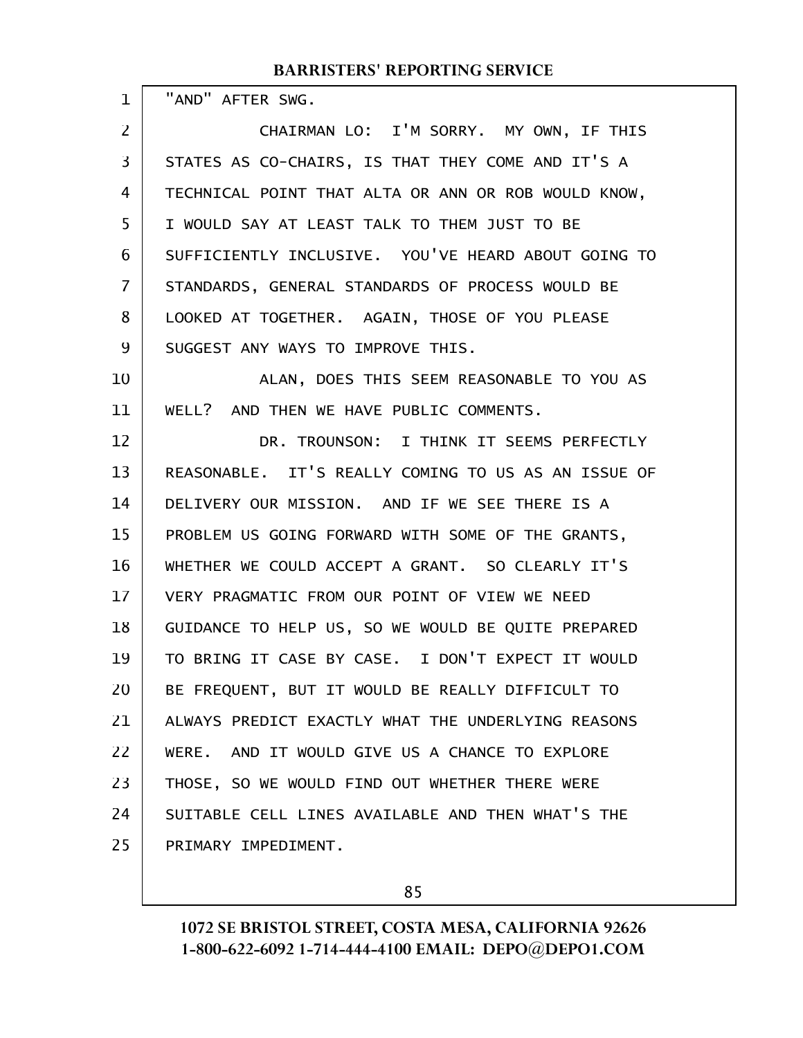"AND" AFTER SWG.

1

CHAIRMAN LO: I'M SORRY. MY OWN, IF THIS STATES AS CO-CHAIRS, IS THAT THEY COME AND IT'S A TECHNICAL POINT THAT ALTA OR ANN OR ROB WOULD KNOW, I WOULD SAY AT LEAST TALK TO THEM JUST TO BE SUFFICIENTLY INCLUSIVE. YOU'VE HEARD ABOUT GOING TO STANDARDS, GENERAL STANDARDS OF PROCESS WOULD BE LOOKED AT TOGETHER. AGAIN, THOSE OF YOU PLEASE SUGGEST ANY WAYS TO IMPROVE THIS. ALAN, DOES THIS SEEM REASONABLE TO YOU AS WELL? AND THEN WE HAVE PUBLIC COMMENTS. DR. TROUNSON: I THINK IT SEEMS PERFECTLY REASONABLE. IT'S REALLY COMING TO US AS AN ISSUE OF DELIVERY OUR MISSION. AND IF WE SEE THERE IS A 2 3 4 5 6 7 8 9 10 11 12 13 14

PROBLEM US GOING FORWARD WITH SOME OF THE GRANTS, WHETHER WE COULD ACCEPT A GRANT. SO CLEARLY IT'S VERY PRAGMATIC FROM OUR POINT OF VIEW WE NEED GUIDANCE TO HELP US, SO WE WOULD BE QUITE PREPARED TO BRING IT CASE BY CASE. I DON'T EXPECT IT WOULD BE FREQUENT, BUT IT WOULD BE REALLY DIFFICULT TO ALWAYS PREDICT EXACTLY WHAT THE UNDERLYING REASONS WERE. AND IT WOULD GIVE US A CHANCE TO EXPLORE THOSE, SO WE WOULD FIND OUT WHETHER THERE WERE SUITABLE CELL LINES AVAILABLE AND THEN WHAT'S THE PRIMARY IMPEDIMENT. 15 16 17 18 19 20 21 22 23 24 25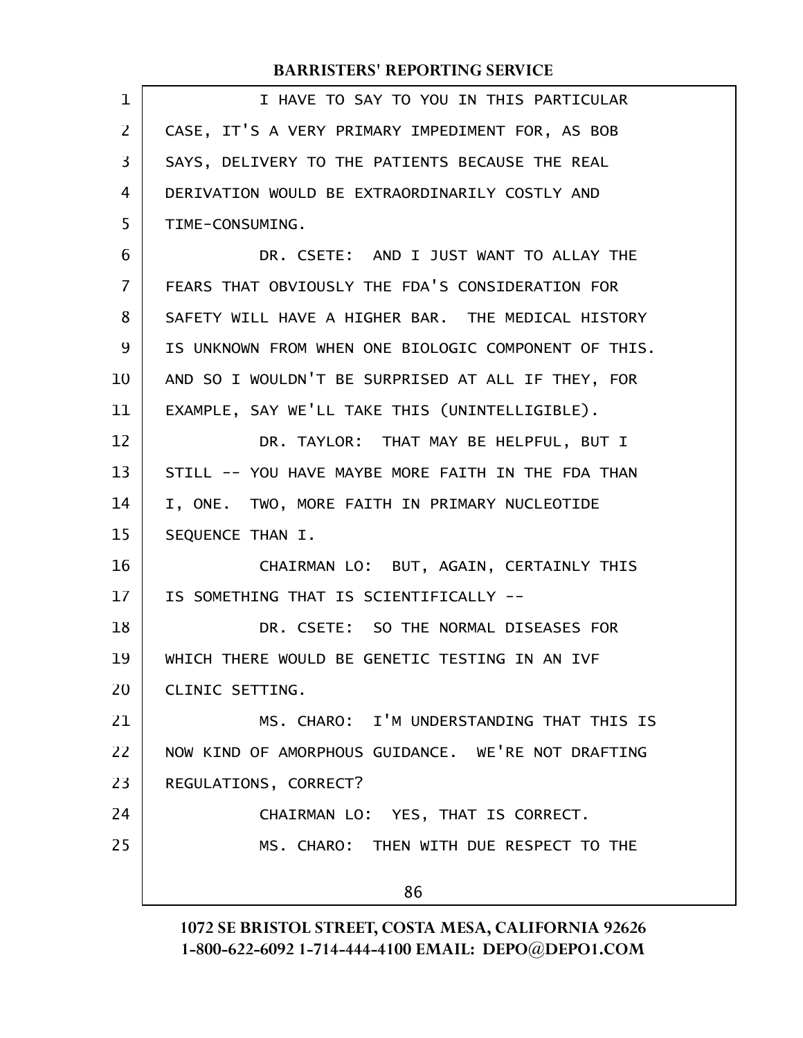| 1              | I HAVE TO SAY TO YOU IN THIS PARTICULAR              |
|----------------|------------------------------------------------------|
| $\overline{2}$ | CASE, IT'S A VERY PRIMARY IMPEDIMENT FOR, AS BOB     |
| 3              | SAYS, DELIVERY TO THE PATIENTS BECAUSE THE REAL      |
| 4              | DERIVATION WOULD BE EXTRAORDINARILY COSTLY AND       |
| 5              | TIME-CONSUMING.                                      |
| 6              | DR. CSETE: AND I JUST WANT TO ALLAY THE              |
| $\overline{7}$ | FEARS THAT OBVIOUSLY THE FDA'S CONSIDERATION FOR     |
| 8              | SAFETY WILL HAVE A HIGHER BAR. THE MEDICAL HISTORY   |
| 9              | IS UNKNOWN FROM WHEN ONE BIOLOGIC COMPONENT OF THIS. |
| 10             | AND SO I WOULDN'T BE SURPRISED AT ALL IF THEY, FOR   |
| 11             | EXAMPLE, SAY WE'LL TAKE THIS (UNINTELLIGIBLE).       |
| 12             | DR. TAYLOR: THAT MAY BE HELPFUL, BUT I               |
| 13             | STILL -- YOU HAVE MAYBE MORE FAITH IN THE FDA THAN   |
| 14             | I, ONE. TWO, MORE FAITH IN PRIMARY NUCLEOTIDE        |
| 15             | SEQUENCE THAN I.                                     |
| 16             | CHAIRMAN LO: BUT, AGAIN, CERTAINLY THIS              |
| 17             | IS SOMETHING THAT IS SCIENTIFICALLY --               |
| 18             | DR. CSETE: SO THE NORMAL DISEASES FOR                |
| 19             | WHICH THERE WOULD BE GENETIC TESTING IN AN IVF       |
| 20             | CLINIC SETTING.                                      |
| 21             | MS. CHARO: I'M UNDERSTANDING THAT THIS IS            |
| 22             | NOW KIND OF AMORPHOUS GUIDANCE. WE'RE NOT DRAFTING   |
| 23             | REGULATIONS, CORRECT?                                |
| 24             | CHAIRMAN LO: YES, THAT IS CORRECT.                   |
| 25             | MS. CHARO: THEN WITH DUE RESPECT TO THE              |
|                | 86                                                   |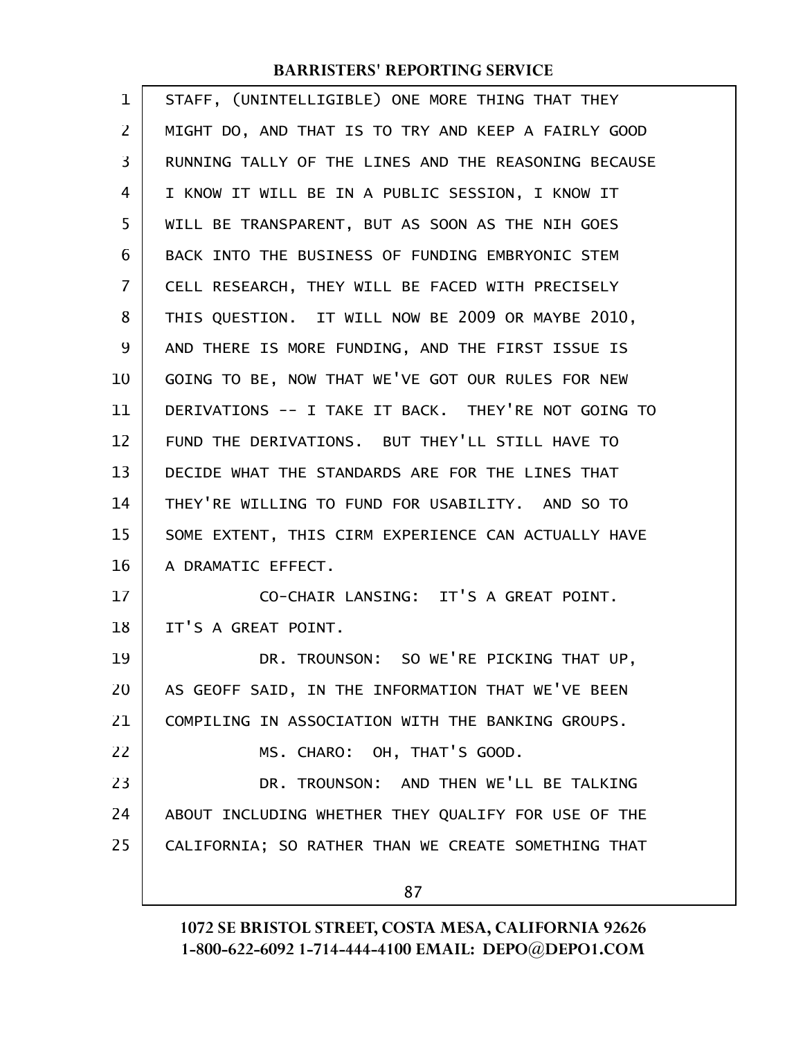| $\mathbf 1$       | STAFF, (UNINTELLIGIBLE) ONE MORE THING THAT THEY     |
|-------------------|------------------------------------------------------|
| 2                 | MIGHT DO, AND THAT IS TO TRY AND KEEP A FAIRLY GOOD  |
| 3                 | RUNNING TALLY OF THE LINES AND THE REASONING BECAUSE |
| 4                 | I KNOW IT WILL BE IN A PUBLIC SESSION, I KNOW IT     |
| 5                 | WILL BE TRANSPARENT, BUT AS SOON AS THE NIH GOES     |
| 6                 | BACK INTO THE BUSINESS OF FUNDING EMBRYONIC STEM     |
| 7                 | CELL RESEARCH, THEY WILL BE FACED WITH PRECISELY     |
| 8                 | THIS QUESTION. IT WILL NOW BE 2009 OR MAYBE 2010,    |
| 9                 | AND THERE IS MORE FUNDING, AND THE FIRST ISSUE IS    |
| 10                | GOING TO BE, NOW THAT WE'VE GOT OUR RULES FOR NEW    |
| 11                | DERIVATIONS -- I TAKE IT BACK. THEY'RE NOT GOING TO  |
| $12 \overline{ }$ | FUND THE DERIVATIONS. BUT THEY'LL STILL HAVE TO      |
| 13                | DECIDE WHAT THE STANDARDS ARE FOR THE LINES THAT     |
| 14                | THEY'RE WILLING TO FUND FOR USABILITY. AND SO TO     |
| 15                | SOME EXTENT, THIS CIRM EXPERIENCE CAN ACTUALLY HAVE  |
| 16                | A DRAMATIC EFFECT.                                   |
| 17                | CO-CHAIR LANSING: IT'S A GREAT POINT.                |
| 18                | IT'S A GREAT POINT.                                  |
| 19                | DR. TROUNSON: SO WE'RE PICKING THAT UP,              |
| 20                | AS GEOFF SAID, IN THE INFORMATION THAT WE'VE BEEN    |
| 21                | COMPILING IN ASSOCIATION WITH THE BANKING GROUPS.    |
| 22                | MS. CHARO: OH, THAT'S GOOD.                          |
| 23                | DR. TROUNSON: AND THEN WE'LL BE TALKING              |
| 24                | ABOUT INCLUDING WHETHER THEY QUALIFY FOR USE OF THE  |
| 25                | CALIFORNIA; SO RATHER THAN WE CREATE SOMETHING THAT  |
|                   | 87                                                   |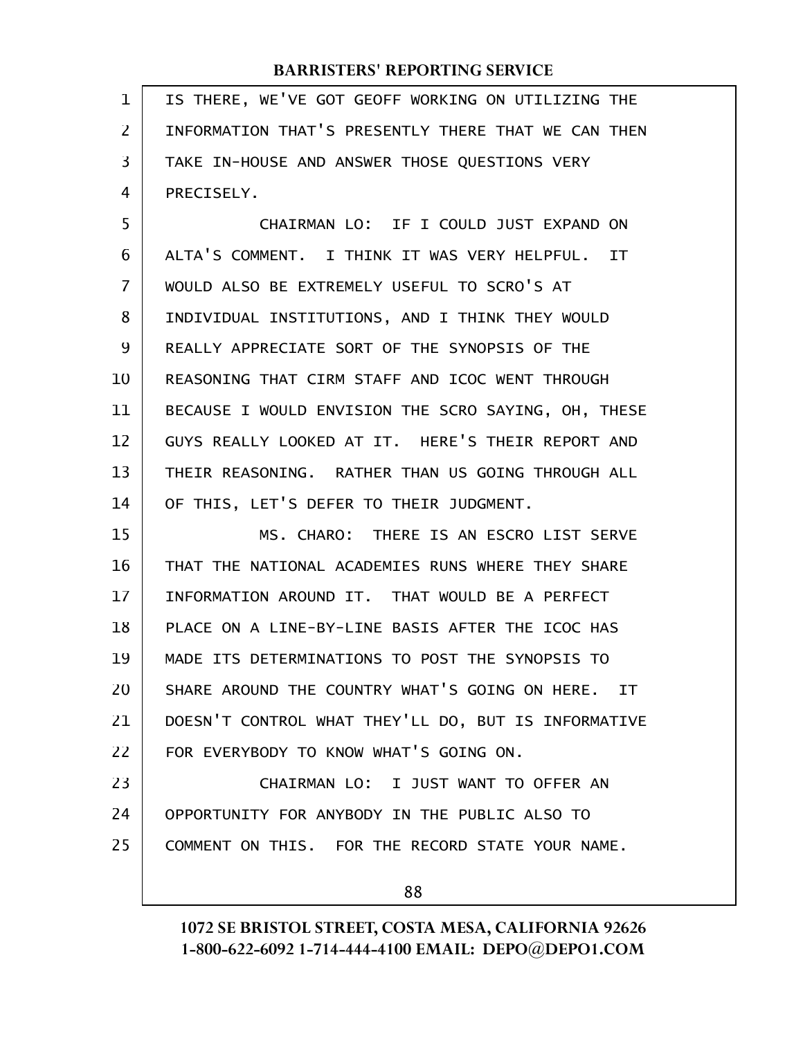| 1                 | IS THERE, WE'VE GOT GEOFF WORKING ON UTILIZING THE  |
|-------------------|-----------------------------------------------------|
| 2                 | INFORMATION THAT'S PRESENTLY THERE THAT WE CAN THEN |
| 3                 | TAKE IN-HOUSE AND ANSWER THOSE QUESTIONS VERY       |
| 4                 | PRECISELY.                                          |
| 5                 | CHAIRMAN LO: IF I COULD JUST EXPAND ON              |
| 6                 | ALTA'S COMMENT. I THINK IT WAS VERY HELPFUL. IT     |
| 7                 | WOULD ALSO BE EXTREMELY USEFUL TO SCRO'S AT         |
| 8                 | INDIVIDUAL INSTITUTIONS, AND I THINK THEY WOULD     |
| 9                 | REALLY APPRECIATE SORT OF THE SYNOPSIS OF THE       |
| 10                | REASONING THAT CIRM STAFF AND ICOC WENT THROUGH     |
| 11                | BECAUSE I WOULD ENVISION THE SCRO SAYING, OH, THESE |
| $12 \overline{ }$ | GUYS REALLY LOOKED AT IT. HERE'S THEIR REPORT AND   |
| 13                | THEIR REASONING. RATHER THAN US GOING THROUGH ALL   |
| 14                | OF THIS, LET'S DEFER TO THEIR JUDGMENT.             |
| 15                | MS. CHARO: THERE IS AN ESCRO LIST SERVE             |
| 16                | THAT THE NATIONAL ACADEMIES RUNS WHERE THEY SHARE   |
| 17                | INFORMATION AROUND IT. THAT WOULD BE A PERFECT      |
| 18                | PLACE ON A LINE-BY-LINE BASIS AFTER THE ICOC HAS    |
| 19                | MADE ITS DETERMINATIONS TO POST THE SYNOPSIS TO     |
| 20                | SHARE AROUND THE COUNTRY WHAT'S GOING ON HERE. IT   |
| 21                | DOESN'T CONTROL WHAT THEY'LL DO, BUT IS INFORMATIVE |
| 22                | FOR EVERYBODY TO KNOW WHAT'S GOING ON.              |
| 23                | CHAIRMAN LO: I JUST WANT TO OFFER AN                |
| 24                | OPPORTUNITY FOR ANYBODY IN THE PUBLIC ALSO TO       |
| 25                | COMMENT ON THIS. FOR THE RECORD STATE YOUR NAME.    |
|                   | 88                                                  |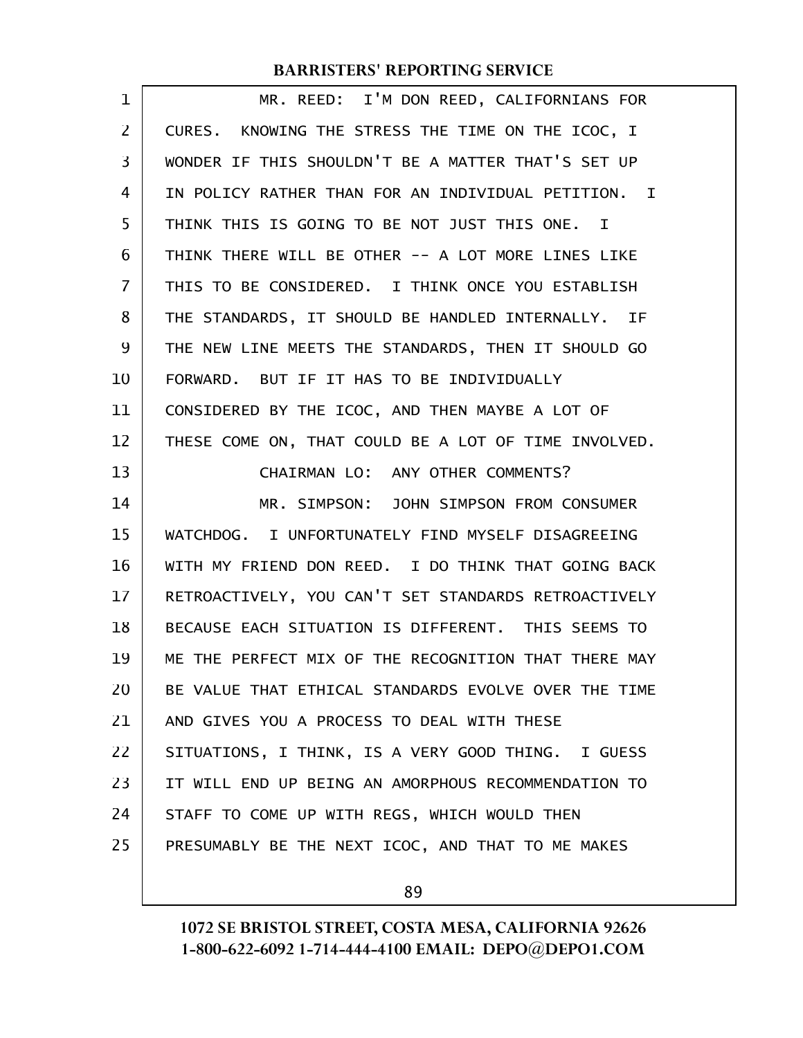| 1              | MR. REED: I'M DON REED, CALIFORNIANS FOR             |
|----------------|------------------------------------------------------|
| 2              | CURES. KNOWING THE STRESS THE TIME ON THE ICOC, I    |
| 3              | WONDER IF THIS SHOULDN'T BE A MATTER THAT'S SET UP   |
| 4              | IN POLICY RATHER THAN FOR AN INDIVIDUAL PETITION. I  |
| 5              | THINK THIS IS GOING TO BE NOT JUST THIS ONE. I       |
| 6              | THINK THERE WILL BE OTHER -- A LOT MORE LINES LIKE   |
| $\overline{7}$ | THIS TO BE CONSIDERED. I THINK ONCE YOU ESTABLISH    |
| 8              | THE STANDARDS, IT SHOULD BE HANDLED INTERNALLY. IF   |
| 9              | THE NEW LINE MEETS THE STANDARDS, THEN IT SHOULD GO  |
| 10             | FORWARD. BUT IF IT HAS TO BE INDIVIDUALLY            |
| 11             | CONSIDERED BY THE ICOC, AND THEN MAYBE A LOT OF      |
| 12             | THESE COME ON, THAT COULD BE A LOT OF TIME INVOLVED. |
| 13             | CHAIRMAN LO: ANY OTHER COMMENTS?                     |
| 14             | MR. SIMPSON: JOHN SIMPSON FROM CONSUMER              |
| 15             | WATCHDOG. I UNFORTUNATELY FIND MYSELF DISAGREEING    |
| 16             | WITH MY FRIEND DON REED. I DO THINK THAT GOING BACK  |
| 17             | RETROACTIVELY, YOU CAN'T SET STANDARDS RETROACTIVELY |
| 18             | BECAUSE EACH SITUATION IS DIFFERENT. THIS SEEMS TO   |
| 19             | ME THE PERFECT MIX OF THE RECOGNITION THAT THERE MAY |
| 20             | BE VALUE THAT ETHICAL STANDARDS EVOLVE OVER THE TIME |
| 21             | AND GIVES YOU A PROCESS TO DEAL WITH THESE           |
| 22             | SITUATIONS, I THINK, IS A VERY GOOD THING. I GUESS   |
| 23             | IT WILL END UP BEING AN AMORPHOUS RECOMMENDATION TO  |
| 24             | STAFF TO COME UP WITH REGS, WHICH WOULD THEN         |
| 25             | PRESUMABLY BE THE NEXT ICOC, AND THAT TO ME MAKES    |
|                |                                                      |

89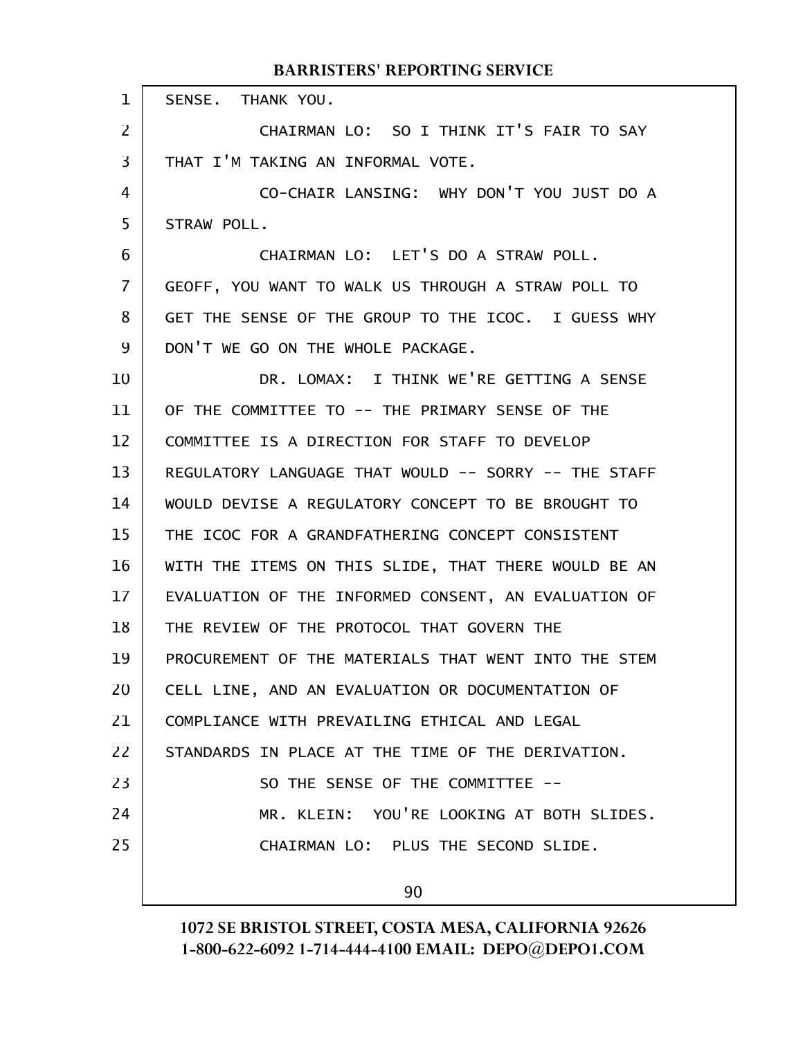SENSE. THANK YOU. CHAIRMAN LO: SO I THINK IT'S FAIR TO SAY THAT I'M TAKING AN INFORMAL VOTE. CO-CHAIR LANSING: WHY DON'T YOU JUST DO A STRAW POLL. CHAIRMAN LO: LET'S DO A STRAW POLL. GEOFF, YOU WANT TO WALK US THROUGH A STRAW POLL TO GET THE SENSE OF THE GROUP TO THE ICOC. I GUESS WHY DON'T WE GO ON THE WHOLE PACKAGE. DR. LOMAX: I THINK WE'RE GETTING A SENSE OF THE COMMITTEE TO -- THE PRIMARY SENSE OF THE COMMITTEE IS A DIRECTION FOR STAFF TO DEVELOP REGULATORY LANGUAGE THAT WOULD -- SORRY -- THE STAFF WOULD DEVISE A REGULATORY CONCEPT TO BE BROUGHT TO THE ICOC FOR A GRANDFATHERING CONCEPT CONSISTENT WITH THE ITEMS ON THIS SLIDE, THAT THERE WOULD BE AN EVALUATION OF THE INFORMED CONSENT, AN EVALUATION OF THE REVIEW OF THE PROTOCOL THAT GOVERN THE PROCUREMENT OF THE MATERIALS THAT WENT INTO THE STEM CELL LINE, AND AN EVALUATION OR DOCUMENTATION OF COMPLIANCE WITH PREVAILING ETHICAL AND LEGAL STANDARDS IN PLACE AT THE TIME OF THE DERIVATION. SO THE SENSE OF THE COMMITTEE -- MR. KLEIN: YOU'RE LOOKING AT BOTH SLIDES. CHAIRMAN LO: PLUS THE SECOND SLIDE. 90 BARRISTERS' REPORTING SERVICE 1 2 3 4 5 6 7 8 9 10 11 12 13 14 15 16 17 18 19 20 21 22 23 24 25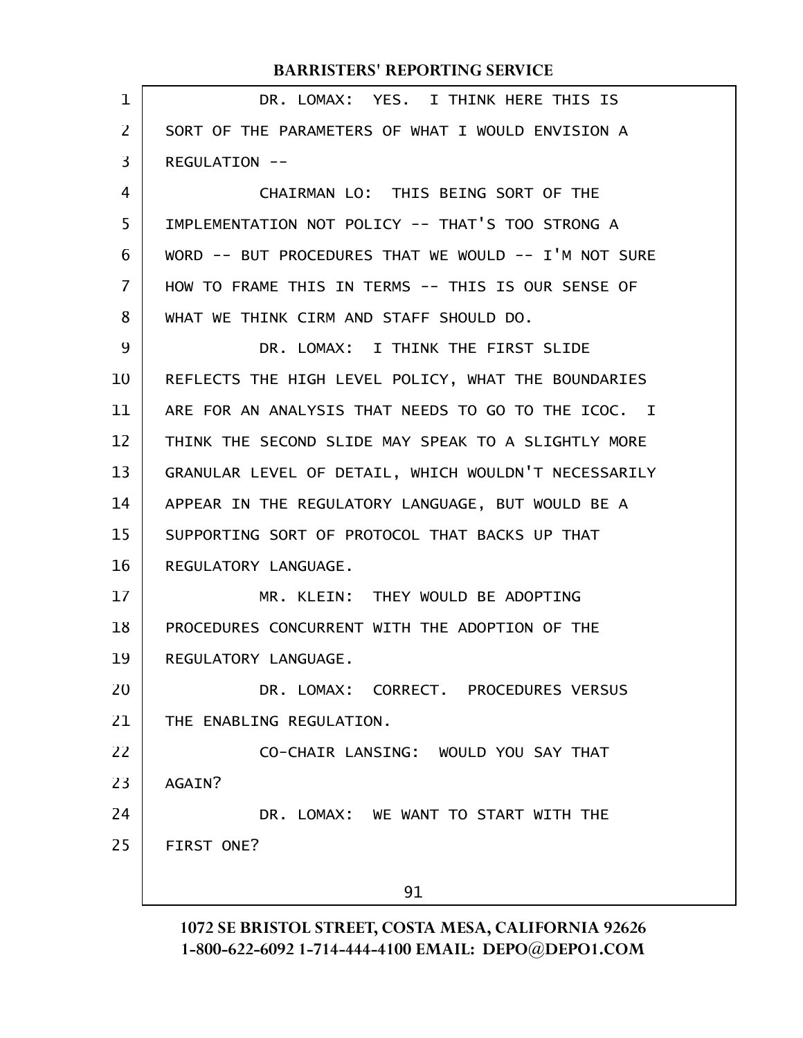| $\mathbf 1$ | DR. LOMAX: YES. I THINK HERE THIS IS                 |
|-------------|------------------------------------------------------|
| 2           | SORT OF THE PARAMETERS OF WHAT I WOULD ENVISION A    |
| 3           | REGULATION --                                        |
| 4           | CHAIRMAN LO: THIS BEING SORT OF THE                  |
| 5           | IMPLEMENTATION NOT POLICY -- THAT'S TOO STRONG A     |
| 6           | WORD -- BUT PROCEDURES THAT WE WOULD -- I'M NOT SURE |
| 7           | HOW TO FRAME THIS IN TERMS -- THIS IS OUR SENSE OF   |
| 8           | WHAT WE THINK CIRM AND STAFF SHOULD DO.              |
| 9           | DR. LOMAX: I THINK THE FIRST SLIDE                   |
| 10          | REFLECTS THE HIGH LEVEL POLICY, WHAT THE BOUNDARIES  |
| 11          | ARE FOR AN ANALYSIS THAT NEEDS TO GO TO THE ICOC. I  |
| 12          | THINK THE SECOND SLIDE MAY SPEAK TO A SLIGHTLY MORE  |
| 13          | GRANULAR LEVEL OF DETAIL, WHICH WOULDN'T NECESSARILY |
| 14          | APPEAR IN THE REGULATORY LANGUAGE, BUT WOULD BE A    |
| 15          | SUPPORTING SORT OF PROTOCOL THAT BACKS UP THAT       |
| 16          | REGULATORY LANGUAGE.                                 |
| 17          | MR. KLEIN: THEY WOULD BE ADOPTING                    |
| 18          | PROCEDURES CONCURRENT WITH THE ADOPTION OF THE       |
| 19          | REGULATORY LANGUAGE.                                 |
| 20          | DR. LOMAX: CORRECT. PROCEDURES VERSUS                |
| 21          | THE ENABLING REGULATION.                             |
| 22          | CO-CHAIR LANSING: WOULD YOU SAY THAT                 |
| 23          | AGAIN?                                               |
| 24          | DR. LOMAX: WE WANT TO START WITH THE                 |
| 25          | FIRST ONE?                                           |
|             | 91                                                   |
|             |                                                      |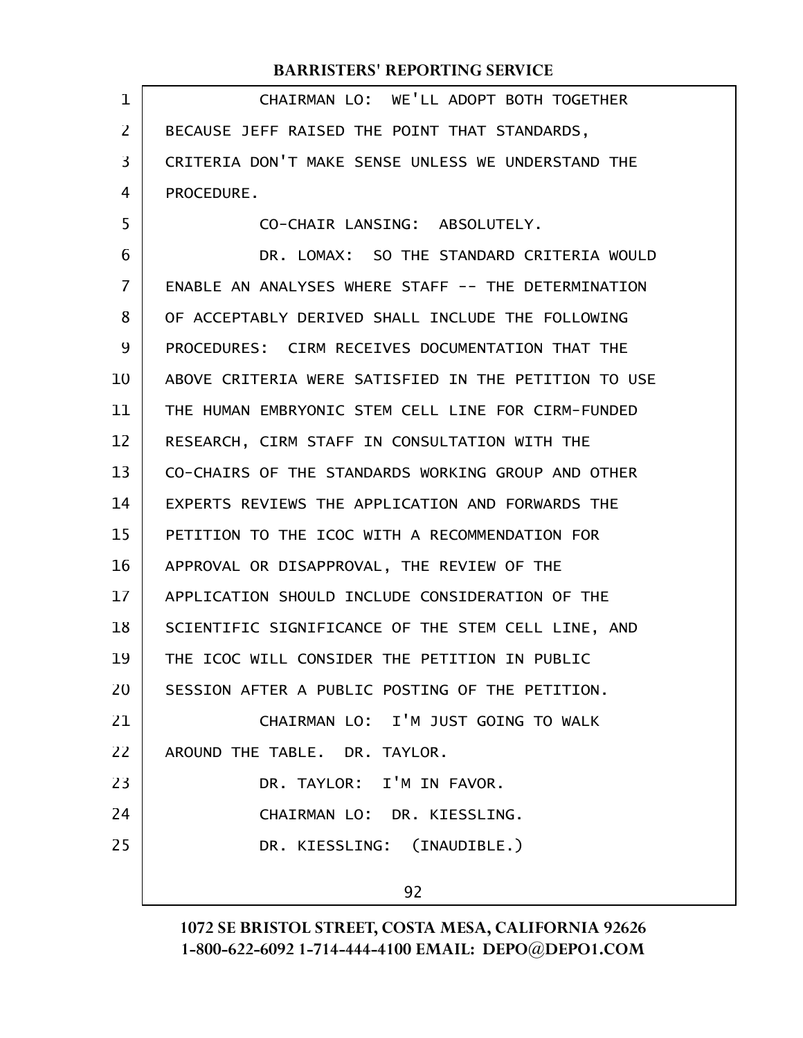| $\mathbf{1}$   | CHAIRMAN LO: WE'LL ADOPT BOTH TOGETHER               |
|----------------|------------------------------------------------------|
| $\overline{2}$ | BECAUSE JEFF RAISED THE POINT THAT STANDARDS,        |
| 3              | CRITERIA DON'T MAKE SENSE UNLESS WE UNDERSTAND THE   |
| 4              | PROCEDURE.                                           |
| 5              | CO-CHAIR LANSING: ABSOLUTELY.                        |
| 6              | DR. LOMAX: SO THE STANDARD CRITERIA WOULD            |
| 7              | ENABLE AN ANALYSES WHERE STAFF -- THE DETERMINATION  |
| 8              | OF ACCEPTABLY DERIVED SHALL INCLUDE THE FOLLOWING    |
| 9              | PROCEDURES: CIRM RECEIVES DOCUMENTATION THAT THE     |
| 10             | ABOVE CRITERIA WERE SATISFIED IN THE PETITION TO USE |
| 11             | THE HUMAN EMBRYONIC STEM CELL LINE FOR CIRM-FUNDED   |
| 12             | RESEARCH, CIRM STAFF IN CONSULTATION WITH THE        |
| 13             | CO-CHAIRS OF THE STANDARDS WORKING GROUP AND OTHER   |
| 14             | EXPERTS REVIEWS THE APPLICATION AND FORWARDS THE     |
| 15             | PETITION TO THE ICOC WITH A RECOMMENDATION FOR       |
| 16             | APPROVAL OR DISAPPROVAL, THE REVIEW OF THE           |
| 17             | APPLICATION SHOULD INCLUDE CONSIDERATION OF THE      |
| 18             | SCIENTIFIC SIGNIFICANCE OF THE STEM CELL LINE, AND   |
| 19             | THE ICOC WILL CONSIDER THE PETITION IN PUBLIC        |
| 20             | SESSION AFTER A PUBLIC POSTING OF THE PETITION.      |
| 21             | CHAIRMAN LO: I'M JUST GOING TO WALK                  |
| 22             | AROUND THE TABLE. DR. TAYLOR.                        |
| 23             | DR. TAYLOR: I'M IN FAVOR.                            |
| 24             | CHAIRMAN LO: DR. KIESSLING.                          |
| 25             | DR. KIESSLING: (INAUDIBLE.)                          |
|                | 92                                                   |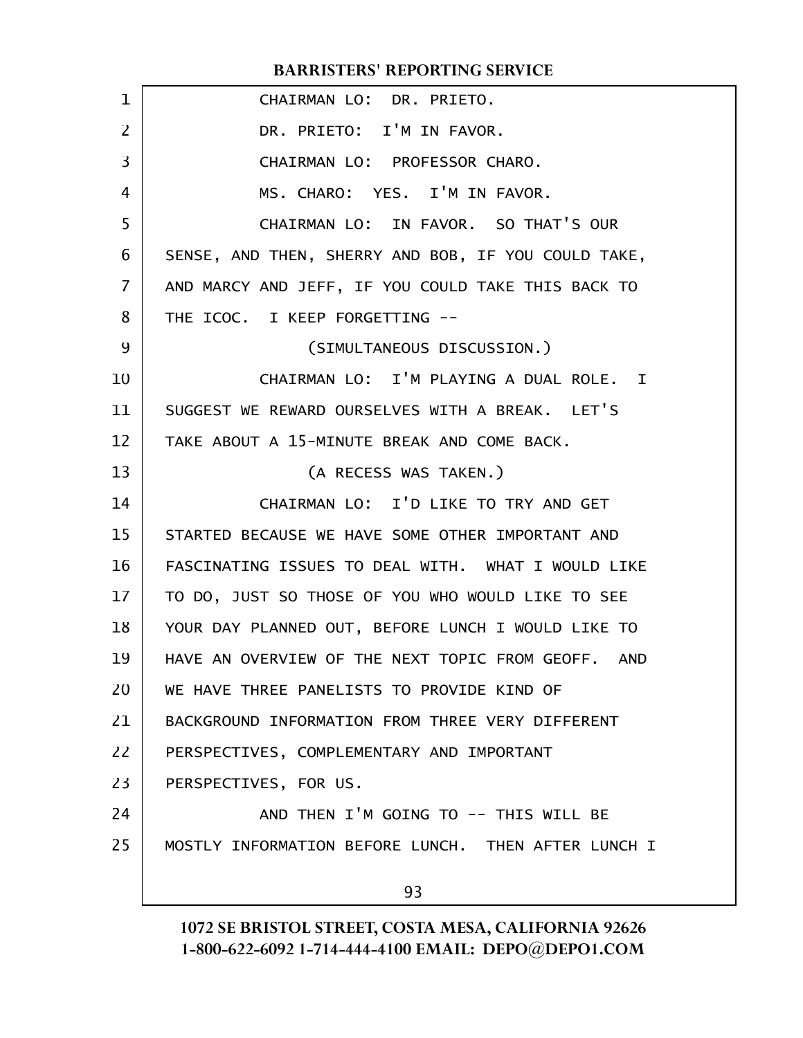| 1              | CHAIRMAN LO: DR. PRIETO.                            |
|----------------|-----------------------------------------------------|
| $\overline{2}$ | DR. PRIETO: I'M IN FAVOR.                           |
| 3              | CHAIRMAN LO: PROFESSOR CHARO.                       |
| 4              | MS. CHARO: YES. I'M IN FAVOR.                       |
| 5              | CHAIRMAN LO: IN FAVOR. SO THAT'S OUR                |
| 6              | SENSE, AND THEN, SHERRY AND BOB, IF YOU COULD TAKE, |
| $\mathbf{7}$   | AND MARCY AND JEFF, IF YOU COULD TAKE THIS BACK TO  |
| 8              | THE ICOC. I KEEP FORGETTING --                      |
| 9              | (SIMULTANEOUS DISCUSSION.)                          |
| 10             | CHAIRMAN LO: I'M PLAYING A DUAL ROLE. I             |
| 11             | SUGGEST WE REWARD OURSELVES WITH A BREAK. LET'S     |
| 12             | TAKE ABOUT A 15-MINUTE BREAK AND COME BACK.         |
| 13             | (A RECESS WAS TAKEN.)                               |
| 14             | CHAIRMAN LO: I'D LIKE TO TRY AND GET                |
| 15             | STARTED BECAUSE WE HAVE SOME OTHER IMPORTANT AND    |
| 16             | FASCINATING ISSUES TO DEAL WITH. WHAT I WOULD LIKE  |
| $17 \,$        | TO DO, JUST SO THOSE OF YOU WHO WOULD LIKE TO SEE   |
| 18             | YOUR DAY PLANNED OUT, BEFORE LUNCH I WOULD LIKE TO  |
| 19             | HAVE AN OVERVIEW OF THE NEXT TOPIC FROM GEOFF. AND  |
| 20             | WE HAVE THREE PANELISTS TO PROVIDE KIND OF          |
| 21             | BACKGROUND INFORMATION FROM THREE VERY DIFFERENT    |
| 22             | PERSPECTIVES, COMPLEMENTARY AND IMPORTANT           |
| 23             | PERSPECTIVES, FOR US.                               |
| 24             | AND THEN I'M GOING TO -- THIS WILL BE               |
| 25             | MOSTLY INFORMATION BEFORE LUNCH. THEN AFTER LUNCH I |
|                | 93                                                  |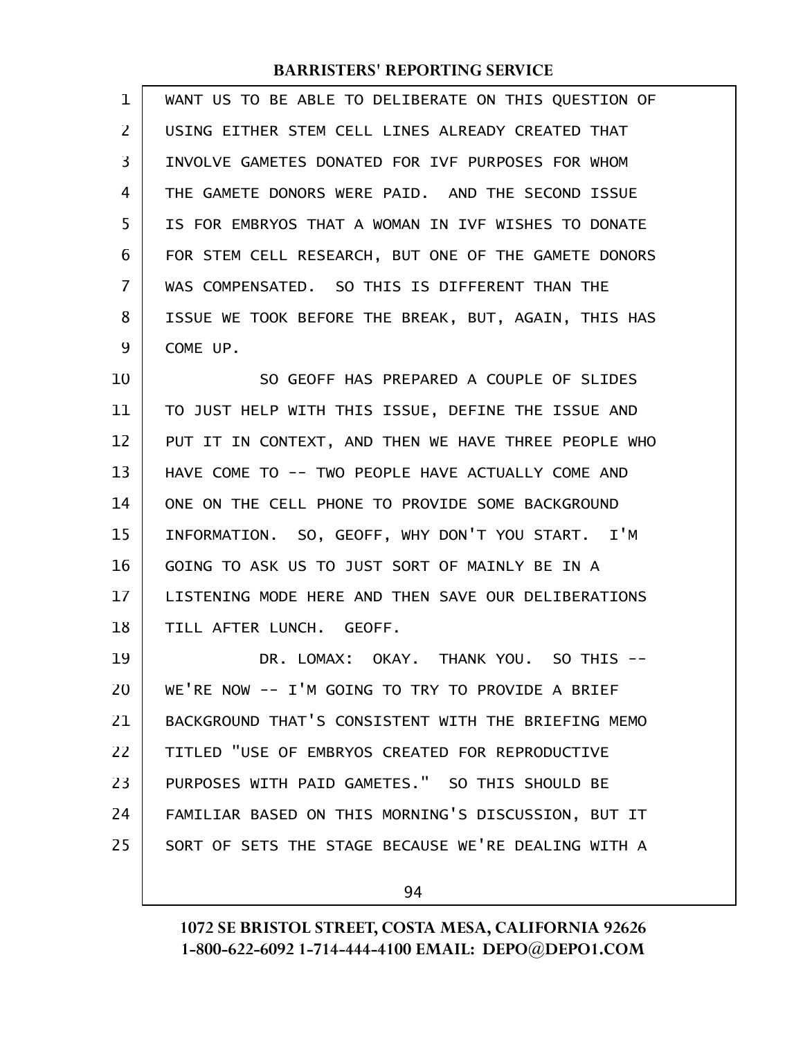| 1  | WANT US TO BE ABLE TO DELIBERATE ON THIS QUESTION OF |
|----|------------------------------------------------------|
| 2  | USING EITHER STEM CELL LINES ALREADY CREATED THAT    |
| 3  | INVOLVE GAMETES DONATED FOR IVF PURPOSES FOR WHOM    |
| 4  | THE GAMETE DONORS WERE PAID. AND THE SECOND ISSUE    |
| 5  | IS FOR EMBRYOS THAT A WOMAN IN IVF WISHES TO DONATE  |
| 6  | FOR STEM CELL RESEARCH, BUT ONE OF THE GAMETE DONORS |
| 7  | WAS COMPENSATED. SO THIS IS DIFFERENT THAN THE       |
| 8  | ISSUE WE TOOK BEFORE THE BREAK, BUT, AGAIN, THIS HAS |
| 9  | COME UP.                                             |
| 10 | SO GEOFF HAS PREPARED A COUPLE OF SLIDES             |
| 11 | TO JUST HELP WITH THIS ISSUE, DEFINE THE ISSUE AND   |
| 12 | PUT IT IN CONTEXT, AND THEN WE HAVE THREE PEOPLE WHO |
| 13 | HAVE COME TO -- TWO PEOPLE HAVE ACTUALLY COME AND    |
| 14 | ONE ON THE CELL PHONE TO PROVIDE SOME BACKGROUND     |
| 15 | INFORMATION. SO, GEOFF, WHY DON'T YOU START. I'M     |
| 16 | GOING TO ASK US TO JUST SORT OF MAINLY BE IN A       |
| 17 | LISTENING MODE HERE AND THEN SAVE OUR DELIBERATIONS  |
| 18 | TILL AFTER LUNCH. GEOFF.                             |
| 19 | DR. LOMAX: OKAY. THANK YOU. SO THIS --               |
| 20 | WE'RE NOW -- I'M GOING TO TRY TO PROVIDE A BRIEF     |
| 21 | BACKGROUND THAT'S CONSISTENT WITH THE BRIEFING MEMO  |
| 22 | TITLED "USE OF EMBRYOS CREATED FOR REPRODUCTIVE      |
| 23 | PURPOSES WITH PAID GAMETES." SO THIS SHOULD BE       |
| 24 | FAMILIAR BASED ON THIS MORNING'S DISCUSSION, BUT IT  |
| 25 | SORT OF SETS THE STAGE BECAUSE WE'RE DEALING WITH A  |
|    |                                                      |

94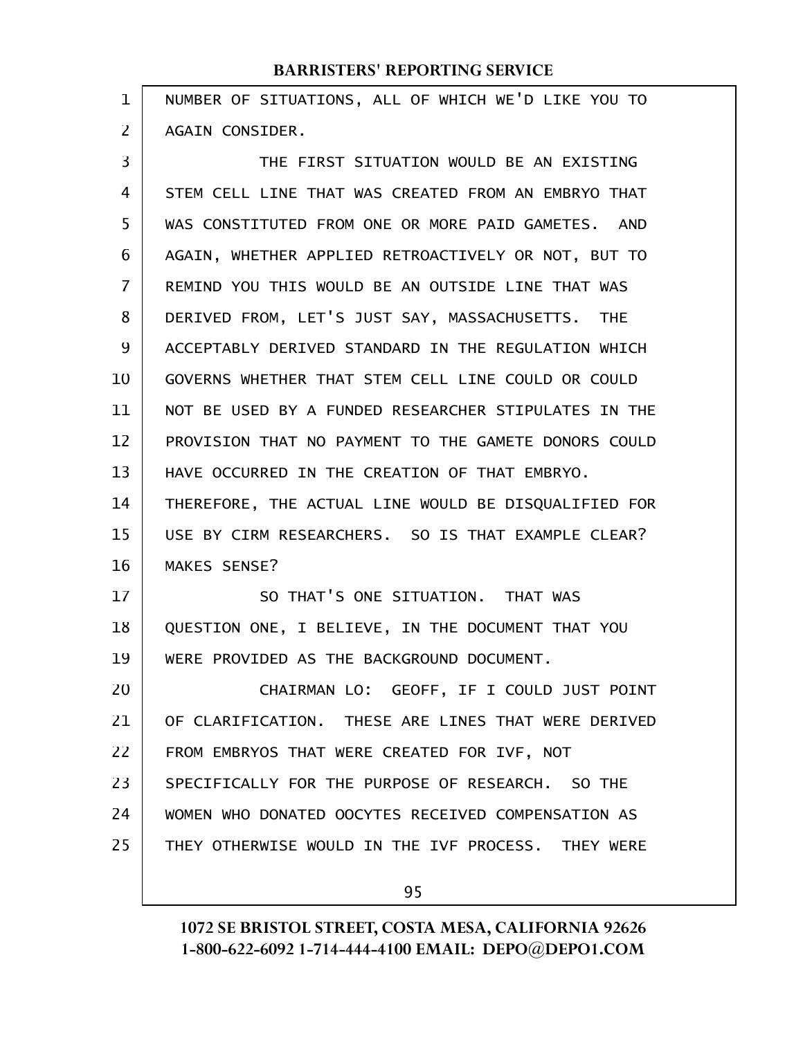| $\mathbf 1$ | NUMBER OF SITUATIONS, ALL OF WHICH WE'D LIKE YOU TO  |
|-------------|------------------------------------------------------|
| 2           | AGAIN CONSIDER.                                      |
| 3           | THE FIRST SITUATION WOULD BE AN EXISTING             |
| 4           | STEM CELL LINE THAT WAS CREATED FROM AN EMBRYO THAT  |
| 5           | WAS CONSTITUTED FROM ONE OR MORE PAID GAMETES. AND   |
| 6           | AGAIN, WHETHER APPLIED RETROACTIVELY OR NOT, BUT TO  |
| 7           | REMIND YOU THIS WOULD BE AN OUTSIDE LINE THAT WAS    |
| 8           | DERIVED FROM, LET'S JUST SAY, MASSACHUSETTS. THE     |
| 9           | ACCEPTABLY DERIVED STANDARD IN THE REGULATION WHICH  |
| 10          | GOVERNS WHETHER THAT STEM CELL LINE COULD OR COULD   |
| 11          | NOT BE USED BY A FUNDED RESEARCHER STIPULATES IN THE |
| 12          | PROVISION THAT NO PAYMENT TO THE GAMETE DONORS COULD |
| 13          | HAVE OCCURRED IN THE CREATION OF THAT EMBRYO.        |
| 14          | THEREFORE, THE ACTUAL LINE WOULD BE DISQUALIFIED FOR |
| 15          | USE BY CIRM RESEARCHERS. SO IS THAT EXAMPLE CLEAR?   |
| 16          | MAKES SENSE?                                         |
| 17          | SO THAT'S ONE SITUATION. THAT WAS                    |
| 18          | QUESTION ONE, I BELIEVE, IN THE DOCUMENT THAT YOU    |
| 19          | WERE PROVIDED AS THE BACKGROUND DOCUMENT.            |
| 20          | CHAIRMAN LO: GEOFF, IF I COULD JUST POINT            |
| 21          | OF CLARIFICATION. THESE ARE LINES THAT WERE DERIVED  |
| 22          | FROM EMBRYOS THAT WERE CREATED FOR IVF, NOT          |
| 23          | SPECIFICALLY FOR THE PURPOSE OF RESEARCH. SO THE     |
| 24          | WOMEN WHO DONATED OOCYTES RECEIVED COMPENSATION AS   |
| 25          | THEY OTHERWISE WOULD IN THE IVF PROCESS. THEY WERE   |
|             |                                                      |

95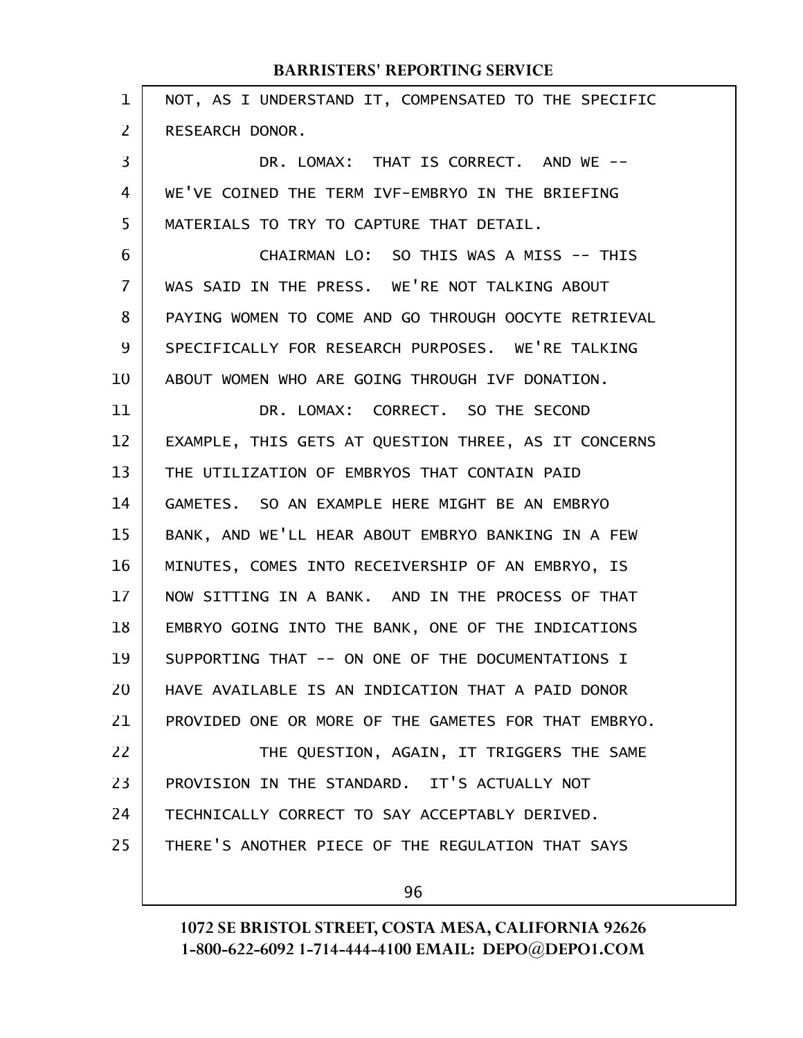| $\mathbf 1$    | NOT, AS I UNDERSTAND IT, COMPENSATED TO THE SPECIFIC |
|----------------|------------------------------------------------------|
| $\overline{2}$ | <b>RESEARCH DONOR.</b>                               |
| 3              | DR. LOMAX: THAT IS CORRECT. AND WE --                |
| 4              | WE'VE COINED THE TERM IVF-EMBRYO IN THE BRIEFING     |
| 5              | MATERIALS TO TRY TO CAPTURE THAT DETAIL.             |
| 6              | CHAIRMAN LO: SO THIS WAS A MISS -- THIS              |
| 7              | WAS SAID IN THE PRESS. WE'RE NOT TALKING ABOUT       |
| 8              | PAYING WOMEN TO COME AND GO THROUGH OOCYTE RETRIEVAL |
| 9              | SPECIFICALLY FOR RESEARCH PURPOSES. WE'RE TALKING    |
| 10             | ABOUT WOMEN WHO ARE GOING THROUGH IVF DONATION.      |
| 11             | DR. LOMAX: CORRECT. SO THE SECOND                    |
| 12             | EXAMPLE, THIS GETS AT QUESTION THREE, AS IT CONCERNS |
| 13             | THE UTILIZATION OF EMBRYOS THAT CONTAIN PAID         |
| 14             | GAMETES. SO AN EXAMPLE HERE MIGHT BE AN EMBRYO       |
| 15             | BANK, AND WE'LL HEAR ABOUT EMBRYO BANKING IN A FEW   |
| 16             | MINUTES, COMES INTO RECEIVERSHIP OF AN EMBRYO, IS    |
| 17             | NOW SITTING IN A BANK. AND IN THE PROCESS OF THAT    |
| 18             | EMBRYO GOING INTO THE BANK, ONE OF THE INDICATIONS   |
| 19             | SUPPORTING THAT -- ON ONE OF THE DOCUMENTATIONS I    |
| 20             | HAVE AVAILABLE IS AN INDICATION THAT A PAID DONOR    |
| 21             | PROVIDED ONE OR MORE OF THE GAMETES FOR THAT EMBRYO. |
| 22             | THE QUESTION, AGAIN, IT TRIGGERS THE SAME            |
| 23             | PROVISION IN THE STANDARD. IT'S ACTUALLY NOT         |
| 24             | TECHNICALLY CORRECT TO SAY ACCEPTABLY DERIVED.       |
| 25             | THERE'S ANOTHER PIECE OF THE REGULATION THAT SAYS    |
|                |                                                      |

96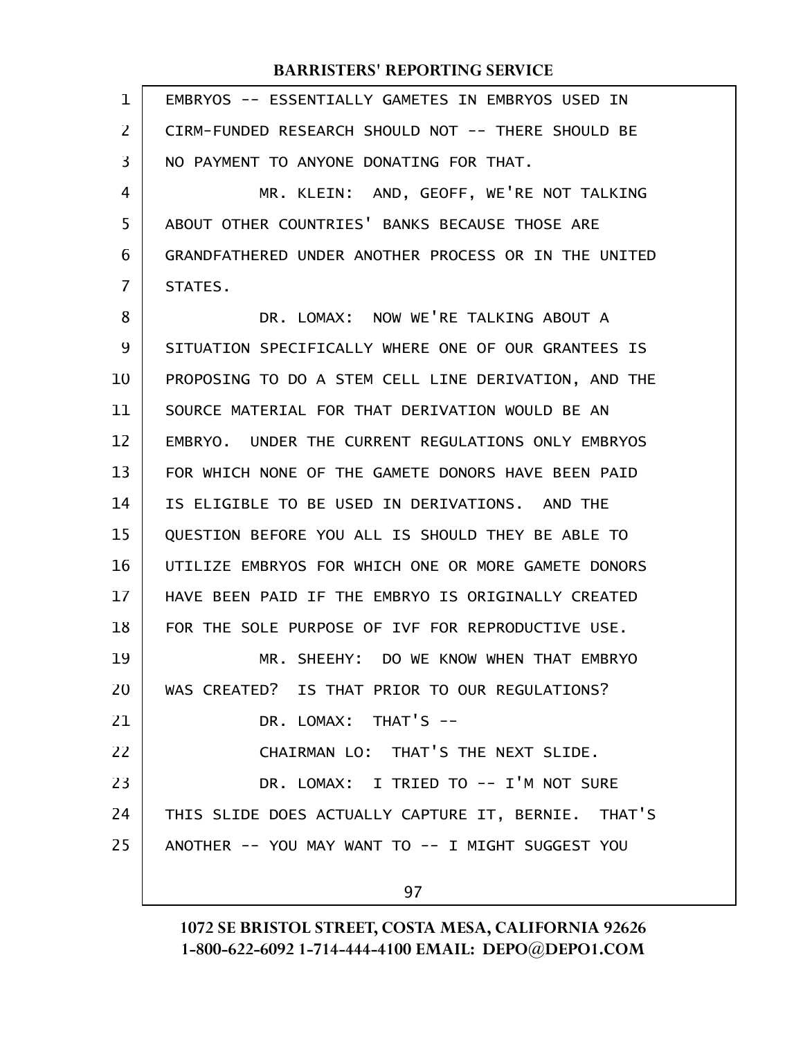| 1              | EMBRYOS -- ESSENTIALLY GAMETES IN EMBRYOS USED IN    |
|----------------|------------------------------------------------------|
| $\overline{2}$ | CIRM-FUNDED RESEARCH SHOULD NOT -- THERE SHOULD BE   |
| 3              | NO PAYMENT TO ANYONE DONATING FOR THAT.              |
| 4              | MR. KLEIN: AND, GEOFF, WE'RE NOT TALKING             |
| 5              | ABOUT OTHER COUNTRIES' BANKS BECAUSE THOSE ARE       |
| 6              | GRANDFATHERED UNDER ANOTHER PROCESS OR IN THE UNITED |
| 7              | STATES.                                              |
| 8              | DR. LOMAX: NOW WE'RE TALKING ABOUT A                 |
| 9              | SITUATION SPECIFICALLY WHERE ONE OF OUR GRANTEES IS  |
| 10             | PROPOSING TO DO A STEM CELL LINE DERIVATION, AND THE |
| 11             | SOURCE MATERIAL FOR THAT DERIVATION WOULD BE AN      |
| 12             | EMBRYO. UNDER THE CURRENT REGULATIONS ONLY EMBRYOS   |
| 13             | FOR WHICH NONE OF THE GAMETE DONORS HAVE BEEN PAID   |
| 14             | IS ELIGIBLE TO BE USED IN DERIVATIONS. AND THE       |
| 15             | QUESTION BEFORE YOU ALL IS SHOULD THEY BE ABLE TO    |
| 16             | UTILIZE EMBRYOS FOR WHICH ONE OR MORE GAMETE DONORS  |
| 17             | HAVE BEEN PAID IF THE EMBRYO IS ORIGINALLY CREATED   |
| 18             | FOR THE SOLE PURPOSE OF IVF FOR REPRODUCTIVE USE.    |
| 19             | MR. SHEEHY: DO WE KNOW WHEN THAT EMBRYO              |
| 20             | WAS CREATED? IS THAT PRIOR TO OUR REGULATIONS?       |
| 21             | DR. LOMAX: THAT'S --                                 |
| 22             | CHAIRMAN LO: THAT'S THE NEXT SLIDE.                  |
| 23             | DR. LOMAX: I TRIED TO -- I'M NOT SURE                |
| 24             | THIS SLIDE DOES ACTUALLY CAPTURE IT, BERNIE. THAT'S  |
| 25             | ANOTHER -- YOU MAY WANT TO -- I MIGHT SUGGEST YOU    |
|                | 97                                                   |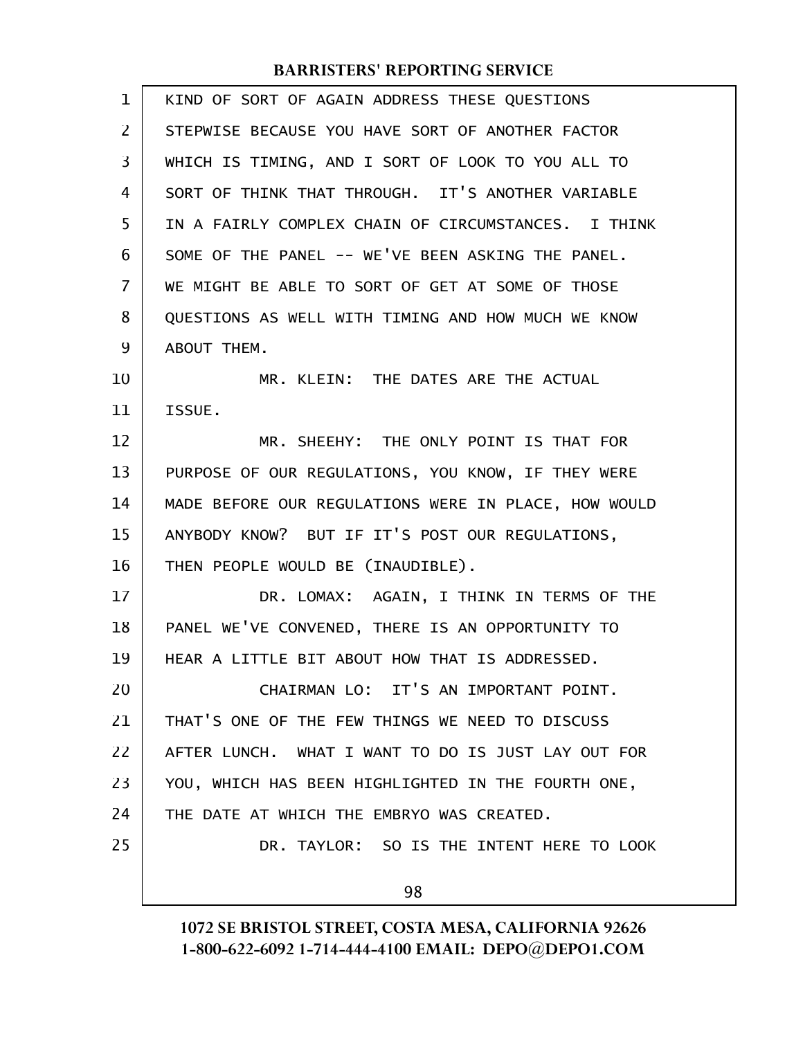| $\mathbf{1}$      | KIND OF SORT OF AGAIN ADDRESS THESE QUESTIONS        |
|-------------------|------------------------------------------------------|
| 2                 | STEPWISE BECAUSE YOU HAVE SORT OF ANOTHER FACTOR     |
| 3                 | WHICH IS TIMING, AND I SORT OF LOOK TO YOU ALL TO    |
| 4                 | SORT OF THINK THAT THROUGH. IT'S ANOTHER VARIABLE    |
| 5                 | IN A FAIRLY COMPLEX CHAIN OF CIRCUMSTANCES. I THINK  |
| 6                 | SOME OF THE PANEL -- WE'VE BEEN ASKING THE PANEL.    |
| 7                 | WE MIGHT BE ABLE TO SORT OF GET AT SOME OF THOSE     |
| 8                 | QUESTIONS AS WELL WITH TIMING AND HOW MUCH WE KNOW   |
| 9                 | ABOUT THEM.                                          |
| 10                | MR. KLEIN: THE DATES ARE THE ACTUAL                  |
| 11                | ISSUE.                                               |
| $12 \overline{ }$ | MR. SHEEHY: THE ONLY POINT IS THAT FOR               |
| 13                | PURPOSE OF OUR REGULATIONS, YOU KNOW, IF THEY WERE   |
| 14                | MADE BEFORE OUR REGULATIONS WERE IN PLACE, HOW WOULD |
| 15                | ANYBODY KNOW? BUT IF IT'S POST OUR REGULATIONS.      |
| 16                | THEN PEOPLE WOULD BE (INAUDIBLE).                    |
| 17                | DR. LOMAX: AGAIN, I THINK IN TERMS OF THE            |
| 18                | PANEL WE'VE CONVENED, THERE IS AN OPPORTUNITY TO     |
| 19                | HEAR A LITTLE BIT ABOUT HOW THAT IS ADDRESSED.       |
| 20                | CHAIRMAN LO: IT'S AN IMPORTANT POINT.                |
| 21                | THAT'S ONE OF THE FEW THINGS WE NEED TO DISCUSS      |
| 22                | AFTER LUNCH. WHAT I WANT TO DO IS JUST LAY OUT FOR   |
| 23                | YOU, WHICH HAS BEEN HIGHLIGHTED IN THE FOURTH ONE,   |
| 24                | THE DATE AT WHICH THE EMBRYO WAS CREATED.            |
| 25                | DR. TAYLOR: SO IS THE INTENT HERE TO LOOK            |
|                   | 98                                                   |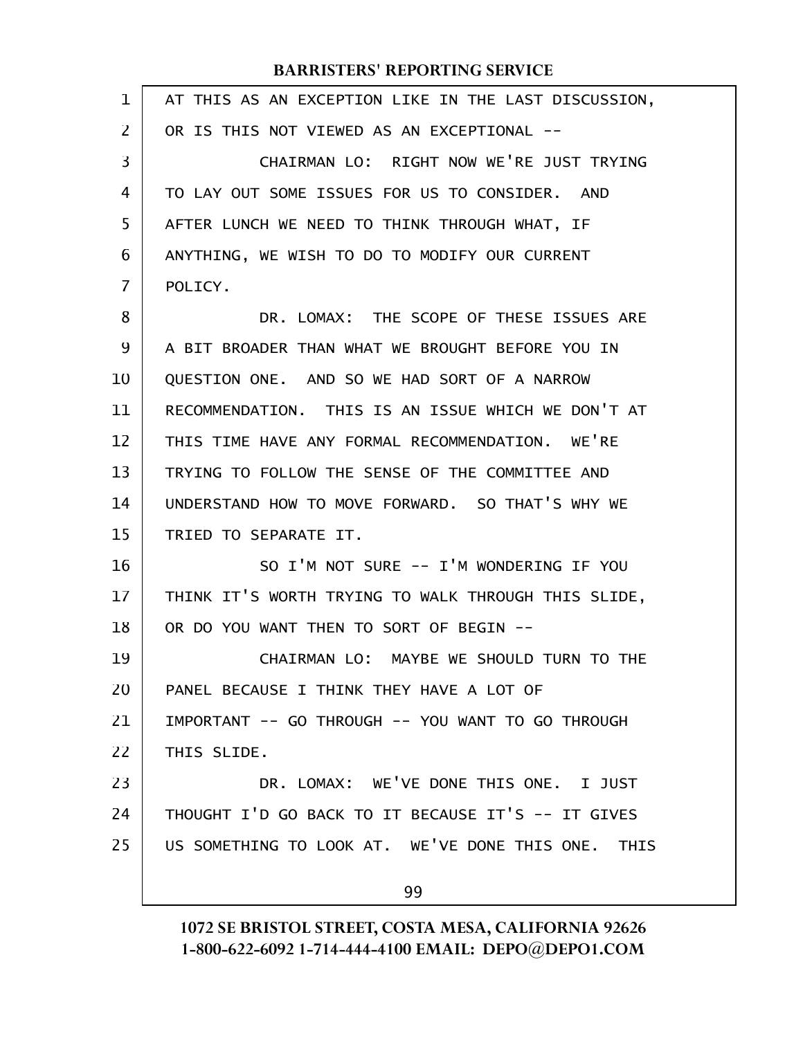| $\mathbf{1}$ | AT THIS AS AN EXCEPTION LIKE IN THE LAST DISCUSSION, |
|--------------|------------------------------------------------------|
| 2            | OR IS THIS NOT VIEWED AS AN EXCEPTIONAL --           |
| 3            | CHAIRMAN LO: RIGHT NOW WE'RE JUST TRYING             |
| 4            | TO LAY OUT SOME ISSUES FOR US TO CONSIDER. AND       |
| 5            | AFTER LUNCH WE NEED TO THINK THROUGH WHAT, IF        |
| 6            | ANYTHING, WE WISH TO DO TO MODIFY OUR CURRENT        |
| 7            | POLICY.                                              |
| 8            | DR. LOMAX: THE SCOPE OF THESE ISSUES ARE             |
| 9            | A BIT BROADER THAN WHAT WE BROUGHT BEFORE YOU IN     |
| 10           | QUESTION ONE. AND SO WE HAD SORT OF A NARROW         |
| 11           | RECOMMENDATION. THIS IS AN ISSUE WHICH WE DON'T AT   |
| 12           | THIS TIME HAVE ANY FORMAL RECOMMENDATION. WE'RE      |
| 13           | TRYING TO FOLLOW THE SENSE OF THE COMMITTEE AND      |
| 14           | UNDERSTAND HOW TO MOVE FORWARD. SO THAT'S WHY WE     |
| 15           | TRIED TO SEPARATE IT.                                |
| 16           | SO I'M NOT SURE -- I'M WONDERING IF YOU              |
| 17           | THINK IT'S WORTH TRYING TO WALK THROUGH THIS SLIDE,  |
| 18           | OR DO YOU WANT THEN TO SORT OF BEGIN --              |
| 19           | CHAIRMAN LO: MAYBE WE SHOULD TURN TO THE             |
| 20           | PANEL BECAUSE I THINK THEY HAVE A LOT OF             |
| 21           | IMPORTANT -- GO THROUGH -- YOU WANT TO GO THROUGH    |
| 22           | THIS SLIDE.                                          |
| 23           | DR. LOMAX: WE'VE DONE THIS ONE. I JUST               |
| 24           | THOUGHT I'D GO BACK TO IT BECAUSE IT'S -- IT GIVES   |
| 25           | US SOMETHING TO LOOK AT. WE'VE DONE THIS ONE. THIS   |
|              | 99                                                   |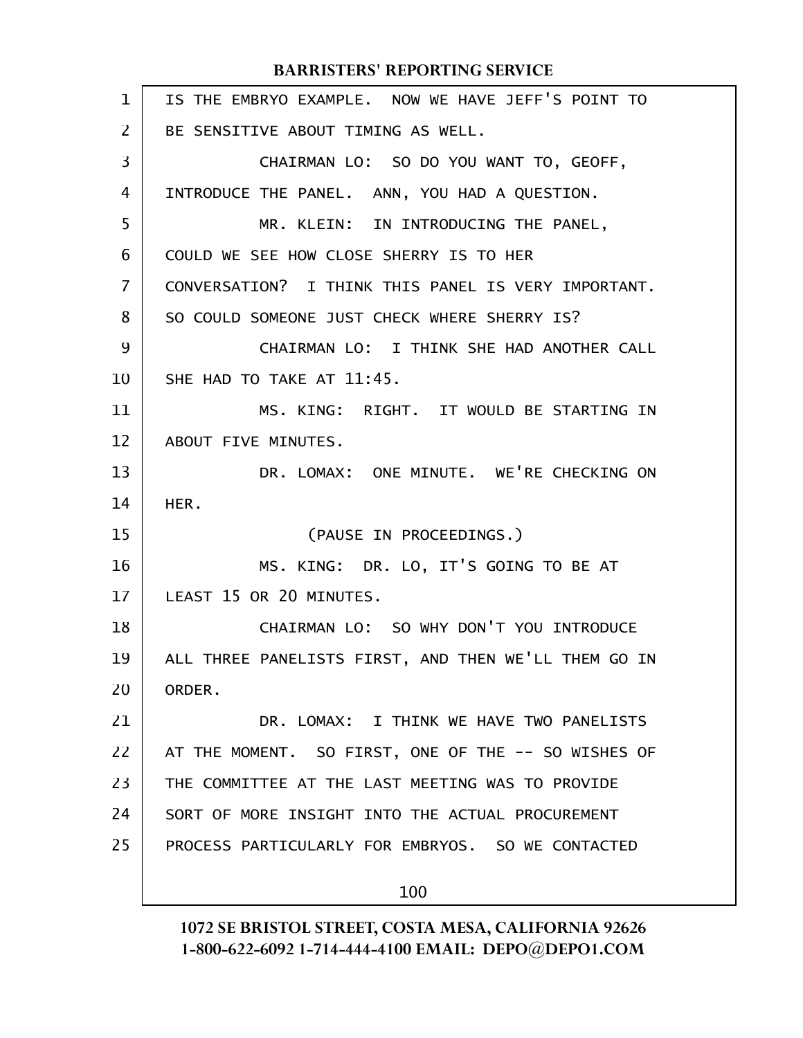| $\mathbf{1}$ | IS THE EMBRYO EXAMPLE. NOW WE HAVE JEFF'S POINT TO   |
|--------------|------------------------------------------------------|
| 2            | BE SENSITIVE ABOUT TIMING AS WELL.                   |
| 3            | CHAIRMAN LO: SO DO YOU WANT TO, GEOFF,               |
| 4            | INTRODUCE THE PANEL. ANN, YOU HAD A QUESTION.        |
| 5            | MR. KLEIN: IN INTRODUCING THE PANEL,                 |
| 6            | COULD WE SEE HOW CLOSE SHERRY IS TO HER              |
| 7            | CONVERSATION? I THINK THIS PANEL IS VERY IMPORTANT.  |
| 8            | SO COULD SOMEONE JUST CHECK WHERE SHERRY IS?         |
| 9            | CHAIRMAN LO: I THINK SHE HAD ANOTHER CALL            |
| 10           | SHE HAD TO TAKE AT 11:45.                            |
| 11           | MS. KING: RIGHT. IT WOULD BE STARTING IN             |
| 12           | ABOUT FIVE MINUTES.                                  |
| 13           | DR. LOMAX: ONE MINUTE. WE'RE CHECKING ON             |
| 14           | HER.                                                 |
| 15           | (PAUSE IN PROCEEDINGS.)                              |
| 16           | MS. KING: DR. LO, IT'S GOING TO BE AT                |
| 17           | LEAST 15 OR 20 MINUTES.                              |
| 18           | CHAIRMAN LO: SO WHY DON'T YOU INTRODUCE              |
| 19           | ALL THREE PANELISTS FIRST, AND THEN WE'LL THEM GO IN |
| 20           | ORDER.                                               |
| 21           | DR. LOMAX: I THINK WE HAVE TWO PANELISTS             |
| 22           | AT THE MOMENT. SO FIRST, ONE OF THE -- SO WISHES OF  |
| 23           | THE COMMITTEE AT THE LAST MEETING WAS TO PROVIDE     |
| 24           | SORT OF MORE INSIGHT INTO THE ACTUAL PROCUREMENT     |
| 25           | PROCESS PARTICULARLY FOR EMBRYOS. SO WE CONTACTED    |
|              | 100                                                  |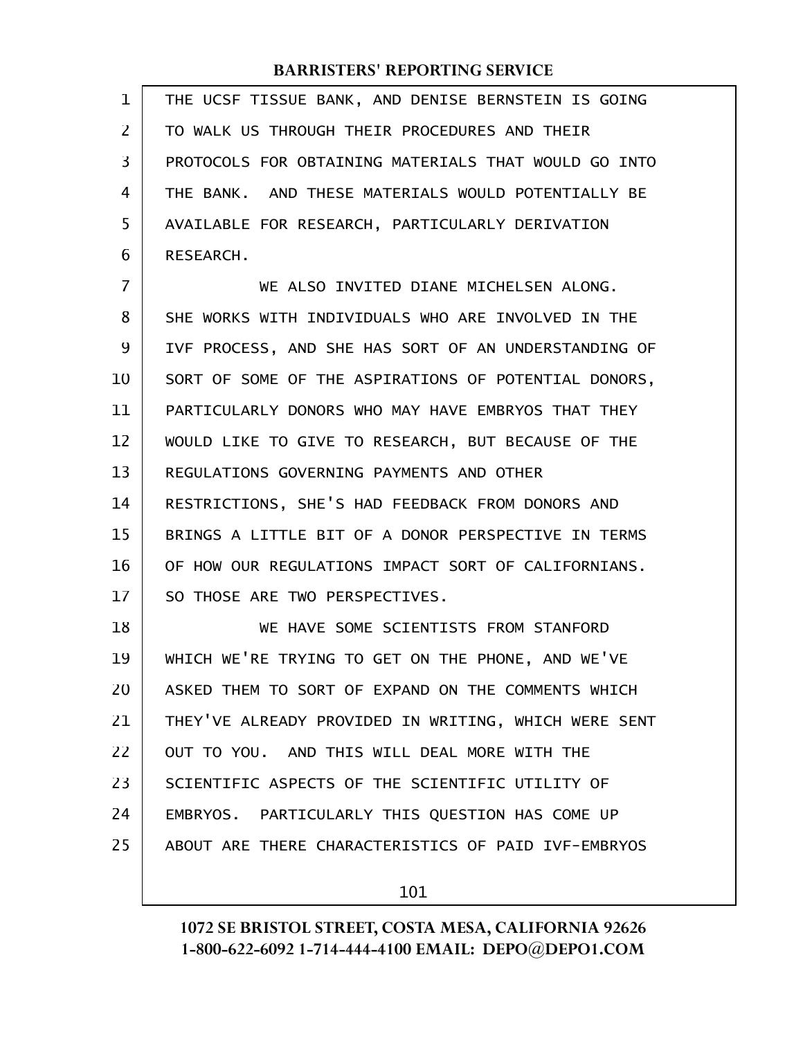| 1  | THE UCSF TISSUE BANK, AND DENISE BERNSTEIN IS GOING  |
|----|------------------------------------------------------|
| 2  | TO WALK US THROUGH THEIR PROCEDURES AND THEIR        |
| 3  | PROTOCOLS FOR OBTAINING MATERIALS THAT WOULD GO INTO |
| 4  | THE BANK. AND THESE MATERIALS WOULD POTENTIALLY BE   |
| 5  | AVAILABLE FOR RESEARCH, PARTICULARLY DERIVATION      |
| 6  | <b>RESEARCH.</b>                                     |
| 7  | WE ALSO INVITED DIANE MICHELSEN ALONG.               |
| 8  | SHE WORKS WITH INDIVIDUALS WHO ARE INVOLVED IN THE   |
| 9  | IVF PROCESS, AND SHE HAS SORT OF AN UNDERSTANDING OF |
| 10 | SORT OF SOME OF THE ASPIRATIONS OF POTENTIAL DONORS, |
| 11 | PARTICULARLY DONORS WHO MAY HAVE EMBRYOS THAT THEY   |
| 12 | WOULD LIKE TO GIVE TO RESEARCH, BUT BECAUSE OF THE   |
| 13 | REGULATIONS GOVERNING PAYMENTS AND OTHER             |
| 14 | RESTRICTIONS, SHE'S HAD FEEDBACK FROM DONORS AND     |
| 15 | BRINGS A LITTLE BIT OF A DONOR PERSPECTIVE IN TERMS  |
| 16 | OF HOW OUR REGULATIONS IMPACT SORT OF CALIFORNIANS.  |
| 17 | SO THOSE ARE TWO PERSPECTIVES.                       |
| 18 | WE HAVE SOME SCIENTISTS FROM STANFORD                |
| 19 | WHICH WE'RE TRYING TO GET ON THE PHONE, AND WE'VE    |
| 20 | ASKED THEM TO SORT OF EXPAND ON THE COMMENTS WHICH   |
| 21 | THEY'VE ALREADY PROVIDED IN WRITING, WHICH WERE SENT |
| 22 | OUT TO YOU. AND THIS WILL DEAL MORE WITH THE         |
| 23 | SCIENTIFIC ASPECTS OF THE SCIENTIFIC UTILITY OF      |
| 24 | EMBRYOS. PARTICULARLY THIS QUESTION HAS COME UP      |
| 25 | ABOUT ARE THERE CHARACTERISTICS OF PAID IVF-EMBRYOS  |
|    |                                                      |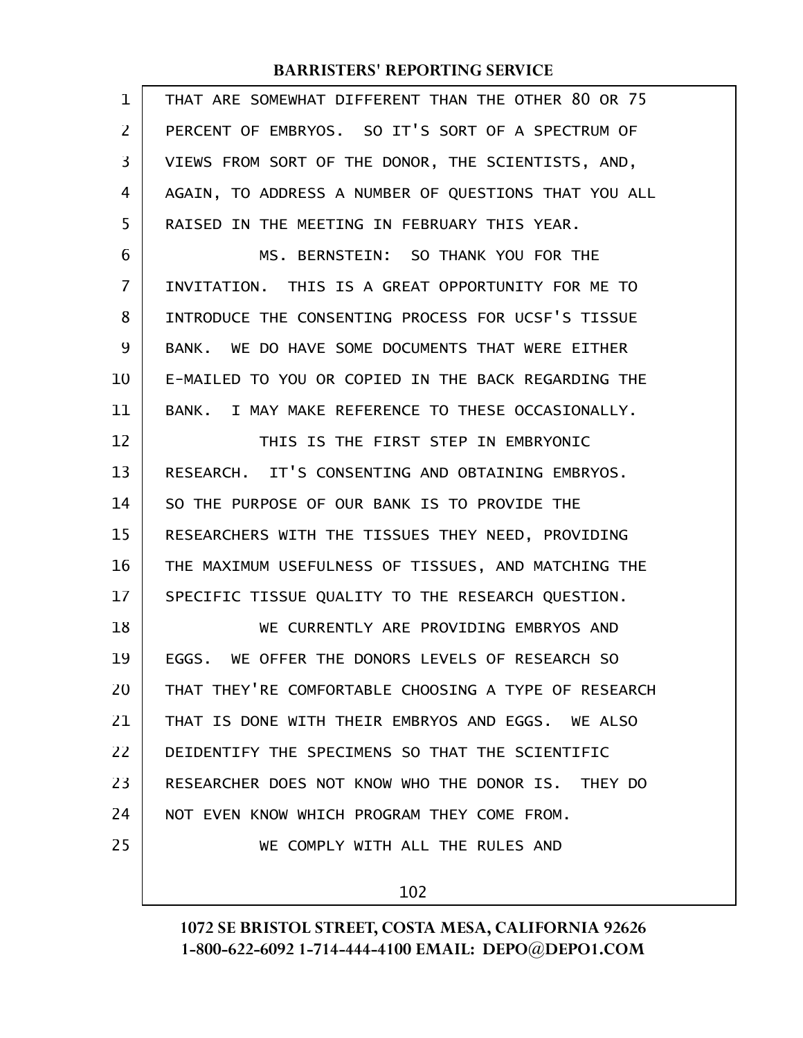| 1              | THAT ARE SOMEWHAT DIFFERENT THAN THE OTHER 80 OR 75  |
|----------------|------------------------------------------------------|
| $\overline{2}$ | PERCENT OF EMBRYOS. SO IT'S SORT OF A SPECTRUM OF    |
| 3              | VIEWS FROM SORT OF THE DONOR, THE SCIENTISTS, AND,   |
| 4              | AGAIN, TO ADDRESS A NUMBER OF QUESTIONS THAT YOU ALL |
| 5              | RAISED IN THE MEETING IN FEBRUARY THIS YEAR.         |
| 6              | MS. BERNSTEIN: SO THANK YOU FOR THE                  |
| $\overline{7}$ | INVITATION. THIS IS A GREAT OPPORTUNITY FOR ME TO    |
| 8              | INTRODUCE THE CONSENTING PROCESS FOR UCSF'S TISSUE   |
| 9              | BANK. WE DO HAVE SOME DOCUMENTS THAT WERE EITHER     |
| 10             | E-MAILED TO YOU OR COPIED IN THE BACK REGARDING THE  |
| 11             | BANK. I MAY MAKE REFERENCE TO THESE OCCASIONALLY.    |
| 12             | THIS IS THE FIRST STEP IN EMBRYONIC                  |
| 13             | RESEARCH. IT'S CONSENTING AND OBTAINING EMBRYOS.     |
| 14             | SO THE PURPOSE OF OUR BANK IS TO PROVIDE THE         |
| 15             | RESEARCHERS WITH THE TISSUES THEY NEED, PROVIDING    |
| 16             | THE MAXIMUM USEFULNESS OF TISSUES, AND MATCHING THE  |
| 17             | SPECIFIC TISSUE QUALITY TO THE RESEARCH QUESTION.    |
| 18             | WE CURRENTLY ARE PROVIDING EMBRYOS AND               |
| 19             | EGGS. WE OFFER THE DONORS LEVELS OF RESEARCH SO      |
| 20             | THAT THEY'RE COMFORTABLE CHOOSING A TYPE OF RESEARCH |
| 21             | THAT IS DONE WITH THEIR EMBRYOS AND EGGS. WE ALSO    |
| 22             | DEIDENTIFY THE SPECIMENS SO THAT THE SCIENTIFIC      |
| 23             | RESEARCHER DOES NOT KNOW WHO THE DONOR IS. THEY DO   |
| 24             | NOT EVEN KNOW WHICH PROGRAM THEY COME FROM.          |
| 25             | WE COMPLY WITH ALL THE RULES AND                     |
|                | 102                                                  |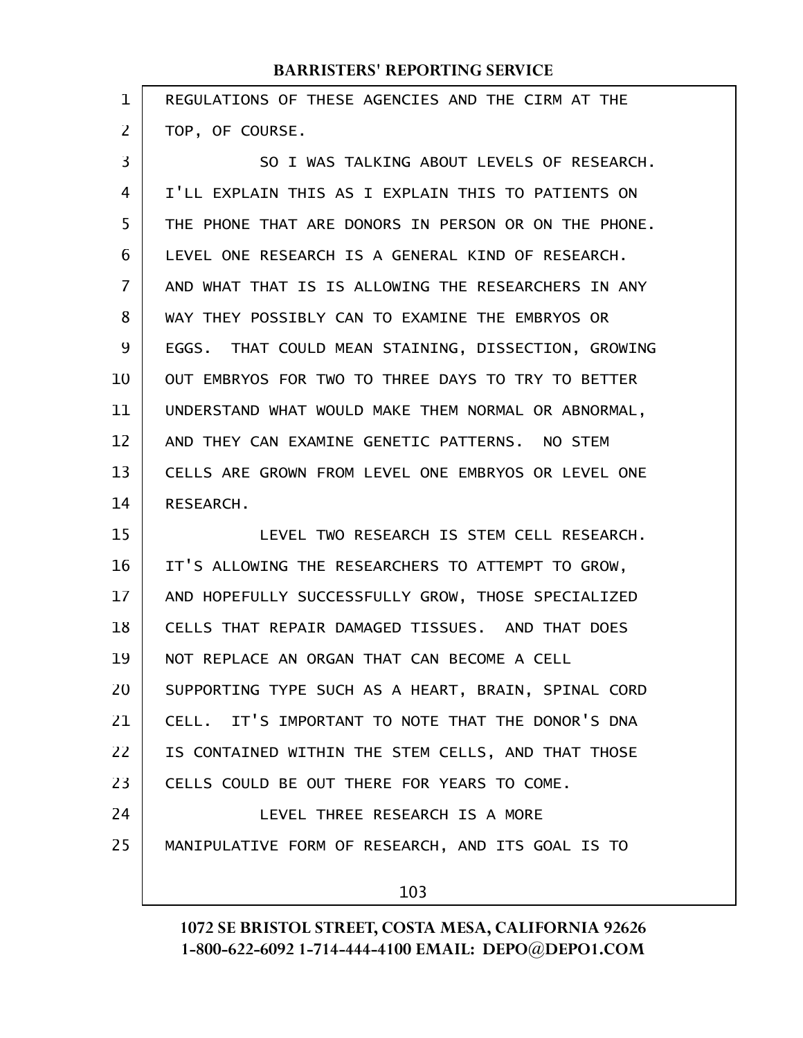| 1              | REGULATIONS OF THESE AGENCIES AND THE CIRM AT THE      |
|----------------|--------------------------------------------------------|
| $\overline{2}$ | TOP, OF COURSE.                                        |
| 3              | SO I WAS TALKING ABOUT LEVELS OF RESEARCH.             |
| 4              | I'LL EXPLAIN THIS AS I EXPLAIN THIS TO PATIENTS ON     |
| 5              | THE PHONE THAT ARE DONORS IN PERSON OR ON THE PHONE.   |
| 6              | LEVEL ONE RESEARCH IS A GENERAL KIND OF RESEARCH.      |
| 7              | AND WHAT THAT IS IS ALLOWING THE RESEARCHERS IN ANY    |
| 8              | WAY THEY POSSIBLY CAN TO EXAMINE THE EMBRYOS OR        |
| 9              | THAT COULD MEAN STAINING, DISSECTION, GROWING<br>EGGS. |
| 10             | OUT EMBRYOS FOR TWO TO THREE DAYS TO TRY TO BETTER     |
| 11             | UNDERSTAND WHAT WOULD MAKE THEM NORMAL OR ABNORMAL,    |
| 12             | AND THEY CAN EXAMINE GENETIC PATTERNS. NO STEM         |
| 13             | CELLS ARE GROWN FROM LEVEL ONE EMBRYOS OR LEVEL ONE    |
| 14             | RESEARCH.                                              |
| 15             | LEVEL TWO RESEARCH IS STEM CELL RESEARCH.              |
| 16             | IT'S ALLOWING THE RESEARCHERS TO ATTEMPT TO GROW,      |
| 17             | AND HOPEFULLY SUCCESSFULLY GROW, THOSE SPECIALIZED     |
| 18             | CELLS THAT REPAIR DAMAGED TISSUES. AND THAT DOES       |
| 19             | NOT REPLACE AN ORGAN THAT CAN BECOME A CELL            |
| 20             | SUPPORTING TYPE SUCH AS A HEART, BRAIN, SPINAL CORD    |
| 21             | CELL. IT'S IMPORTANT TO NOTE THAT THE DONOR'S DNA      |
| 22             | IS CONTAINED WITHIN THE STEM CELLS, AND THAT THOSE     |
| 23             | CELLS COULD BE OUT THERE FOR YEARS TO COME.            |
| 24             | LEVEL THREE RESEARCH IS A MORE                         |
| 25             | MANIPULATIVE FORM OF RESEARCH, AND ITS GOAL IS TO      |
|                |                                                        |

1072 SE BRISTOL STREET, COSTA MESA, CALIFORNIA 92626 1-800-622-6092 1-714-444-4100 EMAIL: DEPO@DEPO1.COM

#### 103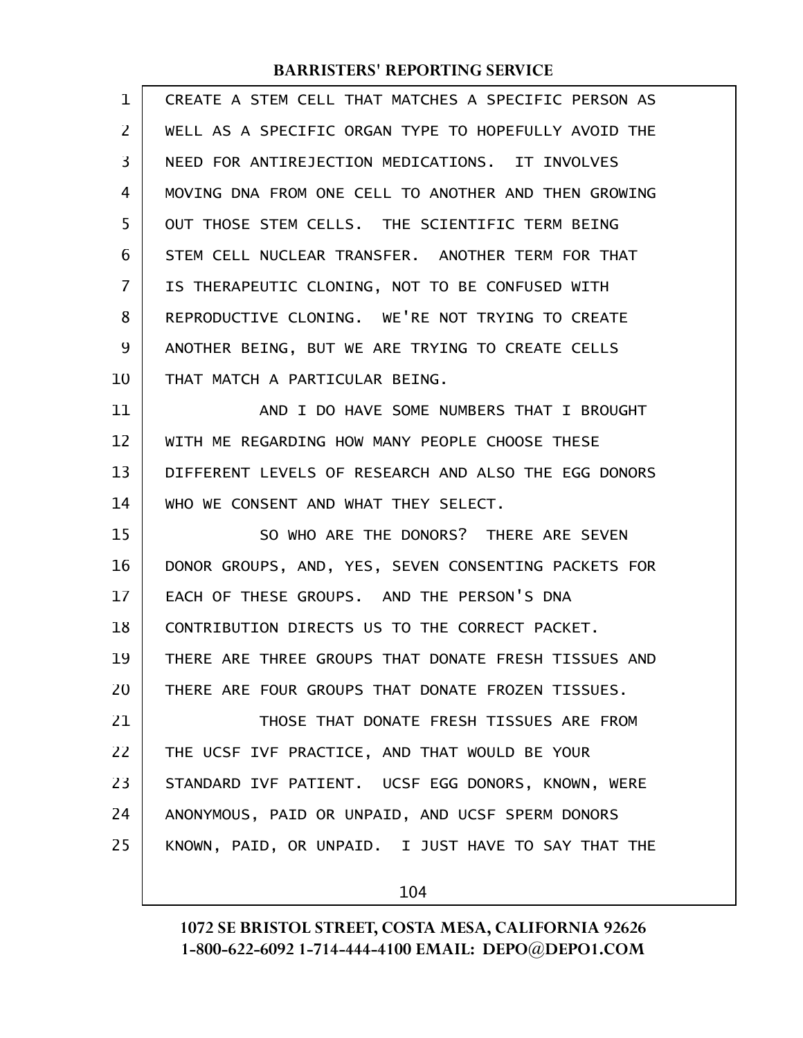| $\mathbf 1$       | CREATE A STEM CELL THAT MATCHES A SPECIFIC PERSON AS |
|-------------------|------------------------------------------------------|
| 2                 | WELL AS A SPECIFIC ORGAN TYPE TO HOPEFULLY AVOID THE |
| 3                 | NEED FOR ANTIREJECTION MEDICATIONS. IT INVOLVES      |
| 4                 | MOVING DNA FROM ONE CELL TO ANOTHER AND THEN GROWING |
| 5                 | OUT THOSE STEM CELLS. THE SCIENTIFIC TERM BEING      |
| 6                 | STEM CELL NUCLEAR TRANSFER. ANOTHER TERM FOR THAT    |
| 7                 | IS THERAPEUTIC CLONING, NOT TO BE CONFUSED WITH      |
| 8                 | REPRODUCTIVE CLONING. WE'RE NOT TRYING TO CREATE     |
| 9                 | ANOTHER BEING, BUT WE ARE TRYING TO CREATE CELLS     |
| 10                | THAT MATCH A PARTICULAR BEING.                       |
| 11                | AND I DO HAVE SOME NUMBERS THAT I BROUGHT            |
| $12 \overline{ }$ | WITH ME REGARDING HOW MANY PEOPLE CHOOSE THESE       |
| 13                | DIFFERENT LEVELS OF RESEARCH AND ALSO THE EGG DONORS |
| 14                | WHO WE CONSENT AND WHAT THEY SELECT.                 |
| 15                | SO WHO ARE THE DONORS? THERE ARE SEVEN               |
| 16                | DONOR GROUPS, AND, YES, SEVEN CONSENTING PACKETS FOR |
| 17                | EACH OF THESE GROUPS. AND THE PERSON'S DNA           |
| 18                | CONTRIBUTION DIRECTS US TO THE CORRECT PACKET.       |
| 19                | THERE ARE THREE GROUPS THAT DONATE FRESH TISSUES AND |
| 20                | THERE ARE FOUR GROUPS THAT DONATE FROZEN TISSUES.    |
| 21                | THOSE THAT DONATE FRESH TISSUES ARE FROM             |
| 22                | THE UCSF IVF PRACTICE, AND THAT WOULD BE YOUR        |
| 23                | STANDARD IVF PATIENT. UCSF EGG DONORS, KNOWN, WERE   |
| 24                | ANONYMOUS, PAID OR UNPAID, AND UCSF SPERM DONORS     |
| 25                | KNOWN, PAID, OR UNPAID. I JUST HAVE TO SAY THAT THE  |
|                   | 104                                                  |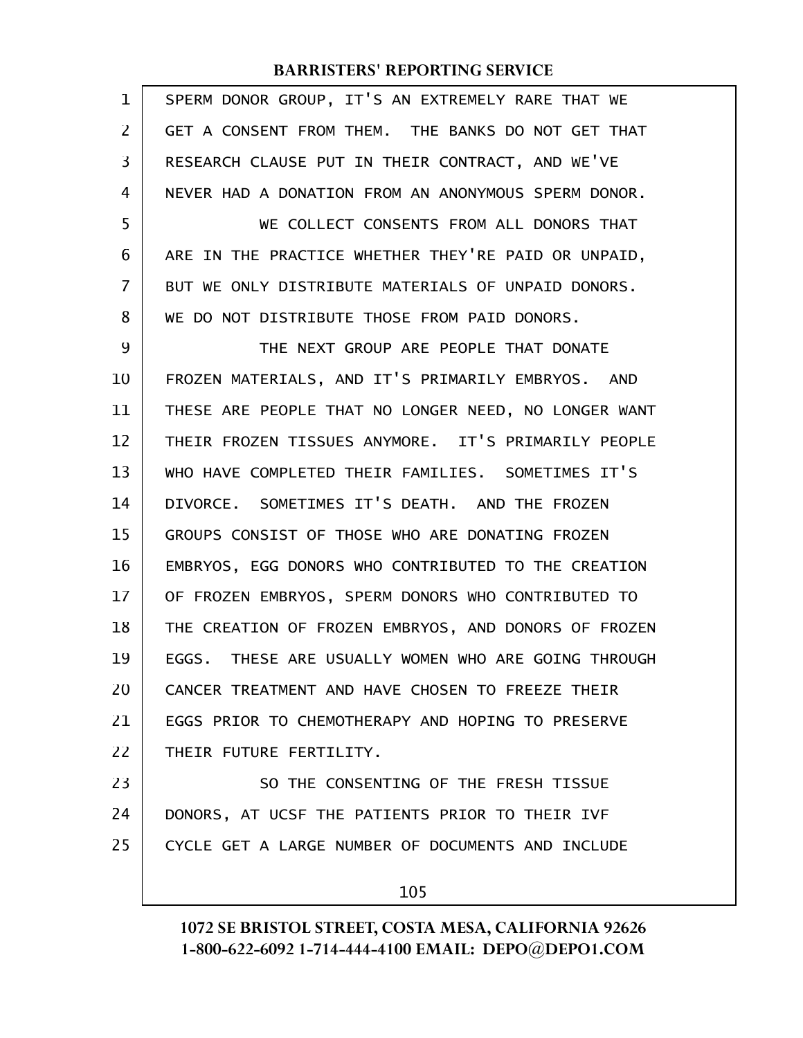| $\mathbf 1$ | SPERM DONOR GROUP, IT'S AN EXTREMELY RARE THAT WE    |
|-------------|------------------------------------------------------|
| 2           | GET A CONSENT FROM THEM. THE BANKS DO NOT GET THAT   |
| 3           | RESEARCH CLAUSE PUT IN THEIR CONTRACT, AND WE'VE     |
| 4           | NEVER HAD A DONATION FROM AN ANONYMOUS SPERM DONOR.  |
| 5           | WE COLLECT CONSENTS FROM ALL DONORS THAT             |
| 6           | ARE IN THE PRACTICE WHETHER THEY'RE PAID OR UNPAID,  |
| 7           | BUT WE ONLY DISTRIBUTE MATERIALS OF UNPAID DONORS.   |
| 8           | WE DO NOT DISTRIBUTE THOSE FROM PAID DONORS.         |
| 9           | THE NEXT GROUP ARE PEOPLE THAT DONATE                |
| 10          | FROZEN MATERIALS, AND IT'S PRIMARILY EMBRYOS. AND    |
| 11          | THESE ARE PEOPLE THAT NO LONGER NEED, NO LONGER WANT |
| 12          | THEIR FROZEN TISSUES ANYMORE. IT'S PRIMARILY PEOPLE  |
| 13          | WHO HAVE COMPLETED THEIR FAMILIES. SOMETIMES IT'S    |
| 14          | DIVORCE. SOMETIMES IT'S DEATH. AND THE FROZEN        |
| 15          | GROUPS CONSIST OF THOSE WHO ARE DONATING FROZEN      |
| 16          | EMBRYOS, EGG DONORS WHO CONTRIBUTED TO THE CREATION  |
| 17          | OF FROZEN EMBRYOS, SPERM DONORS WHO CONTRIBUTED TO   |
| 18          | THE CREATION OF FROZEN EMBRYOS, AND DONORS OF FROZEN |
| 19          | EGGS. THESE ARE USUALLY WOMEN WHO ARE GOING THROUGH  |
| 20          | CANCER TREATMENT AND HAVE CHOSEN TO FREEZE THEIR     |
| 21          | EGGS PRIOR TO CHEMOTHERAPY AND HOPING TO PRESERVE    |
| 22          | THEIR FUTURE FERTILITY.                              |
| 23          | SO THE CONSENTING OF THE FRESH TISSUE                |
| 24          | DONORS, AT UCSF THE PATIENTS PRIOR TO THEIR IVF      |
| 25          | CYCLE GET A LARGE NUMBER OF DOCUMENTS AND INCLUDE    |
|             | 105                                                  |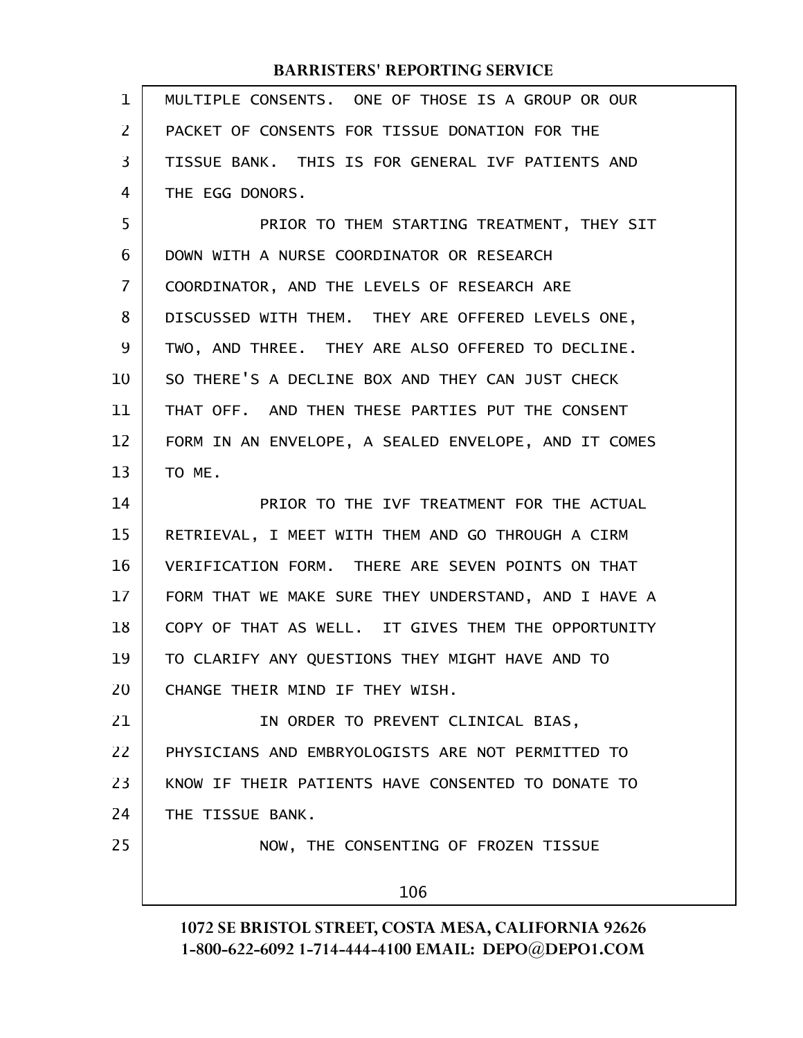| $\mathbf 1$    | MULTIPLE CONSENTS. ONE OF THOSE IS A GROUP OR OUR    |
|----------------|------------------------------------------------------|
| $\overline{2}$ | PACKET OF CONSENTS FOR TISSUE DONATION FOR THE       |
| 3              | TISSUE BANK. THIS IS FOR GENERAL IVF PATIENTS AND    |
| 4              | THE EGG DONORS.                                      |
| 5              | PRIOR TO THEM STARTING TREATMENT, THEY SIT           |
| 6              | DOWN WITH A NURSE COORDINATOR OR RESEARCH            |
| $\overline{7}$ | COORDINATOR, AND THE LEVELS OF RESEARCH ARE          |
| 8              | DISCUSSED WITH THEM. THEY ARE OFFERED LEVELS ONE,    |
| 9              | TWO, AND THREE. THEY ARE ALSO OFFERED TO DECLINE.    |
| 10             | SO THERE'S A DECLINE BOX AND THEY CAN JUST CHECK     |
| 11             | THAT OFF. AND THEN THESE PARTIES PUT THE CONSENT     |
| 12             | FORM IN AN ENVELOPE, A SEALED ENVELOPE, AND IT COMES |
| 13             | TO ME.                                               |
| 14             | PRIOR TO THE IVF TREATMENT FOR THE ACTUAL            |
| 15             | RETRIEVAL, I MEET WITH THEM AND GO THROUGH A CIRM    |
| 16             | VERIFICATION FORM. THERE ARE SEVEN POINTS ON THAT    |
| 17             | FORM THAT WE MAKE SURE THEY UNDERSTAND, AND I HAVE A |
| 18             | COPY OF THAT AS WELL. IT GIVES THEM THE OPPORTUNITY  |
| 19             | TO CLARIFY ANY QUESTIONS THEY MIGHT HAVE AND TO      |
| 20             | CHANGE THEIR MIND IF THEY WISH.                      |
| 21             | IN ORDER TO PREVENT CLINICAL BIAS,                   |
| 22             | PHYSICIANS AND EMBRYOLOGISTS ARE NOT PERMITTED TO    |
| 23             | KNOW IF THEIR PATIENTS HAVE CONSENTED TO DONATE TO   |
| 24             | THE TISSUE BANK.                                     |
| 25             | NOW, THE CONSENTING OF FROZEN TISSUE                 |
|                | 106                                                  |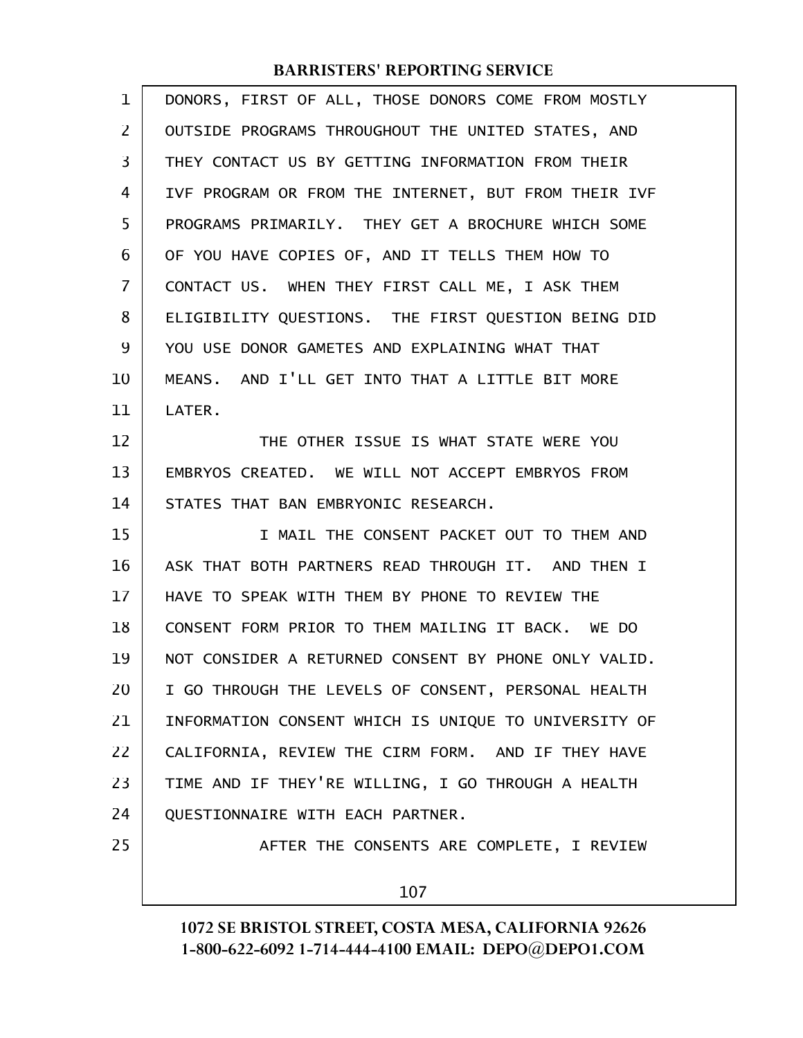| 1              | DONORS, FIRST OF ALL, THOSE DONORS COME FROM MOSTLY  |
|----------------|------------------------------------------------------|
| $\overline{2}$ | OUTSIDE PROGRAMS THROUGHOUT THE UNITED STATES, AND   |
| 3              | THEY CONTACT US BY GETTING INFORMATION FROM THEIR    |
| 4              | IVF PROGRAM OR FROM THE INTERNET, BUT FROM THEIR IVF |
| 5              | PROGRAMS PRIMARILY. THEY GET A BROCHURE WHICH SOME   |
| 6              | OF YOU HAVE COPIES OF, AND IT TELLS THEM HOW TO      |
| $\overline{7}$ | CONTACT US. WHEN THEY FIRST CALL ME, I ASK THEM      |
| 8              | ELIGIBILITY QUESTIONS. THE FIRST QUESTION BEING DID  |
| 9              | YOU USE DONOR GAMETES AND EXPLAINING WHAT THAT       |
| 10             | MEANS. AND I'LL GET INTO THAT A LITTLE BIT MORE      |
| 11             | LATER.                                               |
| 12             | THE OTHER ISSUE IS WHAT STATE WERE YOU               |
| 13             | EMBRYOS CREATED. WE WILL NOT ACCEPT EMBRYOS FROM     |
| 14             | STATES THAT BAN EMBRYONIC RESEARCH.                  |
| 15             | I MAIL THE CONSENT PACKET OUT TO THEM AND            |
| 16             | ASK THAT BOTH PARTNERS READ THROUGH IT. AND THEN I   |
| 17             | HAVE TO SPEAK WITH THEM BY PHONE TO REVIEW THE       |
| 18             | CONSENT FORM PRIOR TO THEM MAILING IT BACK. WE DO    |
| 19             | NOT CONSIDER A RETURNED CONSENT BY PHONE ONLY VALID. |
| 20             | I GO THROUGH THE LEVELS OF CONSENT, PERSONAL HEALTH  |
| 21             | INFORMATION CONSENT WHICH IS UNIQUE TO UNIVERSITY OF |
| 22             | CALIFORNIA, REVIEW THE CIRM FORM. AND IF THEY HAVE   |
| 23             | TIME AND IF THEY'RE WILLING, I GO THROUGH A HEALTH   |
| 24             | QUESTIONNAIRE WITH EACH PARTNER.                     |
| 25             | AFTER THE CONSENTS ARE COMPLETE, I REVIEW            |
|                | 107                                                  |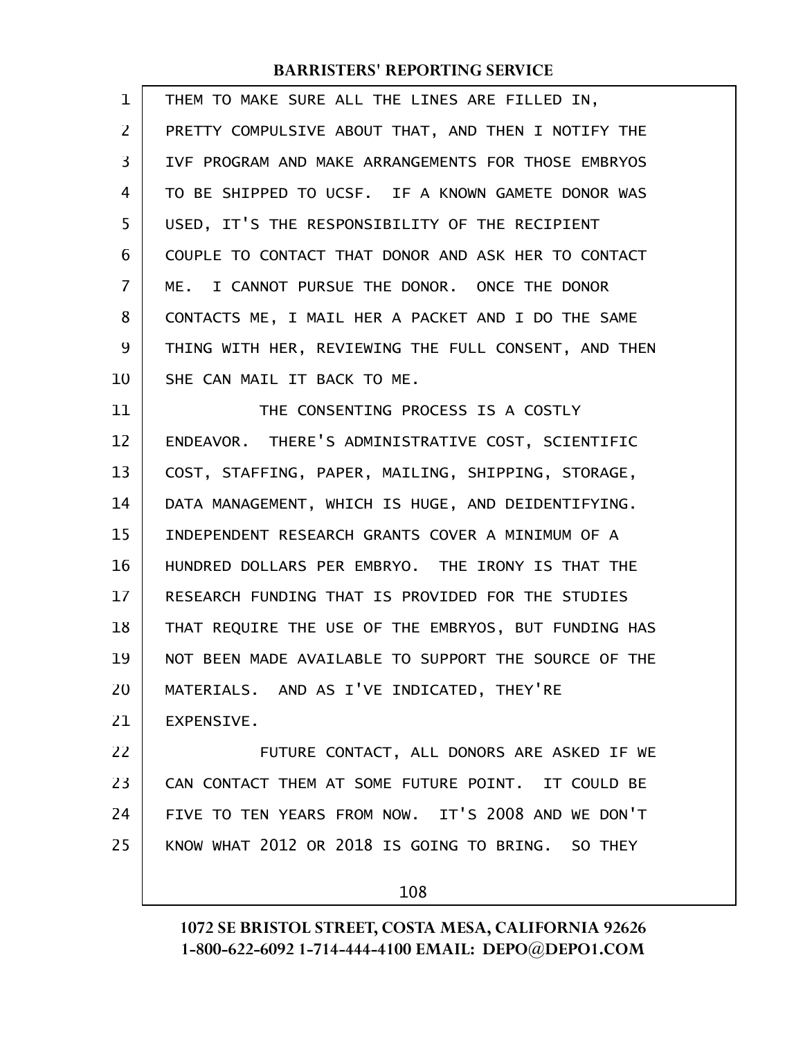| 1  | THEM TO MAKE SURE ALL THE LINES ARE FILLED IN,       |
|----|------------------------------------------------------|
| 2  | PRETTY COMPULSIVE ABOUT THAT, AND THEN I NOTIFY THE  |
| 3  | IVF PROGRAM AND MAKE ARRANGEMENTS FOR THOSE EMBRYOS  |
| 4  | TO BE SHIPPED TO UCSF. IF A KNOWN GAMETE DONOR WAS   |
| 5  | USED, IT'S THE RESPONSIBILITY OF THE RECIPIENT       |
| 6  | COUPLE TO CONTACT THAT DONOR AND ASK HER TO CONTACT  |
| 7  | ME. I CANNOT PURSUE THE DONOR. ONCE THE DONOR        |
| 8  | CONTACTS ME, I MAIL HER A PACKET AND I DO THE SAME   |
| 9  | THING WITH HER, REVIEWING THE FULL CONSENT, AND THEN |
| 10 | SHE CAN MAIL IT BACK TO ME.                          |
| 11 | THE CONSENTING PROCESS IS A COSTLY                   |
| 12 | ENDEAVOR. THERE'S ADMINISTRATIVE COST, SCIENTIFIC    |
| 13 | COST, STAFFING, PAPER, MAILING, SHIPPING, STORAGE,   |
| 14 | DATA MANAGEMENT, WHICH IS HUGE, AND DEIDENTIFYING.   |
| 15 | INDEPENDENT RESEARCH GRANTS COVER A MINIMUM OF A     |
| 16 | HUNDRED DOLLARS PER EMBRYO. THE IRONY IS THAT THE    |
| 17 | RESEARCH FUNDING THAT IS PROVIDED FOR THE STUDIES    |
| 18 | THAT REQUIRE THE USE OF THE EMBRYOS, BUT FUNDING HAS |
| 19 | NOT BEEN MADE AVAILABLE TO SUPPORT THE SOURCE OF THE |
| 20 | MATERIALS. AND AS I'VE INDICATED, THEY'RE            |
| 21 | EXPENSIVE.                                           |
| 22 | FUTURE CONTACT, ALL DONORS ARE ASKED IF WE           |
| 23 | CAN CONTACT THEM AT SOME FUTURE POINT. IT COULD BE   |
| 24 | FIVE TO TEN YEARS FROM NOW. IT'S 2008 AND WE DON'T   |
| 25 | KNOW WHAT 2012 OR 2018 IS GOING TO BRING. SO THEY    |
|    | 108                                                  |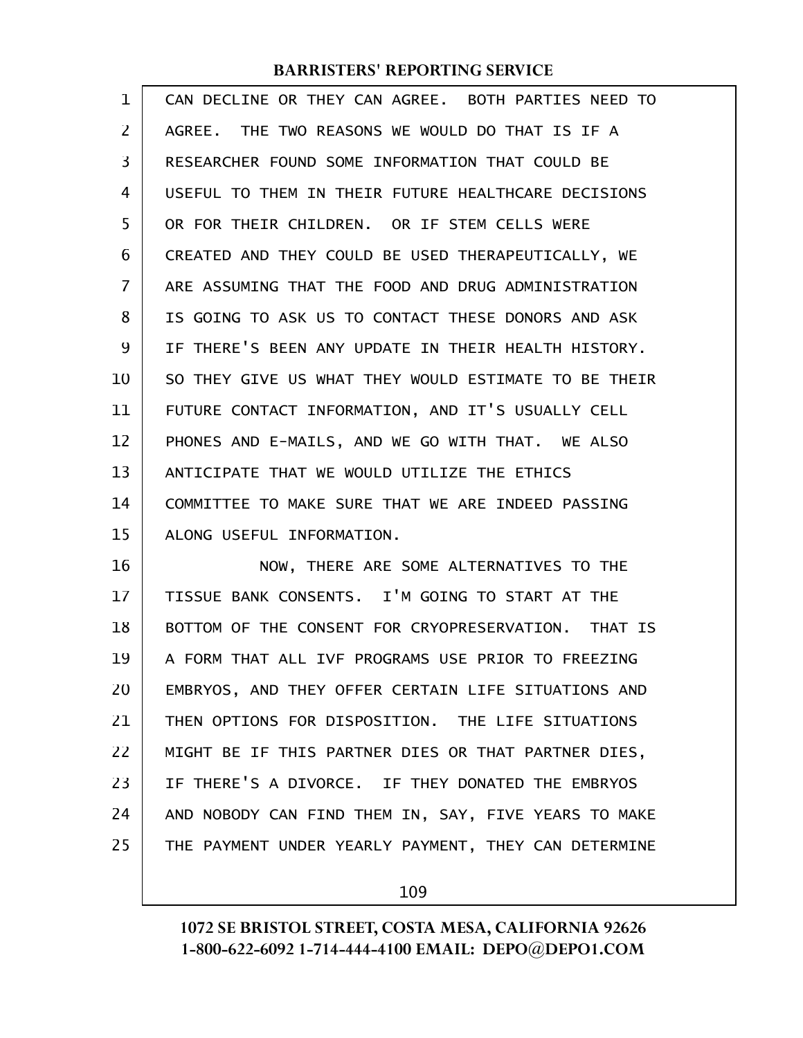CAN DECLINE OR THEY CAN AGREE. BOTH PARTIES NEED TO AGREE. THE TWO REASONS WE WOULD DO THAT IS IF A RESEARCHER FOUND SOME INFORMATION THAT COULD BE USEFUL TO THEM IN THEIR FUTURE HEALTHCARE DECISIONS OR FOR THEIR CHILDREN. OR IF STEM CELLS WERE CREATED AND THEY COULD BE USED THERAPEUTICALLY, WE ARE ASSUMING THAT THE FOOD AND DRUG ADMINISTRATION IS GOING TO ASK US TO CONTACT THESE DONORS AND ASK IF THERE'S BEEN ANY UPDATE IN THEIR HEALTH HISTORY. SO THEY GIVE US WHAT THEY WOULD ESTIMATE TO BE THEIR FUTURE CONTACT INFORMATION, AND IT'S USUALLY CELL PHONES AND E-MAILS, AND WE GO WITH THAT. WE ALSO ANTICIPATE THAT WE WOULD UTILIZE THE ETHICS COMMITTEE TO MAKE SURE THAT WE ARE INDEED PASSING ALONG USEFUL INFORMATION. 1 2 3 4 5 6 7 8 9 10 11 12 13 14 15

NOW, THERE ARE SOME ALTERNATIVES TO THE TISSUE BANK CONSENTS. I'M GOING TO START AT THE BOTTOM OF THE CONSENT FOR CRYOPRESERVATION. THAT IS A FORM THAT ALL IVF PROGRAMS USE PRIOR TO FREEZING EMBRYOS, AND THEY OFFER CERTAIN LIFE SITUATIONS AND THEN OPTIONS FOR DISPOSITION. THE LIFE SITUATIONS MIGHT BE IF THIS PARTNER DIES OR THAT PARTNER DIES, IF THERE'S A DIVORCE. IF THEY DONATED THE EMBRYOS AND NOBODY CAN FIND THEM IN, SAY, FIVE YEARS TO MAKE THE PAYMENT UNDER YEARLY PAYMENT, THEY CAN DETERMINE 16 17 18 19 20 21 22 23 24 25

109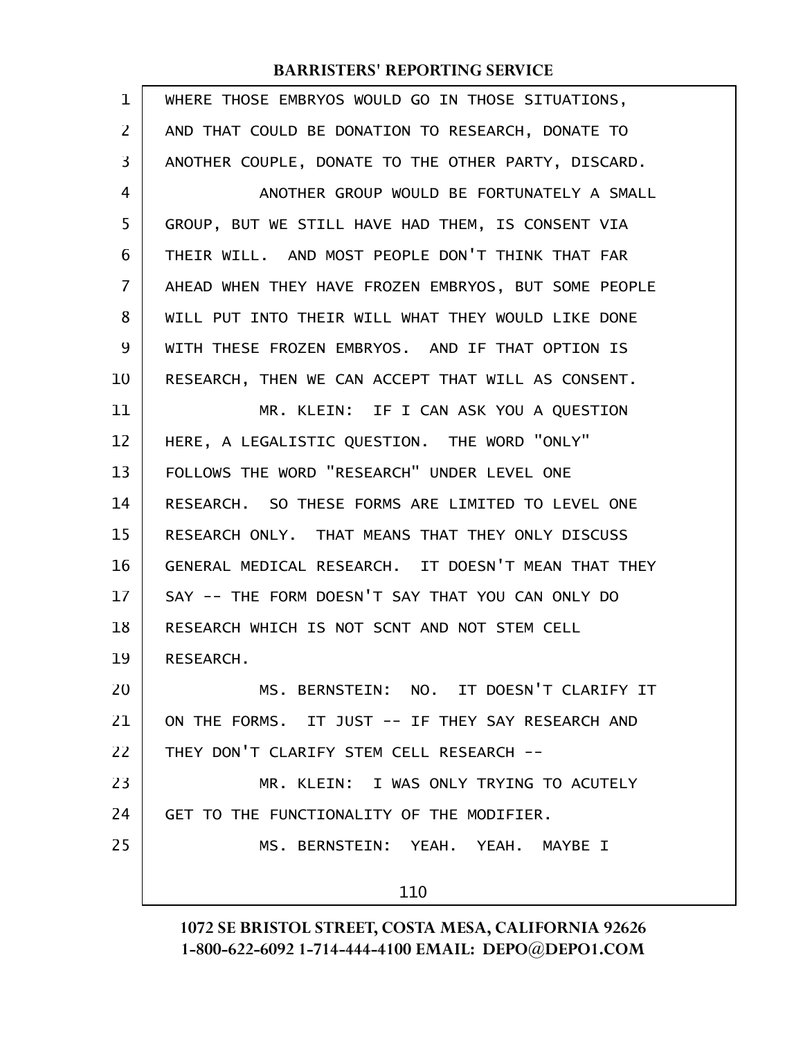| $\mathbf 1$    | WHERE THOSE EMBRYOS WOULD GO IN THOSE SITUATIONS,    |
|----------------|------------------------------------------------------|
| 2              | AND THAT COULD BE DONATION TO RESEARCH, DONATE TO    |
| 3              | ANOTHER COUPLE, DONATE TO THE OTHER PARTY, DISCARD.  |
| 4              | ANOTHER GROUP WOULD BE FORTUNATELY A SMALL           |
| 5              | GROUP, BUT WE STILL HAVE HAD THEM, IS CONSENT VIA    |
| 6              | THEIR WILL. AND MOST PEOPLE DON'T THINK THAT FAR     |
| $\overline{7}$ | AHEAD WHEN THEY HAVE FROZEN EMBRYOS, BUT SOME PEOPLE |
| 8              | WILL PUT INTO THEIR WILL WHAT THEY WOULD LIKE DONE   |
| 9              | WITH THESE FROZEN EMBRYOS. AND IF THAT OPTION IS     |
| 10             | RESEARCH, THEN WE CAN ACCEPT THAT WILL AS CONSENT.   |
| 11             | MR. KLEIN: IF I CAN ASK YOU A QUESTION               |
| 12             | HERE, A LEGALISTIC QUESTION. THE WORD "ONLY"         |
| 13             | FOLLOWS THE WORD "RESEARCH" UNDER LEVEL ONE          |
| 14             | RESEARCH. SO THESE FORMS ARE LIMITED TO LEVEL ONE    |
| 15             | RESEARCH ONLY. THAT MEANS THAT THEY ONLY DISCUSS     |
| 16             | GENERAL MEDICAL RESEARCH. IT DOESN'T MEAN THAT THEY  |
| 17             | SAY -- THE FORM DOESN'T SAY THAT YOU CAN ONLY DO     |
| 18             | RESEARCH WHICH IS NOT SCNT AND NOT STEM CELL         |
| 19             | RESEARCH.                                            |
| 20             | MS. BERNSTEIN: NO. IT DOESN'T CLARIFY IT             |
| 21             | ON THE FORMS. IT JUST -- IF THEY SAY RESEARCH AND    |
| 22             | THEY DON'T CLARIFY STEM CELL RESEARCH --             |
| 23             | MR. KLEIN: I WAS ONLY TRYING TO ACUTELY              |
| 24             | GET TO THE FUNCTIONALITY OF THE MODIFIER.            |
| 25             | MS. BERNSTEIN: YEAH. YEAH. MAYBE I                   |
|                | 110                                                  |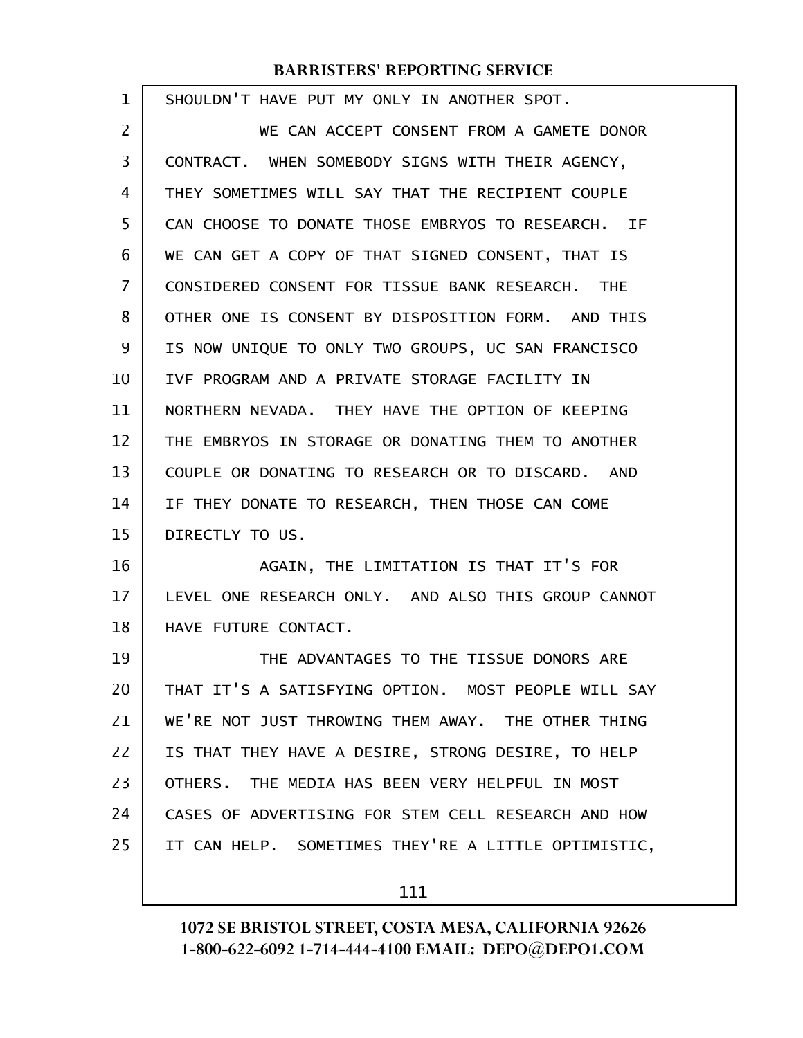| $\mathbf 1$ | SHOULDN'T HAVE PUT MY ONLY IN ANOTHER SPOT.         |
|-------------|-----------------------------------------------------|
| 2           | WE CAN ACCEPT CONSENT FROM A GAMETE DONOR           |
| 3           | CONTRACT. WHEN SOMEBODY SIGNS WITH THEIR AGENCY,    |
| 4           | THEY SOMETIMES WILL SAY THAT THE RECIPIENT COUPLE   |
| 5           | CAN CHOOSE TO DONATE THOSE EMBRYOS TO RESEARCH. IF  |
| 6           | WE CAN GET A COPY OF THAT SIGNED CONSENT, THAT IS   |
| 7           | CONSIDERED CONSENT FOR TISSUE BANK RESEARCH. THE    |
| 8           | OTHER ONE IS CONSENT BY DISPOSITION FORM. AND THIS  |
| 9           | IS NOW UNIQUE TO ONLY TWO GROUPS, UC SAN FRANCISCO  |
| 10          | IVF PROGRAM AND A PRIVATE STORAGE FACILITY IN       |
| 11          | NORTHERN NEVADA. THEY HAVE THE OPTION OF KEEPING    |
| 12          | THE EMBRYOS IN STORAGE OR DONATING THEM TO ANOTHER  |
| 13          | COUPLE OR DONATING TO RESEARCH OR TO DISCARD. AND   |
| 14          | IF THEY DONATE TO RESEARCH, THEN THOSE CAN COME     |
| 15          | DIRECTLY TO US.                                     |
| 16          | AGAIN, THE LIMITATION IS THAT IT'S FOR              |
| 17          | LEVEL ONE RESEARCH ONLY. AND ALSO THIS GROUP CANNOT |
| 18          | HAVE FUTURE CONTACT.                                |
| 19          | THE ADVANTAGES TO THE TISSUE DONORS ARE             |
| 20          | THAT IT'S A SATISFYING OPTION. MOST PEOPLE WILL SAY |
| 21          | WE'RE NOT JUST THROWING THEM AWAY. THE OTHER THING  |
| 22          | IS THAT THEY HAVE A DESIRE, STRONG DESIRE, TO HELP  |
| 23          | OTHERS. THE MEDIA HAS BEEN VERY HELPFUL IN MOST     |
| 24          | CASES OF ADVERTISING FOR STEM CELL RESEARCH AND HOW |
| 25          | IT CAN HELP. SOMETIMES THEY'RE A LITTLE OPTIMISTIC, |
|             |                                                     |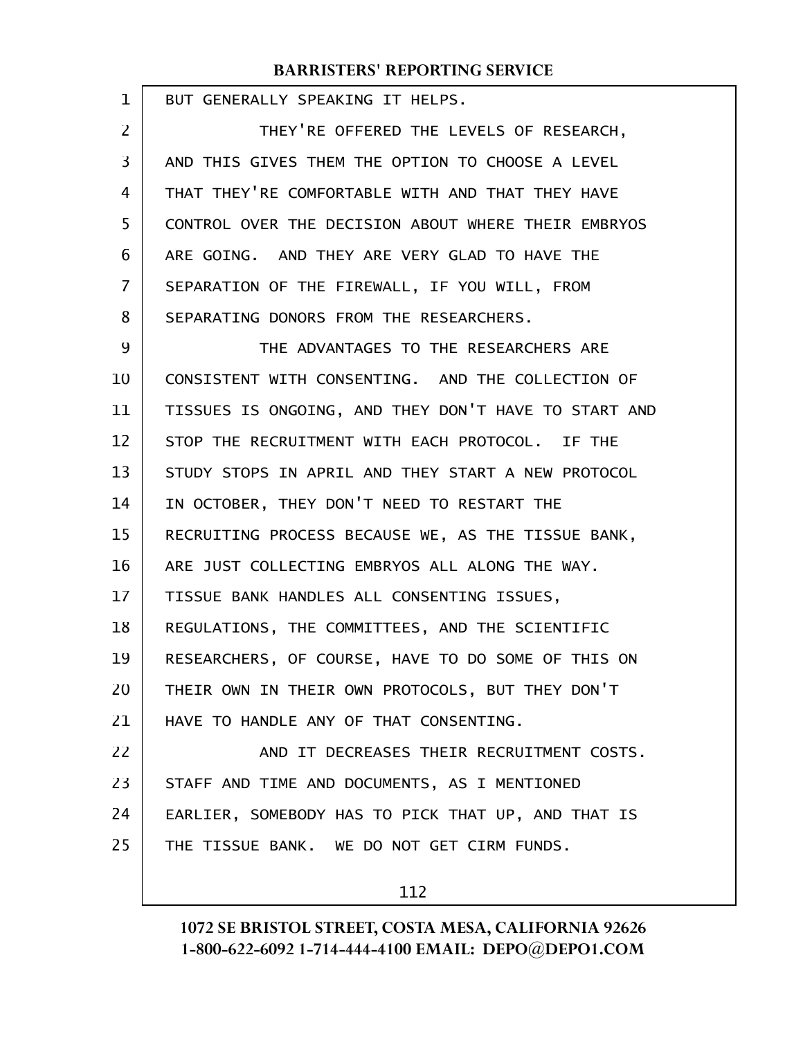| $\mathbf 1$    | BUT GENERALLY SPEAKING IT HELPS.                     |
|----------------|------------------------------------------------------|
| $\overline{2}$ | THEY'RE OFFERED THE LEVELS OF RESEARCH,              |
| 3              | AND THIS GIVES THEM THE OPTION TO CHOOSE A LEVEL     |
| 4              | THAT THEY'RE COMFORTABLE WITH AND THAT THEY HAVE     |
| 5              | CONTROL OVER THE DECISION ABOUT WHERE THEIR EMBRYOS  |
| 6              | ARE GOING. AND THEY ARE VERY GLAD TO HAVE THE        |
| 7              | SEPARATION OF THE FIREWALL, IF YOU WILL, FROM        |
| 8              | SEPARATING DONORS FROM THE RESEARCHERS.              |
| 9              | THE ADVANTAGES TO THE RESEARCHERS ARE                |
| 10             | CONSISTENT WITH CONSENTING. AND THE COLLECTION OF    |
| 11             | TISSUES IS ONGOING, AND THEY DON'T HAVE TO START AND |
| 12             | STOP THE RECRUITMENT WITH EACH PROTOCOL. IF THE      |
| 13             | STUDY STOPS IN APRIL AND THEY START A NEW PROTOCOL   |
| 14             | IN OCTOBER, THEY DON'T NEED TO RESTART THE           |
| 15             | RECRUITING PROCESS BECAUSE WE, AS THE TISSUE BANK,   |
| 16             | ARE JUST COLLECTING EMBRYOS ALL ALONG THE WAY.       |
| 17             | TISSUE BANK HANDLES ALL CONSENTING ISSUES,           |
| 18             | REGULATIONS, THE COMMITTEES, AND THE SCIENTIFIC      |
| 19             | RESEARCHERS, OF COURSE, HAVE TO DO SOME OF THIS ON   |
| 20             | THEIR OWN IN THEIR OWN PROTOCOLS, BUT THEY DON'T     |
| 21             | HAVE TO HANDLE ANY OF THAT CONSENTING.               |
| 22             | AND IT DECREASES THEIR RECRUITMENT COSTS.            |
| 23             | STAFF AND TIME AND DOCUMENTS, AS I MENTIONED         |
| 24             | EARLIER, SOMEBODY HAS TO PICK THAT UP, AND THAT IS   |
| 25             | THE TISSUE BANK. WE DO NOT GET CIRM FUNDS.           |
|                |                                                      |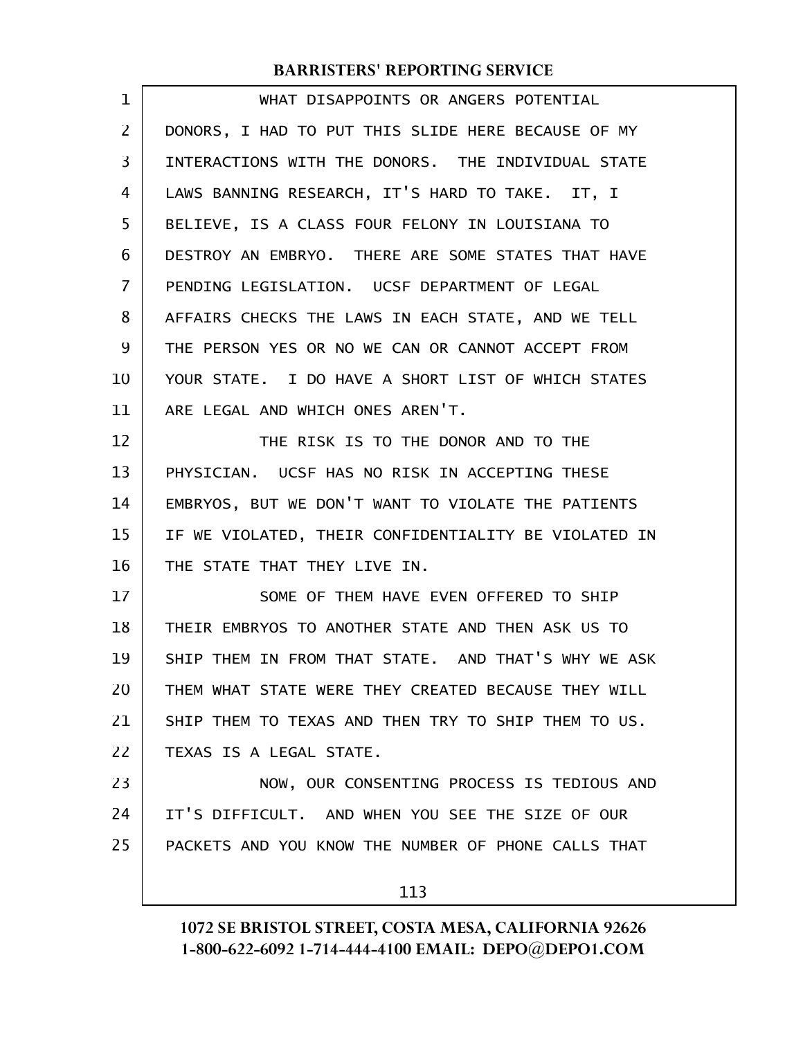| 1  | WHAT DISAPPOINTS OR ANGERS POTENTIAL                 |
|----|------------------------------------------------------|
| 2  | DONORS, I HAD TO PUT THIS SLIDE HERE BECAUSE OF MY   |
| 3  | INTERACTIONS WITH THE DONORS. THE INDIVIDUAL STATE   |
| 4  | LAWS BANNING RESEARCH, IT'S HARD TO TAKE. IT, I      |
| 5  | BELIEVE, IS A CLASS FOUR FELONY IN LOUISIANA TO      |
| 6  | DESTROY AN EMBRYO. THERE ARE SOME STATES THAT HAVE   |
| 7  | PENDING LEGISLATION. UCSF DEPARTMENT OF LEGAL        |
| 8  | AFFAIRS CHECKS THE LAWS IN EACH STATE, AND WE TELL   |
| 9  | THE PERSON YES OR NO WE CAN OR CANNOT ACCEPT FROM    |
| 10 | YOUR STATE. I DO HAVE A SHORT LIST OF WHICH STATES   |
| 11 | ARE LEGAL AND WHICH ONES AREN'T.                     |
| 12 | THE RISK IS TO THE DONOR AND TO THE                  |
| 13 | PHYSICIAN. UCSF HAS NO RISK IN ACCEPTING THESE       |
| 14 | EMBRYOS, BUT WE DON'T WANT TO VIOLATE THE PATIENTS   |
| 15 | IF WE VIOLATED, THEIR CONFIDENTIALITY BE VIOLATED IN |
| 16 | THE STATE THAT THEY LIVE IN.                         |
| 17 | SOME OF THEM HAVE EVEN OFFERED TO SHIP               |
| 18 | THEIR EMBRYOS TO ANOTHER STATE AND THEN ASK US TO    |
| 19 | SHIP THEM IN FROM THAT STATE. AND THAT'S WHY WE ASK  |
| 20 | THEM WHAT STATE WERE THEY CREATED BECAUSE THEY WILL  |
| 21 | SHIP THEM TO TEXAS AND THEN TRY TO SHIP THEM TO US.  |
| 22 | TEXAS IS A LEGAL STATE.                              |
| 23 | NOW, OUR CONSENTING PROCESS IS TEDIOUS AND           |
| 24 | IT'S DIFFICULT. AND WHEN YOU SEE THE SIZE OF OUR     |
| 25 | PACKETS AND YOU KNOW THE NUMBER OF PHONE CALLS THAT  |
|    | 113                                                  |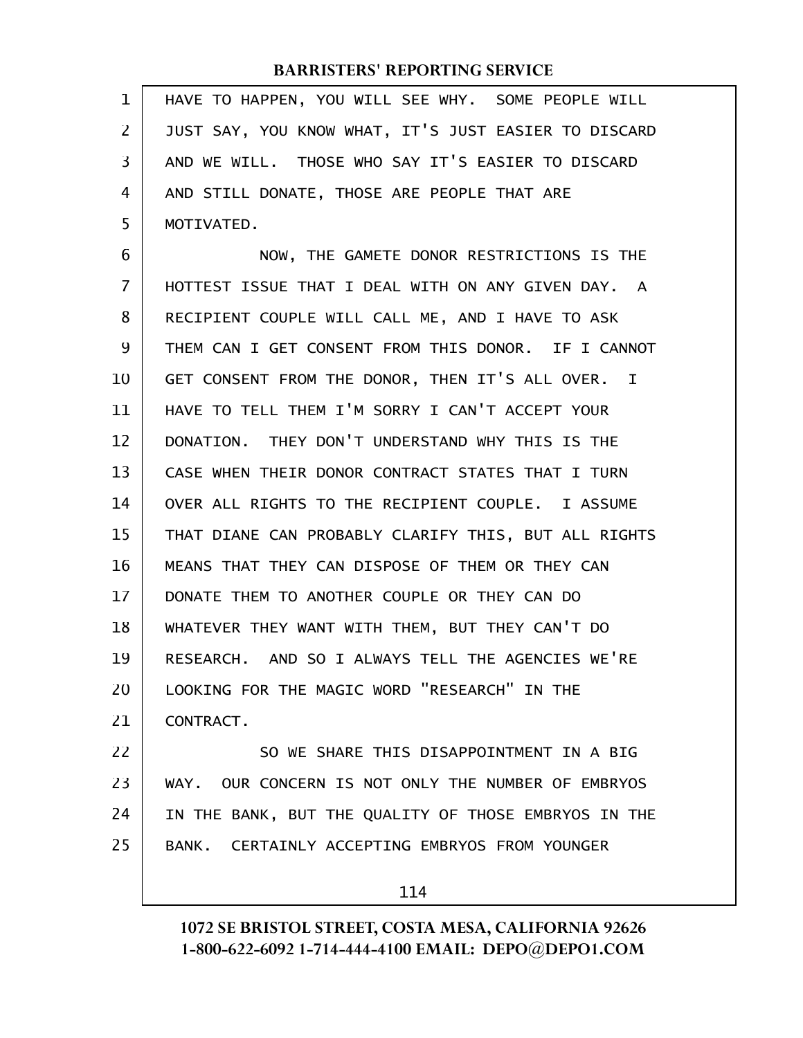| $\mathbf 1$    | HAVE TO HAPPEN, YOU WILL SEE WHY. SOME PEOPLE WILL   |
|----------------|------------------------------------------------------|
| $\overline{2}$ | JUST SAY, YOU KNOW WHAT, IT'S JUST EASIER TO DISCARD |
| 3              | AND WE WILL. THOSE WHO SAY IT'S EASIER TO DISCARD    |
| 4              | AND STILL DONATE, THOSE ARE PEOPLE THAT ARE          |
| 5              | MOTIVATED.                                           |
| 6              | NOW, THE GAMETE DONOR RESTRICTIONS IS THE            |
| $\overline{7}$ | HOTTEST ISSUE THAT I DEAL WITH ON ANY GIVEN DAY. A   |
| 8              | RECIPIENT COUPLE WILL CALL ME, AND I HAVE TO ASK     |
| 9              | THEM CAN I GET CONSENT FROM THIS DONOR. IF I CANNOT  |
| 10             | GET CONSENT FROM THE DONOR, THEN IT'S ALL OVER. I    |
| 11             | HAVE TO TELL THEM I'M SORRY I CAN'T ACCEPT YOUR      |
| 12             | DONATION. THEY DON'T UNDERSTAND WHY THIS IS THE      |
| 13             | CASE WHEN THEIR DONOR CONTRACT STATES THAT I TURN    |
| 14             | OVER ALL RIGHTS TO THE RECIPIENT COUPLE. I ASSUME    |
| 15             | THAT DIANE CAN PROBABLY CLARIFY THIS, BUT ALL RIGHTS |
| 16             | MEANS THAT THEY CAN DISPOSE OF THEM OR THEY CAN      |
| 17             | DONATE THEM TO ANOTHER COUPLE OR THEY CAN DO         |
| 18             | WHATEVER THEY WANT WITH THEM, BUT THEY CAN'T DO      |
| 19             | RESEARCH. AND SO I ALWAYS TELL THE AGENCIES WE'RE    |
| 20             | LOOKING FOR THE MAGIC WORD "RESEARCH" IN THE         |
| 21             | CONTRACT.                                            |
| 22             | SO WE SHARE THIS DISAPPOINTMENT IN A BIG             |
| 23             | WAY. OUR CONCERN IS NOT ONLY THE NUMBER OF EMBRYOS   |
| 24             | IN THE BANK, BUT THE QUALITY OF THOSE EMBRYOS IN THE |
| 25             | BANK. CERTAINLY ACCEPTING EMBRYOS FROM YOUNGER       |
|                |                                                      |

114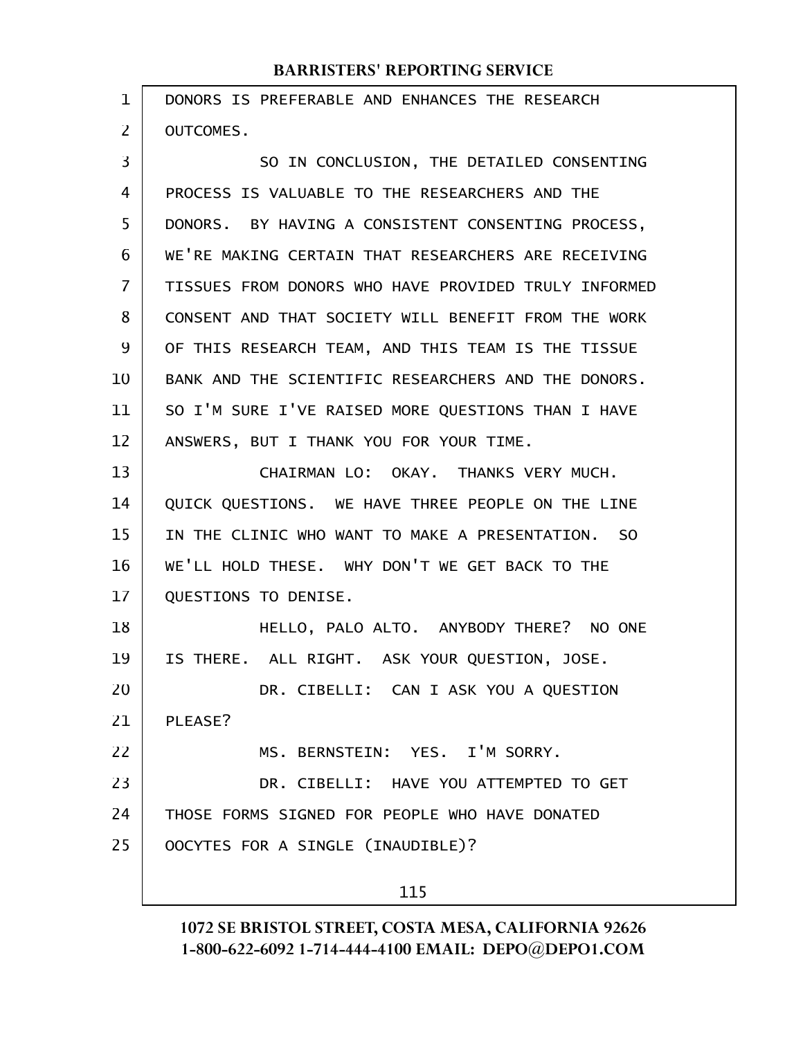| $\mathbf{1}$ | DONORS IS PREFERABLE AND ENHANCES THE RESEARCH       |
|--------------|------------------------------------------------------|
| 2            | <b>OUTCOMES.</b>                                     |
| 3            | SO IN CONCLUSION, THE DETAILED CONSENTING            |
| 4            | PROCESS IS VALUABLE TO THE RESEARCHERS AND THE       |
| 5            | DONORS. BY HAVING A CONSISTENT CONSENTING PROCESS,   |
| 6            | WE'RE MAKING CERTAIN THAT RESEARCHERS ARE RECEIVING  |
| 7            | TISSUES FROM DONORS WHO HAVE PROVIDED TRULY INFORMED |
| 8            | CONSENT AND THAT SOCIETY WILL BENEFIT FROM THE WORK  |
| 9            | OF THIS RESEARCH TEAM, AND THIS TEAM IS THE TISSUE   |
| 10           | BANK AND THE SCIENTIFIC RESEARCHERS AND THE DONORS.  |
| 11           | SO I'M SURE I'VE RAISED MORE QUESTIONS THAN I HAVE   |
| 12           | ANSWERS, BUT I THANK YOU FOR YOUR TIME.              |
| 13           | CHAIRMAN LO: OKAY. THANKS VERY MUCH.                 |
| 14           | QUICK QUESTIONS. WE HAVE THREE PEOPLE ON THE LINE    |
| 15           | IN THE CLINIC WHO WANT TO MAKE A PRESENTATION. SO    |
| 16           | WE'LL HOLD THESE. WHY DON'T WE GET BACK TO THE       |
| 17           | QUESTIONS TO DENISE.                                 |
| 18           | HELLO, PALO ALTO. ANYBODY THERE? NO ONE              |
| 19           | IS THERE. ALL RIGHT. ASK YOUR QUESTION, JOSE.        |
| 20           | DR. CIBELLI: CAN I ASK YOU A QUESTION                |
| 21           | PLEASE?                                              |
| 22           | MS. BERNSTEIN: YES. I'M SORRY.                       |
| 23           | DR. CIBELLI: HAVE YOU ATTEMPTED TO GET               |
| 24           | THOSE FORMS SIGNED FOR PEOPLE WHO HAVE DONATED       |
| 25           | OOCYTES FOR A SINGLE (INAUDIBLE)?                    |
|              | 115                                                  |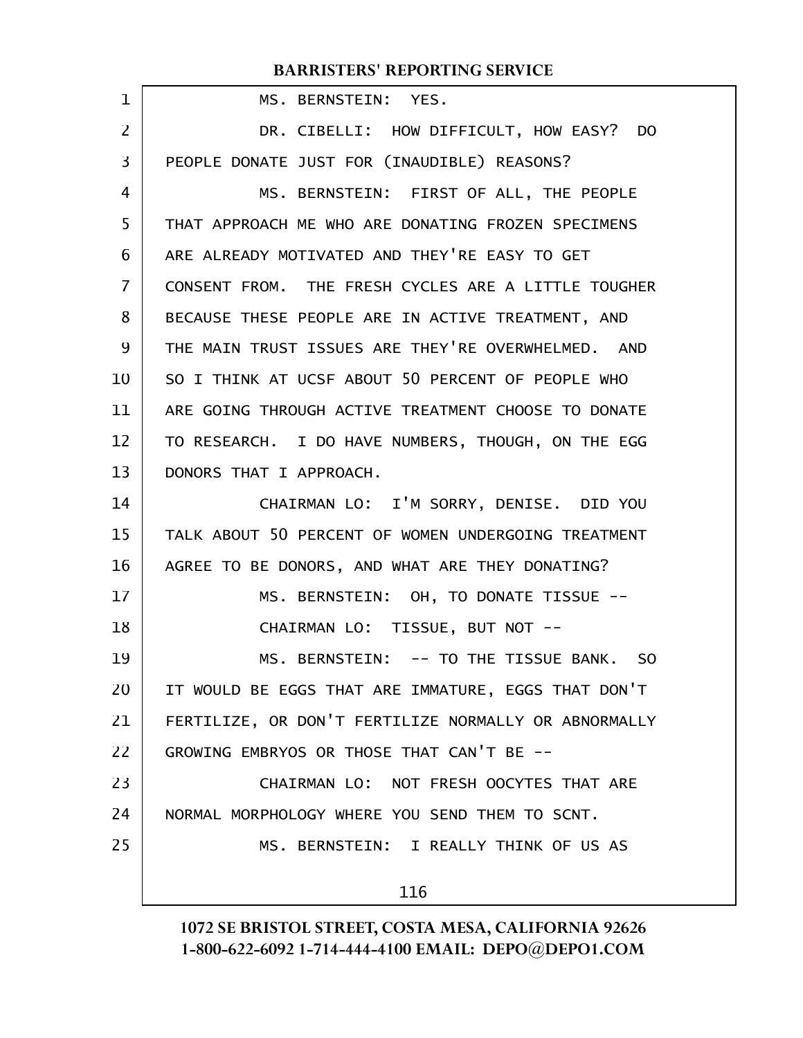| 1              | MS. BERNSTEIN: YES.                                    |
|----------------|--------------------------------------------------------|
| $\overline{2}$ | DR. CIBELLI: HOW DIFFICULT, HOW EASY? DO               |
| 3              | PEOPLE DONATE JUST FOR (INAUDIBLE) REASONS?            |
| 4              | MS. BERNSTEIN: FIRST OF ALL, THE PEOPLE                |
| 5              | THAT APPROACH ME WHO ARE DONATING FROZEN SPECIMENS     |
| 6              | ARE ALREADY MOTIVATED AND THEY'RE EASY TO GET          |
| 7              | CONSENT FROM. THE FRESH CYCLES ARE A LITTLE TOUGHER    |
| 8              | BECAUSE THESE PEOPLE ARE IN ACTIVE TREATMENT, AND      |
| 9              | THE MAIN TRUST ISSUES ARE THEY'RE OVERWHELMED. AND     |
| 10             | SO I THINK AT UCSF ABOUT 50 PERCENT OF PEOPLE WHO      |
| 11             | ARE GOING THROUGH ACTIVE TREATMENT CHOOSE TO DONATE    |
| 12             | TO RESEARCH. I DO HAVE NUMBERS, THOUGH, ON THE EGG     |
| 13             | DONORS THAT I APPROACH.                                |
| 14             | CHAIRMAN LO: I'M SORRY, DENISE. DID YOU                |
| 15             | TALK ABOUT 50 PERCENT OF WOMEN UNDERGOING TREATMENT    |
| 16             | AGREE TO BE DONORS, AND WHAT ARE THEY DONATING?        |
| 17             | MS. BERNSTEIN: OH, TO DONATE TISSUE --                 |
| 18             | CHAIRMAN LO: TISSUE, BUT NOT --                        |
| 19             | MS. BERNSTEIN: -- TO THE TISSUE BANK.<br><sub>SO</sub> |
| 20             | IT WOULD BE EGGS THAT ARE IMMATURE, EGGS THAT DON'T    |
| 21             | FERTILIZE, OR DON'T FERTILIZE NORMALLY OR ABNORMALLY   |
| 22             | GROWING EMBRYOS OR THOSE THAT CAN'T BE --              |
| 23             | CHAIRMAN LO: NOT FRESH OOCYTES THAT ARE                |
| 24             | NORMAL MORPHOLOGY WHERE YOU SEND THEM TO SCNT.         |
| 25             | MS. BERNSTEIN: I REALLY THINK OF US AS                 |
|                | 116                                                    |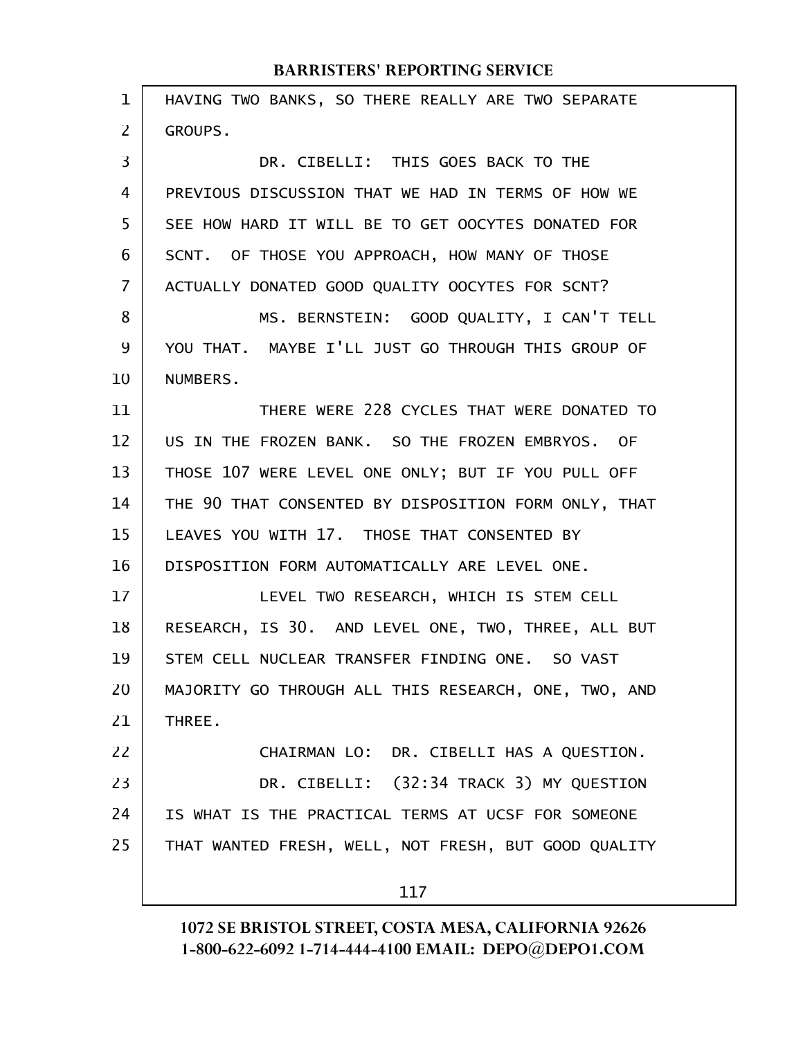| 1              | HAVING TWO BANKS, SO THERE REALLY ARE TWO SEPARATE   |
|----------------|------------------------------------------------------|
| $\overline{2}$ | GROUPS.                                              |
| 3              | DR. CIBELLI: THIS GOES BACK TO THE                   |
| 4              | PREVIOUS DISCUSSION THAT WE HAD IN TERMS OF HOW WE   |
| 5              | SEE HOW HARD IT WILL BE TO GET OOCYTES DONATED FOR   |
| 6              | SCNT. OF THOSE YOU APPROACH, HOW MANY OF THOSE       |
| 7              | ACTUALLY DONATED GOOD QUALITY OOCYTES FOR SCNT?      |
| 8              | MS. BERNSTEIN: GOOD QUALITY, I CAN'T TELL            |
| 9              | YOU THAT. MAYBE I'LL JUST GO THROUGH THIS GROUP OF   |
| 10             | NUMBERS.                                             |
| 11             | THERE WERE 228 CYCLES THAT WERE DONATED TO           |
| 12             | US IN THE FROZEN BANK. SO THE FROZEN EMBRYOS. OF     |
| 13             | THOSE 107 WERE LEVEL ONE ONLY; BUT IF YOU PULL OFF   |
| 14             | THE 90 THAT CONSENTED BY DISPOSITION FORM ONLY, THAT |
| 15             | LEAVES YOU WITH 17. THOSE THAT CONSENTED BY          |
| 16             | DISPOSITION FORM AUTOMATICALLY ARE LEVEL ONE.        |
| 17             | LEVEL TWO RESEARCH, WHICH IS STEM CELL               |
| 18             | RESEARCH, IS 30. AND LEVEL ONE, TWO, THREE, ALL BUT  |
| 19             | STEM CELL NUCLEAR TRANSFER FINDING ONE. SO VAST      |
| 20             | MAJORITY GO THROUGH ALL THIS RESEARCH, ONE, TWO, AND |
| 21             | THREE.                                               |
| 22             | CHAIRMAN LO: DR. CIBELLI HAS A QUESTION.             |
| 23             | DR. CIBELLI: (32:34 TRACK 3) MY QUESTION             |
| 24             | IS WHAT IS THE PRACTICAL TERMS AT UCSF FOR SOMEONE   |
| 25             | THAT WANTED FRESH, WELL, NOT FRESH, BUT GOOD QUALITY |
|                | 117                                                  |
|                |                                                      |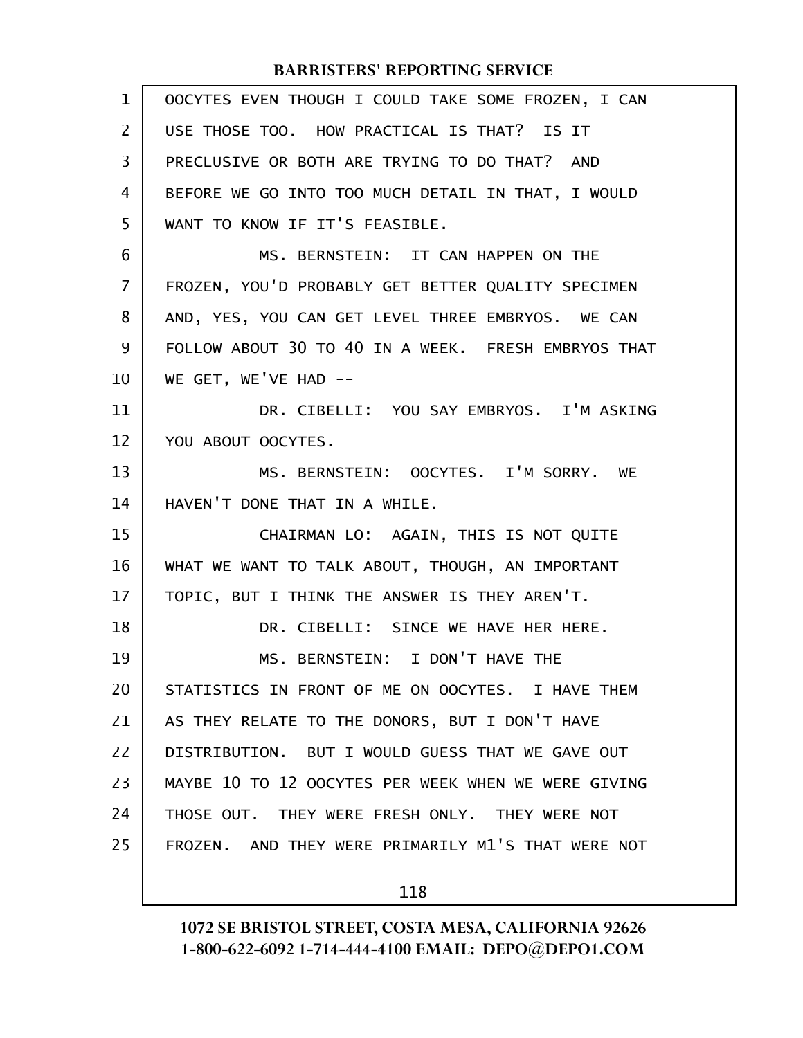| $\mathbf 1$ | OOCYTES EVEN THOUGH I COULD TAKE SOME FROZEN, I CAN |
|-------------|-----------------------------------------------------|
| 2           | USE THOSE TOO. HOW PRACTICAL IS THAT? IS IT         |
| 3           | PRECLUSIVE OR BOTH ARE TRYING TO DO THAT? AND       |
| 4           | BEFORE WE GO INTO TOO MUCH DETAIL IN THAT, I WOULD  |
| 5           | WANT TO KNOW IF IT'S FEASIBLE.                      |
| 6           | MS. BERNSTEIN: IT CAN HAPPEN ON THE                 |
| 7           | FROZEN, YOU'D PROBABLY GET BETTER QUALITY SPECIMEN  |
| 8           | AND, YES, YOU CAN GET LEVEL THREE EMBRYOS. WE CAN   |
| 9           | FOLLOW ABOUT 30 TO 40 IN A WEEK. FRESH EMBRYOS THAT |
| 10          | WE GET, WE'VE HAD --                                |
| 11          | DR. CIBELLI: YOU SAY EMBRYOS. I'M ASKING            |
| 12          | YOU ABOUT OOCYTES.                                  |
| 13          | MS. BERNSTEIN: OOCYTES. I'M SORRY. WE               |
| 14          | HAVEN'T DONE THAT IN A WHILE.                       |
| 15          | CHAIRMAN LO: AGAIN, THIS IS NOT QUITE               |
| 16          | WHAT WE WANT TO TALK ABOUT, THOUGH, AN IMPORTANT    |
| 17          | TOPIC, BUT I THINK THE ANSWER IS THEY AREN'T.       |
| 18          | DR. CIBELLI: SINCE WE HAVE HER HERE.                |
| 19          | MS. BERNSTEIN: I DON'T HAVE THE                     |
| 20          | STATISTICS IN FRONT OF ME ON OOCYTES. I HAVE THEM   |
| 21          | AS THEY RELATE TO THE DONORS, BUT I DON'T HAVE      |
| 22          | DISTRIBUTION. BUT I WOULD GUESS THAT WE GAVE OUT    |
| 23          | MAYBE 10 TO 12 OOCYTES PER WEEK WHEN WE WERE GIVING |
| 24          | THOSE OUT. THEY WERE FRESH ONLY. THEY WERE NOT      |
| 25          | FROZEN. AND THEY WERE PRIMARILY M1'S THAT WERE NOT  |
|             |                                                     |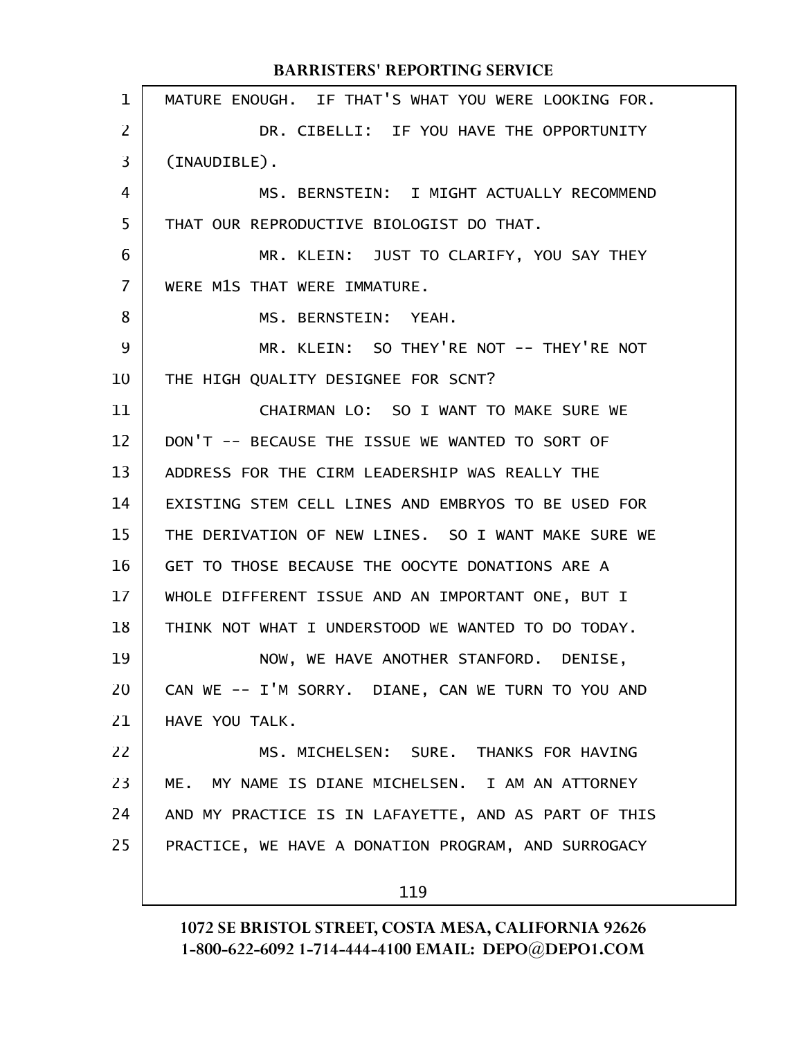| 1              | MATURE ENOUGH. IF THAT'S WHAT YOU WERE LOOKING FOR.  |
|----------------|------------------------------------------------------|
| $\overline{2}$ | DR. CIBELLI: IF YOU HAVE THE OPPORTUNITY             |
| 3              | (INAUDIBLE).                                         |
| 4              | MS. BERNSTEIN: I MIGHT ACTUALLY RECOMMEND            |
| 5              | THAT OUR REPRODUCTIVE BIOLOGIST DO THAT.             |
| 6              | MR. KLEIN: JUST TO CLARIFY, YOU SAY THEY             |
| 7              | WERE M1S THAT WERE IMMATURE.                         |
| 8              | MS. BERNSTEIN: YEAH.                                 |
| 9              | MR. KLEIN: SO THEY'RE NOT -- THEY'RE NOT             |
| 10             | THE HIGH QUALITY DESIGNEE FOR SCNT?                  |
| 11             | CHAIRMAN LO: SO I WANT TO MAKE SURE WE               |
| 12             | DON'T -- BECAUSE THE ISSUE WE WANTED TO SORT OF      |
| 13             | ADDRESS FOR THE CIRM LEADERSHIP WAS REALLY THE       |
| 14             | EXISTING STEM CELL LINES AND EMBRYOS TO BE USED FOR  |
| 15             | THE DERIVATION OF NEW LINES. SO I WANT MAKE SURE WE  |
| 16             | GET TO THOSE BECAUSE THE OOCYTE DONATIONS ARE A      |
| 17             | WHOLE DIFFERENT ISSUE AND AN IMPORTANT ONE, BUT I    |
| 18             | THINK NOT WHAT I UNDERSTOOD WE WANTED TO DO TODAY.   |
| 19             | NOW, WE HAVE ANOTHER STANFORD. DENISE,               |
| 20             | CAN WE -- I'M SORRY. DIANE, CAN WE TURN TO YOU AND   |
| 21             | HAVE YOU TALK.                                       |
| 22             | MS. MICHELSEN: SURE. THANKS FOR HAVING               |
| 23             | ME. MY NAME IS DIANE MICHELSEN. I AM AN ATTORNEY     |
| 24             | AND MY PRACTICE IS IN LAFAYETTE, AND AS PART OF THIS |
| 25             | PRACTICE, WE HAVE A DONATION PROGRAM, AND SURROGACY  |
|                | 119                                                  |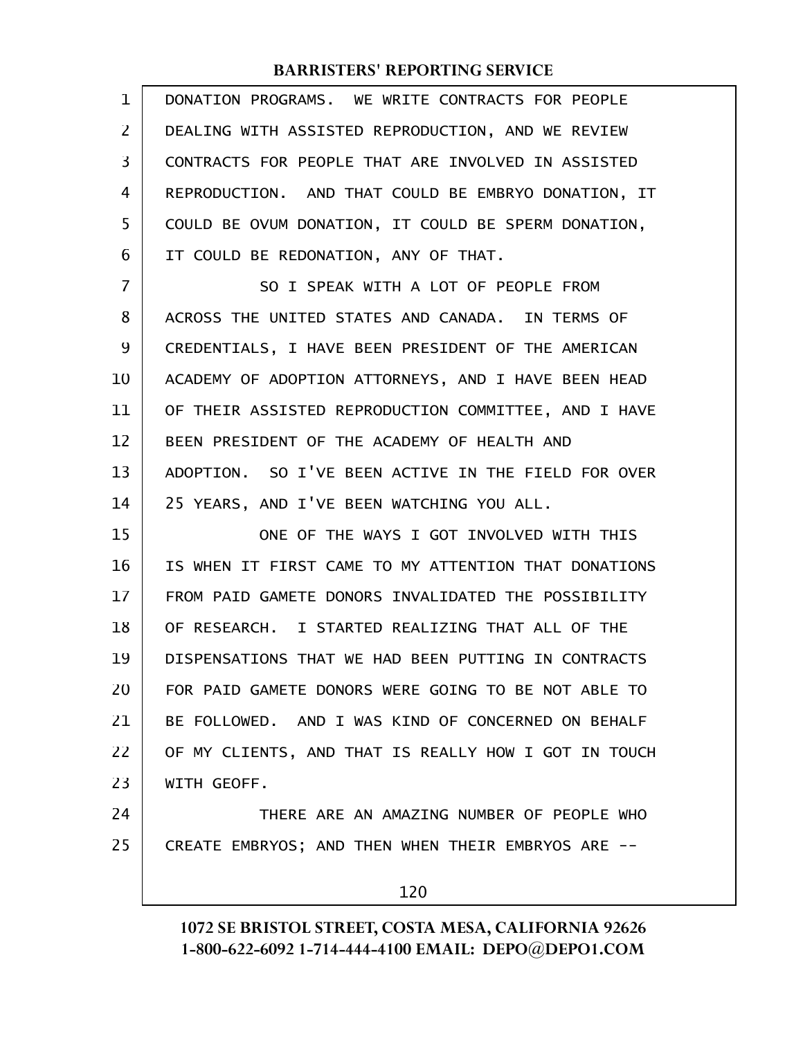| $\mathbf 1$ | DONATION PROGRAMS. WE WRITE CONTRACTS FOR PEOPLE     |
|-------------|------------------------------------------------------|
| 2           | DEALING WITH ASSISTED REPRODUCTION, AND WE REVIEW    |
| 3           | CONTRACTS FOR PEOPLE THAT ARE INVOLVED IN ASSISTED   |
| 4           | REPRODUCTION. AND THAT COULD BE EMBRYO DONATION, IT  |
| 5           | COULD BE OVUM DONATION, IT COULD BE SPERM DONATION,  |
| 6           | IT COULD BE REDONATION, ANY OF THAT.                 |
| 7           | SO I SPEAK WITH A LOT OF PEOPLE FROM                 |
| 8           | ACROSS THE UNITED STATES AND CANADA. IN TERMS OF     |
| 9           | CREDENTIALS, I HAVE BEEN PRESIDENT OF THE AMERICAN   |
| 10          | ACADEMY OF ADOPTION ATTORNEYS, AND I HAVE BEEN HEAD  |
| 11          | OF THEIR ASSISTED REPRODUCTION COMMITTEE, AND I HAVE |
| 12          | BEEN PRESIDENT OF THE ACADEMY OF HEALTH AND          |
| 13          | ADOPTION. SO I'VE BEEN ACTIVE IN THE FIELD FOR OVER  |
| 14          | 25 YEARS, AND I'VE BEEN WATCHING YOU ALL.            |
| 15          | ONE OF THE WAYS I GOT INVOLVED WITH THIS             |
| 16          | IS WHEN IT FIRST CAME TO MY ATTENTION THAT DONATIONS |
| 17          | FROM PAID GAMETE DONORS INVALIDATED THE POSSIBILITY  |
| 18          | OF RESEARCH. I STARTED REALIZING THAT ALL OF THE     |
| 19          | DISPENSATIONS THAT WE HAD BEEN PUTTING IN CONTRACTS  |
| 20          | FOR PAID GAMETE DONORS WERE GOING TO BE NOT ABLE TO  |
| 21          | BE FOLLOWED. AND I WAS KIND OF CONCERNED ON BEHALF   |
| 22          | OF MY CLIENTS, AND THAT IS REALLY HOW I GOT IN TOUCH |
| 23          | WITH GEOFF.                                          |
| 24          | THERE ARE AN AMAZING NUMBER OF PEOPLE WHO            |
| 25          | CREATE EMBRYOS; AND THEN WHEN THEIR EMBRYOS ARE --   |
|             | 120                                                  |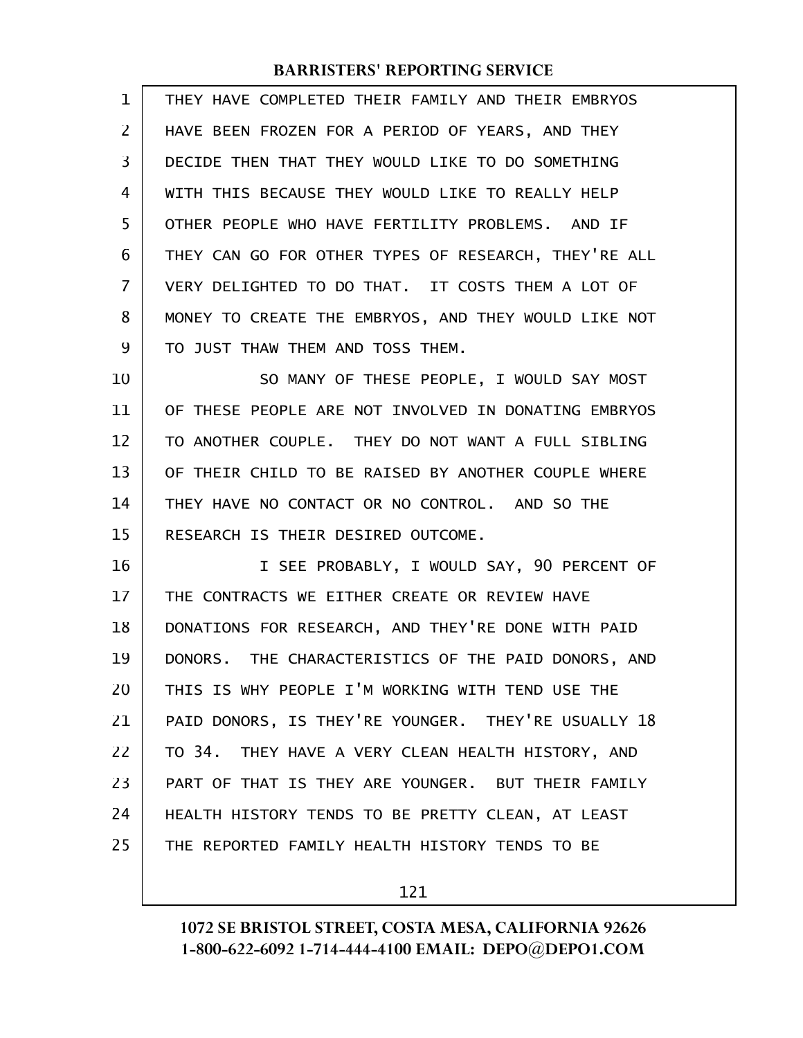| 1  | THEY HAVE COMPLETED THEIR FAMILY AND THEIR EMBRYOS   |
|----|------------------------------------------------------|
| 2  | HAVE BEEN FROZEN FOR A PERIOD OF YEARS, AND THEY     |
| 3  | DECIDE THEN THAT THEY WOULD LIKE TO DO SOMETHING     |
| 4  | WITH THIS BECAUSE THEY WOULD LIKE TO REALLY HELP     |
| 5  | OTHER PEOPLE WHO HAVE FERTILITY PROBLEMS. AND IF     |
| 6  | THEY CAN GO FOR OTHER TYPES OF RESEARCH, THEY'RE ALL |
| 7  | VERY DELIGHTED TO DO THAT. IT COSTS THEM A LOT OF    |
| 8  | MONEY TO CREATE THE EMBRYOS, AND THEY WOULD LIKE NOT |
| 9  | TO JUST THAW THEM AND TOSS THEM.                     |
| 10 | SO MANY OF THESE PEOPLE, I WOULD SAY MOST            |
| 11 | OF THESE PEOPLE ARE NOT INVOLVED IN DONATING EMBRYOS |
| 12 | TO ANOTHER COUPLE. THEY DO NOT WANT A FULL SIBLING   |
| 13 | OF THEIR CHILD TO BE RAISED BY ANOTHER COUPLE WHERE  |
| 14 | THEY HAVE NO CONTACT OR NO CONTROL. AND SO THE       |
| 15 | RESEARCH IS THEIR DESIRED OUTCOME.                   |
| 16 | I SEE PROBABLY, I WOULD SAY, 90 PERCENT OF           |
| 17 | THE CONTRACTS WE EITHER CREATE OR REVIEW HAVE        |
| 18 | DONATIONS FOR RESEARCH, AND THEY'RE DONE WITH PAID   |
| 19 | DONORS. THE CHARACTERISTICS OF THE PAID DONORS, AND  |
| 20 | THIS IS WHY PEOPLE I'M WORKING WITH TEND USE THE     |
| 21 | PAID DONORS, IS THEY'RE YOUNGER. THEY'RE USUALLY 18  |
| 22 | TO 34. THEY HAVE A VERY CLEAN HEALTH HISTORY, AND    |
| 23 | PART OF THAT IS THEY ARE YOUNGER. BUT THEIR FAMILY   |
| 24 | HEALTH HISTORY TENDS TO BE PRETTY CLEAN, AT LEAST    |
| 25 | THE REPORTED FAMILY HEALTH HISTORY TENDS TO BE       |

121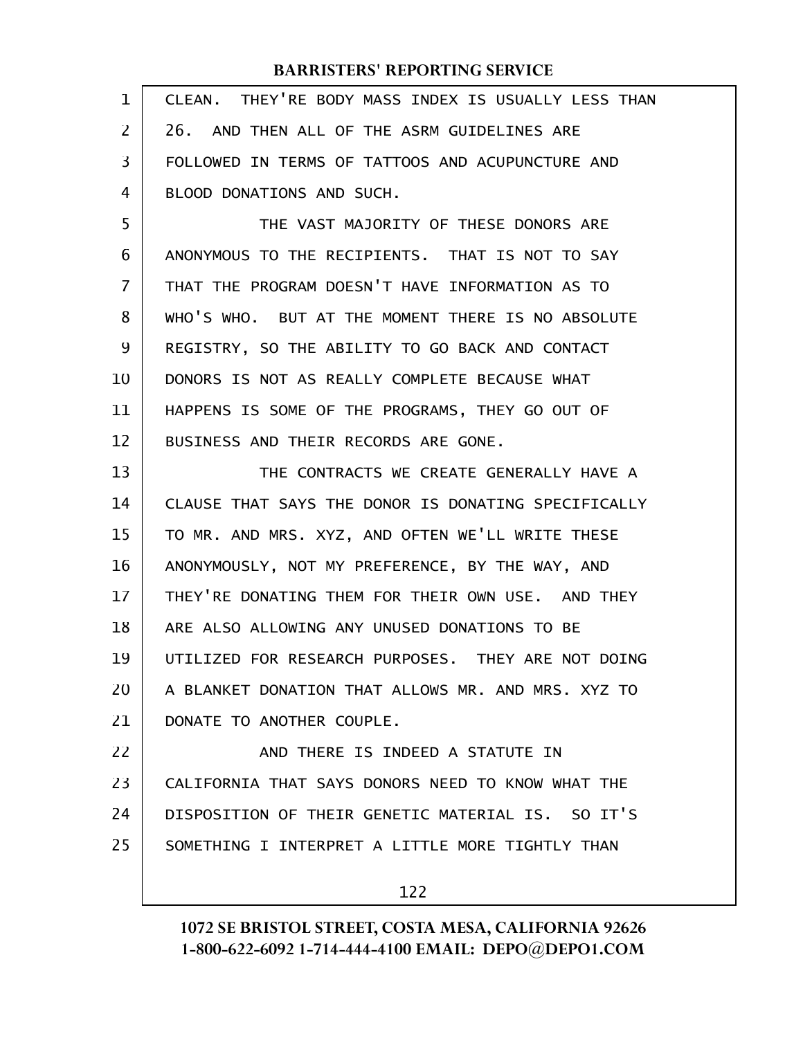| $\mathbf{1}$   | CLEAN. THEY'RE BODY MASS INDEX IS USUALLY LESS THAN |
|----------------|-----------------------------------------------------|
| $\overline{2}$ | 26. AND THEN ALL OF THE ASRM GUIDELINES ARE         |
| 3              | FOLLOWED IN TERMS OF TATTOOS AND ACUPUNCTURE AND    |
| 4              | BLOOD DONATIONS AND SUCH.                           |
| 5              | THE VAST MAJORITY OF THESE DONORS ARE               |
| 6              | ANONYMOUS TO THE RECIPIENTS. THAT IS NOT TO SAY     |
| 7              | THAT THE PROGRAM DOESN'T HAVE INFORMATION AS TO     |
| 8              | WHO'S WHO. BUT AT THE MOMENT THERE IS NO ABSOLUTE   |
| 9              | REGISTRY, SO THE ABILITY TO GO BACK AND CONTACT     |
| 10             | DONORS IS NOT AS REALLY COMPLETE BECAUSE WHAT       |
| 11             | HAPPENS IS SOME OF THE PROGRAMS, THEY GO OUT OF     |
| 12             | BUSINESS AND THEIR RECORDS ARE GONE.                |
| 13             | THE CONTRACTS WE CREATE GENERALLY HAVE A            |
| 14             | CLAUSE THAT SAYS THE DONOR IS DONATING SPECIFICALLY |
| 15             | TO MR. AND MRS. XYZ, AND OFTEN WE'LL WRITE THESE    |
| 16             | ANONYMOUSLY, NOT MY PREFERENCE, BY THE WAY, AND     |
| 17             | THEY'RE DONATING THEM FOR THEIR OWN USE. AND THEY   |
| 18             | ARE ALSO ALLOWING ANY UNUSED DONATIONS TO BE        |
| 19             | UTILIZED FOR RESEARCH PURPOSES. THEY ARE NOT DOING  |
| 20             | A BLANKET DONATION THAT ALLOWS MR. AND MRS. XYZ TO  |
| 21             | DONATE TO ANOTHER COUPLE.                           |
| 22             | AND THERE IS INDEED A STATUTE IN                    |
| 23             | CALIFORNIA THAT SAYS DONORS NEED TO KNOW WHAT THE   |
| 24             | DISPOSITION OF THEIR GENETIC MATERIAL IS. SO IT'S   |
| 25             | SOMETHING I INTERPRET A LITTLE MORE TIGHTLY THAN    |
|                | 122                                                 |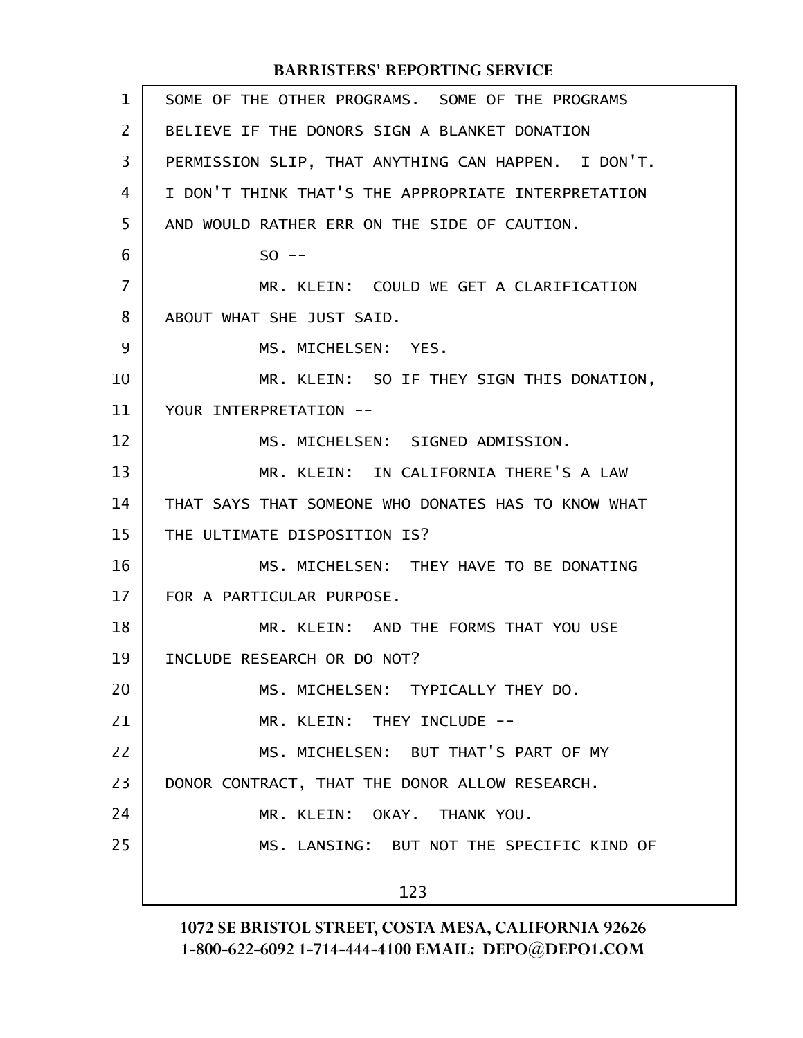| 1              | SOME OF THE OTHER PROGRAMS. SOME OF THE PROGRAMS    |
|----------------|-----------------------------------------------------|
| $\overline{2}$ | BELIEVE IF THE DONORS SIGN A BLANKET DONATION       |
| 3              | PERMISSION SLIP, THAT ANYTHING CAN HAPPEN. I DON'T. |
| 4              | I DON'T THINK THAT'S THE APPROPRIATE INTERPRETATION |
| 5              | AND WOULD RATHER ERR ON THE SIDE OF CAUTION.        |
| 6              | $SO$ --                                             |
| $\overline{7}$ | MR. KLEIN: COULD WE GET A CLARIFICATION             |
| 8              | ABOUT WHAT SHE JUST SAID.                           |
| 9              | MS. MICHELSEN: YES.                                 |
| 10             | MR. KLEIN: SO IF THEY SIGN THIS DONATION,           |
| 11             | YOUR INTERPRETATION --                              |
| 12             | MS. MICHELSEN: SIGNED ADMISSION.                    |
| 13             | MR. KLEIN: IN CALIFORNIA THERE'S A LAW              |
| 14             | THAT SAYS THAT SOMEONE WHO DONATES HAS TO KNOW WHAT |
| 15             | THE ULTIMATE DISPOSITION IS?                        |
| 16             | MS. MICHELSEN: THEY HAVE TO BE DONATING             |
| 17             | FOR A PARTICULAR PURPOSE.                           |
| 18             | MR. KLEIN: AND THE FORMS THAT YOU USE               |
| 19             | INCLUDE RESEARCH OR DO NOT?                         |
| 20             | MS. MICHELSEN: TYPICALLY THEY DO.                   |
| 21             | MR. KLEIN: THEY INCLUDE --                          |
| 22             | MS. MICHELSEN: BUT THAT'S PART OF MY                |
| 23             | DONOR CONTRACT, THAT THE DONOR ALLOW RESEARCH.      |
| 24             | MR. KLEIN: OKAY. THANK YOU.                         |
| 25             | MS. LANSING: BUT NOT THE SPECIFIC KIND OF           |
|                | 123                                                 |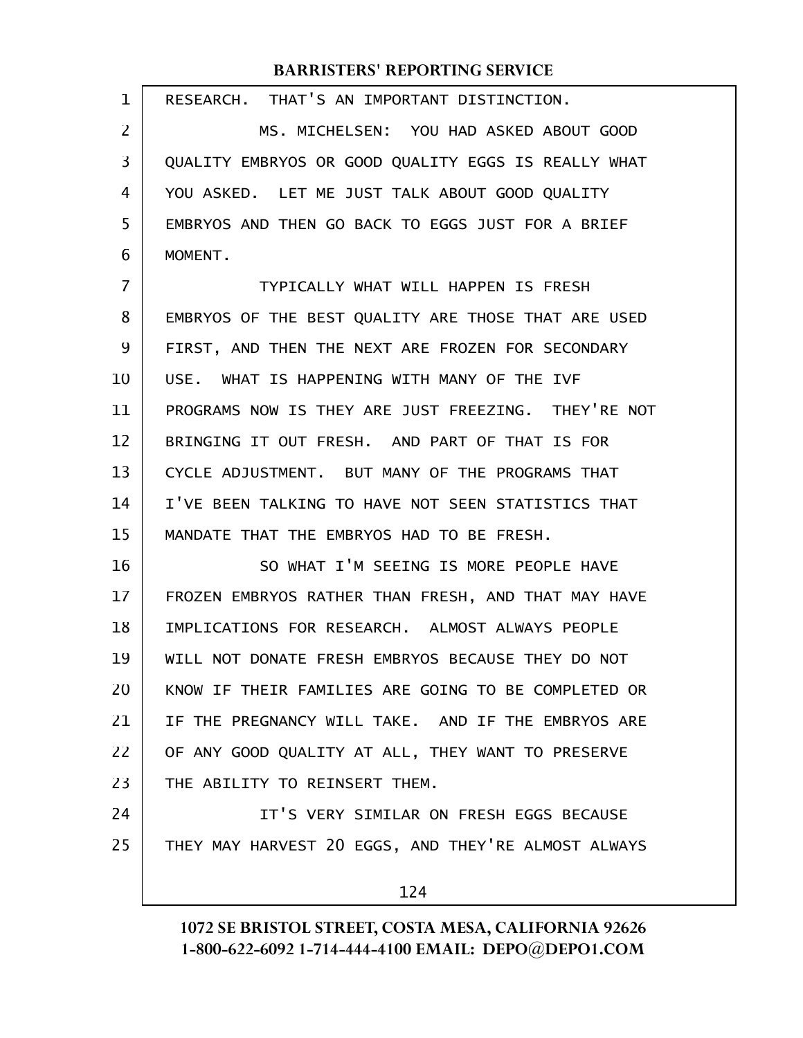| 1              | RESEARCH. THAT'S AN IMPORTANT DISTINCTION.          |
|----------------|-----------------------------------------------------|
| $\overline{2}$ | MS. MICHELSEN: YOU HAD ASKED ABOUT GOOD             |
| 3              | QUALITY EMBRYOS OR GOOD QUALITY EGGS IS REALLY WHAT |
| 4              | YOU ASKED. LET ME JUST TALK ABOUT GOOD QUALITY      |
| 5              | EMBRYOS AND THEN GO BACK TO EGGS JUST FOR A BRIEF   |
| 6              | MOMENT.                                             |
| 7              | TYPICALLY WHAT WILL HAPPEN IS FRESH                 |
| 8              | EMBRYOS OF THE BEST QUALITY ARE THOSE THAT ARE USED |
| 9              | FIRST, AND THEN THE NEXT ARE FROZEN FOR SECONDARY   |
| 10             | USE. WHAT IS HAPPENING WITH MANY OF THE IVF         |
| 11             | PROGRAMS NOW IS THEY ARE JUST FREEZING. THEY'RE NOT |
| 12             | BRINGING IT OUT FRESH. AND PART OF THAT IS FOR      |
| 13             | CYCLE ADJUSTMENT. BUT MANY OF THE PROGRAMS THAT     |
| 14             | I'VE BEEN TALKING TO HAVE NOT SEEN STATISTICS THAT  |
| 15             | MANDATE THAT THE EMBRYOS HAD TO BE FRESH.           |
| 16             | SO WHAT I'M SEEING IS MORE PEOPLE HAVE              |
| 17             | FROZEN EMBRYOS RATHER THAN FRESH, AND THAT MAY HAVE |
| 18             | IMPLICATIONS FOR RESEARCH. ALMOST ALWAYS PEOPLE     |
| 19             | WILL NOT DONATE FRESH EMBRYOS BECAUSE THEY DO NOT   |
| 20             | KNOW IF THEIR FAMILIES ARE GOING TO BE COMPLETED OR |
| 21             | IF THE PREGNANCY WILL TAKE. AND IF THE EMBRYOS ARE  |
| 22             | OF ANY GOOD QUALITY AT ALL, THEY WANT TO PRESERVE   |
| 23             | THE ABILITY TO REINSERT THEM.                       |
| 24             | IT'S VERY SIMILAR ON FRESH EGGS BECAUSE             |
| 25             | THEY MAY HARVEST 20 EGGS, AND THEY'RE ALMOST ALWAYS |
|                | 124                                                 |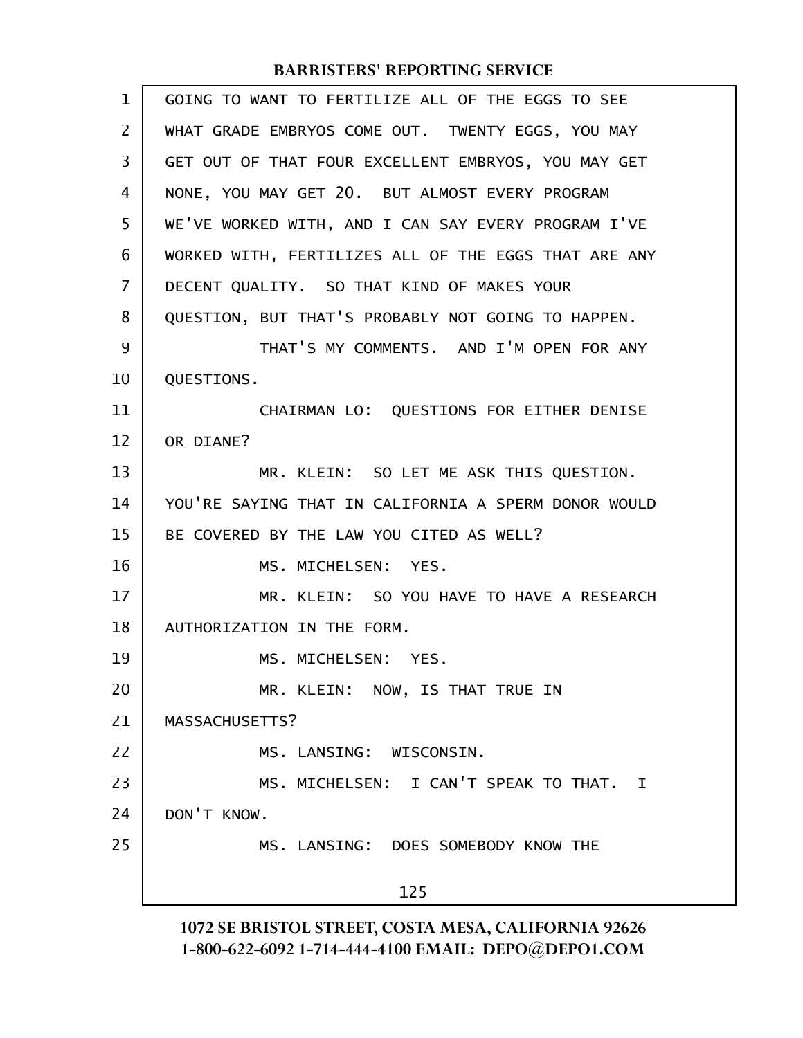| $\mathbf{1}$   | GOING TO WANT TO FERTILIZE ALL OF THE EGGS TO SEE    |
|----------------|------------------------------------------------------|
| $\overline{2}$ | WHAT GRADE EMBRYOS COME OUT. TWENTY EGGS, YOU MAY    |
| 3              | GET OUT OF THAT FOUR EXCELLENT EMBRYOS, YOU MAY GET  |
| 4              | NONE, YOU MAY GET 20. BUT ALMOST EVERY PROGRAM       |
| 5              | WE'VE WORKED WITH, AND I CAN SAY EVERY PROGRAM I'VE  |
| 6              | WORKED WITH, FERTILIZES ALL OF THE EGGS THAT ARE ANY |
| $\overline{7}$ | DECENT QUALITY. SO THAT KIND OF MAKES YOUR           |
| 8              | QUESTION, BUT THAT'S PROBABLY NOT GOING TO HAPPEN.   |
| 9              | THAT'S MY COMMENTS. AND I'M OPEN FOR ANY             |
| 10             | QUESTIONS.                                           |
| 11             | CHAIRMAN LO: QUESTIONS FOR EITHER DENISE             |
| 12             | OR DIANE?                                            |
| 13             | MR. KLEIN: SO LET ME ASK THIS QUESTION.              |
| 14             | YOU'RE SAYING THAT IN CALIFORNIA A SPERM DONOR WOULD |
| 15             | BE COVERED BY THE LAW YOU CITED AS WELL?             |
| 16             | MS. MICHELSEN: YES.                                  |
| 17             | MR. KLEIN: SO YOU HAVE TO HAVE A RESEARCH            |
| 18             | AUTHORIZATION IN THE FORM.                           |
| 19             | MS. MICHELSEN: YES.                                  |
| 20             | MR. KLEIN: NOW, IS THAT TRUE IN                      |
| 21             | MASSACHUSETTS?                                       |
| 22             | MS. LANSING: WISCONSIN.                              |
| 23             | MS. MICHELSEN: I CAN'T SPEAK TO THAT. I              |
| 24             | DON'T KNOW.                                          |
| 25             | MS. LANSING: DOES SOMEBODY KNOW THE                  |
|                | 125                                                  |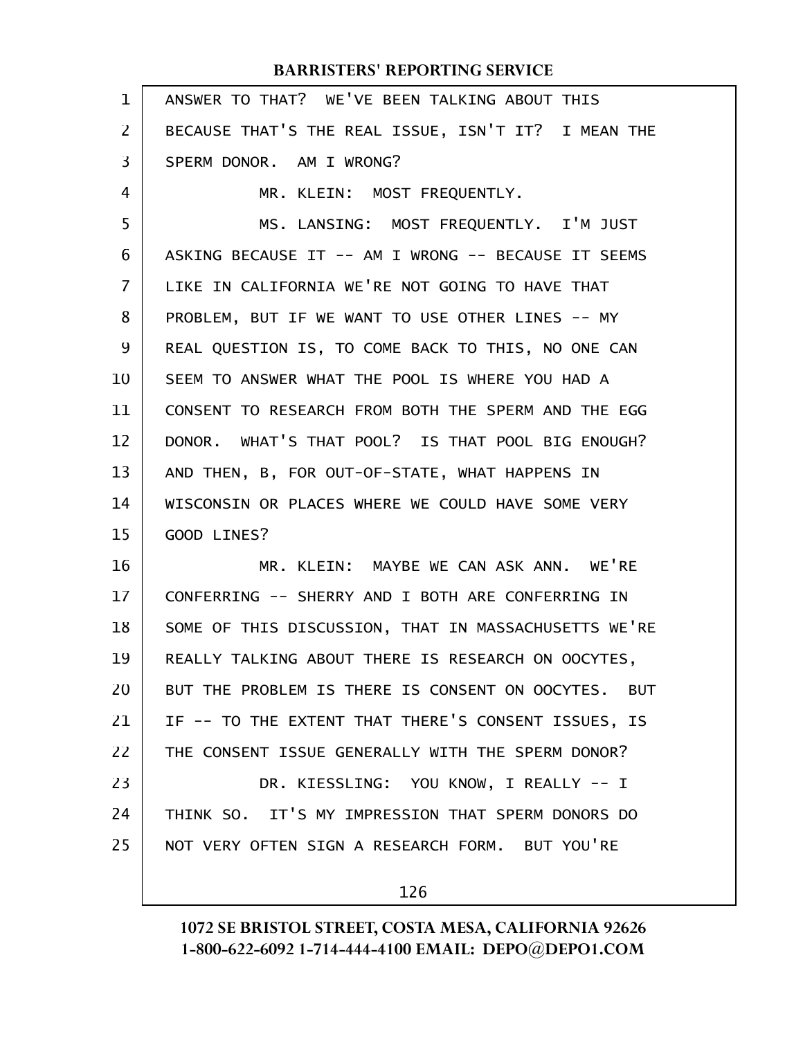| $\mathbf{1}$   | ANSWER TO THAT? WE'VE BEEN TALKING ABOUT THIS        |
|----------------|------------------------------------------------------|
| $\overline{2}$ | BECAUSE THAT'S THE REAL ISSUE, ISN'T IT? I MEAN THE  |
| 3              | SPERM DONOR. AM I WRONG?                             |
| 4              | MR. KLEIN: MOST FREQUENTLY.                          |
| 5              | MS. LANSING: MOST FREQUENTLY. I'M JUST               |
| 6              | ASKING BECAUSE IT -- AM I WRONG -- BECAUSE IT SEEMS  |
| $\overline{7}$ | LIKE IN CALIFORNIA WE'RE NOT GOING TO HAVE THAT      |
| 8              | PROBLEM, BUT IF WE WANT TO USE OTHER LINES -- MY     |
| 9              | REAL QUESTION IS, TO COME BACK TO THIS, NO ONE CAN   |
| 10             | SEEM TO ANSWER WHAT THE POOL IS WHERE YOU HAD A      |
| 11             | CONSENT TO RESEARCH FROM BOTH THE SPERM AND THE EGG  |
| 12             | DONOR. WHAT'S THAT POOL? IS THAT POOL BIG ENOUGH?    |
| 13             | AND THEN, B, FOR OUT-OF-STATE, WHAT HAPPENS IN       |
| 14             | WISCONSIN OR PLACES WHERE WE COULD HAVE SOME VERY    |
| 15             | GOOD LINES?                                          |
| 16             | MR. KLEIN: MAYBE WE CAN ASK ANN. WE'RE               |
| 17             | CONFERRING -- SHERRY AND I BOTH ARE CONFERRING IN    |
| 18             | SOME OF THIS DISCUSSION, THAT IN MASSACHUSETTS WE'RE |
| 19             | REALLY TALKING ABOUT THERE IS RESEARCH ON OOCYTES,   |
| 20             | BUT THE PROBLEM IS THERE IS CONSENT ON OOCYTES. BUT  |
| 21             | IF -- TO THE EXTENT THAT THERE'S CONSENT ISSUES, IS  |
| 22             | THE CONSENT ISSUE GENERALLY WITH THE SPERM DONOR?    |
| 23             | DR. KIESSLING: YOU KNOW, I REALLY -- I               |
| 24             | THINK SO. IT'S MY IMPRESSION THAT SPERM DONORS DO    |
| 25             | NOT VERY OFTEN SIGN A RESEARCH FORM. BUT YOU'RE      |
|                |                                                      |

126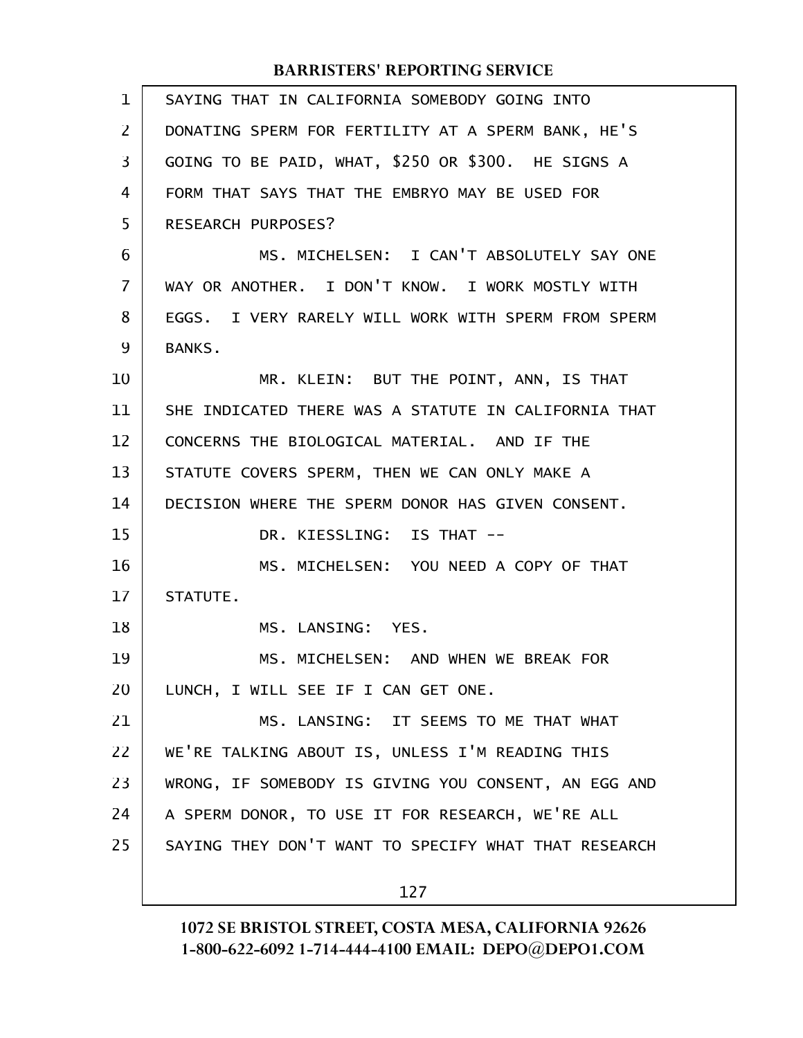| $\mathbf 1$    | SAYING THAT IN CALIFORNIA SOMEBODY GOING INTO        |
|----------------|------------------------------------------------------|
| $\overline{2}$ | DONATING SPERM FOR FERTILITY AT A SPERM BANK, HE'S   |
| 3              | GOING TO BE PAID, WHAT, \$250 OR \$300. HE SIGNS A   |
| 4              | FORM THAT SAYS THAT THE EMBRYO MAY BE USED FOR       |
| 5              | <b>RESEARCH PURPOSES?</b>                            |
| 6              | MS. MICHELSEN: I CAN'T ABSOLUTELY SAY ONE            |
| $\overline{7}$ | WAY OR ANOTHER. I DON'T KNOW. I WORK MOSTLY WITH     |
| 8              | EGGS. I VERY RARELY WILL WORK WITH SPERM FROM SPERM  |
| 9              | <b>BANKS.</b>                                        |
| 10             | MR. KLEIN: BUT THE POINT, ANN, IS THAT               |
| 11             | SHE INDICATED THERE WAS A STATUTE IN CALIFORNIA THAT |
| 12             | CONCERNS THE BIOLOGICAL MATERIAL. AND IF THE         |
| 13             | STATUTE COVERS SPERM, THEN WE CAN ONLY MAKE A        |
| 14             | DECISION WHERE THE SPERM DONOR HAS GIVEN CONSENT.    |
| 15             | DR. KIESSLING: IS THAT --                            |
| 16             | MS. MICHELSEN: YOU NEED A COPY OF THAT               |
| 17             | STATUTE.                                             |
| 18             | MS. LANSING: YES.                                    |
| 19             | MS. MICHELSEN: AND WHEN WE BREAK FOR                 |
| 20             | LUNCH, I WILL SEE IF I CAN GET ONE.                  |
| 21             | MS. LANSING: IT SEEMS TO ME THAT WHAT                |
| 22             | WE'RE TALKING ABOUT IS, UNLESS I'M READING THIS      |
| 23             | WRONG, IF SOMEBODY IS GIVING YOU CONSENT, AN EGG AND |
| 24             | A SPERM DONOR, TO USE IT FOR RESEARCH, WE'RE ALL     |
| 25             | SAYING THEY DON'T WANT TO SPECIFY WHAT THAT RESEARCH |
|                | 127                                                  |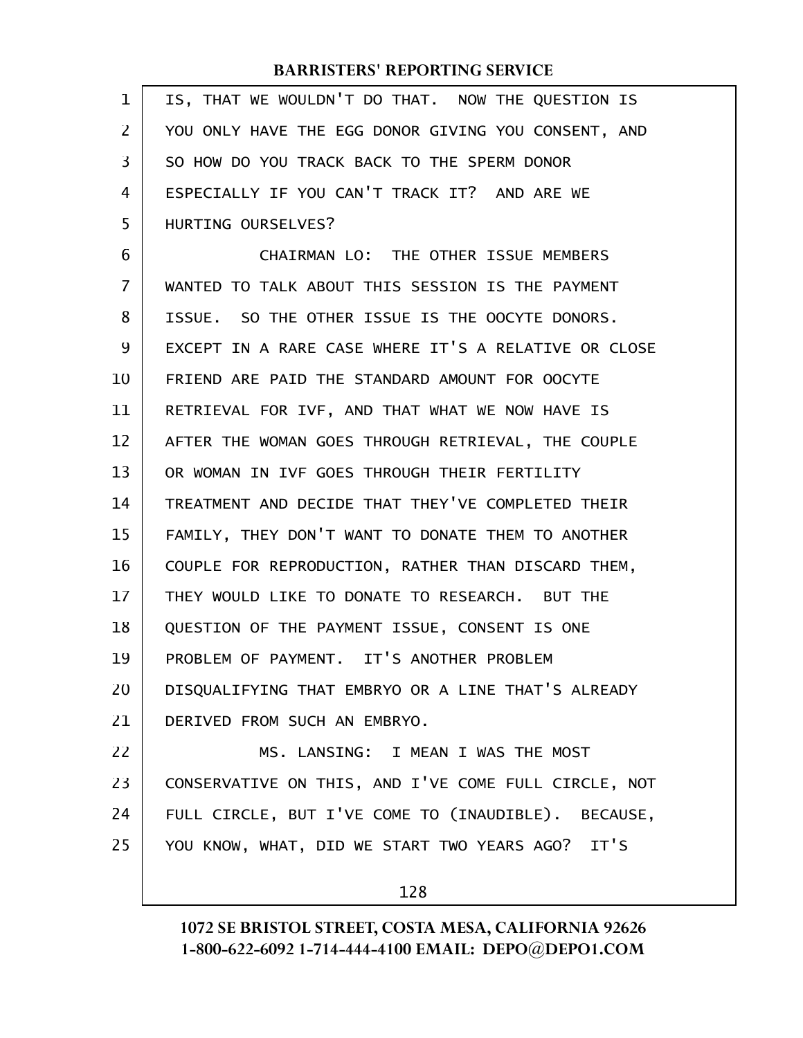| $\mathbf 1$ | IS, THAT WE WOULDN'T DO THAT. NOW THE QUESTION IS    |
|-------------|------------------------------------------------------|
| 2           | YOU ONLY HAVE THE EGG DONOR GIVING YOU CONSENT, AND  |
| 3           | SO HOW DO YOU TRACK BACK TO THE SPERM DONOR          |
| 4           | ESPECIALLY IF YOU CAN'T TRACK IT? AND ARE WE         |
| 5           | HURTING OURSELVES?                                   |
| 6           | CHAIRMAN LO: THE OTHER ISSUE MEMBERS                 |
| 7           | WANTED TO TALK ABOUT THIS SESSION IS THE PAYMENT     |
| 8           | SO THE OTHER ISSUE IS THE OOCYTE DONORS.<br>ISSUE.   |
| 9           | EXCEPT IN A RARE CASE WHERE IT'S A RELATIVE OR CLOSE |
| 10          | FRIEND ARE PAID THE STANDARD AMOUNT FOR OOCYTE       |
| 11          | RETRIEVAL FOR IVF, AND THAT WHAT WE NOW HAVE IS      |
| 12          | AFTER THE WOMAN GOES THROUGH RETRIEVAL, THE COUPLE   |
| 13          | OR WOMAN IN IVF GOES THROUGH THEIR FERTILITY         |
| 14          | TREATMENT AND DECIDE THAT THEY'VE COMPLETED THEIR    |
| 15          | FAMILY, THEY DON'T WANT TO DONATE THEM TO ANOTHER    |
| 16          | COUPLE FOR REPRODUCTION, RATHER THAN DISCARD THEM,   |
| 17          | THEY WOULD LIKE TO DONATE TO RESEARCH. BUT THE       |
| 18          | QUESTION OF THE PAYMENT ISSUE, CONSENT IS ONE        |
| 19          | PROBLEM OF PAYMENT. IT'S ANOTHER PROBLEM             |
| 20          | DISQUALIFYING THAT EMBRYO OR A LINE THAT'S ALREADY   |
| 21          | DERIVED FROM SUCH AN EMBRYO.                         |
| 22          | MS. LANSING: I MEAN I WAS THE MOST                   |
| 23          | CONSERVATIVE ON THIS, AND I'VE COME FULL CIRCLE, NOT |
| 24          | FULL CIRCLE, BUT I'VE COME TO (INAUDIBLE). BECAUSE,  |
| 25          | YOU KNOW, WHAT, DID WE START TWO YEARS AGO? IT'S     |
|             | 128                                                  |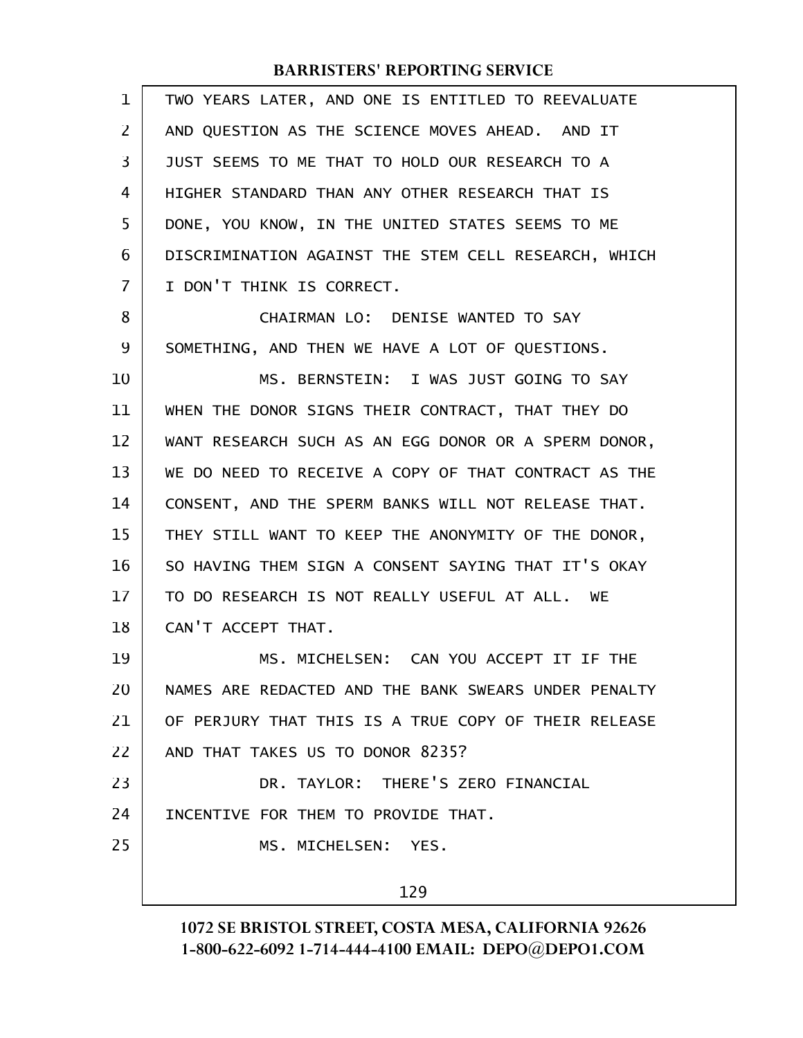| TWO YEARS LATER, AND ONE IS ENTITLED TO REEVALUATE   |
|------------------------------------------------------|
| AND QUESTION AS THE SCIENCE MOVES AHEAD. AND IT      |
| JUST SEEMS TO ME THAT TO HOLD OUR RESEARCH TO A      |
| HIGHER STANDARD THAN ANY OTHER RESEARCH THAT IS      |
| DONE, YOU KNOW, IN THE UNITED STATES SEEMS TO ME     |
| DISCRIMINATION AGAINST THE STEM CELL RESEARCH, WHICH |
| I DON'T THINK IS CORRECT.                            |
| CHAIRMAN LO: DENISE WANTED TO SAY                    |
| SOMETHING, AND THEN WE HAVE A LOT OF QUESTIONS.      |
| MS. BERNSTEIN: I WAS JUST GOING TO SAY               |
| WHEN THE DONOR SIGNS THEIR CONTRACT, THAT THEY DO    |
| WANT RESEARCH SUCH AS AN EGG DONOR OR A SPERM DONOR, |
| WE DO NEED TO RECEIVE A COPY OF THAT CONTRACT AS THE |
| CONSENT, AND THE SPERM BANKS WILL NOT RELEASE THAT.  |
| THEY STILL WANT TO KEEP THE ANONYMITY OF THE DONOR,  |
| SO HAVING THEM SIGN A CONSENT SAYING THAT IT'S OKAY  |
| TO DO RESEARCH IS NOT REALLY USEFUL AT ALL. WE       |
| CAN'T ACCEPT THAT.                                   |
| MS. MICHELSEN: CAN YOU ACCEPT IT IF THE              |
| NAMES ARE REDACTED AND THE BANK SWEARS UNDER PENALTY |
| OF PERJURY THAT THIS IS A TRUE COPY OF THEIR RELEASE |
| AND THAT TAKES US TO DONOR 8235?                     |
| DR. TAYLOR: THERE'S ZERO FINANCIAL                   |
| INCENTIVE FOR THEM TO PROVIDE THAT.                  |
| MS. MICHELSEN: YES.                                  |
|                                                      |
|                                                      |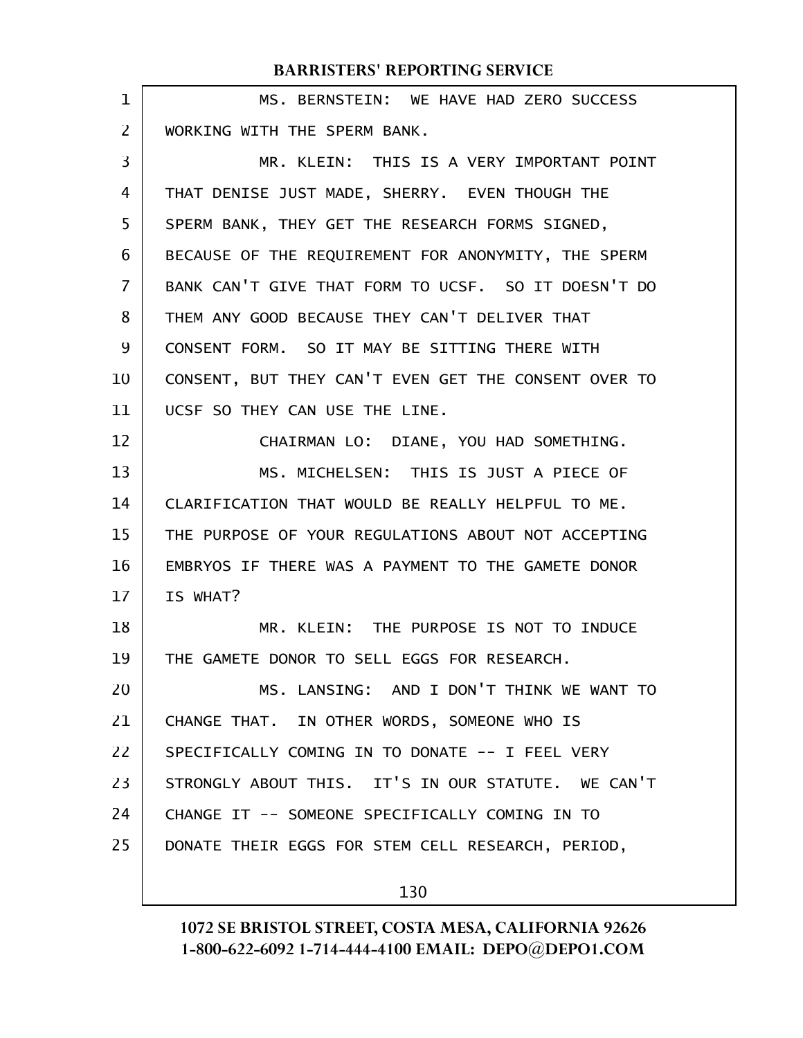| $\mathbf 1$ | MS. BERNSTEIN: WE HAVE HAD ZERO SUCCESS              |
|-------------|------------------------------------------------------|
| 2           | WORKING WITH THE SPERM BANK.                         |
| 3           | MR. KLEIN: THIS IS A VERY IMPORTANT POINT            |
| 4           | THAT DENISE JUST MADE, SHERRY. EVEN THOUGH THE       |
| 5           | SPERM BANK, THEY GET THE RESEARCH FORMS SIGNED,      |
| 6           | BECAUSE OF THE REQUIREMENT FOR ANONYMITY, THE SPERM  |
| 7           | BANK CAN'T GIVE THAT FORM TO UCSF. SO IT DOESN'T DO  |
| 8           | THEM ANY GOOD BECAUSE THEY CAN'T DELIVER THAT        |
| 9           | CONSENT FORM. SO IT MAY BE SITTING THERE WITH        |
| 10          | CONSENT, BUT THEY CAN'T EVEN GET THE CONSENT OVER TO |
| 11          | UCSF SO THEY CAN USE THE LINE.                       |
| 12          | CHAIRMAN LO: DIANE, YOU HAD SOMETHING.               |
| 13          | MS. MICHELSEN: THIS IS JUST A PIECE OF               |
| 14          | CLARIFICATION THAT WOULD BE REALLY HELPFUL TO ME.    |
| 15          | THE PURPOSE OF YOUR REGULATIONS ABOUT NOT ACCEPTING  |
| 16          | EMBRYOS IF THERE WAS A PAYMENT TO THE GAMETE DONOR   |
| 17          | IS WHAT?                                             |
| 18          | MR. KLEIN: THE PURPOSE IS NOT TO INDUCE              |
| 19          | THE GAMETE DONOR TO SELL EGGS FOR RESEARCH.          |
| 20          | MS. LANSING: AND I DON'T THINK WE WANT TO            |
| 21          | CHANGE THAT. IN OTHER WORDS, SOMEONE WHO IS          |
| 22          | SPECIFICALLY COMING IN TO DONATE -- I FEEL VERY      |
| 23          | STRONGLY ABOUT THIS. IT'S IN OUR STATUTE. WE CAN'T   |
| 24          | CHANGE IT -- SOMEONE SPECIFICALLY COMING IN TO       |
| 25          | DONATE THEIR EGGS FOR STEM CELL RESEARCH, PERIOD,    |
|             | 130                                                  |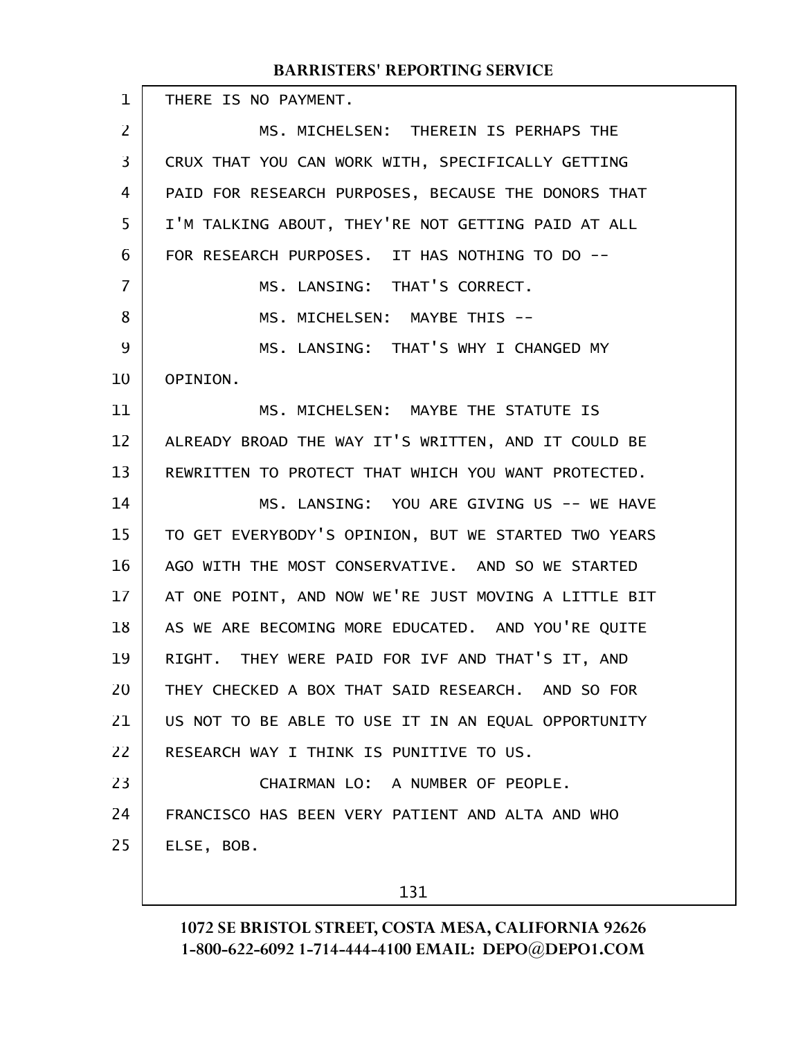| $\mathbf 1$    | THERE IS NO PAYMENT.                                 |
|----------------|------------------------------------------------------|
| 2              | MS. MICHELSEN: THEREIN IS PERHAPS THE                |
| 3              | CRUX THAT YOU CAN WORK WITH, SPECIFICALLY GETTING    |
| 4              | PAID FOR RESEARCH PURPOSES, BECAUSE THE DONORS THAT  |
| 5              | I'M TALKING ABOUT, THEY'RE NOT GETTING PAID AT ALL   |
| 6              | FOR RESEARCH PURPOSES. IT HAS NOTHING TO DO --       |
| $\overline{7}$ | MS. LANSING: THAT'S CORRECT.                         |
| 8              | MS. MICHELSEN: MAYBE THIS --                         |
| 9              | MS. LANSING: THAT'S WHY I CHANGED MY                 |
| 10             | OPINION.                                             |
| 11             | MS. MICHELSEN: MAYBE THE STATUTE IS                  |
| 12             | ALREADY BROAD THE WAY IT'S WRITTEN, AND IT COULD BE  |
| 13             | REWRITTEN TO PROTECT THAT WHICH YOU WANT PROTECTED.  |
| 14             | MS. LANSING: YOU ARE GIVING US -- WE HAVE            |
| 15             | TO GET EVERYBODY'S OPINION, BUT WE STARTED TWO YEARS |
| 16             | AGO WITH THE MOST CONSERVATIVE. AND SO WE STARTED    |
| 17             | AT ONE POINT, AND NOW WE'RE JUST MOVING A LITTLE BIT |
| 18             | AS WE ARE BECOMING MORE EDUCATED. AND YOU'RE QUITE   |
| 19             | RIGHT. THEY WERE PAID FOR IVF AND THAT'S IT, AND     |
| 20             | THEY CHECKED A BOX THAT SAID RESEARCH. AND SO FOR    |
| 21             | US NOT TO BE ABLE TO USE IT IN AN EQUAL OPPORTUNITY  |
| 22             | RESEARCH WAY I THINK IS PUNITIVE TO US.              |
| 23             | CHAIRMAN LO: A NUMBER OF PEOPLE.                     |
| 24             | FRANCISCO HAS BEEN VERY PATIENT AND ALTA AND WHO     |
| 25             | ELSE, BOB.                                           |
|                |                                                      |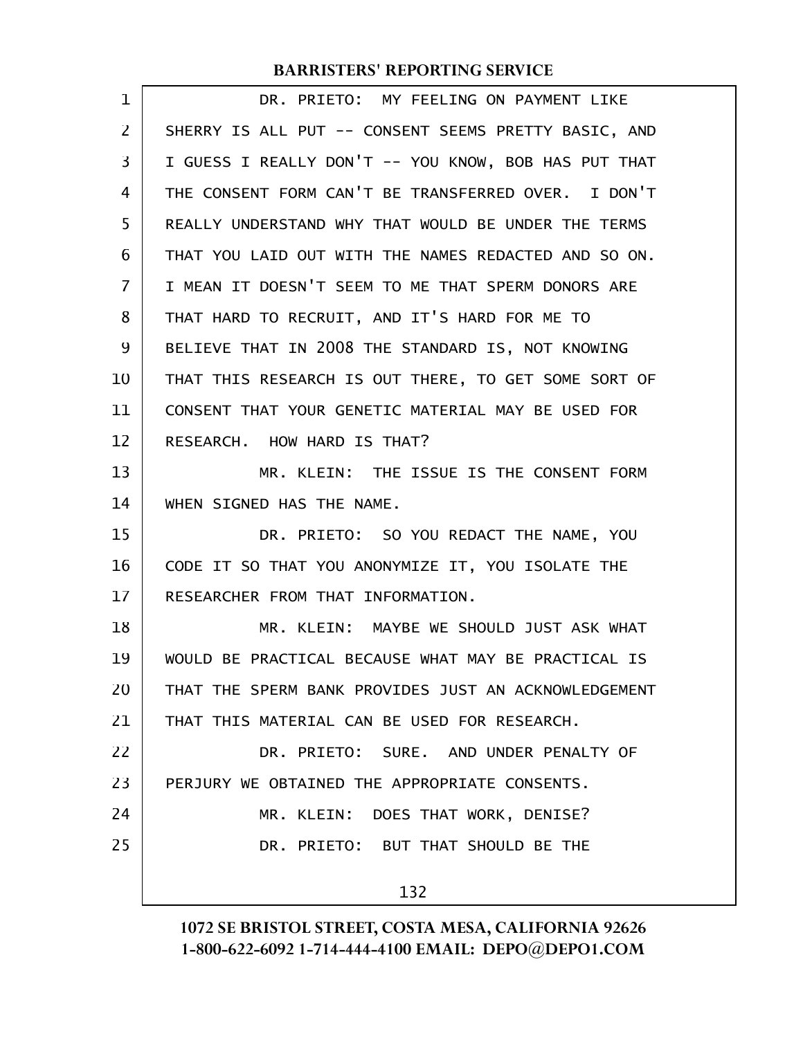| 1  | DR. PRIETO: MY FEELING ON PAYMENT LIKE               |
|----|------------------------------------------------------|
| 2  | SHERRY IS ALL PUT -- CONSENT SEEMS PRETTY BASIC, AND |
| 3  | I GUESS I REALLY DON'T -- YOU KNOW, BOB HAS PUT THAT |
| 4  | THE CONSENT FORM CAN'T BE TRANSFERRED OVER. I DON'T  |
| 5  | REALLY UNDERSTAND WHY THAT WOULD BE UNDER THE TERMS  |
| 6  | THAT YOU LAID OUT WITH THE NAMES REDACTED AND SO ON. |
| 7  | I MEAN IT DOESN'T SEEM TO ME THAT SPERM DONORS ARE   |
| 8  | THAT HARD TO RECRUIT, AND IT'S HARD FOR ME TO        |
| 9  | BELIEVE THAT IN 2008 THE STANDARD IS, NOT KNOWING    |
| 10 | THAT THIS RESEARCH IS OUT THERE, TO GET SOME SORT OF |
| 11 | CONSENT THAT YOUR GENETIC MATERIAL MAY BE USED FOR   |
| 12 | RESEARCH. HOW HARD IS THAT?                          |
| 13 | MR. KLEIN: THE ISSUE IS THE CONSENT FORM             |
| 14 | WHEN SIGNED HAS THE NAME.                            |
| 15 | DR. PRIETO: SO YOU REDACT THE NAME, YOU              |
| 16 | CODE IT SO THAT YOU ANONYMIZE IT, YOU ISOLATE THE    |
| 17 | RESEARCHER FROM THAT INFORMATION.                    |
| 18 | MR. KLEIN: MAYBE WE SHOULD JUST ASK WHAT             |
| 19 | WOULD BE PRACTICAL BECAUSE WHAT MAY BE PRACTICAL IS  |
| 20 | THAT THE SPERM BANK PROVIDES JUST AN ACKNOWLEDGEMENT |
| 21 | THAT THIS MATERIAL CAN BE USED FOR RESEARCH.         |
| 22 | DR. PRIETO: SURE. AND UNDER PENALTY OF               |
| 23 | PERJURY WE OBTAINED THE APPROPRIATE CONSENTS.        |
| 24 | MR. KLEIN: DOES THAT WORK, DENISE?                   |
| 25 | DR. PRIETO: BUT THAT SHOULD BE THE                   |
|    | 132                                                  |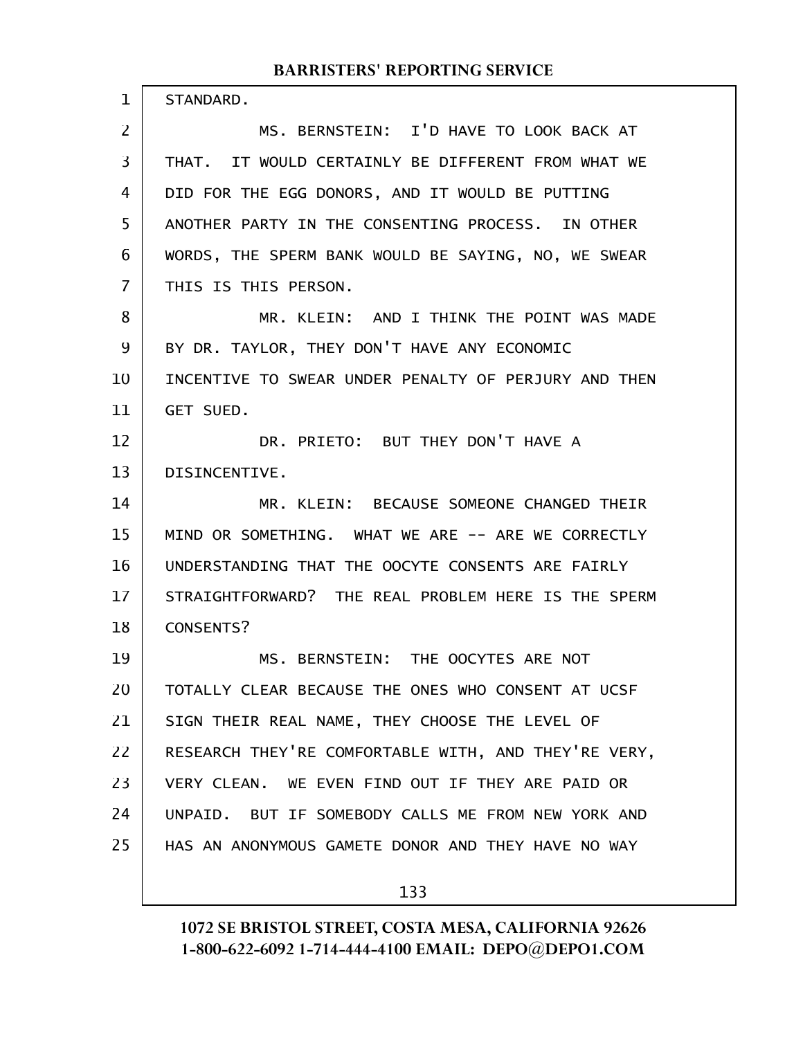| $\mathbf{1}$   | STANDARD.                                            |
|----------------|------------------------------------------------------|
| $\overline{2}$ | MS. BERNSTEIN: I'D HAVE TO LOOK BACK AT              |
| $\overline{3}$ | THAT. IT WOULD CERTAINLY BE DIFFERENT FROM WHAT WE   |
| 4              | DID FOR THE EGG DONORS, AND IT WOULD BE PUTTING      |
| 5              | ANOTHER PARTY IN THE CONSENTING PROCESS. IN OTHER    |
| 6              | WORDS, THE SPERM BANK WOULD BE SAYING, NO, WE SWEAR  |
| 7              | THIS IS THIS PERSON.                                 |
| 8              | MR. KLEIN: AND I THINK THE POINT WAS MADE            |
| 9              | BY DR. TAYLOR, THEY DON'T HAVE ANY ECONOMIC          |
| 10             | INCENTIVE TO SWEAR UNDER PENALTY OF PERJURY AND THEN |
| 11             | GET SUED.                                            |
| 12             | DR. PRIETO: BUT THEY DON'T HAVE A                    |
| 13             | DISINCENTIVE.                                        |
| 14             | MR. KLEIN: BECAUSE SOMEONE CHANGED THEIR             |
| 15             | MIND OR SOMETHING. WHAT WE ARE -- ARE WE CORRECTLY   |
| 16             | UNDERSTANDING THAT THE OOCYTE CONSENTS ARE FAIRLY    |
| 17             | STRAIGHTFORWARD? THE REAL PROBLEM HERE IS THE SPERM  |
| 18             | CONSENTS?                                            |
| 19             | MS. BERNSTEIN: THE OOCYTES ARE NOT                   |
| 20             | TOTALLY CLEAR BECAUSE THE ONES WHO CONSENT AT UCSF   |
| 21             | SIGN THEIR REAL NAME, THEY CHOOSE THE LEVEL OF       |
| 22             | RESEARCH THEY'RE COMFORTABLE WITH, AND THEY'RE VERY, |
| 23             | VERY CLEAN. WE EVEN FIND OUT IF THEY ARE PAID OR     |
| 24             | UNPAID. BUT IF SOMEBODY CALLS ME FROM NEW YORK AND   |
| 25             | HAS AN ANONYMOUS GAMETE DONOR AND THEY HAVE NO WAY   |
|                |                                                      |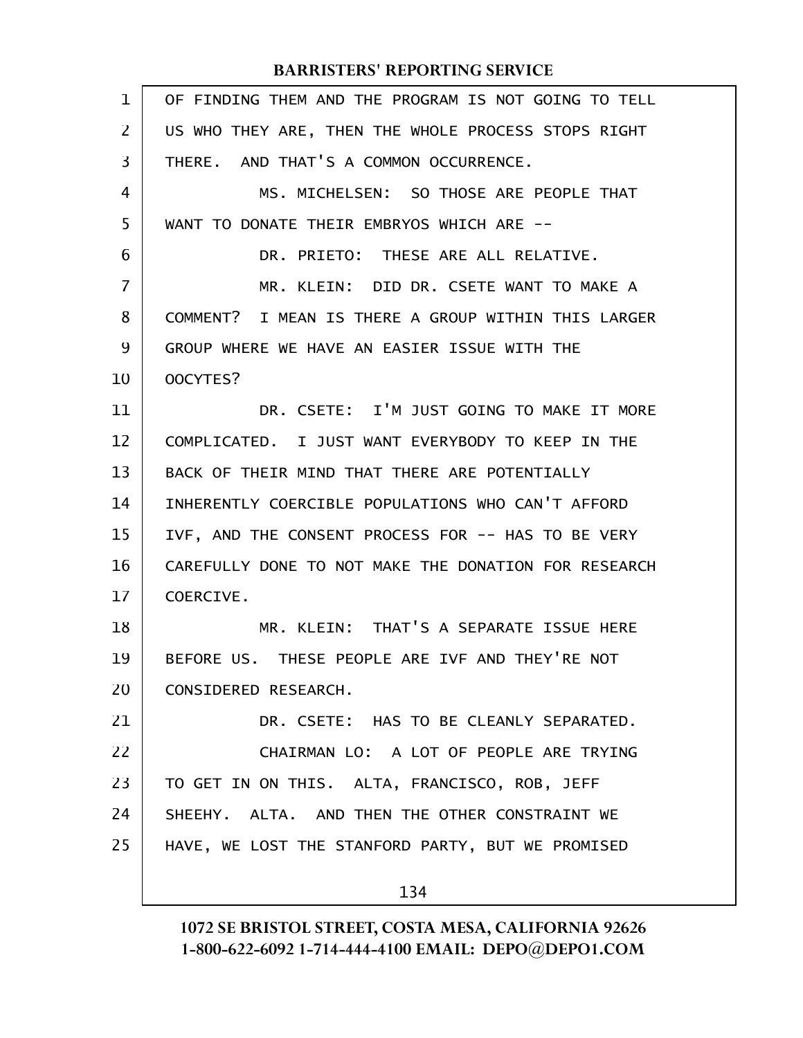| $\mathbf 1$    | OF FINDING THEM AND THE PROGRAM IS NOT GOING TO TELL |
|----------------|------------------------------------------------------|
| 2              | US WHO THEY ARE, THEN THE WHOLE PROCESS STOPS RIGHT  |
| 3              | THERE. AND THAT'S A COMMON OCCURRENCE.               |
| 4              | MS. MICHELSEN: SO THOSE ARE PEOPLE THAT              |
| 5              | WANT TO DONATE THEIR EMBRYOS WHICH ARE --            |
| 6              | DR. PRIETO: THESE ARE ALL RELATIVE.                  |
| $\overline{7}$ | MR. KLEIN: DID DR. CSETE WANT TO MAKE A              |
| 8              | COMMENT? I MEAN IS THERE A GROUP WITHIN THIS LARGER  |
| 9              | GROUP WHERE WE HAVE AN EASIER ISSUE WITH THE         |
| 10             | OOCYTES?                                             |
| 11             | DR. CSETE: I'M JUST GOING TO MAKE IT MORE            |
| 12             | COMPLICATED. I JUST WANT EVERYBODY TO KEEP IN THE    |
| 13             | BACK OF THEIR MIND THAT THERE ARE POTENTIALLY        |
| 14             | INHERENTLY COERCIBLE POPULATIONS WHO CAN'T AFFORD    |
| 15             | IVF, AND THE CONSENT PROCESS FOR -- HAS TO BE VERY   |
| 16             | CAREFULLY DONE TO NOT MAKE THE DONATION FOR RESEARCH |
| 17             | COERCIVE.                                            |
| 18             | MR. KLEIN: THAT'S A SEPARATE ISSUE HERE              |
| 19             | BEFORE US. THESE PEOPLE ARE IVF AND THEY'RE NOT      |
| 20             | CONSIDERED RESEARCH.                                 |
| 21             | DR. CSETE: HAS TO BE CLEANLY SEPARATED.              |
| 22             | CHAIRMAN LO: A LOT OF PEOPLE ARE TRYING              |
| 23             | TO GET IN ON THIS. ALTA, FRANCISCO, ROB, JEFF        |
| 24             | SHEEHY. ALTA. AND THEN THE OTHER CONSTRAINT WE       |
| 25             | HAVE, WE LOST THE STANFORD PARTY, BUT WE PROMISED    |
|                | 134                                                  |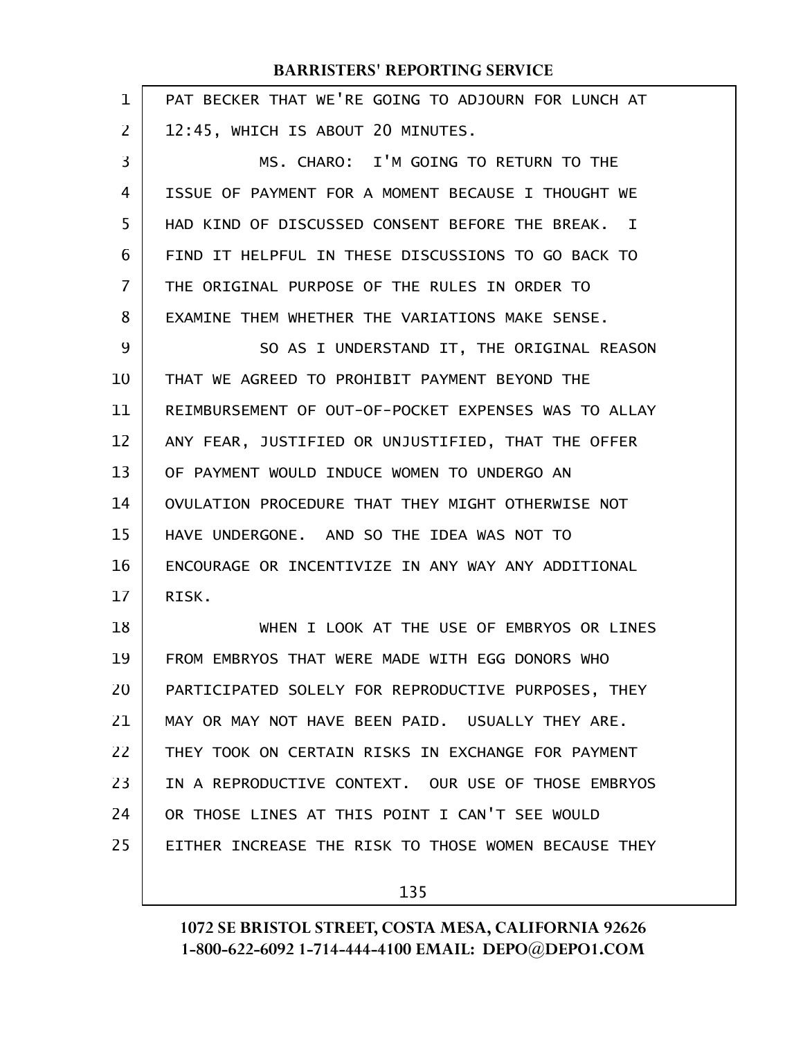| 1  | PAT BECKER THAT WE'RE GOING TO ADJOURN FOR LUNCH AT  |
|----|------------------------------------------------------|
| 2  | 12:45, WHICH IS ABOUT 20 MINUTES.                    |
| 3  | MS. CHARO: I'M GOING TO RETURN TO THE                |
| 4  | ISSUE OF PAYMENT FOR A MOMENT BECAUSE I THOUGHT WE   |
| 5  | HAD KIND OF DISCUSSED CONSENT BEFORE THE BREAK. I    |
| 6  | FIND IT HELPFUL IN THESE DISCUSSIONS TO GO BACK TO   |
| 7  | THE ORIGINAL PURPOSE OF THE RULES IN ORDER TO        |
| 8  | EXAMINE THEM WHETHER THE VARIATIONS MAKE SENSE.      |
| 9  | SO AS I UNDERSTAND IT, THE ORIGINAL REASON           |
| 10 | THAT WE AGREED TO PROHIBIT PAYMENT BEYOND THE        |
| 11 | REIMBURSEMENT OF OUT-OF-POCKET EXPENSES WAS TO ALLAY |
| 12 | ANY FEAR, JUSTIFIED OR UNJUSTIFIED, THAT THE OFFER   |
| 13 | OF PAYMENT WOULD INDUCE WOMEN TO UNDERGO AN          |
| 14 | OVULATION PROCEDURE THAT THEY MIGHT OTHERWISE NOT    |
| 15 | HAVE UNDERGONE. AND SO THE IDEA WAS NOT TO           |
| 16 | ENCOURAGE OR INCENTIVIZE IN ANY WAY ANY ADDITIONAL   |
| 17 | RISK.                                                |
| 18 | WHEN I LOOK AT THE USE OF EMBRYOS OR LINES           |
| 19 | FROM EMBRYOS THAT WERE MADE WITH EGG DONORS WHO      |
| 20 | PARTICIPATED SOLELY FOR REPRODUCTIVE PURPOSES, THEY  |
| 21 | MAY OR MAY NOT HAVE BEEN PAID. USUALLY THEY ARE.     |
| 22 | THEY TOOK ON CERTAIN RISKS IN EXCHANGE FOR PAYMENT   |
| 23 | IN A REPRODUCTIVE CONTEXT. OUR USE OF THOSE EMBRYOS  |
| 24 | OR THOSE LINES AT THIS POINT I CAN'T SEE WOULD       |
| 25 | EITHER INCREASE THE RISK TO THOSE WOMEN BECAUSE THEY |
|    |                                                      |

135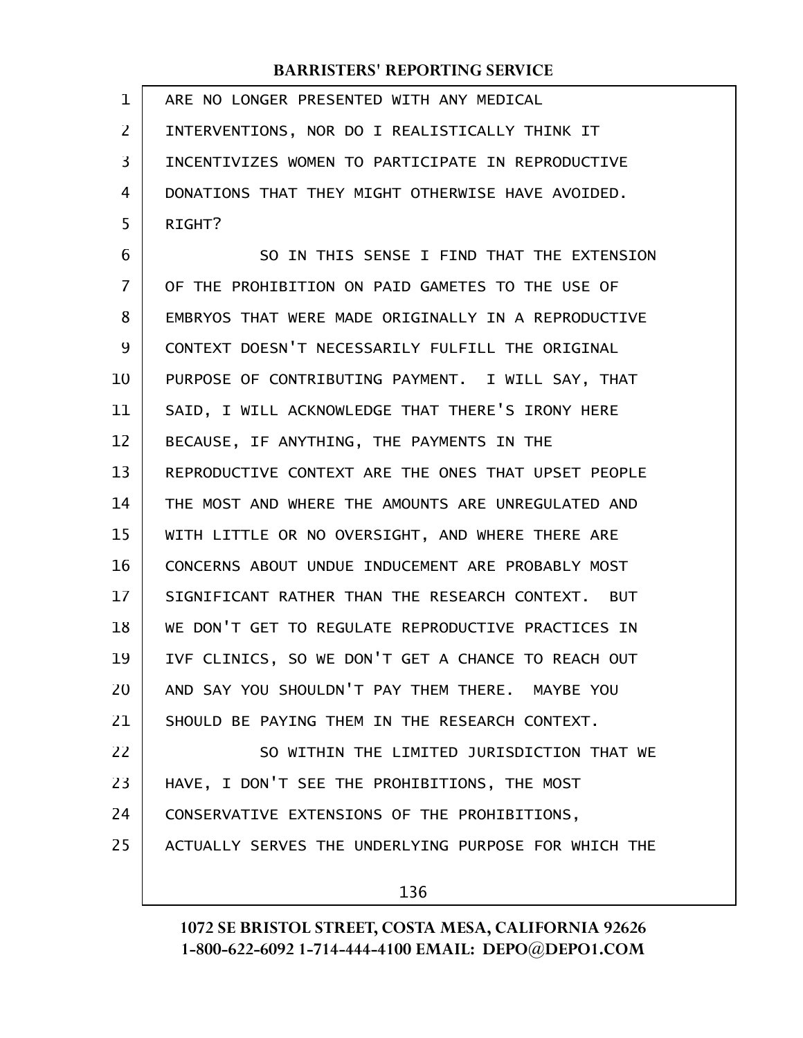| 1              | ARE NO LONGER PRESENTED WITH ANY MEDICAL             |
|----------------|------------------------------------------------------|
| $\overline{2}$ | INTERVENTIONS, NOR DO I REALISTICALLY THINK IT       |
| 3              | INCENTIVIZES WOMEN TO PARTICIPATE IN REPRODUCTIVE    |
| 4              | DONATIONS THAT THEY MIGHT OTHERWISE HAVE AVOIDED.    |
| 5              | RIGHT?                                               |
| 6              | SO IN THIS SENSE I FIND THAT THE EXTENSION           |
| 7              | OF THE PROHIBITION ON PAID GAMETES TO THE USE OF     |
| 8              | EMBRYOS THAT WERE MADE ORIGINALLY IN A REPRODUCTIVE  |
| 9              | CONTEXT DOESN'T NECESSARILY FULFILL THE ORIGINAL     |
| 10             | PURPOSE OF CONTRIBUTING PAYMENT. I WILL SAY, THAT    |
| 11             | SAID, I WILL ACKNOWLEDGE THAT THERE'S IRONY HERE     |
| 12             | BECAUSE, IF ANYTHING, THE PAYMENTS IN THE            |
| 13             | REPRODUCTIVE CONTEXT ARE THE ONES THAT UPSET PEOPLE  |
| 14             | THE MOST AND WHERE THE AMOUNTS ARE UNREGULATED AND   |
| 15             | WITH LITTLE OR NO OVERSIGHT, AND WHERE THERE ARE     |
| 16             | CONCERNS ABOUT UNDUE INDUCEMENT ARE PROBABLY MOST    |
| 17             | SIGNIFICANT RATHER THAN THE RESEARCH CONTEXT. BUT    |
| 18             | WE DON'T GET TO REGULATE REPRODUCTIVE PRACTICES IN   |
| 19             | IVF CLINICS, SO WE DON'T GET A CHANCE TO REACH OUT   |
| 20             | AND SAY YOU SHOULDN'T PAY THEM THERE. MAYBE YOU      |
| 21             | SHOULD BE PAYING THEM IN THE RESEARCH CONTEXT.       |
| 22             | SO WITHIN THE LIMITED JURISDICTION THAT WE           |
| 23             | HAVE, I DON'T SEE THE PROHIBITIONS, THE MOST         |
| 24             | CONSERVATIVE EXTENSIONS OF THE PROHIBITIONS,         |
| 25             | ACTUALLY SERVES THE UNDERLYING PURPOSE FOR WHICH THE |
|                | 136                                                  |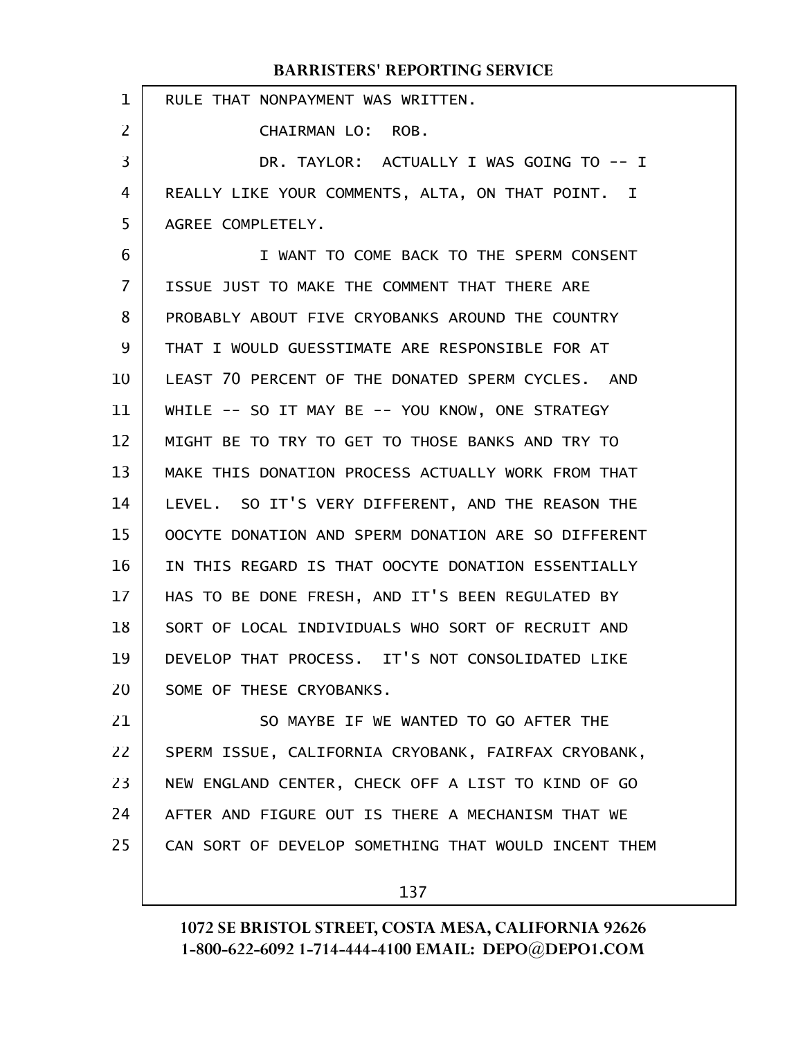| $\mathbf{1}$ | RULE THAT NONPAYMENT WAS WRITTEN.                    |
|--------------|------------------------------------------------------|
| 2            | CHAIRMAN LO: ROB.                                    |
| 3            | DR. TAYLOR: ACTUALLY I WAS GOING TO -- I             |
| 4            | REALLY LIKE YOUR COMMENTS, ALTA, ON THAT POINT. I    |
| 5            | AGREE COMPLETELY.                                    |
| 6            | I WANT TO COME BACK TO THE SPERM CONSENT             |
| 7            | ISSUE JUST TO MAKE THE COMMENT THAT THERE ARE        |
| 8            | PROBABLY ABOUT FIVE CRYOBANKS AROUND THE COUNTRY     |
| 9            | THAT I WOULD GUESSTIMATE ARE RESPONSIBLE FOR AT      |
| 10           | LEAST 70 PERCENT OF THE DONATED SPERM CYCLES. AND    |
| 11           | WHILE -- SO IT MAY BE -- YOU KNOW, ONE STRATEGY      |
| 12           | MIGHT BE TO TRY TO GET TO THOSE BANKS AND TRY TO     |
| 13           | MAKE THIS DONATION PROCESS ACTUALLY WORK FROM THAT   |
| 14           | LEVEL. SO IT'S VERY DIFFERENT, AND THE REASON THE    |
| 15           | OOCYTE DONATION AND SPERM DONATION ARE SO DIFFERENT  |
| 16           | IN THIS REGARD IS THAT OOCYTE DONATION ESSENTIALLY   |
| 17           | HAS TO BE DONE FRESH, AND IT'S BEEN REGULATED BY     |
| 18           | SORT OF LOCAL INDIVIDUALS WHO SORT OF RECRUIT AND    |
| 19           | DEVELOP THAT PROCESS. IT'S NOT CONSOLIDATED LIKE     |
| 20           | SOME OF THESE CRYOBANKS.                             |
| 21           | SO MAYBE IF WE WANTED TO GO AFTER THE                |
| 22           | SPERM ISSUE, CALIFORNIA CRYOBANK, FAIRFAX CRYOBANK,  |
| 23           | NEW ENGLAND CENTER, CHECK OFF A LIST TO KIND OF GO   |
| 24           | AFTER AND FIGURE OUT IS THERE A MECHANISM THAT WE    |
| 25           | CAN SORT OF DEVELOP SOMETHING THAT WOULD INCENT THEM |
|              |                                                      |

137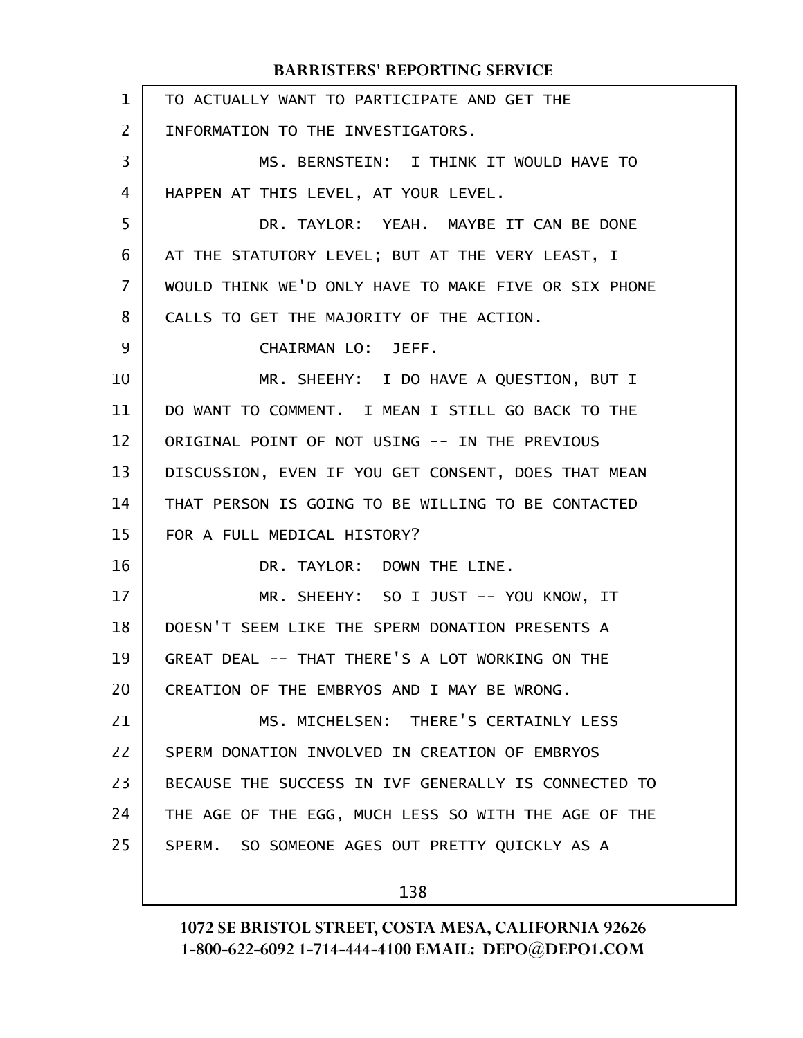| $\mathbf{1}$ | TO ACTUALLY WANT TO PARTICIPATE AND GET THE          |
|--------------|------------------------------------------------------|
| 2            | INFORMATION TO THE INVESTIGATORS.                    |
| 3            | MS. BERNSTEIN: I THINK IT WOULD HAVE TO              |
| 4            | HAPPEN AT THIS LEVEL, AT YOUR LEVEL.                 |
| 5            | DR. TAYLOR: YEAH. MAYBE IT CAN BE DONE               |
| 6            | AT THE STATUTORY LEVEL; BUT AT THE VERY LEAST, I     |
| 7            | WOULD THINK WE'D ONLY HAVE TO MAKE FIVE OR SIX PHONE |
| 8            | CALLS TO GET THE MAJORITY OF THE ACTION.             |
| 9            | CHAIRMAN LO: JEFF.                                   |
| 10           | MR. SHEEHY: I DO HAVE A QUESTION, BUT I              |
| 11           | DO WANT TO COMMENT. I MEAN I STILL GO BACK TO THE    |
| 12           | ORIGINAL POINT OF NOT USING -- IN THE PREVIOUS       |
| 13           | DISCUSSION, EVEN IF YOU GET CONSENT, DOES THAT MEAN  |
| 14           | THAT PERSON IS GOING TO BE WILLING TO BE CONTACTED   |
| 15           | FOR A FULL MEDICAL HISTORY?                          |
| 16           | DR. TAYLOR: DOWN THE LINE.                           |
| 17           | MR. SHEEHY: SO I JUST -- YOU KNOW, IT                |
| 18           | DOESN'T SEEM LIKE THE SPERM DONATION PRESENTS A      |
| 19           | GREAT DEAL -- THAT THERE'S A LOT WORKING ON THE      |
| 20           | CREATION OF THE EMBRYOS AND I MAY BE WRONG.          |
| 21           | MS. MICHELSEN: THERE'S CERTAINLY LESS                |
| 22           | SPERM DONATION INVOLVED IN CREATION OF EMBRYOS       |
| 23           | BECAUSE THE SUCCESS IN IVF GENERALLY IS CONNECTED TO |
| 24           | THE AGE OF THE EGG, MUCH LESS SO WITH THE AGE OF THE |
| 25           | SPERM. SO SOMEONE AGES OUT PRETTY QUICKLY AS A       |
|              | 138                                                  |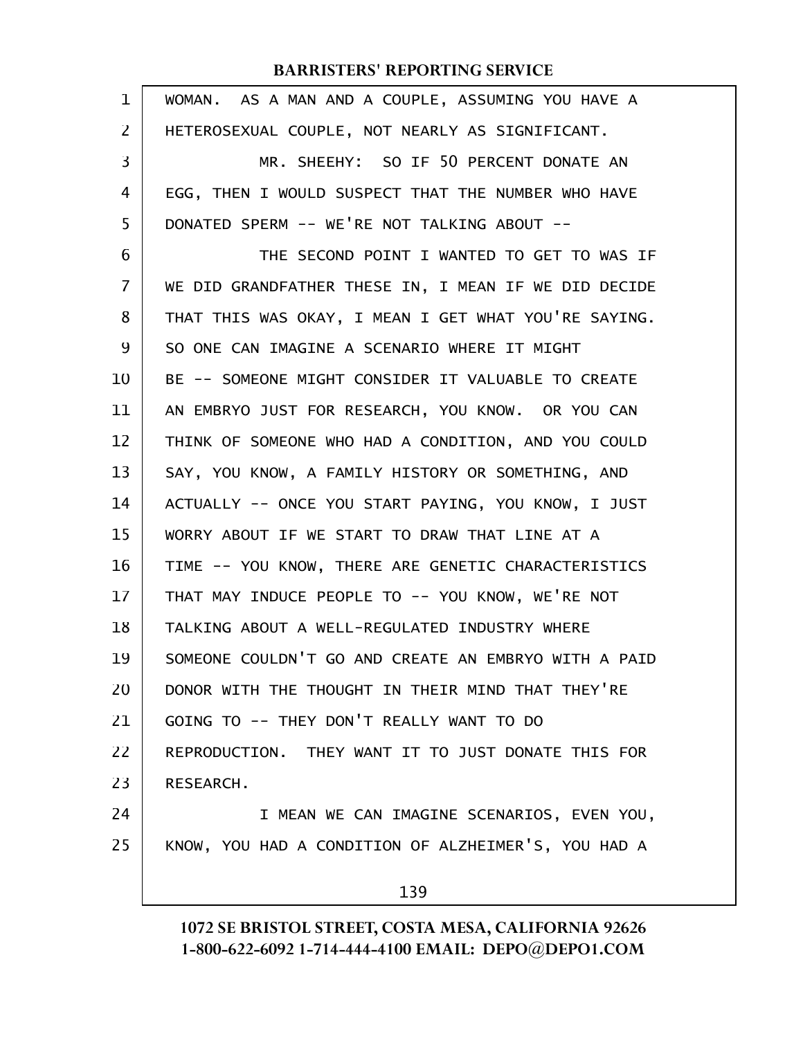| 1              | WOMAN. AS A MAN AND A COUPLE, ASSUMING YOU HAVE A    |
|----------------|------------------------------------------------------|
| 2              | HETEROSEXUAL COUPLE, NOT NEARLY AS SIGNIFICANT.      |
| 3              | MR. SHEEHY: SO IF 50 PERCENT DONATE AN               |
| 4              | EGG, THEN I WOULD SUSPECT THAT THE NUMBER WHO HAVE   |
| 5              | DONATED SPERM -- WE'RE NOT TALKING ABOUT --          |
| 6              | THE SECOND POINT I WANTED TO GET TO WAS IF           |
| $\overline{7}$ | WE DID GRANDFATHER THESE IN, I MEAN IF WE DID DECIDE |
| 8              | THAT THIS WAS OKAY, I MEAN I GET WHAT YOU'RE SAYING. |
| 9              | SO ONE CAN IMAGINE A SCENARIO WHERE IT MIGHT         |
| 10             | BE -- SOMEONE MIGHT CONSIDER IT VALUABLE TO CREATE   |
| 11             | AN EMBRYO JUST FOR RESEARCH, YOU KNOW. OR YOU CAN    |
| 12             | THINK OF SOMEONE WHO HAD A CONDITION, AND YOU COULD  |
| 13             | SAY, YOU KNOW, A FAMILY HISTORY OR SOMETHING, AND    |
| 14             | ACTUALLY -- ONCE YOU START PAYING, YOU KNOW, I JUST  |
| 15             | WORRY ABOUT IF WE START TO DRAW THAT LINE AT A       |
| 16             | TIME -- YOU KNOW, THERE ARE GENETIC CHARACTERISTICS  |
| 17             | THAT MAY INDUCE PEOPLE TO -- YOU KNOW, WE'RE NOT     |
| 18             | TALKING ABOUT A WELL-REGULATED INDUSTRY WHERE        |
| 19             | SOMEONE COULDN'T GO AND CREATE AN EMBRYO WITH A PAID |
| 20             | DONOR WITH THE THOUGHT IN THEIR MIND THAT THEY'RE    |
| 21             | GOING TO -- THEY DON'T REALLY WANT TO DO             |
| 22             | REPRODUCTION. THEY WANT IT TO JUST DONATE THIS FOR   |
| 23             | RESEARCH.                                            |
| 24             | I MEAN WE CAN IMAGINE SCENARIOS, EVEN YOU,           |
| 25             | KNOW, YOU HAD A CONDITION OF ALZHEIMER'S, YOU HAD A  |
|                | 139                                                  |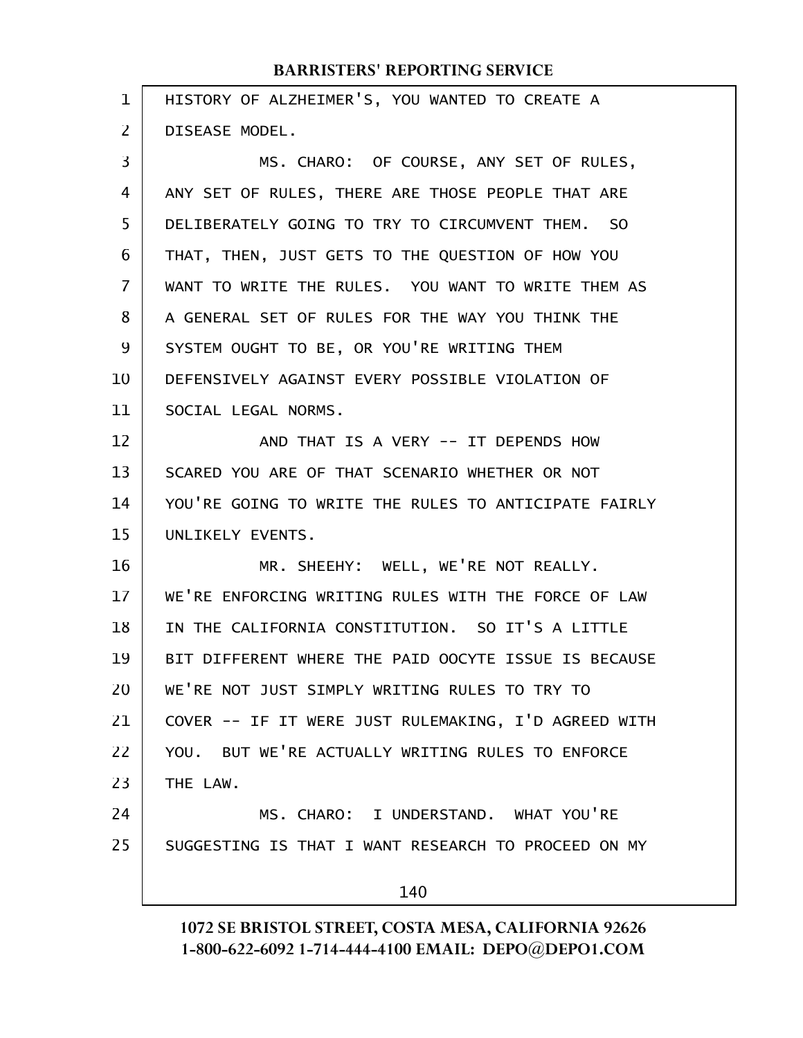| 1              | HISTORY OF ALZHEIMER'S, YOU WANTED TO CREATE A       |
|----------------|------------------------------------------------------|
| 2              | DISEASE MODEL.                                       |
| 3              | MS. CHARO: OF COURSE, ANY SET OF RULES,              |
| 4              | ANY SET OF RULES, THERE ARE THOSE PEOPLE THAT ARE    |
| 5              | DELIBERATELY GOING TO TRY TO CIRCUMVENT THEM. SO     |
| 6              | THAT, THEN, JUST GETS TO THE QUESTION OF HOW YOU     |
| $\overline{7}$ | WANT TO WRITE THE RULES. YOU WANT TO WRITE THEM AS   |
| 8              | A GENERAL SET OF RULES FOR THE WAY YOU THINK THE     |
| 9              | SYSTEM OUGHT TO BE, OR YOU'RE WRITING THEM           |
| 10             | DEFENSIVELY AGAINST EVERY POSSIBLE VIOLATION OF      |
| 11             | SOCIAL LEGAL NORMS.                                  |
| 12             | AND THAT IS A VERY -- IT DEPENDS HOW                 |
| 13             | SCARED YOU ARE OF THAT SCENARIO WHETHER OR NOT       |
| 14             | YOU'RE GOING TO WRITE THE RULES TO ANTICIPATE FAIRLY |
| 15             | UNLIKELY EVENTS.                                     |
| 16             | MR. SHEEHY: WELL, WE'RE NOT REALLY.                  |
| 17             | WE'RE ENFORCING WRITING RULES WITH THE FORCE OF LAW  |
| 18             | IN THE CALIFORNIA CONSTITUTION. SO IT'S A LITTLE     |
| 19             | BIT DIFFERENT WHERE THE PAID OOCYTE ISSUE IS BECAUSE |
| 20             | WE'RE NOT JUST SIMPLY WRITING RULES TO TRY TO        |
| 21             | COVER -- IF IT WERE JUST RULEMAKING, I'D AGREED WITH |
| 22             | YOU. BUT WE'RE ACTUALLY WRITING RULES TO ENFORCE     |
| 23             | THE LAW.                                             |
| 24             | MS. CHARO: I UNDERSTAND. WHAT YOU'RE                 |
| 25             | SUGGESTING IS THAT I WANT RESEARCH TO PROCEED ON MY  |
|                | 140                                                  |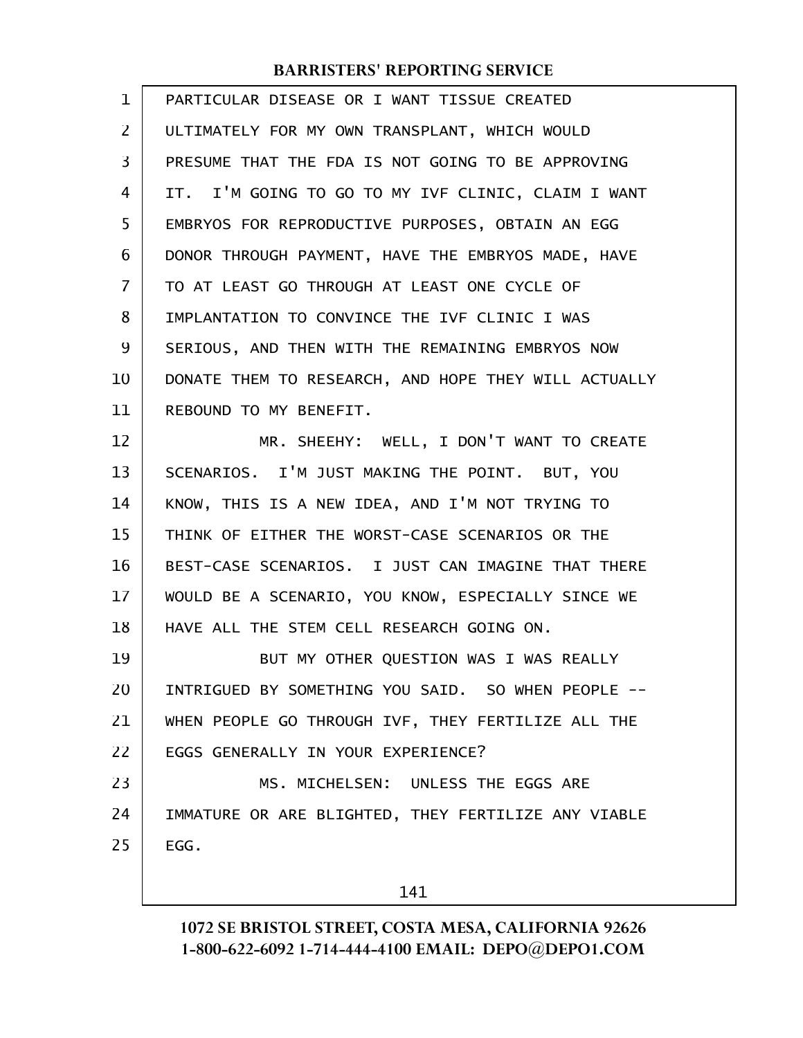| $\mathbf{1}$ | PARTICULAR DISEASE OR I WANT TISSUE CREATED          |
|--------------|------------------------------------------------------|
| 2            | ULTIMATELY FOR MY OWN TRANSPLANT, WHICH WOULD        |
| 3            | PRESUME THAT THE FDA IS NOT GOING TO BE APPROVING    |
| 4            | IT. I'M GOING TO GO TO MY IVF CLINIC, CLAIM I WANT   |
| 5            | EMBRYOS FOR REPRODUCTIVE PURPOSES, OBTAIN AN EGG     |
| 6            | DONOR THROUGH PAYMENT, HAVE THE EMBRYOS MADE, HAVE   |
| 7            | TO AT LEAST GO THROUGH AT LEAST ONE CYCLE OF         |
| 8            | IMPLANTATION TO CONVINCE THE IVF CLINIC I WAS        |
| 9            | SERIOUS, AND THEN WITH THE REMAINING EMBRYOS NOW     |
| 10           | DONATE THEM TO RESEARCH, AND HOPE THEY WILL ACTUALLY |
| 11           | REBOUND TO MY BENEFIT.                               |
| 12           | MR. SHEEHY: WELL, I DON'T WANT TO CREATE             |
| 13           | SCENARIOS. I'M JUST MAKING THE POINT. BUT, YOU       |
| 14           | KNOW, THIS IS A NEW IDEA, AND I'M NOT TRYING TO      |
| 15           | THINK OF EITHER THE WORST-CASE SCENARIOS OR THE      |
| 16           | BEST-CASE SCENARIOS. I JUST CAN IMAGINE THAT THERE   |
| 17           | WOULD BE A SCENARIO, YOU KNOW, ESPECIALLY SINCE WE   |
| 18           | HAVE ALL THE STEM CELL RESEARCH GOING ON.            |
| 19           | BUT MY OTHER QUESTION WAS I WAS REALLY               |
| 20           | INTRIGUED BY SOMETHING YOU SAID. SO WHEN PEOPLE --   |
| 21           | WHEN PEOPLE GO THROUGH IVF, THEY FERTILIZE ALL THE   |
| 22           | EGGS GENERALLY IN YOUR EXPERIENCE?                   |
| 23           | MS. MICHELSEN: UNLESS THE EGGS ARE                   |
| 24           | IMMATURE OR ARE BLIGHTED, THEY FERTILIZE ANY VIABLE  |
| 25           | EGG.                                                 |
|              | 141                                                  |
|              |                                                      |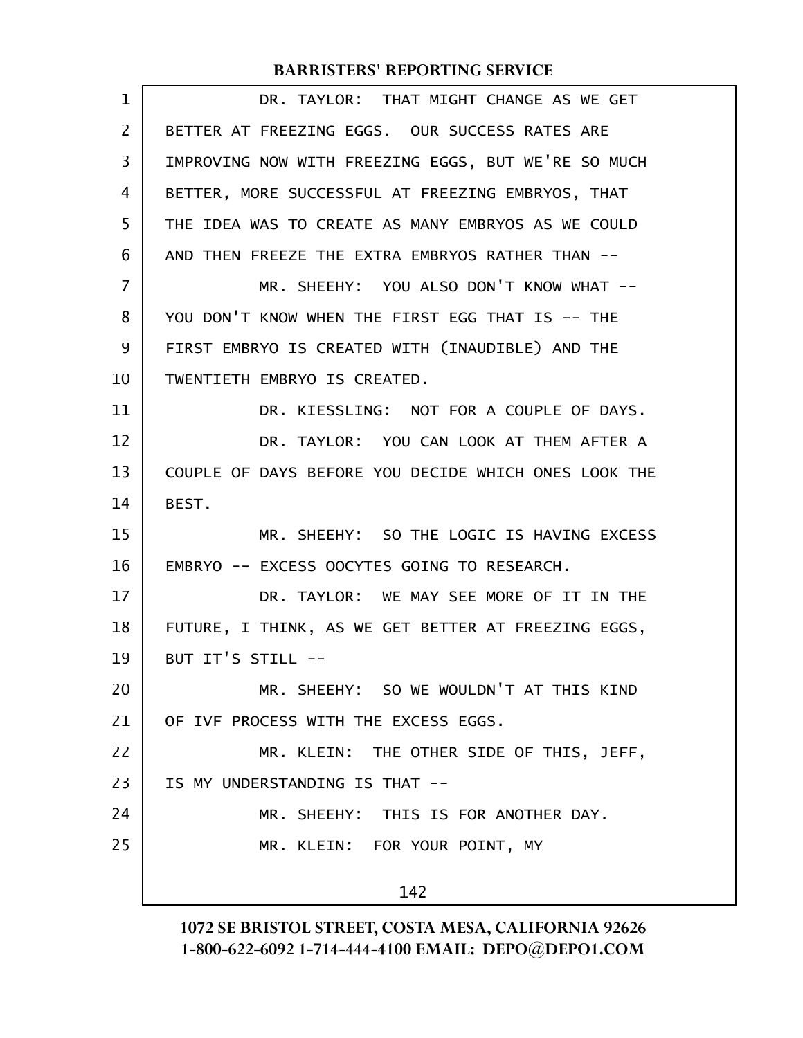| 1              | DR. TAYLOR: THAT MIGHT CHANGE AS WE GET              |
|----------------|------------------------------------------------------|
| $\overline{2}$ | BETTER AT FREEZING EGGS. OUR SUCCESS RATES ARE       |
| 3              | IMPROVING NOW WITH FREEZING EGGS, BUT WE'RE SO MUCH  |
| 4              | BETTER, MORE SUCCESSFUL AT FREEZING EMBRYOS, THAT    |
| 5              | THE IDEA WAS TO CREATE AS MANY EMBRYOS AS WE COULD   |
| 6              | AND THEN FREEZE THE EXTRA EMBRYOS RATHER THAN --     |
| 7              | MR. SHEEHY: YOU ALSO DON'T KNOW WHAT --              |
| 8              | YOU DON'T KNOW WHEN THE FIRST EGG THAT IS -- THE     |
| 9              | FIRST EMBRYO IS CREATED WITH (INAUDIBLE) AND THE     |
| 10             | TWENTIETH EMBRYO IS CREATED.                         |
| 11             | DR. KIESSLING: NOT FOR A COUPLE OF DAYS.             |
| 12             | DR. TAYLOR: YOU CAN LOOK AT THEM AFTER A             |
| 13             | COUPLE OF DAYS BEFORE YOU DECIDE WHICH ONES LOOK THE |
| 14             | BEST.                                                |
| 15             | MR. SHEEHY: SO THE LOGIC IS HAVING EXCESS            |
| 16             | EMBRYO -- EXCESS OOCYTES GOING TO RESEARCH.          |
| 17             | DR. TAYLOR: WE MAY SEE MORE OF IT IN THE             |
| 18             | FUTURE, I THINK, AS WE GET BETTER AT FREEZING EGGS,  |
| 19             | BUT IT'S STILL --                                    |
| 20             | MR. SHEEHY: SO WE WOULDN'T AT THIS KIND              |
| 21             | OF IVF PROCESS WITH THE EXCESS EGGS.                 |
| 22             | MR. KLEIN: THE OTHER SIDE OF THIS, JEFF,             |
| 23             | IS MY UNDERSTANDING IS THAT --                       |
| 24             | MR. SHEEHY: THIS IS FOR ANOTHER DAY.                 |
| 25             | MR. KLEIN: FOR YOUR POINT, MY                        |
|                | 142                                                  |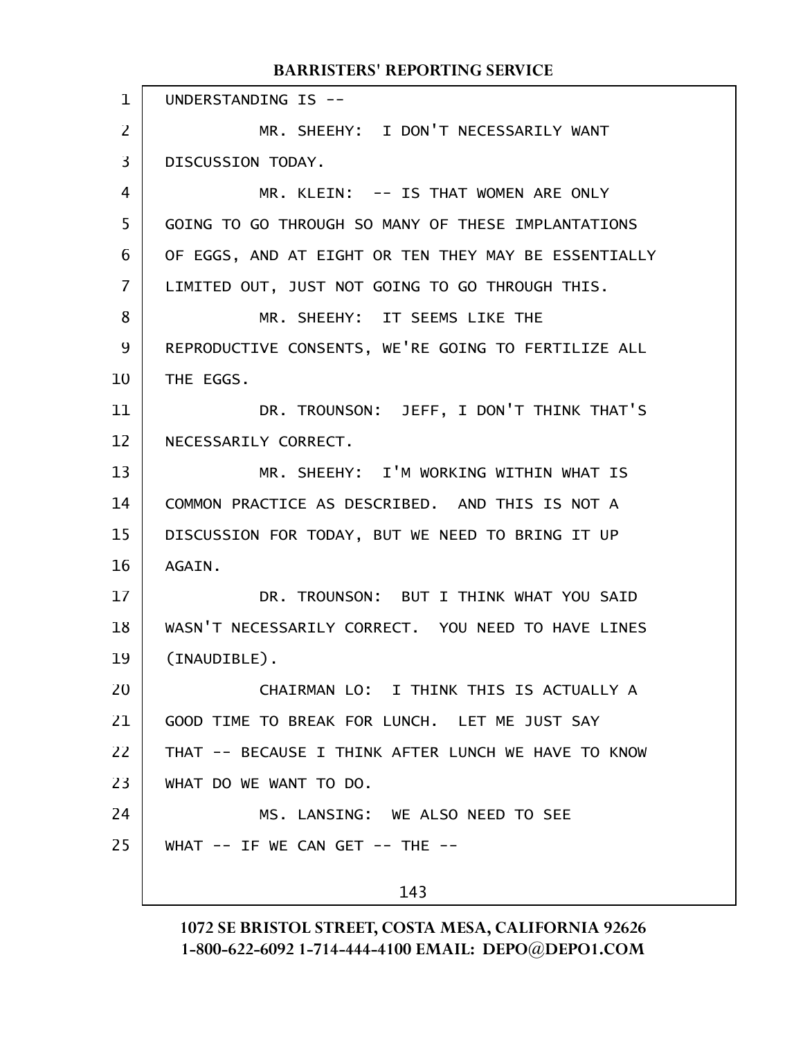UNDERSTANDING IS -- MR. SHEEHY: I DON'T NECESSARILY WANT DISCUSSION TODAY. MR. KLEIN: -- IS THAT WOMEN ARE ONLY GOING TO GO THROUGH SO MANY OF THESE IMPLANTATIONS OF EGGS, AND AT EIGHT OR TEN THEY MAY BE ESSENTIALLY LIMITED OUT, JUST NOT GOING TO GO THROUGH THIS. MR. SHEEHY: IT SEEMS LIKE THE REPRODUCTIVE CONSENTS, WE'RE GOING TO FERTILIZE ALL THE EGGS. DR. TROUNSON: JEFF, I DON'T THINK THAT'S NECESSARILY CORRECT. MR. SHEEHY: I'M WORKING WITHIN WHAT IS COMMON PRACTICE AS DESCRIBED. AND THIS IS NOT A DISCUSSION FOR TODAY, BUT WE NEED TO BRING IT UP AGAIN. DR. TROUNSON: BUT I THINK WHAT YOU SAID WASN'T NECESSARILY CORRECT. YOU NEED TO HAVE LINES (INAUDIBLE). CHAIRMAN LO: I THINK THIS IS ACTUALLY A GOOD TIME TO BREAK FOR LUNCH. LET ME JUST SAY THAT -- BECAUSE I THINK AFTER LUNCH WE HAVE TO KNOW WHAT DO WE WANT TO DO. MS. LANSING: WE ALSO NEED TO SEE WHAT  $--$  IF WE CAN GET  $--$  THE  $--$ 143 1 2 3 4 5 6 7 8 9 10 11 12 13 14 15 16 17 18 19 20 21 22 23 24 25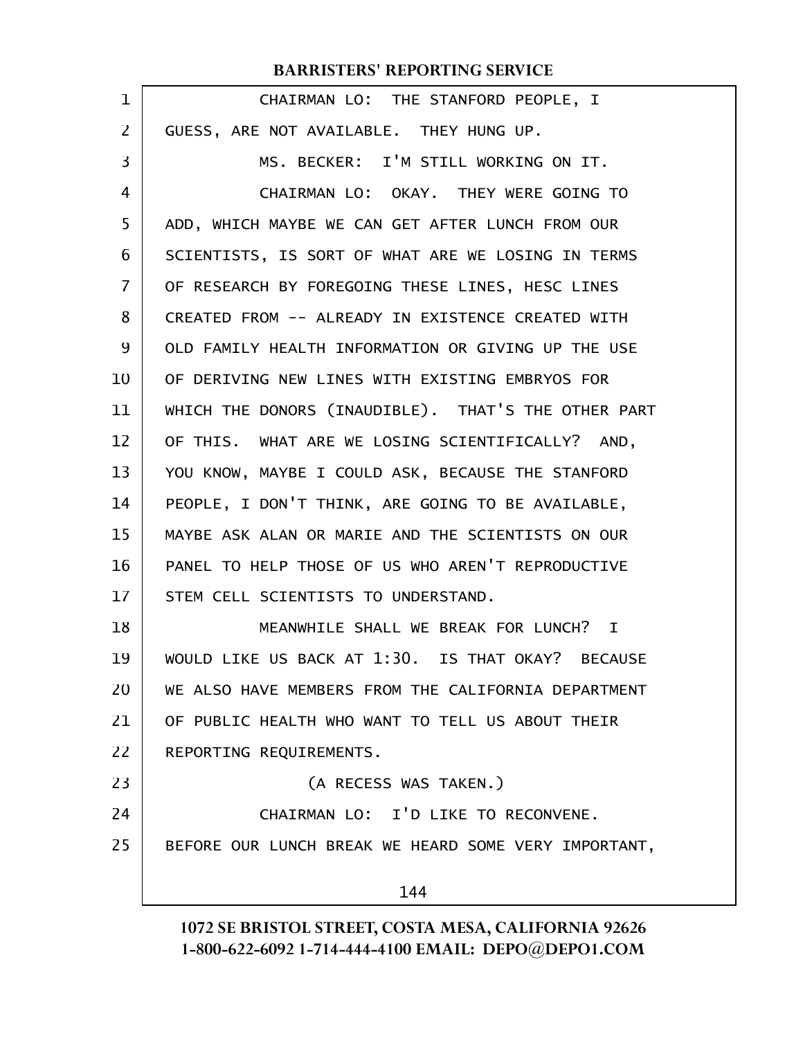| $\mathbf 1$ | CHAIRMAN LO: THE STANFORD PEOPLE, I                  |
|-------------|------------------------------------------------------|
| 2           | GUESS, ARE NOT AVAILABLE. THEY HUNG UP.              |
| 3           | MS. BECKER: I'M STILL WORKING ON IT.                 |
| 4           | CHAIRMAN LO: OKAY. THEY WERE GOING TO                |
| 5           | ADD, WHICH MAYBE WE CAN GET AFTER LUNCH FROM OUR     |
| 6           | SCIENTISTS, IS SORT OF WHAT ARE WE LOSING IN TERMS   |
| 7           | OF RESEARCH BY FOREGOING THESE LINES, HESC LINES     |
| 8           | CREATED FROM -- ALREADY IN EXISTENCE CREATED WITH    |
| 9           | OLD FAMILY HEALTH INFORMATION OR GIVING UP THE USE   |
| 10          | OF DERIVING NEW LINES WITH EXISTING EMBRYOS FOR      |
| 11          | WHICH THE DONORS (INAUDIBLE). THAT'S THE OTHER PART  |
| 12          | OF THIS. WHAT ARE WE LOSING SCIENTIFICALLY? AND,     |
| 13          | YOU KNOW, MAYBE I COULD ASK, BECAUSE THE STANFORD    |
| 14          | PEOPLE, I DON'T THINK, ARE GOING TO BE AVAILABLE,    |
| 15          | MAYBE ASK ALAN OR MARIE AND THE SCIENTISTS ON OUR    |
| 16          | PANEL TO HELP THOSE OF US WHO AREN'T REPRODUCTIVE    |
| 17          | STEM CELL SCIENTISTS TO UNDERSTAND.                  |
| 18          | MEANWHILE SHALL WE BREAK FOR LUNCH? I                |
| 19          | WOULD LIKE US BACK AT 1:30. IS THAT OKAY? BECAUSE    |
| 20          | WE ALSO HAVE MEMBERS FROM THE CALIFORNIA DEPARTMENT  |
| 21          | OF PUBLIC HEALTH WHO WANT TO TELL US ABOUT THEIR     |
| 22          | REPORTING REQUIREMENTS.                              |
| 23          | (A RECESS WAS TAKEN.)                                |
| 24          | CHAIRMAN LO: I'D LIKE TO RECONVENE.                  |
| 25          | BEFORE OUR LUNCH BREAK WE HEARD SOME VERY IMPORTANT, |
|             | 144                                                  |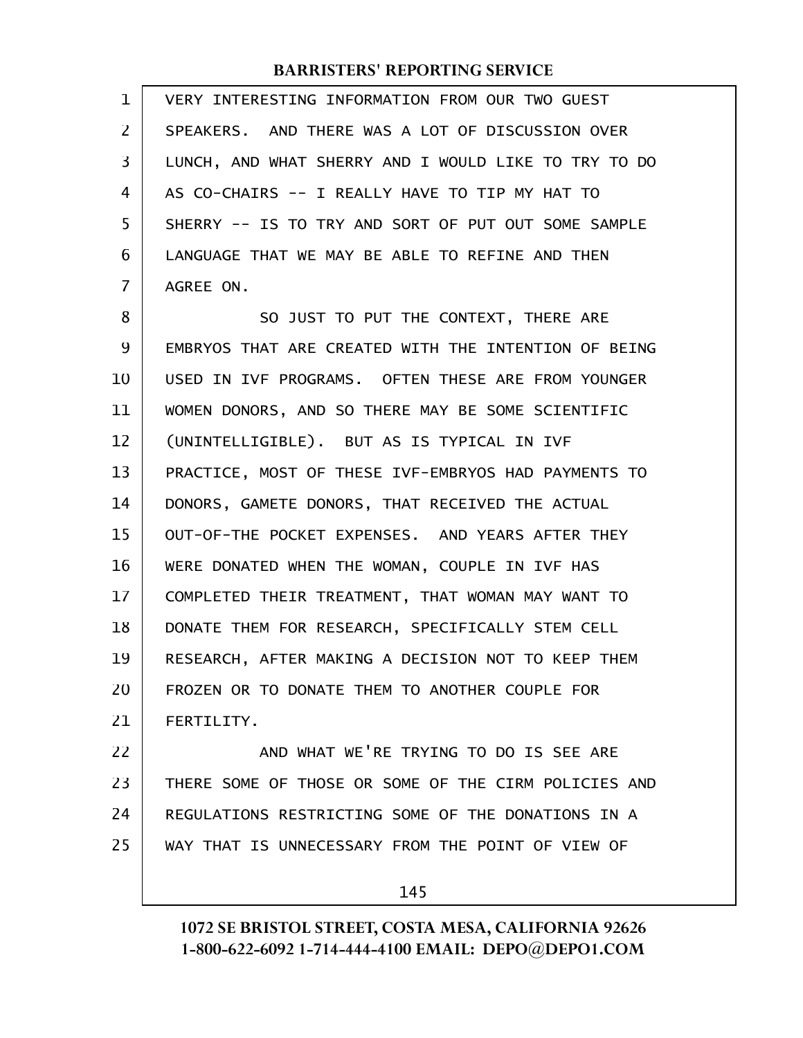| 1              | VERY INTERESTING INFORMATION FROM OUR TWO GUEST      |
|----------------|------------------------------------------------------|
| $\overline{2}$ | SPEAKERS. AND THERE WAS A LOT OF DISCUSSION OVER     |
| 3              | LUNCH, AND WHAT SHERRY AND I WOULD LIKE TO TRY TO DO |
| 4              | AS CO-CHAIRS -- I REALLY HAVE TO TIP MY HAT TO       |
| 5              | SHERRY -- IS TO TRY AND SORT OF PUT OUT SOME SAMPLE  |
| 6              | LANGUAGE THAT WE MAY BE ABLE TO REFINE AND THEN      |
| 7              | AGREE ON.                                            |
| 8              | SO JUST TO PUT THE CONTEXT, THERE ARE                |
| 9              | EMBRYOS THAT ARE CREATED WITH THE INTENTION OF BEING |
| 10             | USED IN IVF PROGRAMS. OFTEN THESE ARE FROM YOUNGER   |
| 11             | WOMEN DONORS, AND SO THERE MAY BE SOME SCIENTIFIC    |
| 12             | (UNINTELLIGIBLE). BUT AS IS TYPICAL IN IVF           |
| 13             | PRACTICE, MOST OF THESE IVF-EMBRYOS HAD PAYMENTS TO  |
| 14             | DONORS, GAMETE DONORS, THAT RECEIVED THE ACTUAL      |
| 15             | OUT-OF-THE POCKET EXPENSES. AND YEARS AFTER THEY     |
| 16             | WERE DONATED WHEN THE WOMAN, COUPLE IN IVF HAS       |
| 17             | COMPLETED THEIR TREATMENT, THAT WOMAN MAY WANT TO    |
| 18             | DONATE THEM FOR RESEARCH, SPECIFICALLY STEM CELL     |
| 19             | RESEARCH, AFTER MAKING A DECISION NOT TO KEEP THEM   |
| 20             | FROZEN OR TO DONATE THEM TO ANOTHER COUPLE FOR       |
| 21             | FERTILITY.                                           |
| 22             | AND WHAT WE'RE TRYING TO DO IS SEE ARE               |
| 23             | THERE SOME OF THOSE OR SOME OF THE CIRM POLICIES AND |
| 24             | REGULATIONS RESTRICTING SOME OF THE DONATIONS IN A   |
| 25             | WAY THAT IS UNNECESSARY FROM THE POINT OF VIEW OF    |
|                |                                                      |

145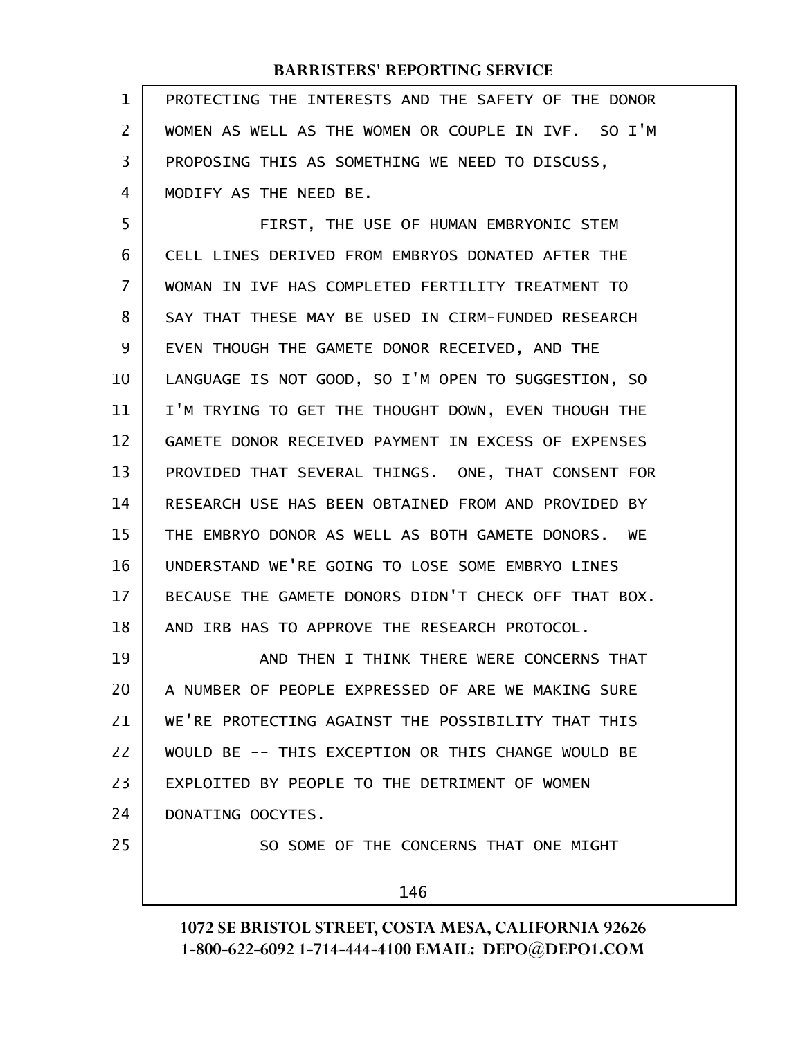PROTECTING THE INTERESTS AND THE SAFETY OF THE DONOR WOMEN AS WELL AS THE WOMEN OR COUPLE IN IVF. SO I'M PROPOSING THIS AS SOMETHING WE NEED TO DISCUSS, MODIFY AS THE NEED BE. 1 2 3 4

FIRST, THE USE OF HUMAN EMBRYONIC STEM CELL LINES DERIVED FROM EMBRYOS DONATED AFTER THE WOMAN IN IVF HAS COMPLETED FERTILITY TREATMENT TO SAY THAT THESE MAY BE USED IN CIRM-FUNDED RESEARCH EVEN THOUGH THE GAMETE DONOR RECEIVED, AND THE LANGUAGE IS NOT GOOD, SO I'M OPEN TO SUGGESTION, SO I'M TRYING TO GET THE THOUGHT DOWN, EVEN THOUGH THE GAMETE DONOR RECEIVED PAYMENT IN EXCESS OF EXPENSES PROVIDED THAT SEVERAL THINGS. ONE, THAT CONSENT FOR RESEARCH USE HAS BEEN OBTAINED FROM AND PROVIDED BY THE EMBRYO DONOR AS WELL AS BOTH GAMETE DONORS. WE UNDERSTAND WE'RE GOING TO LOSE SOME EMBRYO LINES BECAUSE THE GAMETE DONORS DIDN'T CHECK OFF THAT BOX. AND IRB HAS TO APPROVE THE RESEARCH PROTOCOL. 5 6 7 8 9 10 11 12 13 14 15 16 17 18

AND THEN I THINK THERE WERE CONCERNS THAT A NUMBER OF PEOPLE EXPRESSED OF ARE WE MAKING SURE WE'RE PROTECTING AGAINST THE POSSIBILITY THAT THIS WOULD BE -- THIS EXCEPTION OR THIS CHANGE WOULD BE EXPLOITED BY PEOPLE TO THE DETRIMENT OF WOMEN DONATING OOCYTES. 19 20 21 22 23 24

25

SO SOME OF THE CONCERNS THAT ONE MIGHT

146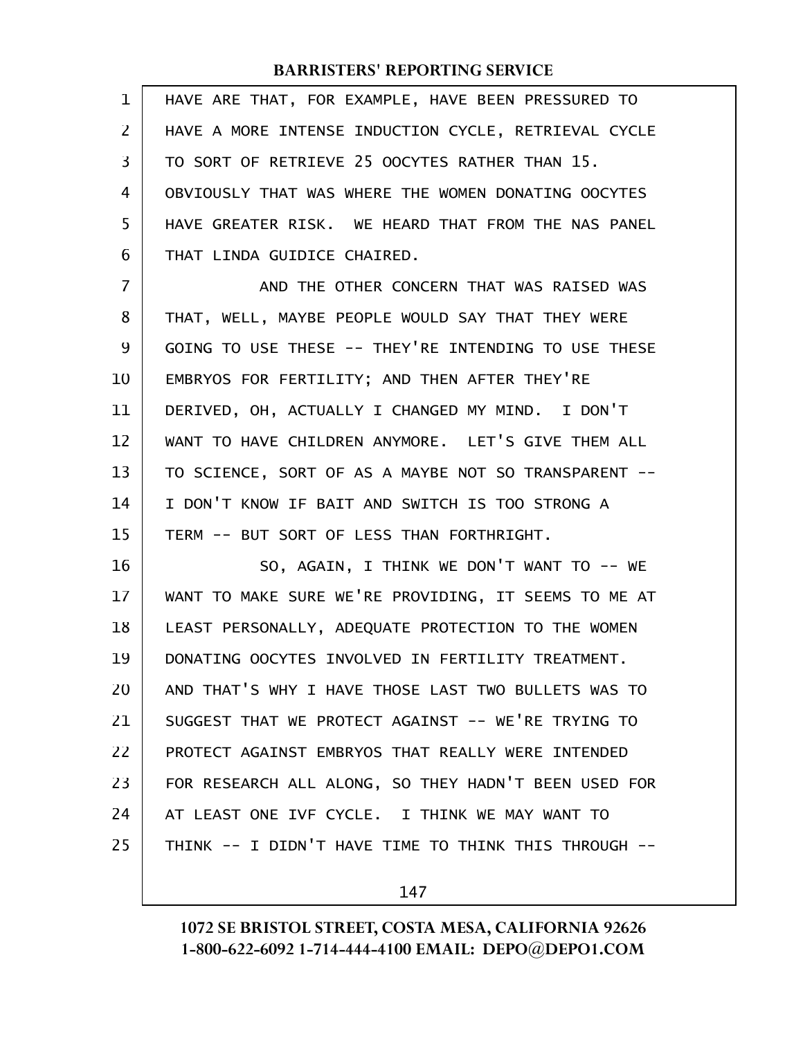| $\mathbf{1}$   | HAVE ARE THAT, FOR EXAMPLE, HAVE BEEN PRESSURED TO   |
|----------------|------------------------------------------------------|
| $\overline{2}$ | HAVE A MORE INTENSE INDUCTION CYCLE, RETRIEVAL CYCLE |
| 3              | TO SORT OF RETRIEVE 25 OOCYTES RATHER THAN 15.       |
| 4              | OBVIOUSLY THAT WAS WHERE THE WOMEN DONATING OOCYTES  |
| 5              | HAVE GREATER RISK. WE HEARD THAT FROM THE NAS PANEL  |
| 6              | THAT LINDA GUIDICE CHAIRED.                          |
| 7              | AND THE OTHER CONCERN THAT WAS RAISED WAS            |
| 8              | THAT, WELL, MAYBE PEOPLE WOULD SAY THAT THEY WERE    |
| 9              | GOING TO USE THESE -- THEY'RE INTENDING TO USE THESE |
| 10             | EMBRYOS FOR FERTILITY; AND THEN AFTER THEY'RE        |
| 11             | DERIVED, OH, ACTUALLY I CHANGED MY MIND. I DON'T     |
| 12             | WANT TO HAVE CHILDREN ANYMORE. LET'S GIVE THEM ALL   |
| 13             | TO SCIENCE, SORT OF AS A MAYBE NOT SO TRANSPARENT -- |
| 14             | I DON'T KNOW IF BAIT AND SWITCH IS TOO STRONG A      |
| 15             | TERM -- BUT SORT OF LESS THAN FORTHRIGHT.            |
| 16             | SO, AGAIN, I THINK WE DON'T WANT TO -- WE            |
| 17             | WANT TO MAKE SURE WE'RE PROVIDING, IT SEEMS TO ME AT |
| 18             | LEAST PERSONALLY, ADEQUATE PROTECTION TO THE WOMEN   |
| 19             | DONATING OOCYTES INVOLVED IN FERTILITY TREATMENT.    |
| 20             | AND THAT'S WHY I HAVE THOSE LAST TWO BULLETS WAS TO  |
| 21             | SUGGEST THAT WE PROTECT AGAINST -- WE'RE TRYING TO   |
| 22             | PROTECT AGAINST EMBRYOS THAT REALLY WERE INTENDED    |
| 23             | FOR RESEARCH ALL ALONG, SO THEY HADN'T BEEN USED FOR |
| 24             | AT LEAST ONE IVF CYCLE. I THINK WE MAY WANT TO       |
| 25             | THINK -- I DIDN'T HAVE TIME TO THINK THIS THROUGH -- |
|                |                                                      |

147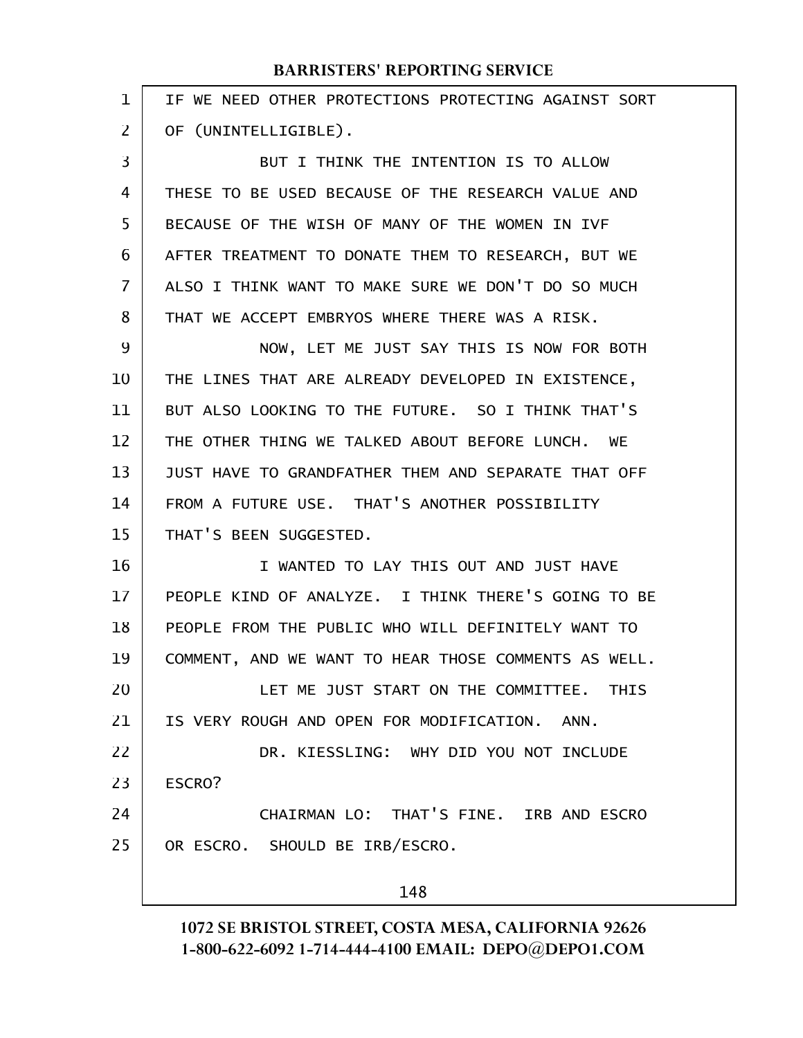| $\mathbf{1}$   | IF WE NEED OTHER PROTECTIONS PROTECTING AGAINST SORT |
|----------------|------------------------------------------------------|
| $\overline{2}$ | OF (UNINTELLIGIBLE).                                 |
| 3              | BUT I THINK THE INTENTION IS TO ALLOW                |
| 4              | THESE TO BE USED BECAUSE OF THE RESEARCH VALUE AND   |
| 5              | BECAUSE OF THE WISH OF MANY OF THE WOMEN IN IVF      |
| 6              | AFTER TREATMENT TO DONATE THEM TO RESEARCH, BUT WE   |
| 7              | ALSO I THINK WANT TO MAKE SURE WE DON'T DO SO MUCH   |
| 8              | THAT WE ACCEPT EMBRYOS WHERE THERE WAS A RISK.       |
| 9              | NOW, LET ME JUST SAY THIS IS NOW FOR BOTH            |
| 10             | THE LINES THAT ARE ALREADY DEVELOPED IN EXISTENCE,   |
| 11             | BUT ALSO LOOKING TO THE FUTURE. SO I THINK THAT'S    |
| 12             | THE OTHER THING WE TALKED ABOUT BEFORE LUNCH. WE     |
| 13             | JUST HAVE TO GRANDFATHER THEM AND SEPARATE THAT OFF  |
| 14             | FROM A FUTURE USE. THAT'S ANOTHER POSSIBILITY        |
| 15             | THAT'S BEEN SUGGESTED.                               |
| 16             | I WANTED TO LAY THIS OUT AND JUST HAVE               |
| 17             | PEOPLE KIND OF ANALYZE. I THINK THERE'S GOING TO BE  |
| 18             | PEOPLE FROM THE PUBLIC WHO WILL DEFINITELY WANT TO   |
| 19             | COMMENT, AND WE WANT TO HEAR THOSE COMMENTS AS WELL. |
| 20             | LET ME JUST START ON THE COMMITTEE. THIS             |
| 21             | IS VERY ROUGH AND OPEN FOR MODIFICATION. ANN.        |
| 22             | DR. KIESSLING: WHY DID YOU NOT INCLUDE               |
| 23             | ESCRO?                                               |
| 24             | CHAIRMAN LO: THAT'S FINE. IRB AND ESCRO              |
| 25             | OR ESCRO. SHOULD BE IRB/ESCRO.                       |
|                | 148                                                  |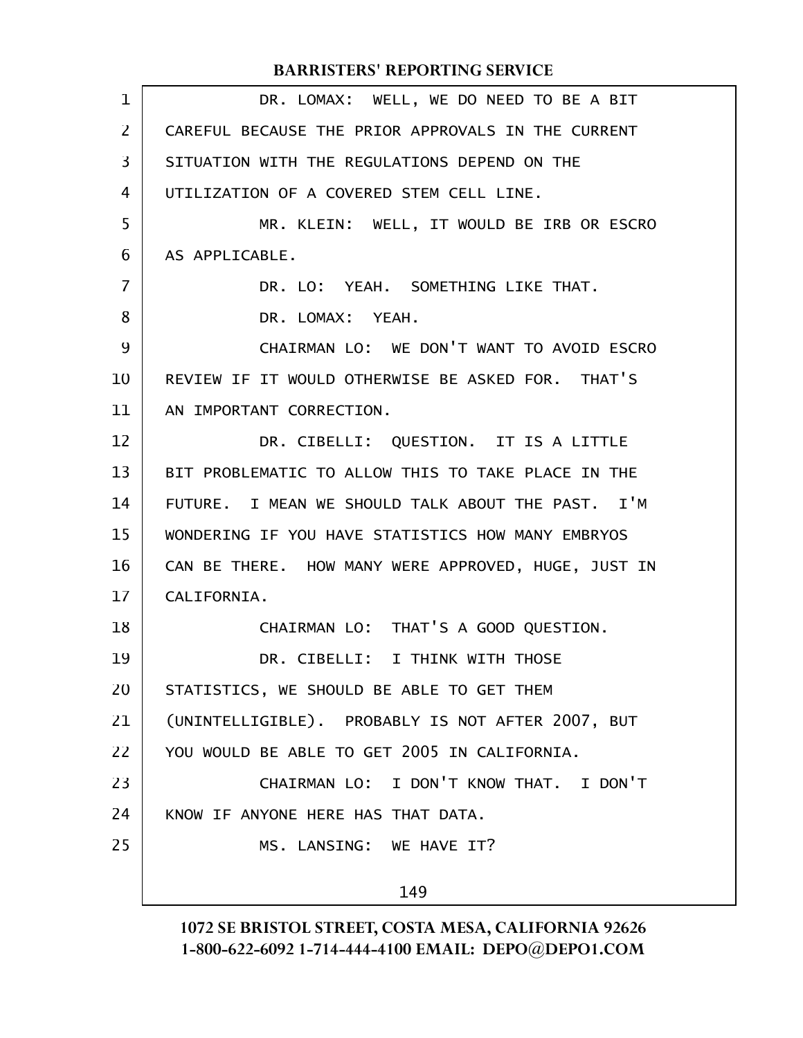|                | <b>BARRISTERS' REPORTING SERVICE</b>                |
|----------------|-----------------------------------------------------|
| $\mathbf 1$    | DR. LOMAX: WELL, WE DO NEED TO BE A BIT             |
| $\overline{2}$ | CAREFUL BECAUSE THE PRIOR APPROVALS IN THE CURRENT  |
| 3              | SITUATION WITH THE REGULATIONS DEPEND ON THE        |
| 4              | UTILIZATION OF A COVERED STEM CELL LINE.            |
| 5              | MR. KLEIN: WELL, IT WOULD BE IRB OR ESCRO           |
| 6              | AS APPLICABLE.                                      |
| 7              | DR. LO: YEAH. SOMETHING LIKE THAT.                  |
| 8              | DR. LOMAX: YEAH.                                    |
| 9              | CHAIRMAN LO: WE DON'T WANT TO AVOID ESCRO           |
| 10             | REVIEW IF IT WOULD OTHERWISE BE ASKED FOR. THAT'S   |
| 11             | AN IMPORTANT CORRECTION.                            |
| 12             | DR. CIBELLI: QUESTION. IT IS A LITTLE               |
| 13             | BIT PROBLEMATIC TO ALLOW THIS TO TAKE PLACE IN THE  |
| 14             | FUTURE. I MEAN WE SHOULD TALK ABOUT THE PAST. I'M   |
| 15             | WONDERING IF YOU HAVE STATISTICS HOW MANY EMBRYOS   |
| 16             | CAN BE THERE. HOW MANY WERE APPROVED, HUGE, JUST IN |
| 17             | CALIFORNIA.                                         |
| 18             | CHAIRMAN LO: THAT'S A GOOD QUESTION.                |
| 19             | DR. CIBELLI: I THINK WITH THOSE                     |
| 20             | STATISTICS, WE SHOULD BE ABLE TO GET THEM           |
| 21             | (UNINTELLIGIBLE). PROBABLY IS NOT AFTER 2007, BUT   |
| 22             | YOU WOULD BE ABLE TO GET 2005 IN CALIFORNIA.        |
| 23             | CHAIRMAN LO: I DON'T KNOW THAT. I DON'T             |
| 24             | KNOW IF ANYONE HERE HAS THAT DATA.                  |
| 25             | MS. LANSING: WE HAVE IT?                            |
|                | 110                                                 |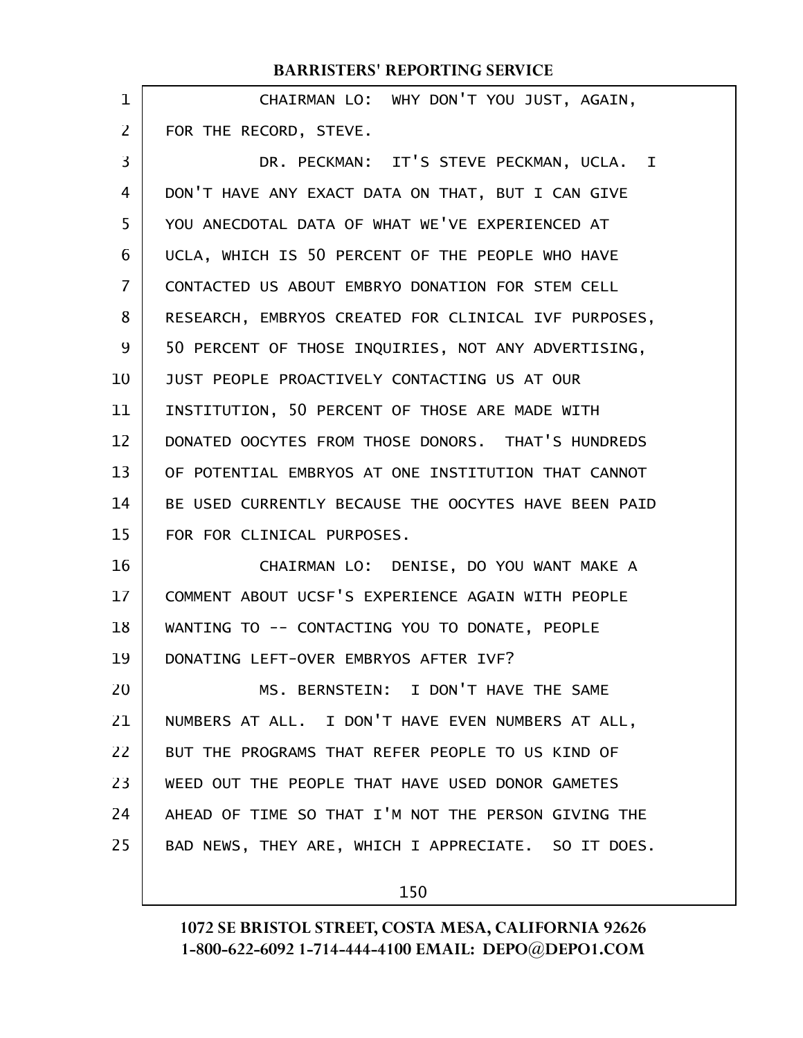| $\mathbf 1$ | CHAIRMAN LO: WHY DON'T YOU JUST, AGAIN,              |
|-------------|------------------------------------------------------|
| 2           | FOR THE RECORD, STEVE.                               |
| 3           | DR. PECKMAN: IT'S STEVE PECKMAN, UCLA. I             |
| 4           | DON'T HAVE ANY EXACT DATA ON THAT, BUT I CAN GIVE    |
| 5           | YOU ANECDOTAL DATA OF WHAT WE'VE EXPERIENCED AT      |
| 6           | UCLA, WHICH IS 50 PERCENT OF THE PEOPLE WHO HAVE     |
| 7           | CONTACTED US ABOUT EMBRYO DONATION FOR STEM CELL     |
| 8           | RESEARCH, EMBRYOS CREATED FOR CLINICAL IVF PURPOSES, |
| 9           | 50 PERCENT OF THOSE INQUIRIES, NOT ANY ADVERTISING,  |
| 10          | JUST PEOPLE PROACTIVELY CONTACTING US AT OUR         |
| 11          | INSTITUTION, 50 PERCENT OF THOSE ARE MADE WITH       |
| 12          | DONATED OOCYTES FROM THOSE DONORS. THAT'S HUNDREDS   |
| 13          | OF POTENTIAL EMBRYOS AT ONE INSTITUTION THAT CANNOT  |
| 14          | BE USED CURRENTLY BECAUSE THE OOCYTES HAVE BEEN PAID |
| 15          | FOR FOR CLINICAL PURPOSES.                           |
| 16          | CHAIRMAN LO: DENISE, DO YOU WANT MAKE A              |
| 17          | COMMENT ABOUT UCSF'S EXPERIENCE AGAIN WITH PEOPLE    |
| 18          | WANTING TO -- CONTACTING YOU TO DONATE, PEOPLE       |
| 19          | DONATING LEFT-OVER EMBRYOS AFTER IVF?                |
| 20          | MS. BERNSTEIN: I DON'T HAVE THE SAME                 |
| 21          | NUMBERS AT ALL. I DON'T HAVE EVEN NUMBERS AT ALL,    |
| 22          | BUT THE PROGRAMS THAT REFER PEOPLE TO US KIND OF     |
| 23          | WEED OUT THE PEOPLE THAT HAVE USED DONOR GAMETES     |
| 24          | AHEAD OF TIME SO THAT I'M NOT THE PERSON GIVING THE  |
| 25          | BAD NEWS, THEY ARE, WHICH I APPRECIATE. SO IT DOES.  |
|             |                                                      |

150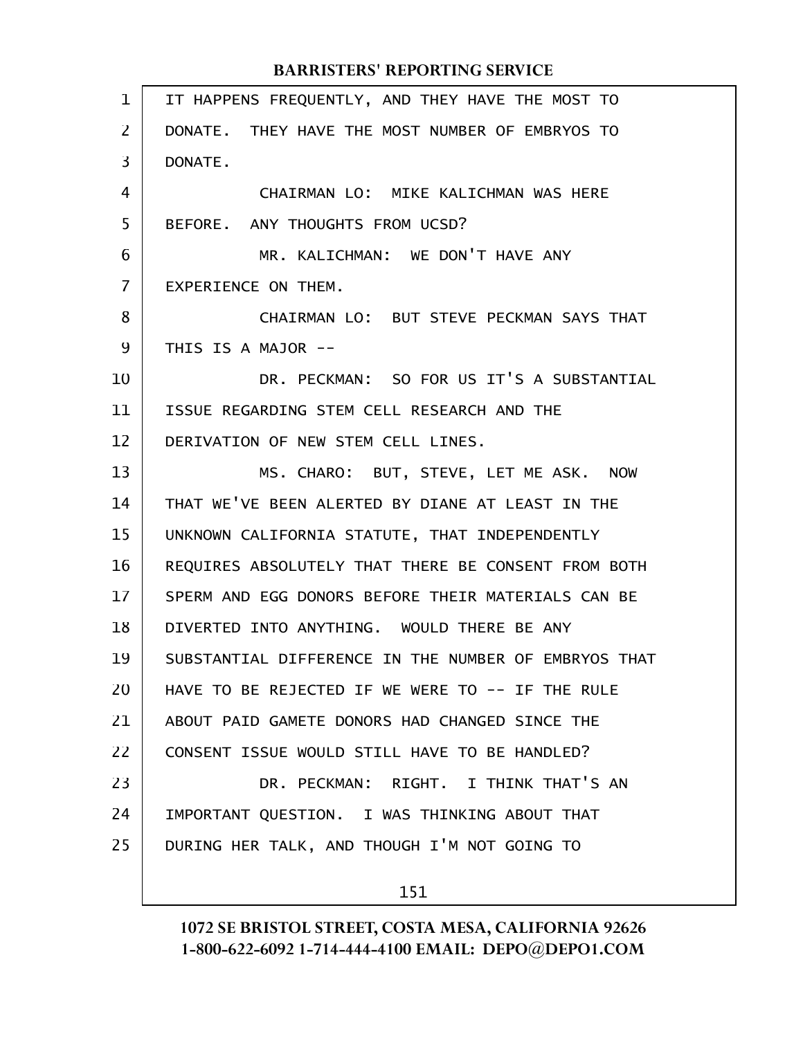|                | <b>BARRISTERS' REPORTING SERVICE</b>                 |
|----------------|------------------------------------------------------|
| $\mathbf{1}$   | IT HAPPENS FREQUENTLY, AND THEY HAVE THE MOST TO     |
| $\overline{2}$ | DONATE. THEY HAVE THE MOST NUMBER OF EMBRYOS TO      |
| 3              | DONATE.                                              |
| 4              | CHAIRMAN LO: MIKE KALICHMAN WAS HERE                 |
| 5              | BEFORE. ANY THOUGHTS FROM UCSD?                      |
| 6              | MR. KALICHMAN: WE DON'T HAVE ANY                     |
| 7              | EXPERIENCE ON THEM.                                  |
| 8              | CHAIRMAN LO: BUT STEVE PECKMAN SAYS THAT             |
| 9              | THIS IS A MAJOR --                                   |
| 10             | DR. PECKMAN: SO FOR US IT'S A SUBSTANTIAL            |
| 11             | ISSUE REGARDING STEM CELL RESEARCH AND THE           |
| 12             | DERIVATION OF NEW STEM CELL LINES.                   |
| 13             | MS. CHARO: BUT, STEVE, LET ME ASK. NOW               |
| 14             | THAT WE'VE BEEN ALERTED BY DIANE AT LEAST IN THE     |
| 15             | UNKNOWN CALIFORNIA STATUTE, THAT INDEPENDENTLY       |
| 16             | REQUIRES ABSOLUTELY THAT THERE BE CONSENT FROM BOTH  |
| 17             | SPERM AND EGG DONORS BEFORE THEIR MATERIALS CAN BE   |
| 18             | DIVERTED INTO ANYTHING. WOULD THERE BE ANY           |
| 19             | SUBSTANTIAL DIFFERENCE IN THE NUMBER OF EMBRYOS THAT |
| 20             | HAVE TO BE REJECTED IF WE WERE TO -- IF THE RULE     |
| 21             | ABOUT PAID GAMETE DONORS HAD CHANGED SINCE THE       |
| 22             | CONSENT ISSUE WOULD STILL HAVE TO BE HANDLED?        |
| 23             | DR. PECKMAN: RIGHT. I THINK THAT'S AN                |
| 24             | IMPORTANT QUESTION. I WAS THINKING ABOUT THAT        |
| 25             | DURING HER TALK, AND THOUGH I'M NOT GOING TO         |
|                | 151                                                  |
|                |                                                      |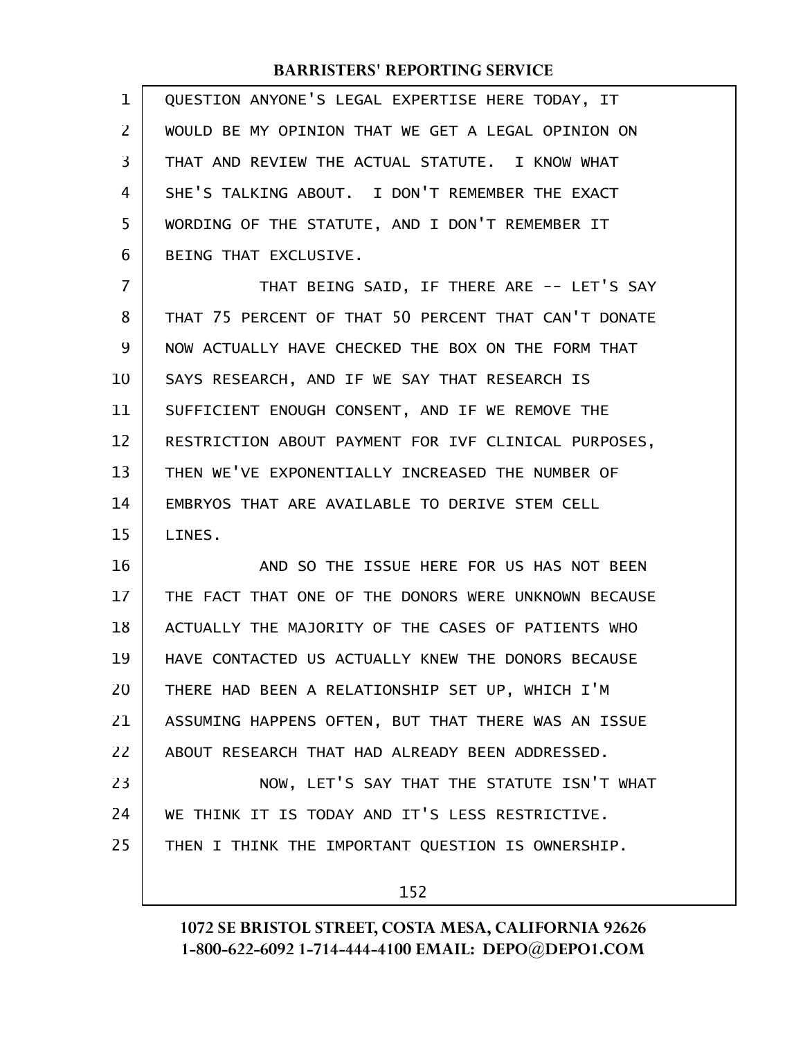| 1              | QUESTION ANYONE'S LEGAL EXPERTISE HERE TODAY, IT     |
|----------------|------------------------------------------------------|
| 2              | WOULD BE MY OPINION THAT WE GET A LEGAL OPINION ON   |
| 3              | THAT AND REVIEW THE ACTUAL STATUTE. I KNOW WHAT      |
| 4              | SHE'S TALKING ABOUT. I DON'T REMEMBER THE EXACT      |
| 5              | WORDING OF THE STATUTE, AND I DON'T REMEMBER IT      |
| 6              | BEING THAT EXCLUSIVE.                                |
| $\overline{7}$ | THAT BEING SAID, IF THERE ARE -- LET'S SAY           |
| 8              | THAT 75 PERCENT OF THAT 50 PERCENT THAT CAN'T DONATE |
| 9              | NOW ACTUALLY HAVE CHECKED THE BOX ON THE FORM THAT   |
| 10             | SAYS RESEARCH, AND IF WE SAY THAT RESEARCH IS        |
| 11             | SUFFICIENT ENOUGH CONSENT, AND IF WE REMOVE THE      |
| 12             | RESTRICTION ABOUT PAYMENT FOR IVF CLINICAL PURPOSES, |
| 13             | THEN WE'VE EXPONENTIALLY INCREASED THE NUMBER OF     |
| 14             | EMBRYOS THAT ARE AVAILABLE TO DERIVE STEM CELL       |
| 15             | LINES.                                               |
| 16             | AND SO THE ISSUE HERE FOR US HAS NOT BEEN            |
| 17             | THE FACT THAT ONE OF THE DONORS WERE UNKNOWN BECAUSE |
| 18             | ACTUALLY THE MAJORITY OF THE CASES OF PATIENTS WHO   |
| 19             | HAVE CONTACTED US ACTUALLY KNEW THE DONORS BECAUSE   |
| 20             | THERE HAD BEEN A RELATIONSHIP SET UP, WHICH I'M      |
| 21             | ASSUMING HAPPENS OFTEN, BUT THAT THERE WAS AN ISSUE  |
| 22             | ABOUT RESEARCH THAT HAD ALREADY BEEN ADDRESSED.      |
| 23             | NOW, LET'S SAY THAT THE STATUTE ISN'T WHAT           |
| 24             | WE THINK IT IS TODAY AND IT'S LESS RESTRICTIVE.      |
| 25             | THEN I THINK THE IMPORTANT QUESTION IS OWNERSHIP.    |
|                | 152                                                  |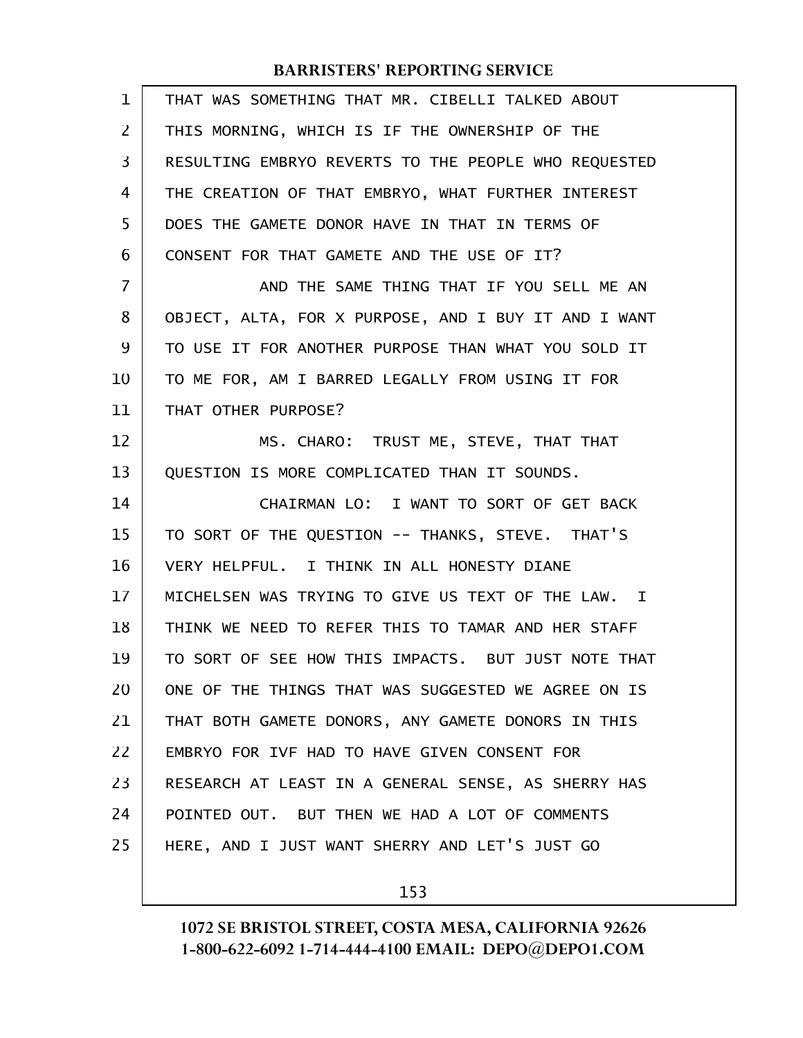| $\mathbf{1}$   | THAT WAS SOMETHING THAT MR. CIBELLI TALKED ABOUT     |
|----------------|------------------------------------------------------|
| $\overline{2}$ | THIS MORNING, WHICH IS IF THE OWNERSHIP OF THE       |
| 3              | RESULTING EMBRYO REVERTS TO THE PEOPLE WHO REQUESTED |
| 4              | THE CREATION OF THAT EMBRYO, WHAT FURTHER INTEREST   |
| 5              | DOES THE GAMETE DONOR HAVE IN THAT IN TERMS OF       |
| 6              | CONSENT FOR THAT GAMETE AND THE USE OF IT?           |
| $\overline{7}$ | AND THE SAME THING THAT IF YOU SELL ME AN            |
| 8              | OBJECT, ALTA, FOR X PURPOSE, AND I BUY IT AND I WANT |
| 9              | TO USE IT FOR ANOTHER PURPOSE THAN WHAT YOU SOLD IT  |
| 10             | TO ME FOR, AM I BARRED LEGALLY FROM USING IT FOR     |
| 11             | THAT OTHER PURPOSE?                                  |
| 12             | MS. CHARO: TRUST ME, STEVE, THAT THAT                |
| 13             | QUESTION IS MORE COMPLICATED THAN IT SOUNDS.         |
| 14             | CHAIRMAN LO: I WANT TO SORT OF GET BACK              |
| 15             | TO SORT OF THE QUESTION -- THANKS, STEVE. THAT'S     |
| 16             | VERY HELPFUL. I THINK IN ALL HONESTY DIANE           |
| 17             | MICHELSEN WAS TRYING TO GIVE US TEXT OF THE LAW. I   |
| 18             | THINK WE NEED TO REFER THIS TO TAMAR AND HER STAFF   |
| 19             | TO SORT OF SEE HOW THIS IMPACTS. BUT JUST NOTE THAT  |
| 20             | ONE OF THE THINGS THAT WAS SUGGESTED WE AGREE ON IS  |
| 21             | THAT BOTH GAMETE DONORS, ANY GAMETE DONORS IN THIS   |
| 22             | EMBRYO FOR IVF HAD TO HAVE GIVEN CONSENT FOR         |
| 23             | RESEARCH AT LEAST IN A GENERAL SENSE, AS SHERRY HAS  |
| 24             | POINTED OUT. BUT THEN WE HAD A LOT OF COMMENTS       |
| 25             | HERE, AND I JUST WANT SHERRY AND LET'S JUST GO       |
|                |                                                      |

153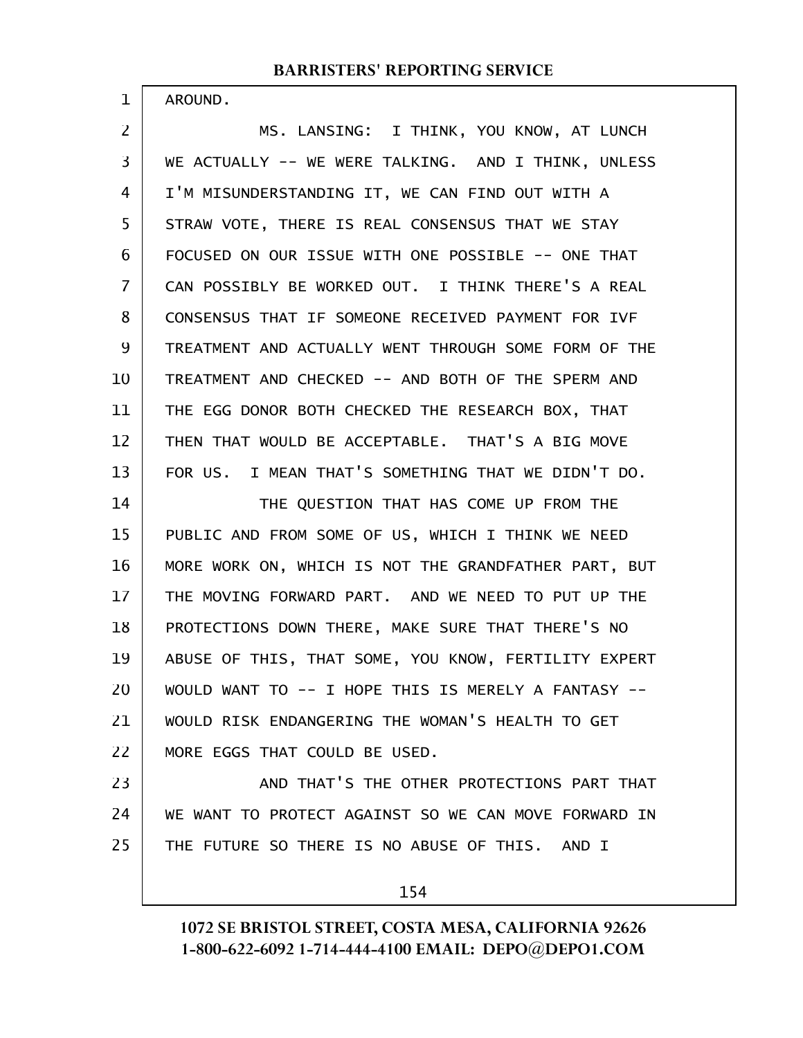AROUND.

1

MS. LANSING: I THINK, YOU KNOW, AT LUNCH WE ACTUALLY -- WE WERE TALKING. AND I THINK, UNLESS I'M MISUNDERSTANDING IT, WE CAN FIND OUT WITH A STRAW VOTE, THERE IS REAL CONSENSUS THAT WE STAY FOCUSED ON OUR ISSUE WITH ONE POSSIBLE -- ONE THAT CAN POSSIBLY BE WORKED OUT. I THINK THERE'S A REAL CONSENSUS THAT IF SOMEONE RECEIVED PAYMENT FOR IVF TREATMENT AND ACTUALLY WENT THROUGH SOME FORM OF THE TREATMENT AND CHECKED -- AND BOTH OF THE SPERM AND THE EGG DONOR BOTH CHECKED THE RESEARCH BOX, THAT THEN THAT WOULD BE ACCEPTABLE. THAT'S A BIG MOVE FOR US. I MEAN THAT'S SOMETHING THAT WE DIDN'T DO. THE QUESTION THAT HAS COME UP FROM THE PUBLIC AND FROM SOME OF US, WHICH I THINK WE NEED MORE WORK ON, WHICH IS NOT THE GRANDFATHER PART, BUT THE MOVING FORWARD PART. AND WE NEED TO PUT UP THE PROTECTIONS DOWN THERE, MAKE SURE THAT THERE'S NO ABUSE OF THIS, THAT SOME, YOU KNOW, FERTILITY EXPERT WOULD WANT TO -- I HOPE THIS IS MERELY A FANTASY -- WOULD RISK ENDANGERING THE WOMAN'S HEALTH TO GET MORE EGGS THAT COULD BE USED. AND THAT'S THE OTHER PROTECTIONS PART THAT WE WANT TO PROTECT AGAINST SO WE CAN MOVE FORWARD IN THE FUTURE SO THERE IS NO ABUSE OF THIS. AND I 2 3 4 5 6 7 8 9 10 11 12 13 14 15 16 17 18 19 20 21 22 23 24 25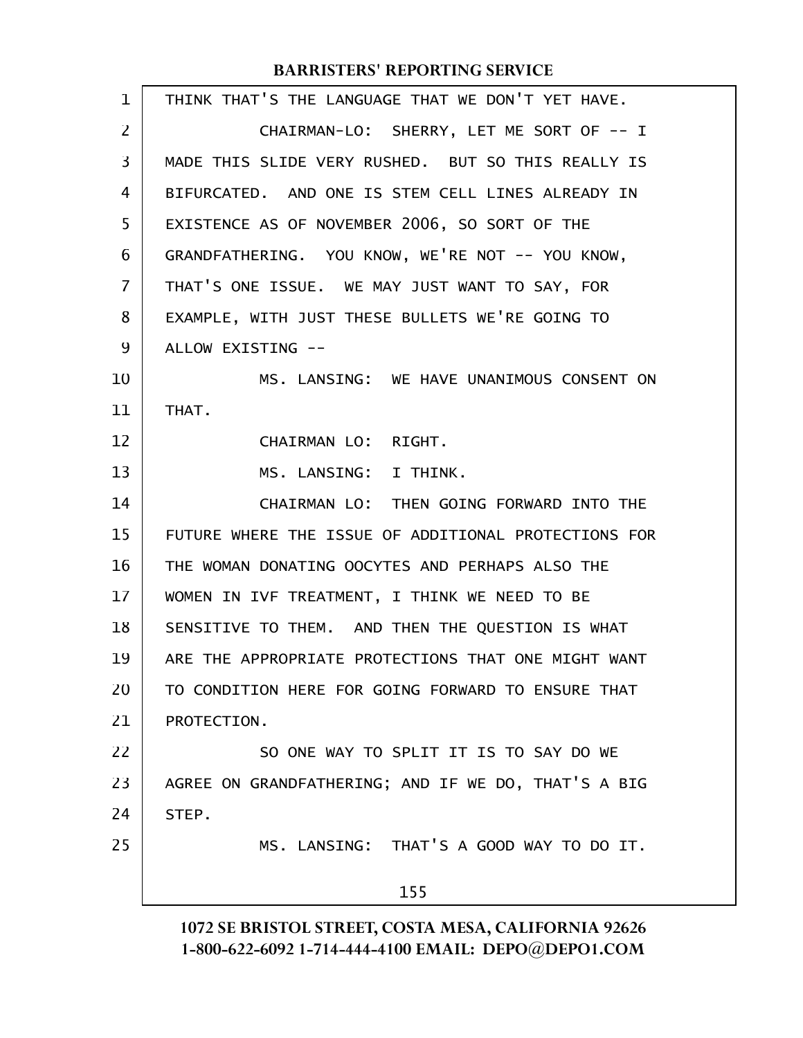| THINK THAT'S THE LANGUAGE THAT WE DON'T YET HAVE.    |
|------------------------------------------------------|
| CHAIRMAN-LO: SHERRY, LET ME SORT OF -- I             |
| MADE THIS SLIDE VERY RUSHED. BUT SO THIS REALLY IS   |
| BIFURCATED. AND ONE IS STEM CELL LINES ALREADY IN    |
| EXISTENCE AS OF NOVEMBER 2006, SO SORT OF THE        |
| GRANDFATHERING. YOU KNOW, WE'RE NOT -- YOU KNOW,     |
| THAT'S ONE ISSUE. WE MAY JUST WANT TO SAY, FOR       |
| EXAMPLE, WITH JUST THESE BULLETS WE'RE GOING TO      |
| ALLOW EXISTING --                                    |
| MS. LANSING: WE HAVE UNANIMOUS CONSENT ON            |
| THAT.                                                |
| CHAIRMAN LO: RIGHT.                                  |
| MS. LANSING: I THINK.                                |
| CHAIRMAN LO: THEN GOING FORWARD INTO THE             |
| FUTURE WHERE THE ISSUE OF ADDITIONAL PROTECTIONS FOR |
| THE WOMAN DONATING OOCYTES AND PERHAPS ALSO THE      |
| WOMEN IN IVF TREATMENT, I THINK WE NEED TO BE        |
| SENSITIVE TO THEM. AND THEN THE QUESTION IS WHAT     |
| ARE THE APPROPRIATE PROTECTIONS THAT ONE MIGHT WANT  |
| TO CONDITION HERE FOR GOING FORWARD TO ENSURE THAT   |
| PROTECTION.                                          |
| SO ONE WAY TO SPLIT IT IS TO SAY DO WE               |
| AGREE ON GRANDFATHERING; AND IF WE DO, THAT'S A BIG  |
| STEP.                                                |
| MS. LANSING: THAT'S A GOOD WAY TO DO IT.             |
| 155                                                  |
|                                                      |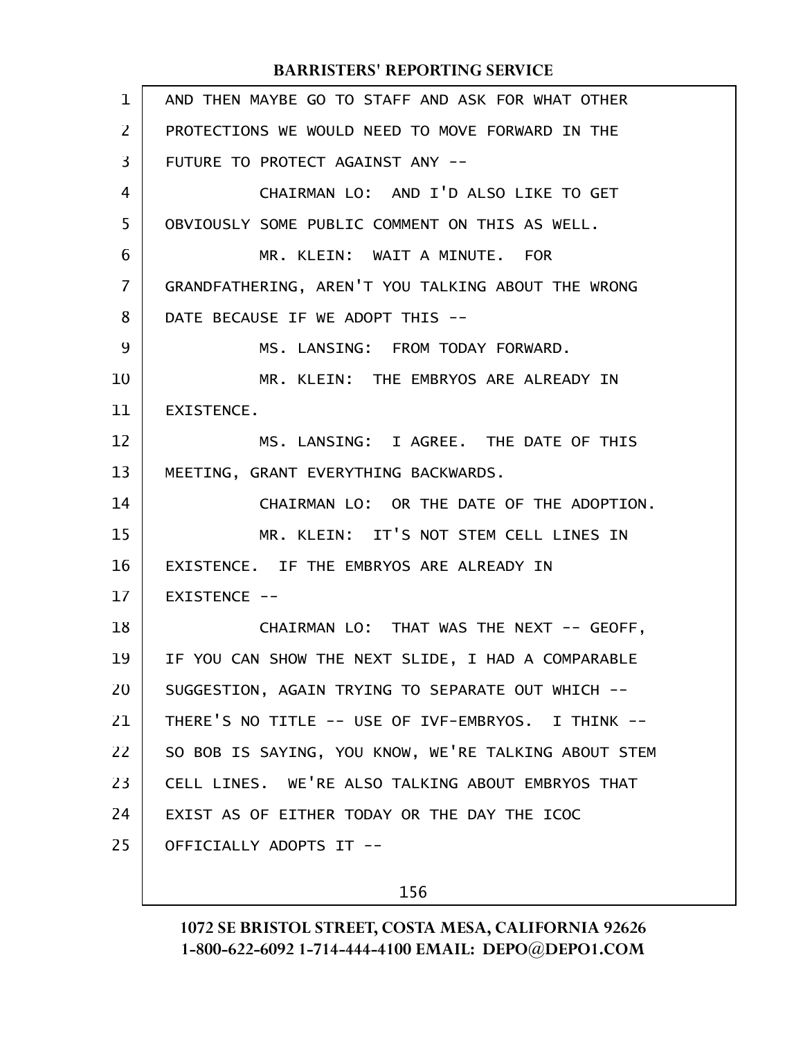| $\mathbf 1$    | AND THEN MAYBE GO TO STAFF AND ASK FOR WHAT OTHER    |
|----------------|------------------------------------------------------|
| $\overline{2}$ | PROTECTIONS WE WOULD NEED TO MOVE FORWARD IN THE     |
| 3              | FUTURE TO PROTECT AGAINST ANY --                     |
| 4              | CHAIRMAN LO: AND I'D ALSO LIKE TO GET                |
| 5              | OBVIOUSLY SOME PUBLIC COMMENT ON THIS AS WELL.       |
| 6              | MR. KLEIN: WAIT A MINUTE. FOR                        |
| $\overline{7}$ | GRANDFATHERING, AREN'T YOU TALKING ABOUT THE WRONG   |
| 8              | DATE BECAUSE IF WE ADOPT THIS --                     |
| 9              | MS. LANSING: FROM TODAY FORWARD.                     |
| 10             | MR. KLEIN: THE EMBRYOS ARE ALREADY IN                |
| 11             | EXISTENCE.                                           |
| 12             | MS. LANSING: I AGREE. THE DATE OF THIS               |
| 13             | MEETING, GRANT EVERYTHING BACKWARDS.                 |
| 14             | CHAIRMAN LO: OR THE DATE OF THE ADOPTION.            |
| 15             | MR. KLEIN: IT'S NOT STEM CELL LINES IN               |
| 16             | EXISTENCE. IF THE EMBRYOS ARE ALREADY IN             |
| 17             | EXISTENCE --                                         |
| 18             | CHAIRMAN LO: THAT WAS THE NEXT -- GEOFF,             |
| 19             | IF YOU CAN SHOW THE NEXT SLIDE, I HAD A COMPARABLE   |
| 20             | SUGGESTION, AGAIN TRYING TO SEPARATE OUT WHICH --    |
| 21             | THERE'S NO TITLE -- USE OF IVF-EMBRYOS. I THINK --   |
| 22             | SO BOB IS SAYING, YOU KNOW, WE'RE TALKING ABOUT STEM |
| 23             | CELL LINES. WE'RE ALSO TALKING ABOUT EMBRYOS THAT    |
| 24             | EXIST AS OF EITHER TODAY OR THE DAY THE ICOC         |
| 25             | OFFICIALLY ADOPTS IT --                              |
|                |                                                      |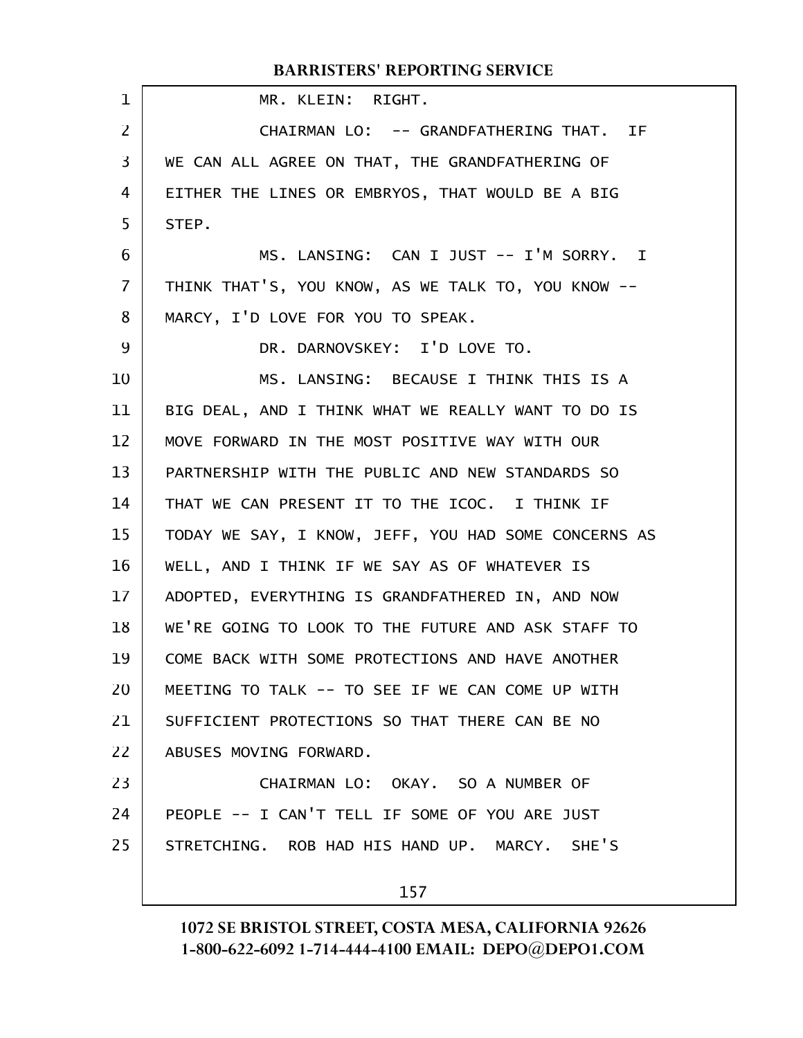| $\mathbf 1$    | MR. KLEIN: RIGHT.                                    |
|----------------|------------------------------------------------------|
| $\overline{2}$ | CHAIRMAN LO: -- GRANDFATHERING THAT. IF              |
| 3              | WE CAN ALL AGREE ON THAT, THE GRANDFATHERING OF      |
| 4              | EITHER THE LINES OR EMBRYOS, THAT WOULD BE A BIG     |
| 5              | STEP.                                                |
| 6              | MS. LANSING: CAN I JUST -- I'M SORRY. I              |
| 7              | THINK THAT'S, YOU KNOW, AS WE TALK TO, YOU KNOW --   |
| 8              | MARCY, I'D LOVE FOR YOU TO SPEAK.                    |
| 9              | DR. DARNOVSKEY: I'D LOVE TO.                         |
| 10             | MS. LANSING: BECAUSE I THINK THIS IS A               |
| 11             | BIG DEAL, AND I THINK WHAT WE REALLY WANT TO DO IS   |
| 12             | MOVE FORWARD IN THE MOST POSITIVE WAY WITH OUR       |
| 13             | PARTNERSHIP WITH THE PUBLIC AND NEW STANDARDS SO     |
| 14             | THAT WE CAN PRESENT IT TO THE ICOC. I THINK IF       |
| 15             | TODAY WE SAY, I KNOW, JEFF, YOU HAD SOME CONCERNS AS |
| 16             | WELL, AND I THINK IF WE SAY AS OF WHATEVER IS        |
| 17             | ADOPTED, EVERYTHING IS GRANDFATHERED IN, AND NOW     |
| 18             | WE'RE GOING TO LOOK TO THE FUTURE AND ASK STAFF TO   |
| 19             | COME BACK WITH SOME PROTECTIONS AND HAVE ANOTHER     |
| 20             | MEETING TO TALK -- TO SEE IF WE CAN COME UP WITH     |
| 21             | SUFFICIENT PROTECTIONS SO THAT THERE CAN BE NO       |
| 22             | ABUSES MOVING FORWARD.                               |
| 23             | CHAIRMAN LO: OKAY. SO A NUMBER OF                    |
| 24             | PEOPLE -- I CAN'T TELL IF SOME OF YOU ARE JUST       |
| 25             | STRETCHING. ROB HAD HIS HAND UP. MARCY. SHE'S        |
|                | 157                                                  |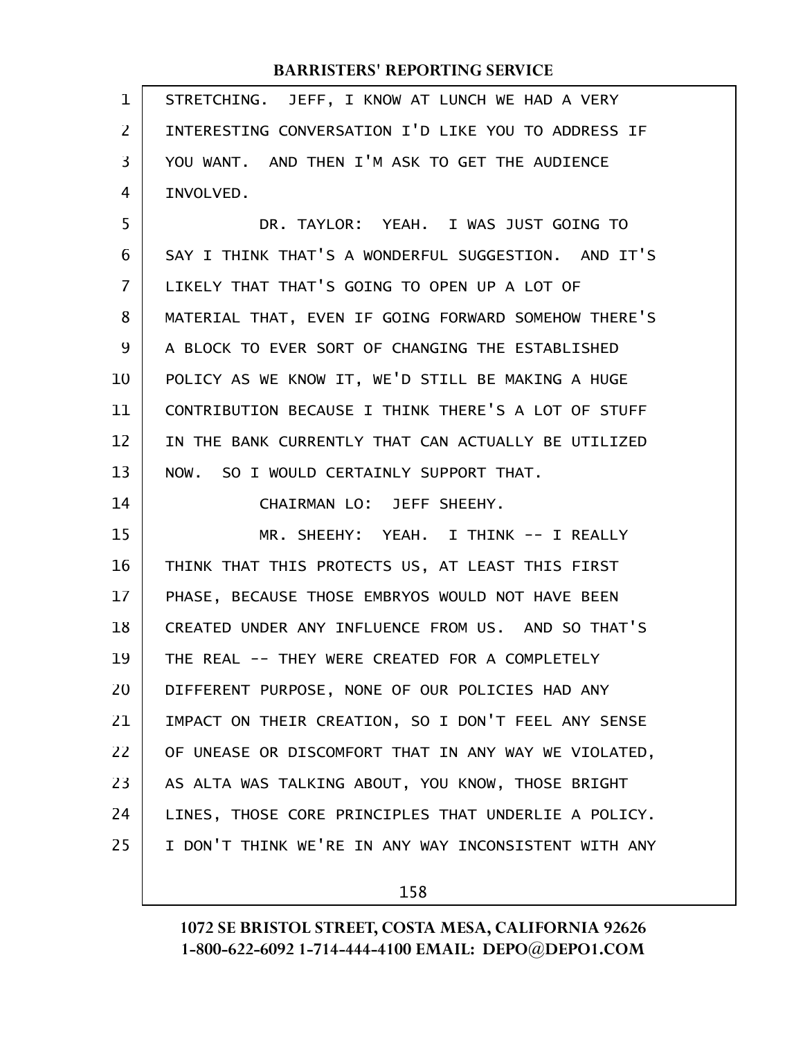| 1              | STRETCHING. JEFF, I KNOW AT LUNCH WE HAD A VERY      |
|----------------|------------------------------------------------------|
| $\overline{2}$ | INTERESTING CONVERSATION I'D LIKE YOU TO ADDRESS IF  |
| 3              | YOU WANT. AND THEN I'M ASK TO GET THE AUDIENCE       |
| 4              | INVOLVED.                                            |
| 5              | DR. TAYLOR: YEAH. I WAS JUST GOING TO                |
| 6              | SAY I THINK THAT'S A WONDERFUL SUGGESTION. AND IT'S  |
| 7              | LIKELY THAT THAT'S GOING TO OPEN UP A LOT OF         |
| 8              | MATERIAL THAT, EVEN IF GOING FORWARD SOMEHOW THERE'S |
| 9              | A BLOCK TO EVER SORT OF CHANGING THE ESTABLISHED     |
| 10             | POLICY AS WE KNOW IT, WE'D STILL BE MAKING A HUGE    |
| 11             | CONTRIBUTION BECAUSE I THINK THERE'S A LOT OF STUFF  |
| 12             | IN THE BANK CURRENTLY THAT CAN ACTUALLY BE UTILIZED  |
| 13             | NOW. SO I WOULD CERTAINLY SUPPORT THAT.              |
| 14             | CHAIRMAN LO: JEFF SHEEHY.                            |
| 15             | MR. SHEEHY: YEAH. I THINK -- I REALLY                |
|                |                                                      |
| 16             | THINK THAT THIS PROTECTS US, AT LEAST THIS FIRST     |
| 17             | PHASE, BECAUSE THOSE EMBRYOS WOULD NOT HAVE BEEN     |
| 18             | CREATED UNDER ANY INFLUENCE FROM US. AND SO THAT'S   |
| 19             | THE REAL -- THEY WERE CREATED FOR A COMPLETELY       |
| 20             | DIFFERENT PURPOSE, NONE OF OUR POLICIES HAD ANY      |
| 21             | IMPACT ON THEIR CREATION, SO I DON'T FEEL ANY SENSE  |
| 22             | OF UNEASE OR DISCOMFORT THAT IN ANY WAY WE VIOLATED, |
| 23             | AS ALTA WAS TALKING ABOUT, YOU KNOW, THOSE BRIGHT    |
| 24             | LINES, THOSE CORE PRINCIPLES THAT UNDERLIE A POLICY. |
| 25             | I DON'T THINK WE'RE IN ANY WAY INCONSISTENT WITH ANY |

158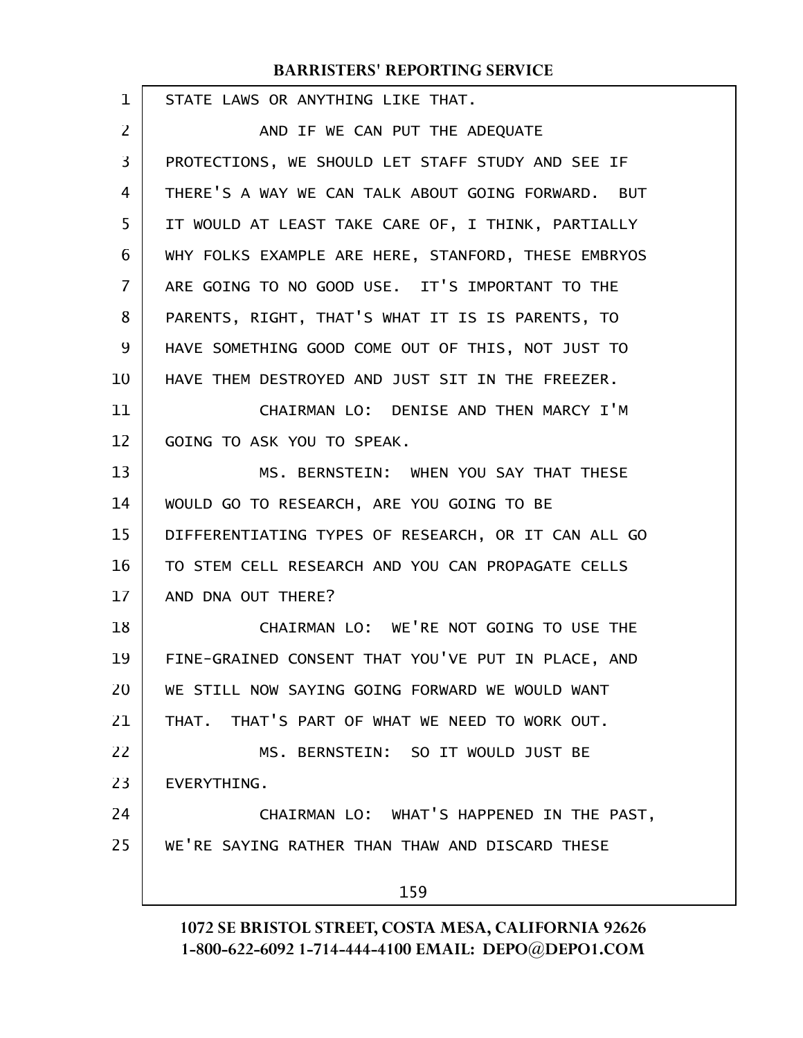| 1  | STATE LAWS OR ANYTHING LIKE THAT.                   |
|----|-----------------------------------------------------|
| 2  | AND IF WE CAN PUT THE ADEQUATE                      |
| 3  | PROTECTIONS, WE SHOULD LET STAFF STUDY AND SEE IF   |
| 4  | THERE'S A WAY WE CAN TALK ABOUT GOING FORWARD. BUT  |
| 5  | IT WOULD AT LEAST TAKE CARE OF, I THINK, PARTIALLY  |
| 6  | WHY FOLKS EXAMPLE ARE HERE, STANFORD, THESE EMBRYOS |
| 7  | ARE GOING TO NO GOOD USE. IT'S IMPORTANT TO THE     |
| 8  | PARENTS, RIGHT, THAT'S WHAT IT IS IS PARENTS, TO    |
| 9  | HAVE SOMETHING GOOD COME OUT OF THIS, NOT JUST TO   |
| 10 | HAVE THEM DESTROYED AND JUST SIT IN THE FREEZER.    |
| 11 | CHAIRMAN LO: DENISE AND THEN MARCY I'M              |
| 12 | GOING TO ASK YOU TO SPEAK.                          |
| 13 | MS. BERNSTEIN: WHEN YOU SAY THAT THESE              |
| 14 | WOULD GO TO RESEARCH, ARE YOU GOING TO BE           |
| 15 | DIFFERENTIATING TYPES OF RESEARCH, OR IT CAN ALL GO |
| 16 | TO STEM CELL RESEARCH AND YOU CAN PROPAGATE CELLS   |
| 17 | AND DNA OUT THERE?                                  |
| 18 | CHAIRMAN LO: WE'RE NOT GOING TO USE THE             |
| 19 | FINE-GRAINED CONSENT THAT YOU'VE PUT IN PLACE, AND  |
| 20 | WE STILL NOW SAYING GOING FORWARD WE WOULD WANT     |
| 21 | THAT. THAT'S PART OF WHAT WE NEED TO WORK OUT.      |
| 22 | MS. BERNSTEIN: SO IT WOULD JUST BE                  |
| 23 | EVERYTHING.                                         |
| 24 | CHAIRMAN LO: WHAT'S HAPPENED IN THE PAST,           |
| 25 | WE'RE SAYING RATHER THAN THAW AND DISCARD THESE     |
|    | 159                                                 |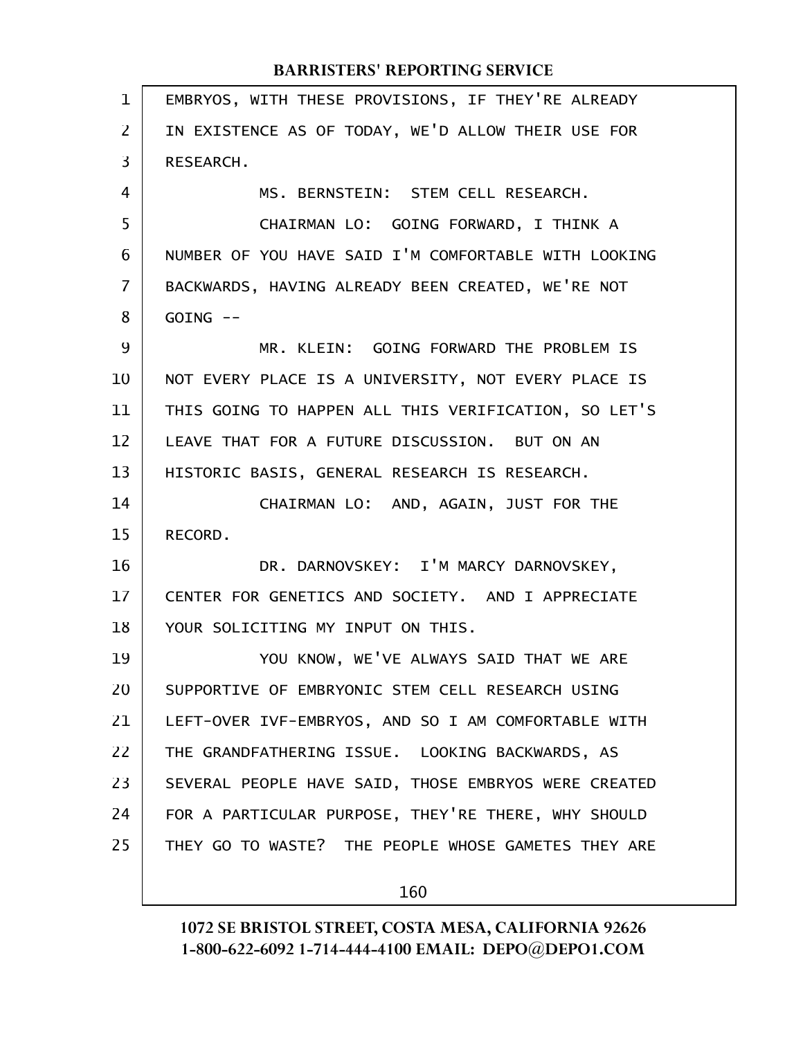| $\mathbf{1}$ | EMBRYOS, WITH THESE PROVISIONS, IF THEY'RE ALREADY   |
|--------------|------------------------------------------------------|
| 2            | IN EXISTENCE AS OF TODAY, WE'D ALLOW THEIR USE FOR   |
| 3            | RESEARCH.                                            |
| 4            | MS. BERNSTEIN: STEM CELL RESEARCH.                   |
| 5            | CHAIRMAN LO: GOING FORWARD, I THINK A                |
| 6            | NUMBER OF YOU HAVE SAID I'M COMFORTABLE WITH LOOKING |
| 7            | BACKWARDS, HAVING ALREADY BEEN CREATED, WE'RE NOT    |
| 8            | $GOING$ --                                           |
| 9            | MR. KLEIN: GOING FORWARD THE PROBLEM IS              |
| 10           | NOT EVERY PLACE IS A UNIVERSITY, NOT EVERY PLACE IS  |
| 11           | THIS GOING TO HAPPEN ALL THIS VERIFICATION, SO LET'S |
| 12           | LEAVE THAT FOR A FUTURE DISCUSSION. BUT ON AN        |
| 13           | HISTORIC BASIS, GENERAL RESEARCH IS RESEARCH.        |
| 14           | CHAIRMAN LO: AND, AGAIN, JUST FOR THE                |
| 15           | RECORD.                                              |
| 16           | DR. DARNOVSKEY: I'M MARCY DARNOVSKEY,                |
| 17           | CENTER FOR GENETICS AND SOCIETY. AND I APPRECIATE    |
| 18           | YOUR SOLICITING MY INPUT ON THIS.                    |
| 19           | YOU KNOW, WE'VE ALWAYS SAID THAT WE ARE              |
| 20           | SUPPORTIVE OF EMBRYONIC STEM CELL RESEARCH USING     |
| 21           | LEFT-OVER IVF-EMBRYOS, AND SO I AM COMFORTABLE WITH  |
| 22           | THE GRANDFATHERING ISSUE. LOOKING BACKWARDS, AS      |
| 23           | SEVERAL PEOPLE HAVE SAID, THOSE EMBRYOS WERE CREATED |
| 24           | FOR A PARTICULAR PURPOSE, THEY'RE THERE, WHY SHOULD  |
| 25           | THEY GO TO WASTE? THE PEOPLE WHOSE GAMETES THEY ARE  |
|              | 160                                                  |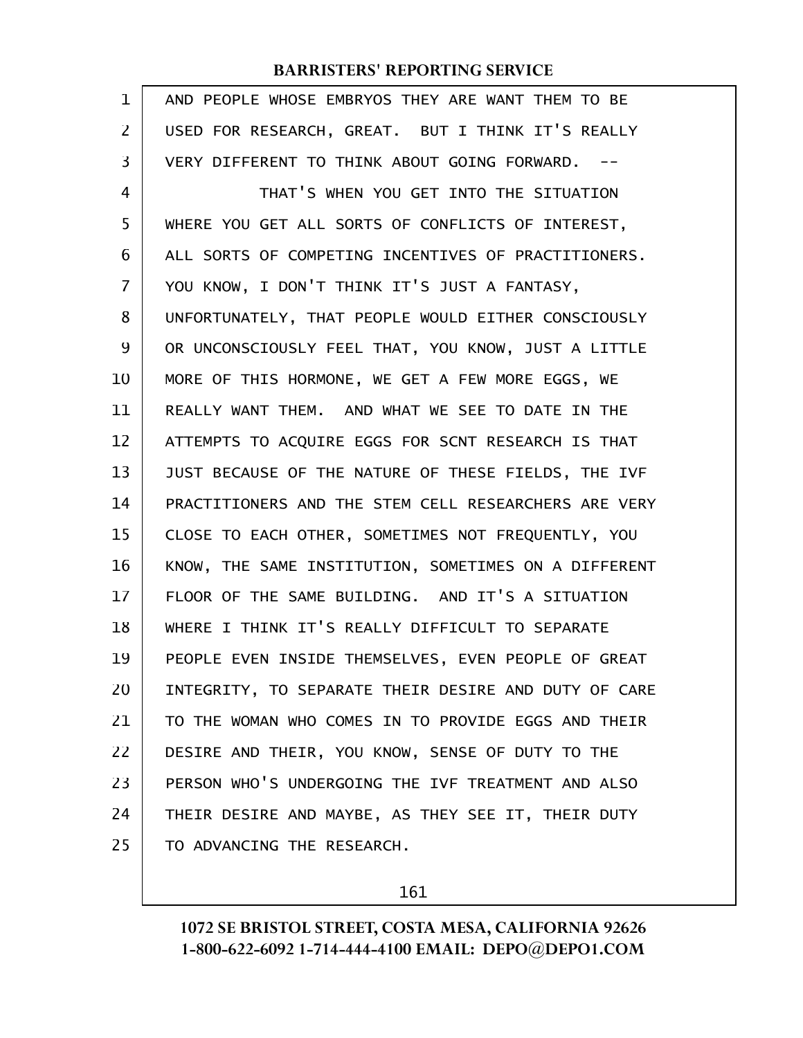| 1              | AND PEOPLE WHOSE EMBRYOS THEY ARE WANT THEM TO BE    |
|----------------|------------------------------------------------------|
| $\overline{2}$ | USED FOR RESEARCH, GREAT. BUT I THINK IT'S REALLY    |
| 3              | VERY DIFFERENT TO THINK ABOUT GOING FORWARD. --      |
| 4              | THAT'S WHEN YOU GET INTO THE SITUATION               |
| 5              | WHERE YOU GET ALL SORTS OF CONFLICTS OF INTEREST,    |
| 6              | ALL SORTS OF COMPETING INCENTIVES OF PRACTITIONERS.  |
| $\overline{7}$ | YOU KNOW, I DON'T THINK IT'S JUST A FANTASY,         |
| 8              | UNFORTUNATELY, THAT PEOPLE WOULD EITHER CONSCIOUSLY  |
| 9              | OR UNCONSCIOUSLY FEEL THAT, YOU KNOW, JUST A LITTLE  |
| 10             | MORE OF THIS HORMONE, WE GET A FEW MORE EGGS, WE     |
| 11             | REALLY WANT THEM. AND WHAT WE SEE TO DATE IN THE     |
| 12             | ATTEMPTS TO ACQUIRE EGGS FOR SCNT RESEARCH IS THAT   |
| 13             | JUST BECAUSE OF THE NATURE OF THESE FIELDS, THE IVF  |
| 14             | PRACTITIONERS AND THE STEM CELL RESEARCHERS ARE VERY |
| 15             | CLOSE TO EACH OTHER, SOMETIMES NOT FREQUENTLY, YOU   |
| 16             | KNOW, THE SAME INSTITUTION, SOMETIMES ON A DIFFERENT |
| 17             | FLOOR OF THE SAME BUILDING. AND IT'S A SITUATION     |
| 18             | WHERE I THINK IT'S REALLY DIFFICULT TO SEPARATE      |
| 19             | PEOPLE EVEN INSIDE THEMSELVES, EVEN PEOPLE OF GREAT  |
| 20             | INTEGRITY, TO SEPARATE THEIR DESIRE AND DUTY OF CARE |
| 21             | TO THE WOMAN WHO COMES IN TO PROVIDE EGGS AND THEIR  |
| 22             | DESIRE AND THEIR, YOU KNOW, SENSE OF DUTY TO THE     |
| 23             | PERSON WHO'S UNDERGOING THE IVF TREATMENT AND ALSO   |
| 24             | THEIR DESIRE AND MAYBE, AS THEY SEE IT, THEIR DUTY   |
| 25             | TO ADVANCING THE RESEARCH.                           |

161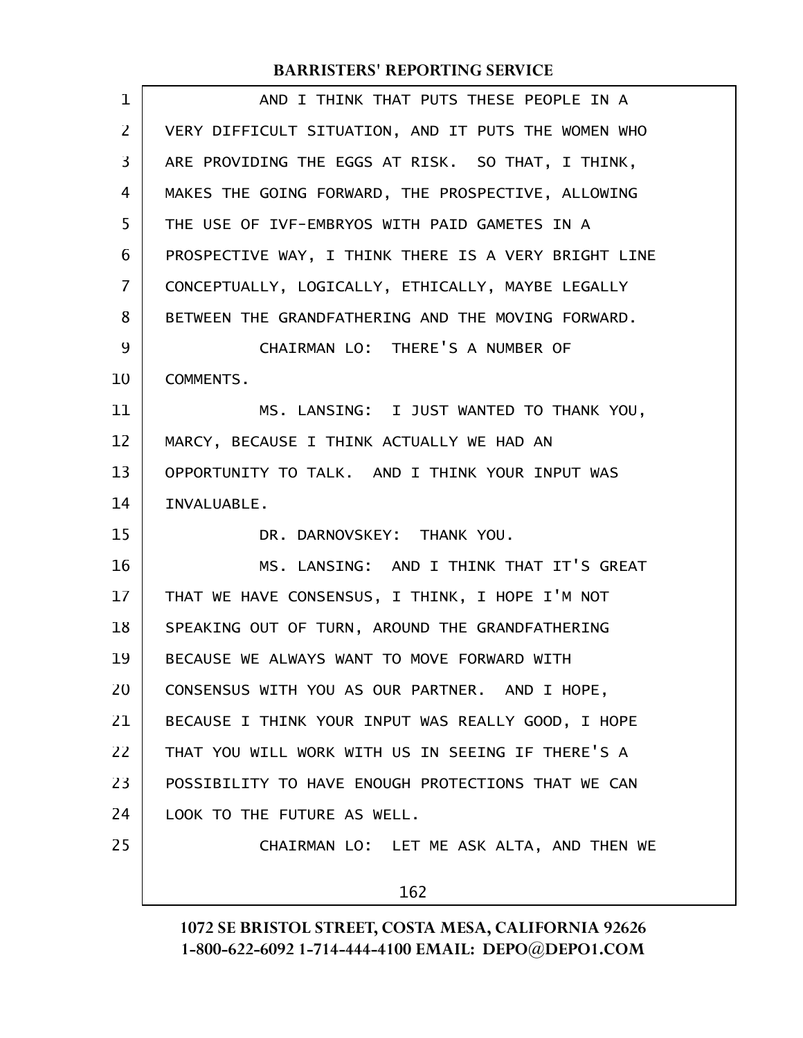| $\mathbf 1$ | AND I THINK THAT PUTS THESE PEOPLE IN A              |
|-------------|------------------------------------------------------|
| 2           | VERY DIFFICULT SITUATION, AND IT PUTS THE WOMEN WHO  |
| 3           | ARE PROVIDING THE EGGS AT RISK. SO THAT, I THINK,    |
| 4           | MAKES THE GOING FORWARD, THE PROSPECTIVE, ALLOWING   |
| 5           | THE USE OF IVF-EMBRYOS WITH PAID GAMETES IN A        |
| 6           | PROSPECTIVE WAY, I THINK THERE IS A VERY BRIGHT LINE |
| 7           | CONCEPTUALLY, LOGICALLY, ETHICALLY, MAYBE LEGALLY    |
| 8           | BETWEEN THE GRANDFATHERING AND THE MOVING FORWARD.   |
| 9           | CHAIRMAN LO: THERE'S A NUMBER OF                     |
| 10          | COMMENTS.                                            |
| 11          | MS. LANSING: I JUST WANTED TO THANK YOU.             |
| 12          | MARCY, BECAUSE I THINK ACTUALLY WE HAD AN            |
| 13          | OPPORTUNITY TO TALK. AND I THINK YOUR INPUT WAS      |
| 14          | INVALUABLE.                                          |
| 15          | DR. DARNOVSKEY: THANK YOU.                           |
| 16          | MS. LANSING: AND I THINK THAT IT'S GREAT             |
| 17          | THAT WE HAVE CONSENSUS, I THINK, I HOPE I'M NOT      |
| 18          | SPEAKING OUT OF TURN, AROUND THE GRANDFATHERING      |
| 19          | BECAUSE WE ALWAYS WANT TO MOVE FORWARD WITH          |
| 20          | CONSENSUS WITH YOU AS OUR PARTNER. AND I HOPE,       |
| 21          | BECAUSE I THINK YOUR INPUT WAS REALLY GOOD, I HOPE   |
| 22          | THAT YOU WILL WORK WITH US IN SEEING IF THERE'S A    |
| 23          | POSSIBILITY TO HAVE ENOUGH PROTECTIONS THAT WE CAN   |
| 24          | LOOK TO THE FUTURE AS WELL.                          |
| 25          | CHAIRMAN LO: LET ME ASK ALTA, AND THEN WE            |
|             | 162                                                  |
|             |                                                      |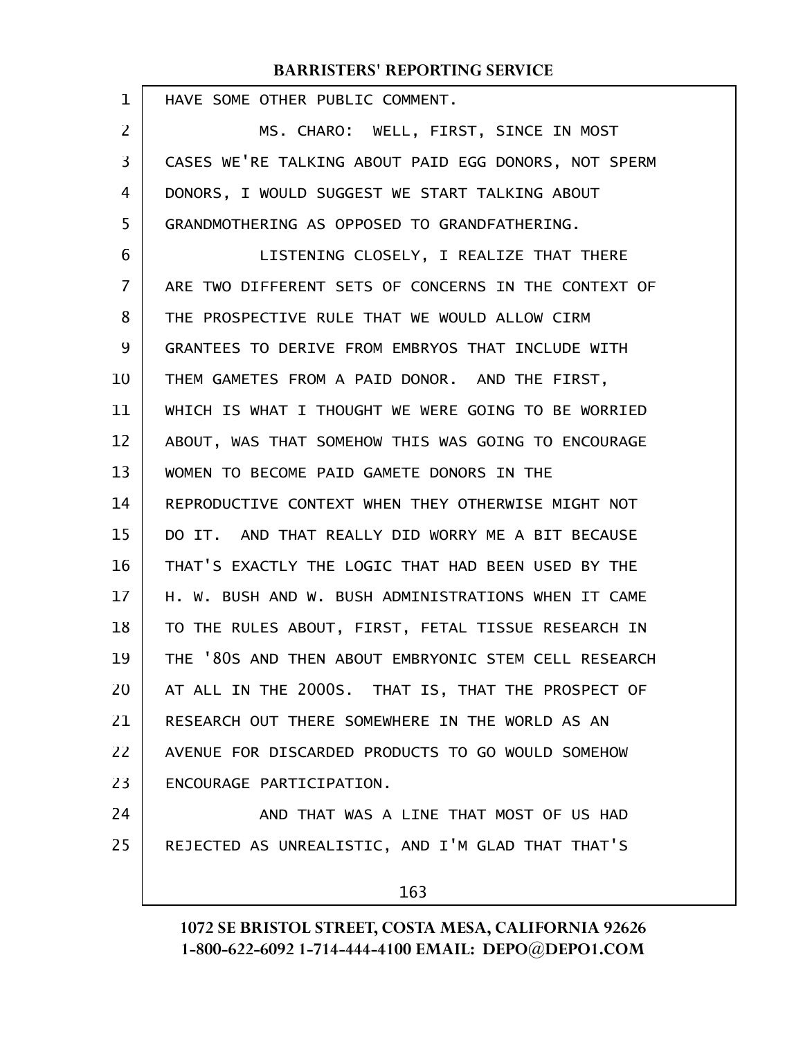HAVE SOME OTHER PUBLIC COMMENT. MS. CHARO: WELL, FIRST, SINCE IN MOST CASES WE'RE TALKING ABOUT PAID EGG DONORS, NOT SPERM DONORS, I WOULD SUGGEST WE START TALKING ABOUT GRANDMOTHERING AS OPPOSED TO GRANDFATHERING. LISTENING CLOSELY, I REALIZE THAT THERE ARE TWO DIFFERENT SETS OF CONCERNS IN THE CONTEXT OF THE PROSPECTIVE RULE THAT WE WOULD ALLOW CIRM GRANTEES TO DERIVE FROM EMBRYOS THAT INCLUDE WITH THEM GAMETES FROM A PAID DONOR. AND THE FIRST, WHICH IS WHAT I THOUGHT WE WERE GOING TO BE WORRIED ABOUT, WAS THAT SOMEHOW THIS WAS GOING TO ENCOURAGE WOMEN TO BECOME PAID GAMETE DONORS IN THE REPRODUCTIVE CONTEXT WHEN THEY OTHERWISE MIGHT NOT DO IT. AND THAT REALLY DID WORRY ME A BIT BECAUSE THAT'S EXACTLY THE LOGIC THAT HAD BEEN USED BY THE H. W. BUSH AND W. BUSH ADMINISTRATIONS WHEN IT CAME TO THE RULES ABOUT, FIRST, FETAL TISSUE RESEARCH IN THE '80S AND THEN ABOUT EMBRYONIC STEM CELL RESEARCH AT ALL IN THE 2000S. THAT IS, THAT THE PROSPECT OF RESEARCH OUT THERE SOMEWHERE IN THE WORLD AS AN AVENUE FOR DISCARDED PRODUCTS TO GO WOULD SOMEHOW ENCOURAGE PARTICIPATION. AND THAT WAS A LINE THAT MOST OF US HAD REJECTED AS UNREALISTIC, AND I'M GLAD THAT THAT'S 1 2 3 4 5 6 7 8 9 10 11 12 13 14 15 16 17 18 19 20 21 22 23 24 25

163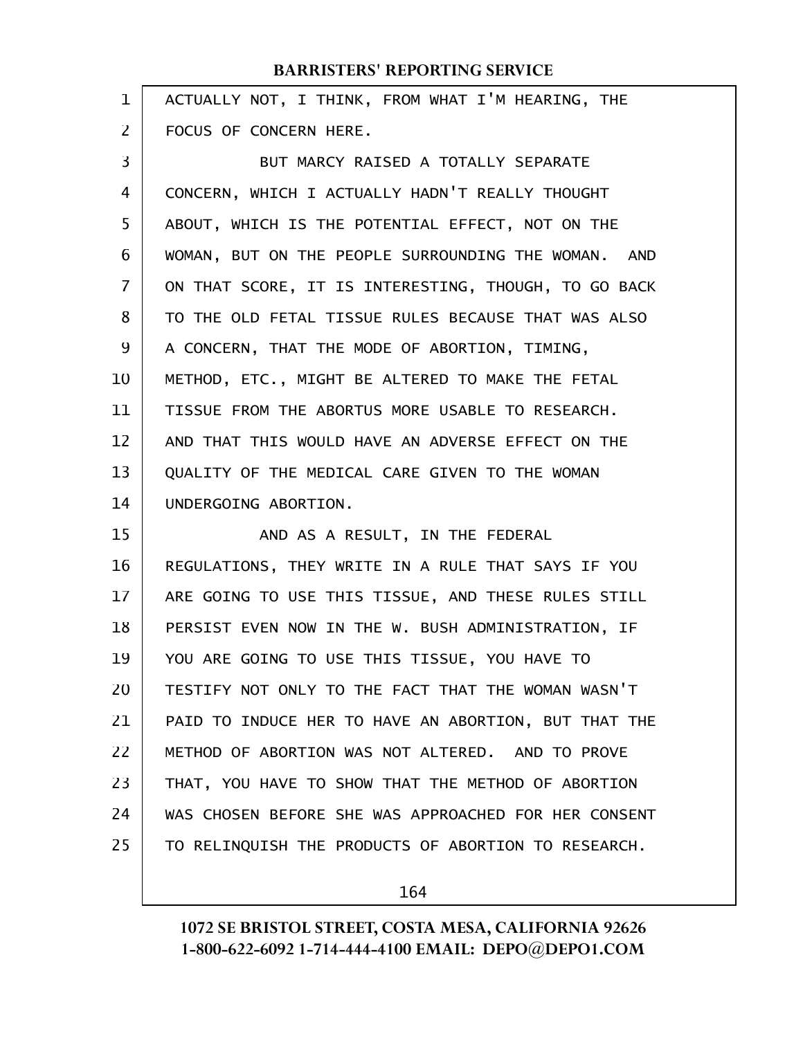| $\mathbf 1$       | ACTUALLY NOT, I THINK, FROM WHAT I'M HEARING, THE    |
|-------------------|------------------------------------------------------|
| 2                 | FOCUS OF CONCERN HERE.                               |
| 3                 | BUT MARCY RAISED A TOTALLY SEPARATE                  |
| 4                 | CONCERN, WHICH I ACTUALLY HADN'T REALLY THOUGHT      |
| 5                 | ABOUT, WHICH IS THE POTENTIAL EFFECT, NOT ON THE     |
| 6                 | WOMAN, BUT ON THE PEOPLE SURROUNDING THE WOMAN. AND  |
| 7                 | ON THAT SCORE, IT IS INTERESTING, THOUGH, TO GO BACK |
| 8                 | TO THE OLD FETAL TISSUE RULES BECAUSE THAT WAS ALSO  |
| 9                 | A CONCERN, THAT THE MODE OF ABORTION, TIMING,        |
| 10                | METHOD, ETC., MIGHT BE ALTERED TO MAKE THE FETAL     |
| 11                | TISSUE FROM THE ABORTUS MORE USABLE TO RESEARCH.     |
| $12 \overline{ }$ | AND THAT THIS WOULD HAVE AN ADVERSE EFFECT ON THE    |
| 13                | QUALITY OF THE MEDICAL CARE GIVEN TO THE WOMAN       |
| 14                | UNDERGOING ABORTION.                                 |
| 15                | AND AS A RESULT, IN THE FEDERAL                      |
| 16                | REGULATIONS, THEY WRITE IN A RULE THAT SAYS IF YOU   |
| 17                | ARE GOING TO USE THIS TISSUE, AND THESE RULES STILL  |
| 18                | PERSIST EVEN NOW IN THE W. BUSH ADMINISTRATION, IF   |
| 19                | YOU ARE GOING TO USE THIS TISSUE, YOU HAVE TO        |
| 20                | TESTIFY NOT ONLY TO THE FACT THAT THE WOMAN WASN'T   |
| 21                |                                                      |
|                   | PAID TO INDUCE HER TO HAVE AN ABORTION, BUT THAT THE |
| 22                | METHOD OF ABORTION WAS NOT ALTERED. AND TO PROVE     |
| 23                | THAT, YOU HAVE TO SHOW THAT THE METHOD OF ABORTION   |
| 24                | WAS CHOSEN BEFORE SHE WAS APPROACHED FOR HER CONSENT |
| 25                | TO RELINQUISH THE PRODUCTS OF ABORTION TO RESEARCH.  |

164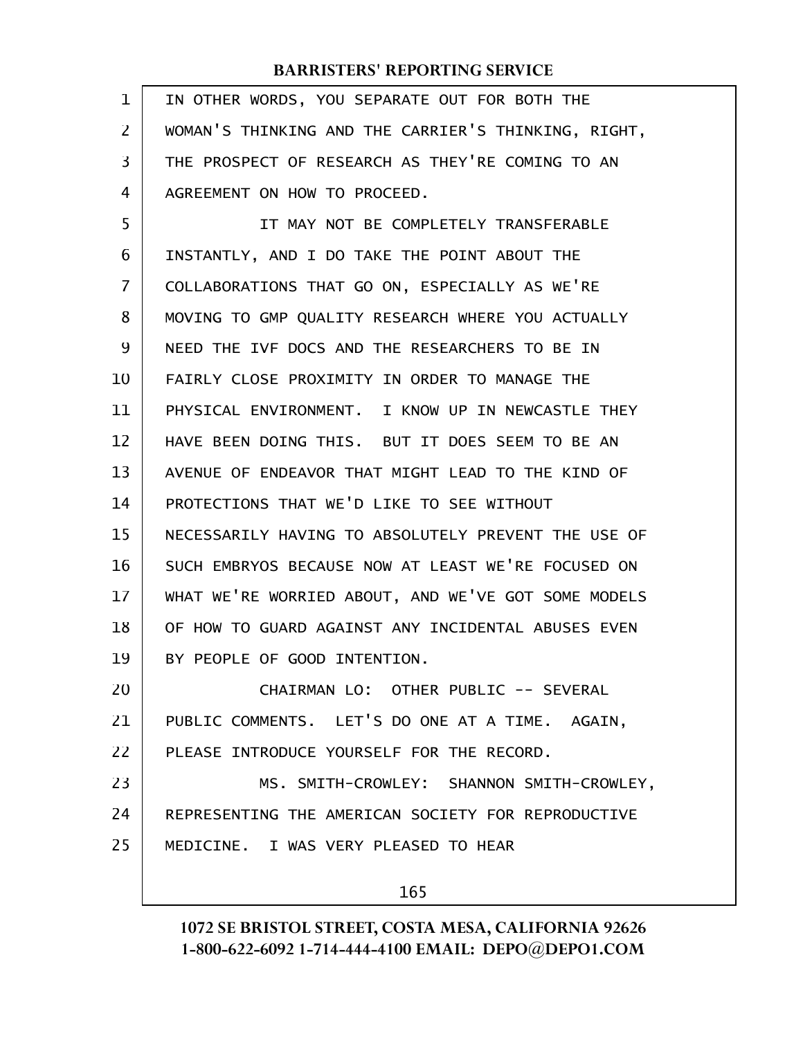| $\mathbf 1$    | IN OTHER WORDS, YOU SEPARATE OUT FOR BOTH THE       |
|----------------|-----------------------------------------------------|
| $\overline{2}$ | WOMAN'S THINKING AND THE CARRIER'S THINKING, RIGHT, |
| 3              | THE PROSPECT OF RESEARCH AS THEY'RE COMING TO AN    |
| 4              | AGREEMENT ON HOW TO PROCEED.                        |
| 5              | IT MAY NOT BE COMPLETELY TRANSFERABLE               |
| 6              | INSTANTLY, AND I DO TAKE THE POINT ABOUT THE        |
| 7              | COLLABORATIONS THAT GO ON, ESPECIALLY AS WE'RE      |
| 8              | MOVING TO GMP QUALITY RESEARCH WHERE YOU ACTUALLY   |
| 9              | NEED THE IVF DOCS AND THE RESEARCHERS TO BE IN      |
| 10             | FAIRLY CLOSE PROXIMITY IN ORDER TO MANAGE THE       |
| 11             | PHYSICAL ENVIRONMENT. I KNOW UP IN NEWCASTLE THEY   |
| 12             | HAVE BEEN DOING THIS. BUT IT DOES SEEM TO BE AN     |
| 13             | AVENUE OF ENDEAVOR THAT MIGHT LEAD TO THE KIND OF   |
| 14             | PROTECTIONS THAT WE'D LIKE TO SEE WITHOUT           |
| 15             | NECESSARILY HAVING TO ABSOLUTELY PREVENT THE USE OF |
| 16             | SUCH EMBRYOS BECAUSE NOW AT LEAST WE'RE FOCUSED ON  |
| 17             | WHAT WE'RE WORRIED ABOUT, AND WE'VE GOT SOME MODELS |
| 18             | OF HOW TO GUARD AGAINST ANY INCIDENTAL ABUSES EVEN  |
| 19             | BY PEOPLE OF GOOD INTENTION.                        |
| 20             | CHAIRMAN LO: OTHER PUBLIC -- SEVERAL                |
| 21             | PUBLIC COMMENTS. LET'S DO ONE AT A TIME. AGAIN,     |
| 22             | PLEASE INTRODUCE YOURSELF FOR THE RECORD.           |
| 23             | MS. SMITH-CROWLEY: SHANNON SMITH-CROWLEY,           |
| 24             | REPRESENTING THE AMERICAN SOCIETY FOR REPRODUCTIVE  |
| 25             | MEDICINE. I WAS VERY PLEASED TO HEAR                |
|                | 165                                                 |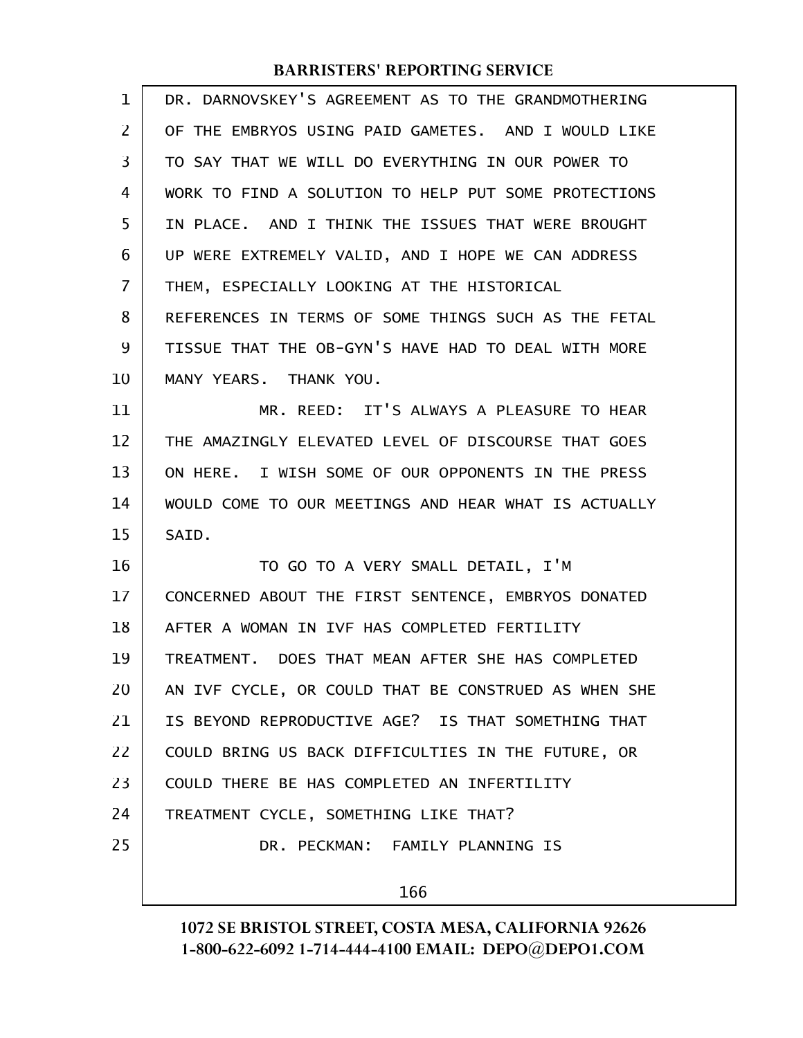| 1              | DR. DARNOVSKEY'S AGREEMENT AS TO THE GRANDMOTHERING  |
|----------------|------------------------------------------------------|
| $\overline{2}$ | OF THE EMBRYOS USING PAID GAMETES. AND I WOULD LIKE  |
| 3              | TO SAY THAT WE WILL DO EVERYTHING IN OUR POWER TO    |
| 4              | WORK TO FIND A SOLUTION TO HELP PUT SOME PROTECTIONS |
| 5              | IN PLACE. AND I THINK THE ISSUES THAT WERE BROUGHT   |
| 6              | UP WERE EXTREMELY VALID, AND I HOPE WE CAN ADDRESS   |
| $\overline{7}$ | THEM, ESPECIALLY LOOKING AT THE HISTORICAL           |
| 8              | REFERENCES IN TERMS OF SOME THINGS SUCH AS THE FETAL |
| 9              | TISSUE THAT THE OB-GYN'S HAVE HAD TO DEAL WITH MORE  |
| 10             | MANY YEARS. THANK YOU.                               |
| 11             | MR. REED: IT'S ALWAYS A PLEASURE TO HEAR             |
| 12             | THE AMAZINGLY ELEVATED LEVEL OF DISCOURSE THAT GOES  |
| 13             | ON HERE. I WISH SOME OF OUR OPPONENTS IN THE PRESS   |
| 14             | WOULD COME TO OUR MEETINGS AND HEAR WHAT IS ACTUALLY |
| 15             | SAID.                                                |
| 16             | TO GO TO A VERY SMALL DETAIL, I'M                    |
| 17             | CONCERNED ABOUT THE FIRST SENTENCE, EMBRYOS DONATED  |
| 18             | AFTER A WOMAN IN IVF HAS COMPLETED FERTILITY         |
| 19             | TREATMENT. DOES THAT MEAN AFTER SHE HAS COMPLETED    |
| 20             | AN IVF CYCLE, OR COULD THAT BE CONSTRUED AS WHEN SHE |
| 21             | IS BEYOND REPRODUCTIVE AGE? IS THAT SOMETHING THAT   |
| 22             | COULD BRING US BACK DIFFICULTIES IN THE FUTURE, OR   |
| 23             | COULD THERE BE HAS COMPLETED AN INFERTILITY          |
| 24             | TREATMENT CYCLE, SOMETHING LIKE THAT?                |
| 25             | DR. PECKMAN: FAMILY PLANNING IS                      |
|                | 166                                                  |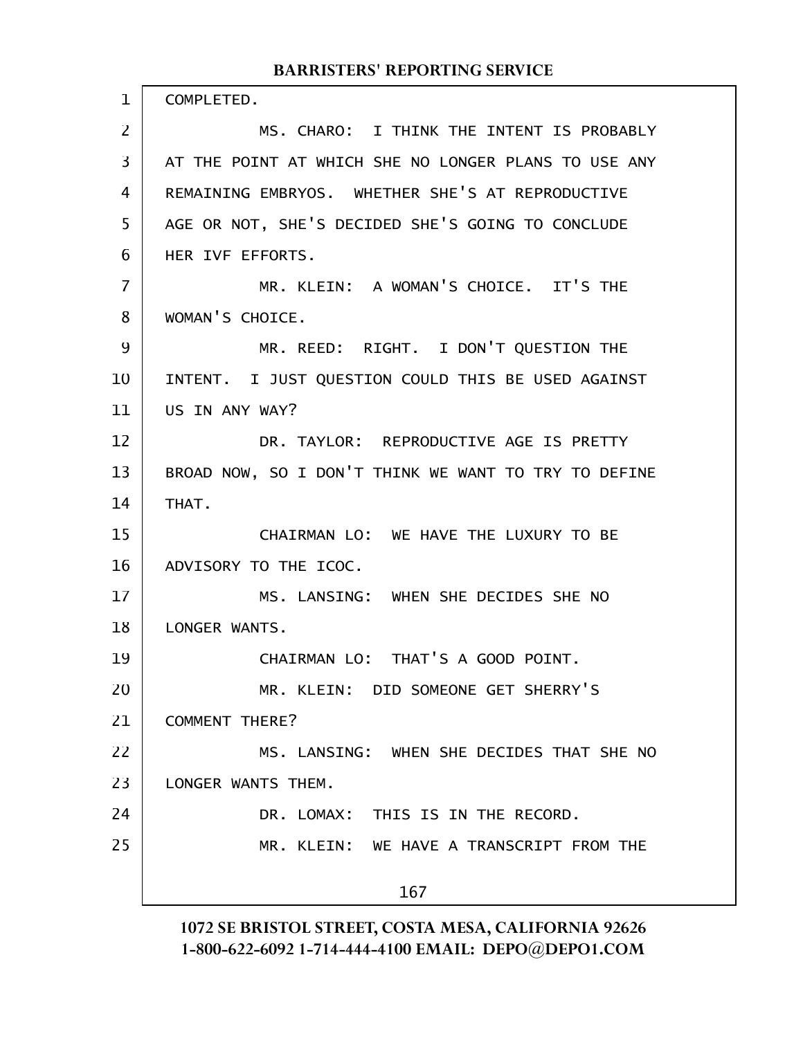COMPLETED. MS. CHARO: I THINK THE INTENT IS PROBABLY AT THE POINT AT WHICH SHE NO LONGER PLANS TO USE ANY REMAINING EMBRYOS. WHETHER SHE'S AT REPRODUCTIVE AGE OR NOT, SHE'S DECIDED SHE'S GOING TO CONCLUDE HER IVF EFFORTS. MR. KLEIN: A WOMAN'S CHOICE. IT'S THE WOMAN'S CHOICE. MR. REED: RIGHT. I DON'T QUESTION THE INTENT. I JUST QUESTION COULD THIS BE USED AGAINST US IN ANY WAY? DR. TAYLOR: REPRODUCTIVE AGE IS PRETTY BROAD NOW, SO I DON'T THINK WE WANT TO TRY TO DEFINE THAT. CHAIRMAN LO: WE HAVE THE LUXURY TO BE ADVISORY TO THE ICOC. MS. LANSING: WHEN SHE DECIDES SHE NO LONGER WANTS. CHAIRMAN LO: THAT'S A GOOD POINT. MR. KLEIN: DID SOMEONE GET SHERRY'S COMMENT THERE? MS. LANSING: WHEN SHE DECIDES THAT SHE NO LONGER WANTS THEM. DR. LOMAX: THIS IS IN THE RECORD. MR. KLEIN: WE HAVE A TRANSCRIPT FROM THE 167 1 2 3 4 5 6 7 8 9 10 11 12 13 14 15 16 17 18 19 20 21 22 23 24 25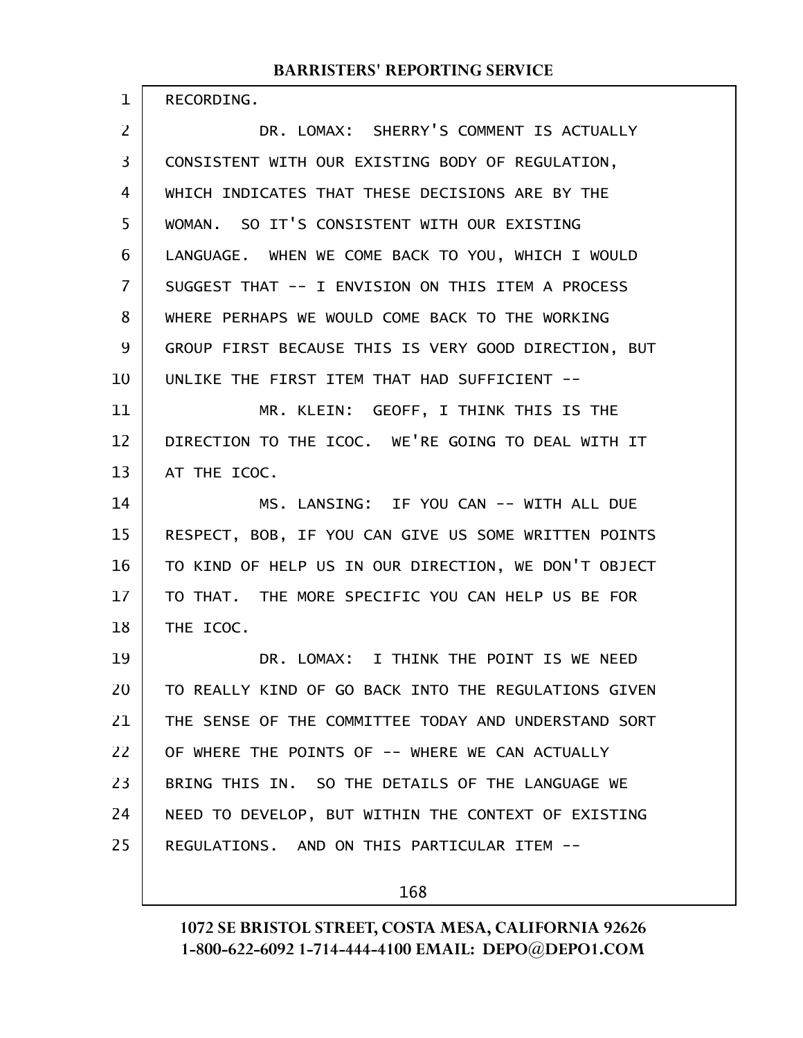RECORDING.

1

DR. LOMAX: SHERRY'S COMMENT IS ACTUALLY CONSISTENT WITH OUR EXISTING BODY OF REGULATION, WHICH INDICATES THAT THESE DECISIONS ARE BY THE WOMAN. SO IT'S CONSISTENT WITH OUR EXISTING LANGUAGE. WHEN WE COME BACK TO YOU, WHICH I WOULD SUGGEST THAT -- I ENVISION ON THIS ITEM A PROCESS WHERE PERHAPS WE WOULD COME BACK TO THE WORKING GROUP FIRST BECAUSE THIS IS VERY GOOD DIRECTION, BUT UNLIKE THE FIRST ITEM THAT HAD SUFFICIENT -- MR. KLEIN: GEOFF, I THINK THIS IS THE DIRECTION TO THE ICOC. WE'RE GOING TO DEAL WITH IT AT THE ICOC. MS. LANSING: IF YOU CAN -- WITH ALL DUE RESPECT, BOB, IF YOU CAN GIVE US SOME WRITTEN POINTS TO KIND OF HELP US IN OUR DIRECTION, WE DON'T OBJECT TO THAT. THE MORE SPECIFIC YOU CAN HELP US BE FOR THE ICOC. DR. LOMAX: I THINK THE POINT IS WE NEED TO REALLY KIND OF GO BACK INTO THE REGULATIONS GIVEN THE SENSE OF THE COMMITTEE TODAY AND UNDERSTAND SORT OF WHERE THE POINTS OF -- WHERE WE CAN ACTUALLY BRING THIS IN. SO THE DETAILS OF THE LANGUAGE WE NEED TO DEVELOP, BUT WITHIN THE CONTEXT OF EXISTING REGULATIONS. AND ON THIS PARTICULAR ITEM -- 2 3 4 5 6 7 8 9 10 11 12 13 14 15 16 17 18 19 20 21 22 23 24 25

168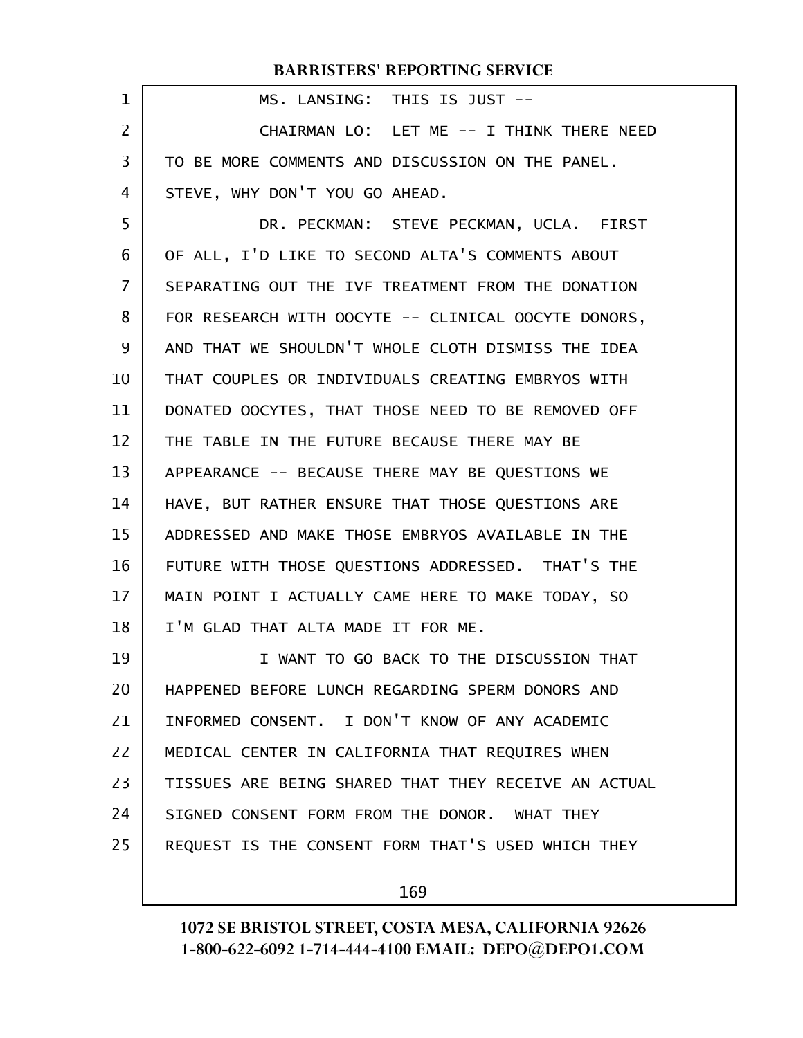| $\mathbf 1$ | MS. LANSING: THIS IS JUST --                         |
|-------------|------------------------------------------------------|
| 2           | CHAIRMAN LO: LET ME -- I THINK THERE NEED            |
| 3           | TO BE MORE COMMENTS AND DISCUSSION ON THE PANEL.     |
| 4           | STEVE, WHY DON'T YOU GO AHEAD.                       |
| 5           | DR. PECKMAN: STEVE PECKMAN, UCLA. FIRST              |
| 6           | OF ALL, I'D LIKE TO SECOND ALTA'S COMMENTS ABOUT     |
| 7           | SEPARATING OUT THE IVF TREATMENT FROM THE DONATION   |
| 8           | FOR RESEARCH WITH OOCYTE -- CLINICAL OOCYTE DONORS,  |
| 9           | AND THAT WE SHOULDN'T WHOLE CLOTH DISMISS THE IDEA   |
| 10          | THAT COUPLES OR INDIVIDUALS CREATING EMBRYOS WITH    |
| 11          | DONATED OOCYTES, THAT THOSE NEED TO BE REMOVED OFF   |
| 12          | THE TABLE IN THE FUTURE BECAUSE THERE MAY BE         |
| 13          | APPEARANCE -- BECAUSE THERE MAY BE QUESTIONS WE      |
| 14          | HAVE, BUT RATHER ENSURE THAT THOSE QUESTIONS ARE     |
| 15          | ADDRESSED AND MAKE THOSE EMBRYOS AVAILABLE IN THE    |
| 16          | FUTURE WITH THOSE QUESTIONS ADDRESSED. THAT'S THE    |
| 17          | MAIN POINT I ACTUALLY CAME HERE TO MAKE TODAY, SO    |
| 18          | I'M GLAD THAT ALTA MADE IT FOR ME.                   |
| 19          | I WANT TO GO BACK TO THE DISCUSSION THAT             |
| 20          | HAPPENED BEFORE LUNCH REGARDING SPERM DONORS AND     |
| 21          | INFORMED CONSENT. I DON'T KNOW OF ANY ACADEMIC       |
| 22          | MEDICAL CENTER IN CALIFORNIA THAT REQUIRES WHEN      |
| 23          | TISSUES ARE BEING SHARED THAT THEY RECEIVE AN ACTUAL |
| 24          | SIGNED CONSENT FORM FROM THE DONOR. WHAT THEY        |
| 25          | REQUEST IS THE CONSENT FORM THAT'S USED WHICH THEY   |
|             |                                                      |

169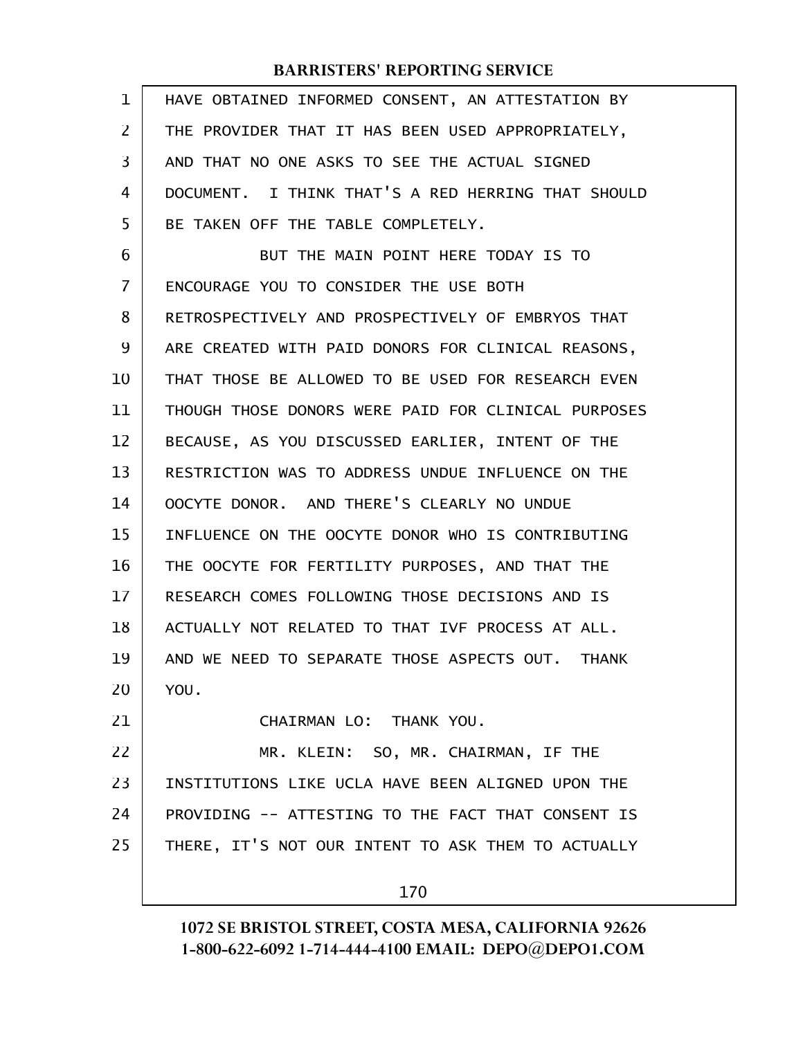| 1              | HAVE OBTAINED INFORMED CONSENT, AN ATTESTATION BY   |
|----------------|-----------------------------------------------------|
| $\overline{2}$ | THE PROVIDER THAT IT HAS BEEN USED APPROPRIATELY,   |
| 3              | AND THAT NO ONE ASKS TO SEE THE ACTUAL SIGNED       |
| 4              | DOCUMENT. I THINK THAT'S A RED HERRING THAT SHOULD  |
| 5              | BE TAKEN OFF THE TABLE COMPLETELY.                  |
| 6              | BUT THE MAIN POINT HERE TODAY IS TO                 |
| 7              | ENCOURAGE YOU TO CONSIDER THE USE BOTH              |
| 8              | RETROSPECTIVELY AND PROSPECTIVELY OF EMBRYOS THAT   |
| 9              | ARE CREATED WITH PAID DONORS FOR CLINICAL REASONS,  |
| 10             | THAT THOSE BE ALLOWED TO BE USED FOR RESEARCH EVEN  |
| 11             | THOUGH THOSE DONORS WERE PAID FOR CLINICAL PURPOSES |
| 12             | BECAUSE, AS YOU DISCUSSED EARLIER, INTENT OF THE    |
| 13             | RESTRICTION WAS TO ADDRESS UNDUE INFLUENCE ON THE   |
| 14             | OOCYTE DONOR. AND THERE'S CLEARLY NO UNDUE          |
| 15             | INFLUENCE ON THE OOCYTE DONOR WHO IS CONTRIBUTING   |
| 16             | THE OOCYTE FOR FERTILITY PURPOSES, AND THAT THE     |
| 17             | RESEARCH COMES FOLLOWING THOSE DECISIONS AND IS     |
| 18             | ACTUALLY NOT RELATED TO THAT IVF PROCESS AT ALL.    |
| 19             | AND WE NEED TO SEPARATE THOSE ASPECTS OUT. THANK    |
| 20             | YOU.                                                |
| 21             | CHAIRMAN LO: THANK YOU.                             |
| 22             | MR. KLEIN: SO, MR. CHAIRMAN, IF THE                 |
| 23             | INSTITUTIONS LIKE UCLA HAVE BEEN ALIGNED UPON THE   |
| 24             | PROVIDING -- ATTESTING TO THE FACT THAT CONSENT IS  |
| 25             | THERE, IT'S NOT OUR INTENT TO ASK THEM TO ACTUALLY  |
|                | 170                                                 |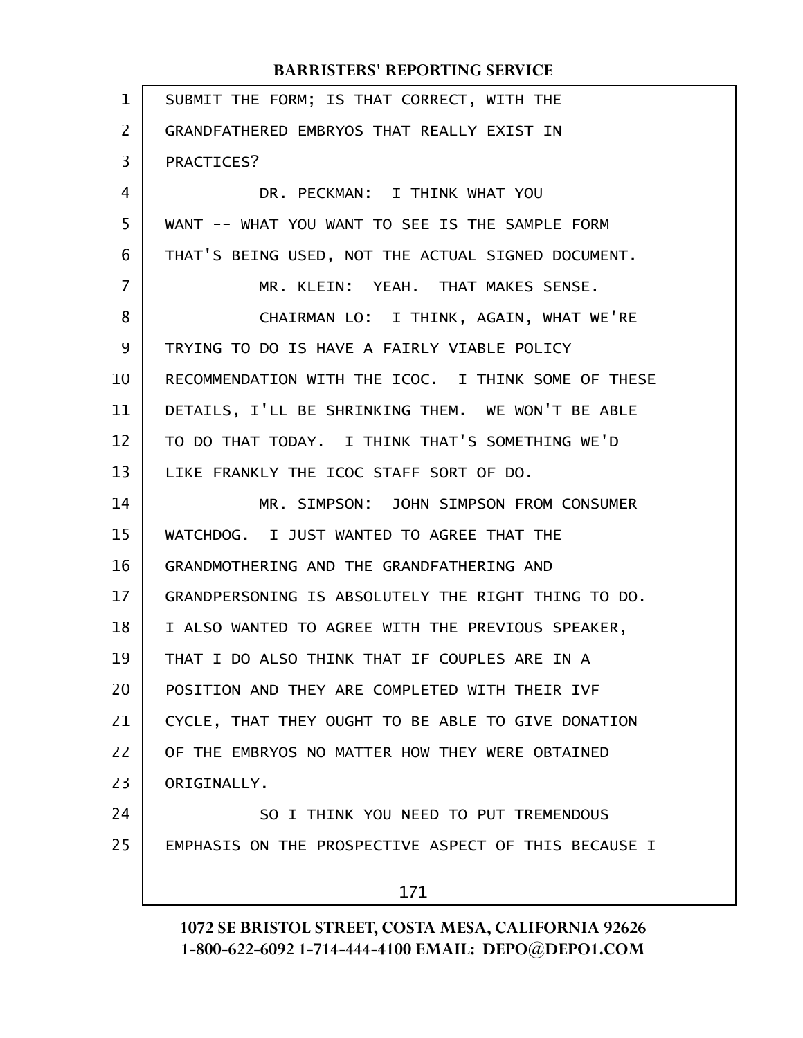| $\mathbf{1}$      | SUBMIT THE FORM; IS THAT CORRECT, WITH THE           |
|-------------------|------------------------------------------------------|
| $\overline{2}$    | GRANDFATHERED EMBRYOS THAT REALLY EXIST IN           |
| 3                 | PRACTICES?                                           |
| 4                 | DR. PECKMAN: I THINK WHAT YOU                        |
| 5                 | WANT -- WHAT YOU WANT TO SEE IS THE SAMPLE FORM      |
| 6                 | THAT'S BEING USED, NOT THE ACTUAL SIGNED DOCUMENT.   |
| 7                 | MR. KLEIN: YEAH. THAT MAKES SENSE.                   |
| 8                 | CHAIRMAN LO: I THINK, AGAIN, WHAT WE'RE              |
| 9                 | TRYING TO DO IS HAVE A FAIRLY VIABLE POLICY          |
| 10                | RECOMMENDATION WITH THE ICOC. I THINK SOME OF THESE  |
| 11                | DETAILS, I'LL BE SHRINKING THEM. WE WON'T BE ABLE    |
| $12 \overline{ }$ | TO DO THAT TODAY. I THINK THAT'S SOMETHING WE'D      |
| 13                | LIKE FRANKLY THE ICOC STAFF SORT OF DO.              |
| 14                | MR. SIMPSON: JOHN SIMPSON FROM CONSUMER              |
| 15                | WATCHDOG. I JUST WANTED TO AGREE THAT THE            |
| 16                | GRANDMOTHERING AND THE GRANDFATHERING AND            |
| 17                | GRANDPERSONING IS ABSOLUTELY THE RIGHT THING TO DO.  |
| 18                | I ALSO WANTED TO AGREE WITH THE PREVIOUS SPEAKER,    |
| 19                | THAT I DO ALSO THINK THAT IF COUPLES ARE IN A        |
| 20                | POSITION AND THEY ARE COMPLETED WITH THEIR IVF       |
| 21                | CYCLE, THAT THEY OUGHT TO BE ABLE TO GIVE DONATION   |
| 22                | OF THE EMBRYOS NO MATTER HOW THEY WERE OBTAINED      |
| 23                | ORIGINALLY.                                          |
| 24                | SO I THINK YOU NEED TO PUT TREMENDOUS                |
| 25                | EMPHASIS ON THE PROSPECTIVE ASPECT OF THIS BECAUSE I |
|                   | 171                                                  |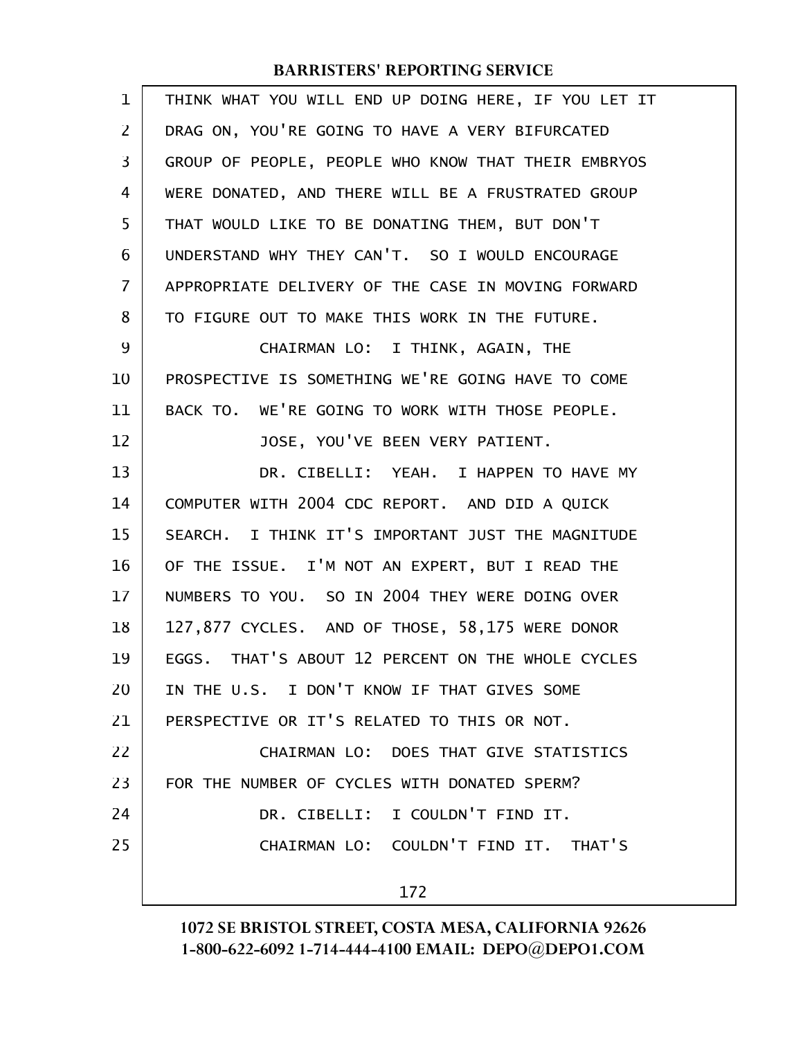| $\mathbf 1$    | THINK WHAT YOU WILL END UP DOING HERE, IF YOU LET IT |
|----------------|------------------------------------------------------|
| $\overline{2}$ | DRAG ON, YOU'RE GOING TO HAVE A VERY BIFURCATED      |
| 3              | GROUP OF PEOPLE, PEOPLE WHO KNOW THAT THEIR EMBRYOS  |
| 4              | WERE DONATED, AND THERE WILL BE A FRUSTRATED GROUP   |
| 5              | THAT WOULD LIKE TO BE DONATING THEM, BUT DON'T       |
| 6              | UNDERSTAND WHY THEY CAN'T. SO I WOULD ENCOURAGE      |
| $\overline{7}$ | APPROPRIATE DELIVERY OF THE CASE IN MOVING FORWARD   |
| 8              | TO FIGURE OUT TO MAKE THIS WORK IN THE FUTURE.       |
| 9              | CHAIRMAN LO: I THINK, AGAIN, THE                     |
| 10             | PROSPECTIVE IS SOMETHING WE'RE GOING HAVE TO COME    |
| 11             | BACK TO. WE'RE GOING TO WORK WITH THOSE PEOPLE.      |
| 12             | JOSE, YOU'VE BEEN VERY PATIENT.                      |
| 13             | DR. CIBELLI: YEAH. I HAPPEN TO HAVE MY               |
| 14             | COMPUTER WITH 2004 CDC REPORT. AND DID A QUICK       |
| 15             | SEARCH. I THINK IT'S IMPORTANT JUST THE MAGNITUDE    |
| 16             | OF THE ISSUE. I'M NOT AN EXPERT, BUT I READ THE      |
| 17             | NUMBERS TO YOU. SO IN 2004 THEY WERE DOING OVER      |
| 18             | 127,877 CYCLES. AND OF THOSE, 58,175 WERE DONOR      |
| 19             | EGGS. THAT'S ABOUT 12 PERCENT ON THE WHOLE CYCLES    |
| 20             | IN THE U.S. I DON'T KNOW IF THAT GIVES SOME          |
| 21             | PERSPECTIVE OR IT'S RELATED TO THIS OR NOT.          |
| 22             | CHAIRMAN LO: DOES THAT GIVE STATISTICS               |
| 23             | FOR THE NUMBER OF CYCLES WITH DONATED SPERM?         |
| 24             | DR. CIBELLI: I COULDN'T FIND IT.                     |
| 25             | CHAIRMAN LO: COULDN'T FIND IT. THAT'S                |
|                | 172                                                  |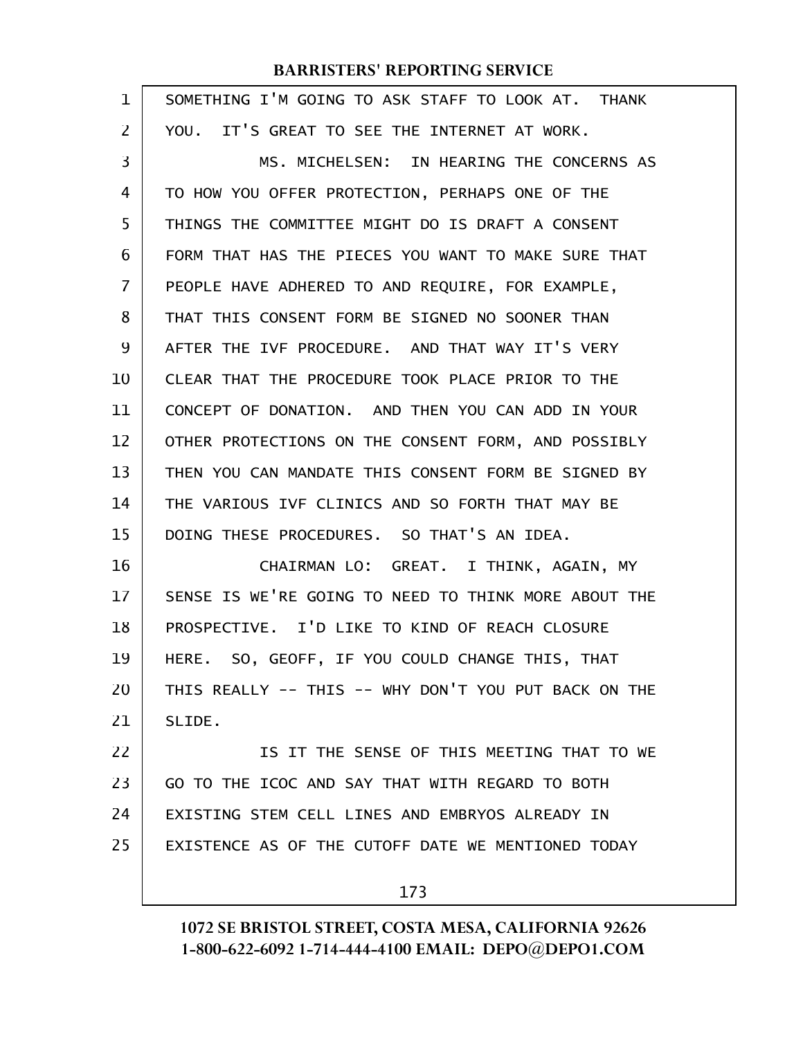| $\mathbf 1$ | SOMETHING I'M GOING TO ASK STAFF TO LOOK AT. THANK   |
|-------------|------------------------------------------------------|
| 2           | YOU. IT'S GREAT TO SEE THE INTERNET AT WORK.         |
| 3           | MS. MICHELSEN: IN HEARING THE CONCERNS AS            |
| 4           | TO HOW YOU OFFER PROTECTION, PERHAPS ONE OF THE      |
| 5           | THINGS THE COMMITTEE MIGHT DO IS DRAFT A CONSENT     |
| 6           | FORM THAT HAS THE PIECES YOU WANT TO MAKE SURE THAT  |
| 7           | PEOPLE HAVE ADHERED TO AND REQUIRE, FOR EXAMPLE,     |
| 8           | THAT THIS CONSENT FORM BE SIGNED NO SOONER THAN      |
| 9           | AFTER THE IVF PROCEDURE. AND THAT WAY IT'S VERY      |
| 10          | CLEAR THAT THE PROCEDURE TOOK PLACE PRIOR TO THE     |
| 11          | CONCEPT OF DONATION. AND THEN YOU CAN ADD IN YOUR    |
| 12          | OTHER PROTECTIONS ON THE CONSENT FORM, AND POSSIBLY  |
| 13          | THEN YOU CAN MANDATE THIS CONSENT FORM BE SIGNED BY  |
| 14          | THE VARIOUS IVF CLINICS AND SO FORTH THAT MAY BE     |
| 15          | DOING THESE PROCEDURES. SO THAT'S AN IDEA.           |
| 16          | CHAIRMAN LO: GREAT. I THINK, AGAIN, MY               |
| 17          | SENSE IS WE'RE GOING TO NEED TO THINK MORE ABOUT THE |
| 18          | PROSPECTIVE. I'D LIKE TO KIND OF REACH CLOSURE       |
| 19          | HERE. SO, GEOFF, IF YOU COULD CHANGE THIS, THAT      |
| 20          | THIS REALLY -- THIS -- WHY DON'T YOU PUT BACK ON THE |
| 21          | SLIDE.                                               |
| 22          | IS IT THE SENSE OF THIS MEETING THAT TO WE           |
| 23          | GO TO THE ICOC AND SAY THAT WITH REGARD TO BOTH      |
| 24          | EXISTING STEM CELL LINES AND EMBRYOS ALREADY IN      |
| 25          | EXISTENCE AS OF THE CUTOFF DATE WE MENTIONED TODAY   |
|             |                                                      |

173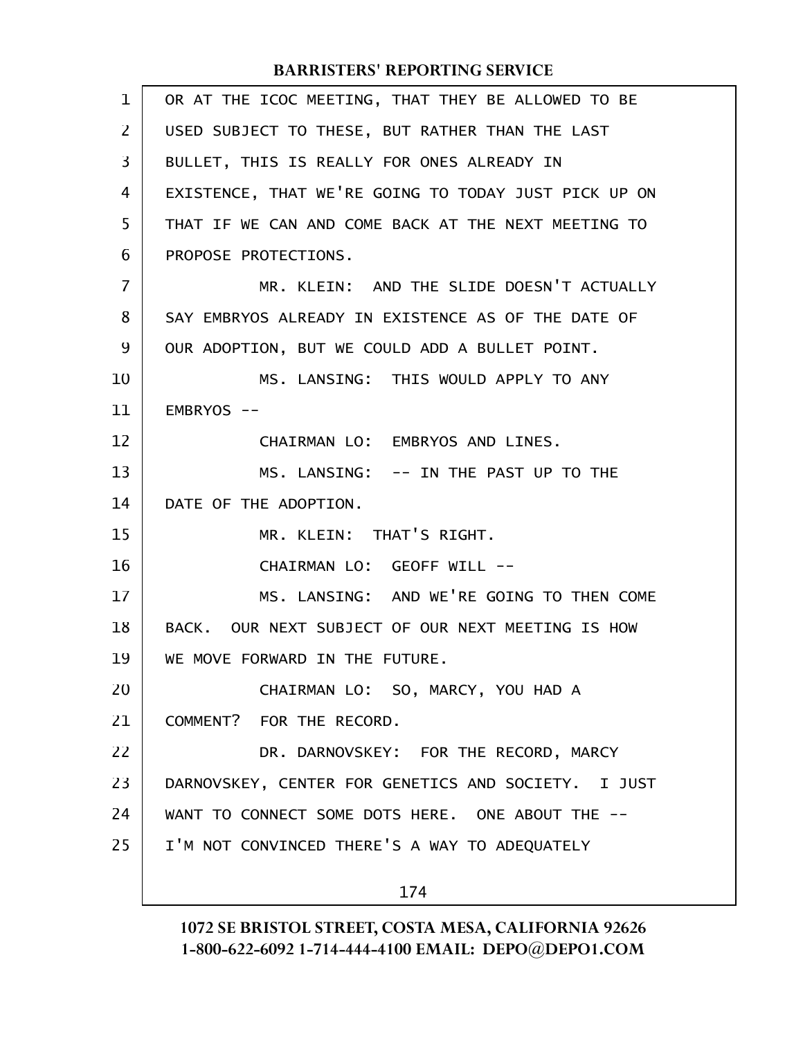| $\mathbf 1$       | OR AT THE ICOC MEETING, THAT THEY BE ALLOWED TO BE   |
|-------------------|------------------------------------------------------|
| $\overline{2}$    | USED SUBJECT TO THESE, BUT RATHER THAN THE LAST      |
| 3                 | BULLET, THIS IS REALLY FOR ONES ALREADY IN           |
| 4                 | EXISTENCE, THAT WE'RE GOING TO TODAY JUST PICK UP ON |
| 5                 | THAT IF WE CAN AND COME BACK AT THE NEXT MEETING TO  |
| 6                 | PROPOSE PROTECTIONS.                                 |
| $\overline{7}$    | MR. KLEIN: AND THE SLIDE DOESN'T ACTUALLY            |
| 8                 | SAY EMBRYOS ALREADY IN EXISTENCE AS OF THE DATE OF   |
| 9                 | OUR ADOPTION, BUT WE COULD ADD A BULLET POINT.       |
| 10                | MS. LANSING: THIS WOULD APPLY TO ANY                 |
| 11                | EMBRYOS --                                           |
| $12 \overline{ }$ | CHAIRMAN LO: EMBRYOS AND LINES.                      |
| 13                | MS. LANSING: -- IN THE PAST UP TO THE                |
| 14                | DATE OF THE ADOPTION.                                |
| 15                | MR. KLEIN: THAT'S RIGHT.                             |
| 16                | CHAIRMAN LO: GEOFF WILL --                           |
| 17                | MS. LANSING: AND WE'RE GOING TO THEN COME            |
| 18                | BACK. OUR NEXT SUBJECT OF OUR NEXT MEETING IS HOW    |
| 19                | WE MOVE FORWARD IN THE FUTURE.                       |
| 20                | CHAIRMAN LO: SO, MARCY, YOU HAD A                    |
| 21                | COMMENT? FOR THE RECORD.                             |
| 22                | DR. DARNOVSKEY: FOR THE RECORD, MARCY                |
| 23                | DARNOVSKEY, CENTER FOR GENETICS AND SOCIETY. I JUST  |
| 24                | WANT TO CONNECT SOME DOTS HERE. ONE ABOUT THE --     |
| 25                | I'M NOT CONVINCED THERE'S A WAY TO ADEQUATELY        |
|                   | 174                                                  |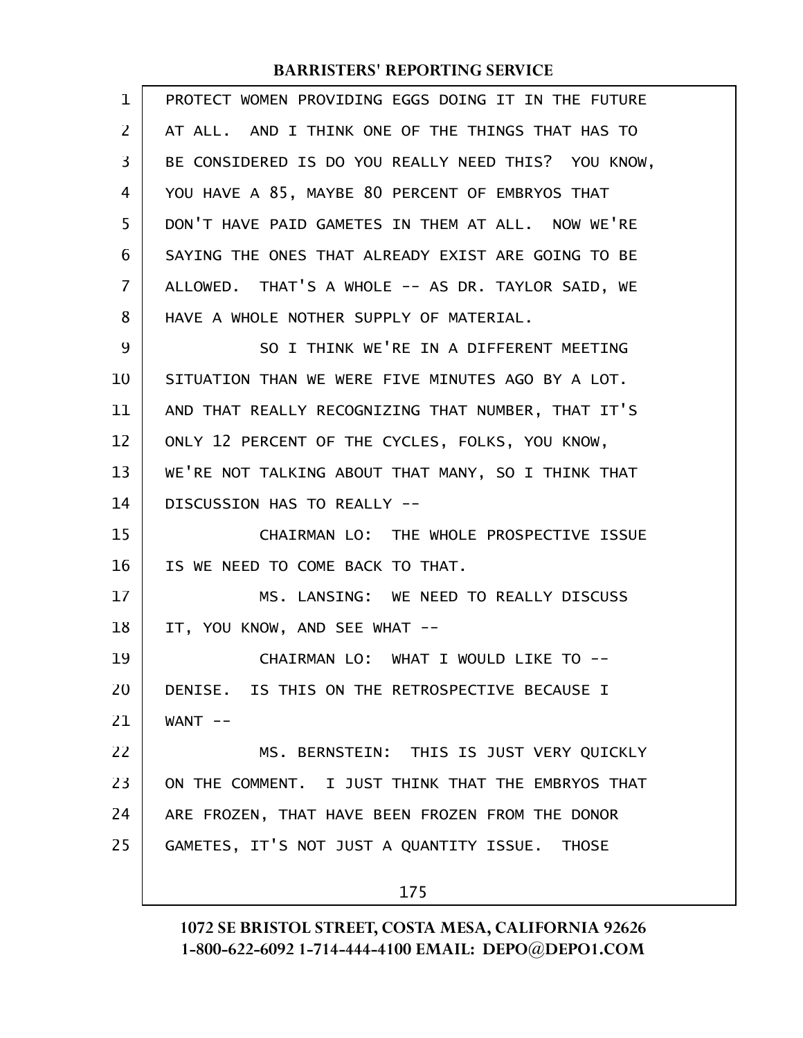| 1  | PROTECT WOMEN PROVIDING EGGS DOING IT IN THE FUTURE |
|----|-----------------------------------------------------|
| 2  | AT ALL. AND I THINK ONE OF THE THINGS THAT HAS TO   |
| 3  | BE CONSIDERED IS DO YOU REALLY NEED THIS? YOU KNOW, |
| 4  | YOU HAVE A 85, MAYBE 80 PERCENT OF EMBRYOS THAT     |
| 5  | DON'T HAVE PAID GAMETES IN THEM AT ALL. NOW WE'RE   |
| 6  | SAYING THE ONES THAT ALREADY EXIST ARE GOING TO BE  |
| 7  | ALLOWED. THAT'S A WHOLE -- AS DR. TAYLOR SAID, WE   |
| 8  | HAVE A WHOLE NOTHER SUPPLY OF MATERIAL.             |
| 9  | SO I THINK WE'RE IN A DIFFERENT MEETING             |
| 10 | SITUATION THAN WE WERE FIVE MINUTES AGO BY A LOT.   |
| 11 | AND THAT REALLY RECOGNIZING THAT NUMBER, THAT IT'S  |
| 12 | ONLY 12 PERCENT OF THE CYCLES, FOLKS, YOU KNOW,     |
| 13 | WE'RE NOT TALKING ABOUT THAT MANY, SO I THINK THAT  |
| 14 | DISCUSSION HAS TO REALLY --                         |
| 15 | CHAIRMAN LO: THE WHOLE PROSPECTIVE ISSUE            |
| 16 | IS WE NEED TO COME BACK TO THAT.                    |
| 17 | MS. LANSING: WE NEED TO REALLY DISCUSS              |
| 18 | IT, YOU KNOW, AND SEE WHAT --                       |
| 19 | CHAIRMAN LO: WHAT I WOULD LIKE TO --                |
| 20 | DENISE. IS THIS ON THE RETROSPECTIVE BECAUSE I      |
| 21 | $WANT$ --                                           |
| 22 | MS. BERNSTEIN: THIS IS JUST VERY QUICKLY            |
| 23 | ON THE COMMENT. I JUST THINK THAT THE EMBRYOS THAT  |
| 24 | ARE FROZEN, THAT HAVE BEEN FROZEN FROM THE DONOR    |
| 25 | GAMETES, IT'S NOT JUST A QUANTITY ISSUE. THOSE      |
|    | 175                                                 |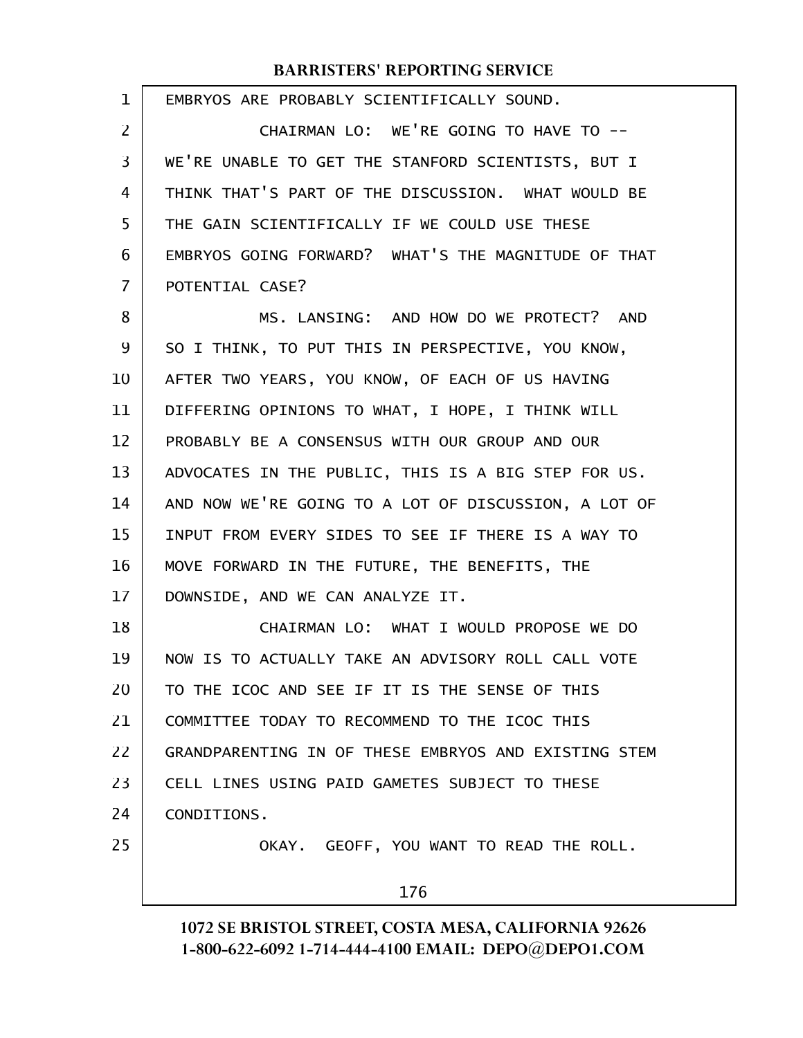| 1  | EMBRYOS ARE PROBABLY SCIENTIFICALLY SOUND.           |
|----|------------------------------------------------------|
| 2  | CHAIRMAN LO: WE'RE GOING TO HAVE TO --               |
| 3  | WE'RE UNABLE TO GET THE STANFORD SCIENTISTS, BUT I   |
| 4  | THINK THAT'S PART OF THE DISCUSSION. WHAT WOULD BE   |
| 5  | THE GAIN SCIENTIFICALLY IF WE COULD USE THESE        |
| 6  | EMBRYOS GOING FORWARD? WHAT'S THE MAGNITUDE OF THAT  |
| 7  | POTENTIAL CASE?                                      |
| 8  | MS. LANSING: AND HOW DO WE PROTECT? AND              |
| 9  | SO I THINK, TO PUT THIS IN PERSPECTIVE, YOU KNOW,    |
| 10 | AFTER TWO YEARS, YOU KNOW, OF EACH OF US HAVING      |
| 11 | DIFFERING OPINIONS TO WHAT, I HOPE, I THINK WILL     |
| 12 | PROBABLY BE A CONSENSUS WITH OUR GROUP AND OUR       |
| 13 | ADVOCATES IN THE PUBLIC, THIS IS A BIG STEP FOR US.  |
| 14 | AND NOW WE'RE GOING TO A LOT OF DISCUSSION, A LOT OF |
| 15 | INPUT FROM EVERY SIDES TO SEE IF THERE IS A WAY TO   |
| 16 | MOVE FORWARD IN THE FUTURE, THE BENEFITS, THE        |
| 17 | DOWNSIDE, AND WE CAN ANALYZE IT.                     |
| 18 | CHAIRMAN LO: WHAT I WOULD PROPOSE WE DO              |
| 19 | NOW IS TO ACTUALLY TAKE AN ADVISORY ROLL CALL VOTE   |
| 20 | TO THE ICOC AND SEE IF IT IS THE SENSE OF THIS       |
| 21 | COMMITTEE TODAY TO RECOMMEND TO THE ICOC THIS        |
| 22 | GRANDPARENTING IN OF THESE EMBRYOS AND EXISTING STEM |
| 23 | CELL LINES USING PAID GAMETES SUBJECT TO THESE       |
| 24 | CONDITIONS.                                          |
| 25 | OKAY. GEOFF, YOU WANT TO READ THE ROLL.              |
|    | 176                                                  |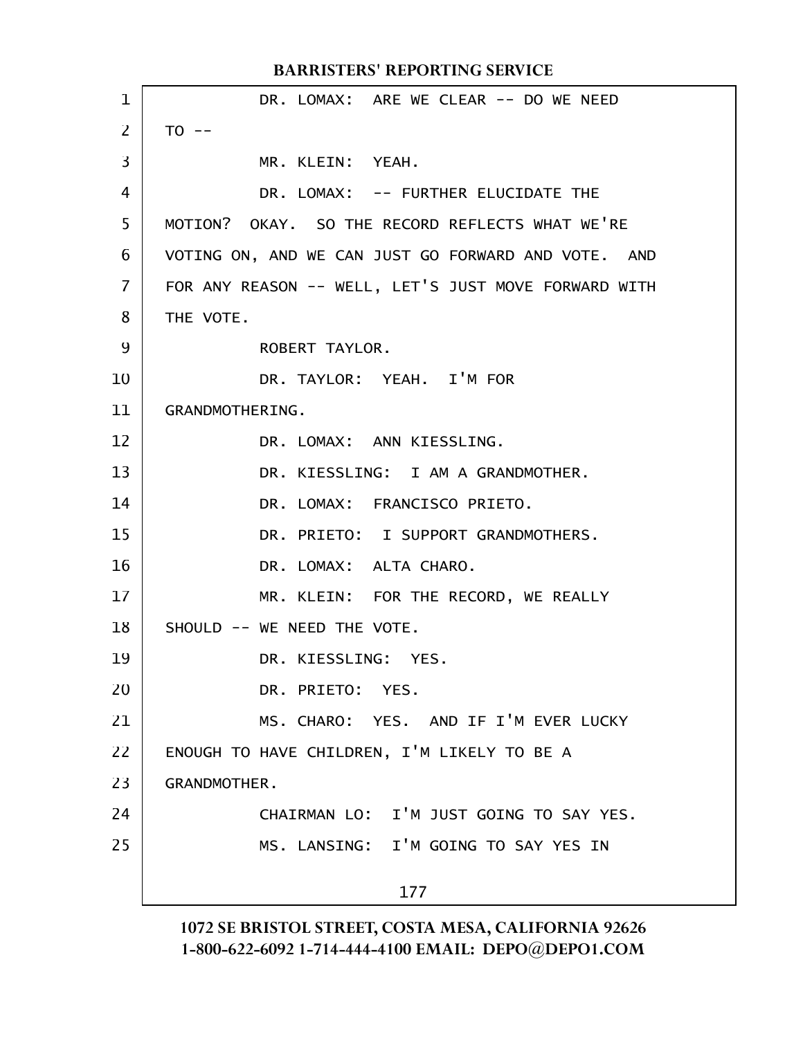DR. LOMAX: ARE WE CLEAR -- DO WE NEED  $TO - -$ MR. KLEIN: YEAH. DR. LOMAX: -- FURTHER ELUCIDATE THE MOTION? OKAY. SO THE RECORD REFLECTS WHAT WE'RE VOTING ON, AND WE CAN JUST GO FORWARD AND VOTE. AND FOR ANY REASON -- WELL, LET'S JUST MOVE FORWARD WITH THE VOTE. ROBERT TAYLOR. DR. TAYLOR: YEAH. I'M FOR GRANDMOTHERING. DR. LOMAX: ANN KIESSLING. DR. KIESSLING: I AM A GRANDMOTHER. DR. LOMAX: FRANCISCO PRIETO. DR. PRIETO: I SUPPORT GRANDMOTHERS. DR. LOMAX: ALTA CHARO. MR. KLEIN: FOR THE RECORD, WE REALLY SHOULD -- WE NEED THE VOTE. DR. KIESSLING: YES. DR. PRIETO: YES. MS. CHARO: YES. AND IF I'M EVER LUCKY ENOUGH TO HAVE CHILDREN, I'M LIKELY TO BE A GRANDMOTHER. CHAIRMAN LO: I'M JUST GOING TO SAY YES. MS. LANSING: I'M GOING TO SAY YES IN 177 BARRISTERS' REPORTING SERVICE 1 2 3 4 5 6 7 8 9 10 11 12 13 14 15 16 17 18 19 20 21 22 23 24 25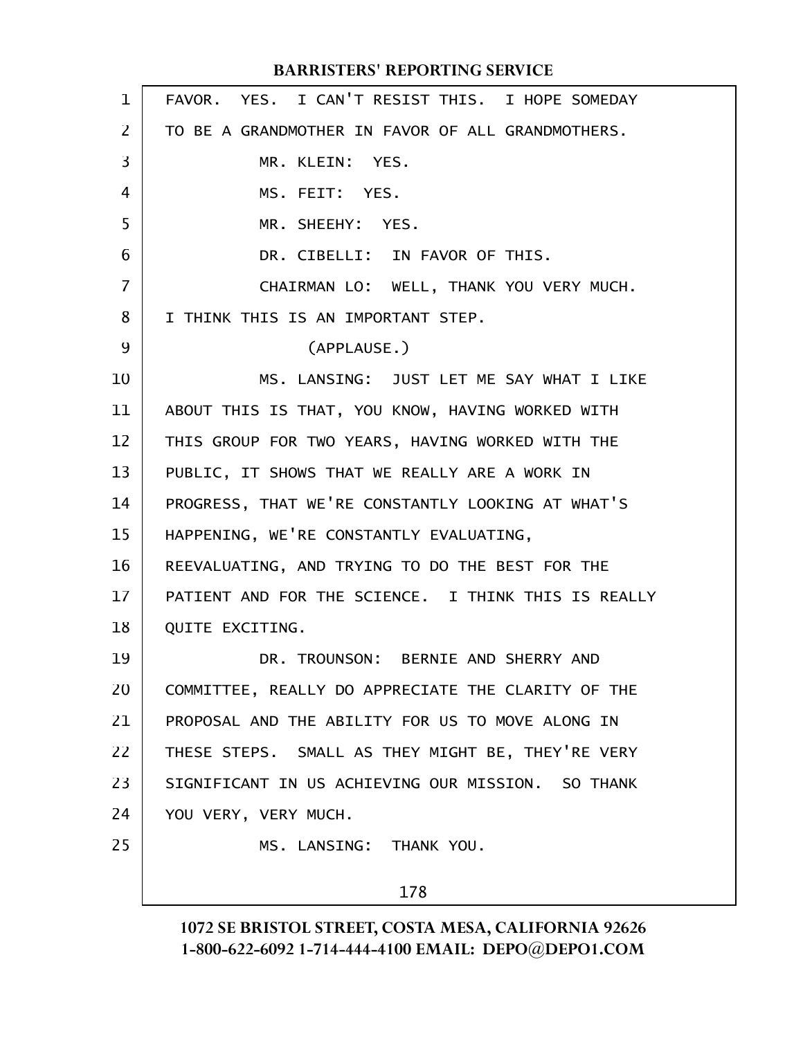| $\mathbf{1}$   | FAVOR. YES. I CAN'T RESIST THIS. I HOPE SOMEDAY     |
|----------------|-----------------------------------------------------|
| $\overline{2}$ | TO BE A GRANDMOTHER IN FAVOR OF ALL GRANDMOTHERS.   |
| 3              | MR. KLEIN: YES.                                     |
| 4              | MS. FEIT: YES.                                      |
| 5              | MR. SHEEHY: YES.                                    |
| 6              | DR. CIBELLI: IN FAVOR OF THIS.                      |
| $\overline{7}$ | CHAIRMAN LO: WELL, THANK YOU VERY MUCH.             |
| 8              | I THINK THIS IS AN IMPORTANT STEP.                  |
| 9              | (APPLAUSE.)                                         |
| 10             | MS. LANSING: JUST LET ME SAY WHAT I LIKE            |
| 11             | ABOUT THIS IS THAT, YOU KNOW, HAVING WORKED WITH    |
| 12             | THIS GROUP FOR TWO YEARS, HAVING WORKED WITH THE    |
| 13             | PUBLIC, IT SHOWS THAT WE REALLY ARE A WORK IN       |
| 14             | PROGRESS, THAT WE'RE CONSTANTLY LOOKING AT WHAT'S   |
| 15             | HAPPENING, WE'RE CONSTANTLY EVALUATING,             |
| 16             | REEVALUATING, AND TRYING TO DO THE BEST FOR THE     |
| 17             | PATIENT AND FOR THE SCIENCE. I THINK THIS IS REALLY |
| 18             | QUITE EXCITING.                                     |
| 19             | DR. TROUNSON: BERNIE AND SHERRY AND                 |
| 20             | COMMITTEE, REALLY DO APPRECIATE THE CLARITY OF THE  |
| 21             | PROPOSAL AND THE ABILITY FOR US TO MOVE ALONG IN    |
| 22             | THESE STEPS. SMALL AS THEY MIGHT BE, THEY'RE VERY   |
| 23             | SIGNIFICANT IN US ACHIEVING OUR MISSION. SO THANK   |
| 24             | YOU VERY, VERY MUCH.                                |
| 25             | MS. LANSING: THANK YOU.                             |
|                | 178                                                 |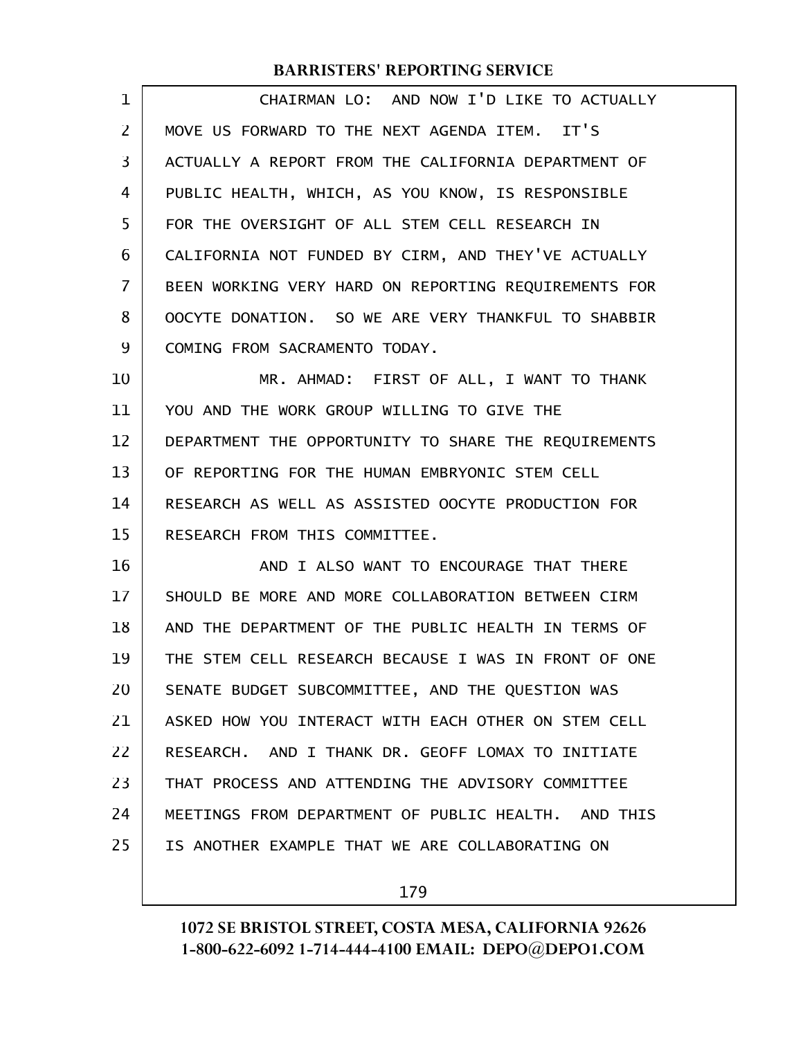| 1  | CHAIRMAN LO: AND NOW I'D LIKE TO ACTUALLY            |
|----|------------------------------------------------------|
| 2  | MOVE US FORWARD TO THE NEXT AGENDA ITEM. IT'S        |
| 3  | ACTUALLY A REPORT FROM THE CALIFORNIA DEPARTMENT OF  |
| 4  | PUBLIC HEALTH, WHICH, AS YOU KNOW, IS RESPONSIBLE    |
| 5  | FOR THE OVERSIGHT OF ALL STEM CELL RESEARCH IN       |
| 6  | CALIFORNIA NOT FUNDED BY CIRM, AND THEY'VE ACTUALLY  |
| 7  | BEEN WORKING VERY HARD ON REPORTING REQUIREMENTS FOR |
| 8  | OOCYTE DONATION. SO WE ARE VERY THANKFUL TO SHABBIR  |
| 9  | COMING FROM SACRAMENTO TODAY.                        |
| 10 | MR. AHMAD: FIRST OF ALL, I WANT TO THANK             |
| 11 | YOU AND THE WORK GROUP WILLING TO GIVE THE           |
| 12 | DEPARTMENT THE OPPORTUNITY TO SHARE THE REQUIREMENTS |
| 13 | OF REPORTING FOR THE HUMAN EMBRYONIC STEM CELL       |
| 14 | RESEARCH AS WELL AS ASSISTED OOCYTE PRODUCTION FOR   |
| 15 | RESEARCH FROM THIS COMMITTEE.                        |
| 16 | AND I ALSO WANT TO ENCOURAGE THAT THERE              |
| 17 | SHOULD BE MORE AND MORE COLLABORATION BETWEEN CIRM   |
| 18 | AND THE DEPARTMENT OF THE PUBLIC HEALTH IN TERMS OF  |
| 19 | THE STEM CELL RESEARCH BECAUSE I WAS IN FRONT OF ONE |
| 20 | SENATE BUDGET SUBCOMMITTEE, AND THE QUESTION WAS     |
| 21 | ASKED HOW YOU INTERACT WITH EACH OTHER ON STEM CELL  |
| 22 | RESEARCH. AND I THANK DR. GEOFF LOMAX TO INITIATE    |
| 23 | THAT PROCESS AND ATTENDING THE ADVISORY COMMITTEE    |
| 24 | MEETINGS FROM DEPARTMENT OF PUBLIC HEALTH. AND THIS  |
| 25 | IS ANOTHER EXAMPLE THAT WE ARE COLLABORATING ON      |
|    |                                                      |

179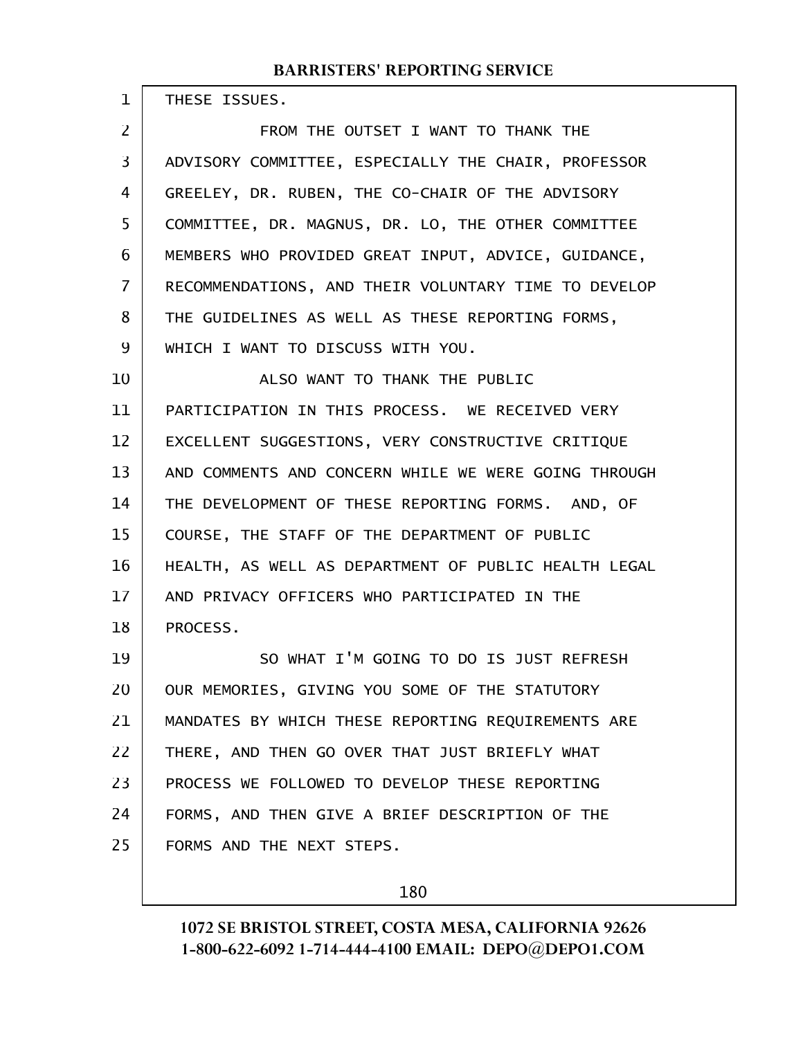THESE ISSUES.

1

FROM THE OUTSET I WANT TO THANK THE ADVISORY COMMITTEE, ESPECIALLY THE CHAIR, PROFESSOR GREELEY, DR. RUBEN, THE CO-CHAIR OF THE ADVISORY COMMITTEE, DR. MAGNUS, DR. LO, THE OTHER COMMITTEE MEMBERS WHO PROVIDED GREAT INPUT, ADVICE, GUIDANCE, RECOMMENDATIONS, AND THEIR VOLUNTARY TIME TO DEVELOP THE GUIDELINES AS WELL AS THESE REPORTING FORMS, WHICH I WANT TO DISCUSS WITH YOU. ALSO WANT TO THANK THE PUBLIC PARTICIPATION IN THIS PROCESS. WE RECEIVED VERY EXCELLENT SUGGESTIONS, VERY CONSTRUCTIVE CRITIQUE AND COMMENTS AND CONCERN WHILE WE WERE GOING THROUGH THE DEVELOPMENT OF THESE REPORTING FORMS. AND, OF COURSE, THE STAFF OF THE DEPARTMENT OF PUBLIC HEALTH, AS WELL AS DEPARTMENT OF PUBLIC HEALTH LEGAL AND PRIVACY OFFICERS WHO PARTICIPATED IN THE PROCESS. SO WHAT I'M GOING TO DO IS JUST REFRESH OUR MEMORIES, GIVING YOU SOME OF THE STATUTORY MANDATES BY WHICH THESE REPORTING REQUIREMENTS ARE THERE, AND THEN GO OVER THAT JUST BRIEFLY WHAT PROCESS WE FOLLOWED TO DEVELOP THESE REPORTING FORMS, AND THEN GIVE A BRIEF DESCRIPTION OF THE FORMS AND THE NEXT STEPS. 2 3 4 5 6 7 8 9 10 11 12 13 14 15 16 17 18 19 20 21 22 23 24 25

180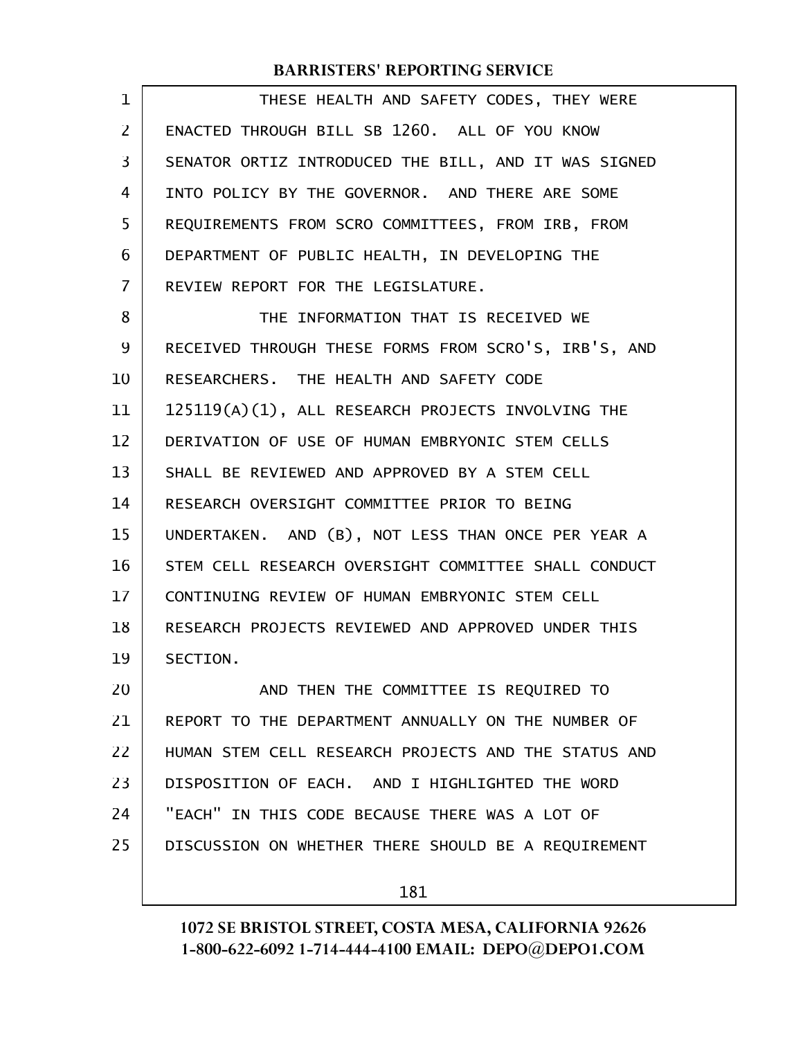| $\mathbf{1}$ | THESE HEALTH AND SAFETY CODES, THEY WERE             |
|--------------|------------------------------------------------------|
| 2            | ENACTED THROUGH BILL SB 1260. ALL OF YOU KNOW        |
| 3            | SENATOR ORTIZ INTRODUCED THE BILL, AND IT WAS SIGNED |
| 4            | INTO POLICY BY THE GOVERNOR. AND THERE ARE SOME      |
| 5            | REQUIREMENTS FROM SCRO COMMITTEES, FROM IRB, FROM    |
| 6            | DEPARTMENT OF PUBLIC HEALTH, IN DEVELOPING THE       |
| 7            | REVIEW REPORT FOR THE LEGISLATURE.                   |
| 8            | THE INFORMATION THAT IS RECEIVED WE                  |
| 9            | RECEIVED THROUGH THESE FORMS FROM SCRO'S, IRB'S, AND |
| 10           | RESEARCHERS. THE HEALTH AND SAFETY CODE              |
| 11           | 125119(A)(1), ALL RESEARCH PROJECTS INVOLVING THE    |
| 12           | DERIVATION OF USE OF HUMAN EMBRYONIC STEM CELLS      |
| 13           | SHALL BE REVIEWED AND APPROVED BY A STEM CELL        |
| 14           | RESEARCH OVERSIGHT COMMITTEE PRIOR TO BEING          |
| 15           | UNDERTAKEN. AND (B), NOT LESS THAN ONCE PER YEAR A   |
| 16           | STEM CELL RESEARCH OVERSIGHT COMMITTEE SHALL CONDUCT |
| 17           | CONTINUING REVIEW OF HUMAN EMBRYONIC STEM CELL       |
| 18           | RESEARCH PROJECTS REVIEWED AND APPROVED UNDER THIS   |
| 19           | SECTION.                                             |
| 20           | AND THEN THE COMMITTEE IS REQUIRED TO                |
| 21           | REPORT TO THE DEPARTMENT ANNUALLY ON THE NUMBER OF   |
| 22           | HUMAN STEM CELL RESEARCH PROJECTS AND THE STATUS AND |
| 23           | DISPOSITION OF EACH. AND I HIGHLIGHTED THE WORD      |
| 24           | "EACH" IN THIS CODE BECAUSE THERE WAS A LOT OF       |
| 25           | DISCUSSION ON WHETHER THERE SHOULD BE A REQUIREMENT  |
|              | 181                                                  |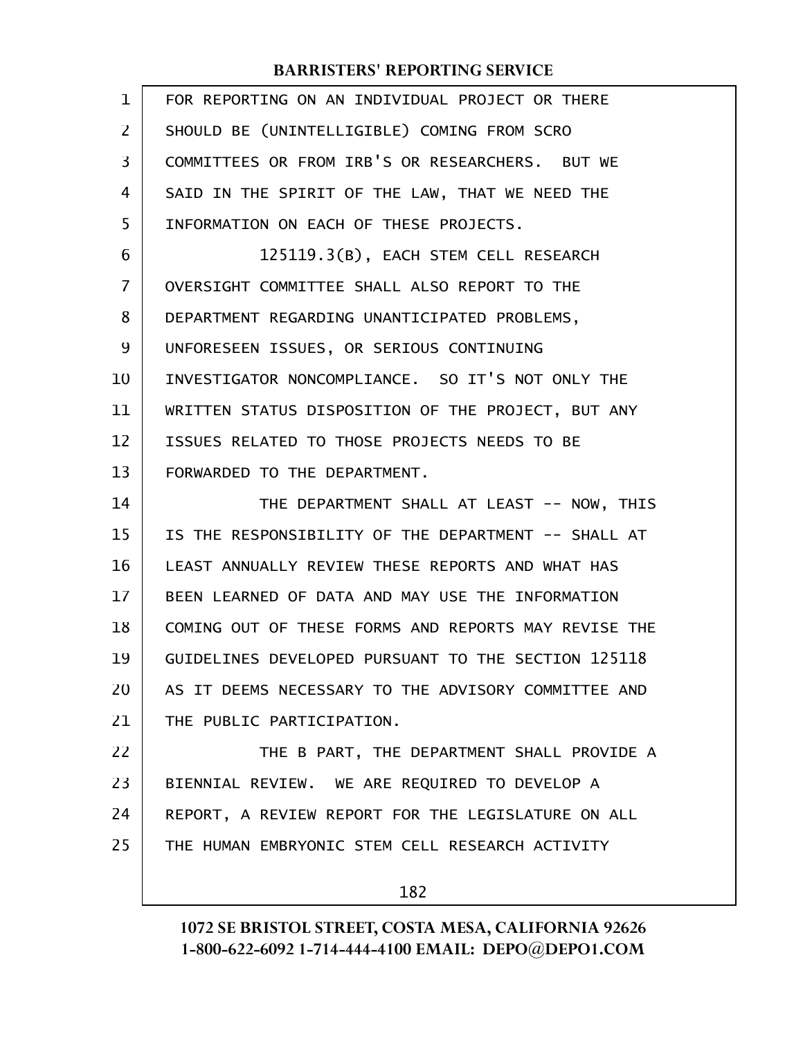| $\mathbf{1}$ | FOR REPORTING ON AN INDIVIDUAL PROJECT OR THERE      |
|--------------|------------------------------------------------------|
| 2            | SHOULD BE (UNINTELLIGIBLE) COMING FROM SCRO          |
| 3            | COMMITTEES OR FROM IRB'S OR RESEARCHERS. BUT WE      |
| 4            | SAID IN THE SPIRIT OF THE LAW, THAT WE NEED THE      |
| 5            | INFORMATION ON EACH OF THESE PROJECTS.               |
| 6            | 125119.3(B), EACH STEM CELL RESEARCH                 |
| 7            | OVERSIGHT COMMITTEE SHALL ALSO REPORT TO THE         |
| 8            | DEPARTMENT REGARDING UNANTICIPATED PROBLEMS,         |
| 9            | UNFORESEEN ISSUES, OR SERIOUS CONTINUING             |
| 10           | INVESTIGATOR NONCOMPLIANCE. SO IT'S NOT ONLY THE     |
| 11           | WRITTEN STATUS DISPOSITION OF THE PROJECT, BUT ANY   |
| 12           | ISSUES RELATED TO THOSE PROJECTS NEEDS TO BE         |
| 13           | FORWARDED TO THE DEPARTMENT.                         |
| 14           | THE DEPARTMENT SHALL AT LEAST -- NOW, THIS           |
| 15           | IS THE RESPONSIBILITY OF THE DEPARTMENT -- SHALL AT  |
|              |                                                      |
| 16           | LEAST ANNUALLY REVIEW THESE REPORTS AND WHAT HAS     |
| 17           | BEEN LEARNED OF DATA AND MAY USE THE INFORMATION     |
| 18           | COMING OUT OF THESE FORMS AND REPORTS MAY REVISE THE |
| 19           | GUIDELINES DEVELOPED PURSUANT TO THE SECTION 125118  |
| 20           | AS IT DEEMS NECESSARY TO THE ADVISORY COMMITTEE AND  |
| 21           | THE PUBLIC PARTICIPATION.                            |
| 22           | THE B PART, THE DEPARTMENT SHALL PROVIDE A           |
| 23           | BIENNIAL REVIEW. WE ARE REQUIRED TO DEVELOP A        |
| 24           | REPORT, A REVIEW REPORT FOR THE LEGISLATURE ON ALL   |
| 25           | THE HUMAN EMBRYONIC STEM CELL RESEARCH ACTIVITY      |

182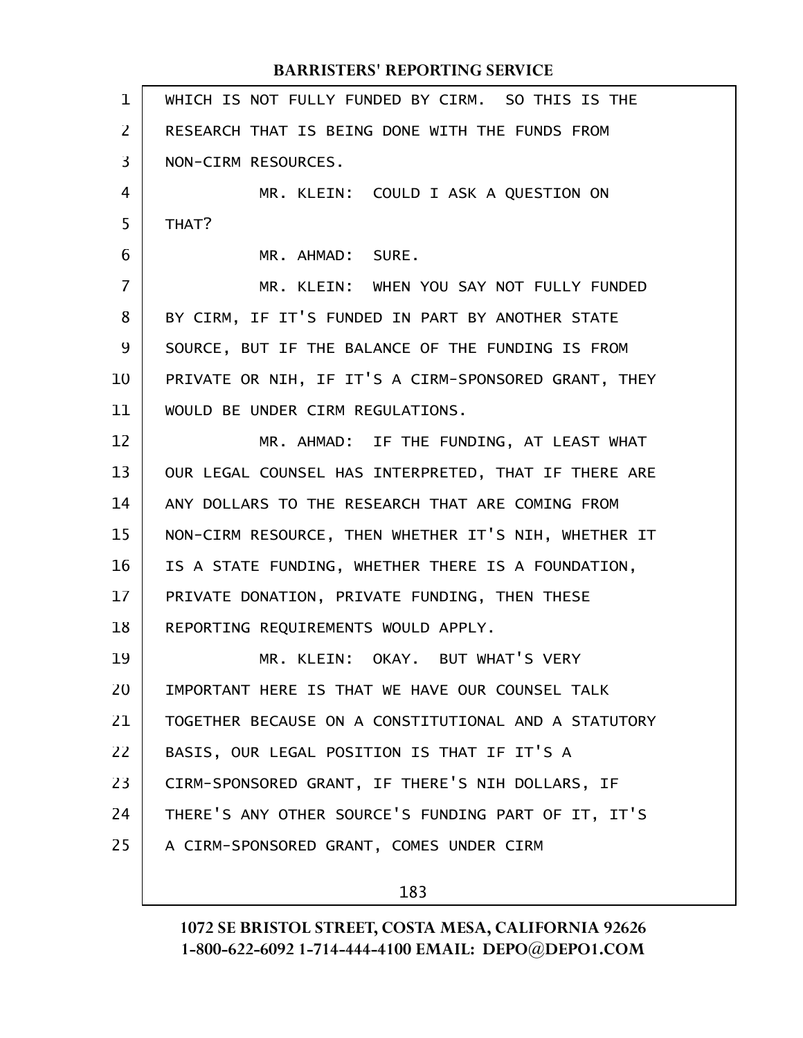| $\mathbf{1}$   | WHICH IS NOT FULLY FUNDED BY CIRM. SO THIS IS THE    |
|----------------|------------------------------------------------------|
| 2              | RESEARCH THAT IS BEING DONE WITH THE FUNDS FROM      |
| 3              | NON-CIRM RESOURCES.                                  |
| 4              | MR. KLEIN: COULD I ASK A QUESTION ON                 |
| 5              | THAT?                                                |
| 6              | MR. AHMAD: SURE.                                     |
| $\overline{7}$ | MR. KLEIN: WHEN YOU SAY NOT FULLY FUNDED             |
| 8              | BY CIRM, IF IT'S FUNDED IN PART BY ANOTHER STATE     |
| 9              | SOURCE, BUT IF THE BALANCE OF THE FUNDING IS FROM    |
| 10             | PRIVATE OR NIH, IF IT'S A CIRM-SPONSORED GRANT, THEY |
| 11             | WOULD BE UNDER CIRM REGULATIONS.                     |
| 12             | MR. AHMAD: IF THE FUNDING, AT LEAST WHAT             |
| 13             | OUR LEGAL COUNSEL HAS INTERPRETED, THAT IF THERE ARE |
| 14             | ANY DOLLARS TO THE RESEARCH THAT ARE COMING FROM     |
| 15             | NON-CIRM RESOURCE, THEN WHETHER IT'S NIH, WHETHER IT |
| 16             | IS A STATE FUNDING, WHETHER THERE IS A FOUNDATION,   |
| 17             | PRIVATE DONATION, PRIVATE FUNDING, THEN THESE        |
| 18             | REPORTING REQUIREMENTS WOULD APPLY.                  |
| 19             | MR. KLEIN: OKAY. BUT WHAT'S VERY                     |
| 20             | IMPORTANT HERE IS THAT WE HAVE OUR COUNSEL TALK      |
| 21             | TOGETHER BECAUSE ON A CONSTITUTIONAL AND A STATUTORY |
| 22             | BASIS, OUR LEGAL POSITION IS THAT IF IT'S A          |
| 23             | CIRM-SPONSORED GRANT, IF THERE'S NIH DOLLARS, IF     |
| 24             | THERE'S ANY OTHER SOURCE'S FUNDING PART OF IT, IT'S  |
| 25             | A CIRM-SPONSORED GRANT, COMES UNDER CIRM             |
|                |                                                      |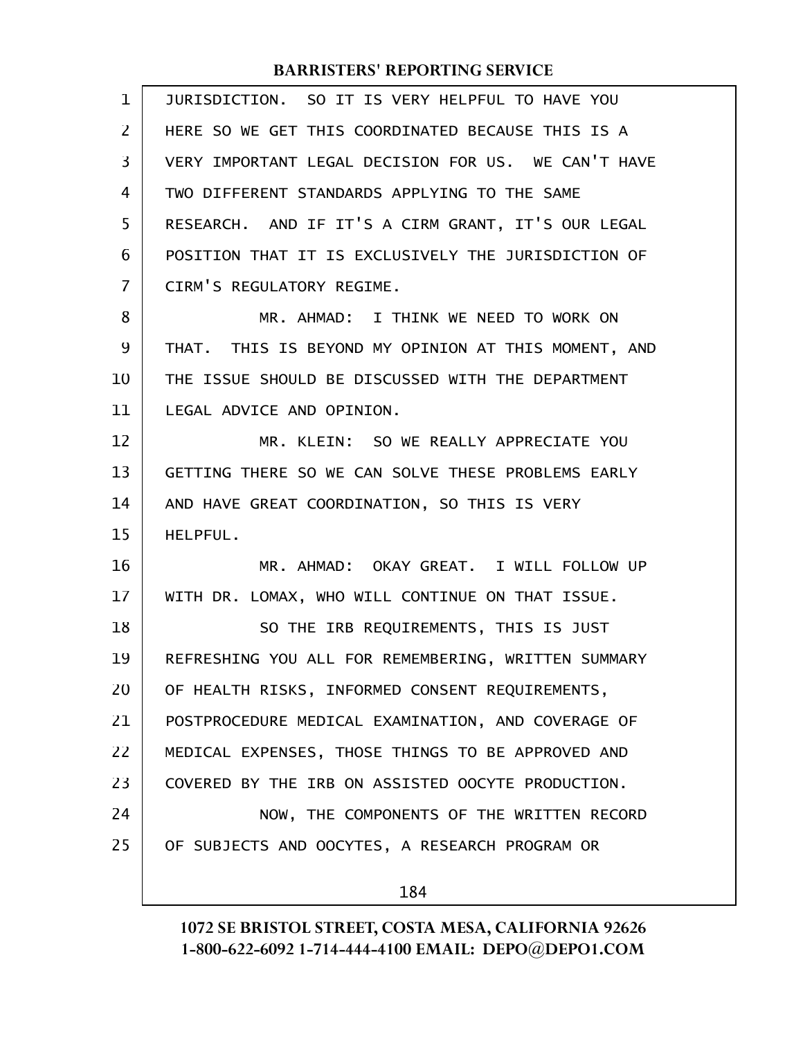| $\mathbf{1}$   | JURISDICTION. SO IT IS VERY HELPFUL TO HAVE YOU     |
|----------------|-----------------------------------------------------|
| $\overline{2}$ | HERE SO WE GET THIS COORDINATED BECAUSE THIS IS A   |
| 3              | VERY IMPORTANT LEGAL DECISION FOR US. WE CAN'T HAVE |
| 4              | TWO DIFFERENT STANDARDS APPLYING TO THE SAME        |
| 5              | RESEARCH. AND IF IT'S A CIRM GRANT, IT'S OUR LEGAL  |
| 6              | POSITION THAT IT IS EXCLUSIVELY THE JURISDICTION OF |
| 7              | CIRM'S REGULATORY REGIME.                           |
| 8              | MR. AHMAD: I THINK WE NEED TO WORK ON               |
| 9              | THAT. THIS IS BEYOND MY OPINION AT THIS MOMENT, AND |
| 10             | THE ISSUE SHOULD BE DISCUSSED WITH THE DEPARTMENT   |
| 11             | LEGAL ADVICE AND OPINION.                           |
| 12             | MR. KLEIN: SO WE REALLY APPRECIATE YOU              |
| 13             | GETTING THERE SO WE CAN SOLVE THESE PROBLEMS EARLY  |
| 14             | AND HAVE GREAT COORDINATION, SO THIS IS VERY        |
| 15             | HELPFUL.                                            |
| 16             | MR. AHMAD: OKAY GREAT. I WILL FOLLOW UP             |
| 17             | WITH DR. LOMAX, WHO WILL CONTINUE ON THAT ISSUE.    |
| 18             | SO THE IRB REQUIREMENTS, THIS IS JUST               |
| 19             | REFRESHING YOU ALL FOR REMEMBERING, WRITTEN SUMMARY |
| 20             | OF HEALTH RISKS, INFORMED CONSENT REQUIREMENTS,     |
| 21             | POSTPROCEDURE MEDICAL EXAMINATION, AND COVERAGE OF  |
| 22             | MEDICAL EXPENSES, THOSE THINGS TO BE APPROVED AND   |
| 23             | COVERED BY THE IRB ON ASSISTED OOCYTE PRODUCTION.   |
| 24             | NOW, THE COMPONENTS OF THE WRITTEN RECORD           |
| 25             | OF SUBJECTS AND OOCYTES, A RESEARCH PROGRAM OR      |
|                | 184                                                 |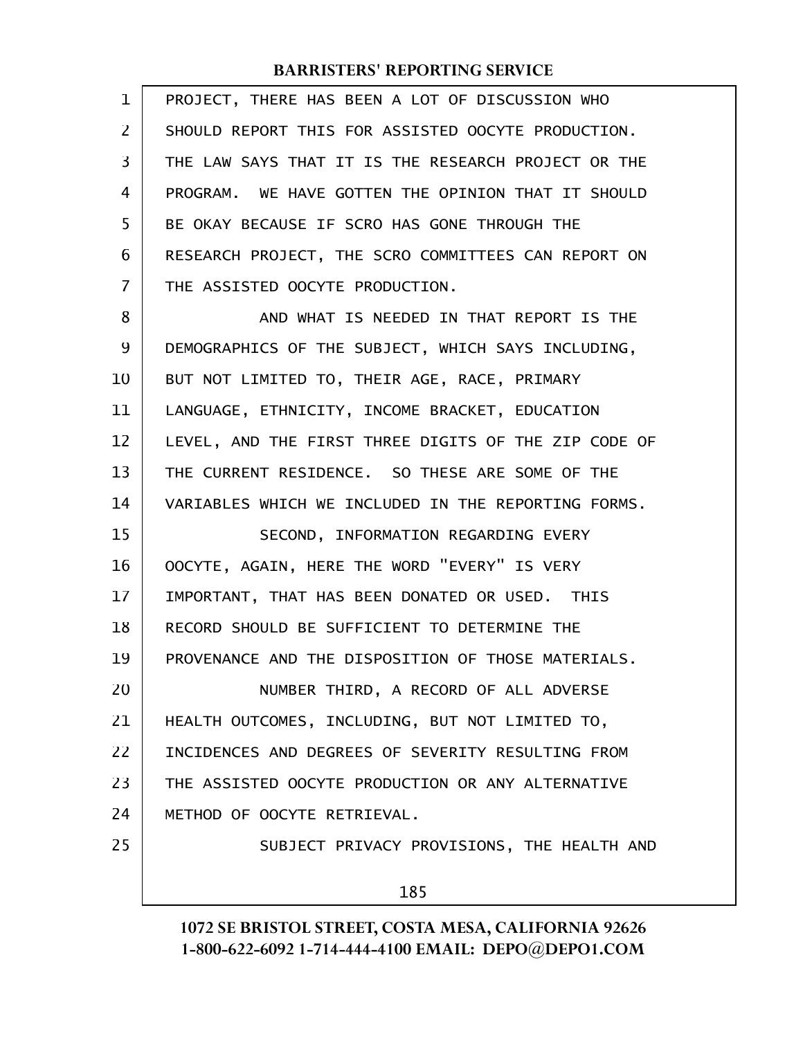| $\mathbf 1$ | PROJECT, THERE HAS BEEN A LOT OF DISCUSSION WHO      |
|-------------|------------------------------------------------------|
| 2           | SHOULD REPORT THIS FOR ASSISTED OOCYTE PRODUCTION.   |
| 3           | THE LAW SAYS THAT IT IS THE RESEARCH PROJECT OR THE  |
| 4           | PROGRAM. WE HAVE GOTTEN THE OPINION THAT IT SHOULD   |
| 5           | BE OKAY BECAUSE IF SCRO HAS GONE THROUGH THE         |
| 6           | RESEARCH PROJECT, THE SCRO COMMITTEES CAN REPORT ON  |
| 7           | THE ASSISTED OOCYTE PRODUCTION.                      |
| 8           | AND WHAT IS NEEDED IN THAT REPORT IS THE             |
| 9           | DEMOGRAPHICS OF THE SUBJECT, WHICH SAYS INCLUDING,   |
| 10          | BUT NOT LIMITED TO, THEIR AGE, RACE, PRIMARY         |
| 11          | LANGUAGE, ETHNICITY, INCOME BRACKET, EDUCATION       |
| 12          | LEVEL, AND THE FIRST THREE DIGITS OF THE ZIP CODE OF |
| 13          | THE CURRENT RESIDENCE. SO THESE ARE SOME OF THE      |
| 14          | VARIABLES WHICH WE INCLUDED IN THE REPORTING FORMS.  |
| 15          | SECOND, INFORMATION REGARDING EVERY                  |
| 16          | OOCYTE, AGAIN, HERE THE WORD "EVERY" IS VERY         |
| 17          | IMPORTANT, THAT HAS BEEN DONATED OR USED. THIS       |
| 18          | RECORD SHOULD BE SUFFICIENT TO DETERMINE THE         |
| 19          | PROVENANCE AND THE DISPOSITION OF THOSE MATERIALS.   |
| 20          | NUMBER THIRD, A RECORD OF ALL ADVERSE                |
| 21          | HEALTH OUTCOMES, INCLUDING, BUT NOT LIMITED TO,      |
| 22          | INCIDENCES AND DEGREES OF SEVERITY RESULTING FROM    |
| 23          | THE ASSISTED OOCYTE PRODUCTION OR ANY ALTERNATIVE    |
| 24          | METHOD OF OOCYTE RETRIEVAL.                          |
| 25          | SUBJECT PRIVACY PROVISIONS, THE HEALTH AND           |
|             | 185                                                  |
|             |                                                      |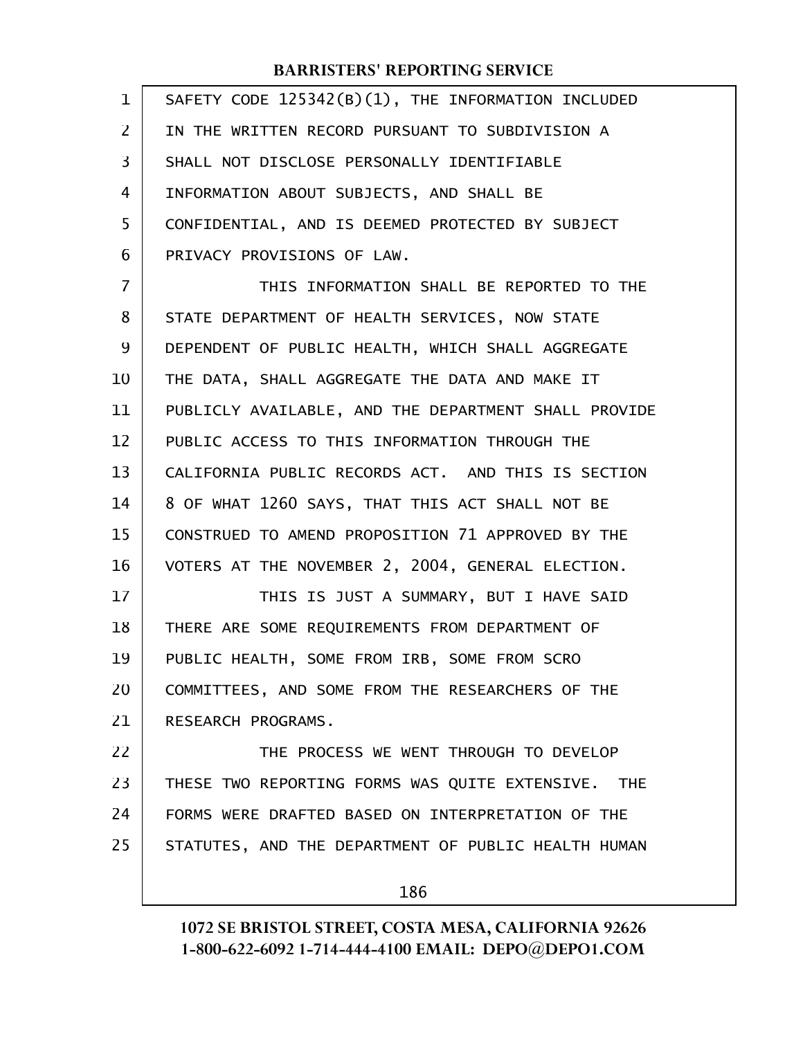| $\mathbf{1}$   | SAFETY CODE 125342(B)(1), THE INFORMATION INCLUDED   |
|----------------|------------------------------------------------------|
| $\overline{2}$ | IN THE WRITTEN RECORD PURSUANT TO SUBDIVISION A      |
| 3              | SHALL NOT DISCLOSE PERSONALLY IDENTIFIABLE           |
| 4              | INFORMATION ABOUT SUBJECTS, AND SHALL BE             |
| 5              | CONFIDENTIAL, AND IS DEEMED PROTECTED BY SUBJECT     |
| 6              | PRIVACY PROVISIONS OF LAW.                           |
| $\overline{7}$ | THIS INFORMATION SHALL BE REPORTED TO THE            |
| 8              | STATE DEPARTMENT OF HEALTH SERVICES, NOW STATE       |
| 9              | DEPENDENT OF PUBLIC HEALTH, WHICH SHALL AGGREGATE    |
| 10             | THE DATA, SHALL AGGREGATE THE DATA AND MAKE IT       |
| 11             | PUBLICLY AVAILABLE, AND THE DEPARTMENT SHALL PROVIDE |
| 12             | PUBLIC ACCESS TO THIS INFORMATION THROUGH THE        |
| 13             | CALIFORNIA PUBLIC RECORDS ACT. AND THIS IS SECTION   |
| 14             | 8 OF WHAT 1260 SAYS, THAT THIS ACT SHALL NOT BE      |
| 15             | CONSTRUED TO AMEND PROPOSITION 71 APPROVED BY THE    |
| 16             | VOTERS AT THE NOVEMBER 2, 2004, GENERAL ELECTION.    |
| 17             | THIS IS JUST A SUMMARY, BUT I HAVE SAID              |
| 18             | THERE ARE SOME REQUIREMENTS FROM DEPARTMENT OF       |
| 19             | PUBLIC HEALTH, SOME FROM IRB, SOME FROM SCRO         |
| 20             | COMMITTEES, AND SOME FROM THE RESEARCHERS OF THE     |
| 21             | RESEARCH PROGRAMS.                                   |
| 22             | THE PROCESS WE WENT THROUGH TO DEVELOP               |
| 23             | THESE TWO REPORTING FORMS WAS QUITE EXTENSIVE. THE   |
| 24             | FORMS WERE DRAFTED BASED ON INTERPRETATION OF THE    |
| 25             | STATUTES, AND THE DEPARTMENT OF PUBLIC HEALTH HUMAN  |
|                | 186                                                  |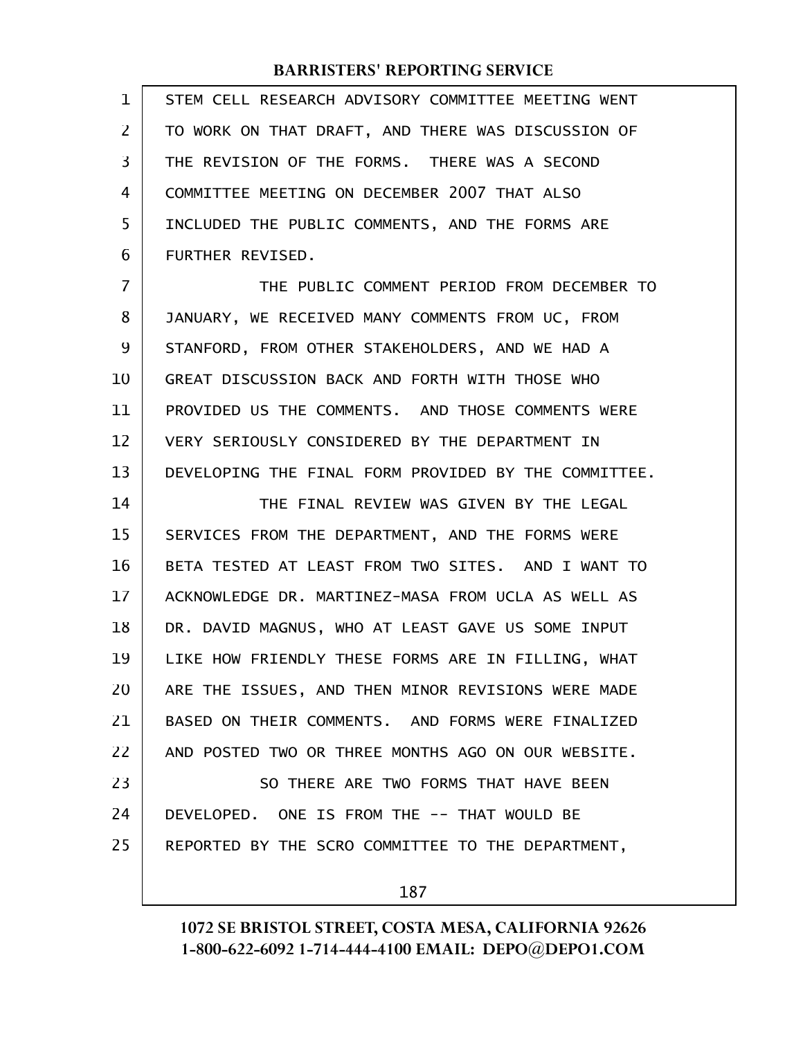| 1  | STEM CELL RESEARCH ADVISORY COMMITTEE MEETING WENT   |
|----|------------------------------------------------------|
| 2  | TO WORK ON THAT DRAFT, AND THERE WAS DISCUSSION OF   |
| 3  | THE REVISION OF THE FORMS. THERE WAS A SECOND        |
| 4  | COMMITTEE MEETING ON DECEMBER 2007 THAT ALSO         |
| 5  | INCLUDED THE PUBLIC COMMENTS, AND THE FORMS ARE      |
| 6  | FURTHER REVISED.                                     |
| 7  | THE PUBLIC COMMENT PERIOD FROM DECEMBER TO           |
| 8  | JANUARY, WE RECEIVED MANY COMMENTS FROM UC, FROM     |
| 9  | STANFORD, FROM OTHER STAKEHOLDERS, AND WE HAD A      |
| 10 | GREAT DISCUSSION BACK AND FORTH WITH THOSE WHO       |
| 11 | PROVIDED US THE COMMENTS. AND THOSE COMMENTS WERE    |
| 12 | VERY SERIOUSLY CONSIDERED BY THE DEPARTMENT IN       |
| 13 | DEVELOPING THE FINAL FORM PROVIDED BY THE COMMITTEE. |
| 14 | THE FINAL REVIEW WAS GIVEN BY THE LEGAL              |
|    |                                                      |
| 15 | SERVICES FROM THE DEPARTMENT, AND THE FORMS WERE     |
| 16 | BETA TESTED AT LEAST FROM TWO SITES. AND I WANT TO   |
| 17 | ACKNOWLEDGE DR. MARTINEZ-MASA FROM UCLA AS WELL AS   |
| 18 | DR. DAVID MAGNUS, WHO AT LEAST GAVE US SOME INPUT    |
| 19 | LIKE HOW FRIENDLY THESE FORMS ARE IN FILLING, WHAT   |
| 20 | ARE THE ISSUES, AND THEN MINOR REVISIONS WERE MADE   |
| 21 | BASED ON THEIR COMMENTS. AND FORMS WERE FINALIZED    |
| 22 | AND POSTED TWO OR THREE MONTHS AGO ON OUR WEBSITE.   |
| 23 | SO THERE ARE TWO FORMS THAT HAVE BEEN                |
| 24 | DEVELOPED. ONE IS FROM THE -- THAT WOULD BE          |
| 25 | REPORTED BY THE SCRO COMMITTEE TO THE DEPARTMENT,    |

187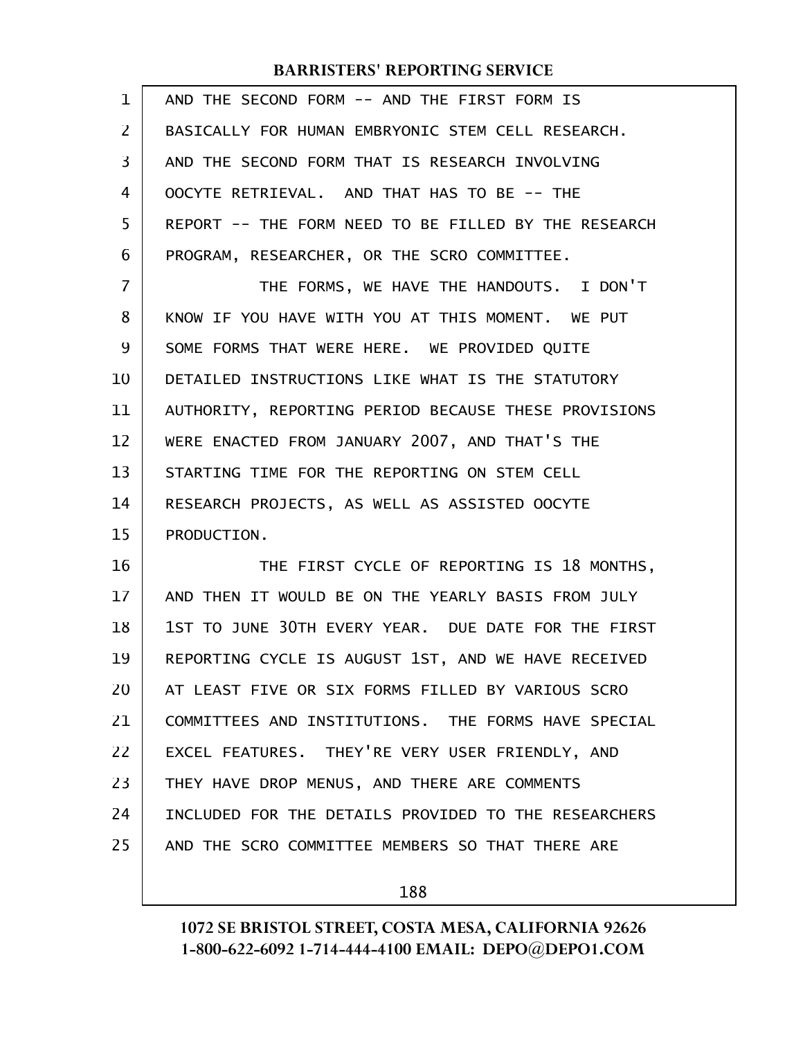| $\mathbf{1}$      | AND THE SECOND FORM -- AND THE FIRST FORM IS         |
|-------------------|------------------------------------------------------|
| $\overline{2}$    | BASICALLY FOR HUMAN EMBRYONIC STEM CELL RESEARCH.    |
| 3                 | AND THE SECOND FORM THAT IS RESEARCH INVOLVING       |
| 4                 | OOCYTE RETRIEVAL. AND THAT HAS TO BE -- THE          |
| 5                 | REPORT -- THE FORM NEED TO BE FILLED BY THE RESEARCH |
| 6                 | PROGRAM, RESEARCHER, OR THE SCRO COMMITTEE.          |
| $\overline{7}$    | THE FORMS, WE HAVE THE HANDOUTS. I DON'T             |
| 8                 | KNOW IF YOU HAVE WITH YOU AT THIS MOMENT. WE PUT     |
| 9                 | SOME FORMS THAT WERE HERE. WE PROVIDED QUITE         |
| 10                | DETAILED INSTRUCTIONS LIKE WHAT IS THE STATUTORY     |
| 11                | AUTHORITY, REPORTING PERIOD BECAUSE THESE PROVISIONS |
| $12 \overline{ }$ | WERE ENACTED FROM JANUARY 2007, AND THAT'S THE       |
| 13                | STARTING TIME FOR THE REPORTING ON STEM CELL         |
| 14                | RESEARCH PROJECTS, AS WELL AS ASSISTED OOCYTE        |
| 15                | PRODUCTION.                                          |
| 16                | THE FIRST CYCLE OF REPORTING IS 18 MONTHS,           |
| 17                | AND THEN IT WOULD BE ON THE YEARLY BASIS FROM JULY   |
| 18                | 1ST TO JUNE 30TH EVERY YEAR. DUE DATE FOR THE FIRST  |
| 19                | REPORTING CYCLE IS AUGUST 1ST, AND WE HAVE RECEIVED  |
| 20                | AT LEAST FIVE OR SIX FORMS FILLED BY VARIOUS SCRO    |
| 21                | COMMITTEES AND INSTITUTIONS. THE FORMS HAVE SPECIAL  |
| 22                | EXCEL FEATURES. THEY'RE VERY USER FRIENDLY, AND      |
| 23                | THEY HAVE DROP MENUS, AND THERE ARE COMMENTS         |
| 24                | INCLUDED FOR THE DETAILS PROVIDED TO THE RESEARCHERS |
| 25                | AND THE SCRO COMMITTEE MEMBERS SO THAT THERE ARE     |
|                   |                                                      |

188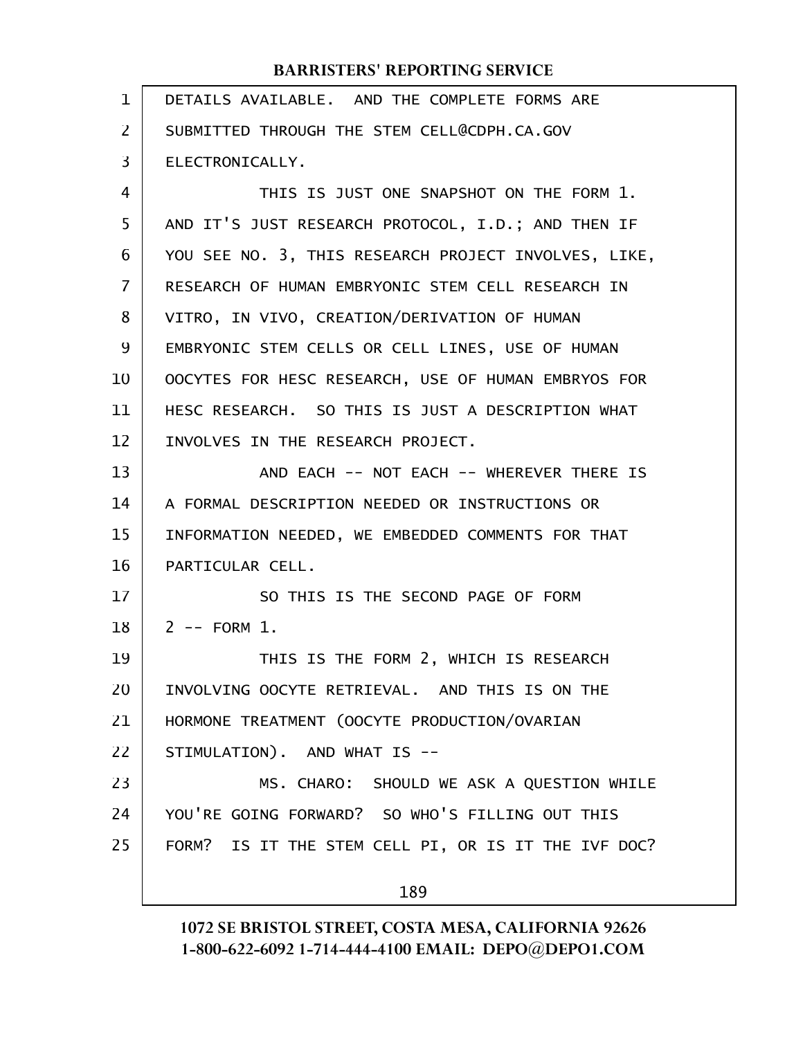| $\mathbf 1$ | DETAILS AVAILABLE. AND THE COMPLETE FORMS ARE        |
|-------------|------------------------------------------------------|
| 2           | SUBMITTED THROUGH THE STEM CELL@CDPH.CA.GOV          |
| 3           | ELECTRONICALLY.                                      |
| 4           | THIS IS JUST ONE SNAPSHOT ON THE FORM 1.             |
| 5           | AND IT'S JUST RESEARCH PROTOCOL, I.D.; AND THEN IF   |
| 6           | YOU SEE NO. 3, THIS RESEARCH PROJECT INVOLVES, LIKE, |
| 7           | RESEARCH OF HUMAN EMBRYONIC STEM CELL RESEARCH IN    |
| 8           | VITRO, IN VIVO, CREATION/DERIVATION OF HUMAN         |
| 9           | EMBRYONIC STEM CELLS OR CELL LINES, USE OF HUMAN     |
| 10          | OOCYTES FOR HESC RESEARCH, USE OF HUMAN EMBRYOS FOR  |
| 11          | HESC RESEARCH. SO THIS IS JUST A DESCRIPTION WHAT    |
| 12          | INVOLVES IN THE RESEARCH PROJECT.                    |
| 13          | AND EACH -- NOT EACH -- WHEREVER THERE IS            |
| 14          | A FORMAL DESCRIPTION NEEDED OR INSTRUCTIONS OR       |
| 15          | INFORMATION NEEDED, WE EMBEDDED COMMENTS FOR THAT    |
| 16          | PARTICULAR CELL.                                     |
| 17          | SO THIS IS THE SECOND PAGE OF FORM                   |
| 18          | $2 - -$ FORM 1.                                      |
| 19          | THIS IS THE FORM 2, WHICH IS RESEARCH                |
| 20          | INVOLVING OOCYTE RETRIEVAL. AND THIS IS ON THE       |
| 21          | HORMONE TREATMENT (OOCYTE PRODUCTION/OVARIAN         |
| 22          | STIMULATION). AND WHAT IS --                         |
| 23          | MS. CHARO: SHOULD WE ASK A QUESTION WHILE            |
| 24          | YOU'RE GOING FORWARD? SO WHO'S FILLING OUT THIS      |
| 25          | FORM? IS IT THE STEM CELL PI, OR IS IT THE IVF DOC?  |
|             | 189                                                  |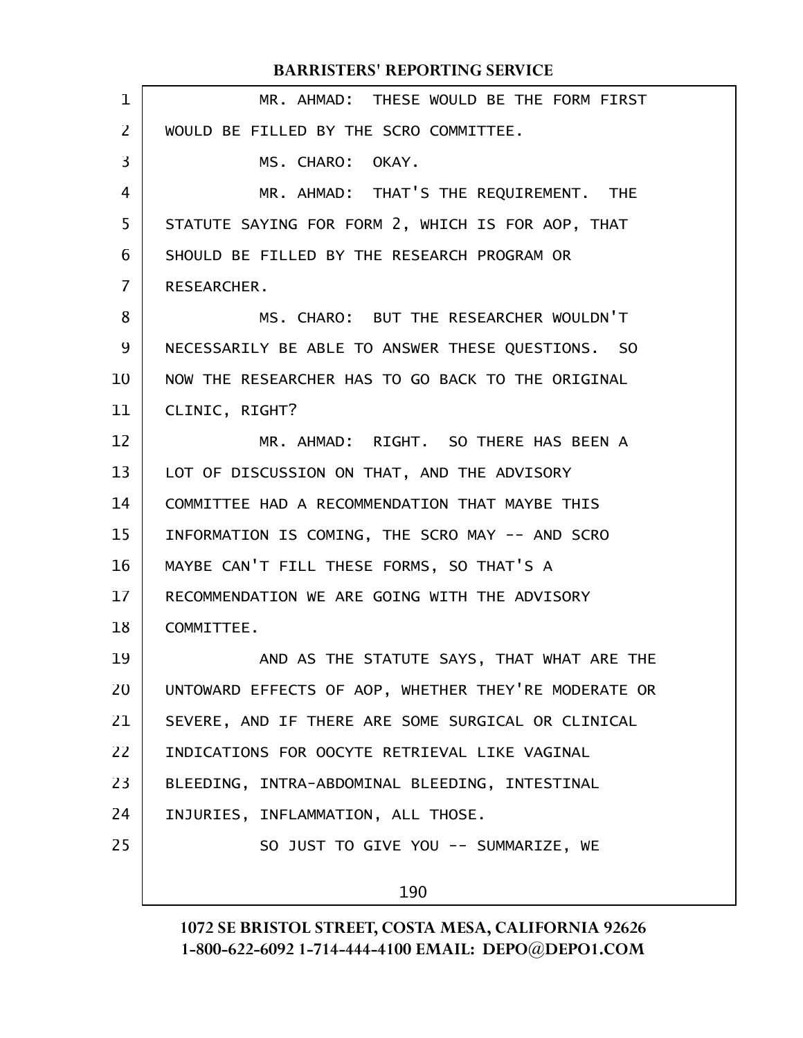| $\mathbf{1}$   | MR. AHMAD: THESE WOULD BE THE FORM FIRST             |
|----------------|------------------------------------------------------|
| 2              | WOULD BE FILLED BY THE SCRO COMMITTEE.               |
| 3              | MS. CHARO: OKAY.                                     |
| 4              | MR. AHMAD: THAT'S THE REQUIREMENT. THE               |
| 5              | STATUTE SAYING FOR FORM 2, WHICH IS FOR AOP, THAT    |
| 6              | SHOULD BE FILLED BY THE RESEARCH PROGRAM OR          |
| $\overline{I}$ | RESEARCHER.                                          |
| 8              | MS. CHARO: BUT THE RESEARCHER WOULDN'T               |
| 9              | NECESSARILY BE ABLE TO ANSWER THESE QUESTIONS. SO    |
| 10             | NOW THE RESEARCHER HAS TO GO BACK TO THE ORIGINAL    |
| 11             | CLINIC, RIGHT?                                       |
| 12             | MR. AHMAD: RIGHT. SO THERE HAS BEEN A                |
| 13             | LOT OF DISCUSSION ON THAT, AND THE ADVISORY          |
| 14             | COMMITTEE HAD A RECOMMENDATION THAT MAYBE THIS       |
| 15             | INFORMATION IS COMING, THE SCRO MAY -- AND SCRO      |
| 16             | MAYBE CAN'T FILL THESE FORMS, SO THAT'S A            |
| 17             | RECOMMENDATION WE ARE GOING WITH THE ADVISORY        |
| 18             | COMMITTEE.                                           |
| 19             | AND AS THE STATUTE SAYS, THAT WHAT ARE THE           |
| 20             | UNTOWARD EFFECTS OF AOP, WHETHER THEY'RE MODERATE OR |
| 21             | SEVERE, AND IF THERE ARE SOME SURGICAL OR CLINICAL   |
| 22             | INDICATIONS FOR OOCYTE RETRIEVAL LIKE VAGINAL        |
| 23             | BLEEDING, INTRA-ABDOMINAL BLEEDING, INTESTINAL       |
| 24             | INJURIES, INFLAMMATION, ALL THOSE.                   |
| 25             | SO JUST TO GIVE YOU -- SUMMARIZE, WE                 |
|                | 190                                                  |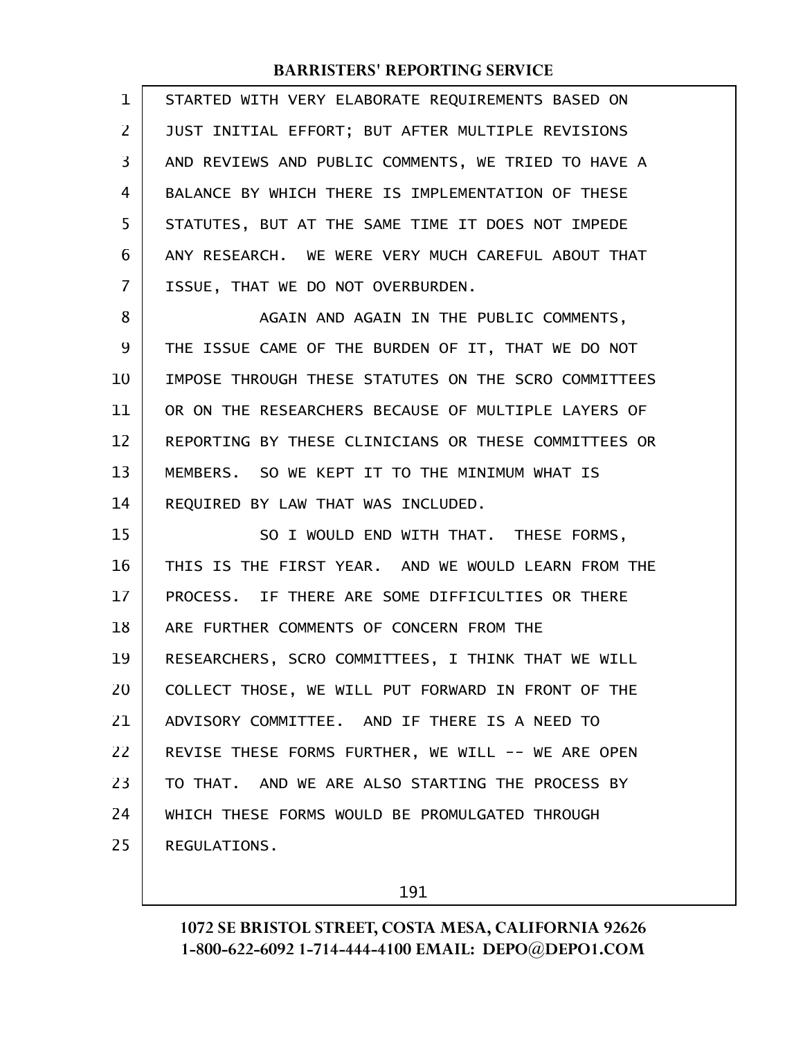| $\mathbf 1$    | STARTED WITH VERY ELABORATE REQUIREMENTS BASED ON    |
|----------------|------------------------------------------------------|
| $\overline{2}$ | JUST INITIAL EFFORT; BUT AFTER MULTIPLE REVISIONS    |
| 3              | AND REVIEWS AND PUBLIC COMMENTS, WE TRIED TO HAVE A  |
| 4              | BALANCE BY WHICH THERE IS IMPLEMENTATION OF THESE    |
| 5              | STATUTES, BUT AT THE SAME TIME IT DOES NOT IMPEDE    |
| 6              | ANY RESEARCH. WE WERE VERY MUCH CAREFUL ABOUT THAT   |
| 7              | ISSUE, THAT WE DO NOT OVERBURDEN.                    |
| 8              | AGAIN AND AGAIN IN THE PUBLIC COMMENTS,              |
| 9              | THE ISSUE CAME OF THE BURDEN OF IT, THAT WE DO NOT   |
| 10             | IMPOSE THROUGH THESE STATUTES ON THE SCRO COMMITTEES |
| 11             | OR ON THE RESEARCHERS BECAUSE OF MULTIPLE LAYERS OF  |
| 12             | REPORTING BY THESE CLINICIANS OR THESE COMMITTEES OR |
| 13             | MEMBERS. SO WE KEPT IT TO THE MINIMUM WHAT IS        |
| 14             | REQUIRED BY LAW THAT WAS INCLUDED.                   |
| 15             | SO I WOULD END WITH THAT. THESE FORMS,               |
| 16             | THIS IS THE FIRST YEAR. AND WE WOULD LEARN FROM THE  |
| 17             | PROCESS. IF THERE ARE SOME DIFFICULTIES OR THERE     |
| 18             | ARE FURTHER COMMENTS OF CONCERN FROM THE             |
| 19             | RESEARCHERS, SCRO COMMITTEES, I THINK THAT WE WILL   |
| 20             | COLLECT THOSE, WE WILL PUT FORWARD IN FRONT OF THE   |
| 21             | ADVISORY COMMITTEE. AND IF THERE IS A NEED TO        |
| 22             | REVISE THESE FORMS FURTHER, WE WILL -- WE ARE OPEN   |
| 23             | TO THAT. AND WE ARE ALSO STARTING THE PROCESS BY     |
| 24             | WHICH THESE FORMS WOULD BE PROMULGATED THROUGH       |
| 25             | REGULATIONS.                                         |
|                |                                                      |

191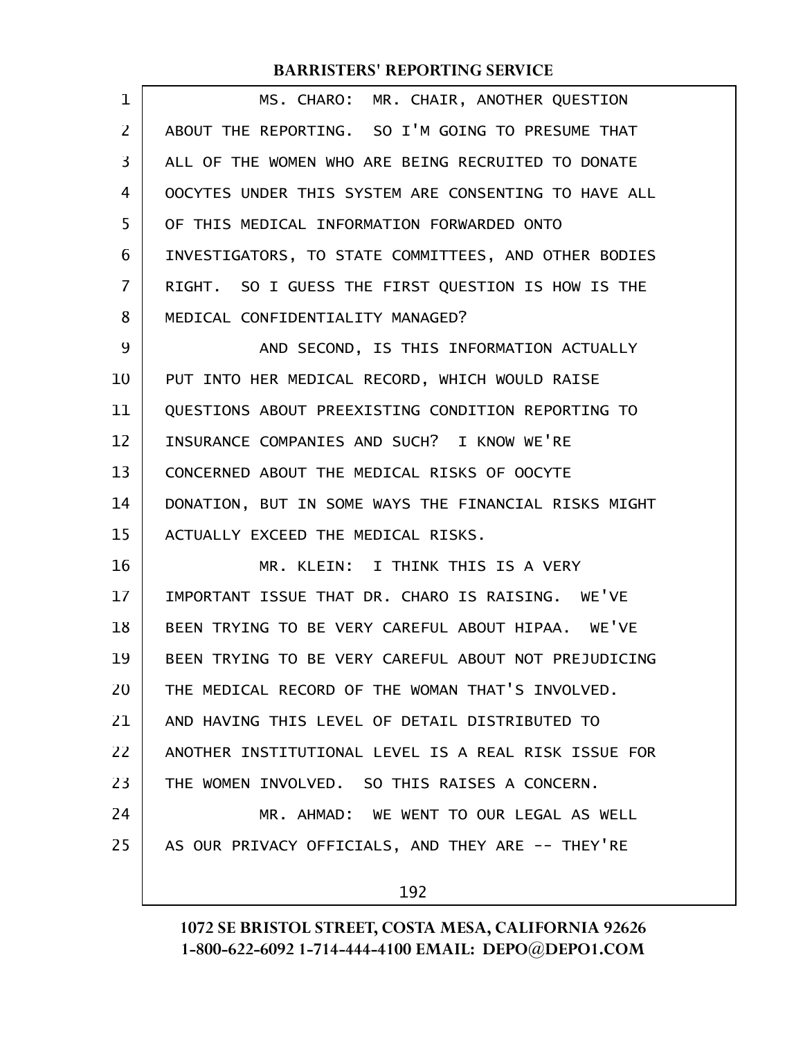| 1                 | MS. CHARO: MR. CHAIR, ANOTHER QUESTION               |
|-------------------|------------------------------------------------------|
| 2                 | ABOUT THE REPORTING. SO I'M GOING TO PRESUME THAT    |
| 3                 | ALL OF THE WOMEN WHO ARE BEING RECRUITED TO DONATE   |
| 4                 | OOCYTES UNDER THIS SYSTEM ARE CONSENTING TO HAVE ALL |
| 5                 | OF THIS MEDICAL INFORMATION FORWARDED ONTO           |
| 6                 | INVESTIGATORS, TO STATE COMMITTEES, AND OTHER BODIES |
| 7                 | RIGHT. SO I GUESS THE FIRST QUESTION IS HOW IS THE   |
| 8                 | MEDICAL CONFIDENTIALITY MANAGED?                     |
| 9                 | AND SECOND, IS THIS INFORMATION ACTUALLY             |
| 10                | PUT INTO HER MEDICAL RECORD, WHICH WOULD RAISE       |
| 11                | QUESTIONS ABOUT PREEXISTING CONDITION REPORTING TO   |
| $12 \overline{ }$ | INSURANCE COMPANIES AND SUCH? I KNOW WE'RE           |
| 13                | CONCERNED ABOUT THE MEDICAL RISKS OF OOCYTE          |
| 14                | DONATION, BUT IN SOME WAYS THE FINANCIAL RISKS MIGHT |
| 15                | ACTUALLY EXCEED THE MEDICAL RISKS.                   |
| 16                | MR. KLEIN: I THINK THIS IS A VERY                    |
| 17                | IMPORTANT ISSUE THAT DR. CHARO IS RAISING. WE'VE     |
| 18                | BEEN TRYING TO BE VERY CAREFUL ABOUT HIPAA. WE'VE    |
| 19                | BEEN TRYING TO BE VERY CAREFUL ABOUT NOT PREJUDICING |
| 20                | THE MEDICAL RECORD OF THE WOMAN THAT'S INVOLVED.     |
| 21                | AND HAVING THIS LEVEL OF DETAIL DISTRIBUTED TO       |
| 22                | ANOTHER INSTITUTIONAL LEVEL IS A REAL RISK ISSUE FOR |
| 23                | THE WOMEN INVOLVED. SO THIS RAISES A CONCERN.        |
| 24                | MR. AHMAD: WE WENT TO OUR LEGAL AS WELL              |
| 25                | AS OUR PRIVACY OFFICIALS, AND THEY ARE -- THEY'RE    |
|                   | 192                                                  |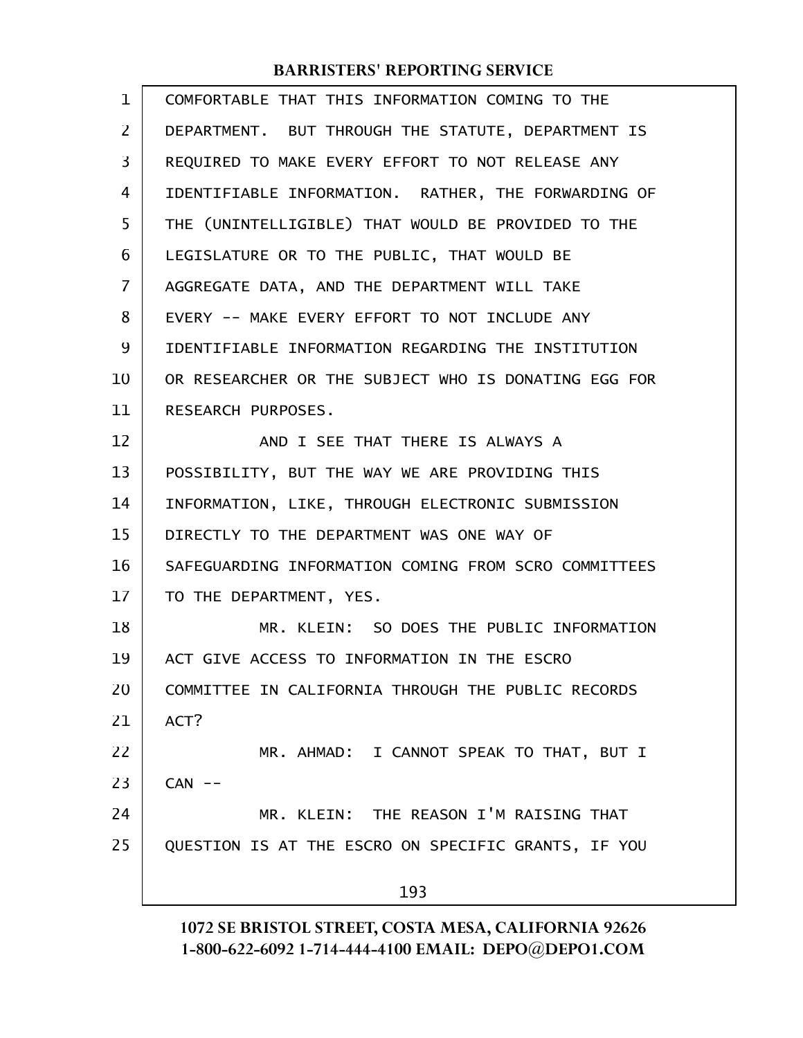| 1  | COMFORTABLE THAT THIS INFORMATION COMING TO THE      |
|----|------------------------------------------------------|
| 2  | DEPARTMENT. BUT THROUGH THE STATUTE, DEPARTMENT IS   |
| 3  | REQUIRED TO MAKE EVERY EFFORT TO NOT RELEASE ANY     |
| 4  | IDENTIFIABLE INFORMATION. RATHER, THE FORWARDING OF  |
| 5  | THE (UNINTELLIGIBLE) THAT WOULD BE PROVIDED TO THE   |
| 6  | LEGISLATURE OR TO THE PUBLIC, THAT WOULD BE          |
| 7  | AGGREGATE DATA, AND THE DEPARTMENT WILL TAKE         |
| 8  | EVERY -- MAKE EVERY EFFORT TO NOT INCLUDE ANY        |
| 9  | IDENTIFIABLE INFORMATION REGARDING THE INSTITUTION   |
| 10 | OR RESEARCHER OR THE SUBJECT WHO IS DONATING EGG FOR |
| 11 | RESEARCH PURPOSES.                                   |
| 12 | AND I SEE THAT THERE IS ALWAYS A                     |
| 13 | POSSIBILITY, BUT THE WAY WE ARE PROVIDING THIS       |
| 14 | INFORMATION, LIKE, THROUGH ELECTRONIC SUBMISSION     |
| 15 | DIRECTLY TO THE DEPARTMENT WAS ONE WAY OF            |
| 16 | SAFEGUARDING INFORMATION COMING FROM SCRO COMMITTEES |
| 17 | TO THE DEPARTMENT, YES.                              |
| 18 | MR. KLEIN: SO DOES THE PUBLIC INFORMATION            |
| 19 | ACT GIVE ACCESS TO INFORMATION IN THE ESCRO          |
| 20 | COMMITTEE IN CALIFORNIA THROUGH THE PUBLIC RECORDS   |
| 21 | ACT?                                                 |
| 22 | MR. AHMAD: I CANNOT SPEAK TO THAT, BUT I             |
| 23 | $CAN$ --                                             |
| 24 | MR. KLEIN: THE REASON I'M RAISING THAT               |
| 25 | QUESTION IS AT THE ESCRO ON SPECIFIC GRANTS, IF YOU  |
|    | 193                                                  |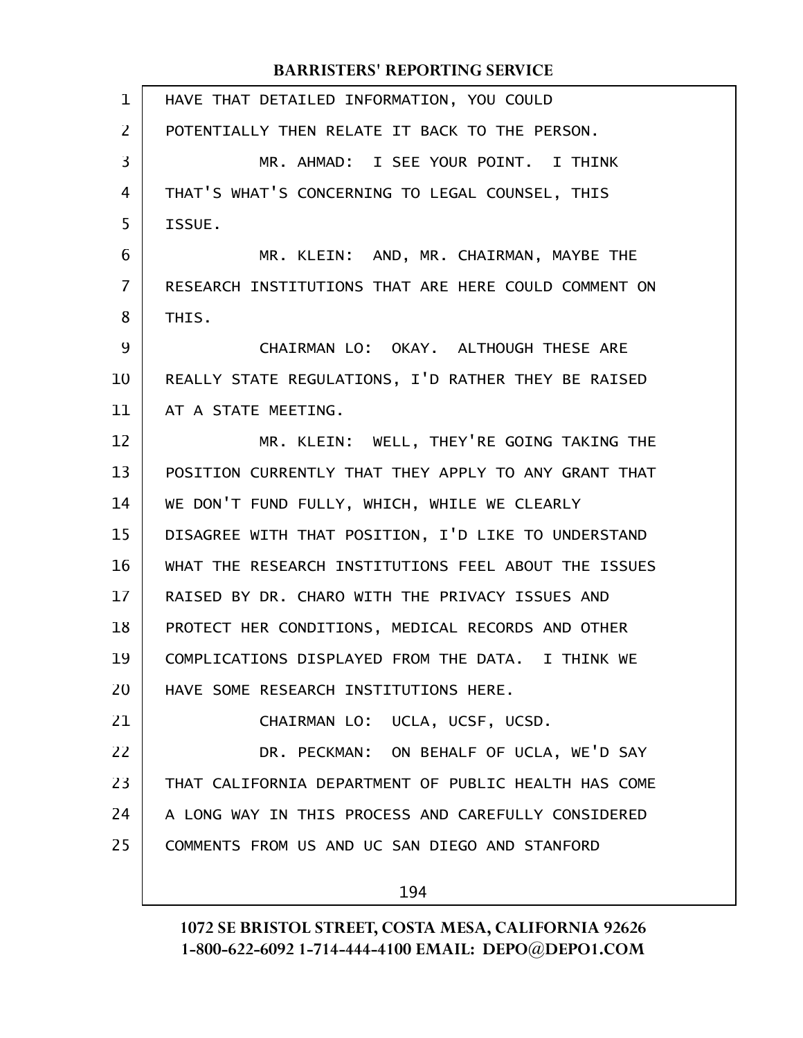| $\mathbf{1}$   | HAVE THAT DETAILED INFORMATION, YOU COULD            |
|----------------|------------------------------------------------------|
| $\overline{2}$ | POTENTIALLY THEN RELATE IT BACK TO THE PERSON.       |
| 3              | MR. AHMAD: I SEE YOUR POINT. I THINK                 |
| 4              | THAT'S WHAT'S CONCERNING TO LEGAL COUNSEL, THIS      |
| 5              | ISSUE.                                               |
| 6              | MR. KLEIN: AND, MR. CHAIRMAN, MAYBE THE              |
| 7              | RESEARCH INSTITUTIONS THAT ARE HERE COULD COMMENT ON |
| 8              | THIS.                                                |
| 9              | CHAIRMAN LO: OKAY. ALTHOUGH THESE ARE                |
| 10             | REALLY STATE REGULATIONS, I'D RATHER THEY BE RAISED  |
| 11             | AT A STATE MEETING.                                  |
| 12             | MR. KLEIN: WELL, THEY'RE GOING TAKING THE            |
| 13             | POSITION CURRENTLY THAT THEY APPLY TO ANY GRANT THAT |
| 14             | WE DON'T FUND FULLY, WHICH, WHILE WE CLEARLY         |
| 15             | DISAGREE WITH THAT POSITION, I'D LIKE TO UNDERSTAND  |
| 16             | WHAT THE RESEARCH INSTITUTIONS FEEL ABOUT THE ISSUES |
| 17             | RAISED BY DR. CHARO WITH THE PRIVACY ISSUES AND      |
| 18             | PROTECT HER CONDITIONS, MEDICAL RECORDS AND OTHER    |
| 19             | COMPLICATIONS DISPLAYED FROM THE DATA. I THINK WE    |
| 20             | HAVE SOME RESEARCH INSTITUTIONS HERE.                |
| 21             | CHAIRMAN LO: UCLA, UCSF, UCSD.                       |
| 22             | DR. PECKMAN: ON BEHALF OF UCLA, WE'D SAY             |
| 23             | THAT CALIFORNIA DEPARTMENT OF PUBLIC HEALTH HAS COME |
| 24             | A LONG WAY IN THIS PROCESS AND CAREFULLY CONSIDERED  |
| 25             | COMMENTS FROM US AND UC SAN DIEGO AND STANFORD       |
|                | 194                                                  |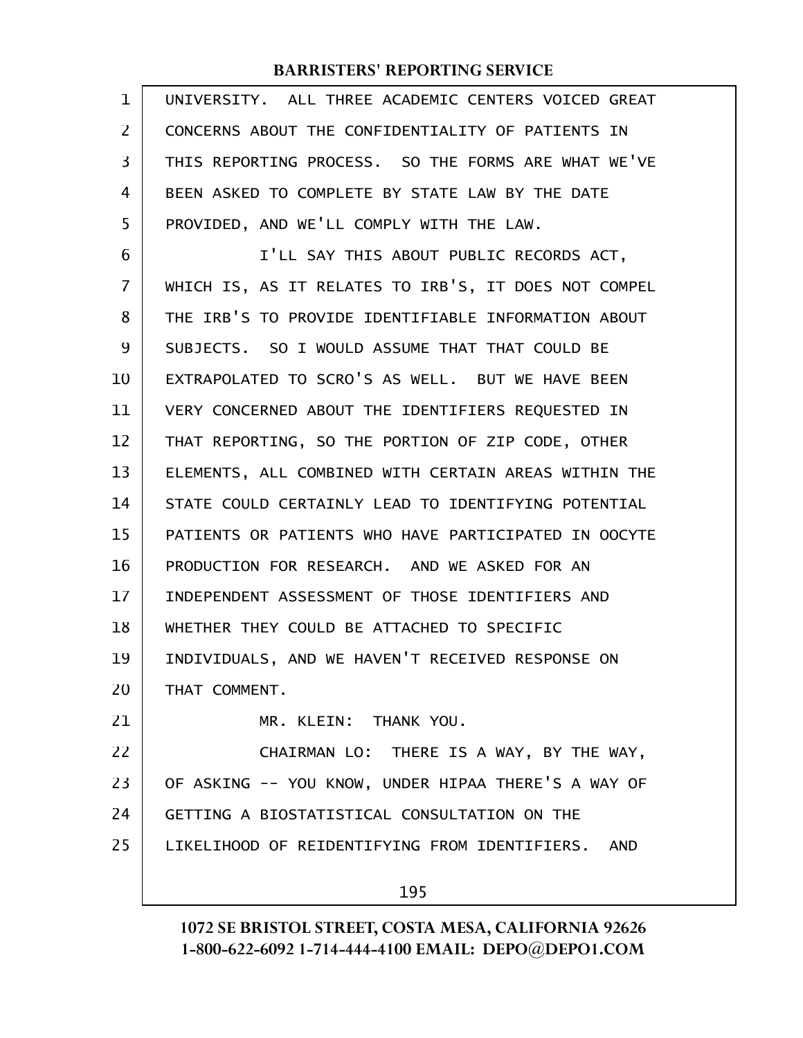| 1              | UNIVERSITY. ALL THREE ACADEMIC CENTERS VOICED GREAT  |
|----------------|------------------------------------------------------|
| $\overline{2}$ | CONCERNS ABOUT THE CONFIDENTIALITY OF PATIENTS IN    |
| 3              | THIS REPORTING PROCESS. SO THE FORMS ARE WHAT WE'VE  |
| 4              | BEEN ASKED TO COMPLETE BY STATE LAW BY THE DATE      |
| 5              | PROVIDED, AND WE'LL COMPLY WITH THE LAW.             |
| 6              | I'LL SAY THIS ABOUT PUBLIC RECORDS ACT,              |
| 7              | WHICH IS, AS IT RELATES TO IRB'S, IT DOES NOT COMPEL |
| 8              | THE IRB'S TO PROVIDE IDENTIFIABLE INFORMATION ABOUT  |
| 9              | SUBJECTS. SO I WOULD ASSUME THAT THAT COULD BE       |
| 10             | EXTRAPOLATED TO SCRO'S AS WELL. BUT WE HAVE BEEN     |
| 11             | VERY CONCERNED ABOUT THE IDENTIFIERS REQUESTED IN    |
| 12             | THAT REPORTING, SO THE PORTION OF ZIP CODE, OTHER    |
| 13             | ELEMENTS, ALL COMBINED WITH CERTAIN AREAS WITHIN THE |
| 14             | STATE COULD CERTAINLY LEAD TO IDENTIFYING POTENTIAL  |
| 15             | PATIENTS OR PATIENTS WHO HAVE PARTICIPATED IN OOCYTE |
| 16             | PRODUCTION FOR RESEARCH. AND WE ASKED FOR AN         |
| 17             | INDEPENDENT ASSESSMENT OF THOSE IDENTIFIERS AND      |
| 18             | WHETHER THEY COULD BE ATTACHED TO SPECIFIC           |
| 19             | INDIVIDUALS, AND WE HAVEN'T RECEIVED RESPONSE ON     |
| 20             | THAT COMMENT.                                        |
| 21             | MR. KLEIN: THANK YOU.                                |
| 22             | CHAIRMAN LO: THERE IS A WAY, BY THE WAY,             |
| 23             | OF ASKING -- YOU KNOW, UNDER HIPAA THERE'S A WAY OF  |
| 24             | GETTING A BIOSTATISTICAL CONSULTATION ON THE         |
| 25             | LIKELIHOOD OF REIDENTIFYING FROM IDENTIFIERS. AND    |
|                | 195                                                  |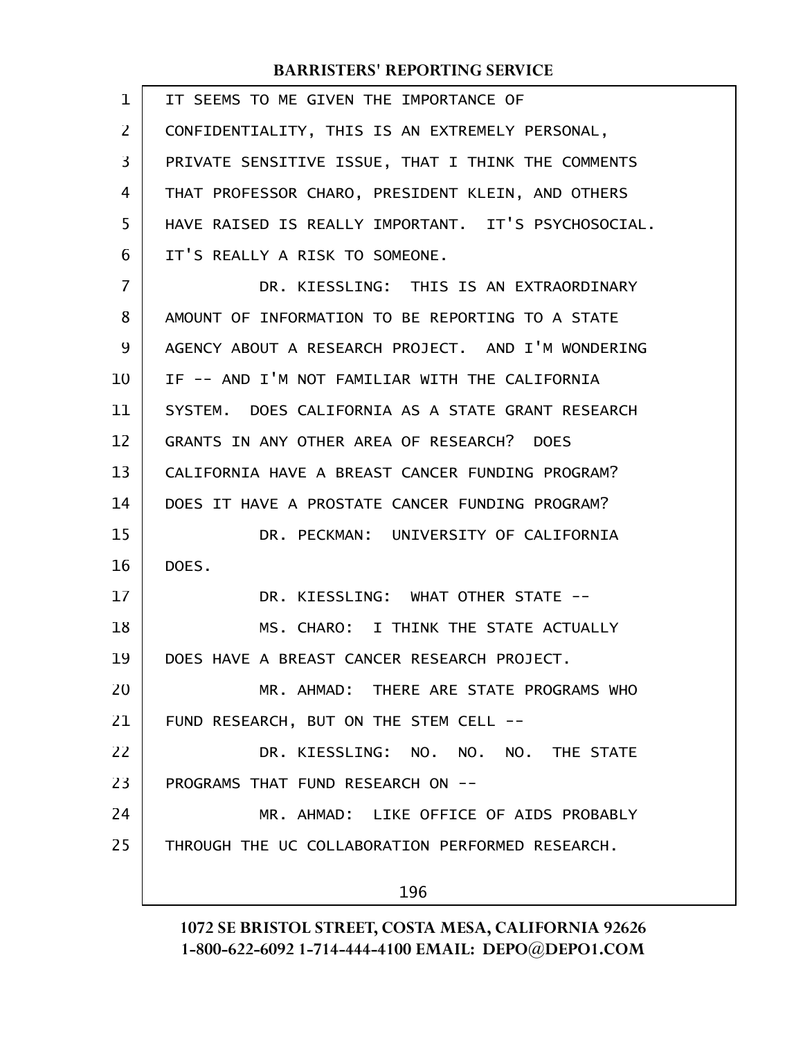| $\mathbf 1$    | IT SEEMS TO ME GIVEN THE IMPORTANCE OF              |
|----------------|-----------------------------------------------------|
| $\overline{2}$ | CONFIDENTIALITY, THIS IS AN EXTREMELY PERSONAL,     |
| 3              | PRIVATE SENSITIVE ISSUE, THAT I THINK THE COMMENTS  |
| 4              | THAT PROFESSOR CHARO, PRESIDENT KLEIN, AND OTHERS   |
| 5              | HAVE RAISED IS REALLY IMPORTANT. IT'S PSYCHOSOCIAL. |
| 6              | IT'S REALLY A RISK TO SOMEONE.                      |
| $\overline{7}$ | DR. KIESSLING: THIS IS AN EXTRAORDINARY             |
| 8              | AMOUNT OF INFORMATION TO BE REPORTING TO A STATE    |
| 9              | AGENCY ABOUT A RESEARCH PROJECT. AND I'M WONDERING  |
| 10             | IF -- AND I'M NOT FAMILIAR WITH THE CALIFORNIA      |
| 11             | SYSTEM. DOES CALIFORNIA AS A STATE GRANT RESEARCH   |
| 12             | GRANTS IN ANY OTHER AREA OF RESEARCH? DOES          |
| 13             | CALIFORNIA HAVE A BREAST CANCER FUNDING PROGRAM?    |
| 14             | DOES IT HAVE A PROSTATE CANCER FUNDING PROGRAM?     |
| 15             | DR. PECKMAN: UNIVERSITY OF CALIFORNIA               |
| 16             | DOES.                                               |
| 17             | DR. KIESSLING: WHAT OTHER STATE --                  |
| 18             | MS. CHARO: I THINK THE STATE ACTUALLY               |
| 19             | DOES HAVE A BREAST CANCER RESEARCH PROJECT.         |
| 20             | MR. AHMAD: THERE ARE STATE PROGRAMS WHO             |
| 21             | FUND RESEARCH, BUT ON THE STEM CELL --              |
| 22             | DR. KIESSLING: NO. NO. NO. THE STATE                |
| 23             | PROGRAMS THAT FUND RESEARCH ON --                   |
| 24             | MR. AHMAD: LIKE OFFICE OF AIDS PROBABLY             |
| 25             | THROUGH THE UC COLLABORATION PERFORMED RESEARCH.    |
|                | 196                                                 |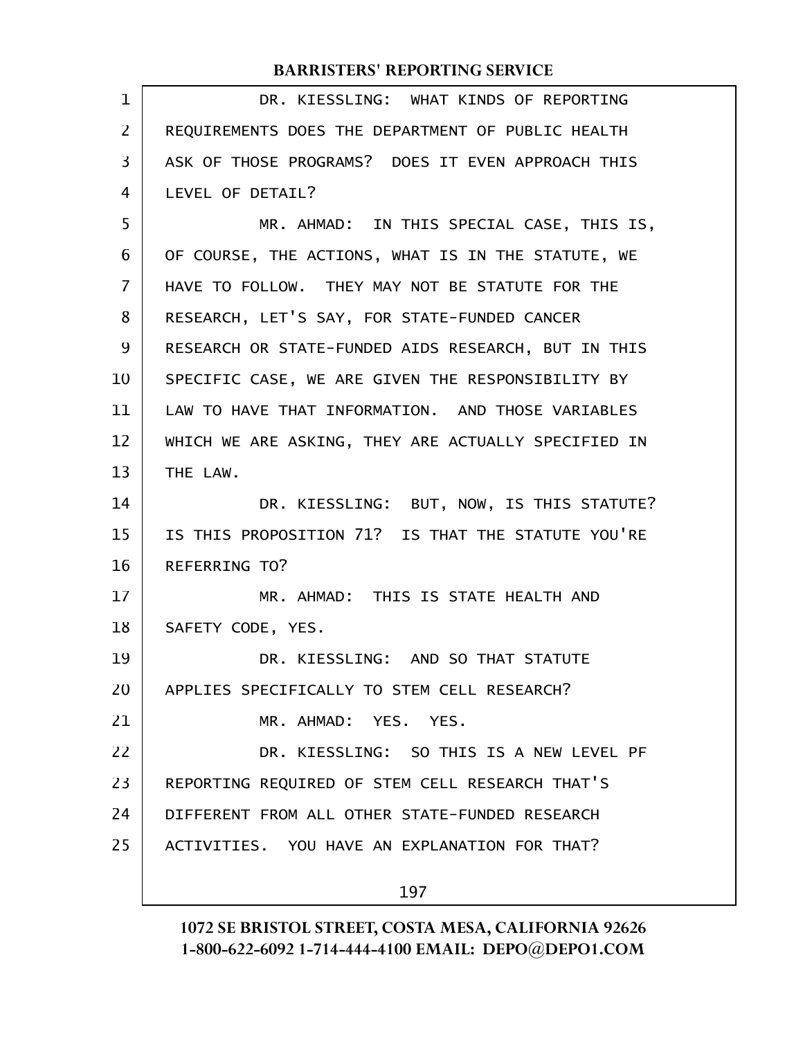| $\mathbf{1}$   | DR. KIESSLING: WHAT KINDS OF REPORTING              |
|----------------|-----------------------------------------------------|
| $\overline{2}$ | REQUIREMENTS DOES THE DEPARTMENT OF PUBLIC HEALTH   |
| 3              | ASK OF THOSE PROGRAMS? DOES IT EVEN APPROACH THIS   |
| 4              | LEVEL OF DETAIL?                                    |
| 5              | MR. AHMAD: IN THIS SPECIAL CASE, THIS IS,           |
| 6              | OF COURSE, THE ACTIONS, WHAT IS IN THE STATUTE, WE  |
| 7              | HAVE TO FOLLOW. THEY MAY NOT BE STATUTE FOR THE     |
| 8              | RESEARCH, LET'S SAY, FOR STATE-FUNDED CANCER        |
| 9              | RESEARCH OR STATE-FUNDED AIDS RESEARCH, BUT IN THIS |
| 10             | SPECIFIC CASE, WE ARE GIVEN THE RESPONSIBILITY BY   |
| 11             | LAW TO HAVE THAT INFORMATION. AND THOSE VARIABLES   |
| 12             | WHICH WE ARE ASKING, THEY ARE ACTUALLY SPECIFIED IN |
| 13             | THE LAW.                                            |
| 14             | DR. KIESSLING: BUT, NOW, IS THIS STATUTE?           |
| 15             | IS THIS PROPOSITION 71? IS THAT THE STATUTE YOU'RE  |
| 16             | REFERRING TO?                                       |
| 17             | MR. AHMAD: THIS IS STATE HEALTH AND                 |
| 18             | SAFETY CODE, YES.                                   |
| 19             | DR. KIESSLING: AND SO THAT STATUTE                  |
| 20             | APPLIES SPECIFICALLY TO STEM CELL RESEARCH?         |
| 21             | MR. AHMAD: YES. YES.                                |
| 22             | DR. KIESSLING: SO THIS IS A NEW LEVEL PF            |
| 23             | REPORTING REQUIRED OF STEM CELL RESEARCH THAT'S     |
| 24             | DIFFERENT FROM ALL OTHER STATE-FUNDED RESEARCH      |
| 25             | ACTIVITIES. YOU HAVE AN EXPLANATION FOR THAT?       |
|                | 197                                                 |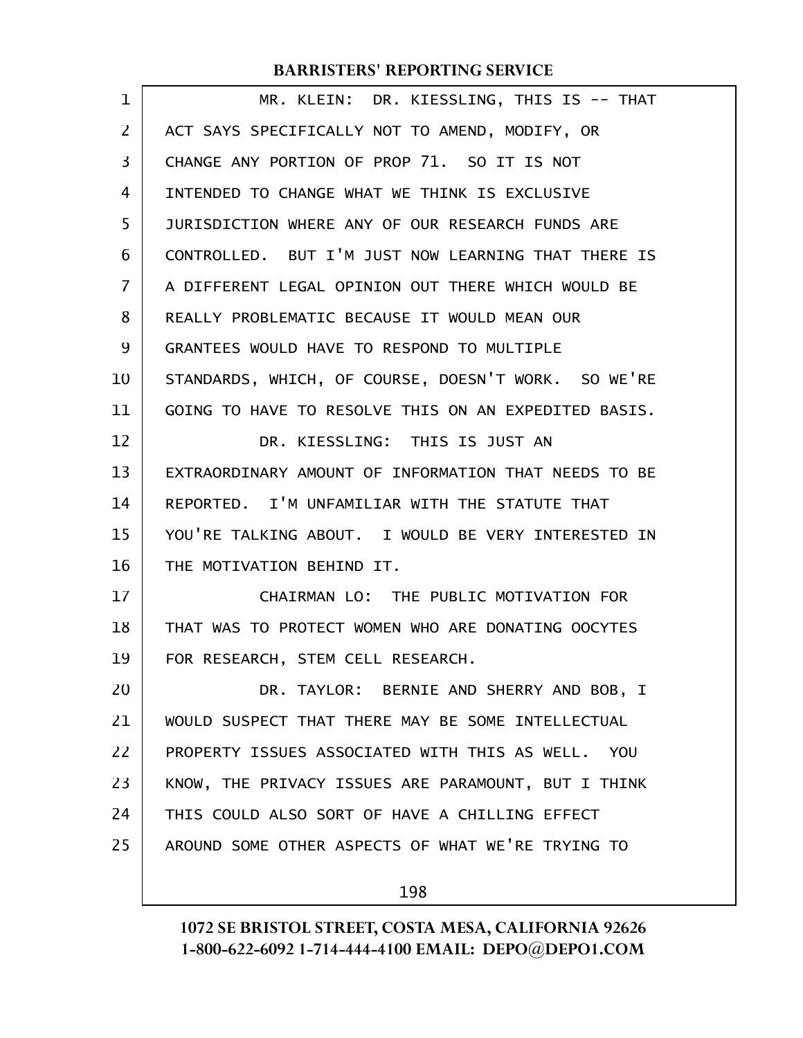| 1              | MR. KLEIN: DR. KIESSLING, THIS IS -- THAT            |
|----------------|------------------------------------------------------|
| $\overline{2}$ | ACT SAYS SPECIFICALLY NOT TO AMEND, MODIFY, OR       |
| 3              | CHANGE ANY PORTION OF PROP 71. SO IT IS NOT          |
| 4              | INTENDED TO CHANGE WHAT WE THINK IS EXCLUSIVE        |
| 5              | JURISDICTION WHERE ANY OF OUR RESEARCH FUNDS ARE     |
| 6              | CONTROLLED. BUT I'M JUST NOW LEARNING THAT THERE IS  |
| 7              | A DIFFERENT LEGAL OPINION OUT THERE WHICH WOULD BE   |
| 8              | REALLY PROBLEMATIC BECAUSE IT WOULD MEAN OUR         |
| 9              | GRANTEES WOULD HAVE TO RESPOND TO MULTIPLE           |
| 10             | STANDARDS, WHICH, OF COURSE, DOESN'T WORK. SO WE'RE  |
| 11             | GOING TO HAVE TO RESOLVE THIS ON AN EXPEDITED BASIS. |
| 12             | DR. KIESSLING: THIS IS JUST AN                       |
| 13             | EXTRAORDINARY AMOUNT OF INFORMATION THAT NEEDS TO BE |
| 14             | REPORTED. I'M UNFAMILIAR WITH THE STATUTE THAT       |
| 15             | YOU'RE TALKING ABOUT. I WOULD BE VERY INTERESTED IN  |
| 16             | THE MOTIVATION BEHIND IT.                            |
| 17             | CHAIRMAN LO: THE PUBLIC MOTIVATION FOR               |
| 18             | THAT WAS TO PROTECT WOMEN WHO ARE DONATING OOCYTES   |
| 19             | FOR RESEARCH, STEM CELL RESEARCH.                    |
| 20             | DR. TAYLOR: BERNIE AND SHERRY AND BOB, I             |
| 21             | WOULD SUSPECT THAT THERE MAY BE SOME INTELLECTUAL    |
| 22             | PROPERTY ISSUES ASSOCIATED WITH THIS AS WELL. YOU    |
| 23             | KNOW, THE PRIVACY ISSUES ARE PARAMOUNT, BUT I THINK  |
| 24             | THIS COULD ALSO SORT OF HAVE A CHILLING EFFECT       |
| 25             | AROUND SOME OTHER ASPECTS OF WHAT WE'RE TRYING TO    |
|                |                                                      |

198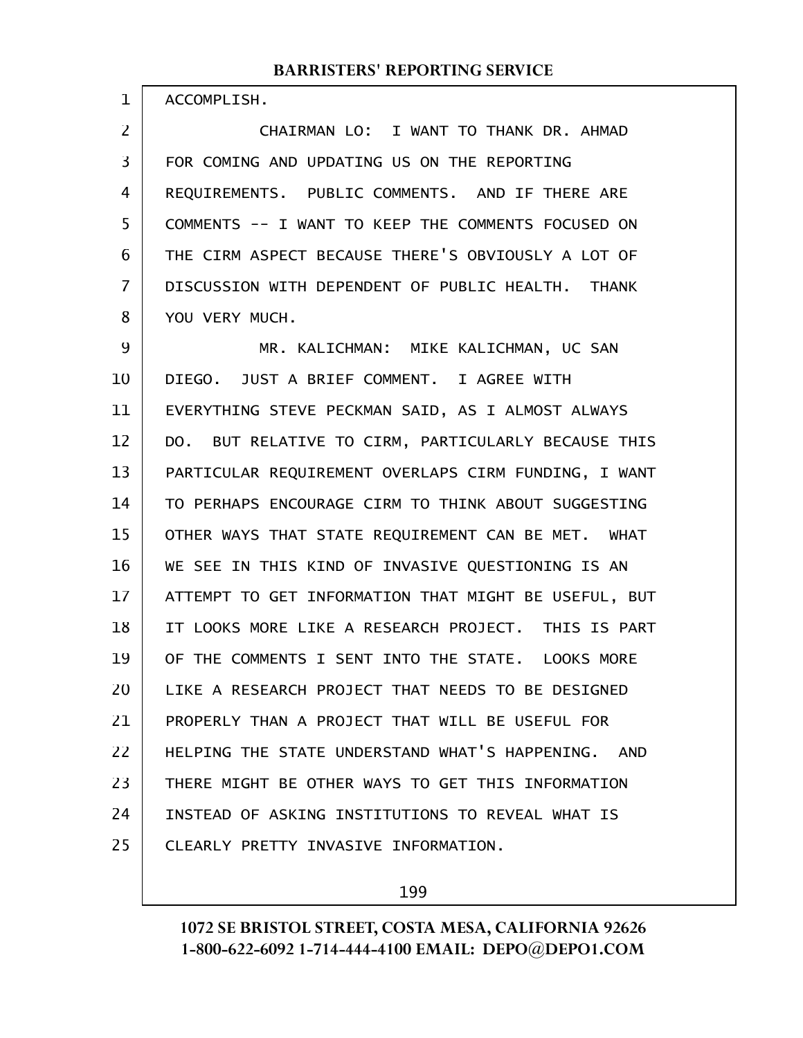ACCOMPLISH.

1

CHAIRMAN LO: I WANT TO THANK DR. AHMAD FOR COMING AND UPDATING US ON THE REPORTING REQUIREMENTS. PUBLIC COMMENTS. AND IF THERE ARE COMMENTS -- I WANT TO KEEP THE COMMENTS FOCUSED ON THE CIRM ASPECT BECAUSE THERE'S OBVIOUSLY A LOT OF DISCUSSION WITH DEPENDENT OF PUBLIC HEALTH. THANK YOU VERY MUCH. 2 3 4 5 6 7 8

MR. KALICHMAN: MIKE KALICHMAN, UC SAN DIEGO. JUST A BRIEF COMMENT. I AGREE WITH EVERYTHING STEVE PECKMAN SAID, AS I ALMOST ALWAYS DO. BUT RELATIVE TO CIRM, PARTICULARLY BECAUSE THIS PARTICULAR REQUIREMENT OVERLAPS CIRM FUNDING, I WANT TO PERHAPS ENCOURAGE CIRM TO THINK ABOUT SUGGESTING OTHER WAYS THAT STATE REQUIREMENT CAN BE MET. WHAT WE SEE IN THIS KIND OF INVASIVE QUESTIONING IS AN ATTEMPT TO GET INFORMATION THAT MIGHT BE USEFUL, BUT IT LOOKS MORE LIKE A RESEARCH PROJECT. THIS IS PART OF THE COMMENTS I SENT INTO THE STATE. LOOKS MORE LIKE A RESEARCH PROJECT THAT NEEDS TO BE DESIGNED PROPERLY THAN A PROJECT THAT WILL BE USEFUL FOR HELPING THE STATE UNDERSTAND WHAT'S HAPPENING. AND THERE MIGHT BE OTHER WAYS TO GET THIS INFORMATION INSTEAD OF ASKING INSTITUTIONS TO REVEAL WHAT IS CLEARLY PRETTY INVASIVE INFORMATION. 9 10 11 12 13 14 15 16 17 18 19 20 21 22 23 24 25

199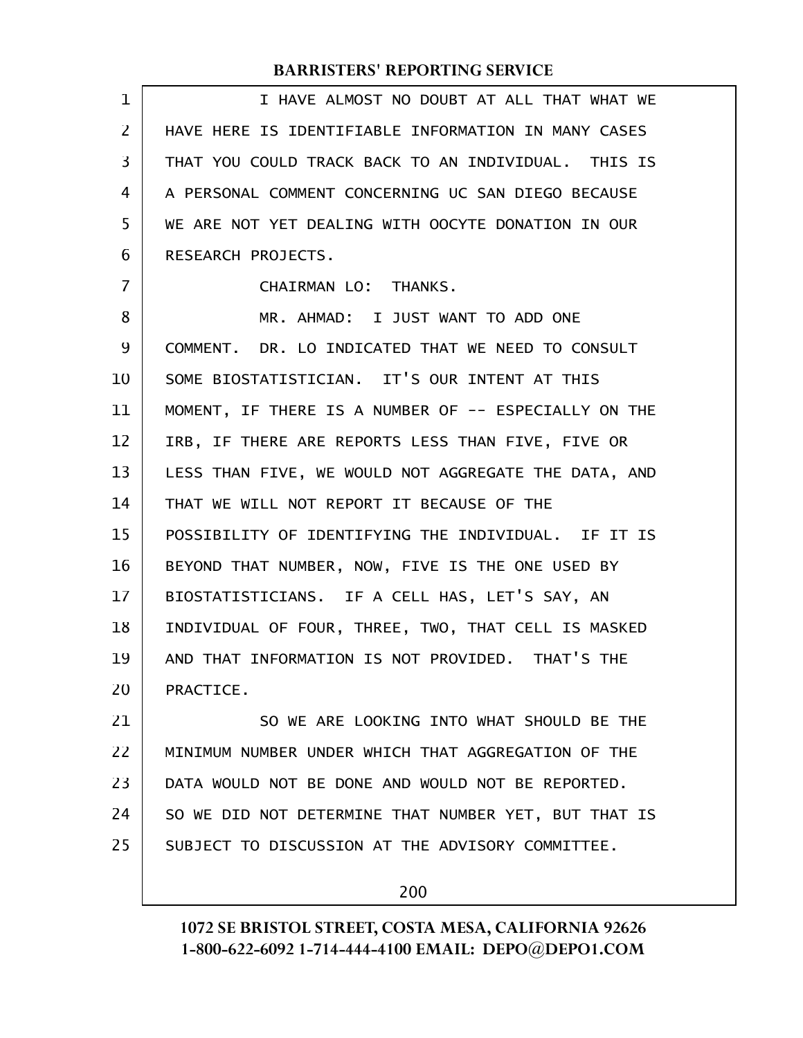| 1  | I HAVE ALMOST NO DOUBT AT ALL THAT WHAT WE           |
|----|------------------------------------------------------|
| 2  | HAVE HERE IS IDENTIFIABLE INFORMATION IN MANY CASES  |
| 3  | THAT YOU COULD TRACK BACK TO AN INDIVIDUAL. THIS IS  |
| 4  | A PERSONAL COMMENT CONCERNING UC SAN DIEGO BECAUSE   |
| 5  | WE ARE NOT YET DEALING WITH OOCYTE DONATION IN OUR   |
| 6  | RESEARCH PROJECTS.                                   |
| 7  | CHAIRMAN LO: THANKS.                                 |
| 8  | MR. AHMAD: I JUST WANT TO ADD ONE                    |
| 9  | COMMENT. DR. LO INDICATED THAT WE NEED TO CONSULT    |
| 10 | SOME BIOSTATISTICIAN. IT'S OUR INTENT AT THIS        |
| 11 | MOMENT, IF THERE IS A NUMBER OF -- ESPECIALLY ON THE |
| 12 | IRB, IF THERE ARE REPORTS LESS THAN FIVE, FIVE OR    |
| 13 | LESS THAN FIVE, WE WOULD NOT AGGREGATE THE DATA, AND |
| 14 | THAT WE WILL NOT REPORT IT BECAUSE OF THE            |
| 15 | POSSIBILITY OF IDENTIFYING THE INDIVIDUAL. IF IT IS  |
| 16 | BEYOND THAT NUMBER, NOW, FIVE IS THE ONE USED BY     |
| 17 | BIOSTATISTICIANS. IF A CELL HAS, LET'S SAY, AN       |
| 18 | INDIVIDUAL OF FOUR, THREE, TWO, THAT CELL IS MASKED  |
| 19 | AND THAT INFORMATION IS NOT PROVIDED. THAT'S THE     |
| 20 | PRACTICE.                                            |
| 21 | SO WE ARE LOOKING INTO WHAT SHOULD BE THE            |
| 22 | MINIMUM NUMBER UNDER WHICH THAT AGGREGATION OF THE   |
| 23 | DATA WOULD NOT BE DONE AND WOULD NOT BE REPORTED.    |
| 24 | SO WE DID NOT DETERMINE THAT NUMBER YET, BUT THAT IS |
| 25 | SUBJECT TO DISCUSSION AT THE ADVISORY COMMITTEE.     |
|    |                                                      |

200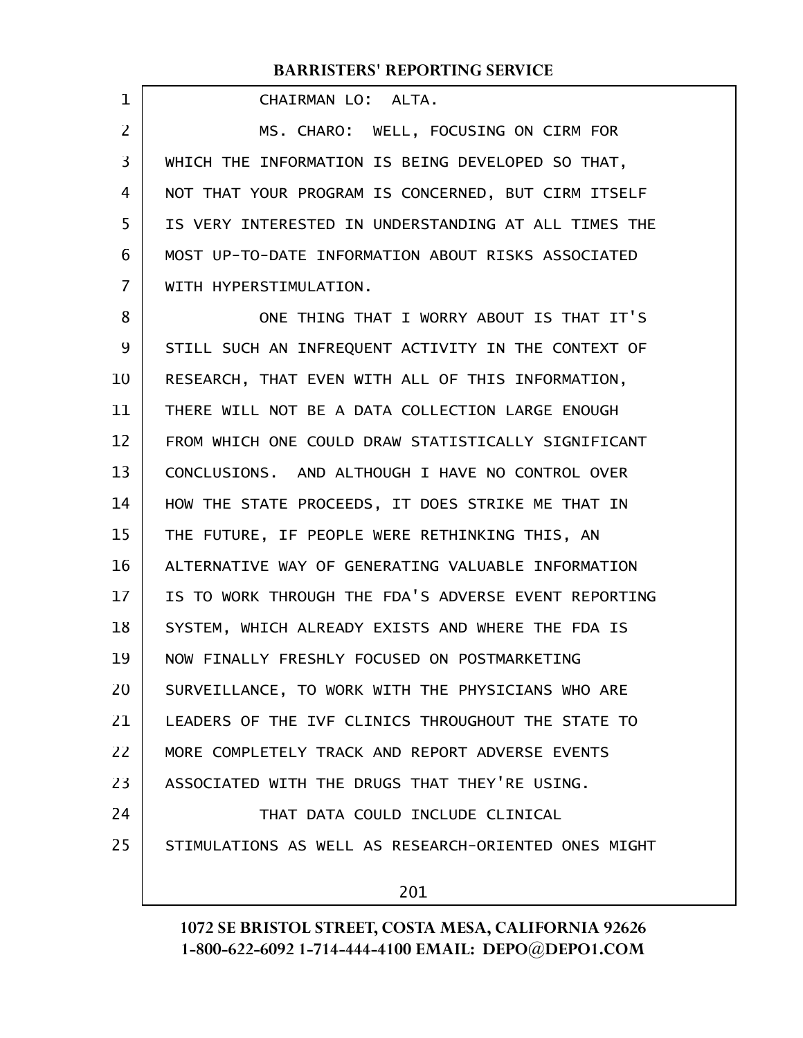CHAIRMAN LO: ALTA. MS. CHARO: WELL, FOCUSING ON CIRM FOR WHICH THE INFORMATION IS BEING DEVELOPED SO THAT, NOT THAT YOUR PROGRAM IS CONCERNED, BUT CIRM ITSELF IS VERY INTERESTED IN UNDERSTANDING AT ALL TIMES THE MOST UP-TO-DATE INFORMATION ABOUT RISKS ASSOCIATED WITH HYPERSTIMULATION. ONE THING THAT I WORRY ABOUT IS THAT IT'S STILL SUCH AN INFREQUENT ACTIVITY IN THE CONTEXT OF RESEARCH, THAT EVEN WITH ALL OF THIS INFORMATION, THERE WILL NOT BE A DATA COLLECTION LARGE ENOUGH FROM WHICH ONE COULD DRAW STATISTICALLY SIGNIFICANT CONCLUSIONS. AND ALTHOUGH I HAVE NO CONTROL OVER HOW THE STATE PROCEEDS, IT DOES STRIKE ME THAT IN THE FUTURE, IF PEOPLE WERE RETHINKING THIS, AN ALTERNATIVE WAY OF GENERATING VALUABLE INFORMATION IS TO WORK THROUGH THE FDA'S ADVERSE EVENT REPORTING SYSTEM, WHICH ALREADY EXISTS AND WHERE THE FDA IS NOW FINALLY FRESHLY FOCUSED ON POSTMARKETING SURVEILLANCE, TO WORK WITH THE PHYSICIANS WHO ARE LEADERS OF THE IVF CLINICS THROUGHOUT THE STATE TO MORE COMPLETELY TRACK AND REPORT ADVERSE EVENTS ASSOCIATED WITH THE DRUGS THAT THEY'RE USING. THAT DATA COULD INCLUDE CLINICAL STIMULATIONS AS WELL AS RESEARCH-ORIENTED ONES MIGHT 201 1 2 3 4 5 6 7 8 9 10 11 12 13 14 15 16 17 18 19 20 21 22 23 24 25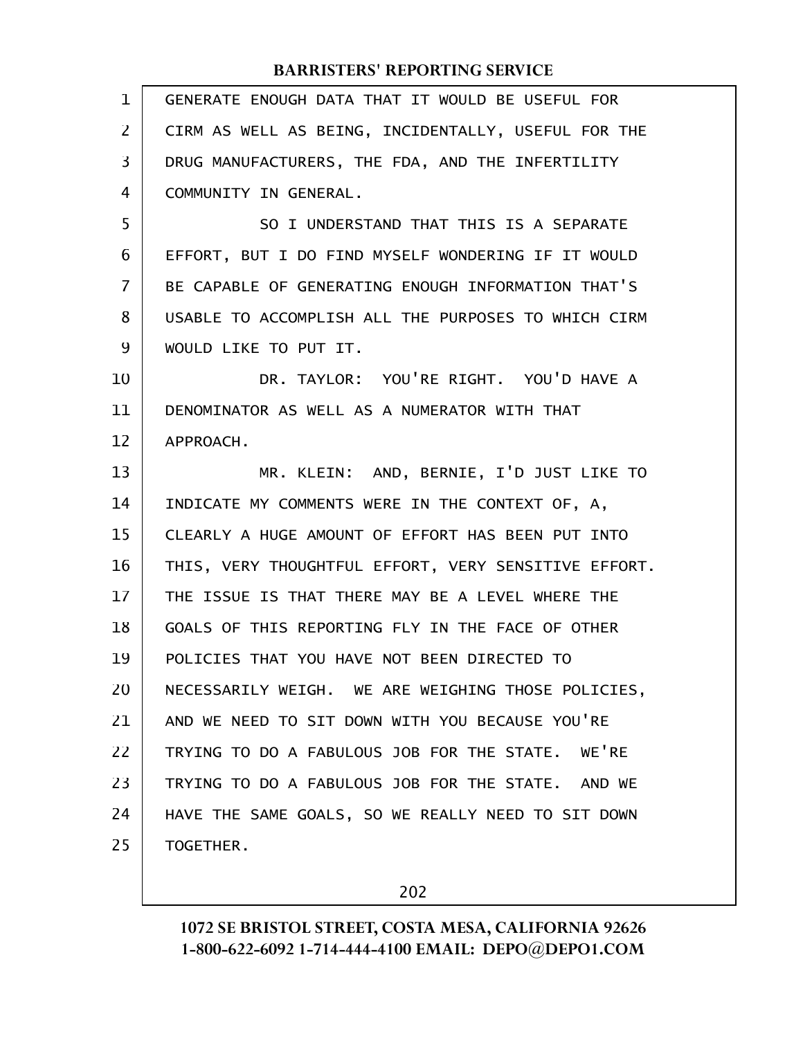| $\mathbf{1}$   | GENERATE ENOUGH DATA THAT IT WOULD BE USEFUL FOR     |
|----------------|------------------------------------------------------|
| $\overline{2}$ | CIRM AS WELL AS BEING, INCIDENTALLY, USEFUL FOR THE  |
| 3              | DRUG MANUFACTURERS, THE FDA, AND THE INFERTILITY     |
| 4              | COMMUNITY IN GENERAL.                                |
| 5              | SO I UNDERSTAND THAT THIS IS A SEPARATE              |
| 6              | EFFORT, BUT I DO FIND MYSELF WONDERING IF IT WOULD   |
| 7              | BE CAPABLE OF GENERATING ENOUGH INFORMATION THAT'S   |
| 8              | USABLE TO ACCOMPLISH ALL THE PURPOSES TO WHICH CIRM  |
| 9              | WOULD LIKE TO PUT IT.                                |
| 10             | DR. TAYLOR: YOU'RE RIGHT. YOU'D HAVE A               |
| 11             | DENOMINATOR AS WELL AS A NUMERATOR WITH THAT         |
| 12             | APPROACH.                                            |
| 13             | MR. KLEIN: AND, BERNIE, I'D JUST LIKE TO             |
| 14             | INDICATE MY COMMENTS WERE IN THE CONTEXT OF, A,      |
| 15             | CLEARLY A HUGE AMOUNT OF EFFORT HAS BEEN PUT INTO    |
| 16             | THIS, VERY THOUGHTFUL EFFORT, VERY SENSITIVE EFFORT. |
| 17             | THE ISSUE IS THAT THERE MAY BE A LEVEL WHERE THE     |
| 18             | GOALS OF THIS REPORTING FLY IN THE FACE OF OTHER     |
| 19             | POLICIES THAT YOU HAVE NOT BEEN DIRECTED TO          |
| 20             | NECESSARILY WEIGH. WE ARE WEIGHING THOSE POLICIES,   |
| 21             | AND WE NEED TO SIT DOWN WITH YOU BECAUSE YOU'RE      |
| 22             | TRYING TO DO A FABULOUS JOB FOR THE STATE. WE'RE     |
| 23             | TRYING TO DO A FABULOUS JOB FOR THE STATE. AND WE    |
| 24             | HAVE THE SAME GOALS, SO WE REALLY NEED TO SIT DOWN   |
| 25             | TOGETHER.                                            |
|                |                                                      |

202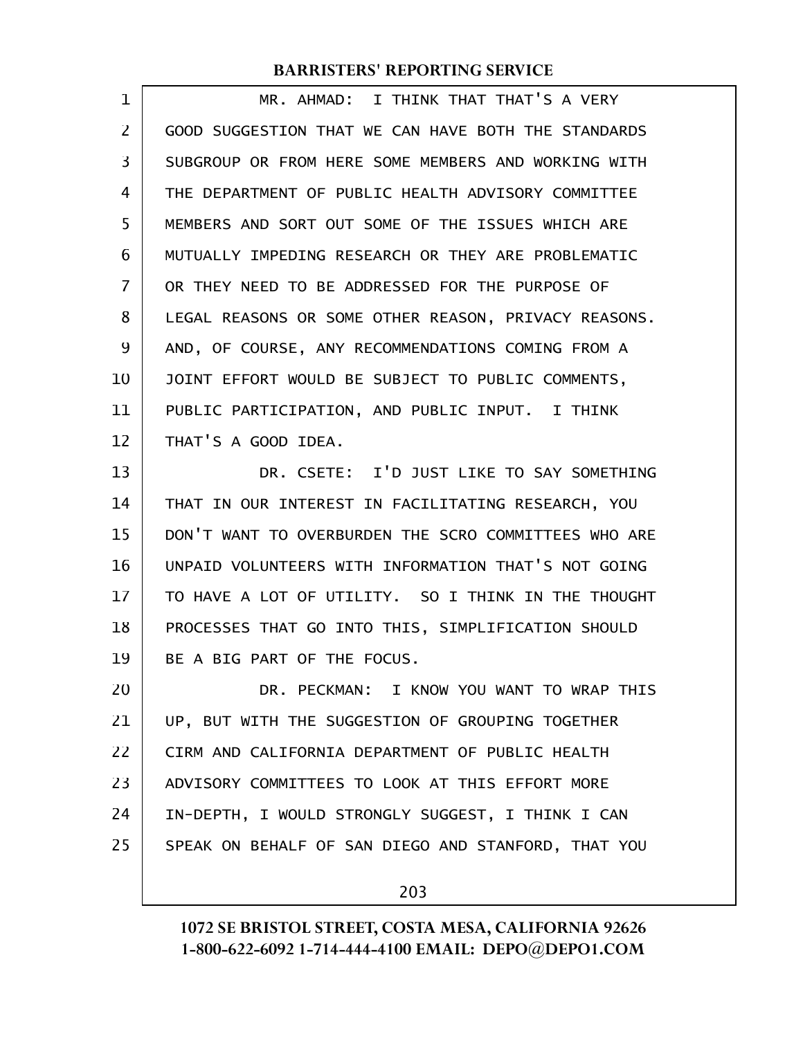| 1  | MR. AHMAD: I THINK THAT THAT'S A VERY                |
|----|------------------------------------------------------|
| 2  | GOOD SUGGESTION THAT WE CAN HAVE BOTH THE STANDARDS  |
| 3  | SUBGROUP OR FROM HERE SOME MEMBERS AND WORKING WITH  |
| 4  | THE DEPARTMENT OF PUBLIC HEALTH ADVISORY COMMITTEE   |
| 5  | MEMBERS AND SORT OUT SOME OF THE ISSUES WHICH ARE    |
| 6  | MUTUALLY IMPEDING RESEARCH OR THEY ARE PROBLEMATIC   |
| 7  | OR THEY NEED TO BE ADDRESSED FOR THE PURPOSE OF      |
| 8  | LEGAL REASONS OR SOME OTHER REASON, PRIVACY REASONS. |
| 9  | AND, OF COURSE, ANY RECOMMENDATIONS COMING FROM A    |
| 10 | JOINT EFFORT WOULD BE SUBJECT TO PUBLIC COMMENTS,    |
| 11 | PUBLIC PARTICIPATION, AND PUBLIC INPUT. I THINK      |
| 12 | THAT'S A GOOD IDEA.                                  |
| 13 | DR. CSETE: I'D JUST LIKE TO SAY SOMETHING            |
| 14 | THAT IN OUR INTEREST IN FACILITATING RESEARCH, YOU   |
| 15 | DON'T WANT TO OVERBURDEN THE SCRO COMMITTEES WHO ARE |
| 16 | UNPAID VOLUNTEERS WITH INFORMATION THAT'S NOT GOING  |
| 17 | TO HAVE A LOT OF UTILITY. SO I THINK IN THE THOUGHT  |
| 18 | PROCESSES THAT GO INTO THIS, SIMPLIFICATION SHOULD   |
| 19 | BE A BIG PART OF THE FOCUS.                          |
| 20 | DR. PECKMAN: I KNOW YOU WANT TO WRAP THIS            |
| 21 | UP, BUT WITH THE SUGGESTION OF GROUPING TOGETHER     |
| 22 | CIRM AND CALIFORNIA DEPARTMENT OF PUBLIC HEALTH      |
| 23 | ADVISORY COMMITTEES TO LOOK AT THIS EFFORT MORE      |
| 24 | IN-DEPTH, I WOULD STRONGLY SUGGEST, I THINK I CAN    |
| 25 | SPEAK ON BEHALF OF SAN DIEGO AND STANFORD, THAT YOU  |
|    | 203                                                  |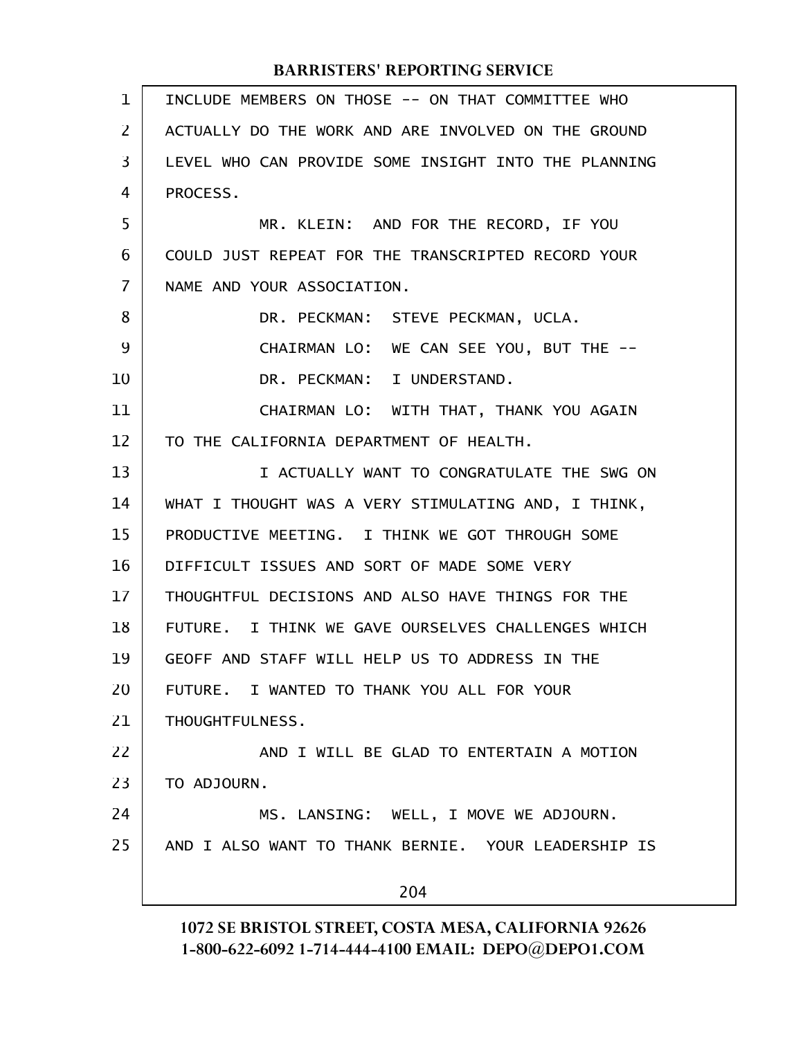| $\mathbf 1$    | INCLUDE MEMBERS ON THOSE -- ON THAT COMMITTEE WHO    |
|----------------|------------------------------------------------------|
| $\overline{2}$ | ACTUALLY DO THE WORK AND ARE INVOLVED ON THE GROUND  |
| 3              | LEVEL WHO CAN PROVIDE SOME INSIGHT INTO THE PLANNING |
| 4              | PROCESS.                                             |
| 5              | MR. KLEIN: AND FOR THE RECORD, IF YOU                |
| 6              | COULD JUST REPEAT FOR THE TRANSCRIPTED RECORD YOUR   |
| 7              | NAME AND YOUR ASSOCIATION.                           |
| 8              | DR. PECKMAN: STEVE PECKMAN, UCLA.                    |
| 9              | CHAIRMAN LO: WE CAN SEE YOU, BUT THE --              |
| 10             | DR. PECKMAN: I UNDERSTAND.                           |
| 11             | CHAIRMAN LO: WITH THAT, THANK YOU AGAIN              |
| 12             | TO THE CALIFORNIA DEPARTMENT OF HEALTH.              |
| 13             | I ACTUALLY WANT TO CONGRATULATE THE SWG ON           |
| 14             | WHAT I THOUGHT WAS A VERY STIMULATING AND, I THINK,  |
| 15             | PRODUCTIVE MEETING. I THINK WE GOT THROUGH SOME      |
| 16             | DIFFICULT ISSUES AND SORT OF MADE SOME VERY          |
| 17             | THOUGHTFUL DECISIONS AND ALSO HAVE THINGS FOR THE    |
| 18             | FUTURE. I THINK WE GAVE OURSELVES CHALLENGES WHICH   |
| 19             | GEOFF AND STAFF WILL HELP US TO ADDRESS IN THE       |
| 20             | FUTURE. I WANTED TO THANK YOU ALL FOR YOUR           |
| 21             | THOUGHTFULNESS.                                      |
| 22             | AND I WILL BE GLAD TO ENTERTAIN A MOTION             |
| 23             | TO ADJOURN.                                          |
| 24             | MS. LANSING: WELL, I MOVE WE ADJOURN.                |
| 25             | AND I ALSO WANT TO THANK BERNIE. YOUR LEADERSHIP IS  |
|                | 204                                                  |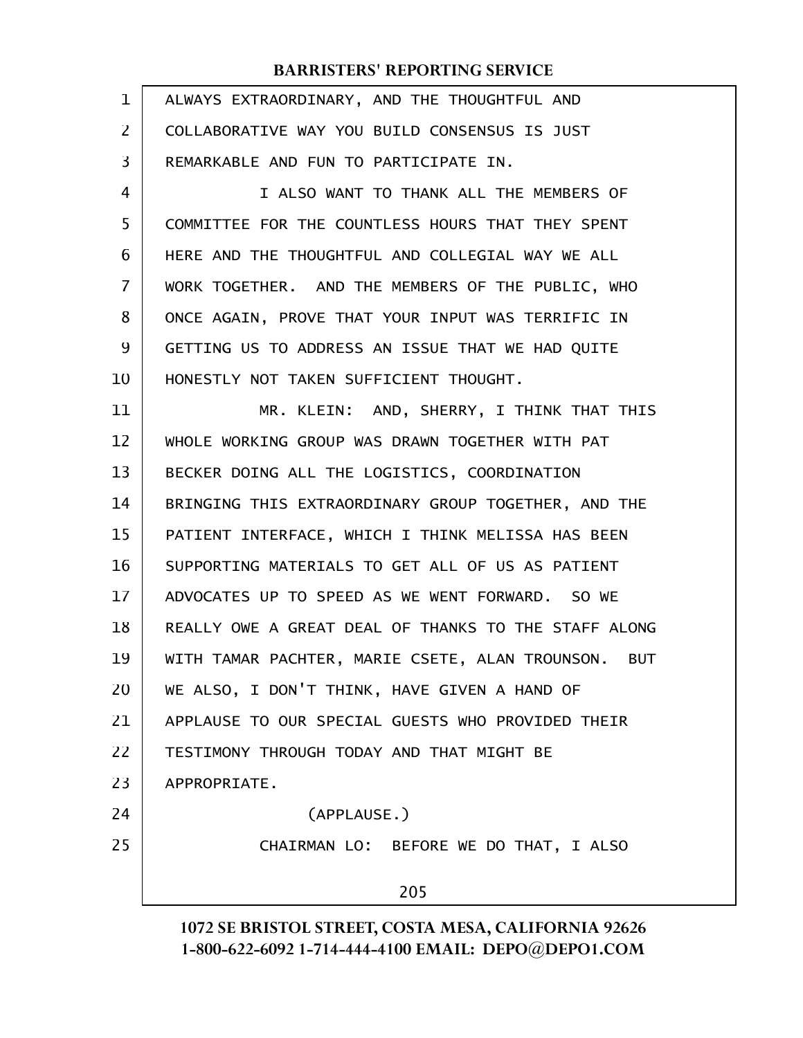| $\mathbf{1}$   | ALWAYS EXTRAORDINARY, AND THE THOUGHTFUL AND         |
|----------------|------------------------------------------------------|
| $\overline{2}$ | COLLABORATIVE WAY YOU BUILD CONSENSUS IS JUST        |
| 3              | REMARKABLE AND FUN TO PARTICIPATE IN.                |
| 4              | I ALSO WANT TO THANK ALL THE MEMBERS OF              |
| 5              | COMMITTEE FOR THE COUNTLESS HOURS THAT THEY SPENT    |
| 6              | HERE AND THE THOUGHTFUL AND COLLEGIAL WAY WE ALL     |
| 7              | WORK TOGETHER. AND THE MEMBERS OF THE PUBLIC, WHO    |
| 8              | ONCE AGAIN, PROVE THAT YOUR INPUT WAS TERRIFIC IN    |
| 9              | GETTING US TO ADDRESS AN ISSUE THAT WE HAD QUITE     |
| 10             | HONESTLY NOT TAKEN SUFFICIENT THOUGHT.               |
| 11             | MR. KLEIN: AND, SHERRY, I THINK THAT THIS            |
| 12             | WHOLE WORKING GROUP WAS DRAWN TOGETHER WITH PAT      |
| 13             | BECKER DOING ALL THE LOGISTICS, COORDINATION         |
| 14             | BRINGING THIS EXTRAORDINARY GROUP TOGETHER, AND THE  |
| 15             | PATIENT INTERFACE, WHICH I THINK MELISSA HAS BEEN    |
| 16             | SUPPORTING MATERIALS TO GET ALL OF US AS PATIENT     |
| 17             | ADVOCATES UP TO SPEED AS WE WENT FORWARD. SO WE      |
| 18             | REALLY OWE A GREAT DEAL OF THANKS TO THE STAFF ALONG |
| 19             | WITH TAMAR PACHTER, MARIE CSETE, ALAN TROUNSON. BUT  |
| 20             | WE ALSO, I DON'T THINK, HAVE GIVEN A HAND OF         |
| 21             | APPLAUSE TO OUR SPECIAL GUESTS WHO PROVIDED THEIR    |
| 22             | TESTIMONY THROUGH TODAY AND THAT MIGHT BE            |
| 23             | APPROPRIATE.                                         |
| 24             | (APPLAUSE.)                                          |
| 25             | CHAIRMAN LO: BEFORE WE DO THAT, I ALSO               |
|                | 205                                                  |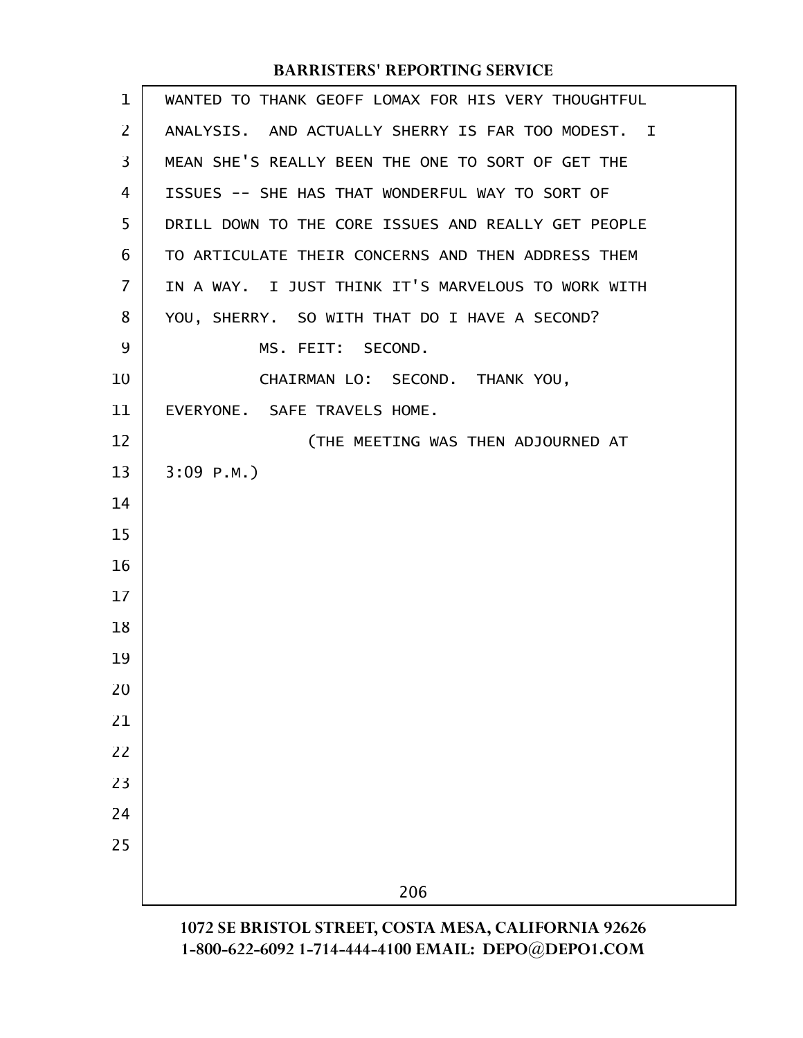| $\mathbf 1$    | WANTED TO THANK GEOFF LOMAX FOR HIS VERY THOUGHTFUL |
|----------------|-----------------------------------------------------|
| 2              | ANALYSIS. AND ACTUALLY SHERRY IS FAR TOO MODEST. I  |
| 3              | MEAN SHE'S REALLY BEEN THE ONE TO SORT OF GET THE   |
| 4              | ISSUES -- SHE HAS THAT WONDERFUL WAY TO SORT OF     |
| 5              | DRILL DOWN TO THE CORE ISSUES AND REALLY GET PEOPLE |
| 6              | TO ARTICULATE THEIR CONCERNS AND THEN ADDRESS THEM  |
| $\overline{7}$ | IN A WAY. I JUST THINK IT'S MARVELOUS TO WORK WITH  |
| 8              | YOU, SHERRY. SO WITH THAT DO I HAVE A SECOND?       |
| 9              | MS. FEIT: SECOND.                                   |
| 10             | CHAIRMAN LO: SECOND. THANK YOU,                     |
| 11             | EVERYONE, SAFE TRAVELS HOME,                        |
| 12             | (THE MEETING WAS THEN ADJOURNED AT                  |
| 13             | $3:09$ P.M.)                                        |
| 14             |                                                     |
| 15             |                                                     |
| 16             |                                                     |
| 17             |                                                     |
| 18             |                                                     |
| 19             |                                                     |
| 20             |                                                     |
| 21             |                                                     |
| 22             |                                                     |
| 23             |                                                     |
| 24             |                                                     |
| 25             |                                                     |
|                | 206                                                 |
|                |                                                     |